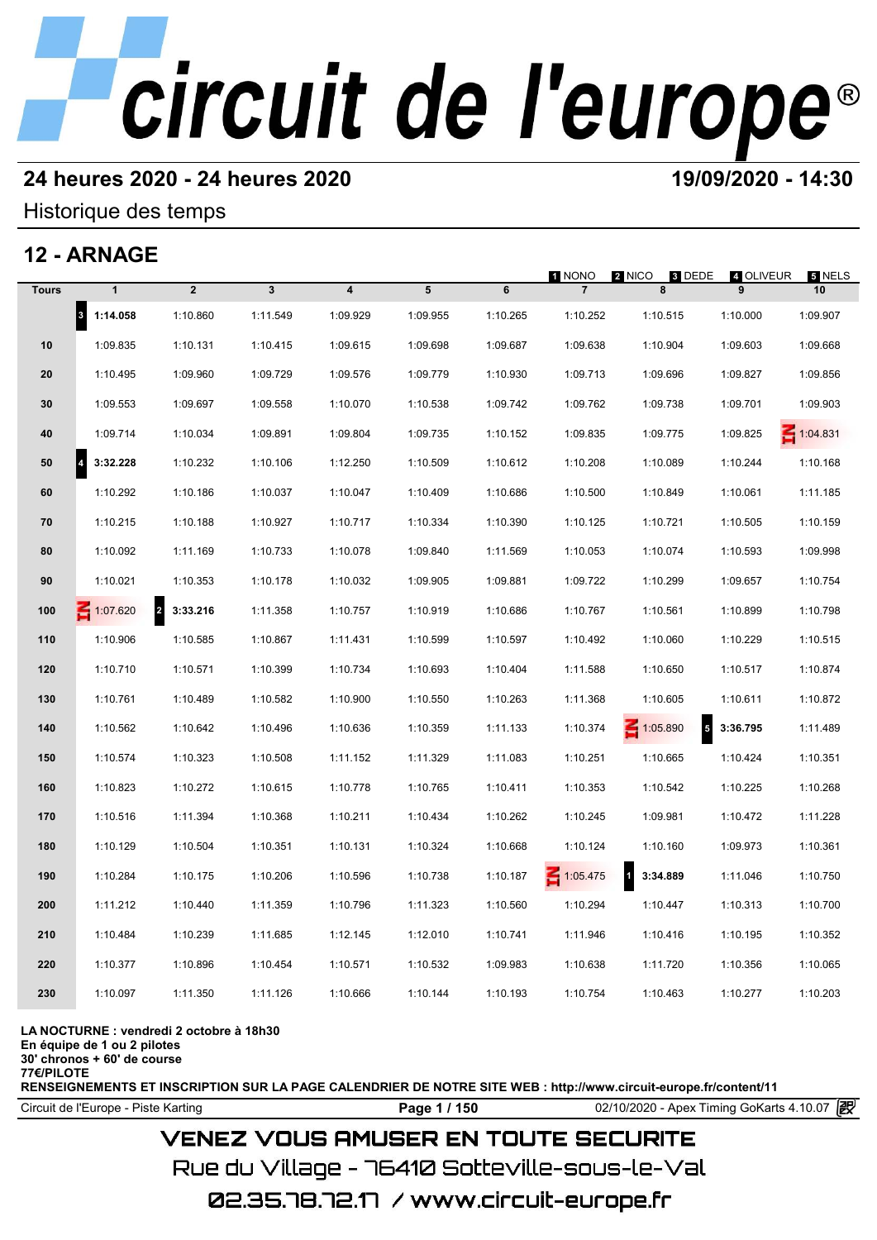## **24 heures 2020 - 24 heures 2020 19/09/2020 - 14:30**

## Historique des temps

## **12 - ARNAGE**

|              | 12 - ARNAGE                      |                |              |                         |          |          |                 |                                      |                |              |
|--------------|----------------------------------|----------------|--------------|-------------------------|----------|----------|-----------------|--------------------------------------|----------------|--------------|
| <b>Tours</b> | $\mathbf{1}$                     | $\overline{2}$ | $\mathbf{3}$ | $\overline{\mathbf{4}}$ | 5        | 6        | 1 NONO          | 2 NICO<br>3 DEDE<br>8                | 4 OLIVEUR<br>9 | 5 NELS<br>10 |
|              | $\vert$ <sub>3</sub><br>1:14.058 | 1:10.860       | 1:11.549     | 1:09.929                | 1:09.955 | 1:10.265 | 1:10.252        | 1:10.515                             | 1:10.000       | 1:09.907     |
| 10           | 1:09.835                         | 1:10.131       | 1:10.415     | 1:09.615                | 1:09.698 | 1:09.687 | 1:09.638        | 1:10.904                             | 1:09.603       | 1:09.668     |
| 20           | 1:10.495                         | 1:09.960       | 1:09.729     | 1:09.576                | 1:09.779 | 1:10.930 | 1:09.713        | 1:09.696                             | 1:09.827       | 1:09.856     |
| 30           | 1:09.553                         | 1:09.697       | 1:09.558     | 1:10.070                | 1:10.538 | 1:09.742 | 1:09.762        | 1:09.738                             | 1:09.701       | 1:09.903     |
| 40           | 1:09.714                         | 1:10.034       | 1:09.891     | 1:09.804                | 1:09.735 | 1:10.152 | 1:09.835        | 1:09.775                             | 1:09.825       | 1:04.831     |
| 50           | $\vert$ 4<br>3:32.228            | 1:10.232       | 1:10.106     | 1:12.250                | 1:10.509 | 1:10.612 | 1:10.208        | 1:10.089                             | 1:10.244       | 1:10.168     |
| 60           | 1:10.292                         | 1:10.186       | 1:10.037     | 1:10.047                | 1:10.409 | 1:10.686 | 1:10.500        | 1:10.849                             | 1:10.061       | 1:11.185     |
| 70           | 1:10.215                         | 1:10.188       | 1:10.927     | 1:10.717                | 1:10.334 | 1:10.390 | 1:10.125        | 1:10.721                             | 1:10.505       | 1:10.159     |
| 80           | 1:10.092                         | 1:11.169       | 1:10.733     | 1:10.078                | 1:09.840 | 1:11.569 | 1:10.053        | 1:10.074                             | 1:10.593       | 1:09.998     |
| 90           | 1:10.021                         | 1:10.353       | 1:10.178     | 1:10.032                | 1:09.905 | 1:09.881 | 1:09.722        | 1:10.299                             | 1:09.657       | 1:10.754     |
| 100          | $\leq 1:07.620$                  | 2 3:33.216     | 1:11.358     | 1:10.757                | 1:10.919 | 1:10.686 | 1:10.767        | 1:10.561                             | 1:10.899       | 1:10.798     |
| 110          | 1:10.906                         | 1:10.585       | 1:10.867     | 1:11.431                | 1:10.599 | 1:10.597 | 1:10.492        | 1:10.060                             | 1:10.229       | 1:10.515     |
| 120          | 1:10.710                         | 1:10.571       | 1:10.399     | 1:10.734                | 1:10.693 | 1:10.404 | 1:11.588        | 1:10.650                             | 1:10.517       | 1:10.874     |
| 130          | 1:10.761                         | 1:10.489       | 1:10.582     | 1:10.900                | 1:10.550 | 1:10.263 | 1:11.368        | 1:10.605                             | 1:10.611       | 1:10.872     |
| 140          | 1:10.562                         | 1:10.642       | 1:10.496     | 1:10.636                | 1:10.359 | 1:11.133 | 1:10.374        | $\overline{\phantom{a}}$<br>1:05.890 | 3:36.795       | 1:11.489     |
| 150          | 1:10.574                         | 1:10.323       | 1:10.508     | 1:11.152                | 1:11.329 | 1:11.083 | 1:10.251        | 1:10.665                             | 1:10.424       | 1:10.351     |
| 160          | 1:10.823                         | 1:10.272       | 1:10.615     | 1:10.778                | 1:10.765 | 1:10.411 | 1:10.353        | 1:10.542                             | 1:10.225       | 1:10.268     |
| 170          | 1:10.516                         | 1:11.394       | 1:10.368     | 1:10.211                | 1:10.434 | 1:10.262 | 1:10.245        | 1:09.981                             | 1:10.472       | 1:11.228     |
| 180          | 1:10.129                         | 1:10.504       | 1:10.351     | 1:10.131                | 1:10.324 | 1:10.668 | 1:10.124        | 1:10.160                             | 1:09.973       | 1:10.361     |
| 190          | 1:10.284                         | 1:10.175       | 1:10.206     | 1:10.596                | 1:10.738 | 1:10.187 | $\leq 1:05.475$ | $\mathbf{1}$<br>3:34.889             | 1:11.046       | 1:10.750     |
| 200          | 1:11.212                         | 1:10.440       | 1:11.359     | 1:10.796                | 1:11.323 | 1:10.560 | 1:10.294        | 1:10.447                             | 1:10.313       | 1:10.700     |
| 210          | 1:10.484                         | 1:10.239       | 1:11.685     | 1:12.145                | 1:12.010 | 1:10.741 | 1:11.946        | 1:10.416                             | 1:10.195       | 1:10.352     |
| 220          | 1:10.377                         | 1:10.896       | 1:10.454     | 1:10.571                | 1:10.532 | 1:09.983 | 1:10.638        | 1:11.720                             | 1:10.356       | 1:10.065     |
| 230          | 1:10.097                         | 1:11.350       | 1:11.126     | 1:10.666                | 1:10.144 | 1:10.193 | 1:10.754        | 1:10.463                             | 1:10.277       | 1:10.203     |
|              |                                  |                |              |                         |          |          |                 |                                      |                |              |

### **LA NOCTURNE : vendredi 2 octobre à 18h30**

**En équipe de 1 ou 2 pilotes**

**30' chronos + 60' de course**

**77€/PILOTE**

**RENSEIGNEMENTS ET INSCRIPTION SUR LA PAGE CALENDRIER DE NOTRE SITE WEB : http://www.circuit-europe.fr/content/11**

Circuit de l'Europe - Piste Karting **Page 1 / 150** 02/10/2020 - Apex Timing GoKarts 4.10.07

## **VENEZ VOUS AMUSER EN TOUTE SECURITE**

Rue du Village – 76410 Sotteville-sous-le-Val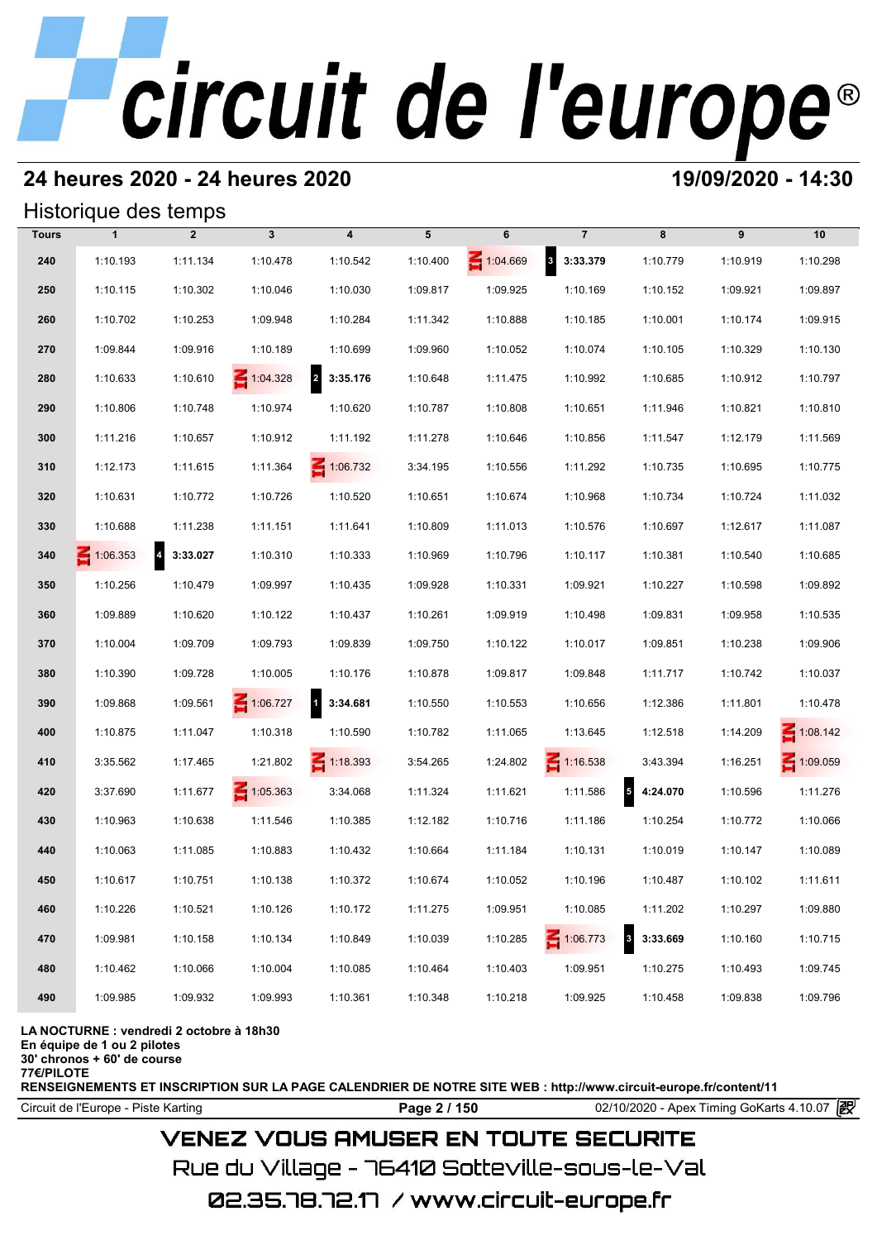## **24 heures 2020 - 24 heures 2020 19/09/2020 - 14:30**

## Historique des temps

|              | Historique des temps |                            |                 |                                     |          |          |                       |            |          |                 |  |  |  |
|--------------|----------------------|----------------------------|-----------------|-------------------------------------|----------|----------|-----------------------|------------|----------|-----------------|--|--|--|
| <b>Tours</b> | $\mathbf{1}$         | $\overline{2}$             | $\mathbf{3}$    | $\overline{\mathbf{4}}$             | 5        | 6        | $\overline{7}$        | 8          | 9        | 10              |  |  |  |
| 240          | 1:10.193             | 1:11.134                   | 1:10.478        | 1:10.542                            | 1:10.400 | 1:04.669 | 8 3:33.379            | 1:10.779   | 1:10.919 | 1:10.298        |  |  |  |
| 250          | 1:10.115             | 1:10.302                   | 1:10.046        | 1:10.030                            | 1:09.817 | 1:09.925 | 1:10.169              | 1:10.152   | 1:09.921 | 1:09.897        |  |  |  |
| 260          | 1:10.702             | 1:10.253                   | 1:09.948        | 1:10.284                            | 1:11.342 | 1:10.888 | 1:10.185              | 1:10.001   | 1:10.174 | 1:09.915        |  |  |  |
| 270          | 1:09.844             | 1:09.916                   | 1:10.189        | 1:10.699                            | 1:09.960 | 1:10.052 | 1:10.074              | 1:10.105   | 1:10.329 | 1:10.130        |  |  |  |
| 280          | 1:10.633             | 1:10.610                   | $\leq 1:04.328$ | $\overline{\mathbf{r}}$<br>3:35.176 | 1:10.648 | 1:11.475 | 1:10.992              | 1:10.685   | 1:10.912 | 1:10.797        |  |  |  |
| 290          | 1:10.806             | 1:10.748                   | 1:10.974        | 1:10.620                            | 1:10.787 | 1:10.808 | 1:10.651              | 1:11.946   | 1:10.821 | 1:10.810        |  |  |  |
| 300          | 1:11.216             | 1:10.657                   | 1:10.912        | 1:11.192                            | 1:11.278 | 1:10.646 | 1:10.856              | 1:11.547   | 1:12.179 | 1:11.569        |  |  |  |
| 310          | 1:12.173             | 1:11.615                   | 1:11.364        | $\leq 1:06.732$                     | 3:34.195 | 1:10.556 | 1:11.292              | 1:10.735   | 1:10.695 | 1:10.775        |  |  |  |
| 320          | 1:10.631             | 1:10.772                   | 1:10.726        | 1:10.520                            | 1:10.651 | 1:10.674 | 1:10.968              | 1:10.734   | 1:10.724 | 1:11.032        |  |  |  |
| 330          | 1:10.688             | 1:11.238                   | 1:11.151        | 1:11.641                            | 1:10.809 | 1:11.013 | 1:10.576              | 1:10.697   | 1:12.617 | 1:11.087        |  |  |  |
| 340          | $\leq 1:06.353$      | $\overline{4}$<br>3:33.027 | 1:10.310        | 1:10.333                            | 1:10.969 | 1:10.796 | 1:10.117              | 1:10.381   | 1:10.540 | 1:10.685        |  |  |  |
| 350          | 1:10.256             | 1:10.479                   | 1:09.997        | 1:10.435                            | 1:09.928 | 1:10.331 | 1:09.921              | 1:10.227   | 1:10.598 | 1:09.892        |  |  |  |
| 360          | 1:09.889             | 1:10.620                   | 1:10.122        | 1:10.437                            | 1:10.261 | 1:09.919 | 1:10.498              | 1:09.831   | 1:09.958 | 1:10.535        |  |  |  |
| 370          | 1:10.004             | 1:09.709                   | 1:09.793        | 1:09.839                            | 1:09.750 | 1:10.122 | 1:10.017              | 1:09.851   | 1:10.238 | 1:09.906        |  |  |  |
| 380          | 1:10.390             | 1:09.728                   | 1:10.005        | 1:10.176                            | 1:10.878 | 1:09.817 | 1:09.848              | 1:11.717   | 1:10.742 | 1:10.037        |  |  |  |
| 390          | 1:09.868             | 1:09.561                   | 1:06.727        | $1 \quad 3:34.681$                  | 1:10.550 | 1:10.553 | 1:10.656              | 1:12.386   | 1:11.801 | 1:10.478        |  |  |  |
| 400          | 1:10.875             | 1:11.047                   | 1:10.318        | 1:10.590                            | 1:10.782 | 1:11.065 | 1:13.645              | 1:12.518   | 1:14.209 | $\leq 1:08.142$ |  |  |  |
| 410          | 3:35.562             | 1:17.465                   | 1:21.802        | $\leq 1:18.393$                     | 3:54.265 | 1:24.802 | $\leq 1:16.538$       | 3:43.394   | 1:16.251 | $\leq 1:09.059$ |  |  |  |
| 420          | 3:37.690             | 1:11.677                   | $\leq 1:05.363$ | 3:34.068                            | 1:11.324 | 1:11.621 | 1:11.586              | 5 4:24.070 | 1:10.596 | 1:11.276        |  |  |  |
| 430          | 1:10.963             | 1:10.638                   | 1:11.546        | 1:10.385                            | 1:12.182 | 1:10.716 | 1:11.186              | 1:10.254   | 1:10.772 | 1:10.066        |  |  |  |
| 440          | 1:10.063             | 1:11.085                   | 1:10.883        | 1:10.432                            | 1:10.664 | 1:11.184 | 1:10.131              | 1:10.019   | 1:10.147 | 1:10.089        |  |  |  |
| 450          | 1:10.617             | 1:10.751                   | 1:10.138        | 1:10.372                            | 1:10.674 | 1:10.052 | 1:10.196              | 1:10.487   | 1:10.102 | 1:11.611        |  |  |  |
| 460          | 1:10.226             | 1:10.521                   | 1:10.126        | 1:10.172                            | 1:11.275 | 1:09.951 | 1:10.085              | 1:11.202   | 1:10.297 | 1:09.880        |  |  |  |
| 470          | 1:09.981             | 1:10.158                   | 1:10.134        | 1:10.849                            | 1:10.039 | 1:10.285 | $\vert$ 3<br>1:06.773 | 3:33.669   | 1:10.160 | 1:10.715        |  |  |  |
| 480          | 1:10.462             | 1:10.066                   | 1:10.004        | 1:10.085                            | 1:10.464 | 1:10.403 | 1:09.951              | 1:10.275   | 1:10.493 | 1:09.745        |  |  |  |
| 490          | 1:09.985             | 1:09.932                   | 1:09.993        | 1:10.361                            | 1:10.348 | 1:10.218 | 1:09.925              | 1:10.458   | 1:09.838 | 1:09.796        |  |  |  |

**LA NOCTURNE : vendredi 2 octobre à 18h30**

**En équipe de 1 ou 2 pilotes**

**30' chronos + 60' de course 77€/PILOTE**

**RENSEIGNEMENTS ET INSCRIPTION SUR LA PAGE CALENDRIER DE NOTRE SITE WEB : http://www.circuit-europe.fr/content/11**

Circuit de l'Europe - Piste Karting **Page 2 / 150 Page 2 / 150** 02/10/2020 - Apex Timing GoKarts 4.10.07

## **VENEZ VOUS AMUSER EN TOUTE SECURITE**

Rue du Village – 76410 Sotteville-sous-le-Val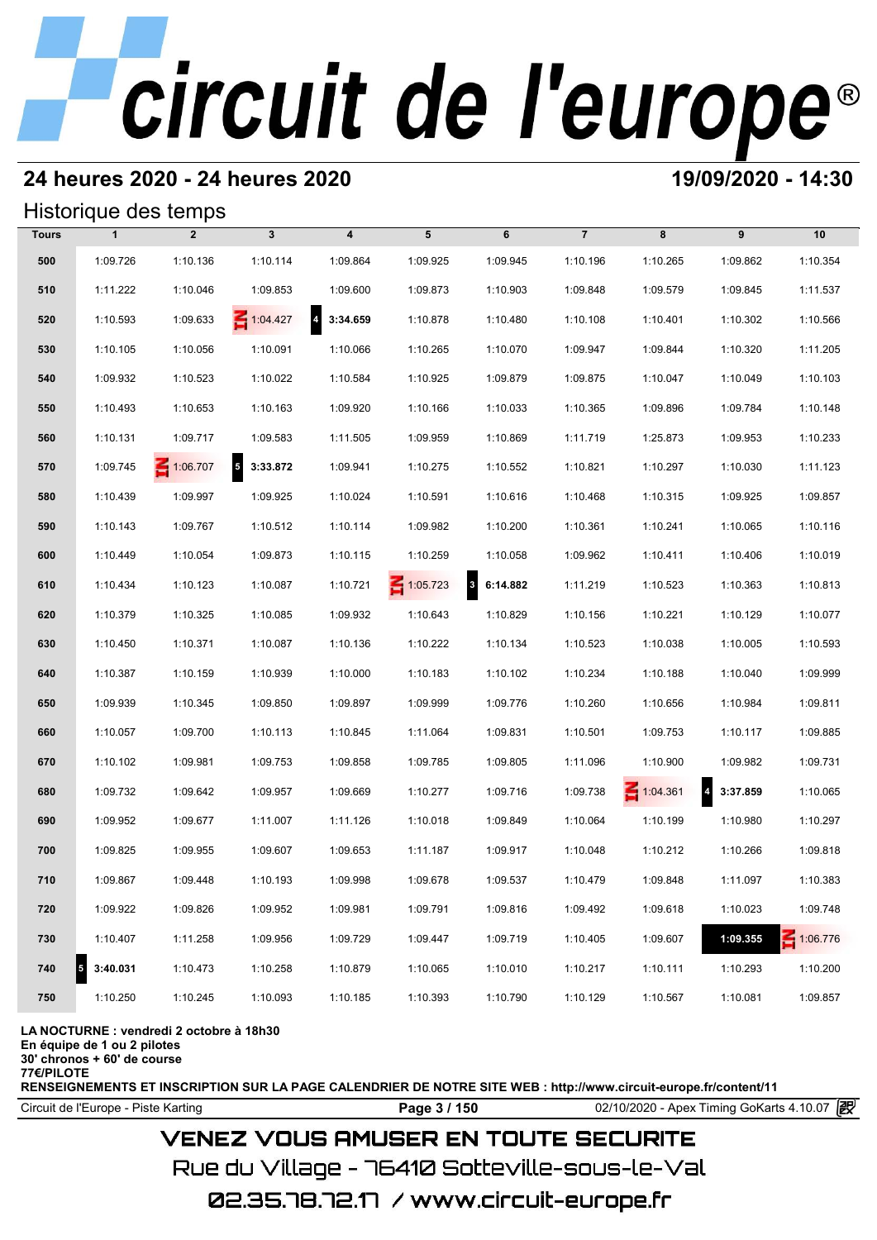## **24 heures 2020 - 24 heures 2020 19/09/2020 - 14:30**

## Historique des temps

|              |                                     | Historique des temps |                                      |                            |                 |                                     |                |                 |                                     |                 |
|--------------|-------------------------------------|----------------------|--------------------------------------|----------------------------|-----------------|-------------------------------------|----------------|-----------------|-------------------------------------|-----------------|
| <b>Tours</b> | $\mathbf{1}$                        | $\overline{2}$       | $\mathbf{3}$                         | $\overline{\mathbf{4}}$    | 5               | 6                                   | $\overline{7}$ | 8               | 9                                   | 10              |
| 500          | 1:09.726                            | 1:10.136             | 1:10.114                             | 1:09.864                   | 1:09.925        | 1:09.945                            | 1:10.196       | 1:10.265        | 1:09.862                            | 1:10.354        |
| 510          | 1:11.222                            | 1:10.046             | 1:09.853                             | 1:09.600                   | 1:09.873        | 1:10.903                            | 1:09.848       | 1:09.579        | 1:09.845                            | 1:11.537        |
| 520          | 1:10.593                            | 1:09.633             | 1:04.427                             | $\overline{a}$<br>3:34.659 | 1:10.878        | 1:10.480                            | 1:10.108       | 1:10.401        | 1:10.302                            | 1:10.566        |
| 530          | 1:10.105                            | 1:10.056             | 1:10.091                             | 1:10.066                   | 1:10.265        | 1:10.070                            | 1:09.947       | 1:09.844        | 1:10.320                            | 1:11.205        |
| 540          | 1:09.932                            | 1:10.523             | 1:10.022                             | 1:10.584                   | 1:10.925        | 1:09.879                            | 1:09.875       | 1:10.047        | 1:10.049                            | 1:10.103        |
| 550          | 1:10.493                            | 1:10.653             | 1:10.163                             | 1:09.920                   | 1:10.166        | 1:10.033                            | 1:10.365       | 1:09.896        | 1:09.784                            | 1:10.148        |
| 560          | 1:10.131                            | 1:09.717             | 1:09.583                             | 1:11.505                   | 1:09.959        | 1:10.869                            | 1:11.719       | 1:25.873        | 1:09.953                            | 1:10.233        |
| 570          | 1:09.745                            | $\leq 1:06.707$      | $\overline{\phantom{a}}$<br>3:33.872 | 1:09.941                   | 1:10.275        | 1:10.552                            | 1:10.821       | 1:10.297        | 1:10.030                            | 1:11.123        |
| 580          | 1:10.439                            | 1:09.997             | 1:09.925                             | 1:10.024                   | 1:10.591        | 1:10.616                            | 1:10.468       | 1:10.315        | 1:09.925                            | 1:09.857        |
| 590          | 1:10.143                            | 1:09.767             | 1:10.512                             | 1:10.114                   | 1:09.982        | 1:10.200                            | 1:10.361       | 1:10.241        | 1:10.065                            | 1:10.116        |
| 600          | 1:10.449                            | 1:10.054             | 1:09.873                             | 1:10.115                   | 1:10.259        | 1:10.058                            | 1:09.962       | 1:10.411        | 1:10.406                            | 1:10.019        |
| 610          | 1:10.434                            | 1:10.123             | 1:10.087                             | 1:10.721                   | $\leq 1:05.723$ | $\overline{\mathbf{3}}$<br>6:14.882 | 1:11.219       | 1:10.523        | 1:10.363                            | 1:10.813        |
| 620          | 1:10.379                            | 1:10.325             | 1:10.085                             | 1:09.932                   | 1:10.643        | 1:10.829                            | 1:10.156       | 1:10.221        | 1:10.129                            | 1:10.077        |
| 630          | 1:10.450                            | 1:10.371             | 1:10.087                             | 1:10.136                   | 1:10.222        | 1:10.134                            | 1:10.523       | 1:10.038        | 1:10.005                            | 1:10.593        |
| 640          | 1:10.387                            | 1:10.159             | 1:10.939                             | 1:10.000                   | 1:10.183        | 1:10.102                            | 1:10.234       | 1:10.188        | 1:10.040                            | 1:09.999        |
| 650          | 1:09.939                            | 1:10.345             | 1:09.850                             | 1:09.897                   | 1:09.999        | 1:09.776                            | 1:10.260       | 1:10.656        | 1:10.984                            | 1:09.811        |
| 660          | 1:10.057                            | 1:09.700             | 1:10.113                             | 1:10.845                   | 1:11.064        | 1:09.831                            | 1:10.501       | 1:09.753        | 1:10.117                            | 1:09.885        |
| 670          | 1:10.102                            | 1:09.981             | 1:09.753                             | 1:09.858                   | 1:09.785        | 1:09.805                            | 1:11.096       | 1:10.900        | 1:09.982                            | 1:09.731        |
| 680          | 1:09.732                            | 1:09.642             | 1:09.957                             | 1:09.669                   | 1:10.277        | 1:09.716                            | 1:09.738       | $\leq 1:04.361$ | $\overline{\mathbf{4}}$<br>3:37.859 | 1:10.065        |
| 690          | 1:09.952                            | 1:09.677             | 1:11.007                             | 1:11.126                   | 1:10.018        | 1:09.849                            | 1:10.064       | 1:10.199        | 1:10.980                            | 1:10.297        |
| 700          | 1:09.825                            | 1:09.955             | 1:09.607                             | 1:09.653                   | 1:11.187        | 1:09.917                            | 1:10.048       | 1:10.212        | 1:10.266                            | 1:09.818        |
| 710          | 1:09.867                            | 1:09.448             | 1:10.193                             | 1:09.998                   | 1:09.678        | 1:09.537                            | 1:10.479       | 1:09.848        | 1:11.097                            | 1:10.383        |
| 720          | 1:09.922                            | 1:09.826             | 1:09.952                             | 1:09.981                   | 1:09.791        | 1:09.816                            | 1:09.492       | 1:09.618        | 1:10.023                            | 1:09.748        |
| 730          | 1:10.407                            | 1:11.258             | 1:09.956                             | 1:09.729                   | 1:09.447        | 1:09.719                            | 1:10.405       | 1:09.607        | 1:09.355                            | $\leq 1:06.776$ |
| 740          | $\overline{\mathbf{5}}$<br>3:40.031 | 1:10.473             | 1:10.258                             | 1:10.879                   | 1:10.065        | 1:10.010                            | 1:10.217       | 1:10.111        | 1:10.293                            | 1:10.200        |
| 750          | 1:10.250                            | 1:10.245             | 1:10.093                             | 1:10.185                   | 1:10.393        | 1:10.790                            | 1:10.129       | 1:10.567        | 1:10.081                            | 1:09.857        |

### **LA NOCTURNE : vendredi 2 octobre à 18h30**

**En équipe de 1 ou 2 pilotes**

**30' chronos + 60' de course**

**77€/PILOTE**

**RENSEIGNEMENTS ET INSCRIPTION SUR LA PAGE CALENDRIER DE NOTRE SITE WEB : http://www.circuit-europe.fr/content/11**

Circuit de l'Europe - Piste Karting **Page 3 / 150 Page 3 / 150** 02/10/2020 - Apex Timing GoKarts 4.10.07

## **VENEZ VOUS AMUSER EN TOUTE SECURITE**

Rue du Village – 76410 Sotteville-sous-le-Val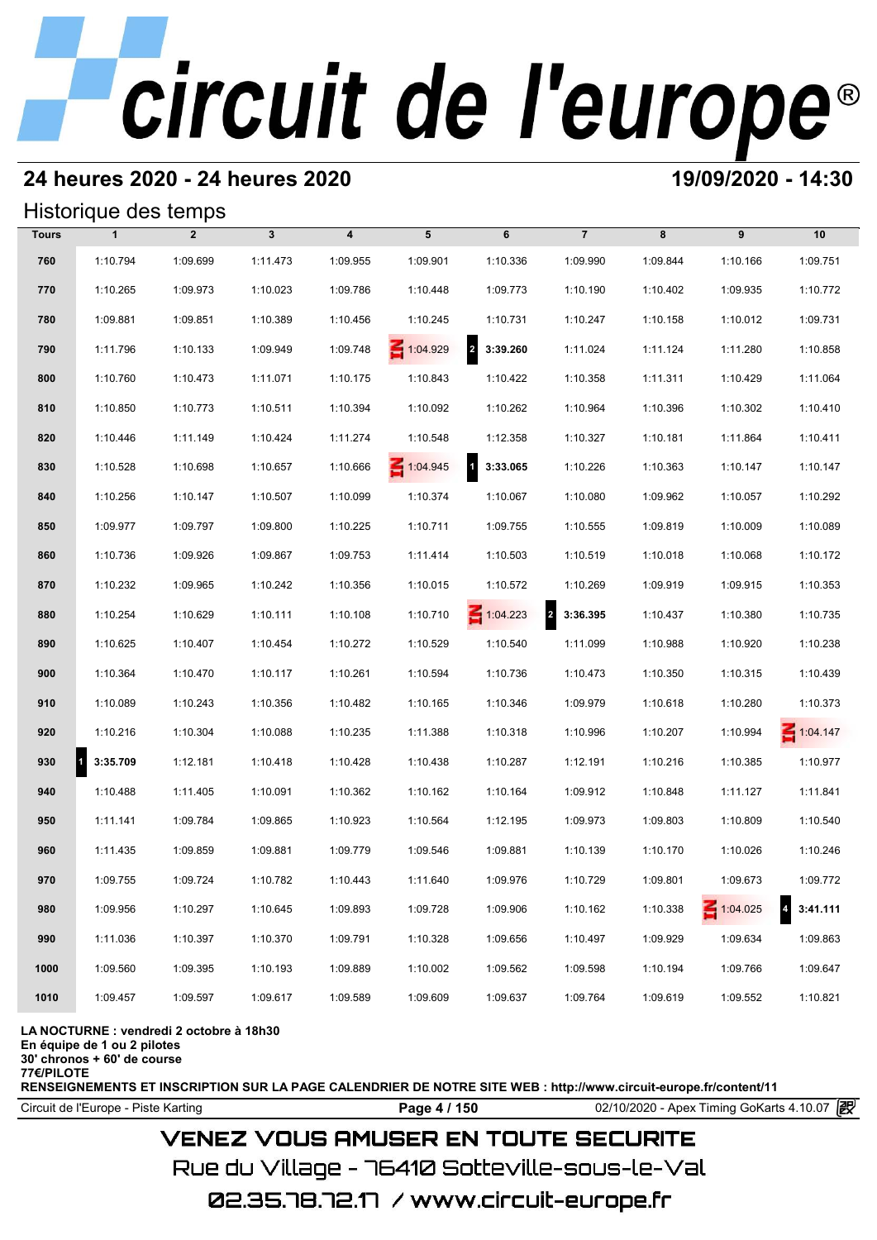## **24 heures 2020 - 24 heures 2020 19/09/2020 - 14:30**

## Historique des temps

|              | Historique des temps |                |              |                         |                 |                                     |                |          |                 |                            |
|--------------|----------------------|----------------|--------------|-------------------------|-----------------|-------------------------------------|----------------|----------|-----------------|----------------------------|
| <b>Tours</b> | $\mathbf{1}$         | $\overline{2}$ | $\mathbf{3}$ | $\overline{\mathbf{4}}$ | 5               | 6                                   | $\overline{7}$ | 8        | 9               | 10                         |
| 760          | 1:10.794             | 1:09.699       | 1:11.473     | 1:09.955                | 1:09.901        | 1:10.336                            | 1:09.990       | 1:09.844 | 1:10.166        | 1:09.751                   |
| 770          | 1:10.265             | 1:09.973       | 1:10.023     | 1:09.786                | 1:10.448        | 1:09.773                            | 1:10.190       | 1:10.402 | 1:09.935        | 1:10.772                   |
| 780          | 1:09.881             | 1:09.851       | 1:10.389     | 1:10.456                | 1:10.245        | 1:10.731                            | 1:10.247       | 1:10.158 | 1:10.012        | 1:09.731                   |
| 790          | 1:11.796             | 1:10.133       | 1:09.949     | 1:09.748                | 1:04.929        | $\overline{\mathbf{2}}$<br>3:39.260 | 1:11.024       | 1:11.124 | 1:11.280        | 1:10.858                   |
| 800          | 1:10.760             | 1:10.473       | 1:11.071     | 1:10.175                | 1:10.843        | 1:10.422                            | 1:10.358       | 1:11.311 | 1:10.429        | 1:11.064                   |
| 810          | 1:10.850             | 1:10.773       | 1:10.511     | 1:10.394                | 1:10.092        | 1:10.262                            | 1:10.964       | 1:10.396 | 1:10.302        | 1:10.410                   |
| 820          | 1:10.446             | 1:11.149       | 1:10.424     | 1:11.274                | 1:10.548        | 1:12.358                            | 1:10.327       | 1:10.181 | 1:11.864        | 1:10.411                   |
| 830          | 1:10.528             | 1:10.698       | 1:10.657     | 1:10.666                | $\leq 1:04.945$ | $\overline{\mathbf{1}}$<br>3:33.065 | 1:10.226       | 1:10.363 | 1:10.147        | 1:10.147                   |
| 840          | 1:10.256             | 1:10.147       | 1:10.507     | 1:10.099                | 1:10.374        | 1:10.067                            | 1:10.080       | 1:09.962 | 1:10.057        | 1:10.292                   |
| 850          | 1:09.977             | 1:09.797       | 1:09.800     | 1:10.225                | 1:10.711        | 1:09.755                            | 1:10.555       | 1:09.819 | 1:10.009        | 1:10.089                   |
| 860          | 1:10.736             | 1:09.926       | 1:09.867     | 1:09.753                | 1:11.414        | 1:10.503                            | 1:10.519       | 1:10.018 | 1:10.068        | 1:10.172                   |
| 870          | 1:10.232             | 1:09.965       | 1:10.242     | 1:10.356                | 1:10.015        | 1:10.572                            | 1:10.269       | 1:09.919 | 1:09.915        | 1:10.353                   |
| 880          | 1:10.254             | 1:10.629       | 1:10.111     | 1:10.108                | 1:10.710        | $\leq 1:04.223$                     | 2 3:36.395     | 1:10.437 | 1:10.380        | 1:10.735                   |
| 890          | 1:10.625             | 1:10.407       | 1:10.454     | 1:10.272                | 1:10.529        | 1:10.540                            | 1:11.099       | 1:10.988 | 1:10.920        | 1:10.238                   |
| 900          | 1:10.364             | 1:10.470       | 1:10.117     | 1:10.261                | 1:10.594        | 1:10.736                            | 1:10.473       | 1:10.350 | 1:10.315        | 1:10.439                   |
| 910          | 1:10.089             | 1:10.243       | 1:10.356     | 1:10.482                | 1:10.165        | 1:10.346                            | 1:09.979       | 1:10.618 | 1:10.280        | 1:10.373                   |
| 920          | 1:10.216             | 1:10.304       | 1:10.088     | 1:10.235                | 1:11.388        | 1:10.318                            | 1:10.996       | 1:10.207 | 1:10.994        | $\leq 1:04.147$            |
| 930<br>11    | 3:35.709             | 1:12.181       | 1:10.418     | 1:10.428                | 1:10.438        | 1:10.287                            | 1:12.191       | 1:10.216 | 1:10.385        | 1:10.977                   |
| 940          | 1:10.488             | 1:11.405       | 1:10.091     | 1:10.362                | 1:10.162        | 1:10.164                            | 1:09.912       | 1:10.848 | 1:11.127        | 1:11.841                   |
| 950          | 1:11.141             | 1:09.784       | 1:09.865     | 1:10.923                | 1:10.564        | 1:12.195                            | 1:09.973       | 1:09.803 | 1:10.809        | 1:10.540                   |
| 960          | 1:11.435             | 1:09.859       | 1:09.881     | 1:09.779                | 1:09.546        | 1:09.881                            | 1:10.139       | 1:10.170 | 1:10.026        | 1:10.246                   |
| 970          | 1:09.755             | 1:09.724       | 1:10.782     | 1:10.443                | 1:11.640        | 1:09.976                            | 1:10.729       | 1:09.801 | 1:09.673        | 1:09.772                   |
| 980          | 1:09.956             | 1:10.297       | 1:10.645     | 1:09.893                | 1:09.728        | 1:09.906                            | 1:10.162       | 1:10.338 | $\leq 1:04.025$ | $\overline{a}$<br>3:41.111 |
| 990          | 1:11.036             | 1:10.397       | 1:10.370     | 1:09.791                | 1:10.328        | 1:09.656                            | 1:10.497       | 1:09.929 | 1:09.634        | 1:09.863                   |
| 1000         | 1:09.560             | 1:09.395       | 1:10.193     | 1:09.889                | 1:10.002        | 1:09.562                            | 1:09.598       | 1:10.194 | 1:09.766        | 1:09.647                   |
| 1010         | 1:09.457             | 1:09.597       | 1:09.617     | 1:09.589                | 1:09.609        | 1:09.637                            | 1:09.764       | 1:09.619 | 1:09.552        | 1:10.821                   |

### **LA NOCTURNE : vendredi 2 octobre à 18h30**

**En équipe de 1 ou 2 pilotes**

**30' chronos + 60' de course**

**77€/PILOTE**

**RENSEIGNEMENTS ET INSCRIPTION SUR LA PAGE CALENDRIER DE NOTRE SITE WEB : http://www.circuit-europe.fr/content/11**

Circuit de l'Europe - Piste Karting **Page 4 / 150** 02/10/2020 - Apex Timing GoKarts 4.10.07

## **VENEZ VOUS AMUSER EN TOUTE SECURITE**

Rue du Village – 76410 Sotteville-sous-le-Val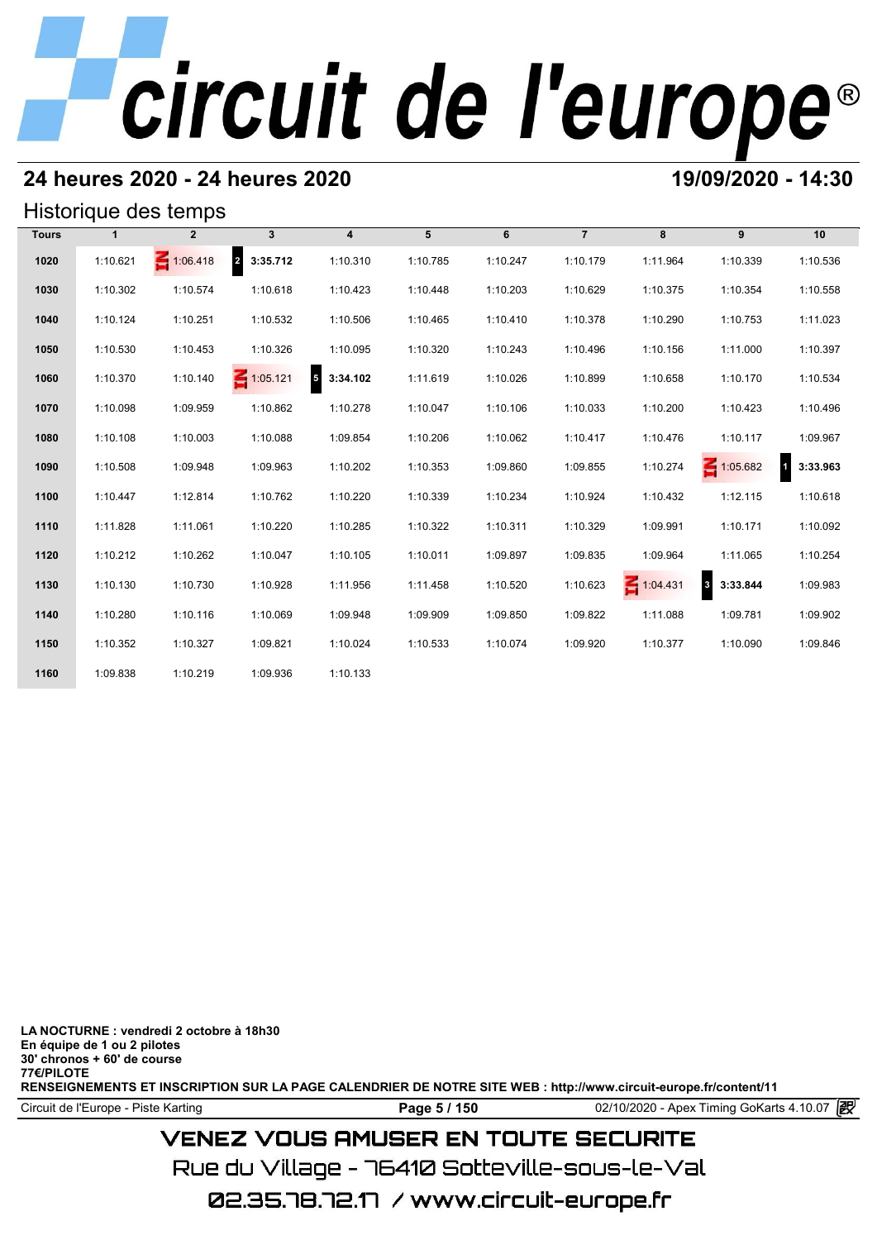## **24 heures 2020 - 24 heures 2020 19/09/2020 - 14:30**

## Historique des temps

|              | Historique des temps |                 |                 |                                      |          |          |                |                 |                                     |                          |  |  |  |
|--------------|----------------------|-----------------|-----------------|--------------------------------------|----------|----------|----------------|-----------------|-------------------------------------|--------------------------|--|--|--|
| <b>Tours</b> | 1                    | $\mathbf{2}$    | $\mathbf{3}$    | $\overline{\mathbf{4}}$              | 5        | 6        | $\overline{7}$ | 8               | 9                                   | 10                       |  |  |  |
| 1020         | 1:10.621             | $\leq 1:06.418$ | 2 3:35.712      | 1:10.310                             | 1:10.785 | 1:10.247 | 1:10.179       | 1:11.964        | 1:10.339                            | 1:10.536                 |  |  |  |
| 1030         | 1:10.302             | 1:10.574        | 1:10.618        | 1:10.423                             | 1:10.448 | 1:10.203 | 1:10.629       | 1:10.375        | 1:10.354                            | 1:10.558                 |  |  |  |
| 1040         | 1:10.124             | 1:10.251        | 1:10.532        | 1:10.506                             | 1:10.465 | 1:10.410 | 1:10.378       | 1:10.290        | 1:10.753                            | 1:11.023                 |  |  |  |
| 1050         | 1:10.530             | 1:10.453        | 1:10.326        | 1:10.095                             | 1:10.320 | 1:10.243 | 1:10.496       | 1:10.156        | 1:11.000                            | 1:10.397                 |  |  |  |
| 1060         | 1:10.370             | 1:10.140        | $\leq 1:05.121$ | $\overline{\phantom{a}}$<br>3:34.102 | 1:11.619 | 1:10.026 | 1:10.899       | 1:10.658        | 1:10.170                            | 1:10.534                 |  |  |  |
| 1070         | 1:10.098             | 1:09.959        | 1:10.862        | 1:10.278                             | 1:10.047 | 1:10.106 | 1:10.033       | 1:10.200        | 1:10.423                            | 1:10.496                 |  |  |  |
| 1080         | 1:10.108             | 1:10.003        | 1:10.088        | 1:09.854                             | 1:10.206 | 1:10.062 | 1:10.417       | 1:10.476        | 1:10.117                            | 1:09.967                 |  |  |  |
| 1090         | 1:10.508             | 1:09.948        | 1:09.963        | 1:10.202                             | 1:10.353 | 1:09.860 | 1:09.855       | 1:10.274        | $\leq 1:05.682$                     | $\mathbf{1}$<br>3:33.963 |  |  |  |
| 1100         | 1:10.447             | 1:12.814        | 1:10.762        | 1:10.220                             | 1:10.339 | 1:10.234 | 1:10.924       | 1:10.432        | 1:12.115                            | 1:10.618                 |  |  |  |
| 1110         | 1:11.828             | 1:11.061        | 1:10.220        | 1:10.285                             | 1:10.322 | 1:10.311 | 1:10.329       | 1:09.991        | 1:10.171                            | 1:10.092                 |  |  |  |
| 1120         | 1:10.212             | 1:10.262        | 1:10.047        | 1:10.105                             | 1:10.011 | 1:09.897 | 1:09.835       | 1:09.964        | 1:11.065                            | 1:10.254                 |  |  |  |
| 1130         | 1:10.130             | 1:10.730        | 1:10.928        | 1:11.956                             | 1:11.458 | 1:10.520 | 1:10.623       | $\leq 1:04.431$ | $\overline{\mathbf{3}}$<br>3:33.844 | 1:09.983                 |  |  |  |
| 1140         | 1:10.280             | 1:10.116        | 1:10.069        | 1:09.948                             | 1:09.909 | 1:09.850 | 1:09.822       | 1:11.088        | 1:09.781                            | 1:09.902                 |  |  |  |
| 1150         | 1:10.352             | 1:10.327        | 1:09.821        | 1:10.024                             | 1:10.533 | 1:10.074 | 1:09.920       | 1:10.377        | 1:10.090                            | 1:09.846                 |  |  |  |
| 1160         | 1:09.838             | 1:10.219        | 1:09.936        | 1:10.133                             |          |          |                |                 |                                     |                          |  |  |  |

**LA NOCTURNE : vendredi 2 octobre à 18h30 En équipe de 1 ou 2 pilotes 30' chronos + 60' de course 77€/PILOTE RENSEIGNEMENTS ET INSCRIPTION SUR LA PAGE CALENDRIER DE NOTRE SITE WEB : http://www.circuit-europe.fr/content/11**

Circuit de l'Europe - Piste Karting **Page 5 / 150** 02/10/2020 - Apex Timing GoKarts 4.10.07

## **VENEZ VOUS AMUSER EN TOUTE SECURITE**

Rue du Village – 76410 Sotteville-sous-le-Val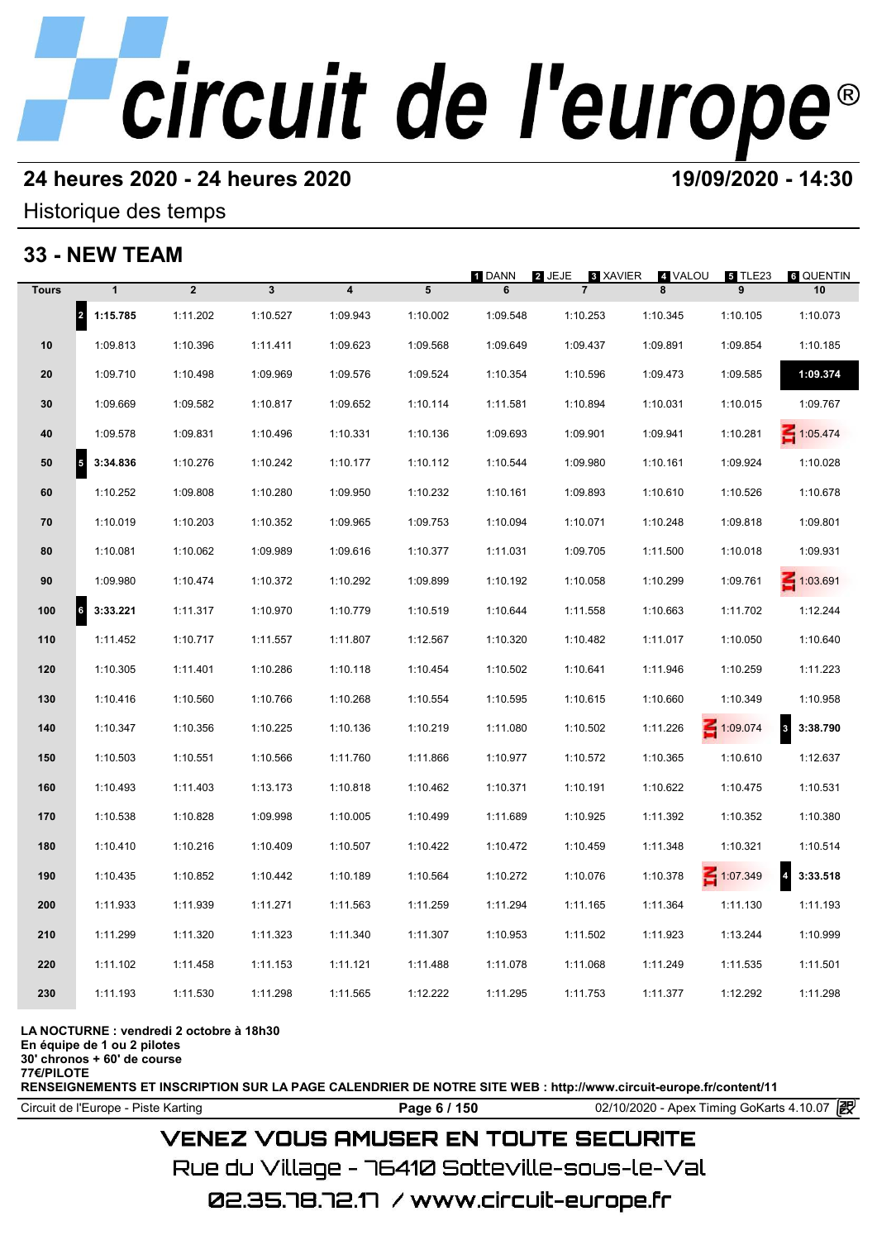## **24 heures 2020 - 24 heures 2020 19/09/2020 - 14:30**

## Historique des temps

## **33 - NEW TEAM**

|              | 33 - NEW TEAM                        |                |                         |                         |          |             |                                      |              |                 |                            |
|--------------|--------------------------------------|----------------|-------------------------|-------------------------|----------|-------------|--------------------------------------|--------------|-----------------|----------------------------|
| <b>Tours</b> | $\mathbf{1}$                         | $\overline{2}$ | $\overline{\mathbf{3}}$ | $\overline{\mathbf{4}}$ | 5        | 1 DANN<br>6 | 2 JEJE<br>3 XAVIER<br>$\overline{7}$ | 4 VALOU<br>8 | 5 TLE23<br>9    | <b>6 QUENTIN</b><br>10     |
|              | $\vert$ <sub>2</sub><br>1:15.785     | 1:11.202       | 1:10.527                | 1:09.943                | 1:10.002 | 1:09.548    | 1:10.253                             | 1:10.345     | 1:10.105        | 1:10.073                   |
| 10           | 1:09.813                             | 1:10.396       | 1:11.411                | 1:09.623                | 1:09.568 | 1:09.649    | 1:09.437                             | 1:09.891     | 1:09.854        | 1:10.185                   |
| 20           | 1:09.710                             | 1:10.498       | 1:09.969                | 1:09.576                | 1:09.524 | 1:10.354    | 1:10.596                             | 1:09.473     | 1:09.585        | 1:09.374                   |
| 30           | 1:09.669                             | 1:09.582       | 1:10.817                | 1:09.652                | 1:10.114 | 1:11.581    | 1:10.894                             | 1:10.031     | 1:10.015        | 1:09.767                   |
| 40           | 1:09.578                             | 1:09.831       | 1:10.496                | 1:10.331                | 1:10.136 | 1:09.693    | 1:09.901                             | 1:09.941     | 1:10.281        | 1:05.474                   |
| 50           | $\overline{\phantom{a}}$<br>3:34.836 | 1:10.276       | 1:10.242                | 1:10.177                | 1:10.112 | 1:10.544    | 1:09.980                             | 1:10.161     | 1:09.924        | 1:10.028                   |
| 60           | 1:10.252                             | 1:09.808       | 1:10.280                | 1:09.950                | 1:10.232 | 1:10.161    | 1:09.893                             | 1:10.610     | 1:10.526        | 1:10.678                   |
| 70           | 1:10.019                             | 1:10.203       | 1:10.352                | 1:09.965                | 1:09.753 | 1:10.094    | 1:10.071                             | 1:10.248     | 1:09.818        | 1:09.801                   |
| 80           | 1:10.081                             | 1:10.062       | 1:09.989                | 1:09.616                | 1:10.377 | 1:11.031    | 1:09.705                             | 1:11.500     | 1:10.018        | 1:09.931                   |
| 90           | 1:09.980                             | 1:10.474       | 1:10.372                | 1:10.292                | 1:09.899 | 1:10.192    | 1:10.058                             | 1:10.299     | 1:09.761        | $\leq 1:03.691$            |
| 100          | $\vert$ 6<br>3:33.221                | 1:11.317       | 1:10.970                | 1:10.779                | 1:10.519 | 1:10.644    | 1:11.558                             | 1:10.663     | 1:11.702        | 1:12.244                   |
| 110          | 1:11.452                             | 1:10.717       | 1:11.557                | 1:11.807                | 1:12.567 | 1:10.320    | 1:10.482                             | 1:11.017     | 1:10.050        | 1:10.640                   |
| 120          | 1:10.305                             | 1:11.401       | 1:10.286                | 1:10.118                | 1:10.454 | 1:10.502    | 1:10.641                             | 1:11.946     | 1:10.259        | 1:11.223                   |
| 130          | 1:10.416                             | 1:10.560       | 1:10.766                | 1:10.268                | 1:10.554 | 1:10.595    | 1:10.615                             | 1:10.660     | 1:10.349        | 1:10.958                   |
| 140          | 1:10.347                             | 1:10.356       | 1:10.225                | 1:10.136                | 1:10.219 | 1:11.080    | 1:10.502                             | 1:11.226     | $-1:09.074$     | 3<br>3:38.790              |
| 150          | 1:10.503                             | 1:10.551       | 1:10.566                | 1:11.760                | 1:11.866 | 1:10.977    | 1:10.572                             | 1:10.365     | 1:10.610        | 1:12.637                   |
| 160          | 1:10.493                             | 1:11.403       | 1:13.173                | 1:10.818                | 1:10.462 | 1:10.371    | 1:10.191                             | 1:10.622     | 1:10.475        | 1:10.531                   |
| 170          | 1:10.538                             | 1:10.828       | 1:09.998                | 1:10.005                | 1:10.499 | 1:11.689    | 1:10.925                             | 1:11.392     | 1:10.352        | 1:10.380                   |
| 180          | 1:10.410                             | 1:10.216       | 1:10.409                | 1:10.507                | 1:10.422 | 1:10.472    | 1:10.459                             | 1:11.348     | 1:10.321        | 1:10.514                   |
| 190          | 1:10.435                             | 1:10.852       | 1:10.442                | 1:10.189                | 1:10.564 | 1:10.272    | 1:10.076                             | 1:10.378     | $\leq 1:07.349$ | $\overline{a}$<br>3:33.518 |
| 200          | 1:11.933                             | 1:11.939       | 1:11.271                | 1:11.563                | 1:11.259 | 1:11.294    | 1:11.165                             | 1:11.364     | 1:11.130        | 1:11.193                   |
| 210          | 1:11.299                             | 1:11.320       | 1:11.323                | 1:11.340                | 1:11.307 | 1:10.953    | 1:11.502                             | 1:11.923     | 1:13.244        | 1:10.999                   |
| 220          | 1:11.102                             | 1:11.458       | 1:11.153                | 1:11.121                | 1:11.488 | 1:11.078    | 1:11.068                             | 1:11.249     | 1:11.535        | 1:11.501                   |
| 230          | 1:11.193                             | 1:11.530       | 1:11.298                | 1:11.565                | 1:12.222 | 1:11.295    | 1:11.753                             | 1:11.377     | 1:12.292        | 1:11.298                   |
|              |                                      |                |                         |                         |          |             |                                      |              |                 |                            |

### **LA NOCTURNE : vendredi 2 octobre à 18h30**

**En équipe de 1 ou 2 pilotes**

**30' chronos + 60' de course 77€/PILOTE**

**RENSEIGNEMENTS ET INSCRIPTION SUR LA PAGE CALENDRIER DE NOTRE SITE WEB : http://www.circuit-europe.fr/content/11**

Circuit de l'Europe - Piste Karting **Page 6 / 150 Page 6 / 150** 02/10/2020 - Apex Timing GoKarts 4.10.07

## **VENEZ VOUS AMUSER EN TOUTE SECURITE**

Rue du Village – 76410 Sotteville-sous-le-Val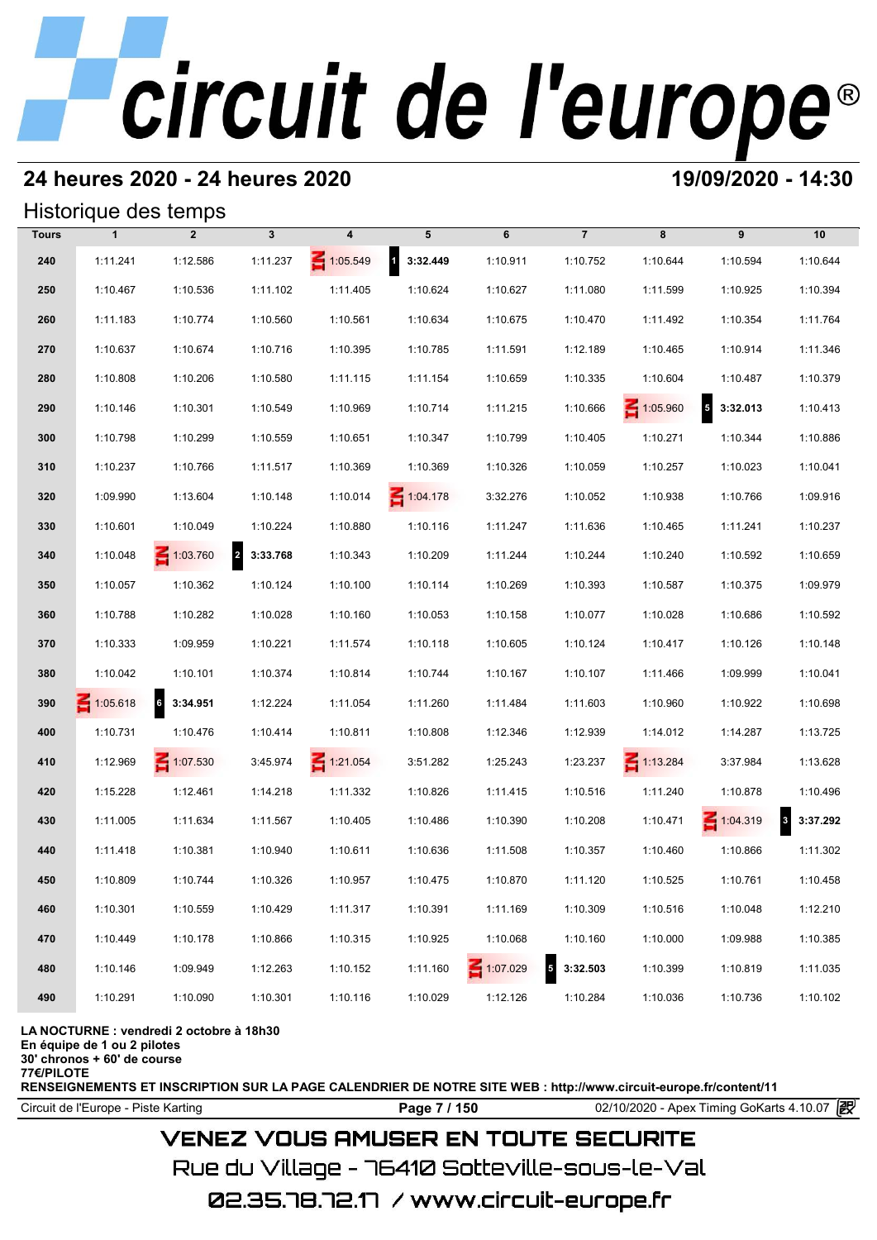## **24 heures 2020 - 24 heures 2020 19/09/2020 - 14:30**

## Historique des temps

|              | Historique des temps |                 |              |                 |                          |              |                                      |                 |                        |                                     |
|--------------|----------------------|-----------------|--------------|-----------------|--------------------------|--------------|--------------------------------------|-----------------|------------------------|-------------------------------------|
| <b>Tours</b> | $\mathbf{1}$         | $\overline{2}$  | $\mathbf{3}$ | 4               | 5                        | 6            | $\overline{7}$                       | 8               | 9                      | 10                                  |
| 240          | 1:11.241             | 1:12.586        | 1:11.237     | $\leq 1:05.549$ | $\mathbf{1}$<br>3:32.449 | 1:10.911     | 1:10.752                             | 1:10.644        | 1:10.594               | 1:10.644                            |
| 250          | 1:10.467             | 1:10.536        | 1:11.102     | 1:11.405        | 1:10.624                 | 1:10.627     | 1:11.080                             | 1:11.599        | 1:10.925               | 1:10.394                            |
| 260          | 1:11.183             | 1:10.774        | 1:10.560     | 1:10.561        | 1:10.634                 | 1:10.675     | 1:10.470                             | 1:11.492        | 1:10.354               | 1:11.764                            |
| 270          | 1:10.637             | 1:10.674        | 1:10.716     | 1:10.395        | 1:10.785                 | 1:11.591     | 1:12.189                             | 1:10.465        | 1:10.914               | 1:11.346                            |
| 280          | 1:10.808             | 1:10.206        | 1:10.580     | 1:11.115        | 1:11.154                 | 1:10.659     | 1:10.335                             | 1:10.604        | 1:10.487               | 1:10.379                            |
| 290          | 1:10.146             | 1:10.301        | 1:10.549     | 1:10.969        | 1:10.714                 | 1:11.215     | 1:10.666                             | $\leq 1:05.960$ | $\sqrt{5}$<br>3:32.013 | 1:10.413                            |
| 300          | 1:10.798             | 1:10.299        | 1:10.559     | 1:10.651        | 1:10.347                 | 1:10.799     | 1:10.405                             | 1:10.271        | 1:10.344               | 1:10.886                            |
| 310          | 1:10.237             | 1:10.766        | 1:11.517     | 1:10.369        | 1:10.369                 | 1:10.326     | 1:10.059                             | 1:10.257        | 1:10.023               | 1:10.041                            |
| 320          | 1:09.990             | 1:13.604        | 1:10.148     | 1:10.014        | $\leq 1:04.178$          | 3:32.276     | 1:10.052                             | 1:10.938        | 1:10.766               | 1:09.916                            |
| 330          | 1:10.601             | 1:10.049        | 1:10.224     | 1:10.880        | 1:10.116                 | 1:11.247     | 1:11.636                             | 1:10.465        | 1:11.241               | 1:10.237                            |
| 340          | 1:10.048             | $\leq 1:03.760$ | 2 3:33.768   | 1:10.343        | 1:10.209                 | 1:11.244     | 1:10.244                             | 1:10.240        | 1:10.592               | 1:10.659                            |
| 350          | 1:10.057             | 1:10.362        | 1:10.124     | 1:10.100        | 1:10.114                 | 1:10.269     | 1:10.393                             | 1:10.587        | 1:10.375               | 1:09.979                            |
| 360          | 1:10.788             | 1:10.282        | 1:10.028     | 1:10.160        | 1:10.053                 | 1:10.158     | 1:10.077                             | 1:10.028        | 1:10.686               | 1:10.592                            |
| 370          | 1:10.333             | 1:09.959        | 1:10.221     | 1:11.574        | 1:10.118                 | 1:10.605     | 1:10.124                             | 1:10.417        | 1:10.126               | 1:10.148                            |
| 380          | 1:10.042             | 1:10.101        | 1:10.374     | 1:10.814        | 1:10.744                 | 1:10.167     | 1:10.107                             | 1:11.466        | 1:09.999               | 1:10.041                            |
| 390          | 1:05.618             | 6 3:34.951      | 1:12.224     | 1:11.054        | 1:11.260                 | 1:11.484     | 1:11.603                             | 1:10.960        | 1:10.922               | 1:10.698                            |
| 400          | 1:10.731             | 1:10.476        | 1:10.414     | 1:10.811        | 1:10.808                 | 1:12.346     | 1:12.939                             | 1:14.012        | 1:14.287               | 1:13.725                            |
| 410          | 1:12.969             | $\leq 1:07.530$ | 3:45.974     | $\leq 1:21.054$ | 3:51.282                 | 1:25.243     | 1:23.237                             | $\leq 1:13.284$ | 3:37.984               | 1:13.628                            |
| 420          | 1:15.228             | 1:12.461        | 1:14.218     | 1:11.332        | 1:10.826                 | 1:11.415     | 1:10.516                             | 1:11.240        | 1:10.878               | 1:10.496                            |
| 430          | 1:11.005             | 1:11.634        | 1:11.567     | 1:10.405        | 1:10.486                 | 1:10.390     | 1:10.208                             | 1:10.471        | $\leq 1:04.319$        | $\overline{\mathbf{3}}$<br>3:37.292 |
| 440          | 1:11.418             | 1:10.381        | 1:10.940     | 1:10.611        | 1:10.636                 | 1:11.508     | 1:10.357                             | 1:10.460        | 1:10.866               | 1:11.302                            |
| 450          | 1:10.809             | 1:10.744        | 1:10.326     | 1:10.957        | 1:10.475                 | 1:10.870     | 1:11.120                             | 1:10.525        | 1:10.761               | 1:10.458                            |
| 460          | 1:10.301             | 1:10.559        | 1:10.429     | 1:11.317        | 1:10.391                 | 1:11.169     | 1:10.309                             | 1:10.516        | 1:10.048               | 1:12.210                            |
| 470          | 1:10.449             | 1:10.178        | 1:10.866     | 1:10.315        | 1:10.925                 | 1:10.068     | 1:10.160                             | 1:10.000        | 1:09.988               | 1:10.385                            |
| 480          | 1:10.146             | 1:09.949        | 1:12.263     | 1:10.152        | 1:11.160                 | $- 1:07.029$ | $\overline{\phantom{a}}$<br>3:32.503 | 1:10.399        | 1:10.819               | 1:11.035                            |
| 490          | 1:10.291             | 1:10.090        | 1:10.301     | 1:10.116        | 1:10.029                 | 1:12.126     | 1:10.284                             | 1:10.036        | 1:10.736               | 1:10.102                            |

**LA NOCTURNE : vendredi 2 octobre à 18h30**

**En équipe de 1 ou 2 pilotes**

**30' chronos + 60' de course 77€/PILOTE**

**RENSEIGNEMENTS ET INSCRIPTION SUR LA PAGE CALENDRIER DE NOTRE SITE WEB : http://www.circuit-europe.fr/content/11**

### Circuit de l'Europe - Piste Karting **Page 7 / 150** 02/10/2020 - Apex Timing GoKarts 4.10.07

## **VENEZ VOUS AMUSER EN TOUTE SECURITE**

Rue du Village – 76410 Sotteville-sous-le-Val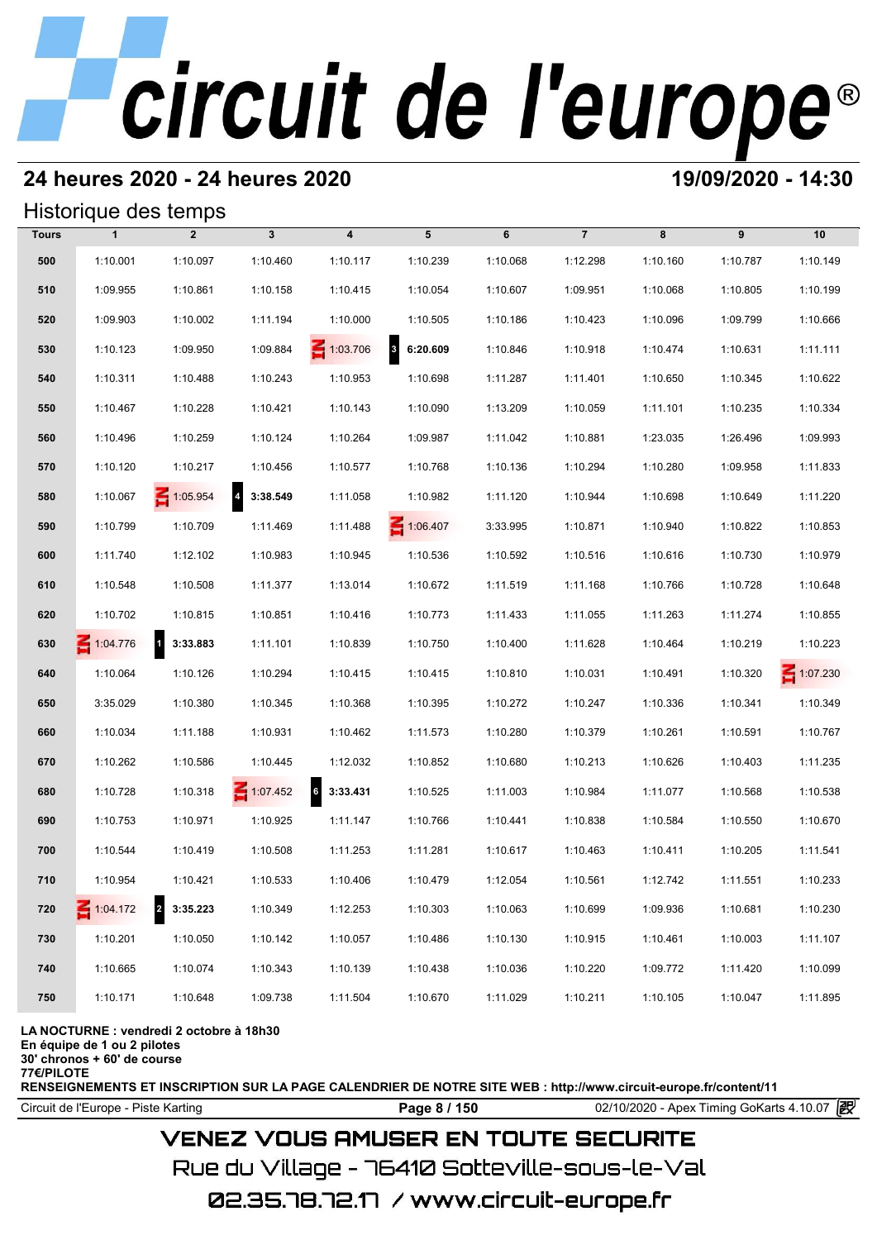## **24 heures 2020 - 24 heures 2020 19/09/2020 - 14:30**

## Historique des temps

|              | Historique des temps |                                     |                            |                         |            |          |                |          |          |                 |
|--------------|----------------------|-------------------------------------|----------------------------|-------------------------|------------|----------|----------------|----------|----------|-----------------|
| <b>Tours</b> | $\mathbf{1}$         | $\overline{2}$                      | $\mathbf{3}$               | $\overline{\mathbf{4}}$ | 5          | 6        | $\overline{7}$ | 8        | 9        | 10              |
| 500          | 1:10.001             | 1:10.097                            | 1:10.460                   | 1:10.117                | 1:10.239   | 1:10.068 | 1:12.298       | 1:10.160 | 1:10.787 | 1:10.149        |
| 510          | 1:09.955             | 1:10.861                            | 1:10.158                   | 1:10.415                | 1:10.054   | 1:10.607 | 1:09.951       | 1:10.068 | 1:10.805 | 1:10.199        |
| 520          | 1:09.903             | 1:10.002                            | 1:11.194                   | 1:10.000                | 1:10.505   | 1:10.186 | 1:10.423       | 1:10.096 | 1:09.799 | 1:10.666        |
| 530          | 1:10.123             | 1:09.950                            | 1:09.884                   | $\leq 1:03.706$         | 8 6:20.609 | 1:10.846 | 1:10.918       | 1:10.474 | 1:10.631 | 1:11.111        |
| 540          | 1:10.311             | 1:10.488                            | 1:10.243                   | 1:10.953                | 1:10.698   | 1:11.287 | 1:11.401       | 1:10.650 | 1:10.345 | 1:10.622        |
| 550          | 1:10.467             | 1:10.228                            | 1:10.421                   | 1:10.143                | 1:10.090   | 1:13.209 | 1:10.059       | 1:11.101 | 1:10.235 | 1:10.334        |
| 560          | 1:10.496             | 1:10.259                            | 1:10.124                   | 1:10.264                | 1:09.987   | 1:11.042 | 1:10.881       | 1:23.035 | 1:26.496 | 1:09.993        |
| 570          | 1:10.120             | 1:10.217                            | 1:10.456                   | 1:10.577                | 1:10.768   | 1:10.136 | 1:10.294       | 1:10.280 | 1:09.958 | 1:11.833        |
| 580          | 1:10.067             | $\leq 1:05.954$                     | $\overline{a}$<br>3:38.549 | 1:11.058                | 1:10.982   | 1:11.120 | 1:10.944       | 1:10.698 | 1:10.649 | 1:11.220        |
| 590          | 1:10.799             | 1:10.709                            | 1:11.469                   | 1:11.488                | 1:06.407   | 3:33.995 | 1:10.871       | 1:10.940 | 1:10.822 | 1:10.853        |
| 600          | 1:11.740             | 1:12.102                            | 1:10.983                   | 1:10.945                | 1:10.536   | 1:10.592 | 1:10.516       | 1:10.616 | 1:10.730 | 1:10.979        |
| 610          | 1:10.548             | 1:10.508                            | 1:11.377                   | 1:13.014                | 1:10.672   | 1:11.519 | 1:11.168       | 1:10.766 | 1:10.728 | 1:10.648        |
| 620          | 1:10.702             | 1:10.815                            | 1:10.851                   | 1:10.416                | 1:10.773   | 1:11.433 | 1:11.055       | 1:11.263 | 1:11.274 | 1:10.855        |
| 630          | 1:04.776             | $\mathbf{1}$<br>3:33.883            | 1:11.101                   | 1:10.839                | 1:10.750   | 1:10.400 | 1:11.628       | 1:10.464 | 1:10.219 | 1:10.223        |
| 640          | 1:10.064             | 1:10.126                            | 1:10.294                   | 1:10.415                | 1:10.415   | 1:10.810 | 1:10.031       | 1:10.491 | 1:10.320 | $\leq 1:07.230$ |
| 650          | 3:35.029             | 1:10.380                            | 1:10.345                   | 1:10.368                | 1:10.395   | 1:10.272 | 1:10.247       | 1:10.336 | 1:10.341 | 1:10.349        |
| 660          | 1:10.034             | 1:11.188                            | 1:10.931                   | 1:10.462                | 1:11.573   | 1:10.280 | 1:10.379       | 1:10.261 | 1:10.591 | 1:10.767        |
| 670          | 1:10.262             | 1:10.586                            | 1:10.445                   | 1:12.032                | 1:10.852   | 1:10.680 | 1:10.213       | 1:10.626 | 1:10.403 | 1:11.235        |
| 680          | 1:10.728             | 1:10.318                            | 1:07.452                   | $6\quad 3:33.431$       | 1:10.525   | 1:11.003 | 1:10.984       | 1:11.077 | 1:10.568 | 1:10.538        |
| 690          | 1:10.753             | 1:10.971                            | 1:10.925                   | 1:11.147                | 1:10.766   | 1:10.441 | 1:10.838       | 1:10.584 | 1:10.550 | 1:10.670        |
| 700          | 1:10.544             | 1:10.419                            | 1:10.508                   | 1:11.253                | 1:11.281   | 1:10.617 | 1:10.463       | 1:10.411 | 1:10.205 | 1:11.541        |
| 710          | 1:10.954             | 1:10.421                            | 1:10.533                   | 1:10.406                | 1:10.479   | 1:12.054 | 1:10.561       | 1:12.742 | 1:11.551 | 1:10.233        |
| 720          | $\leq 1:04.172$      | $\overline{\mathbf{2}}$<br>3:35.223 | 1:10.349                   | 1:12.253                | 1:10.303   | 1:10.063 | 1:10.699       | 1:09.936 | 1:10.681 | 1:10.230        |
| 730          | 1:10.201             | 1:10.050                            | 1:10.142                   | 1:10.057                | 1:10.486   | 1:10.130 | 1:10.915       | 1:10.461 | 1:10.003 | 1:11.107        |
| 740          | 1:10.665             | 1:10.074                            | 1:10.343                   | 1:10.139                | 1:10.438   | 1:10.036 | 1:10.220       | 1:09.772 | 1:11.420 | 1:10.099        |
| 750          | 1:10.171             | 1:10.648                            | 1:09.738                   | 1:11.504                | 1:10.670   | 1:11.029 | 1:10.211       | 1:10.105 | 1:10.047 | 1:11.895        |

### **LA NOCTURNE : vendredi 2 octobre à 18h30**

**En équipe de 1 ou 2 pilotes**

**30' chronos + 60' de course 77€/PILOTE**

**RENSEIGNEMENTS ET INSCRIPTION SUR LA PAGE CALENDRIER DE NOTRE SITE WEB : http://www.circuit-europe.fr/content/11**

Circuit de l'Europe - Piste Karting **Page 8 / 150 Page 8 / 150** 02/10/2020 - Apex Timing GoKarts 4.10.07

## **VENEZ VOUS AMUSER EN TOUTE SECURITE**

Rue du Village – 76410 Sotteville-sous-le-Val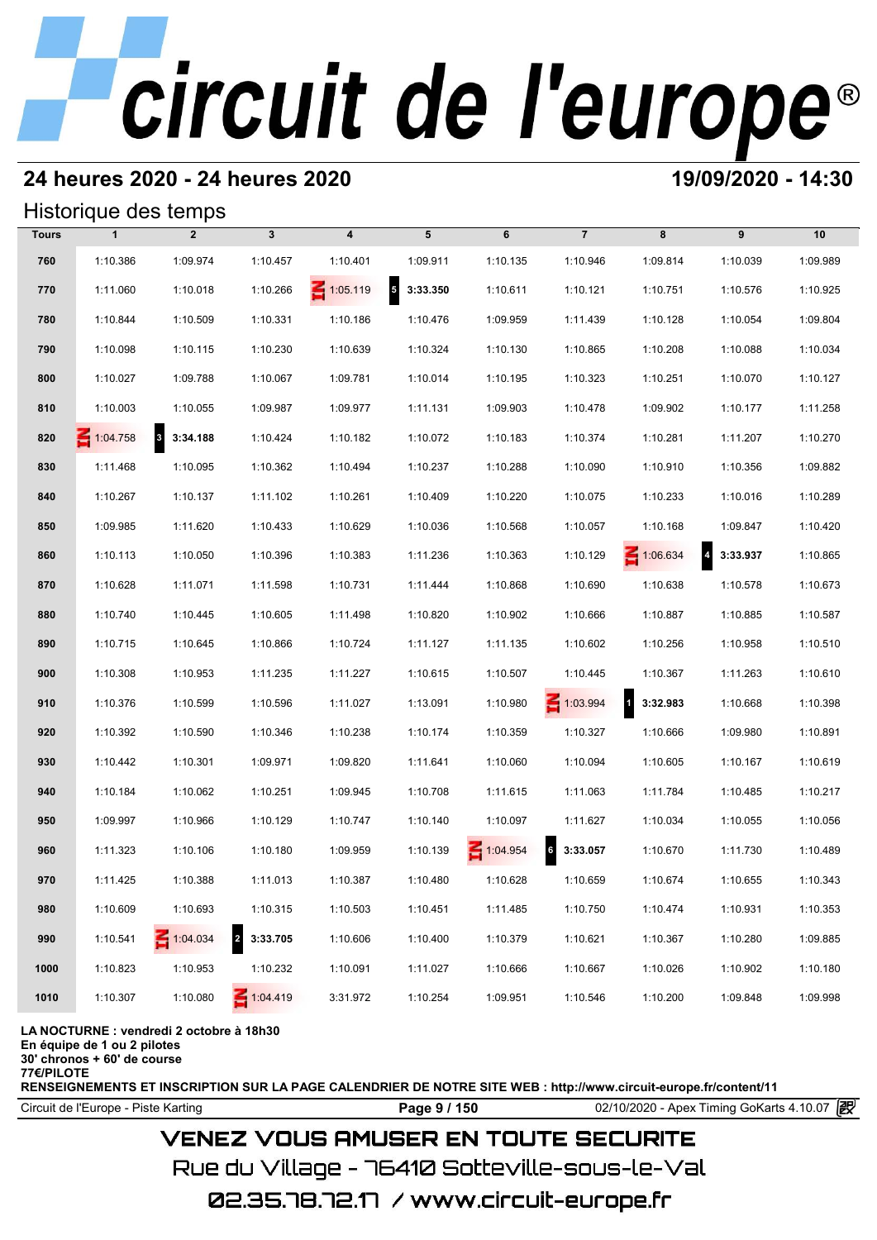## **24 heures 2020 - 24 heures 2020 19/09/2020 - 14:30**

## Historique des temps

|              |              | Historique des temps |                            |                 |                            |          |                     |                    |                                     |          |
|--------------|--------------|----------------------|----------------------------|-----------------|----------------------------|----------|---------------------|--------------------|-------------------------------------|----------|
| <b>Tours</b> | $\mathbf{1}$ | $\overline{2}$       | $\mathbf{3}$               | 4               | 5                          | 6        | $\overline{7}$      | 8                  | 9                                   | 10       |
| 760          | 1:10.386     | 1:09.974             | 1:10.457                   | 1:10.401        | 1:09.911                   | 1:10.135 | 1:10.946            | 1:09.814           | 1:10.039                            | 1:09.989 |
| 770          | 1:11.060     | 1:10.018             | 1:10.266                   | $\leq 1:05.119$ | $\overline{5}$<br>3:33.350 | 1:10.611 | 1:10.121            | 1:10.751           | 1:10.576                            | 1:10.925 |
| 780          | 1:10.844     | 1:10.509             | 1:10.331                   | 1:10.186        | 1:10.476                   | 1:09.959 | 1:11.439            | 1:10.128           | 1:10.054                            | 1:09.804 |
| 790          | 1:10.098     | 1:10.115             | 1:10.230                   | 1:10.639        | 1:10.324                   | 1:10.130 | 1:10.865            | 1:10.208           | 1:10.088                            | 1:10.034 |
| 800          | 1:10.027     | 1:09.788             | 1:10.067                   | 1:09.781        | 1:10.014                   | 1:10.195 | 1:10.323            | 1:10.251           | 1:10.070                            | 1:10.127 |
| 810          | 1:10.003     | 1:10.055             | 1:09.987                   | 1:09.977        | 1:11.131                   | 1:09.903 | 1:10.478            | 1:09.902           | 1:10.177                            | 1:11.258 |
| 820          | 1:04.758     | 8 3:34.188           | 1:10.424                   | 1:10.182        | 1:10.072                   | 1:10.183 | 1:10.374            | 1:10.281           | 1:11.207                            | 1:10.270 |
| 830          | 1:11.468     | 1:10.095             | 1:10.362                   | 1:10.494        | 1:10.237                   | 1:10.288 | 1:10.090            | 1:10.910           | 1:10.356                            | 1:09.882 |
| 840          | 1:10.267     | 1:10.137             | 1:11.102                   | 1:10.261        | 1:10.409                   | 1:10.220 | 1:10.075            | 1:10.233           | 1:10.016                            | 1:10.289 |
| 850          | 1:09.985     | 1:11.620             | 1:10.433                   | 1:10.629        | 1:10.036                   | 1:10.568 | 1:10.057            | 1:10.168           | 1:09.847                            | 1:10.420 |
| 860          | 1:10.113     | 1:10.050             | 1:10.396                   | 1:10.383        | 1:11.236                   | 1:10.363 | 1:10.129            | $\leq 1:06.634$    | $\overline{\mathbf{4}}$<br>3:33.937 | 1:10.865 |
| 870          | 1:10.628     | 1:11.071             | 1:11.598                   | 1:10.731        | 1:11.444                   | 1:10.868 | 1:10.690            | 1:10.638           | 1:10.578                            | 1:10.673 |
| 880          | 1:10.740     | 1:10.445             | 1:10.605                   | 1:11.498        | 1:10.820                   | 1:10.902 | 1:10.666            | 1:10.887           | 1:10.885                            | 1:10.587 |
| 890          | 1:10.715     | 1:10.645             | 1:10.866                   | 1:10.724        | 1:11.127                   | 1:11.135 | 1:10.602            | 1:10.256           | 1:10.958                            | 1:10.510 |
| 900          | 1:10.308     | 1:10.953             | 1:11.235                   | 1:11.227        | 1:10.615                   | 1:10.507 | 1:10.445            | 1:10.367           | 1:11.263                            | 1:10.610 |
| 910          | 1:10.376     | 1:10.599             | 1:10.596                   | 1:11.027        | 1:13.091                   | 1:10.980 | $\leq 1:03.994$     | $1 \quad 3:32.983$ | 1:10.668                            | 1:10.398 |
| 920          | 1:10.392     | 1:10.590             | 1:10.346                   | 1:10.238        | 1:10.174                   | 1:10.359 | 1:10.327            | 1:10.666           | 1:09.980                            | 1:10.891 |
| 930          | 1:10.442     | 1:10.301             | 1:09.971                   | 1:09.820        | 1:11.641                   | 1:10.060 | 1:10.094            | 1:10.605           | 1:10.167                            | 1:10.619 |
| 940          | 1:10.184     | 1:10.062             | 1:10.251                   | 1:09.945        | 1:10.708                   | 1:11.615 | 1:11.063            | 1:11.784           | 1:10.485                            | 1:10.217 |
| 950          | 1:09.997     | 1:10.966             | 1:10.129                   | 1:10.747        | 1:10.140                   | 1:10.097 | 1:11.627            | 1:10.034           | 1:10.055                            | 1:10.056 |
| 960          | 1:11.323     | 1:10.106             | 1:10.180                   | 1:09.959        | 1:10.139                   | 1:04.954 | $\bf 6$<br>3:33.057 | 1:10.670           | 1:11.730                            | 1:10.489 |
| 970          | 1:11.425     | 1:10.388             | 1:11.013                   | 1:10.387        | 1:10.480                   | 1:10.628 | 1:10.659            | 1:10.674           | 1:10.655                            | 1:10.343 |
| 980          | 1:10.609     | 1:10.693             | 1:10.315                   | 1:10.503        | 1:10.451                   | 1:11.485 | 1:10.750            | 1:10.474           | 1:10.931                            | 1:10.353 |
| 990          | 1:10.541     | 1:04.034             | $\overline{2}$<br>3:33.705 | 1:10.606        | 1:10.400                   | 1:10.379 | 1:10.621            | 1:10.367           | 1:10.280                            | 1:09.885 |
| 1000         | 1:10.823     | 1:10.953             | 1:10.232                   | 1:10.091        | 1:11.027                   | 1:10.666 | 1:10.667            | 1:10.026           | 1:10.902                            | 1:10.180 |
| 1010         | 1:10.307     | 1:10.080             | $\leq 1:04.419$            | 3:31.972        | 1:10.254                   | 1:09.951 | 1:10.546            | 1:10.200           | 1:09.848                            | 1:09.998 |

### **LA NOCTURNE : vendredi 2 octobre à 18h30**

**En équipe de 1 ou 2 pilotes**

**30' chronos + 60' de course 77€/PILOTE**

**RENSEIGNEMENTS ET INSCRIPTION SUR LA PAGE CALENDRIER DE NOTRE SITE WEB : http://www.circuit-europe.fr/content/11**

Circuit de l'Europe - Piste Karting **Page 9 / 150 Page 9 / 150** 02/10/2020 - Apex Timing GoKarts 4.10.07

## **VENEZ VOUS AMUSER EN TOUTE SECURITE**

Rue du Village – 76410 Sotteville-sous-le-Val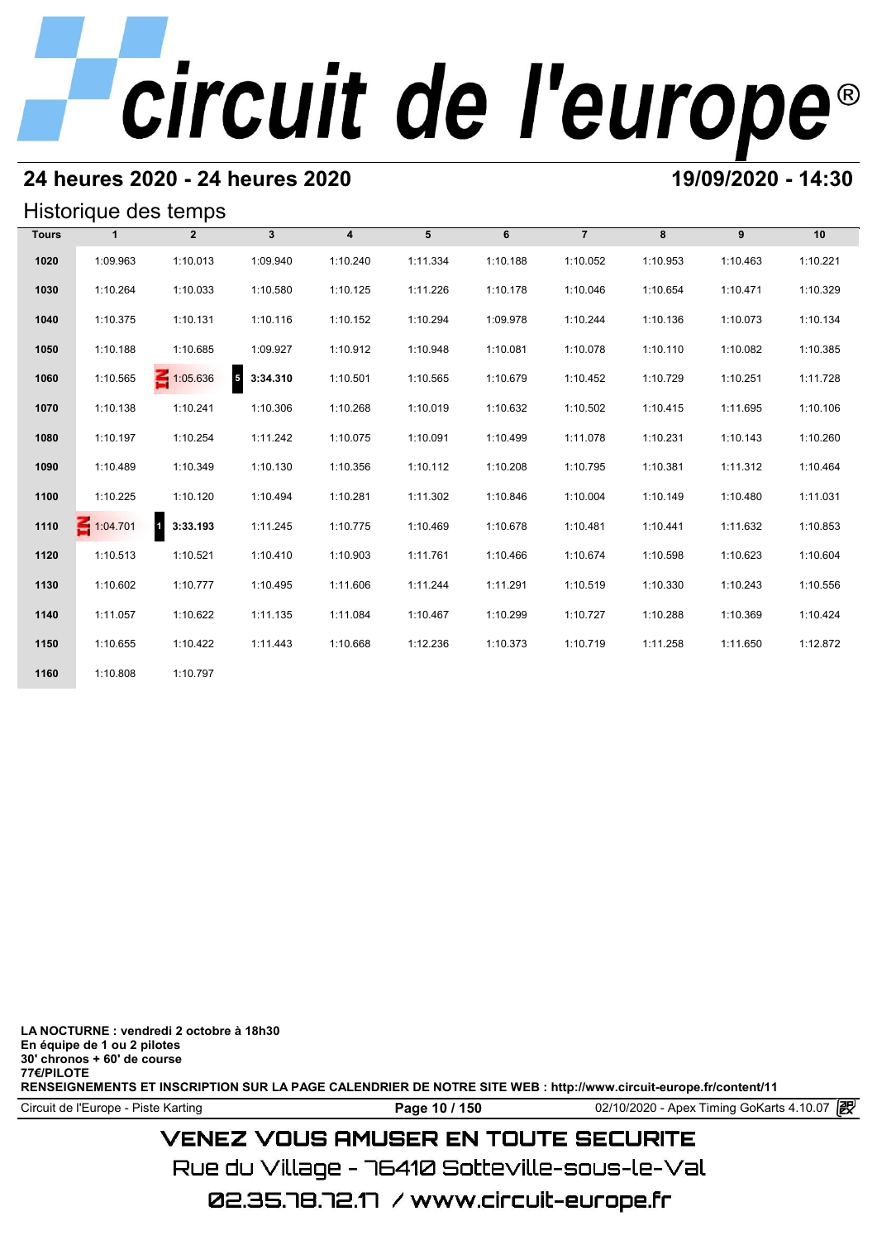## **24 heures 2020 - 24 heures 2020 19/09/2020 - 14:30**

## Historique des temps

| Historique des temps |                 |                 |              |                         |          |          |                |          |          |          |  |
|----------------------|-----------------|-----------------|--------------|-------------------------|----------|----------|----------------|----------|----------|----------|--|
| <b>Tours</b>         | 1               | $\overline{2}$  | $\mathbf{3}$ | $\overline{\mathbf{4}}$ | 5        | 6        | $\overline{7}$ | 8        | 9        | 10       |  |
| 1020                 | 1:09.963        | 1:10.013        | 1:09.940     | 1:10.240                | 1:11.334 | 1:10.188 | 1:10.052       | 1:10.953 | 1:10.463 | 1:10.221 |  |
| 1030                 | 1:10.264        | 1:10.033        | 1:10.580     | 1:10.125                | 1:11.226 | 1:10.178 | 1:10.046       | 1:10.654 | 1:10.471 | 1:10.329 |  |
| 1040                 | 1:10.375        | 1:10.131        | 1:10.116     | 1:10.152                | 1:10.294 | 1:09.978 | 1:10.244       | 1:10.136 | 1:10.073 | 1:10.134 |  |
| 1050                 | 1:10.188        | 1:10.685        | 1:09.927     | 1:10.912                | 1:10.948 | 1:10.081 | 1:10.078       | 1:10.110 | 1:10.082 | 1:10.385 |  |
| 1060                 | 1:10.565        | $\leq 1:05.636$ | $5$ 3:34.310 | 1:10.501                | 1:10.565 | 1:10.679 | 1:10.452       | 1:10.729 | 1:10.251 | 1:11.728 |  |
| 1070                 | 1:10.138        | 1:10.241        | 1:10.306     | 1:10.268                | 1:10.019 | 1:10.632 | 1:10.502       | 1:10.415 | 1:11.695 | 1:10.106 |  |
| 1080                 | 1:10.197        | 1:10.254        | 1:11.242     | 1:10.075                | 1:10.091 | 1:10.499 | 1:11.078       | 1:10.231 | 1:10.143 | 1:10.260 |  |
| 1090                 | 1:10.489        | 1:10.349        | 1:10.130     | 1:10.356                | 1:10.112 | 1:10.208 | 1:10.795       | 1:10.381 | 1:11.312 | 1:10.464 |  |
| 1100                 | 1:10.225        | 1:10.120        | 1:10.494     | 1:10.281                | 1:11.302 | 1:10.846 | 1:10.004       | 1:10.149 | 1:10.480 | 1:11.031 |  |
| 1110                 | $\leq 1:04.701$ | 1 3:33.193      | 1:11.245     | 1:10.775                | 1:10.469 | 1:10.678 | 1:10.481       | 1:10.441 | 1:11.632 | 1:10.853 |  |
| 1120                 | 1:10.513        | 1:10.521        | 1:10.410     | 1:10.903                | 1:11.761 | 1:10.466 | 1:10.674       | 1:10.598 | 1:10.623 | 1:10.604 |  |
| 1130                 | 1:10.602        | 1:10.777        | 1:10.495     | 1:11.606                | 1:11.244 | 1:11.291 | 1:10.519       | 1:10.330 | 1:10.243 | 1:10.556 |  |
| 1140                 | 1:11.057        | 1:10.622        | 1:11.135     | 1:11.084                | 1:10.467 | 1:10.299 | 1:10.727       | 1:10.288 | 1:10.369 | 1:10.424 |  |
| 1150                 | 1:10.655        | 1:10.422        | 1:11.443     | 1:10.668                | 1:12.236 | 1:10.373 | 1:10.719       | 1:11.258 | 1:11.650 | 1:12.872 |  |
| 1160                 | 1:10.808        | 1:10.797        |              |                         |          |          |                |          |          |          |  |

**LA NOCTURNE : vendredi 2 octobre à 18h30 En équipe de 1 ou 2 pilotes 30' chronos + 60' de course 77€/PILOTE RENSEIGNEMENTS ET INSCRIPTION SUR LA PAGE CALENDRIER DE NOTRE SITE WEB : http://www.circuit-europe.fr/content/11**

Circuit de l'Europe - Piste Karting **Page 10 / 150 Page 10 / 150** 02/10/2020 - Apex Timing GoKarts 4.10.07

## **VENEZ VOUS AMUSER EN TOUTE SECURITE**

Rue du Village – 76410 Sotteville-sous-le-Val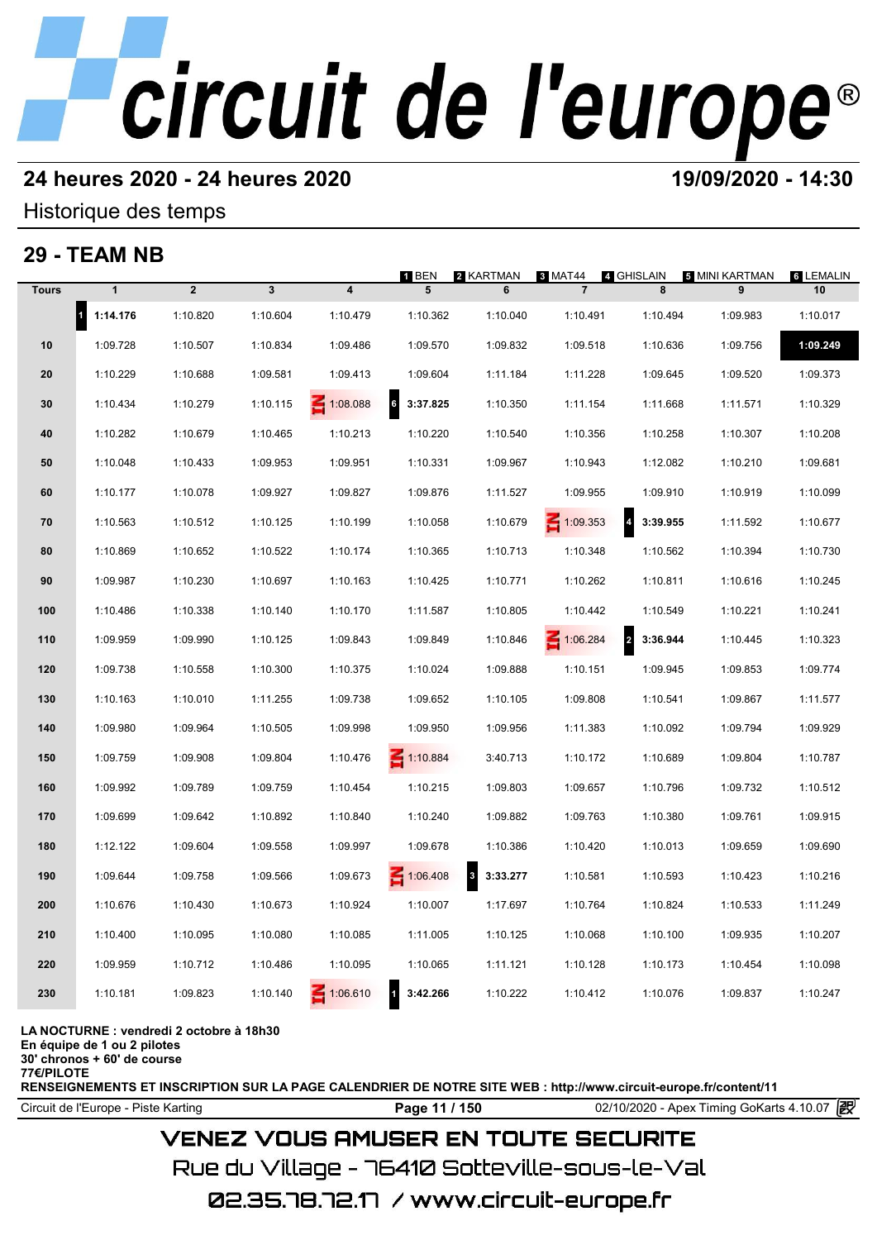## **24 heures 2020 - 24 heures 2020 19/09/2020 - 14:30**

## Historique des temps

## **29 - TEAM NB**

|              | 29 - IEAM NB             |                |              |                         |                            |                          |                           |                                     |                     |                        |
|--------------|--------------------------|----------------|--------------|-------------------------|----------------------------|--------------------------|---------------------------|-------------------------------------|---------------------|------------------------|
| <b>Tours</b> | $\mathbf{1}$             | $\overline{2}$ | $\mathbf{3}$ | $\overline{\mathbf{4}}$ | 1 BEN<br>5                 | 2 KARTMAN<br>6           | 3 MAT44<br>$\overline{7}$ | 4 GHISLAIN<br>8                     | 5 MINI KARTMAN<br>9 | <b>6 LEMALIN</b><br>10 |
|              | $\mathbf{r}$<br>1:14.176 | 1:10.820       | 1:10.604     | 1:10.479                | 1:10.362                   | 1:10.040                 | 1:10.491                  | 1:10.494                            | 1:09.983            | 1:10.017               |
| 10           | 1:09.728                 | 1:10.507       | 1:10.834     | 1:09.486                | 1:09.570                   | 1:09.832                 | 1:09.518                  | 1:10.636                            | 1:09.756            | 1:09.249               |
| 20           | 1:10.229                 | 1:10.688       | 1:09.581     | 1:09.413                | 1:09.604                   | 1:11.184                 | 1:11.228                  | 1:09.645                            | 1:09.520            | 1:09.373               |
| 30           | 1:10.434                 | 1:10.279       | 1:10.115     | 1:08.088                | $\mathbf{6}$<br>3:37.825   | 1:10.350                 | 1:11.154                  | 1:11.668                            | 1:11.571            | 1:10.329               |
| 40           | 1:10.282                 | 1:10.679       | 1:10.465     | 1:10.213                | 1:10.220                   | 1:10.540                 | 1:10.356                  | 1:10.258                            | 1:10.307            | 1:10.208               |
| 50           | 1:10.048                 | 1:10.433       | 1:09.953     | 1:09.951                | 1:10.331                   | 1:09.967                 | 1:10.943                  | 1:12.082                            | 1:10.210            | 1:09.681               |
| 60           | 1:10.177                 | 1:10.078       | 1:09.927     | 1:09.827                | 1:09.876                   | 1:11.527                 | 1:09.955                  | 1:09.910                            | 1:10.919            | 1:10.099               |
| 70           | 1:10.563                 | 1:10.512       | 1:10.125     | 1:10.199                | 1:10.058                   | 1:10.679                 | $\leq 1:09.353$           | $\overline{\mathbf{r}}$<br>3:39.955 | 1:11.592            | 1:10.677               |
| 80           | 1:10.869                 | 1:10.652       | 1:10.522     | 1:10.174                | 1:10.365                   | 1:10.713                 | 1:10.348                  | 1:10.562                            | 1:10.394            | 1:10.730               |
| 90           | 1:09.987                 | 1:10.230       | 1:10.697     | 1:10.163                | 1:10.425                   | 1:10.771                 | 1:10.262                  | 1:10.811                            | 1:10.616            | 1:10.245               |
| 100          | 1:10.486                 | 1:10.338       | 1:10.140     | 1:10.170                | 1:11.587                   | 1:10.805                 | 1:10.442                  | 1:10.549                            | 1:10.221            | 1:10.241               |
| 110          | 1:09.959                 | 1:09.990       | 1:10.125     | 1:09.843                | 1:09.849                   | 1:10.846                 | $\leq 1:06.284$           | $\overline{\mathbf{c}}$<br>3:36.944 | 1:10.445            | 1:10.323               |
| 120          | 1:09.738                 | 1:10.558       | 1:10.300     | 1:10.375                | 1:10.024                   | 1:09.888                 | 1:10.151                  | 1:09.945                            | 1:09.853            | 1:09.774               |
| 130          | 1:10.163                 | 1:10.010       | 1:11.255     | 1:09.738                | 1:09.652                   | 1:10.105                 | 1:09.808                  | 1:10.541                            | 1:09.867            | 1:11.577               |
| 140          | 1:09.980                 | 1:09.964       | 1:10.505     | 1:09.998                | 1:09.950                   | 1:09.956                 | 1:11.383                  | 1:10.092                            | 1:09.794            | 1:09.929               |
| 150          | 1:09.759                 | 1:09.908       | 1:09.804     | 1:10.476                | $\leq 1:10.884$            | 3:40.713                 | 1:10.172                  | 1:10.689                            | 1:09.804            | 1:10.787               |
| 160          | 1:09.992                 | 1:09.789       | 1:09.759     | 1:10.454                | 1:10.215                   | 1:09.803                 | 1:09.657                  | 1:10.796                            | 1:09.732            | 1:10.512               |
| 170          | 1:09.699                 | 1:09.642       | 1:10.892     | 1:10.840                | 1:10.240                   | 1:09.882                 | 1:09.763                  | 1:10.380                            | 1:09.761            | 1:09.915               |
| 180          | 1:12.122                 | 1:09.604       | 1:09.558     | 1:09.997                | 1:09.678                   | 1:10.386                 | 1:10.420                  | 1:10.013                            | 1:09.659            | 1:09.690               |
| 190          | 1:09.644                 | 1:09.758       | 1:09.566     | 1:09.673                | $\leq 1:06.408$            | $\mathbf{3}$<br>3:33.277 | 1:10.581                  | 1:10.593                            | 1:10.423            | 1:10.216               |
| 200          | 1:10.676                 | 1:10.430       | 1:10.673     | 1:10.924                | 1:10.007                   | 1:17.697                 | 1:10.764                  | 1:10.824                            | 1:10.533            | 1:11.249               |
| 210          | 1:10.400                 | 1:10.095       | 1:10.080     | 1:10.085                | 1:11.005                   | 1:10.125                 | 1:10.068                  | 1:10.100                            | 1:09.935            | 1:10.207               |
| 220          | 1:09.959                 | 1:10.712       | 1:10.486     | 1:10.095                | 1:10.065                   | 1:11.121                 | 1:10.128                  | 1:10.173                            | 1:10.454            | 1:10.098               |
| 230          | 1:10.181                 | 1:09.823       | 1:10.140     | 1:06.610                | $\overline{1}$<br>3:42.266 | 1:10.222                 | 1:10.412                  | 1:10.076                            | 1:09.837            | 1:10.247               |
|              |                          |                |              |                         |                            |                          |                           |                                     |                     |                        |

**LA NOCTURNE : vendredi 2 octobre à 18h30**

**En équipe de 1 ou 2 pilotes**

**30' chronos + 60' de course 77€/PILOTE**

**RENSEIGNEMENTS ET INSCRIPTION SUR LA PAGE CALENDRIER DE NOTRE SITE WEB : http://www.circuit-europe.fr/content/11**

Circuit de l'Europe - Piste Karting **Page 11 / 150** 02/10/2020 - Apex Timing GoKarts 4.10.07

## **VENEZ VOUS AMUSER EN TOUTE SECURITE**

Rue du Village – 76410 Sotteville-sous-le-Val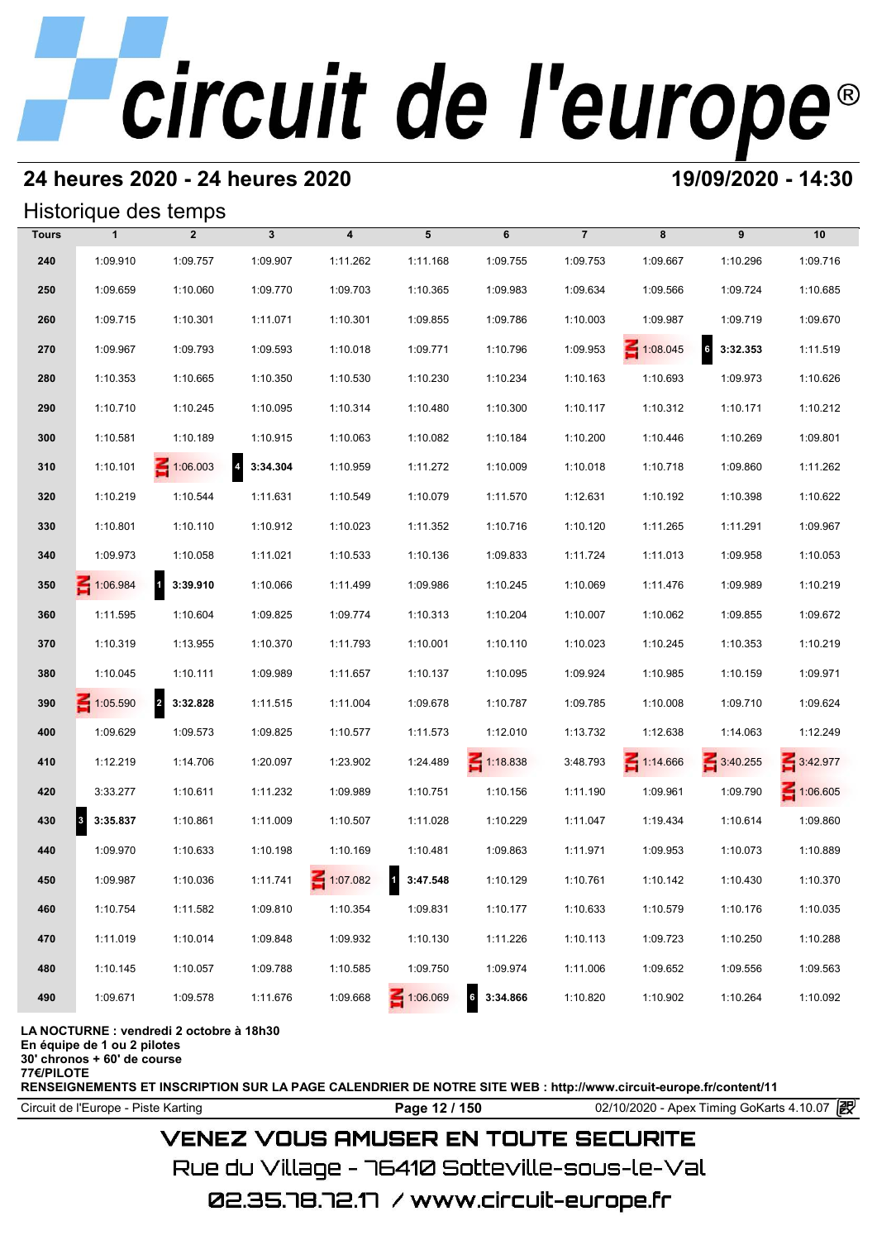## **24 heures 2020 - 24 heures 2020 19/09/2020 - 14:30**

## Historique des temps

|              | Historique des temps  |                       |                            |          |          |                             |                |                 |                            |                 |
|--------------|-----------------------|-----------------------|----------------------------|----------|----------|-----------------------------|----------------|-----------------|----------------------------|-----------------|
| <b>Tours</b> | $\mathbf{1}$          | $\overline{2}$        | $\mathbf{3}$               | 4        | 5        | 6                           | $\overline{7}$ | 8               | 9                          | 10              |
| 240          | 1:09.910              | 1:09.757              | 1:09.907                   | 1:11.262 | 1:11.168 | 1:09.755                    | 1:09.753       | 1:09.667        | 1:10.296                   | 1:09.716        |
| 250          | 1:09.659              | 1:10.060              | 1:09.770                   | 1:09.703 | 1:10.365 | 1:09.983                    | 1:09.634       | 1:09.566        | 1:09.724                   | 1:10.685        |
| 260          | 1:09.715              | 1:10.301              | 1:11.071                   | 1:10.301 | 1:09.855 | 1:09.786                    | 1:10.003       | 1:09.987        | 1:09.719                   | 1:09.670        |
| 270          | 1:09.967              | 1:09.793              | 1:09.593                   | 1:10.018 | 1:09.771 | 1:10.796                    | 1:09.953       | $\leq 1:08.045$ | $6\phantom{a}$<br>3:32.353 | 1:11.519        |
| 280          | 1:10.353              | 1:10.665              | 1:10.350                   | 1:10.530 | 1:10.230 | 1:10.234                    | 1:10.163       | 1:10.693        | 1:09.973                   | 1:10.626        |
| 290          | 1:10.710              | 1:10.245              | 1:10.095                   | 1:10.314 | 1:10.480 | 1:10.300                    | 1:10.117       | 1:10.312        | 1:10.171                   | 1:10.212        |
| 300          | 1:10.581              | 1:10.189              | 1:10.915                   | 1:10.063 | 1:10.082 | 1:10.184                    | 1:10.200       | 1:10.446        | 1:10.269                   | 1:09.801        |
| 310          | 1:10.101              | $\leq 1:06.003$       | $\overline{4}$<br>3:34.304 | 1:10.959 | 1:11.272 | 1:10.009                    | 1:10.018       | 1:10.718        | 1:09.860                   | 1:11.262        |
| 320          | 1:10.219              | 1:10.544              | 1:11.631                   | 1:10.549 | 1:10.079 | 1:11.570                    | 1:12.631       | 1:10.192        | 1:10.398                   | 1:10.622        |
| 330          | 1:10.801              | 1:10.110              | 1:10.912                   | 1:10.023 | 1:11.352 | 1:10.716                    | 1:10.120       | 1:11.265        | 1:11.291                   | 1:09.967        |
| 340          | 1:09.973              | 1:10.058              | 1:11.021                   | 1:10.533 | 1:10.136 | 1:09.833                    | 1:11.724       | 1:11.013        | 1:09.958                   | 1:10.053        |
| 350          | 1:06.984              | 3:39.910<br>$\vert$ 1 | 1:10.066                   | 1:11.499 | 1:09.986 | 1:10.245                    | 1:10.069       | 1:11.476        | 1:09.989                   | 1:10.219        |
| 360          | 1:11.595              | 1:10.604              | 1:09.825                   | 1:09.774 | 1:10.313 | 1:10.204                    | 1:10.007       | 1:10.062        | 1:09.855                   | 1:09.672        |
| 370          | 1:10.319              | 1:13.955              | 1:10.370                   | 1:11.793 | 1:10.001 | 1:10.110                    | 1:10.023       | 1:10.245        | 1:10.353                   | 1:10.219        |
| 380          | 1:10.045              | 1:10.111              | 1:09.989                   | 1:11.657 | 1:10.137 | 1:10.095                    | 1:09.924       | 1:10.985        | 1:10.159                   | 1:09.971        |
| 390          | $\leq 1:05.590$       | 2 3:32.828            | 1:11.515                   | 1:11.004 | 1:09.678 | 1:10.787                    | 1:09.785       | 1:10.008        | 1:09.710                   | 1:09.624        |
| 400          | 1:09.629              | 1:09.573              | 1:09.825                   | 1:10.577 | 1:11.573 | 1:12.010                    | 1:13.732       | 1:12.638        | 1:14.063                   | 1:12.249        |
| 410          | 1:12.219              | 1:14.706              | 1:20.097                   | 1:23.902 | 1:24.489 | $\leq 1:18.838$             | 3:48.793       | 1:14.666        | 3:40.255                   | 3:42.977        |
| 420          | 3:33.277              | 1:10.611              | 1:11.232                   | 1:09.989 | 1:10.751 | 1:10.156                    | 1:11.190       | 1:09.961        | 1:09.790                   | $\leq 1:06.605$ |
| 430          | $\vert$ 3<br>3:35.837 | 1:10.861              | 1:11.009                   | 1:10.507 | 1:11.028 | 1:10.229                    | 1:11.047       | 1:19.434        | 1:10.614                   | 1:09.860        |
| 440          | 1:09.970              | 1:10.633              | 1:10.198                   | 1:10.169 | 1:10.481 | 1:09.863                    | 1:11.971       | 1:09.953        | 1:10.073                   | 1:10.889        |
| 450          | 1:09.987              | 1:10.036              | 1:11.741                   | 1:07.082 | 3:47.548 | 1:10.129                    | 1:10.761       | 1:10.142        | 1:10.430                   | 1:10.370        |
| 460          | 1:10.754              | 1:11.582              | 1:09.810                   | 1:10.354 | 1:09.831 | 1:10.177                    | 1:10.633       | 1:10.579        | 1:10.176                   | 1:10.035        |
| 470          | 1:11.019              | 1:10.014              | 1:09.848                   | 1:09.932 | 1:10.130 | 1:11.226                    | 1:10.113       | 1:09.723        | 1:10.250                   | 1:10.288        |
| 480          | 1:10.145              | 1:10.057              | 1:09.788                   | 1:10.585 | 1:09.750 | 1:09.974                    | 1:11.006       | 1:09.652        | 1:09.556                   | 1:09.563        |
| 490          | 1:09.671              | 1:09.578              | 1:11.676                   | 1:09.668 | 1:06.069 | $6\overline{6}$<br>3:34.866 | 1:10.820       | 1:10.902        | 1:10.264                   | 1:10.092        |

**LA NOCTURNE : vendredi 2 octobre à 18h30**

**En équipe de 1 ou 2 pilotes**

**30' chronos + 60' de course**

**77€/PILOTE**

**RENSEIGNEMENTS ET INSCRIPTION SUR LA PAGE CALENDRIER DE NOTRE SITE WEB : http://www.circuit-europe.fr/content/11**

Circuit de l'Europe - Piste Karting **Page 12 / 150 Page 12 / 150** 02/10/2020 - Apex Timing GoKarts 4.10.07

## **VENEZ VOUS AMUSER EN TOUTE SECURITE**

Rue du Village – 76410 Sotteville-sous-le-Val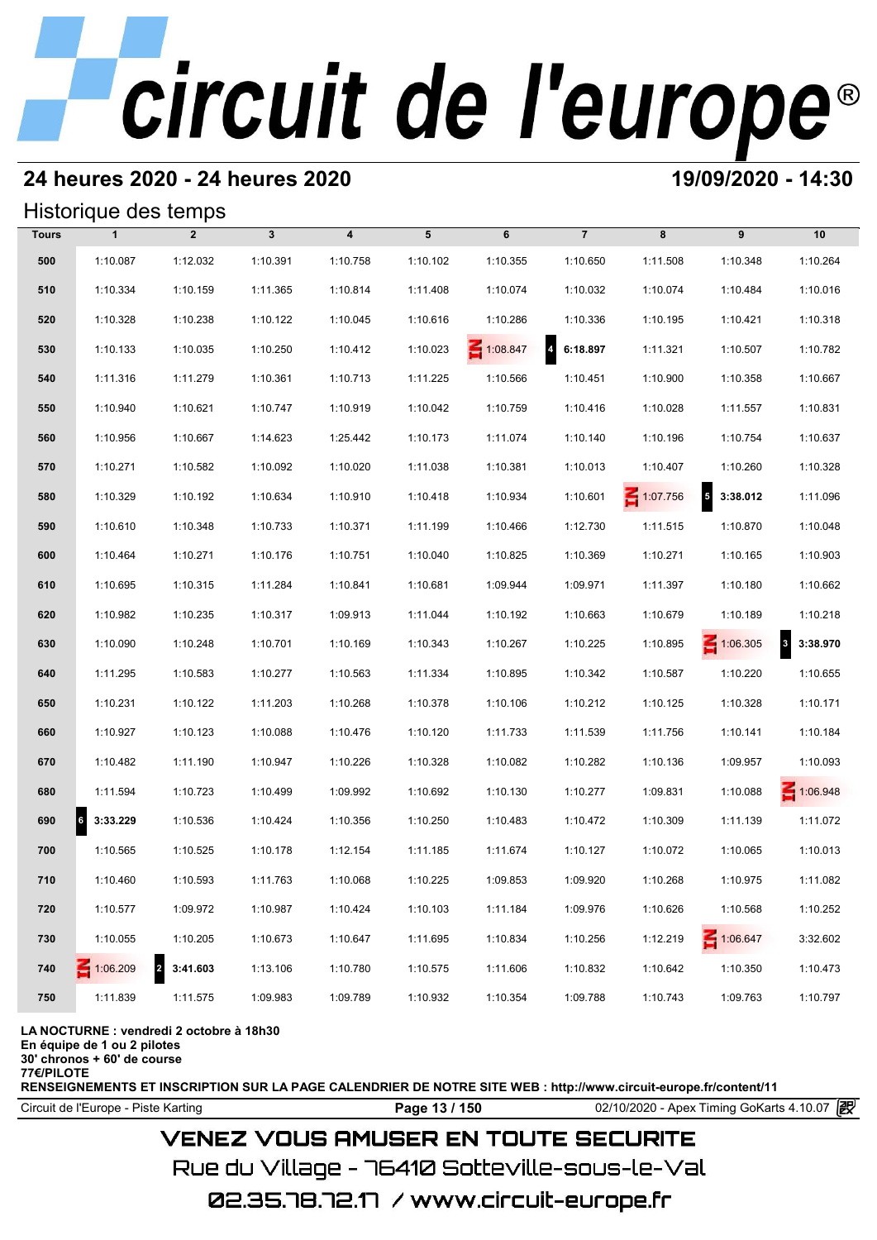## **24 heures 2020 - 24 heures 2020 19/09/2020 - 14:30**

## Historique des temps

|              | Historique des temps |                            |              |                  |          |          |                |          |                        |                                     |
|--------------|----------------------|----------------------------|--------------|------------------|----------|----------|----------------|----------|------------------------|-------------------------------------|
| <b>Tours</b> | $\mathbf{1}$         | $\overline{2}$             | $\mathbf{3}$ | $\boldsymbol{4}$ | 5        | 6        | $\overline{7}$ | 8        | 9                      | 10                                  |
| 500          | 1:10.087             | 1:12.032                   | 1:10.391     | 1:10.758         | 1:10.102 | 1:10.355 | 1:10.650       | 1:11.508 | 1:10.348               | 1:10.264                            |
| 510          | 1:10.334             | 1:10.159                   | 1:11.365     | 1:10.814         | 1:11.408 | 1:10.074 | 1:10.032       | 1:10.074 | 1:10.484               | 1:10.016                            |
| 520          | 1:10.328             | 1:10.238                   | 1:10.122     | 1:10.045         | 1:10.616 | 1:10.286 | 1:10.336       | 1:10.195 | 1:10.421               | 1:10.318                            |
| 530          | 1:10.133             | 1:10.035                   | 1:10.250     | 1:10.412         | 1:10.023 | 1:08.847 | 46:18.897      | 1:11.321 | 1:10.507               | 1:10.782                            |
| 540          | 1:11.316             | 1:11.279                   | 1:10.361     | 1:10.713         | 1:11.225 | 1:10.566 | 1:10.451       | 1:10.900 | 1:10.358               | 1:10.667                            |
| 550          | 1:10.940             | 1:10.621                   | 1:10.747     | 1:10.919         | 1:10.042 | 1:10.759 | 1:10.416       | 1:10.028 | 1:11.557               | 1:10.831                            |
| 560          | 1:10.956             | 1:10.667                   | 1:14.623     | 1:25.442         | 1:10.173 | 1:11.074 | 1:10.140       | 1:10.196 | 1:10.754               | 1:10.637                            |
| 570          | 1:10.271             | 1:10.582                   | 1:10.092     | 1:10.020         | 1:11.038 | 1:10.381 | 1:10.013       | 1:10.407 | 1:10.260               | 1:10.328                            |
| 580          | 1:10.329             | 1:10.192                   | 1:10.634     | 1:10.910         | 1:10.418 | 1:10.934 | 1:10.601       | 1:07.756 | $\sqrt{5}$<br>3:38.012 | 1:11.096                            |
| 590          | 1:10.610             | 1:10.348                   | 1:10.733     | 1:10.371         | 1:11.199 | 1:10.466 | 1:12.730       | 1:11.515 | 1:10.870               | 1:10.048                            |
| 600          | 1:10.464             | 1:10.271                   | 1:10.176     | 1:10.751         | 1:10.040 | 1:10.825 | 1:10.369       | 1:10.271 | 1:10.165               | 1:10.903                            |
| 610          | 1:10.695             | 1:10.315                   | 1:11.284     | 1:10.841         | 1:10.681 | 1:09.944 | 1:09.971       | 1:11.397 | 1:10.180               | 1:10.662                            |
| 620          | 1:10.982             | 1:10.235                   | 1:10.317     | 1:09.913         | 1:11.044 | 1:10.192 | 1:10.663       | 1:10.679 | 1:10.189               | 1:10.218                            |
| 630          | 1:10.090             | 1:10.248                   | 1:10.701     | 1:10.169         | 1:10.343 | 1:10.267 | 1:10.225       | 1:10.895 | $\leq 1:06.305$        | $\overline{\mathbf{3}}$<br>3:38.970 |
| 640          | 1:11.295             | 1:10.583                   | 1:10.277     | 1:10.563         | 1:11.334 | 1:10.895 | 1:10.342       | 1:10.587 | 1:10.220               | 1:10.655                            |
| 650          | 1:10.231             | 1:10.122                   | 1:11.203     | 1:10.268         | 1:10.378 | 1:10.106 | 1:10.212       | 1:10.125 | 1:10.328               | 1:10.171                            |
| 660          | 1:10.927             | 1:10.123                   | 1:10.088     | 1:10.476         | 1:10.120 | 1:11.733 | 1:11.539       | 1:11.756 | 1:10.141               | 1:10.184                            |
| 670          | 1:10.482             | 1:11.190                   | 1:10.947     | 1:10.226         | 1:10.328 | 1:10.082 | 1:10.282       | 1:10.136 | 1:09.957               | 1:10.093                            |
| 680          | 1:11.594             | 1:10.723                   | 1:10.499     | 1:09.992         | 1:10.692 | 1:10.130 | 1:10.277       | 1:09.831 | 1:10.088               | $\leq 1:06.948$                     |
| 690          | 6<br>3:33.229        | 1:10.536                   | 1:10.424     | 1:10.356         | 1:10.250 | 1:10.483 | 1:10.472       | 1:10.309 | 1:11.139               | 1:11.072                            |
| 700          | 1:10.565             | 1:10.525                   | 1:10.178     | 1:12.154         | 1:11.185 | 1:11.674 | 1:10.127       | 1:10.072 | 1:10.065               | 1:10.013                            |
| 710          | 1:10.460             | 1:10.593                   | 1:11.763     | 1:10.068         | 1:10.225 | 1:09.853 | 1:09.920       | 1:10.268 | 1:10.975               | 1:11.082                            |
| 720          | 1:10.577             | 1:09.972                   | 1:10.987     | 1:10.424         | 1:10.103 | 1:11.184 | 1:09.976       | 1:10.626 | 1:10.568               | 1:10.252                            |
| 730          | 1:10.055             | 1:10.205                   | 1:10.673     | 1:10.647         | 1:11.695 | 1:10.834 | 1:10.256       | 1:12.219 | 1:06.647               | 3:32.602                            |
| 740          | $\leq 1:06.209$      | $\overline{a}$<br>3:41.603 | 1:13.106     | 1:10.780         | 1:10.575 | 1:11.606 | 1:10.832       | 1:10.642 | 1:10.350               | 1:10.473                            |
| 750          | 1:11.839             | 1:11.575                   | 1:09.983     | 1:09.789         | 1:10.932 | 1:10.354 | 1:09.788       | 1:10.743 | 1:09.763               | 1:10.797                            |

### **LA NOCTURNE : vendredi 2 octobre à 18h30**

**En équipe de 1 ou 2 pilotes**

**30' chronos + 60' de course**

**77€/PILOTE**

**RENSEIGNEMENTS ET INSCRIPTION SUR LA PAGE CALENDRIER DE NOTRE SITE WEB : http://www.circuit-europe.fr/content/11**

Circuit de l'Europe - Piste Karting **Page 13 / 150 Page 13 / 150** 02/10/2020 - Apex Timing GoKarts 4.10.07

## **VENEZ VOUS AMUSER EN TOUTE SECURITE**

Rue du Village – 76410 Sotteville-sous-le-Val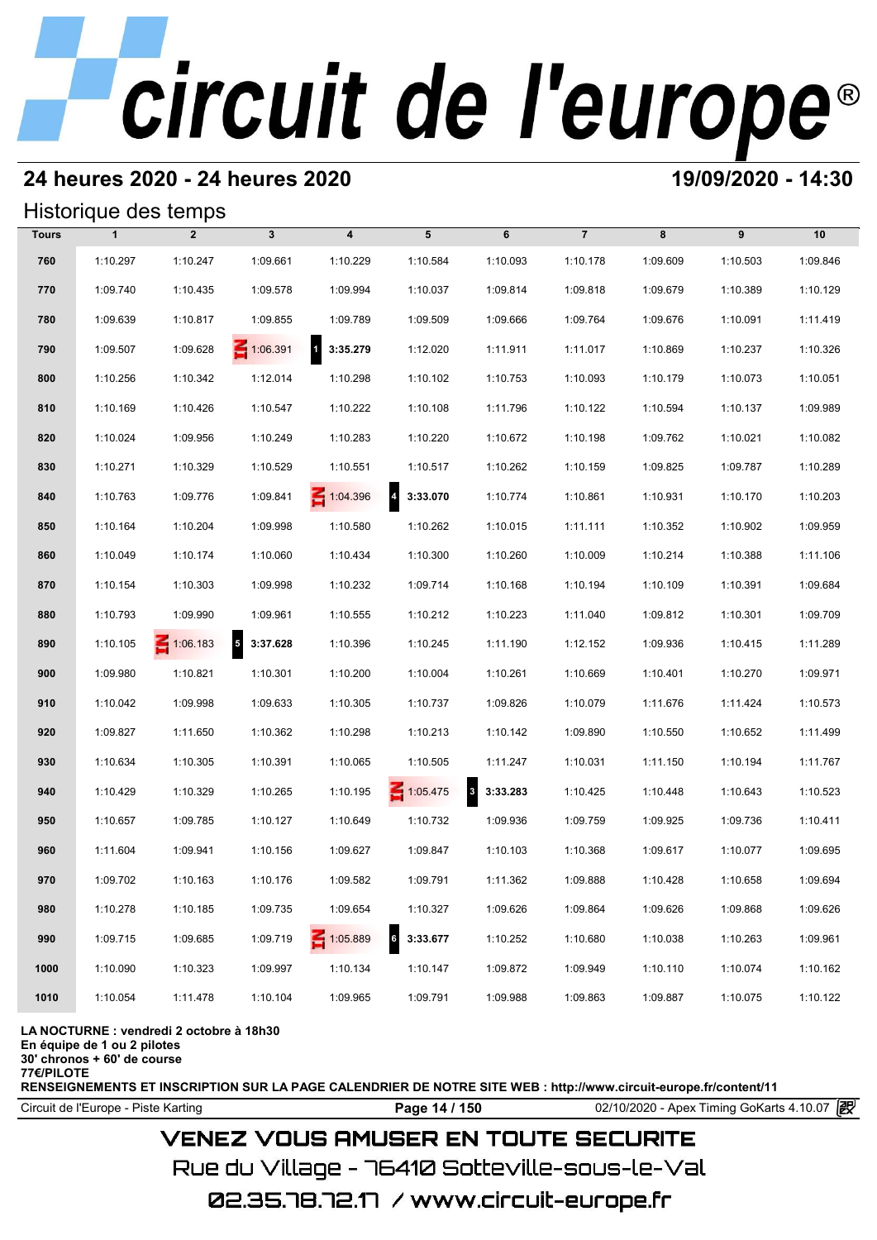## **24 heures 2020 - 24 heures 2020 19/09/2020 - 14:30**

## Historique des temps

|              |              | Historique des temps |                                      |                          |                            |                      |                |          |          |          |
|--------------|--------------|----------------------|--------------------------------------|--------------------------|----------------------------|----------------------|----------------|----------|----------|----------|
| <b>Tours</b> | $\mathbf{1}$ | $\overline{2}$       | $\mathbf{3}$                         | $\overline{\mathbf{4}}$  | 5                          | 6                    | $\overline{7}$ | 8        | 9        | 10       |
| 760          | 1:10.297     | 1:10.247             | 1:09.661                             | 1:10.229                 | 1:10.584                   | 1:10.093             | 1:10.178       | 1:09.609 | 1:10.503 | 1:09.846 |
| 770          | 1:09.740     | 1:10.435             | 1:09.578                             | 1:09.994                 | 1:10.037                   | 1:09.814             | 1:09.818       | 1:09.679 | 1:10.389 | 1:10.129 |
| 780          | 1:09.639     | 1:10.817             | 1:09.855                             | 1:09.789                 | 1:09.509                   | 1:09.666             | 1:09.764       | 1:09.676 | 1:10.091 | 1:11.419 |
| 790          | 1:09.507     | 1:09.628             | $\leq 1:06.391$                      | $\mathbf{1}$<br>3:35.279 | 1:12.020                   | 1:11.911             | 1:11.017       | 1:10.869 | 1:10.237 | 1:10.326 |
| 800          | 1:10.256     | 1:10.342             | 1:12.014                             | 1:10.298                 | 1:10.102                   | 1:10.753             | 1:10.093       | 1:10.179 | 1:10.073 | 1:10.051 |
| 810          | 1:10.169     | 1:10.426             | 1:10.547                             | 1:10.222                 | 1:10.108                   | 1:11.796             | 1:10.122       | 1:10.594 | 1:10.137 | 1:09.989 |
| 820          | 1:10.024     | 1:09.956             | 1:10.249                             | 1:10.283                 | 1:10.220                   | 1:10.672             | 1:10.198       | 1:09.762 | 1:10.021 | 1:10.082 |
| 830          | 1:10.271     | 1:10.329             | 1:10.529                             | 1:10.551                 | 1:10.517                   | 1:10.262             | 1:10.159       | 1:09.825 | 1:09.787 | 1:10.289 |
| 840          | 1:10.763     | 1:09.776             | 1:09.841                             | $\leq 1:04.396$          | $\overline{4}$<br>3:33.070 | 1:10.774             | 1:10.861       | 1:10.931 | 1:10.170 | 1:10.203 |
| 850          | 1:10.164     | 1:10.204             | 1:09.998                             | 1:10.580                 | 1:10.262                   | 1:10.015             | 1:11.111       | 1:10.352 | 1:10.902 | 1:09.959 |
| 860          | 1:10.049     | 1:10.174             | 1:10.060                             | 1:10.434                 | 1:10.300                   | 1:10.260             | 1:10.009       | 1:10.214 | 1:10.388 | 1:11.106 |
| 870          | 1:10.154     | 1:10.303             | 1:09.998                             | 1:10.232                 | 1:09.714                   | 1:10.168             | 1:10.194       | 1:10.109 | 1:10.391 | 1:09.684 |
| 880          | 1:10.793     | 1:09.990             | 1:09.961                             | 1:10.555                 | 1:10.212                   | 1:10.223             | 1:11.040       | 1:09.812 | 1:10.301 | 1:09.709 |
| 890          | 1:10.105     | $\leq 1:06.183$      | $\overline{\phantom{a}}$<br>3:37.628 | 1:10.396                 | 1:10.245                   | 1:11.190             | 1:12.152       | 1:09.936 | 1:10.415 | 1:11.289 |
| 900          | 1:09.980     | 1:10.821             | 1:10.301                             | 1:10.200                 | 1:10.004                   | 1:10.261             | 1:10.669       | 1:10.401 | 1:10.270 | 1:09.971 |
| 910          | 1:10.042     | 1:09.998             | 1:09.633                             | 1:10.305                 | 1:10.737                   | 1:09.826             | 1:10.079       | 1:11.676 | 1:11.424 | 1:10.573 |
| 920          | 1:09.827     | 1:11.650             | 1:10.362                             | 1:10.298                 | 1:10.213                   | 1:10.142             | 1:09.890       | 1:10.550 | 1:10.652 | 1:11.499 |
| 930          | 1:10.634     | 1:10.305             | 1:10.391                             | 1:10.065                 | 1:10.505                   | 1:11.247             | 1:10.031       | 1:11.150 | 1:10.194 | 1:11.767 |
| 940          | 1:10.429     | 1:10.329             | 1:10.265                             | 1:10.195                 | $\leq 1:05.475$            | $\bf{3}$<br>3:33.283 | 1:10.425       | 1:10.448 | 1:10.643 | 1:10.523 |
| 950          | 1:10.657     | 1:09.785             | 1:10.127                             | 1:10.649                 | 1:10.732                   | 1:09.936             | 1:09.759       | 1:09.925 | 1:09.736 | 1:10.411 |
| 960          | 1:11.604     | 1:09.941             | 1:10.156                             | 1:09.627                 | 1:09.847                   | 1:10.103             | 1:10.368       | 1:09.617 | 1:10.077 | 1:09.695 |
| 970          | 1:09.702     | 1:10.163             | 1:10.176                             | 1:09.582                 | 1:09.791                   | 1:11.362             | 1:09.888       | 1:10.428 | 1:10.658 | 1:09.694 |
| 980          | 1:10.278     | 1:10.185             | 1:09.735                             | 1:09.654                 | 1:10.327                   | 1:09.626             | 1:09.864       | 1:09.626 | 1:09.868 | 1:09.626 |
| 990          | 1:09.715     | 1:09.685             | 1:09.719                             | 1:05.889                 | <sub>6</sub><br>3:33.677   | 1:10.252             | 1:10.680       | 1:10.038 | 1:10.263 | 1:09.961 |
| 1000         | 1:10.090     | 1:10.323             | 1:09.997                             | 1:10.134                 | 1:10.147                   | 1:09.872             | 1:09.949       | 1:10.110 | 1:10.074 | 1:10.162 |
| 1010         | 1:10.054     | 1:11.478             | 1:10.104                             | 1:09.965                 | 1:09.791                   | 1:09.988             | 1:09.863       | 1:09.887 | 1:10.075 | 1:10.122 |

### **LA NOCTURNE : vendredi 2 octobre à 18h30**

**En équipe de 1 ou 2 pilotes**

**30' chronos + 60' de course 77€/PILOTE**

**RENSEIGNEMENTS ET INSCRIPTION SUR LA PAGE CALENDRIER DE NOTRE SITE WEB : http://www.circuit-europe.fr/content/11**

Circuit de l'Europe - Piste Karting **Page 14 / 150 Page 14 / 150** 02/10/2020 - Apex Timing GoKarts 4.10.07

## **VENEZ VOUS AMUSER EN TOUTE SECURITE**

Rue du Village – 76410 Sotteville-sous-le-Val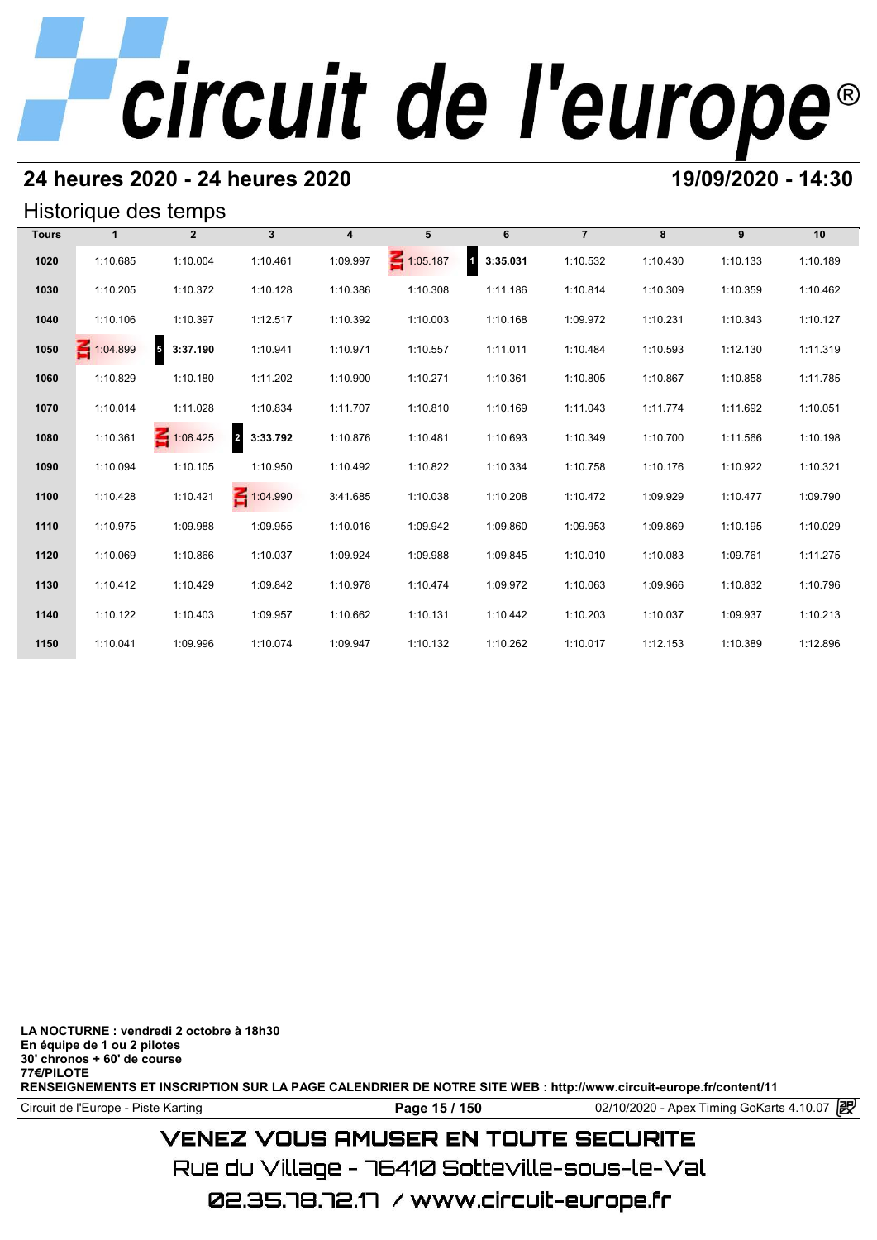## **24 heures 2020 - 24 heures 2020 19/09/2020 - 14:30**

## Historique des temps

|              |                 | Historique des temps       |                            |                  |                 |                          |                |          |          |          |
|--------------|-----------------|----------------------------|----------------------------|------------------|-----------------|--------------------------|----------------|----------|----------|----------|
| <b>Tours</b> | 1               | $\overline{2}$             | $\mathbf{3}$               | $\boldsymbol{4}$ | 5               | 6                        | $\overline{7}$ | 8        | 9        | 10       |
| 1020         | 1:10.685        | 1:10.004                   | 1:10.461                   | 1:09.997         | $\leq 1:05.187$ | 3:35.031<br>$\mathbf{1}$ | 1:10.532       | 1:10.430 | 1:10.133 | 1:10.189 |
| 1030         | 1:10.205        | 1:10.372                   | 1:10.128                   | 1:10.386         | 1:10.308        | 1:11.186                 | 1:10.814       | 1:10.309 | 1:10.359 | 1:10.462 |
| 1040         | 1:10.106        | 1:10.397                   | 1:12.517                   | 1:10.392         | 1:10.003        | 1:10.168                 | 1:09.972       | 1:10.231 | 1:10.343 | 1:10.127 |
| 1050         | $\leq 1:04.899$ | $\overline{5}$<br>3:37.190 | 1:10.941                   | 1:10.971         | 1:10.557        | 1:11.011                 | 1:10.484       | 1:10.593 | 1:12.130 | 1:11.319 |
| 1060         | 1:10.829        | 1:10.180                   | 1:11.202                   | 1:10.900         | 1:10.271        | 1:10.361                 | 1:10.805       | 1:10.867 | 1:10.858 | 1:11.785 |
| 1070         | 1:10.014        | 1:11.028                   | 1:10.834                   | 1:11.707         | 1:10.810        | 1:10.169                 | 1:11.043       | 1:11.774 | 1:11.692 | 1:10.051 |
| 1080         | 1:10.361        | $\leq 1:06.425$            | $\overline{2}$<br>3:33.792 | 1:10.876         | 1:10.481        | 1:10.693                 | 1:10.349       | 1:10.700 | 1:11.566 | 1:10.198 |
| 1090         | 1:10.094        | 1:10.105                   | 1:10.950                   | 1:10.492         | 1:10.822        | 1:10.334                 | 1:10.758       | 1:10.176 | 1:10.922 | 1:10.321 |
| 1100         | 1:10.428        | 1:10.421                   | 1:04.990                   | 3:41.685         | 1:10.038        | 1:10.208                 | 1:10.472       | 1:09.929 | 1:10.477 | 1:09.790 |
| 1110         | 1:10.975        | 1:09.988                   | 1:09.955                   | 1:10.016         | 1:09.942        | 1:09.860                 | 1:09.953       | 1:09.869 | 1:10.195 | 1:10.029 |
| 1120         | 1:10.069        | 1:10.866                   | 1:10.037                   | 1:09.924         | 1:09.988        | 1:09.845                 | 1:10.010       | 1:10.083 | 1:09.761 | 1:11.275 |
| 1130         | 1:10.412        | 1:10.429                   | 1:09.842                   | 1:10.978         | 1:10.474        | 1:09.972                 | 1:10.063       | 1:09.966 | 1:10.832 | 1:10.796 |
| 1140         | 1:10.122        | 1:10.403                   | 1:09.957                   | 1:10.662         | 1:10.131        | 1:10.442                 | 1:10.203       | 1:10.037 | 1:09.937 | 1:10.213 |
| 1150         | 1:10.041        | 1:09.996                   | 1:10.074                   | 1:09.947         | 1:10.132        | 1:10.262                 | 1:10.017       | 1:12.153 | 1:10.389 | 1:12.896 |

**LA NOCTURNE : vendredi 2 octobre à 18h30 En équipe de 1 ou 2 pilotes 30' chronos + 60' de course 77€/PILOTE RENSEIGNEMENTS ET INSCRIPTION SUR LA PAGE CALENDRIER DE NOTRE SITE WEB : http://www.circuit-europe.fr/content/11**

Circuit de l'Europe - Piste Karting **Page 15 / 150 Page 15 / 150** 02/10/2020 - Apex Timing GoKarts 4.10.07

## **VENEZ VOUS AMUSER EN TOUTE SECURITE**

Rue du Village – 76410 Sotteville-sous-le-Val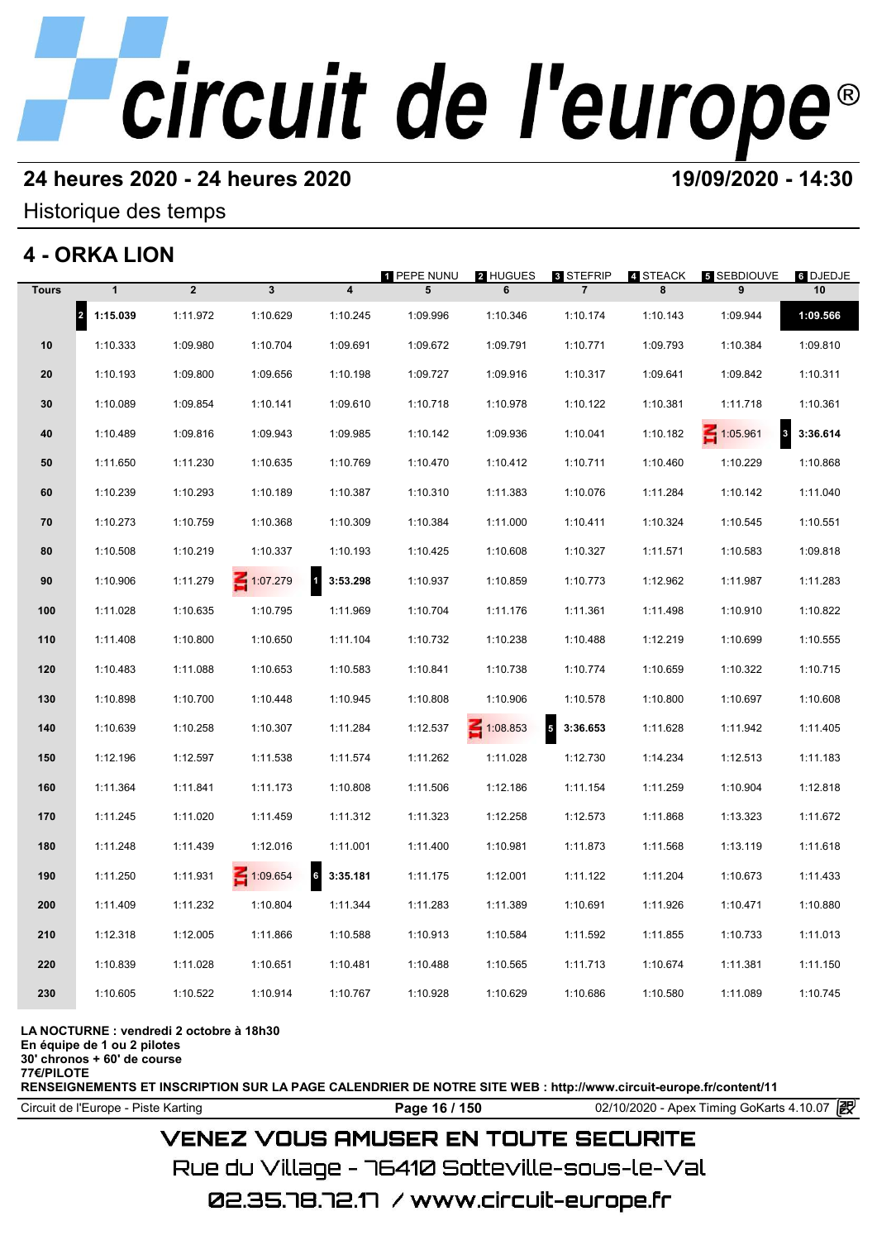## **24 heures 2020 - 24 heures 2020 19/09/2020 - 14:30**

## Historique des temps

## **4 - ORKA LION**

|              | 4 - ORKA LION                    |                |                 |                          |                         |                 |                                    |               |                         |                |
|--------------|----------------------------------|----------------|-----------------|--------------------------|-------------------------|-----------------|------------------------------------|---------------|-------------------------|----------------|
| <b>Tours</b> | $\mathbf{1}$                     | $\overline{2}$ | $\mathbf{3}$    | $\overline{\mathbf{4}}$  | <b>1 PEPE NUNU</b><br>5 | 2 HUGUES<br>6   | <b>8 STEFRIP</b><br>$\overline{7}$ | 4 STEACK<br>8 | <b>5 SEBDIOUVE</b><br>9 | 6 DJEDJE<br>10 |
|              | $\vert$ <sub>2</sub><br>1:15.039 | 1:11.972       | 1:10.629        | 1:10.245                 | 1:09.996                | 1:10.346        | 1:10.174                           | 1:10.143      | 1:09.944                | 1:09.566       |
| 10           | 1:10.333                         | 1:09.980       | 1:10.704        | 1:09.691                 | 1:09.672                | 1:09.791        | 1:10.771                           | 1:09.793      | 1:10.384                | 1:09.810       |
| 20           | 1:10.193                         | 1:09.800       | 1:09.656        | 1:10.198                 | 1:09.727                | 1:09.916        | 1:10.317                           | 1:09.641      | 1:09.842                | 1:10.311       |
| 30           | 1:10.089                         | 1:09.854       | 1:10.141        | 1:09.610                 | 1:10.718                | 1:10.978        | 1:10.122                           | 1:10.381      | 1:11.718                | 1:10.361       |
| 40           | 1:10.489                         | 1:09.816       | 1:09.943        | 1:09.985                 | 1:10.142                | 1:09.936        | 1:10.041                           | 1:10.182      | 3<br>1:05.961           | 3:36.614       |
| 50           | 1:11.650                         | 1:11.230       | 1:10.635        | 1:10.769                 | 1:10.470                | 1:10.412        | 1:10.711                           | 1:10.460      | 1:10.229                | 1:10.868       |
| 60           | 1:10.239                         | 1:10.293       | 1:10.189        | 1:10.387                 | 1:10.310                | 1:11.383        | 1:10.076                           | 1:11.284      | 1:10.142                | 1:11.040       |
| 70           | 1:10.273                         | 1:10.759       | 1:10.368        | 1:10.309                 | 1:10.384                | 1:11.000        | 1:10.411                           | 1:10.324      | 1:10.545                | 1:10.551       |
| 80           | 1:10.508                         | 1:10.219       | 1:10.337        | 1:10.193                 | 1:10.425                | 1:10.608        | 1:10.327                           | 1:11.571      | 1:10.583                | 1:09.818       |
| 90           | 1:10.906                         | 1:11.279       | $\leq 1:07.279$ | $\mathbf{1}$<br>3:53.298 | 1:10.937                | 1:10.859        | 1:10.773                           | 1:12.962      | 1:11.987                | 1:11.283       |
| 100          | 1:11.028                         | 1:10.635       | 1:10.795        | 1:11.969                 | 1:10.704                | 1:11.176        | 1:11.361                           | 1:11.498      | 1:10.910                | 1:10.822       |
| 110          | 1:11.408                         | 1:10.800       | 1:10.650        | 1:11.104                 | 1:10.732                | 1:10.238        | 1:10.488                           | 1:12.219      | 1:10.699                | 1:10.555       |
| 120          | 1:10.483                         | 1:11.088       | 1:10.653        | 1:10.583                 | 1:10.841                | 1:10.738        | 1:10.774                           | 1:10.659      | 1:10.322                | 1:10.715       |
| 130          | 1:10.898                         | 1:10.700       | 1:10.448        | 1:10.945                 | 1:10.808                | 1:10.906        | 1:10.578                           | 1:10.800      | 1:10.697                | 1:10.608       |
| 140          | 1:10.639                         | 1:10.258       | 1:10.307        | 1:11.284                 | 1:12.537                | $\leq 1:08.853$ | $5\overline{5}$<br>3:36.653        | 1:11.628      | 1:11.942                | 1:11.405       |
| 150          | 1:12.196                         | 1:12.597       | 1:11.538        | 1:11.574                 | 1:11.262                | 1:11.028        | 1:12.730                           | 1:14.234      | 1:12.513                | 1:11.183       |
| 160          | 1:11.364                         | 1:11.841       | 1:11.173        | 1:10.808                 | 1:11.506                | 1:12.186        | 1:11.154                           | 1:11.259      | 1:10.904                | 1:12.818       |
| 170          | 1:11.245                         | 1:11.020       | 1:11.459        | 1:11.312                 | 1:11.323                | 1:12.258        | 1:12.573                           | 1:11.868      | 1:13.323                | 1:11.672       |
| 180          | 1:11.248                         | 1:11.439       | 1:12.016        | 1:11.001                 | 1:11.400                | 1:10.981        | 1:11.873                           | 1:11.568      | 1:13.119                | 1:11.618       |
| 190          | 1:11.250                         | 1:11.931       | 1:09.654        | 6<br>3:35.181            | 1:11.175                | 1:12.001        | 1:11.122                           | 1:11.204      | 1:10.673                | 1:11.433       |
| 200          | 1:11.409                         | 1:11.232       | 1:10.804        | 1:11.344                 | 1:11.283                | 1:11.389        | 1:10.691                           | 1:11.926      | 1:10.471                | 1:10.880       |
| 210          | 1:12.318                         | 1:12.005       | 1:11.866        | 1:10.588                 | 1:10.913                | 1:10.584        | 1:11.592                           | 1:11.855      | 1:10.733                | 1:11.013       |
| 220          | 1:10.839                         | 1:11.028       | 1:10.651        | 1:10.481                 | 1:10.488                | 1:10.565        | 1:11.713                           | 1:10.674      | 1:11.381                | 1:11.150       |
| 230          | 1:10.605                         | 1:10.522       | 1:10.914        | 1:10.767                 | 1:10.928                | 1:10.629        | 1:10.686                           | 1:10.580      | 1:11.089                | 1:10.745       |
|              |                                  |                |                 |                          |                         |                 |                                    |               |                         |                |

### **LA NOCTURNE : vendredi 2 octobre à 18h30**

**En équipe de 1 ou 2 pilotes**

**30' chronos + 60' de course 77€/PILOTE**

**RENSEIGNEMENTS ET INSCRIPTION SUR LA PAGE CALENDRIER DE NOTRE SITE WEB : http://www.circuit-europe.fr/content/11**

Circuit de l'Europe - Piste Karting **Page 16 / 150 Page 16 / 150** 02/10/2020 - Apex Timing GoKarts 4.10.07

## **VENEZ VOUS AMUSER EN TOUTE SECURITE**

Rue du Village – 76410 Sotteville-sous-le-Val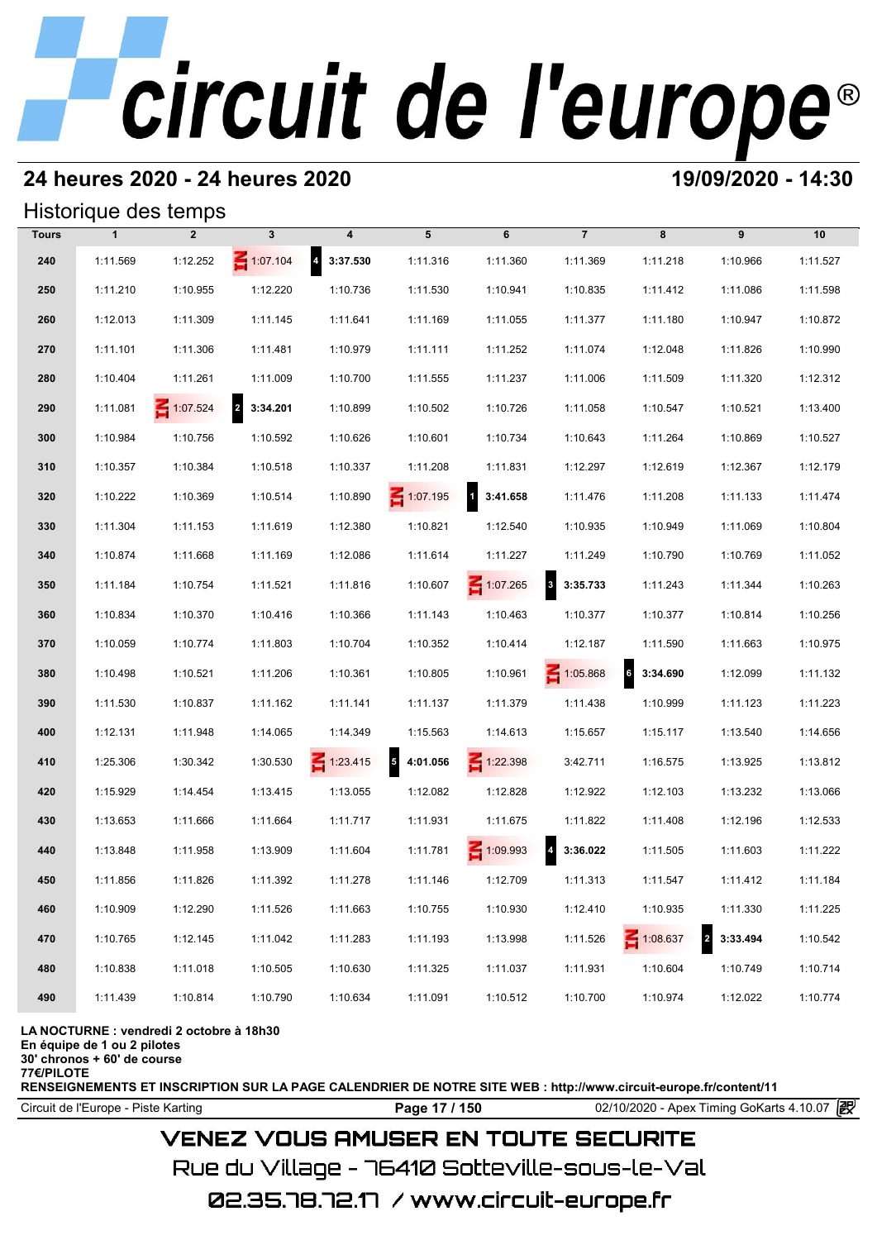## **24 heures 2020 - 24 heures 2020 19/09/2020 - 14:30**

## Historique des temps

|              |              | Historique des temps |                                     |                            |                                      |                          |                                     |               |                            |          |
|--------------|--------------|----------------------|-------------------------------------|----------------------------|--------------------------------------|--------------------------|-------------------------------------|---------------|----------------------------|----------|
| <b>Tours</b> | $\mathbf{1}$ | $\overline{2}$       | 3                                   | 4                          | 5                                    | 6                        | $\overline{7}$                      | 8             | 9                          | 10       |
| 240          | 1:11.569     | 1:12.252             | $\leq 1:07.104$                     | $\overline{a}$<br>3:37.530 | 1:11.316                             | 1:11.360                 | 1:11.369                            | 1:11.218      | 1:10.966                   | 1:11.527 |
| 250          | 1:11.210     | 1:10.955             | 1:12.220                            | 1:10.736                   | 1:11.530                             | 1:10.941                 | 1:10.835                            | 1:11.412      | 1:11.086                   | 1:11.598 |
| 260          | 1:12.013     | 1:11.309             | 1:11.145                            | 1:11.641                   | 1:11.169                             | 1:11.055                 | 1:11.377                            | 1:11.180      | 1:10.947                   | 1:10.872 |
| 270          | 1:11.101     | 1:11.306             | 1:11.481                            | 1:10.979                   | 1:11.111                             | 1:11.252                 | 1:11.074                            | 1:12.048      | 1:11.826                   | 1:10.990 |
| 280          | 1:10.404     | 1:11.261             | 1:11.009                            | 1:10.700                   | 1:11.555                             | 1:11.237                 | 1:11.006                            | 1:11.509      | 1:11.320                   | 1:12.312 |
| 290          | 1:11.081     | $\leq 1:07.524$      | $\overline{\mathbf{2}}$<br>3:34.201 | 1:10.899                   | 1:10.502                             | 1:10.726                 | 1:11.058                            | 1:10.547      | 1:10.521                   | 1:13.400 |
| 300          | 1:10.984     | 1:10.756             | 1:10.592                            | 1:10.626                   | 1:10.601                             | 1:10.734                 | 1:10.643                            | 1:11.264      | 1:10.869                   | 1:10.527 |
| 310          | 1:10.357     | 1:10.384             | 1:10.518                            | 1:10.337                   | 1:11.208                             | 1:11.831                 | 1:12.297                            | 1:12.619      | 1:12.367                   | 1:12.179 |
| 320          | 1:10.222     | 1:10.369             | 1:10.514                            | 1:10.890                   | 1:07.195                             | $\mathbf{1}$<br>3:41.658 | 1:11.476                            | 1:11.208      | 1:11.133                   | 1:11.474 |
| 330          | 1:11.304     | 1:11.153             | 1:11.619                            | 1:12.380                   | 1:10.821                             | 1:12.540                 | 1:10.935                            | 1:10.949      | 1:11.069                   | 1:10.804 |
| 340          | 1:10.874     | 1:11.668             | 1:11.169                            | 1:12.086                   | 1:11.614                             | 1:11.227                 | 1:11.249                            | 1:10.790      | 1:10.769                   | 1:11.052 |
| 350          | 1:11.184     | 1:10.754             | 1:11.521                            | 1:11.816                   | 1:10.607                             | $\leq 1:07.265$          | $\overline{\mathbf{3}}$<br>3:35.733 | 1:11.243      | 1:11.344                   | 1:10.263 |
| 360          | 1:10.834     | 1:10.370             | 1:10.416                            | 1:10.366                   | 1:11.143                             | 1:10.463                 | 1:10.377                            | 1:10.377      | 1:10.814                   | 1:10.256 |
| 370          | 1:10.059     | 1:10.774             | 1:11.803                            | 1:10.704                   | 1:10.352                             | 1:10.414                 | 1:12.187                            | 1:11.590      | 1:11.663                   | 1:10.975 |
| 380          | 1:10.498     | 1:10.521             | 1:11.206                            | 1:10.361                   | 1:10.805                             | 1:10.961                 | 1:05.868                            | 6<br>3:34.690 | 1:12.099                   | 1:11.132 |
| 390          | 1:11.530     | 1:10.837             | 1:11.162                            | 1:11.141                   | 1:11.137                             | 1:11.379                 | 1:11.438                            | 1:10.999      | 1:11.123                   | 1:11.223 |
| 400          | 1:12.131     | 1:11.948             | 1:14.065                            | 1:14.349                   | 1:15.563                             | 1:14.613                 | 1:15.657                            | 1:15.117      | 1:13.540                   | 1:14.656 |
| 410          | 1:25.306     | 1:30.342             | 1:30.530                            | $\leq 1:23.415$            | $\overline{\phantom{a}}$<br>4:01.056 | $\leq 1:22.398$          | 3:42.711                            | 1:16.575      | 1:13.925                   | 1:13.812 |
| 420          | 1:15.929     | 1:14.454             | 1:13.415                            | 1:13.055                   | 1:12.082                             | 1:12.828                 | 1:12.922                            | 1:12.103      | 1:13.232                   | 1:13.066 |
| 430          | 1:13.653     | 1:11.666             | 1:11.664                            | 1:11.717                   | 1:11.931                             | 1:11.675                 | 1:11.822                            | 1:11.408      | 1:12.196                   | 1:12.533 |
| 440          | 1:13.848     | 1:11.958             | 1:13.909                            | 1:11.604                   | 1:11.781                             | $\leq 1:09.993$          | $\overline{\mathbf{4}}$<br>3:36.022 | 1:11.505      | 1:11.603                   | 1:11.222 |
| 450          | 1:11.856     | 1:11.826             | 1:11.392                            | 1:11.278                   | 1:11.146                             | 1:12.709                 | 1:11.313                            | 1:11.547      | 1:11.412                   | 1:11.184 |
| 460          | 1:10.909     | 1:12.290             | 1:11.526                            | 1:11.663                   | 1:10.755                             | 1:10.930                 | 1:12.410                            | 1:10.935      | 1:11.330                   | 1:11.225 |
| 470          | 1:10.765     | 1:12.145             | 1:11.042                            | 1:11.283                   | 1:11.193                             | 1:13.998                 | 1:11.526                            | 1:08.637      | $\overline{a}$<br>3:33.494 | 1:10.542 |
| 480          | 1:10.838     | 1:11.018             | 1:10.505                            | 1:10.630                   | 1:11.325                             | 1:11.037                 | 1:11.931                            | 1:10.604      | 1:10.749                   | 1:10.714 |
| 490          | 1:11.439     | 1:10.814             | 1:10.790                            | 1:10.634                   | 1:11.091                             | 1:10.512                 | 1:10.700                            | 1:10.974      | 1:12.022                   | 1:10.774 |

### **LA NOCTURNE : vendredi 2 octobre à 18h30**

**En équipe de 1 ou 2 pilotes**

**30' chronos + 60' de course**

**77€/PILOTE**

**RENSEIGNEMENTS ET INSCRIPTION SUR LA PAGE CALENDRIER DE NOTRE SITE WEB : http://www.circuit-europe.fr/content/11**

Circuit de l'Europe - Piste Karting **Page 17 / 150** 02/10/2020 - Apex Timing GoKarts 4.10.07

## **VENEZ VOUS AMUSER EN TOUTE SECURITE**

Rue du Village – 76410 Sotteville-sous-le-Val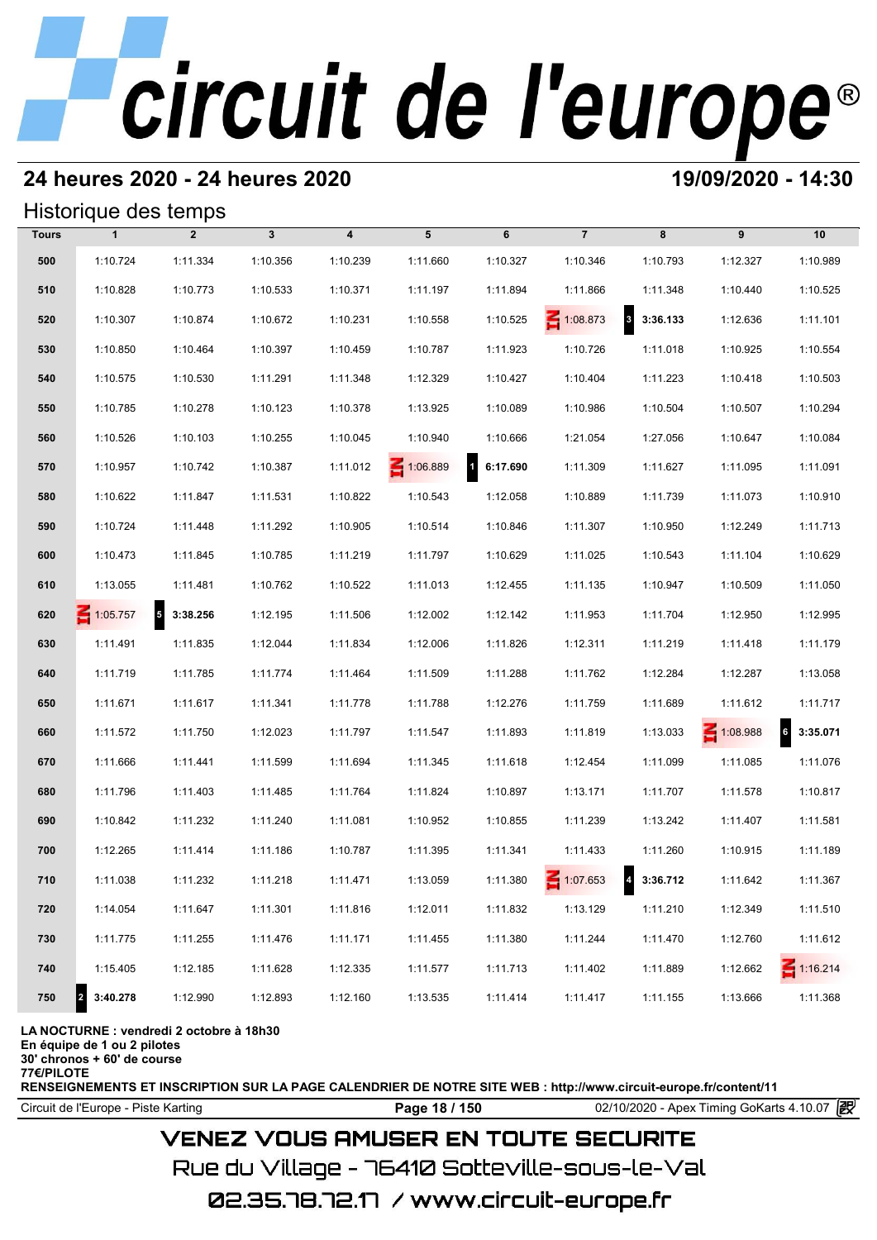## **24 heures 2020 - 24 heures 2020 19/09/2020 - 14:30**

## Historique des temps

|              | Historique des temps |                |              |                         |          |                                     |                 |                          |          |                 |
|--------------|----------------------|----------------|--------------|-------------------------|----------|-------------------------------------|-----------------|--------------------------|----------|-----------------|
| <b>Tours</b> | $\mathbf{1}$         | $\overline{2}$ | $\mathbf{3}$ | $\overline{\mathbf{4}}$ | 5        | 6                                   | $\overline{7}$  | 8                        | 9        | 10              |
| 500          | 1:10.724             | 1:11.334       | 1:10.356     | 1:10.239                | 1:11.660 | 1:10.327                            | 1:10.346        | 1:10.793                 | 1:12.327 | 1:10.989        |
| 510          | 1:10.828             | 1:10.773       | 1:10.533     | 1:10.371                | 1:11.197 | 1:11.894                            | 1:11.866        | 1:11.348                 | 1:10.440 | 1:10.525        |
| 520          | 1:10.307             | 1:10.874       | 1:10.672     | 1:10.231                | 1:10.558 | 1:10.525                            | $\leq 1:08.873$ | $\mathbf{3}$<br>3:36.133 | 1:12.636 | 1:11.101        |
| 530          | 1:10.850             | 1:10.464       | 1:10.397     | 1:10.459                | 1:10.787 | 1:11.923                            | 1:10.726        | 1:11.018                 | 1:10.925 | 1:10.554        |
| 540          | 1:10.575             | 1:10.530       | 1:11.291     | 1:11.348                | 1:12.329 | 1:10.427                            | 1:10.404        | 1:11.223                 | 1:10.418 | 1:10.503        |
| 550          | 1:10.785             | 1:10.278       | 1:10.123     | 1:10.378                | 1:13.925 | 1:10.089                            | 1:10.986        | 1:10.504                 | 1:10.507 | 1:10.294        |
| 560          | 1:10.526             | 1:10.103       | 1:10.255     | 1:10.045                | 1:10.940 | 1:10.666                            | 1:21.054        | 1:27.056                 | 1:10.647 | 1:10.084        |
| 570          | 1:10.957             | 1:10.742       | 1:10.387     | 1:11.012                | 1:06.889 | $\overline{\mathbf{1}}$<br>6:17.690 | 1:11.309        | 1:11.627                 | 1:11.095 | 1:11.091        |
| 580          | 1:10.622             | 1:11.847       | 1:11.531     | 1:10.822                | 1:10.543 | 1:12.058                            | 1:10.889        | 1:11.739                 | 1:11.073 | 1:10.910        |
| 590          | 1:10.724             | 1:11.448       | 1:11.292     | 1:10.905                | 1:10.514 | 1:10.846                            | 1:11.307        | 1:10.950                 | 1:12.249 | 1:11.713        |
| 600          | 1:10.473             | 1:11.845       | 1:10.785     | 1:11.219                | 1:11.797 | 1:10.629                            | 1:11.025        | 1:10.543                 | 1:11.104 | 1:10.629        |
| 610          | 1:13.055             | 1:11.481       | 1:10.762     | 1:10.522                | 1:11.013 | 1:12.455                            | 1:11.135        | 1:10.947                 | 1:10.509 | 1:11.050        |
| 620          | $\leq 1:05.757$      | $5$ 3:38.256   | 1:12.195     | 1:11.506                | 1:12.002 | 1:12.142                            | 1:11.953        | 1:11.704                 | 1:12.950 | 1:12.995        |
| 630          | 1:11.491             | 1:11.835       | 1:12.044     | 1:11.834                | 1:12.006 | 1:11.826                            | 1:12.311        | 1:11.219                 | 1:11.418 | 1:11.179        |
| 640          | 1:11.719             | 1:11.785       | 1:11.774     | 1:11.464                | 1:11.509 | 1:11.288                            | 1:11.762        | 1:12.284                 | 1:12.287 | 1:13.058        |
| 650          | 1:11.671             | 1:11.617       | 1:11.341     | 1:11.778                | 1:11.788 | 1:12.276                            | 1:11.759        | 1:11.689                 | 1:11.612 | 1:11.717        |
| 660          | 1:11.572             | 1:11.750       | 1:12.023     | 1:11.797                | 1:11.547 | 1:11.893                            | 1:11.819        | 1:13.033                 | 1:08.988 | 6<br>3:35.071   |
| 670          | 1:11.666             | 1:11.441       | 1:11.599     | 1:11.694                | 1:11.345 | 1:11.618                            | 1:12.454        | 1:11.099                 | 1:11.085 | 1:11.076        |
| 680          | 1:11.796             | 1:11.403       | 1:11.485     | 1:11.764                | 1:11.824 | 1:10.897                            | 1:13.171        | 1:11.707                 | 1:11.578 | 1:10.817        |
| 690          | 1:10.842             | 1:11.232       | 1:11.240     | 1:11.081                | 1:10.952 | 1:10.855                            | 1:11.239        | 1:13.242                 | 1:11.407 | 1:11.581        |
| 700          | 1:12.265             | 1:11.414       | 1:11.186     | 1:10.787                | 1:11.395 | 1:11.341                            | 1:11.433        | 1:11.260                 | 1:10.915 | 1:11.189        |
| 710          | 1:11.038             | 1:11.232       | 1:11.218     | 1:11.471                | 1:13.059 | 1:11.380                            | $\leq 1:07.653$ | $4\quad 3:36.712$        | 1:11.642 | 1:11.367        |
| 720          | 1:14.054             | 1:11.647       | 1:11.301     | 1:11.816                | 1:12.011 | 1:11.832                            | 1:13.129        | 1:11.210                 | 1:12.349 | 1:11.510        |
| 730          | 1:11.775             | 1:11.255       | 1:11.476     | 1:11.171                | 1:11.455 | 1:11.380                            | 1:11.244        | 1:11.470                 | 1:12.760 | 1:11.612        |
| 740          | 1:15.405             | 1:12.185       | 1:11.628     | 1:12.335                | 1:11.577 | 1:11.713                            | 1:11.402        | 1:11.889                 | 1:12.662 | $\leq 1:16.214$ |
| 750          | 3:40.278<br>2        | 1:12.990       | 1:12.893     | 1:12.160                | 1:13.535 | 1:11.414                            | 1:11.417        | 1:11.155                 | 1:13.666 | 1:11.368        |

### **LA NOCTURNE : vendredi 2 octobre à 18h30**

**En équipe de 1 ou 2 pilotes**

**30' chronos + 60' de course**

**77€/PILOTE**

**RENSEIGNEMENTS ET INSCRIPTION SUR LA PAGE CALENDRIER DE NOTRE SITE WEB : http://www.circuit-europe.fr/content/11**

Circuit de l'Europe - Piste Karting **Page 18 / 150 Page 18 / 150** 02/10/2020 - Apex Timing GoKarts 4.10.07

## **VENEZ VOUS AMUSER EN TOUTE SECURITE**

Rue du Village – 76410 Sotteville-sous-le-Val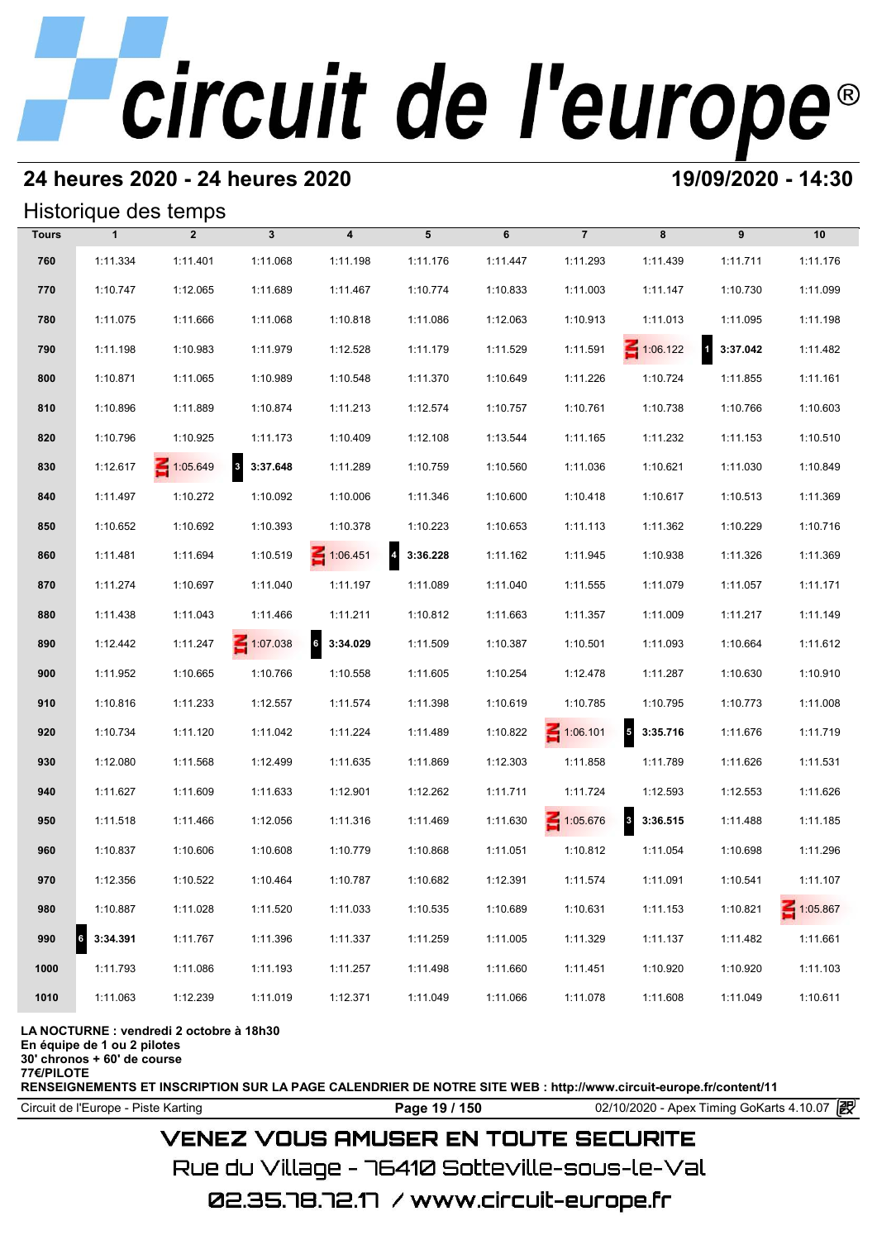## **24 heures 2020 - 24 heures 2020 19/09/2020 - 14:30**

## Historique des temps

|              |              | Historique des temps |                 |                             |          |          |                 |                                     |                          |          |
|--------------|--------------|----------------------|-----------------|-----------------------------|----------|----------|-----------------|-------------------------------------|--------------------------|----------|
| <b>Tours</b> | $\mathbf{1}$ | $\overline{2}$       | $\mathbf{3}$    | $\overline{\mathbf{4}}$     | 5        | 6        | $\overline{7}$  | 8                                   | 9                        | 10       |
| 760          | 1:11.334     | 1:11.401             | 1:11.068        | 1:11.198                    | 1:11.176 | 1:11.447 | 1:11.293        | 1:11.439                            | 1:11.711                 | 1:11.176 |
| 770          | 1:10.747     | 1:12.065             | 1:11.689        | 1:11.467                    | 1:10.774 | 1:10.833 | 1:11.003        | 1:11.147                            | 1:10.730                 | 1:11.099 |
| 780          | 1:11.075     | 1:11.666             | 1:11.068        | 1:10.818                    | 1:11.086 | 1:12.063 | 1:10.913        | 1:11.013                            | 1:11.095                 | 1:11.198 |
| 790          | 1:11.198     | 1:10.983             | 1:11.979        | 1:12.528                    | 1:11.179 | 1:11.529 | 1:11.591        | $\leq 1:06.122$                     | $\mathbf{1}$<br>3:37.042 | 1:11.482 |
| 800          | 1:10.871     | 1:11.065             | 1:10.989        | 1:10.548                    | 1:11.370 | 1:10.649 | 1:11.226        | 1:10.724                            | 1:11.855                 | 1:11.161 |
| 810          | 1:10.896     | 1:11.889             | 1:10.874        | 1:11.213                    | 1:12.574 | 1:10.757 | 1:10.761        | 1:10.738                            | 1:10.766                 | 1:10.603 |
| 820          | 1:10.796     | 1:10.925             | 1:11.173        | 1:10.409                    | 1:12.108 | 1:13.544 | 1:11.165        | 1:11.232                            | 1:11.153                 | 1:10.510 |
| 830          | 1:12.617     | $\leq 1:05.649$      | 3 3:37.648      | 1:11.289                    | 1:10.759 | 1:10.560 | 1:11.036        | 1:10.621                            | 1:11.030                 | 1:10.849 |
| 840          | 1:11.497     | 1:10.272             | 1:10.092        | 1:10.006                    | 1:11.346 | 1:10.600 | 1:10.418        | 1:10.617                            | 1:10.513                 | 1:11.369 |
| 850          | 1:10.652     | 1:10.692             | 1:10.393        | 1:10.378                    | 1:10.223 | 1:10.653 | 1:11.113        | 1:11.362                            | 1:10.229                 | 1:10.716 |
| 860          | 1:11.481     | 1:11.694             | 1:10.519        | $\leq 1:06.451$             | 3:36.228 | 1:11.162 | 1:11.945        | 1:10.938                            | 1:11.326                 | 1:11.369 |
| 870          | 1:11.274     | 1:10.697             | 1:11.040        | 1:11.197                    | 1:11.089 | 1:11.040 | 1:11.555        | 1:11.079                            | 1:11.057                 | 1:11.171 |
| 880          | 1:11.438     | 1:11.043             | 1:11.466        | 1:11.211                    | 1:10.812 | 1:11.663 | 1:11.357        | 1:11.009                            | 1:11.217                 | 1:11.149 |
| 890          | 1:12.442     | 1:11.247             | $\leq 1:07.038$ | $6\overline{6}$<br>3:34.029 | 1:11.509 | 1:10.387 | 1:10.501        | 1:11.093                            | 1:10.664                 | 1:11.612 |
| 900          | 1:11.952     | 1:10.665             | 1:10.766        | 1:10.558                    | 1:11.605 | 1:10.254 | 1:12.478        | 1:11.287                            | 1:10.630                 | 1:10.910 |
| 910          | 1:10.816     | 1:11.233             | 1:12.557        | 1:11.574                    | 1:11.398 | 1:10.619 | 1:10.785        | 1:10.795                            | 1:10.773                 | 1:11.008 |
| 920          | 1:10.734     | 1:11.120             | 1:11.042        | 1:11.224                    | 1:11.489 | 1:10.822 | $\leq 1:06.101$ | $\overline{5}$<br>3:35.716          | 1:11.676                 | 1:11.719 |
| 930          | 1:12.080     | 1:11.568             | 1:12.499        | 1:11.635                    | 1:11.869 | 1:12.303 | 1:11.858        | 1:11.789                            | 1:11.626                 | 1:11.531 |
| 940          | 1:11.627     | 1:11.609             | 1:11.633        | 1:12.901                    | 1:12.262 | 1:11.711 | 1:11.724        | 1:12.593                            | 1:12.553                 | 1:11.626 |
| 950          | 1:11.518     | 1:11.466             | 1:12.056        | 1:11.316                    | 1:11.469 | 1:11.630 | 1:05.676        | $\overline{\mathbf{3}}$<br>3:36.515 | 1:11.488                 | 1:11.185 |
| 960          | 1:10.837     | 1:10.606             | 1:10.608        | 1:10.779                    | 1:10.868 | 1:11.051 | 1:10.812        | 1:11.054                            | 1:10.698                 | 1:11.296 |
| 970          | 1:12.356     | 1:10.522             | 1:10.464        | 1:10.787                    | 1:10.682 | 1:12.391 | 1:11.574        | 1:11.091                            | 1:10.541                 | 1:11.107 |
| 980          | 1:10.887     | 1:11.028             | 1:11.520        | 1:11.033                    | 1:10.535 | 1:10.689 | 1:10.631        | 1:11.153                            | 1:10.821                 | 1:05.867 |
| 990          | 3:34.391     | 1:11.767             | 1:11.396        | 1:11.337                    | 1:11.259 | 1:11.005 | 1:11.329        | 1:11.137                            | 1:11.482                 | 1:11.661 |
| 1000         | 1:11.793     | 1:11.086             | 1:11.193        | 1:11.257                    | 1:11.498 | 1:11.660 | 1:11.451        | 1:10.920                            | 1:10.920                 | 1:11.103 |
| 1010         | 1:11.063     | 1:12.239             | 1:11.019        | 1:12.371                    | 1:11.049 | 1:11.066 | 1:11.078        | 1:11.608                            | 1:11.049                 | 1:10.611 |

### **LA NOCTURNE : vendredi 2 octobre à 18h30**

**En équipe de 1 ou 2 pilotes**

**30' chronos + 60' de course**

**77€/PILOTE**

**RENSEIGNEMENTS ET INSCRIPTION SUR LA PAGE CALENDRIER DE NOTRE SITE WEB : http://www.circuit-europe.fr/content/11**

Circuit de l'Europe - Piste Karting **Page 19 / 150 Page 19 / 150** 02/10/2020 - Apex Timing GoKarts 4.10.07

## **VENEZ VOUS AMUSER EN TOUTE SECURITE**

Rue du Village – 76410 Sotteville-sous-le-Val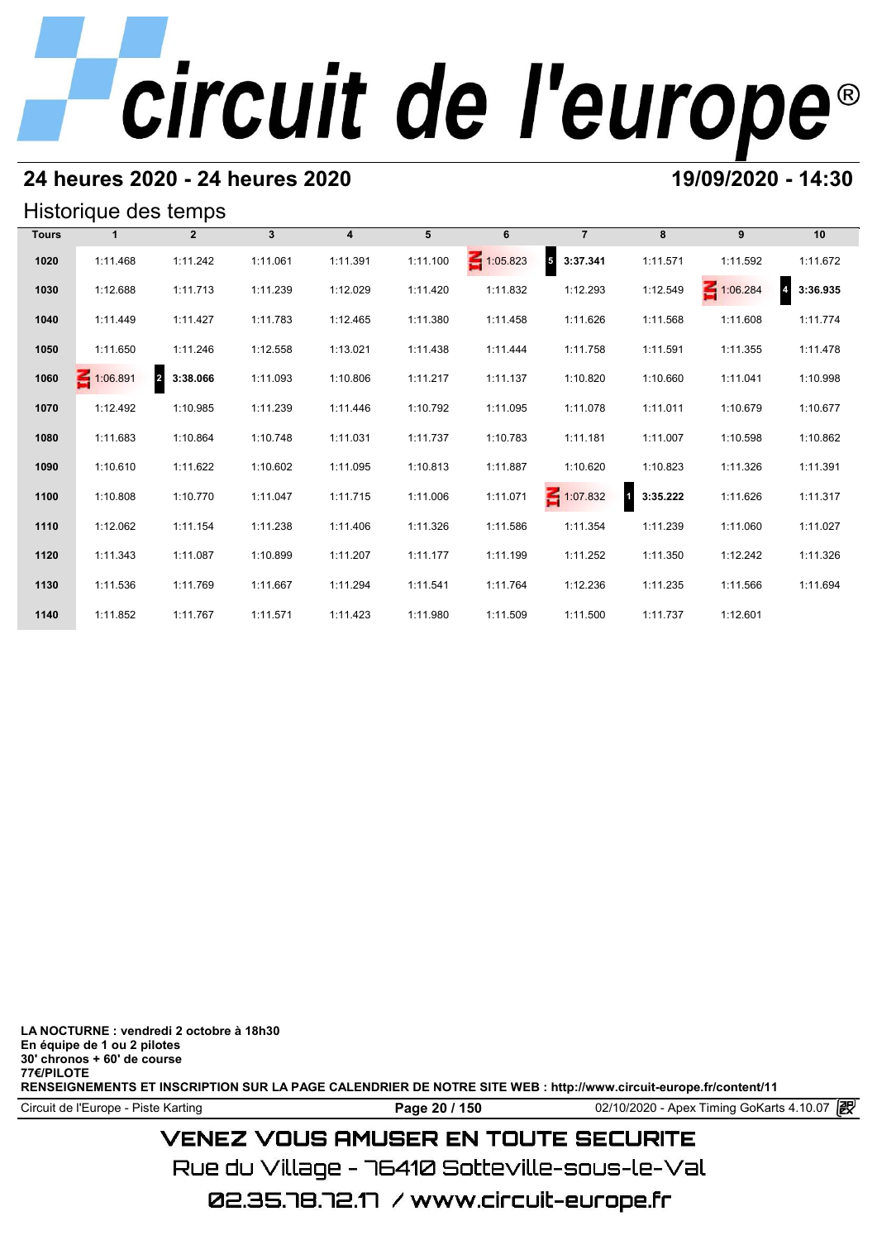## **24 heures 2020 - 24 heures 2020 19/09/2020 - 14:30**

## Historique des temps

| Historique des temps |          |                            |              |                         |          |                 |                                      |               |          |          |  |  |
|----------------------|----------|----------------------------|--------------|-------------------------|----------|-----------------|--------------------------------------|---------------|----------|----------|--|--|
| <b>Tours</b>         |          | $\overline{2}$             | $\mathbf{3}$ | $\overline{\mathbf{4}}$ | 5        | 6               | $\overline{7}$                       | 8             | 9        | 10       |  |  |
| 1020                 | 1:11.468 | 1:11.242                   | 1:11.061     | 1:11.391                | 1:11.100 | $\leq 1:05.823$ | $\overline{\phantom{a}}$<br>3:37.341 | 1:11.571      | 1:11.592 | 1:11.672 |  |  |
| 1030                 | 1:12.688 | 1:11.713                   | 1:11.239     | 1:12.029                | 1:11.420 | 1:11.832        | 1:12.293                             | 1:12.549      | 1:06.284 | 3:36.935 |  |  |
| 1040                 | 1:11.449 | 1:11.427                   | 1:11.783     | 1:12.465                | 1:11.380 | 1:11.458        | 1:11.626                             | 1:11.568      | 1:11.608 | 1:11.774 |  |  |
| 1050                 | 1:11.650 | 1:11.246                   | 1:12.558     | 1:13.021                | 1:11.438 | 1:11.444        | 1:11.758                             | 1:11.591      | 1:11.355 | 1:11.478 |  |  |
| 1060                 | 1:06.891 | $\overline{a}$<br>3:38.066 | 1:11.093     | 1:10.806                | 1:11.217 | 1:11.137        | 1:10.820                             | 1:10.660      | 1:11.041 | 1:10.998 |  |  |
| 1070                 | 1:12.492 | 1:10.985                   | 1:11.239     | 1:11.446                | 1:10.792 | 1:11.095        | 1:11.078                             | 1:11.011      | 1:10.679 | 1:10.677 |  |  |
| 1080                 | 1:11.683 | 1:10.864                   | 1:10.748     | 1:11.031                | 1:11.737 | 1:10.783        | 1:11.181                             | 1:11.007      | 1:10.598 | 1:10.862 |  |  |
| 1090                 | 1:10.610 | 1:11.622                   | 1:10.602     | 1:11.095                | 1:10.813 | 1:11.887        | 1:10.620                             | 1:10.823      | 1:11.326 | 1:11.391 |  |  |
| 1100                 | 1:10.808 | 1:10.770                   | 1:11.047     | 1:11.715                | 1:11.006 | 1:11.071        | 1:07.832                             | И<br>3:35.222 | 1:11.626 | 1:11.317 |  |  |
| 1110                 | 1:12.062 | 1:11.154                   | 1:11.238     | 1:11.406                | 1:11.326 | 1:11.586        | 1:11.354                             | 1:11.239      | 1:11.060 | 1:11.027 |  |  |
| 1120                 | 1:11.343 | 1:11.087                   | 1:10.899     | 1:11.207                | 1:11.177 | 1:11.199        | 1:11.252                             | 1:11.350      | 1:12.242 | 1:11.326 |  |  |
| 1130                 | 1:11.536 | 1:11.769                   | 1:11.667     | 1:11.294                | 1:11.541 | 1:11.764        | 1:12.236                             | 1:11.235      | 1:11.566 | 1:11.694 |  |  |
| 1140                 | 1:11.852 | 1:11.767                   | 1:11.571     | 1:11.423                | 1:11.980 | 1:11.509        | 1:11.500                             | 1:11.737      | 1:12.601 |          |  |  |

**LA NOCTURNE : vendredi 2 octobre à 18h30 En équipe de 1 ou 2 pilotes 30' chronos + 60' de course 77€/PILOTE RENSEIGNEMENTS ET INSCRIPTION SUR LA PAGE CALENDRIER DE NOTRE SITE WEB : http://www.circuit-europe.fr/content/11**

Circuit de l'Europe - Piste Karting **Page 20 / 150 Page 20 / 150** 02/10/2020 - Apex Timing GoKarts 4.10.07

## **VENEZ VOUS AMUSER EN TOUTE SECURITE**

Rue du Village – 76410 Sotteville-sous-le-Val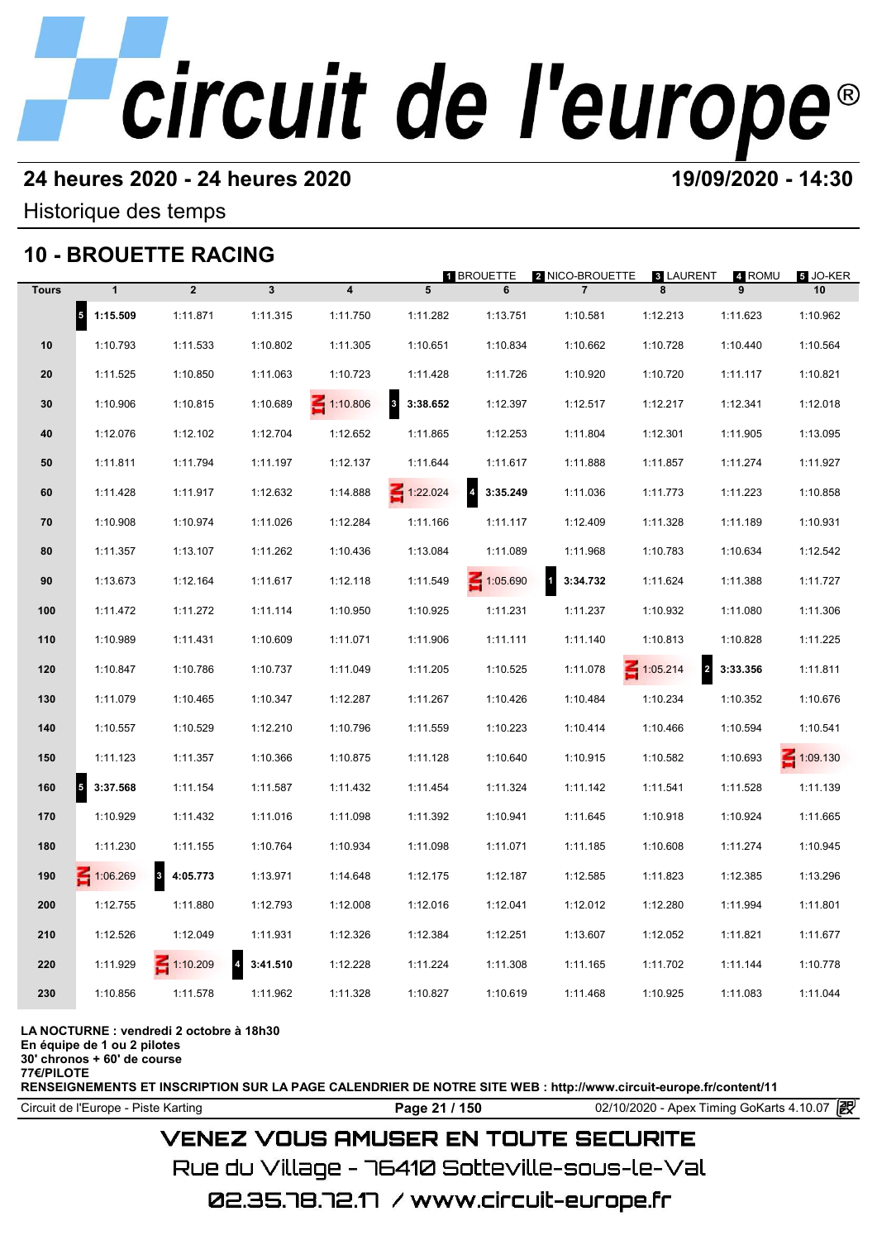## **24 heures 2020 - 24 heures 2020 19/09/2020 - 14:30**

Historique des temps

## **10 - BROUETTE RACING**

|              |                                  | 10 - BROUETTE RACING         |                            |                         |                                     | 1 BROUETTE                 | 2 NICO-BROUETTE | <b>8 LAURENT</b>                  | 4 ROMU   | 5 JO-KER        |
|--------------|----------------------------------|------------------------------|----------------------------|-------------------------|-------------------------------------|----------------------------|-----------------|-----------------------------------|----------|-----------------|
| <b>Tours</b> | $\mathbf{1}$                     | $\overline{2}$               | $\mathbf{3}$               | $\overline{\mathbf{4}}$ | 5                                   | 6                          | $\overline{7}$  | 8                                 | 9        | 10              |
|              | $\vert$ <sub>5</sub><br>1:15.509 | 1:11.871                     | 1:11.315                   | 1:11.750                | 1:11.282                            | 1:13.751                   | 1:10.581        | 1:12.213                          | 1:11.623 | 1:10.962        |
| 10           | 1:10.793                         | 1:11.533                     | 1:10.802                   | 1:11.305                | 1:10.651                            | 1:10.834                   | 1:10.662        | 1:10.728                          | 1:10.440 | 1:10.564        |
| 20           | 1:11.525                         | 1:10.850                     | 1:11.063                   | 1:10.723                | 1:11.428                            | 1:11.726                   | 1:10.920        | 1:10.720                          | 1:11.117 | 1:10.821        |
| 30           | 1:10.906                         | 1:10.815                     | 1:10.689                   | $\leq 1:10.806$         | $\overline{\mathbf{3}}$<br>3:38.652 | 1:12.397                   | 1:12.517        | 1:12.217                          | 1:12.341 | 1:12.018        |
| 40           | 1:12.076                         | 1:12.102                     | 1:12.704                   | 1:12.652                | 1:11.865                            | 1:12.253                   | 1:11.804        | 1:12.301                          | 1:11.905 | 1:13.095        |
| 50           | 1:11.811                         | 1:11.794                     | 1:11.197                   | 1:12.137                | 1:11.644                            | 1:11.617                   | 1:11.888        | 1:11.857                          | 1:11.274 | 1:11.927        |
| 60           | 1:11.428                         | 1:11.917                     | 1:12.632                   | 1:14.888                | $\leq 1:22.024$                     | $\overline{4}$<br>3:35.249 | 1:11.036        | 1:11.773                          | 1:11.223 | 1:10.858        |
| 70           | 1:10.908                         | 1:10.974                     | 1:11.026                   | 1:12.284                | 1:11.166                            | 1:11.117                   | 1:12.409        | 1:11.328                          | 1:11.189 | 1:10.931        |
| 80           | 1:11.357                         | 1:13.107                     | 1:11.262                   | 1:10.436                | 1:13.084                            | 1:11.089                   | 1:11.968        | 1:10.783                          | 1:10.634 | 1:12.542        |
| 90           | 1:13.673                         | 1:12.164                     | 1:11.617                   | 1:12.118                | 1:11.549                            | $\leq 1:05.690$            | П<br>3:34.732   | 1:11.624                          | 1:11.388 | 1:11.727        |
| 100          | 1:11.472                         | 1:11.272                     | 1:11.114                   | 1:10.950                | 1:10.925                            | 1:11.231                   | 1:11.237        | 1:10.932                          | 1:11.080 | 1:11.306        |
| 110          | 1:10.989                         | 1:11.431                     | 1:10.609                   | 1:11.071                | 1:11.906                            | 1:11.111                   | 1:11.140        | 1:10.813                          | 1:10.828 | 1:11.225        |
| 120          | 1:10.847                         | 1:10.786                     | 1:10.737                   | 1:11.049                | 1:11.205                            | 1:10.525                   | 1:11.078        | $\leq 1:05.214$<br>$\overline{a}$ | 3:33.356 | 1:11.811        |
| 130          | 1:11.079                         | 1:10.465                     | 1:10.347                   | 1:12.287                | 1:11.267                            | 1:10.426                   | 1:10.484        | 1:10.234                          | 1:10.352 | 1:10.676        |
| 140          | 1:10.557                         | 1:10.529                     | 1:12.210                   | 1:10.796                | 1:11.559                            | 1:10.223                   | 1:10.414        | 1:10.466                          | 1:10.594 | 1:10.541        |
| 150          | 1:11.123                         | 1:11.357                     | 1:10.366                   | 1:10.875                | 1:11.128                            | 1:10.640                   | 1:10.915        | 1:10.582                          | 1:10.693 | $\leq 1:09.130$ |
| 160          | 5<br>3:37.568                    | 1:11.154                     | 1:11.587                   | 1:11.432                | 1:11.454                            | 1:11.324                   | 1:11.142        | 1:11.541                          | 1:11.528 | 1:11.139        |
| 170          | 1:10.929                         | 1:11.432                     | 1:11.016                   | 1:11.098                | 1:11.392                            | 1:10.941                   | 1:11.645        | 1:10.918                          | 1:10.924 | 1:11.665        |
| 180          | 1:11.230                         | 1:11.155                     | 1:10.764                   | 1:10.934                | 1:11.098                            | 1:11.071                   | 1:11.185        | 1:10.608                          | 1:11.274 | 1:10.945        |
| 190          | $\leq 1:06.269$                  | $\boldsymbol{3}$<br>4:05.773 | 1:13.971                   | 1:14.648                | 1:12.175                            | 1:12.187                   | 1:12.585        | 1:11.823                          | 1:12.385 | 1:13.296        |
| 200          | 1:12.755                         | 1:11.880                     | 1:12.793                   | 1:12.008                | 1:12.016                            | 1:12.041                   | 1:12.012        | 1:12.280                          | 1:11.994 | 1:11.801        |
| 210          | 1:12.526                         | 1:12.049                     | 1:11.931                   | 1:12.326                | 1:12.384                            | 1:12.251                   | 1:13.607        | 1:12.052                          | 1:11.821 | 1:11.677        |
| 220          | 1:11.929                         | $\leq 1:10.209$              | $\overline{4}$<br>3:41.510 | 1:12.228                | 1:11.224                            | 1:11.308                   | 1:11.165        | 1:11.702                          | 1:11.144 | 1:10.778        |
| 230          | 1:10.856                         | 1:11.578                     | 1:11.962                   | 1:11.328                | 1:10.827                            | 1:10.619                   | 1:11.468        | 1:10.925                          | 1:11.083 | 1:11.044        |
|              |                                  |                              |                            |                         |                                     |                            |                 |                                   |          |                 |

### **LA NOCTURNE : vendredi 2 octobre à 18h30**

**En équipe de 1 ou 2 pilotes**

**30' chronos + 60' de course 77€/PILOTE**

**RENSEIGNEMENTS ET INSCRIPTION SUR LA PAGE CALENDRIER DE NOTRE SITE WEB : http://www.circuit-europe.fr/content/11**

Circuit de l'Europe - Piste Karting **Page 21 / 150 Page 21 / 150** 02/10/2020 - Apex Timing GoKarts 4.10.07

## **VENEZ VOUS AMUSER EN TOUTE SECURITE**

Rue du Village – 76410 Sotteville-sous-le-Val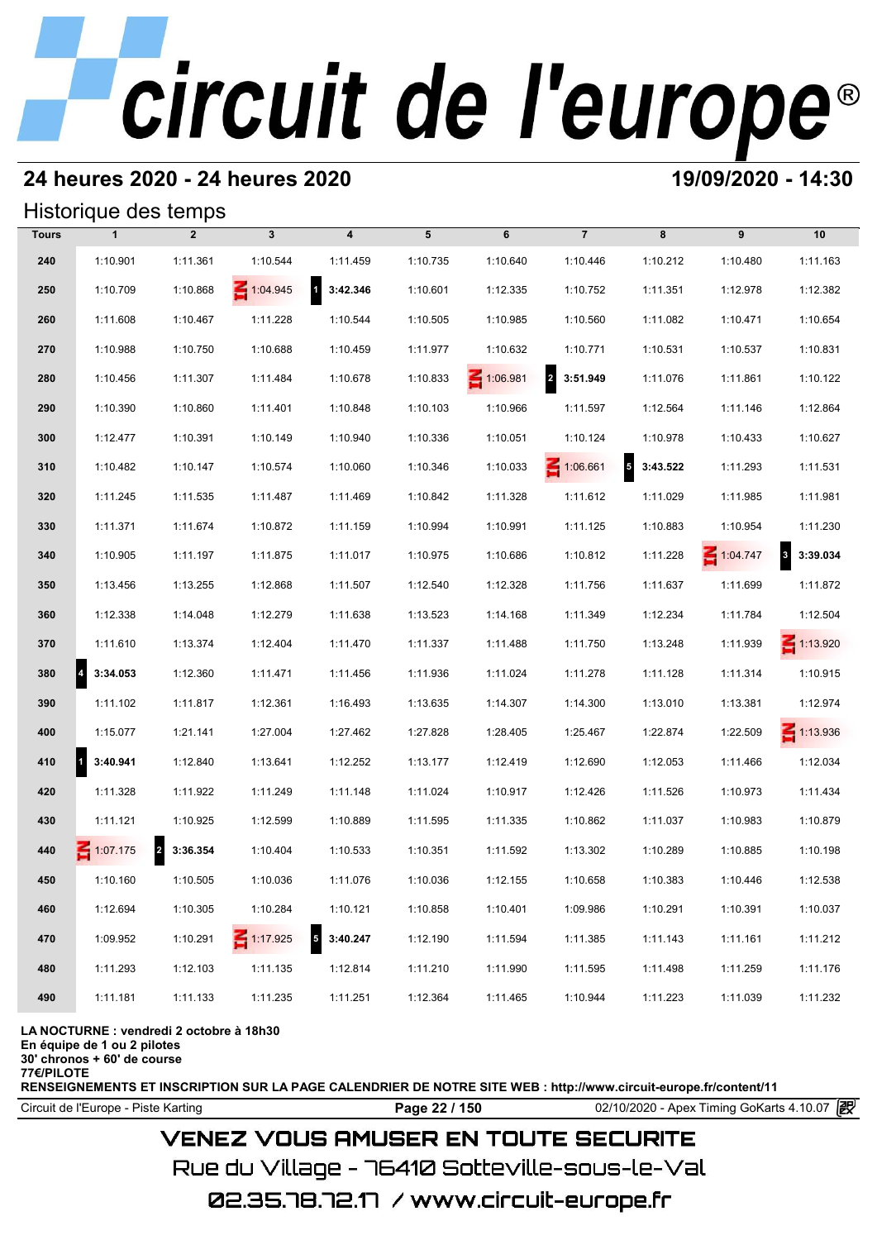## **24 heures 2020 - 24 heures 2020 19/09/2020 - 14:30**

## Historique des temps

|              | Historique des temps |                                     |                 |                                     |          |                 |                            |                                      |                 |                                     |
|--------------|----------------------|-------------------------------------|-----------------|-------------------------------------|----------|-----------------|----------------------------|--------------------------------------|-----------------|-------------------------------------|
| <b>Tours</b> | $\mathbf{1}$         | $\overline{2}$                      | $\mathbf{3}$    | 4                                   | 5        | 6               | $\overline{7}$             | 8                                    | 9               | 10                                  |
| 240          | 1:10.901             | 1:11.361                            | 1:10.544        | 1:11.459                            | 1:10.735 | 1:10.640        | 1:10.446                   | 1:10.212                             | 1:10.480        | 1:11.163                            |
| 250          | 1:10.709             | 1:10.868                            | $\leq 1:04.945$ | $\overline{1}$<br>3:42.346          | 1:10.601 | 1:12.335        | 1:10.752                   | 1:11.351                             | 1:12.978        | 1:12.382                            |
| 260          | 1:11.608             | 1:10.467                            | 1:11.228        | 1:10.544                            | 1:10.505 | 1:10.985        | 1:10.560                   | 1:11.082                             | 1:10.471        | 1:10.654                            |
| 270          | 1:10.988             | 1:10.750                            | 1:10.688        | 1:10.459                            | 1:11.977 | 1:10.632        | 1:10.771                   | 1:10.531                             | 1:10.537        | 1:10.831                            |
| 280          | 1:10.456             | 1:11.307                            | 1:11.484        | 1:10.678                            | 1:10.833 | $\leq 1:06.981$ | $\overline{a}$<br>3:51.949 | 1:11.076                             | 1:11.861        | 1:10.122                            |
| 290          | 1:10.390             | 1:10.860                            | 1:11.401        | 1:10.848                            | 1:10.103 | 1:10.966        | 1:11.597                   | 1:12.564                             | 1:11.146        | 1:12.864                            |
| 300          | 1:12.477             | 1:10.391                            | 1:10.149        | 1:10.940                            | 1:10.336 | 1:10.051        | 1:10.124                   | 1:10.978                             | 1:10.433        | 1:10.627                            |
| 310          | 1:10.482             | 1:10.147                            | 1:10.574        | 1:10.060                            | 1:10.346 | 1:10.033        | $\leq 1:06.661$            | $\overline{\phantom{a}}$<br>3:43.522 | 1:11.293        | 1:11.531                            |
| 320          | 1:11.245             | 1:11.535                            | 1:11.487        | 1:11.469                            | 1:10.842 | 1:11.328        | 1:11.612                   | 1:11.029                             | 1:11.985        | 1:11.981                            |
| 330          | 1:11.371             | 1:11.674                            | 1:10.872        | 1:11.159                            | 1:10.994 | 1:10.991        | 1:11.125                   | 1:10.883                             | 1:10.954        | 1:11.230                            |
| 340          | 1:10.905             | 1:11.197                            | 1:11.875        | 1:11.017                            | 1:10.975 | 1:10.686        | 1:10.812                   | 1:11.228                             | $\leq 1:04.747$ | $\overline{\mathbf{3}}$<br>3:39.034 |
| 350          | 1:13.456             | 1:13.255                            | 1:12.868        | 1:11.507                            | 1:12.540 | 1:12.328        | 1:11.756                   | 1:11.637                             | 1:11.699        | 1:11.872                            |
| 360          | 1:12.338             | 1:14.048                            | 1:12.279        | 1:11.638                            | 1:13.523 | 1:14.168        | 1:11.349                   | 1:12.234                             | 1:11.784        | 1:12.504                            |
| 370          | 1:11.610             | 1:13.374                            | 1:12.404        | 1:11.470                            | 1:11.337 | 1:11.488        | 1:11.750                   | 1:13.248                             | 1:11.939        | $\leq 1:13.920$                     |
| 380          | 4<br>3:34.053        | 1:12.360                            | 1:11.471        | 1:11.456                            | 1:11.936 | 1:11.024        | 1:11.278                   | 1:11.128                             | 1:11.314        | 1:10.915                            |
| 390          | 1:11.102             | 1:11.817                            | 1:12.361        | 1:16.493                            | 1:13.635 | 1:14.307        | 1:14.300                   | 1:13.010                             | 1:13.381        | 1:12.974                            |
| 400          | 1:15.077             | 1:21.141                            | 1:27.004        | 1:27.462                            | 1:27.828 | 1:28.405        | 1:25.467                   | 1:22.874                             | 1:22.509        | $\leq 1:13.936$                     |
| 410          | 1<br>3:40.941        | 1:12.840                            | 1:13.641        | 1:12.252                            | 1:13.177 | 1:12.419        | 1:12.690                   | 1:12.053                             | 1:11.466        | 1:12.034                            |
| 420          | 1:11.328             | 1:11.922                            | 1:11.249        | 1:11.148                            | 1:11.024 | 1:10.917        | 1:12.426                   | 1:11.526                             | 1:10.973        | 1:11.434                            |
| 430          | 1:11.121             | 1:10.925                            | 1:12.599        | 1:10.889                            | 1:11.595 | 1:11.335        | 1:10.862                   | 1:11.037                             | 1:10.983        | 1:10.879                            |
| 440          | $\leq 1:07.175$      | $\overline{\mathbf{2}}$<br>3:36.354 | 1:10.404        | 1:10.533                            | 1:10.351 | 1:11.592        | 1:13.302                   | 1:10.289                             | 1:10.885        | 1:10.198                            |
| 450          | 1:10.160             | 1:10.505                            | 1:10.036        | 1:11.076                            | 1:10.036 | 1:12.155        | 1:10.658                   | 1:10.383                             | 1:10.446        | 1:12.538                            |
| 460          | 1:12.694             | 1:10.305                            | 1:10.284        | 1:10.121                            | 1:10.858 | 1:10.401        | 1:09.986                   | 1:10.291                             | 1:10.391        | 1:10.037                            |
| 470          | 1:09.952             | 1:10.291                            | $\leq 1:17.925$ | $\overline{\mathbf{5}}$<br>3:40.247 | 1:12.190 | 1:11.594        | 1:11.385                   | 1:11.143                             | 1:11.161        | 1:11.212                            |
| 480          | 1:11.293             | 1:12.103                            | 1:11.135        | 1:12.814                            | 1:11.210 | 1:11.990        | 1:11.595                   | 1:11.498                             | 1:11.259        | 1:11.176                            |
| 490          | 1:11.181             | 1:11.133                            | 1:11.235        | 1:11.251                            | 1:12.364 | 1:11.465        | 1:10.944                   | 1:11.223                             | 1:11.039        | 1:11.232                            |

### **LA NOCTURNE : vendredi 2 octobre à 18h30**

**En équipe de 1 ou 2 pilotes**

**30' chronos + 60' de course**

**77€/PILOTE**

**RENSEIGNEMENTS ET INSCRIPTION SUR LA PAGE CALENDRIER DE NOTRE SITE WEB : http://www.circuit-europe.fr/content/11**

**Page 22 / 150** 02/10/2020 - Apex Timing GoKarts 4.10.07 **P** 

## **VENEZ VOUS AMUSER EN TOUTE SECURITE**

Rue du Village – 76410 Sotteville-sous-le-Val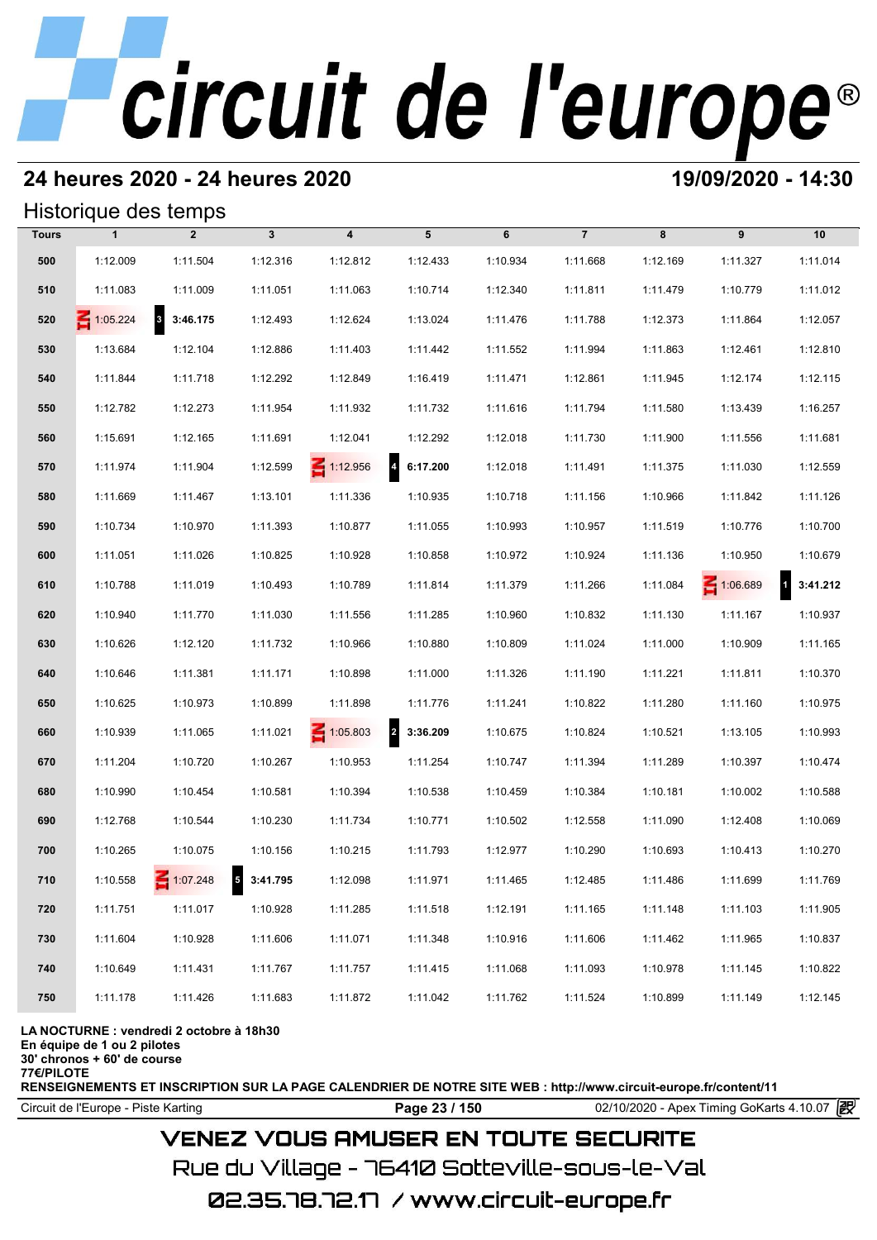## **24 heures 2020 - 24 heures 2020 19/09/2020 - 14:30**

### Historique des temps

|              |              | Historique des temps             |              |                         |                            |          |                |          |          |                          |
|--------------|--------------|----------------------------------|--------------|-------------------------|----------------------------|----------|----------------|----------|----------|--------------------------|
| <b>Tours</b> | $\mathbf{1}$ | $\overline{2}$                   | $\mathbf{3}$ | $\overline{\mathbf{4}}$ | 5                          | 6        | $\overline{7}$ | 8        | 9        | 10                       |
| 500          | 1:12.009     | 1:11.504                         | 1:12.316     | 1:12.812                | 1:12.433                   | 1:10.934 | 1:11.668       | 1:12.169 | 1:11.327 | 1:11.014                 |
| 510          | 1:11.083     | 1:11.009                         | 1:11.051     | 1:11.063                | 1:10.714                   | 1:12.340 | 1:11.811       | 1:11.479 | 1:10.779 | 1:11.012                 |
| 520          | 1:05.224     | $\vert$ <sub>3</sub><br>3:46.175 | 1:12.493     | 1:12.624                | 1:13.024                   | 1:11.476 | 1:11.788       | 1:12.373 | 1:11.864 | 1:12.057                 |
| 530          | 1:13.684     | 1:12.104                         | 1:12.886     | 1:11.403                | 1:11.442                   | 1:11.552 | 1:11.994       | 1:11.863 | 1:12.461 | 1:12.810                 |
| 540          | 1:11.844     | 1:11.718                         | 1:12.292     | 1:12.849                | 1:16.419                   | 1:11.471 | 1:12.861       | 1:11.945 | 1:12.174 | 1:12.115                 |
| 550          | 1:12.782     | 1:12.273                         | 1:11.954     | 1:11.932                | 1:11.732                   | 1:11.616 | 1:11.794       | 1:11.580 | 1:13.439 | 1:16.257                 |
| 560          | 1:15.691     | 1:12.165                         | 1:11.691     | 1:12.041                | 1:12.292                   | 1:12.018 | 1:11.730       | 1:11.900 | 1:11.556 | 1:11.681                 |
| 570          | 1:11.974     | 1:11.904                         | 1:12.599     | $\leq 1:12.956$         | $\overline{a}$<br>6:17.200 | 1:12.018 | 1:11.491       | 1:11.375 | 1:11.030 | 1:12.559                 |
| 580          | 1:11.669     | 1:11.467                         | 1:13.101     | 1:11.336                | 1:10.935                   | 1:10.718 | 1:11.156       | 1:10.966 | 1:11.842 | 1:11.126                 |
| 590          | 1:10.734     | 1:10.970                         | 1:11.393     | 1:10.877                | 1:11.055                   | 1:10.993 | 1:10.957       | 1:11.519 | 1:10.776 | 1:10.700                 |
| 600          | 1:11.051     | 1:11.026                         | 1:10.825     | 1:10.928                | 1:10.858                   | 1:10.972 | 1:10.924       | 1:11.136 | 1:10.950 | 1:10.679                 |
| 610          | 1:10.788     | 1:11.019                         | 1:10.493     | 1:10.789                | 1:11.814                   | 1:11.379 | 1:11.266       | 1:11.084 | 1:06.689 | $\mathbf{1}$<br>3:41.212 |
| 620          | 1:10.940     | 1:11.770                         | 1:11.030     | 1:11.556                | 1:11.285                   | 1:10.960 | 1:10.832       | 1:11.130 | 1:11.167 | 1:10.937                 |
| 630          | 1:10.626     | 1:12.120                         | 1:11.732     | 1:10.966                | 1:10.880                   | 1:10.809 | 1:11.024       | 1:11.000 | 1:10.909 | 1:11.165                 |
| 640          | 1:10.646     | 1:11.381                         | 1:11.171     | 1:10.898                | 1:11.000                   | 1:11.326 | 1:11.190       | 1:11.221 | 1:11.811 | 1:10.370                 |
| 650          | 1:10.625     | 1:10.973                         | 1:10.899     | 1:11.898                | 1:11.776                   | 1:11.241 | 1:10.822       | 1:11.280 | 1:11.160 | 1:10.975                 |
| 660          | 1:10.939     | 1:11.065                         | 1:11.021     | $\leq 1:05.803$         | $\overline{a}$<br>3:36.209 | 1:10.675 | 1:10.824       | 1:10.521 | 1:13.105 | 1:10.993                 |
| 670          | 1:11.204     | 1:10.720                         | 1:10.267     | 1:10.953                | 1:11.254                   | 1:10.747 | 1:11.394       | 1:11.289 | 1:10.397 | 1:10.474                 |
| 680          | 1:10.990     | 1:10.454                         | 1:10.581     | 1:10.394                | 1:10.538                   | 1:10.459 | 1:10.384       | 1:10.181 | 1:10.002 | 1:10.588                 |
| 690          | 1:12.768     | 1:10.544                         | 1:10.230     | 1:11.734                | 1:10.771                   | 1:10.502 | 1:12.558       | 1:11.090 | 1:12.408 | 1:10.069                 |
| 700          | 1:10.265     | 1:10.075                         | 1:10.156     | 1:10.215                | 1:11.793                   | 1:12.977 | 1:10.290       | 1:10.693 | 1:10.413 | 1:10.270                 |
| 710          | 1:10.558     | 1:07.248                         | $5$ 3:41.795 | 1:12.098                | 1:11.971                   | 1:11.465 | 1:12.485       | 1:11.486 | 1:11.699 | 1:11.769                 |
| 720          | 1:11.751     | 1:11.017                         | 1:10.928     | 1:11.285                | 1:11.518                   | 1:12.191 | 1:11.165       | 1:11.148 | 1:11.103 | 1:11.905                 |
| 730          | 1:11.604     | 1:10.928                         | 1:11.606     | 1:11.071                | 1:11.348                   | 1:10.916 | 1:11.606       | 1:11.462 | 1:11.965 | 1:10.837                 |
| 740          | 1:10.649     | 1:11.431                         | 1:11.767     | 1:11.757                | 1:11.415                   | 1:11.068 | 1:11.093       | 1:10.978 | 1:11.145 | 1:10.822                 |
| 750          | 1:11.178     | 1:11.426                         | 1:11.683     | 1:11.872                | 1:11.042                   | 1:11.762 | 1:11.524       | 1:10.899 | 1:11.149 | 1:12.145                 |

### **LA NOCTURNE : vendredi 2 octobre à 18h30**

**En équipe de 1 ou 2 pilotes**

**30' chronos + 60' de course**

**77€/PILOTE**

**RENSEIGNEMENTS ET INSCRIPTION SUR LA PAGE CALENDRIER DE NOTRE SITE WEB : http://www.circuit-europe.fr/content/11**

**Page 23 / 150** 02/10/2020 - Apex Timing GoKarts 4.10.07 **P** 

## **VENEZ VOUS AMUSER EN TOUTE SECURITE**

Rue du Village – 76410 Sotteville-sous-le-Val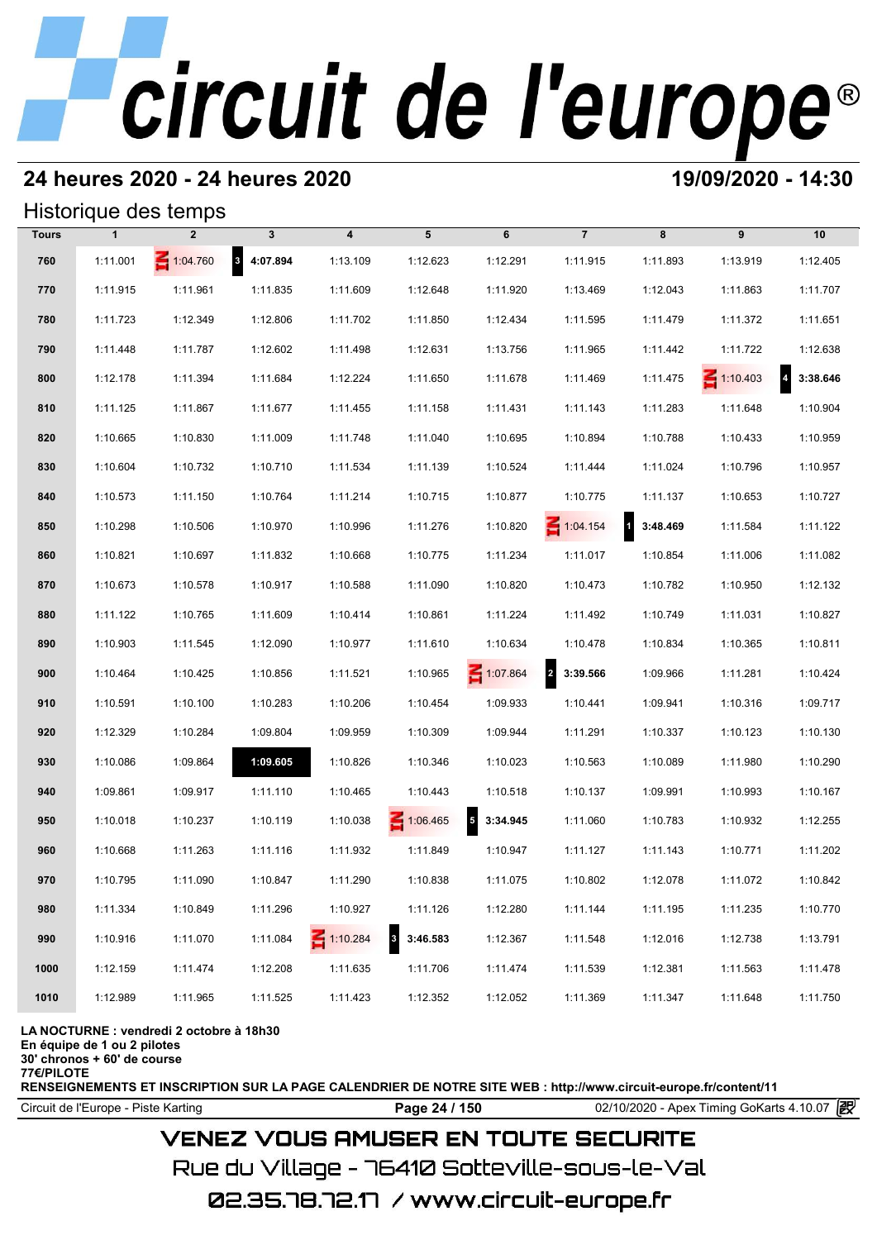## **24 heures 2020 - 24 heures 2020 19/09/2020 - 14:30**

### Historique des temps

|              |              | Historique des temps |              |                         |                            |                                      |                            |            |                 |          |
|--------------|--------------|----------------------|--------------|-------------------------|----------------------------|--------------------------------------|----------------------------|------------|-----------------|----------|
| <b>Tours</b> | $\mathbf{1}$ | $\overline{2}$       | $\mathbf{3}$ | $\overline{\mathbf{4}}$ | 5                          | 6                                    | $\overline{7}$             | 8          | 9               | 10       |
| 760          | 1:11.001     | 1:04.760             | 8 4:07.894   | 1:13.109                | 1:12.623                   | 1:12.291                             | 1:11.915                   | 1:11.893   | 1:13.919        | 1:12.405 |
| 770          | 1:11.915     | 1:11.961             | 1:11.835     | 1:11.609                | 1:12.648                   | 1:11.920                             | 1:13.469                   | 1:12.043   | 1:11.863        | 1:11.707 |
| 780          | 1:11.723     | 1:12.349             | 1:12.806     | 1:11.702                | 1:11.850                   | 1:12.434                             | 1:11.595                   | 1:11.479   | 1:11.372        | 1:11.651 |
| 790          | 1:11.448     | 1:11.787             | 1:12.602     | 1:11.498                | 1:12.631                   | 1:13.756                             | 1:11.965                   | 1:11.442   | 1:11.722        | 1:12.638 |
| 800          | 1:12.178     | 1:11.394             | 1:11.684     | 1:12.224                | 1:11.650                   | 1:11.678                             | 1:11.469                   | 1:11.475   | $\leq 1:10.403$ | 3:38.646 |
| 810          | 1:11.125     | 1:11.867             | 1:11.677     | 1:11.455                | 1:11.158                   | 1:11.431                             | 1:11.143                   | 1:11.283   | 1:11.648        | 1:10.904 |
| 820          | 1:10.665     | 1:10.830             | 1:11.009     | 1:11.748                | 1:11.040                   | 1:10.695                             | 1:10.894                   | 1:10.788   | 1:10.433        | 1:10.959 |
| 830          | 1:10.604     | 1:10.732             | 1:10.710     | 1:11.534                | 1:11.139                   | 1:10.524                             | 1:11.444                   | 1:11.024   | 1:10.796        | 1:10.957 |
| 840          | 1:10.573     | 1:11.150             | 1:10.764     | 1:11.214                | 1:10.715                   | 1:10.877                             | 1:10.775                   | 1:11.137   | 1:10.653        | 1:10.727 |
| 850          | 1:10.298     | 1:10.506             | 1:10.970     | 1:10.996                | 1:11.276                   | 1:10.820                             | $\leq 1:04.154$            | 1 3:48.469 | 1:11.584        | 1:11.122 |
| 860          | 1:10.821     | 1:10.697             | 1:11.832     | 1:10.668                | 1:10.775                   | 1:11.234                             | 1:11.017                   | 1:10.854   | 1:11.006        | 1:11.082 |
| 870          | 1:10.673     | 1:10.578             | 1:10.917     | 1:10.588                | 1:11.090                   | 1:10.820                             | 1:10.473                   | 1:10.782   | 1:10.950        | 1:12.132 |
| 880          | 1:11.122     | 1:10.765             | 1:11.609     | 1:10.414                | 1:10.861                   | 1:11.224                             | 1:11.492                   | 1:10.749   | 1:11.031        | 1:10.827 |
| 890          | 1:10.903     | 1:11.545             | 1:12.090     | 1:10.977                | 1:11.610                   | 1:10.634                             | 1:10.478                   | 1:10.834   | 1:10.365        | 1:10.811 |
| 900          | 1:10.464     | 1:10.425             | 1:10.856     | 1:11.521                | 1:10.965                   | 1:07.864                             | $\overline{a}$<br>3:39.566 | 1:09.966   | 1:11.281        | 1:10.424 |
| 910          | 1:10.591     | 1:10.100             | 1:10.283     | 1:10.206                | 1:10.454                   | 1:09.933                             | 1:10.441                   | 1:09.941   | 1:10.316        | 1:09.717 |
| 920          | 1:12.329     | 1:10.284             | 1:09.804     | 1:09.959                | 1:10.309                   | 1:09.944                             | 1:11.291                   | 1:10.337   | 1:10.123        | 1:10.130 |
| 930          | 1:10.086     | 1:09.864             | 1:09.605     | 1:10.826                | 1:10.346                   | 1:10.023                             | 1:10.563                   | 1:10.089   | 1:11.980        | 1:10.290 |
| 940          | 1:09.861     | 1:09.917             | 1:11.110     | 1:10.465                | 1:10.443                   | 1:10.518                             | 1:10.137                   | 1:09.991   | 1:10.993        | 1:10.167 |
| 950          | 1:10.018     | 1:10.237             | 1:10.119     | 1:10.038                | 1:06.465                   | $\overline{\phantom{a}}$<br>3:34.945 | 1:11.060                   | 1:10.783   | 1:10.932        | 1:12.255 |
| 960          | 1:10.668     | 1:11.263             | 1:11.116     | 1:11.932                | 1:11.849                   | 1:10.947                             | 1:11.127                   | 1:11.143   | 1:10.771        | 1:11.202 |
| 970          | 1:10.795     | 1:11.090             | 1:10.847     | 1:11.290                | 1:10.838                   | 1:11.075                             | 1:10.802                   | 1:12.078   | 1:11.072        | 1:10.842 |
| 980          | 1:11.334     | 1:10.849             | 1:11.296     | 1:10.927                | 1:11.126                   | 1:12.280                             | 1:11.144                   | 1:11.195   | 1:11.235        | 1:10.770 |
| 990          | 1:10.916     | 1:11.070             | 1:11.084     | 1:10.284                | 3:46.583<br>$\overline{3}$ | 1:12.367                             | 1:11.548                   | 1:12.016   | 1:12.738        | 1:13.791 |
| 1000         | 1:12.159     | 1:11.474             | 1:12.208     | 1:11.635                | 1:11.706                   | 1:11.474                             | 1:11.539                   | 1:12.381   | 1:11.563        | 1:11.478 |
| 1010         | 1:12.989     | 1:11.965             | 1:11.525     | 1:11.423                | 1:12.352                   | 1:12.052                             | 1:11.369                   | 1:11.347   | 1:11.648        | 1:11.750 |

### **LA NOCTURNE : vendredi 2 octobre à 18h30**

**En équipe de 1 ou 2 pilotes**

**30' chronos + 60' de course**

**77€/PILOTE**

**RENSEIGNEMENTS ET INSCRIPTION SUR LA PAGE CALENDRIER DE NOTRE SITE WEB : http://www.circuit-europe.fr/content/11**

Circuit de l'Europe - Piste Karting **Page 24 / 150 Page 24 / 150** 02/10/2020 - Apex Timing GoKarts 4.10.07

## **VENEZ VOUS AMUSER EN TOUTE SECURITE**

Rue du Village – 76410 Sotteville-sous-le-Val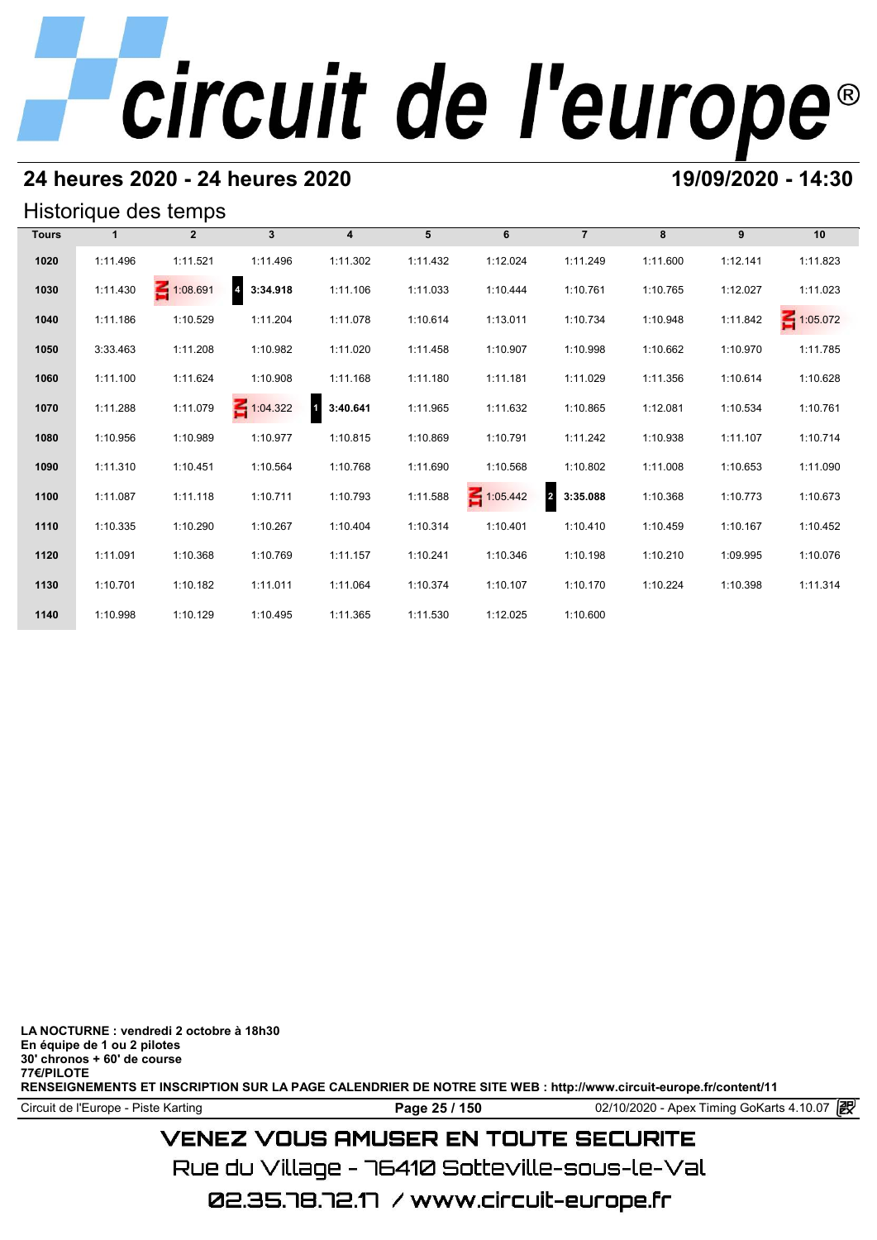## **24 heures 2020 - 24 heures 2020 19/09/2020 - 14:30**

## Historique des temps

|              |              | Historique des temps |                            |                            |          |                 |                            |          |          |                 |
|--------------|--------------|----------------------|----------------------------|----------------------------|----------|-----------------|----------------------------|----------|----------|-----------------|
| <b>Tours</b> | $\mathbf{1}$ | $\overline{2}$       | $\mathbf{3}$               | $\overline{4}$             | 5        | 6               | $\overline{7}$             | 8        | 9        | 10              |
| 1020         | 1:11.496     | 1:11.521             | 1:11.496                   | 1:11.302                   | 1:11.432 | 1:12.024        | 1:11.249                   | 1:11.600 | 1:12.141 | 1:11.823        |
| 1030         | 1:11.430     | 1:08.691             | $\overline{a}$<br>3:34.918 | 1:11.106                   | 1:11.033 | 1:10.444        | 1:10.761                   | 1:10.765 | 1:12.027 | 1:11.023        |
| 1040         | 1:11.186     | 1:10.529             | 1:11.204                   | 1:11.078                   | 1:10.614 | 1:13.011        | 1:10.734                   | 1:10.948 | 1:11.842 | $\leq 1:05.072$ |
| 1050         | 3:33.463     | 1:11.208             | 1:10.982                   | 1:11.020                   | 1:11.458 | 1:10.907        | 1:10.998                   | 1:10.662 | 1:10.970 | 1:11.785        |
| 1060         | 1:11.100     | 1:11.624             | 1:10.908                   | 1:11.168                   | 1:11.180 | 1:11.181        | 1:11.029                   | 1:11.356 | 1:10.614 | 1:10.628        |
| 1070         | 1:11.288     | 1:11.079             | 1:04.322                   | $\blacksquare$<br>3:40.641 | 1:11.965 | 1:11.632        | 1:10.865                   | 1:12.081 | 1:10.534 | 1:10.761        |
| 1080         | 1:10.956     | 1:10.989             | 1:10.977                   | 1:10.815                   | 1:10.869 | 1:10.791        | 1:11.242                   | 1:10.938 | 1:11.107 | 1:10.714        |
| 1090         | 1:11.310     | 1:10.451             | 1:10.564                   | 1:10.768                   | 1:11.690 | 1:10.568        | 1:10.802                   | 1:11.008 | 1:10.653 | 1:11.090        |
| 1100         | 1:11.087     | 1:11.118             | 1:10.711                   | 1:10.793                   | 1:11.588 | $\leq 1:05.442$ | $\overline{2}$<br>3:35.088 | 1:10.368 | 1:10.773 | 1:10.673        |
| 1110         | 1:10.335     | 1:10.290             | 1:10.267                   | 1:10.404                   | 1:10.314 | 1:10.401        | 1:10.410                   | 1:10.459 | 1:10.167 | 1:10.452        |
| 1120         | 1:11.091     | 1:10.368             | 1:10.769                   | 1:11.157                   | 1:10.241 | 1:10.346        | 1:10.198                   | 1:10.210 | 1:09.995 | 1:10.076        |
| 1130         | 1:10.701     | 1:10.182             | 1:11.011                   | 1:11.064                   | 1:10.374 | 1:10.107        | 1:10.170                   | 1:10.224 | 1:10.398 | 1:11.314        |
| 1140         | 1:10.998     | 1:10.129             | 1:10.495                   | 1:11.365                   | 1:11.530 | 1:12.025        | 1:10.600                   |          |          |                 |

**LA NOCTURNE : vendredi 2 octobre à 18h30 En équipe de 1 ou 2 pilotes 30' chronos + 60' de course 77€/PILOTE RENSEIGNEMENTS ET INSCRIPTION SUR LA PAGE CALENDRIER DE NOTRE SITE WEB : http://www.circuit-europe.fr/content/11**

**Page 25 / 150** 02/10/2020 - Apex Timing GoKarts 4.10.07 **P** 

## **VENEZ VOUS AMUSER EN TOUTE SECURITE**

Rue du Village – 76410 Sotteville-sous-le-Val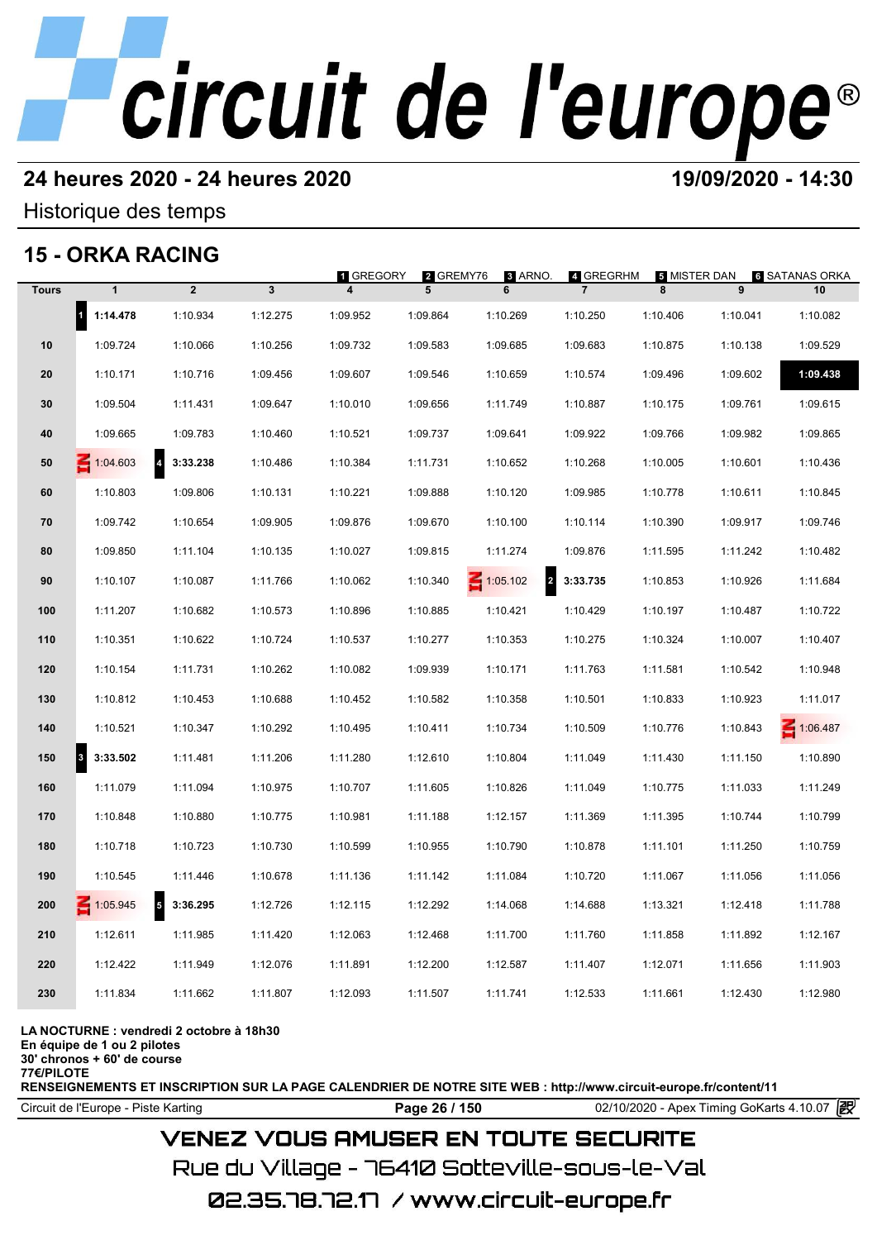## **24 heures 2020 - 24 heures 2020 19/09/2020 - 14:30**

### Historique des temps

## **15 - ORKA RACING**

|              | 15 - ORKA RACING         |                                     |              |           |                |                                            |                             |                   |          |                             |
|--------------|--------------------------|-------------------------------------|--------------|-----------|----------------|--------------------------------------------|-----------------------------|-------------------|----------|-----------------------------|
| <b>Tours</b> | $\mathbf{1}$             | $\overline{2}$                      | $\mathbf{3}$ | 1 GREGORY | 2 GREMY76<br>5 | 3 ARNO.<br>6                               | 4 GREGRHM<br>$\overline{7}$ | 5 MISTER DAN<br>8 | 9        | <b>6 SATANAS ORKA</b><br>10 |
|              | $\mathbf{r}$<br>1:14.478 | 1:10.934                            | 1:12.275     | 1:09.952  | 1:09.864       | 1:10.269                                   | 1:10.250                    | 1:10.406          | 1:10.041 | 1:10.082                    |
| 10           | 1:09.724                 | 1:10.066                            | 1:10.256     | 1:09.732  | 1:09.583       | 1:09.685                                   | 1:09.683                    | 1:10.875          | 1:10.138 | 1:09.529                    |
| 20           | 1:10.171                 | 1:10.716                            | 1:09.456     | 1:09.607  | 1:09.546       | 1:10.659                                   | 1:10.574                    | 1:09.496          | 1:09.602 | 1:09.438                    |
| 30           | 1:09.504                 | 1:11.431                            | 1:09.647     | 1:10.010  | 1:09.656       | 1:11.749                                   | 1:10.887                    | 1:10.175          | 1:09.761 | 1:09.615                    |
| 40           | 1:09.665                 | 1:09.783                            | 1:10.460     | 1:10.521  | 1:09.737       | 1:09.641                                   | 1:09.922                    | 1:09.766          | 1:09.982 | 1:09.865                    |
| 50           | $\leq 1:04.603$          | $\overline{4}$<br>3:33.238          | 1:10.486     | 1:10.384  | 1:11.731       | 1:10.652                                   | 1:10.268                    | 1:10.005          | 1:10.601 | 1:10.436                    |
| 60           | 1:10.803                 | 1:09.806                            | 1:10.131     | 1:10.221  | 1:09.888       | 1:10.120                                   | 1:09.985                    | 1:10.778          | 1:10.611 | 1:10.845                    |
| 70           | 1:09.742                 | 1:10.654                            | 1:09.905     | 1:09.876  | 1:09.670       | 1:10.100                                   | 1:10.114                    | 1:10.390          | 1:09.917 | 1:09.746                    |
| 80           | 1:09.850                 | 1:11.104                            | 1:10.135     | 1:10.027  | 1:09.815       | 1:11.274                                   | 1:09.876                    | 1:11.595          | 1:11.242 | 1:10.482                    |
| 90           | 1:10.107                 | 1:10.087                            | 1:11.766     | 1:10.062  | 1:10.340       | $\overline{\mathbf{r}}$<br>$\leq 1:05.102$ | 3:33.735                    | 1:10.853          | 1:10.926 | 1:11.684                    |
| 100          | 1:11.207                 | 1:10.682                            | 1:10.573     | 1:10.896  | 1:10.885       | 1:10.421                                   | 1:10.429                    | 1:10.197          | 1:10.487 | 1:10.722                    |
| 110          | 1:10.351                 | 1:10.622                            | 1:10.724     | 1:10.537  | 1:10.277       | 1:10.353                                   | 1:10.275                    | 1:10.324          | 1:10.007 | 1:10.407                    |
| 120          | 1:10.154                 | 1:11.731                            | 1:10.262     | 1:10.082  | 1:09.939       | 1:10.171                                   | 1:11.763                    | 1:11.581          | 1:10.542 | 1:10.948                    |
| 130          | 1:10.812                 | 1:10.453                            | 1:10.688     | 1:10.452  | 1:10.582       | 1:10.358                                   | 1:10.501                    | 1:10.833          | 1:10.923 | 1:11.017                    |
| 140          | 1:10.521                 | 1:10.347                            | 1:10.292     | 1:10.495  | 1:10.411       | 1:10.734                                   | 1:10.509                    | 1:10.776          | 1:10.843 | 1:06.487                    |
| 150          | 3:33.502<br>3            | 1:11.481                            | 1:11.206     | 1:11.280  | 1:12.610       | 1:10.804                                   | 1:11.049                    | 1:11.430          | 1:11.150 | 1:10.890                    |
| 160          | 1:11.079                 | 1:11.094                            | 1:10.975     | 1:10.707  | 1:11.605       | 1:10.826                                   | 1:11.049                    | 1:10.775          | 1:11.033 | 1:11.249                    |
| 170          | 1:10.848                 | 1:10.880                            | 1:10.775     | 1:10.981  | 1:11.188       | 1:12.157                                   | 1:11.369                    | 1:11.395          | 1:10.744 | 1:10.799                    |
| 180          | 1:10.718                 | 1:10.723                            | 1:10.730     | 1:10.599  | 1:10.955       | 1:10.790                                   | 1:10.878                    | 1:11.101          | 1:11.250 | 1:10.759                    |
| 190          | 1:10.545                 | 1:11.446                            | 1:10.678     | 1:11.136  | 1:11.142       | 1:11.084                                   | 1:10.720                    | 1:11.067          | 1:11.056 | 1:11.056                    |
| 200          | $\leq 1:05.945$          | $\overline{\mathbf{5}}$<br>3:36.295 | 1:12.726     | 1:12.115  | 1:12.292       | 1:14.068                                   | 1:14.688                    | 1:13.321          | 1:12.418 | 1:11.788                    |
| 210          | 1:12.611                 | 1:11.985                            | 1:11.420     | 1:12.063  | 1:12.468       | 1:11.700                                   | 1:11.760                    | 1:11.858          | 1:11.892 | 1:12.167                    |
| 220          | 1:12.422                 | 1:11.949                            | 1:12.076     | 1:11.891  | 1:12.200       | 1:12.587                                   | 1:11.407                    | 1:12.071          | 1:11.656 | 1:11.903                    |
| 230          | 1:11.834                 | 1:11.662                            | 1:11.807     | 1:12.093  | 1:11.507       | 1:11.741                                   | 1:12.533                    | 1:11.661          | 1:12.430 | 1:12.980                    |
|              |                          |                                     |              |           |                |                                            |                             |                   |          |                             |

### **LA NOCTURNE : vendredi 2 octobre à 18h30**

**En équipe de 1 ou 2 pilotes**

**30' chronos + 60' de course**

**77€/PILOTE**

**RENSEIGNEMENTS ET INSCRIPTION SUR LA PAGE CALENDRIER DE NOTRE SITE WEB : http://www.circuit-europe.fr/content/11**

**Page 26 / 150** 02/10/2020 - Apex Timing GoKarts 4.10.07 **P** 

## **VENEZ VOUS AMUSER EN TOUTE SECURITE**

Rue du Village – 76410 Sotteville-sous-le-Val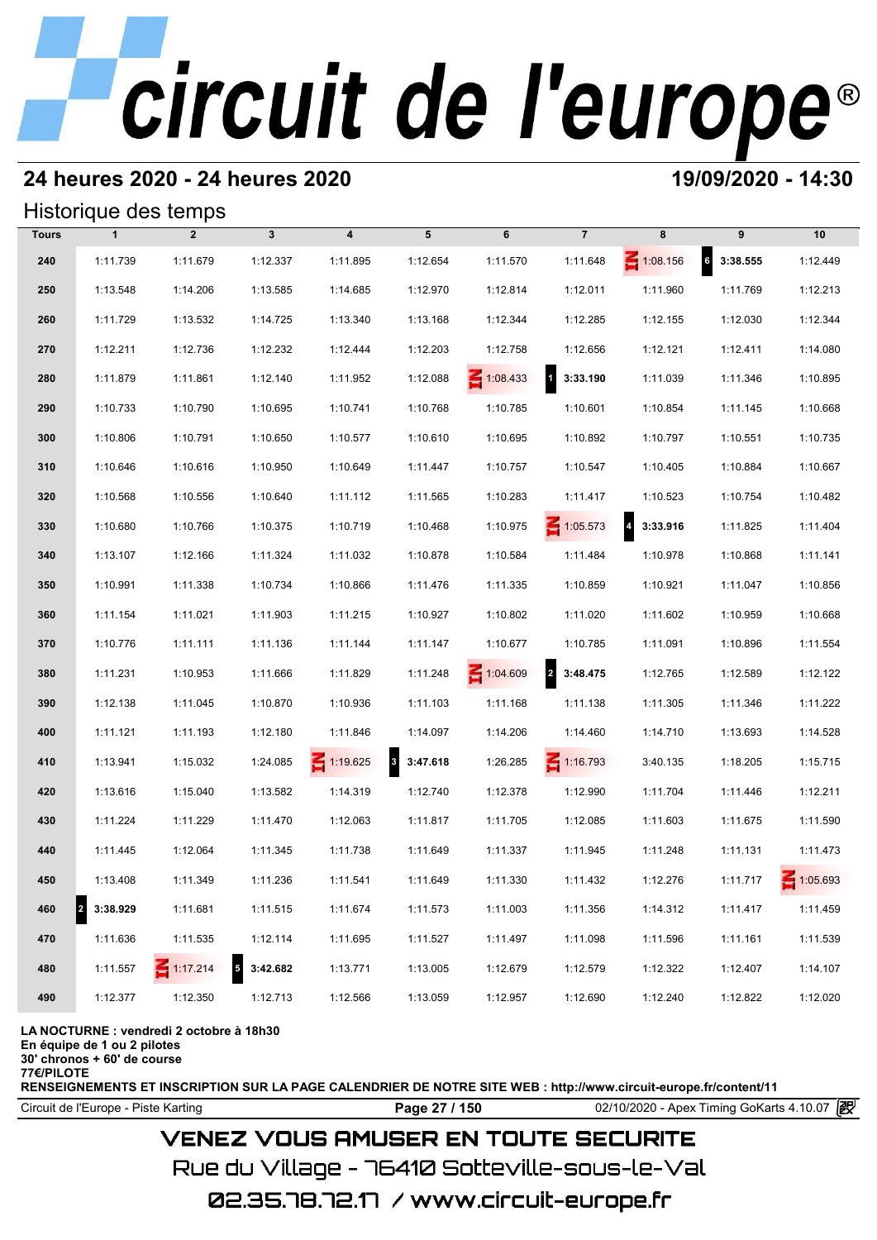## **24 heures 2020 - 24 heures 2020 19/09/2020 - 14:30**

## Historique des temps

|              |                         | Historique des temps |                        |                         |                                     |                 |                            |                 |                             |          |
|--------------|-------------------------|----------------------|------------------------|-------------------------|-------------------------------------|-----------------|----------------------------|-----------------|-----------------------------|----------|
| <b>Tours</b> | $\mathbf{1}$            | $\overline{2}$       | $3\phantom{a}$         | $\overline{\mathbf{4}}$ | 5                                   | 6               | $\overline{7}$             | 8               | 9                           | 10       |
| 240          | 1:11.739                | 1:11.679             | 1:12.337               | 1:11.895                | 1:12.654                            | 1:11.570        | 1:11.648                   | $\leq 1:08.156$ | $6\overline{6}$<br>3:38.555 | 1:12.449 |
| 250          | 1:13.548                | 1:14.206             | 1:13.585               | 1:14.685                | 1:12.970                            | 1:12.814        | 1:12.011                   | 1:11.960        | 1:11.769                    | 1:12.213 |
| 260          | 1:11.729                | 1:13.532             | 1:14.725               | 1:13.340                | 1:13.168                            | 1:12.344        | 1:12.285                   | 1:12.155        | 1:12.030                    | 1:12.344 |
| 270          | 1:12.211                | 1:12.736             | 1:12.232               | 1:12.444                | 1:12.203                            | 1:12.758        | 1:12.656                   | 1:12.121        | 1:12.411                    | 1:14.080 |
| 280          | 1:11.879                | 1:11.861             | 1:12.140               | 1:11.952                | 1:12.088                            | $\leq 1:08.433$ | 3:33.190                   | 1:11.039        | 1:11.346                    | 1:10.895 |
| 290          | 1:10.733                | 1:10.790             | 1:10.695               | 1:10.741                | 1:10.768                            | 1:10.785        | 1:10.601                   | 1:10.854        | 1:11.145                    | 1:10.668 |
| 300          | 1:10.806                | 1:10.791             | 1:10.650               | 1:10.577                | 1:10.610                            | 1:10.695        | 1:10.892                   | 1:10.797        | 1:10.551                    | 1:10.735 |
| 310          | 1:10.646                | 1:10.616             | 1:10.950               | 1:10.649                | 1:11.447                            | 1:10.757        | 1:10.547                   | 1:10.405        | 1:10.884                    | 1:10.667 |
| 320          | 1:10.568                | 1:10.556             | 1:10.640               | 1:11.112                | 1:11.565                            | 1:10.283        | 1:11.417                   | 1:10.523        | 1:10.754                    | 1:10.482 |
| 330          | 1:10.680                | 1:10.766             | 1:10.375               | 1:10.719                | 1:10.468                            | 1:10.975        | $\leq 1:05.573$            | 4 3:33.916      | 1:11.825                    | 1:11.404 |
| 340          | 1:13.107                | 1:12.166             | 1:11.324               | 1:11.032                | 1:10.878                            | 1:10.584        | 1:11.484                   | 1:10.978        | 1:10.868                    | 1:11.141 |
| 350          | 1:10.991                | 1:11.338             | 1:10.734               | 1:10.866                | 1:11.476                            | 1:11.335        | 1:10.859                   | 1:10.921        | 1:11.047                    | 1:10.856 |
| 360          | 1:11.154                | 1:11.021             | 1:11.903               | 1:11.215                | 1:10.927                            | 1:10.802        | 1:11.020                   | 1:11.602        | 1:10.959                    | 1:10.668 |
| 370          | 1:10.776                | 1:11.111             | 1:11.136               | 1:11.144                | 1:11.147                            | 1:10.677        | 1:10.785                   | 1:11.091        | 1:10.896                    | 1:11.554 |
| 380          | 1:11.231                | 1:10.953             | 1:11.666               | 1:11.829                | 1:11.248                            | $\leq 1:04.609$ | $\overline{2}$<br>3:48.475 | 1:12.765        | 1:12.589                    | 1:12.122 |
| 390          | 1:12.138                | 1:11.045             | 1:10.870               | 1:10.936                | 1:11.103                            | 1:11.168        | 1:11.138                   | 1:11.305        | 1:11.346                    | 1:11.222 |
| 400          | 1:11.121                | 1:11.193             | 1:12.180               | 1:11.846                | 1:14.097                            | 1:14.206        | 1:14.460                   | 1:14.710        | 1:13.693                    | 1:14.528 |
| 410          | 1:13.941                | 1:15.032             | 1:24.085               | $\leq 1:19.625$         | $\overline{\mathbf{3}}$<br>3:47.618 | 1:26.285        | $\leq 1:16.793$            | 3:40.135        | 1:18.205                    | 1:15.715 |
| 420          | 1:13.616                | 1:15.040             | 1:13.582               | 1:14.319                | 1:12.740                            | 1:12.378        | 1:12.990                   | 1:11.704        | 1:11.446                    | 1:12.211 |
| 430          | 1:11.224                | 1:11.229             | 1:11.470               | 1:12.063                | 1:11.817                            | 1:11.705        | 1:12.085                   | 1:11.603        | 1:11.675                    | 1:11.590 |
| 440          | 1:11.445                | 1:12.064             | 1:11.345               | 1:11.738                | 1:11.649                            | 1:11.337        | 1:11.945                   | 1:11.248        | 1:11.131                    | 1:11.473 |
| 450          | 1:13.408                | 1:11.349             | 1:11.236               | 1:11.541                | 1:11.649                            | 1:11.330        | 1:11.432                   | 1:12.276        | 1:11.717                    | 1:05.693 |
| 460          | $\mathbf 2$<br>3:38.929 | 1:11.681             | 1:11.515               | 1:11.674                | 1:11.573                            | 1:11.003        | 1:11.356                   | 1:14.312        | 1:11.417                    | 1:11.459 |
| 470          | 1:11.636                | 1:11.535             | 1:12.114               | 1:11.695                | 1:11.527                            | 1:11.497        | 1:11.098                   | 1:11.596        | 1:11.161                    | 1:11.539 |
| 480          | 1:11.557                | $\leq 1:17.214$      | 3:42.682<br>$\sqrt{5}$ | 1:13.771                | 1:13.005                            | 1:12.679        | 1:12.579                   | 1:12.322        | 1:12.407                    | 1:14.107 |
| 490          | 1:12.377                | 1:12.350             | 1:12.713               | 1:12.566                | 1:13.059                            | 1:12.957        | 1:12.690                   | 1:12.240        | 1:12.822                    | 1:12.020 |
|              |                         |                      |                        |                         |                                     |                 |                            |                 |                             |          |

**LA NOCTURNE : vendredi 2 octobre à 18h30**

**En équipe de 1 ou 2 pilotes 30' chronos + 60' de course**

**77€/PILOTE**

**RENSEIGNEMENTS ET INSCRIPTION SUR LA PAGE CALENDRIER DE NOTRE SITE WEB : http://www.circuit-europe.fr/content/11**

Circuit de l'Europe - Piste Karting **Page 27 / 150 Page 27 / 150** 02/10/2020 - Apex Timing GoKarts 4.10.07 **P** 

## **VENEZ VOUS AMUSER EN TOUTE SECURITE**

Rue du Village – 76410 Sotteville-sous-le-Val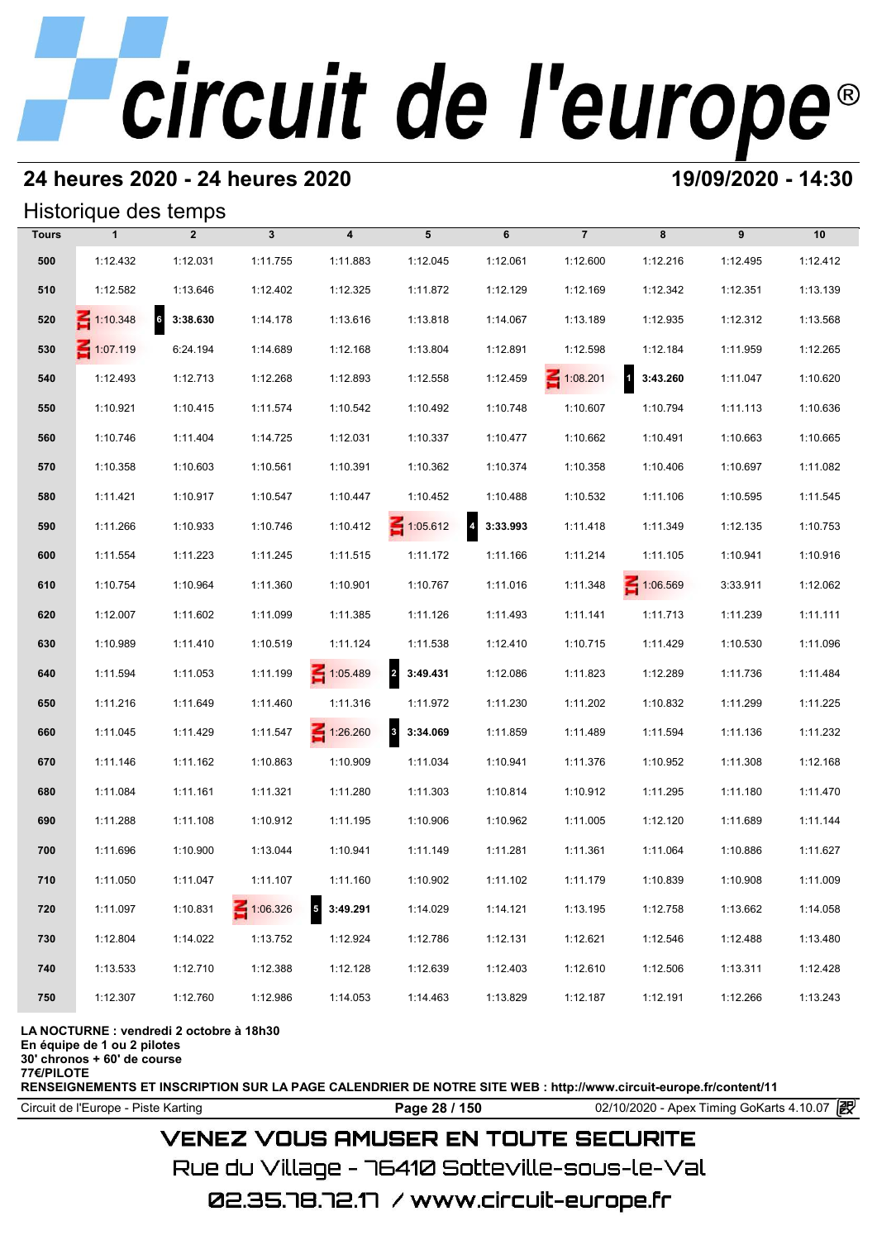## **24 heures 2020 - 24 heures 2020 19/09/2020 - 14:30**

### Historique des temps

|              | Historique des temps |                |                 |                                      |                                     |            |                 |                                     |          |          |
|--------------|----------------------|----------------|-----------------|--------------------------------------|-------------------------------------|------------|-----------------|-------------------------------------|----------|----------|
| <b>Tours</b> | $\mathbf{1}$         | $\overline{2}$ | $\mathbf{3}$    | $\overline{\mathbf{4}}$              | 5                                   | 6          | $\overline{7}$  | 8                                   | 9        | 10       |
| 500          | 1:12.432             | 1:12.031       | 1:11.755        | 1:11.883                             | 1:12.045                            | 1:12.061   | 1:12.600        | 1:12.216                            | 1:12.495 | 1:12.412 |
| 510          | 1:12.582             | 1:13.646       | 1:12.402        | 1:12.325                             | 1:11.872                            | 1:12.129   | 1:12.169        | 1:12.342                            | 1:12.351 | 1:13.139 |
| 520          | 1:10.348             | 3:38.630<br>6  | 1:14.178        | 1:13.616                             | 1:13.818                            | 1:14.067   | 1:13.189        | 1:12.935                            | 1:12.312 | 1:13.568 |
| 530          | 1:07.119             | 6:24.194       | 1:14.689        | 1:12.168                             | 1:13.804                            | 1:12.891   | 1:12.598        | 1:12.184                            | 1:11.959 | 1:12.265 |
| 540          | 1:12.493             | 1:12.713       | 1:12.268        | 1:12.893                             | 1:12.558                            | 1:12.459   | $\leq 1:08.201$ | $\overline{\mathbf{1}}$<br>3:43.260 | 1:11.047 | 1:10.620 |
| 550          | 1:10.921             | 1:10.415       | 1:11.574        | 1:10.542                             | 1:10.492                            | 1:10.748   | 1:10.607        | 1:10.794                            | 1:11.113 | 1:10.636 |
| 560          | 1:10.746             | 1:11.404       | 1:14.725        | 1:12.031                             | 1:10.337                            | 1:10.477   | 1:10.662        | 1:10.491                            | 1:10.663 | 1:10.665 |
| 570          | 1:10.358             | 1:10.603       | 1:10.561        | 1:10.391                             | 1:10.362                            | 1:10.374   | 1:10.358        | 1:10.406                            | 1:10.697 | 1:11.082 |
| 580          | 1:11.421             | 1:10.917       | 1:10.547        | 1:10.447                             | 1:10.452                            | 1:10.488   | 1:10.532        | 1:11.106                            | 1:10.595 | 1:11.545 |
| 590          | 1:11.266             | 1:10.933       | 1:10.746        | 1:10.412                             | $\leq 1:05.612$                     | 4 3:33.993 | 1:11.418        | 1:11.349                            | 1:12.135 | 1:10.753 |
| 600          | 1:11.554             | 1:11.223       | 1:11.245        | 1:11.515                             | 1:11.172                            | 1:11.166   | 1:11.214        | 1:11.105                            | 1:10.941 | 1:10.916 |
| 610          | 1:10.754             | 1:10.964       | 1:11.360        | 1:10.901                             | 1:10.767                            | 1:11.016   | 1:11.348        | $\leq 1:06.569$                     | 3:33.911 | 1:12.062 |
| 620          | 1:12.007             | 1:11.602       | 1:11.099        | 1:11.385                             | 1:11.126                            | 1:11.493   | 1:11.141        | 1:11.713                            | 1:11.239 | 1:11.111 |
| 630          | 1:10.989             | 1:11.410       | 1:10.519        | 1:11.124                             | 1:11.538                            | 1:12.410   | 1:10.715        | 1:11.429                            | 1:10.530 | 1:11.096 |
| 640          | 1:11.594             | 1:11.053       | 1:11.199        | $\leq 1:05.489$                      | $\overline{2}$<br>3:49.431          | 1:12.086   | 1:11.823        | 1:12.289                            | 1:11.736 | 1:11.484 |
| 650          | 1:11.216             | 1:11.649       | 1:11.460        | 1:11.316                             | 1:11.972                            | 1:11.230   | 1:11.202        | 1:10.832                            | 1:11.299 | 1:11.225 |
| 660          | 1:11.045             | 1:11.429       | 1:11.547        | $\leq 1:26.260$                      | $\overline{\mathbf{3}}$<br>3:34.069 | 1:11.859   | 1:11.489        | 1:11.594                            | 1:11.136 | 1:11.232 |
| 670          | 1:11.146             | 1:11.162       | 1:10.863        | 1:10.909                             | 1:11.034                            | 1:10.941   | 1:11.376        | 1:10.952                            | 1:11.308 | 1:12.168 |
| 680          | 1:11.084             | 1:11.161       | 1:11.321        | 1:11.280                             | 1:11.303                            | 1:10.814   | 1:10.912        | 1:11.295                            | 1:11.180 | 1:11.470 |
| 690          | 1:11.288             | 1:11.108       | 1:10.912        | 1:11.195                             | 1:10.906                            | 1:10.962   | 1:11.005        | 1:12.120                            | 1:11.689 | 1:11.144 |
| 700          | 1:11.696             | 1:10.900       | 1:13.044        | 1:10.941                             | 1:11.149                            | 1:11.281   | 1:11.361        | 1:11.064                            | 1:10.886 | 1:11.627 |
| 710          | 1:11.050             | 1:11.047       | 1:11.107        | 1:11.160                             | 1:10.902                            | 1:11.102   | 1:11.179        | 1:10.839                            | 1:10.908 | 1:11.009 |
| 720          | 1:11.097             | 1:10.831       | $\leq 1:06.326$ | $\overline{\phantom{a}}$<br>3:49.291 | 1:14.029                            | 1:14.121   | 1:13.195        | 1:12.758                            | 1:13.662 | 1:14.058 |
| 730          | 1:12.804             | 1:14.022       | 1:13.752        | 1:12.924                             | 1:12.786                            | 1:12.131   | 1:12.621        | 1:12.546                            | 1:12.488 | 1:13.480 |
| 740          | 1:13.533             | 1:12.710       | 1:12.388        | 1:12.128                             | 1:12.639                            | 1:12.403   | 1:12.610        | 1:12.506                            | 1:13.311 | 1:12.428 |
| 750          | 1:12.307             | 1:12.760       | 1:12.986        | 1:14.053                             | 1:14.463                            | 1:13.829   | 1:12.187        | 1:12.191                            | 1:12.266 | 1:13.243 |
|              |                      |                |                 |                                      |                                     |            |                 |                                     |          |          |

### **LA NOCTURNE : vendredi 2 octobre à 18h30**

**En équipe de 1 ou 2 pilotes**

**30' chronos + 60' de course 77€/PILOTE**

**RENSEIGNEMENTS ET INSCRIPTION SUR LA PAGE CALENDRIER DE NOTRE SITE WEB : http://www.circuit-europe.fr/content/11**

Circuit de l'Europe - Piste Karting **Page 28 / 150 Page 28 / 150** 02/10/2020 - Apex Timing GoKarts 4.10.07

## **VENEZ VOUS AMUSER EN TOUTE SECURITE**

Rue du Village – 76410 Sotteville-sous-le-Val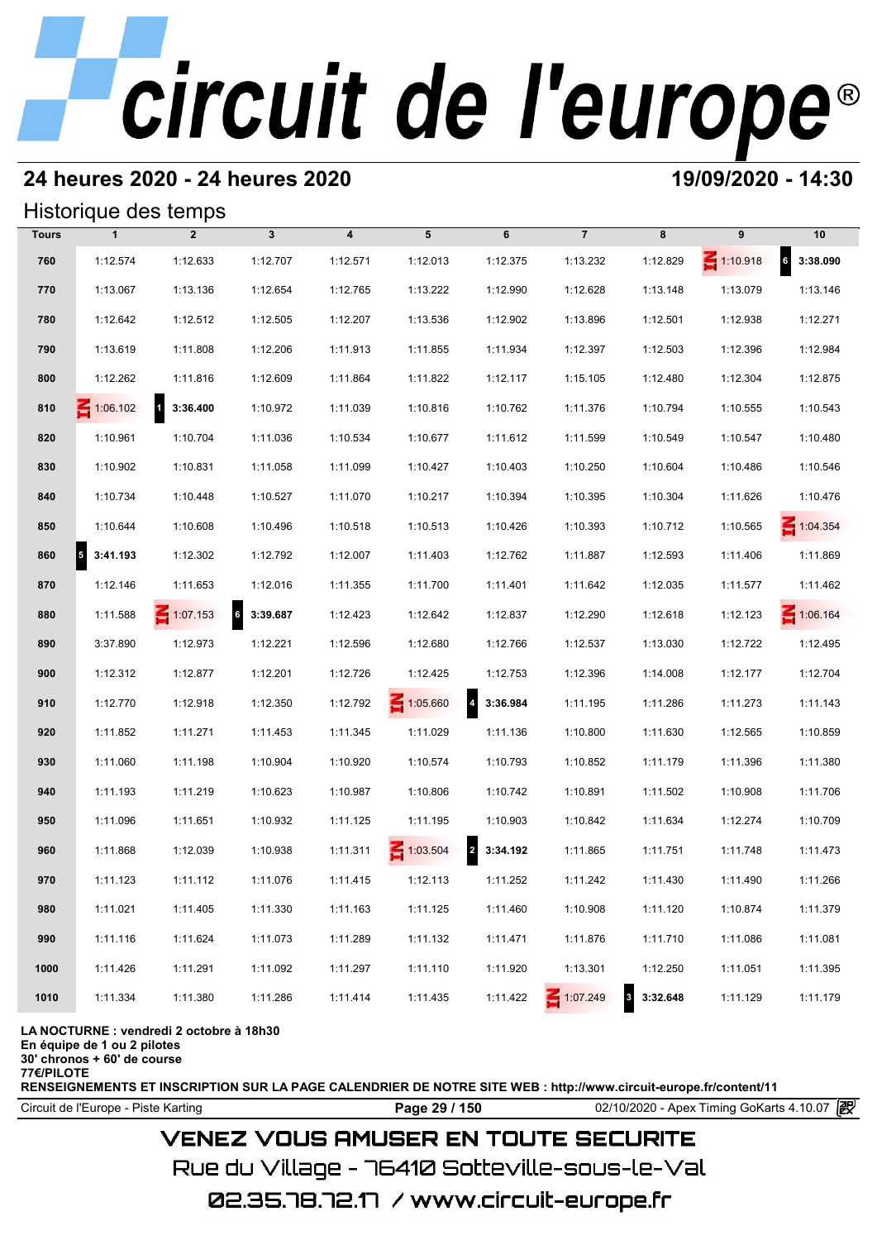## **24 heures 2020 - 24 heures 2020 19/09/2020 - 14:30**

## Historique des temps

|              |                                  | Historique des temps                |              |                         |                 |                                     |                |            |                 |                   |
|--------------|----------------------------------|-------------------------------------|--------------|-------------------------|-----------------|-------------------------------------|----------------|------------|-----------------|-------------------|
| <b>Tours</b> | $\mathbf{1}$                     | $\overline{2}$                      | $\mathbf{3}$ | $\overline{\mathbf{4}}$ | 5               | 6                                   | $\overline{7}$ | 8          | 9               | 10                |
| 760          | 1:12.574                         | 1:12.633                            | 1:12.707     | 1:12.571                | 1:12.013        | 1:12.375                            | 1:13.232       | 1:12.829   | $\leq 1:10.918$ | $6\quad 3:38.090$ |
| 770          | 1:13.067                         | 1:13.136                            | 1:12.654     | 1:12.765                | 1:13.222        | 1:12.990                            | 1:12.628       | 1:13.148   | 1:13.079        | 1:13.146          |
| 780          | 1:12.642                         | 1:12.512                            | 1:12.505     | 1:12.207                | 1:13.536        | 1:12.902                            | 1:13.896       | 1:12.501   | 1:12.938        | 1:12.271          |
| 790          | 1:13.619                         | 1:11.808                            | 1:12.206     | 1:11.913                | 1:11.855        | 1:11.934                            | 1:12.397       | 1:12.503   | 1:12.396        | 1:12.984          |
| 800          | 1:12.262                         | 1:11.816                            | 1:12.609     | 1:11.864                | 1:11.822        | 1:12.117                            | 1:15.105       | 1:12.480   | 1:12.304        | 1:12.875          |
| 810          | $\leq 1:06.102$                  | $\overline{\mathbf{1}}$<br>3:36.400 | 1:10.972     | 1:11.039                | 1:10.816        | 1:10.762                            | 1:11.376       | 1:10.794   | 1:10.555        | 1:10.543          |
| 820          | 1:10.961                         | 1:10.704                            | 1:11.036     | 1:10.534                | 1:10.677        | 1:11.612                            | 1:11.599       | 1:10.549   | 1:10.547        | 1:10.480          |
| 830          | 1:10.902                         | 1:10.831                            | 1:11.058     | 1:11.099                | 1:10.427        | 1:10.403                            | 1:10.250       | 1:10.604   | 1:10.486        | 1:10.546          |
| 840          | 1:10.734                         | 1:10.448                            | 1:10.527     | 1:11.070                | 1:10.217        | 1:10.394                            | 1:10.395       | 1:10.304   | 1:11.626        | 1:10.476          |
| 850          | 1:10.644                         | 1:10.608                            | 1:10.496     | 1:10.518                | 1:10.513        | 1:10.426                            | 1:10.393       | 1:10.712   | 1:10.565        | $\leq 1:04.354$   |
| 860          | $\vert$ <sub>5</sub><br>3:41.193 | 1:12.302                            | 1:12.792     | 1:12.007                | 1:11.403        | 1:12.762                            | 1:11.887       | 1:12.593   | 1:11.406        | 1:11.869          |
| 870          | 1:12.146                         | 1:11.653                            | 1:12.016     | 1:11.355                | 1:11.700        | 1:11.401                            | 1:11.642       | 1:12.035   | 1:11.577        | 1:11.462          |
| 880          | 1:11.588                         | $\leq 1:07.153$                     | 6 3:39.687   | 1:12.423                | 1:12.642        | 1:12.837                            | 1:12.290       | 1:12.618   | 1:12.123        | $\leq 1:06.164$   |
| 890          | 3:37.890                         | 1:12.973                            | 1:12.221     | 1:12.596                | 1:12.680        | 1:12.766                            | 1:12.537       | 1:13.030   | 1:12.722        | 1:12.495          |
| 900          | 1:12.312                         | 1:12.877                            | 1:12.201     | 1:12.726                | 1:12.425        | 1:12.753                            | 1:12.396       | 1:14.008   | 1:12.177        | 1:12.704          |
| 910          | 1:12.770                         | 1:12.918                            | 1:12.350     | 1:12.792                | $\leq 1:05.660$ | $\overline{\mathbf{4}}$<br>3:36.984 | 1:11.195       | 1:11.286   | 1:11.273        | 1:11.143          |
| 920          | 1:11.852                         | 1:11.271                            | 1:11.453     | 1:11.345                | 1:11.029        | 1:11.136                            | 1:10.800       | 1:11.630   | 1:12.565        | 1:10.859          |
| 930          | 1:11.060                         | 1:11.198                            | 1:10.904     | 1:10.920                | 1:10.574        | 1:10.793                            | 1:10.852       | 1:11.179   | 1:11.396        | 1:11.380          |
| 940          | 1:11.193                         | 1:11.219                            | 1:10.623     | 1:10.987                | 1:10.806        | 1:10.742                            | 1:10.891       | 1:11.502   | 1:10.908        | 1:11.706          |
| 950          | 1:11.096                         | 1:11.651                            | 1:10.932     | 1:11.125                | 1:11.195        | 1:10.903                            | 1:10.842       | 1:11.634   | 1:12.274        | 1:10.709          |
| 960          | 1:11.868                         | 1:12.039                            | 1:10.938     | 1:11.311                | 1:03.504        | $\overline{a}$<br>3:34.192          | 1:11.865       | 1:11.751   | 1:11.748        | 1:11.473          |
| 970          | 1:11.123                         | 1:11.112                            | 1:11.076     | 1:11.415                | 1:12.113        | 1:11.252                            | 1:11.242       | 1:11.430   | 1:11.490        | 1:11.266          |
| 980          | 1:11.021                         | 1:11.405                            | 1:11.330     | 1:11.163                | 1:11.125        | 1:11.460                            | 1:10.908       | 1:11.120   | 1:10.874        | 1:11.379          |
| 990          | 1:11.116                         | 1:11.624                            | 1:11.073     | 1:11.289                | 1:11.132        | 1:11.471                            | 1:11.876       | 1:11.710   | 1:11.086        | 1:11.081          |
| 1000         | 1:11.426                         | 1:11.291                            | 1:11.092     | 1:11.297                | 1:11.110        | 1:11.920                            | 1:13.301       | 1:12.250   | 1:11.051        | 1:11.395          |
| 1010         | 1:11.334                         | 1:11.380                            | 1:11.286     | 1:11.414                | 1:11.435        | 1:11.422                            | 1:07.249       | 8 3:32.648 | 1:11.129        | 1:11.179          |

### **LA NOCTURNE : vendredi 2 octobre à 18h30**

**En équipe de 1 ou 2 pilotes**

**30' chronos + 60' de course**

**77€/PILOTE**

**RENSEIGNEMENTS ET INSCRIPTION SUR LA PAGE CALENDRIER DE NOTRE SITE WEB : http://www.circuit-europe.fr/content/11**

Circuit de l'Europe - Piste Karting **Page 29 / 150 Page 29 / 150** 02/10/2020 - Apex Timing GoKarts 4.10.07

## **VENEZ VOUS AMUSER EN TOUTE SECURITE**

Rue du Village – 76410 Sotteville-sous-le-Val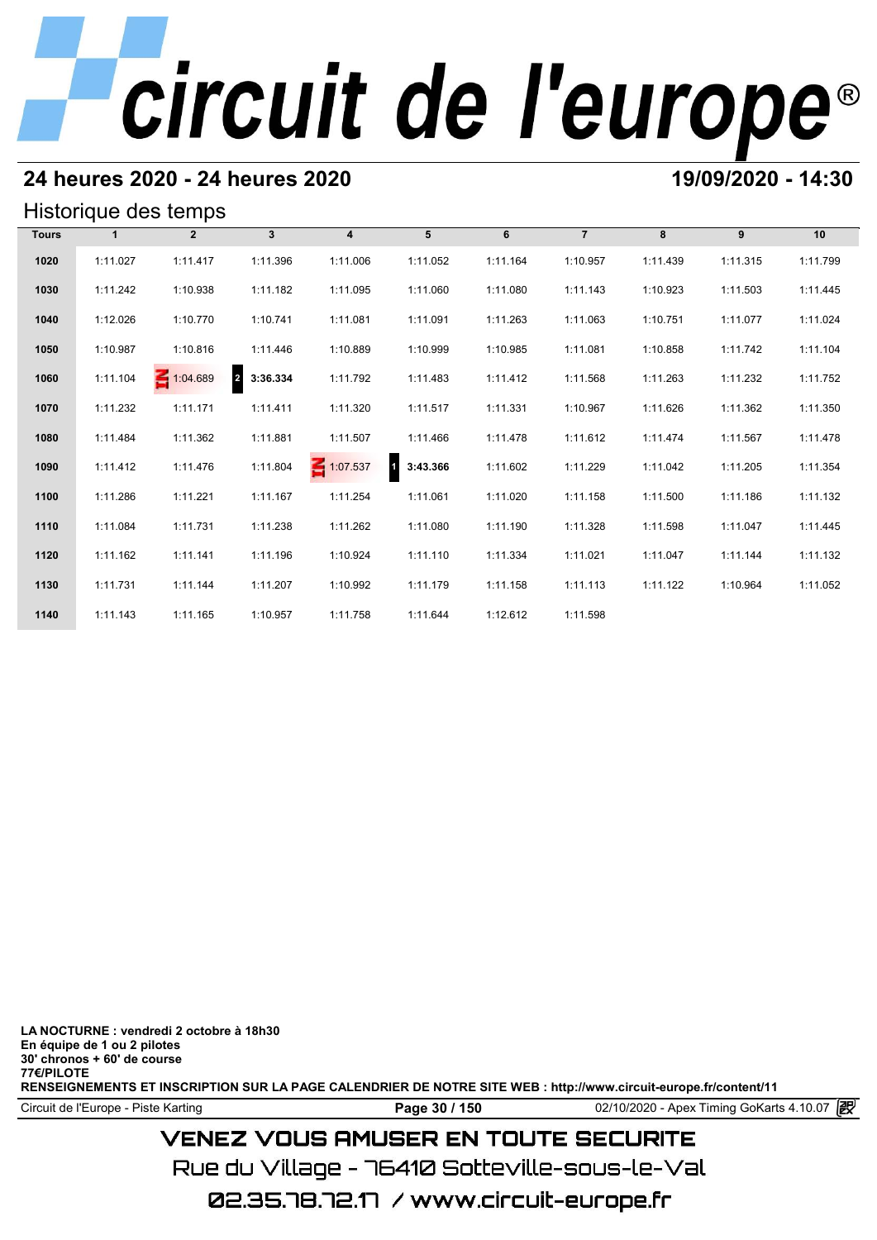## **24 heures 2020 - 24 heures 2020 19/09/2020 - 14:30**

## Historique des temps

|              |              | Historique des temps |                            |                 |          |          |                |          |          |          |
|--------------|--------------|----------------------|----------------------------|-----------------|----------|----------|----------------|----------|----------|----------|
| <b>Tours</b> | $\mathbf{1}$ | $\overline{2}$       | 3 <sup>1</sup>             | $\overline{4}$  | 5        | 6        | $\overline{7}$ | 8        | 9        | 10       |
| 1020         | 1:11.027     | 1:11.417             | 1:11.396                   | 1:11.006        | 1:11.052 | 1:11.164 | 1:10.957       | 1:11.439 | 1:11.315 | 1:11.799 |
| 1030         | 1:11.242     | 1:10.938             | 1:11.182                   | 1:11.095        | 1:11.060 | 1:11.080 | 1:11.143       | 1:10.923 | 1:11.503 | 1:11.445 |
| 1040         | 1:12.026     | 1:10.770             | 1:10.741                   | 1:11.081        | 1:11.091 | 1:11.263 | 1:11.063       | 1:10.751 | 1:11.077 | 1:11.024 |
| 1050         | 1:10.987     | 1:10.816             | 1:11.446                   | 1:10.889        | 1:10.999 | 1:10.985 | 1:11.081       | 1:10.858 | 1:11.742 | 1:11.104 |
| 1060         | 1:11.104     | $\leq 1:04.689$      | $\overline{2}$<br>3:36.334 | 1:11.792        | 1:11.483 | 1:11.412 | 1:11.568       | 1:11.263 | 1:11.232 | 1:11.752 |
| 1070         | 1:11.232     | 1:11.171             | 1:11.411                   | 1:11.320        | 1:11.517 | 1:11.331 | 1:10.967       | 1:11.626 | 1:11.362 | 1:11.350 |
| 1080         | 1:11.484     | 1:11.362             | 1:11.881                   | 1:11.507        | 1:11.466 | 1:11.478 | 1:11.612       | 1:11.474 | 1:11.567 | 1:11.478 |
| 1090         | 1:11.412     | 1:11.476             | 1:11.804                   | $\leq 1:07.537$ | 3:43.366 | 1:11.602 | 1:11.229       | 1:11.042 | 1:11.205 | 1:11.354 |
| 1100         | 1:11.286     | 1:11.221             | 1:11.167                   | 1:11.254        | 1:11.061 | 1:11.020 | 1:11.158       | 1:11.500 | 1:11.186 | 1:11.132 |
| 1110         | 1:11.084     | 1:11.731             | 1:11.238                   | 1:11.262        | 1:11.080 | 1:11.190 | 1:11.328       | 1:11.598 | 1:11.047 | 1:11.445 |
| 1120         | 1:11.162     | 1:11.141             | 1:11.196                   | 1:10.924        | 1:11.110 | 1:11.334 | 1:11.021       | 1:11.047 | 1:11.144 | 1:11.132 |
| 1130         | 1:11.731     | 1:11.144             | 1:11.207                   | 1:10.992        | 1:11.179 | 1:11.158 | 1:11.113       | 1:11.122 | 1:10.964 | 1:11.052 |
| 1140         | 1:11.143     | 1:11.165             | 1:10.957                   | 1:11.758        | 1:11.644 | 1:12.612 | 1:11.598       |          |          |          |

**LA NOCTURNE : vendredi 2 octobre à 18h30 En équipe de 1 ou 2 pilotes 30' chronos + 60' de course 77€/PILOTE RENSEIGNEMENTS ET INSCRIPTION SUR LA PAGE CALENDRIER DE NOTRE SITE WEB : http://www.circuit-europe.fr/content/11**

Circuit de l'Europe - Piste Karting **Page 30 / 150 Page 30 / 150** 02/10/2020 - Apex Timing GoKarts 4.10.07

## **VENEZ VOUS AMUSER EN TOUTE SECURITE**

Rue du Village – 76410 Sotteville-sous-le-Val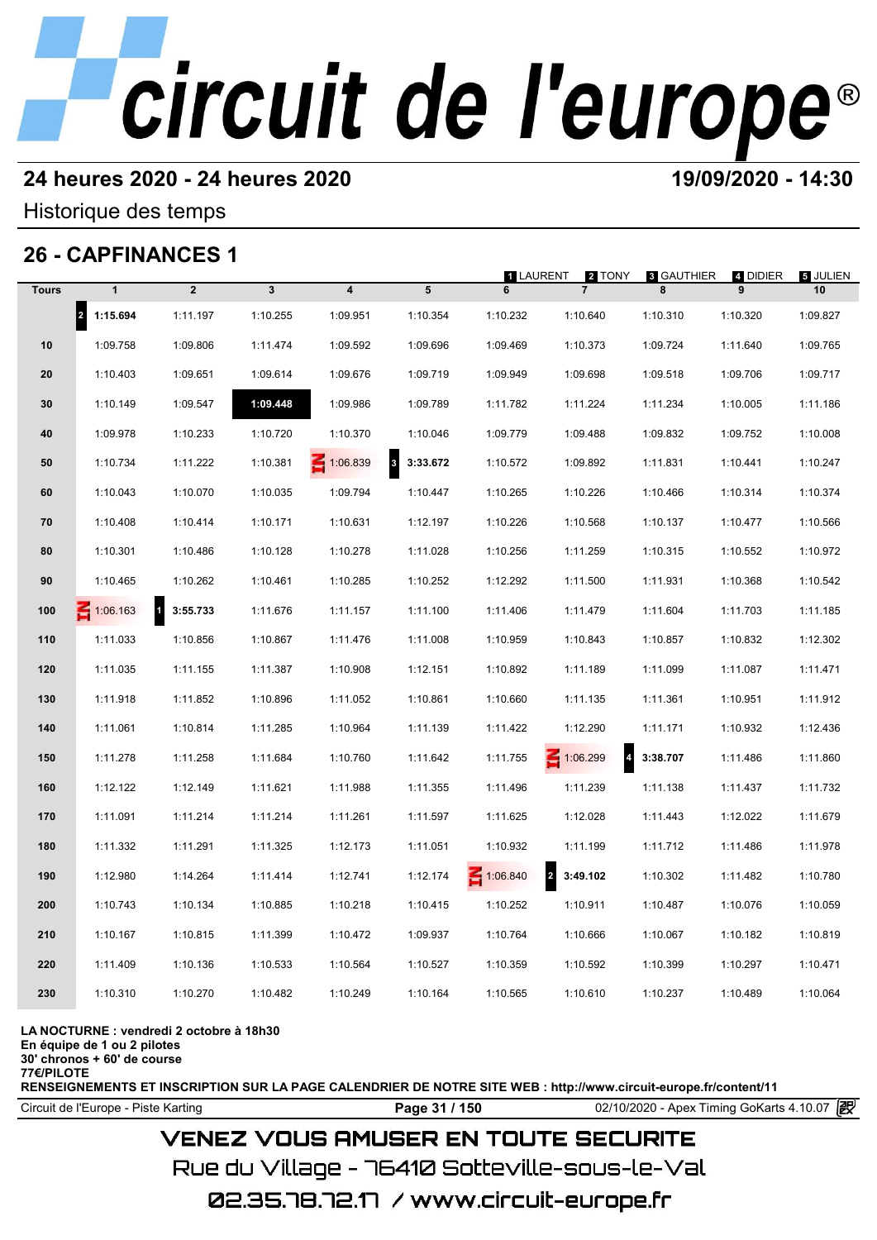## **24 heures 2020 - 24 heures 2020 19/09/2020 - 14:30**

Historique des temps

## **26 - CAPFINANCES 1**

|              | 26 - CAPFINANCES 1               |                          |              |                         |                                     | <b>1 LAURENT</b> |                                     |                        |               | <b>5 JULIEN</b> |
|--------------|----------------------------------|--------------------------|--------------|-------------------------|-------------------------------------|------------------|-------------------------------------|------------------------|---------------|-----------------|
| <b>Tours</b> | $\mathbf{1}$                     | $\overline{2}$           | $\mathbf{3}$ | $\overline{\mathbf{4}}$ | 5                                   | 6                | 2 TONY<br>$\overline{7}$            | <b>3 GAUTHIER</b><br>8 | 4 DIDIER<br>9 | 10              |
|              | $\vert$ <sub>2</sub><br>1:15.694 | 1:11.197                 | 1:10.255     | 1:09.951                | 1:10.354                            | 1:10.232         | 1:10.640                            | 1:10.310               | 1:10.320      | 1:09.827        |
| 10           | 1:09.758                         | 1:09.806                 | 1:11.474     | 1:09.592                | 1:09.696                            | 1:09.469         | 1:10.373                            | 1:09.724               | 1:11.640      | 1:09.765        |
| 20           | 1:10.403                         | 1:09.651                 | 1:09.614     | 1:09.676                | 1:09.719                            | 1:09.949         | 1:09.698                            | 1:09.518               | 1:09.706      | 1:09.717        |
| 30           | 1:10.149                         | 1:09.547                 | 1:09.448     | 1:09.986                | 1:09.789                            | 1:11.782         | 1:11.224                            | 1:11.234               | 1:10.005      | 1:11.186        |
| 40           | 1:09.978                         | 1:10.233                 | 1:10.720     | 1:10.370                | 1:10.046                            | 1:09.779         | 1:09.488                            | 1:09.832               | 1:09.752      | 1:10.008        |
| 50           | 1:10.734                         | 1:11.222                 | 1:10.381     | 1:06.839                | $\overline{\mathbf{3}}$<br>3:33.672 | 1:10.572         | 1:09.892                            | 1:11.831               | 1:10.441      | 1:10.247        |
| 60           | 1:10.043                         | 1:10.070                 | 1:10.035     | 1:09.794                | 1:10.447                            | 1:10.265         | 1:10.226                            | 1:10.466               | 1:10.314      | 1:10.374        |
| 70           | 1:10.408                         | 1:10.414                 | 1:10.171     | 1:10.631                | 1:12.197                            | 1:10.226         | 1:10.568                            | 1:10.137               | 1:10.477      | 1:10.566        |
| 80           | 1:10.301                         | 1:10.486                 | 1:10.128     | 1:10.278                | 1:11.028                            | 1:10.256         | 1:11.259                            | 1:10.315               | 1:10.552      | 1:10.972        |
| 90           | 1:10.465                         | 1:10.262                 | 1:10.461     | 1:10.285                | 1:10.252                            | 1:12.292         | 1:11.500                            | 1:11.931               | 1:10.368      | 1:10.542        |
| 100          | $\leq 1:06.163$                  | $\mathbf{1}$<br>3:55.733 | 1:11.676     | 1:11.157                | 1:11.100                            | 1:11.406         | 1:11.479                            | 1:11.604               | 1:11.703      | 1:11.185        |
| 110          | 1:11.033                         | 1:10.856                 | 1:10.867     | 1:11.476                | 1:11.008                            | 1:10.959         | 1:10.843                            | 1:10.857               | 1:10.832      | 1:12.302        |
| 120          | 1:11.035                         | 1:11.155                 | 1:11.387     | 1:10.908                | 1:12.151                            | 1:10.892         | 1:11.189                            | 1:11.099               | 1:11.087      | 1:11.471        |
| 130          | 1:11.918                         | 1:11.852                 | 1:10.896     | 1:11.052                | 1:10.861                            | 1:10.660         | 1:11.135                            | 1:11.361               | 1:10.951      | 1:11.912        |
| 140          | 1:11.061                         | 1:10.814                 | 1:11.285     | 1:10.964                | 1:11.139                            | 1:11.422         | 1:12.290                            | 1:11.171               | 1:10.932      | 1:12.436        |
| 150          | 1:11.278                         | 1:11.258                 | 1:11.684     | 1:10.760                | 1:11.642                            | 1:11.755         | $\overline{\mathbf{r}}$<br>1:06.299 | 3:38.707               | 1:11.486      | 1:11.860        |
| 160          | 1:12.122                         | 1:12.149                 | 1:11.621     | 1:11.988                | 1:11.355                            | 1:11.496         | 1:11.239                            | 1:11.138               | 1:11.437      | 1:11.732        |
| 170          | 1:11.091                         | 1:11.214                 | 1:11.214     | 1:11.261                | 1:11.597                            | 1:11.625         | 1:12.028                            | 1:11.443               | 1:12.022      | 1:11.679        |
| 180          | 1:11.332                         | 1:11.291                 | 1:11.325     | 1:12.173                | 1:11.051                            | 1:10.932         | 1:11.199                            | 1:11.712               | 1:11.486      | 1:11.978        |
| 190          | 1:12.980                         | 1:14.264                 | 1:11.414     | 1:12.741                | 1:12.174                            | 1:06.840         | $\overline{a}$<br>3:49.102          | 1:10.302               | 1:11.482      | 1:10.780        |
| 200          | 1:10.743                         | 1:10.134                 | 1:10.885     | 1:10.218                | 1:10.415                            | 1:10.252         | 1:10.911                            | 1:10.487               | 1:10.076      | 1:10.059        |
| 210          | 1:10.167                         | 1:10.815                 | 1:11.399     | 1:10.472                | 1:09.937                            | 1:10.764         | 1:10.666                            | 1:10.067               | 1:10.182      | 1:10.819        |
| 220          | 1:11.409                         | 1:10.136                 | 1:10.533     | 1:10.564                | 1:10.527                            | 1:10.359         | 1:10.592                            | 1:10.399               | 1:10.297      | 1:10.471        |
| 230          | 1:10.310                         | 1:10.270                 | 1:10.482     | 1:10.249                | 1:10.164                            | 1:10.565         | 1:10.610                            | 1:10.237               | 1:10.489      | 1:10.064        |
|              |                                  |                          |              |                         |                                     |                  |                                     |                        |               |                 |

### **LA NOCTURNE : vendredi 2 octobre à 18h30**

**En équipe de 1 ou 2 pilotes**

**30' chronos + 60' de course 77€/PILOTE**

**RENSEIGNEMENTS ET INSCRIPTION SUR LA PAGE CALENDRIER DE NOTRE SITE WEB : http://www.circuit-europe.fr/content/11**

Circuit de l'Europe - Piste Karting **Page 31 / 150 Page 31 / 150** 02/10/2020 - Apex Timing GoKarts 4.10.07

## **VENEZ VOUS AMUSER EN TOUTE SECURITE**

Rue du Village – 76410 Sotteville-sous-le-Val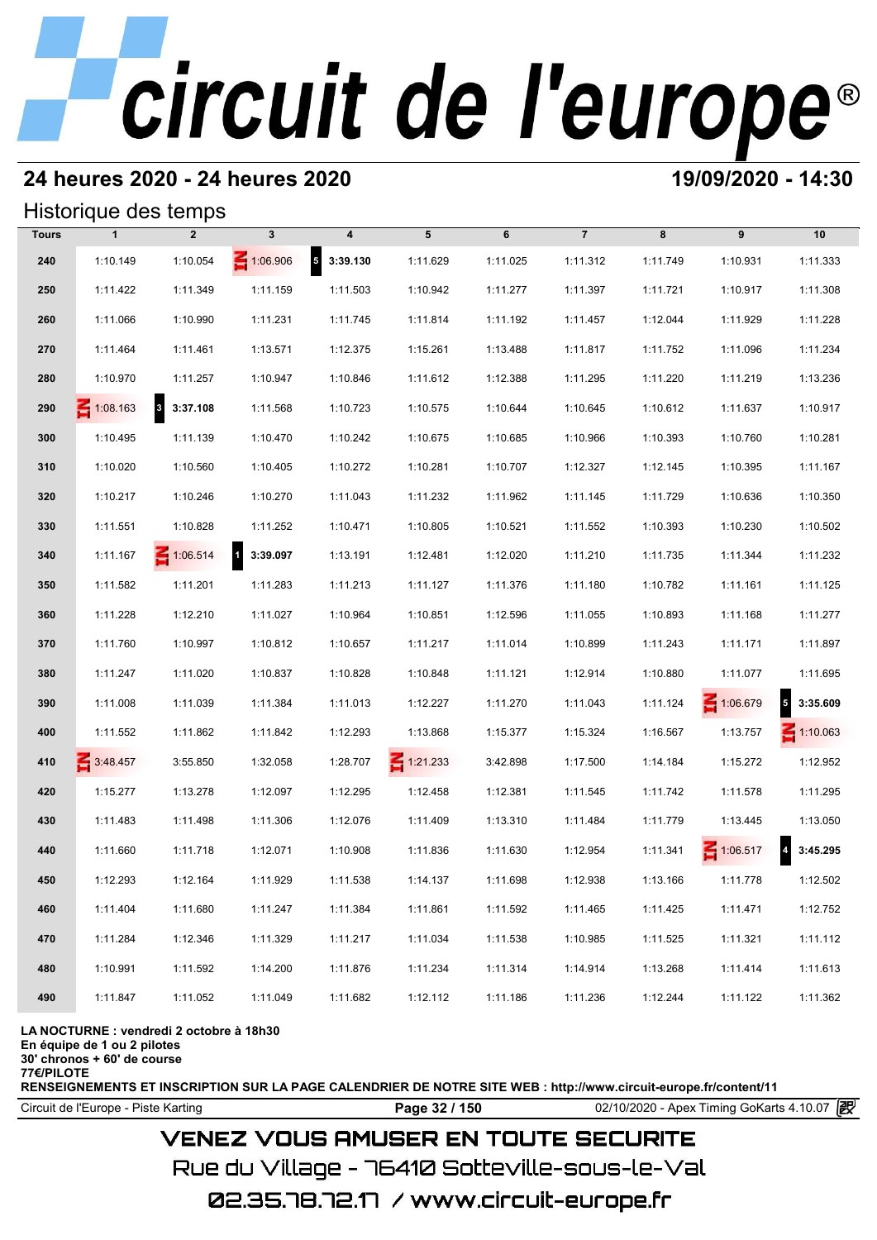## **24 heures 2020 - 24 heures 2020 19/09/2020 - 14:30**

## Historique des temps

|              | Historique des temps |                                     |                          |                                      |                 |          |                |          |                 |                                     |
|--------------|----------------------|-------------------------------------|--------------------------|--------------------------------------|-----------------|----------|----------------|----------|-----------------|-------------------------------------|
| <b>Tours</b> | $\mathbf{1}$         | $\overline{2}$                      | 3                        | 4                                    | 5               | 6        | $\overline{7}$ | 8        | 9               | 10                                  |
| 240          | 1:10.149             | 1:10.054                            | 1:06.906                 | $\overline{\phantom{a}}$<br>3:39.130 | 1:11.629        | 1:11.025 | 1:11.312       | 1:11.749 | 1:10.931        | 1:11.333                            |
| 250          | 1:11.422             | 1:11.349                            | 1:11.159                 | 1:11.503                             | 1:10.942        | 1:11.277 | 1:11.397       | 1:11.721 | 1:10.917        | 1:11.308                            |
| 260          | 1:11.066             | 1:10.990                            | 1:11.231                 | 1:11.745                             | 1:11.814        | 1:11.192 | 1:11.457       | 1:12.044 | 1:11.929        | 1:11.228                            |
| 270          | 1:11.464             | 1:11.461                            | 1:13.571                 | 1:12.375                             | 1:15.261        | 1:13.488 | 1:11.817       | 1:11.752 | 1:11.096        | 1:11.234                            |
| 280          | 1:10.970             | 1:11.257                            | 1:10.947                 | 1:10.846                             | 1:11.612        | 1:12.388 | 1:11.295       | 1:11.220 | 1:11.219        | 1:13.236                            |
| 290          | $\leq 1:08.163$      | $\overline{\mathbf{3}}$<br>3:37.108 | 1:11.568                 | 1:10.723                             | 1:10.575        | 1:10.644 | 1:10.645       | 1:10.612 | 1:11.637        | 1:10.917                            |
| 300          | 1:10.495             | 1:11.139                            | 1:10.470                 | 1:10.242                             | 1:10.675        | 1:10.685 | 1:10.966       | 1:10.393 | 1:10.760        | 1:10.281                            |
| 310          | 1:10.020             | 1:10.560                            | 1:10.405                 | 1:10.272                             | 1:10.281        | 1:10.707 | 1:12.327       | 1:12.145 | 1:10.395        | 1:11.167                            |
| 320          | 1:10.217             | 1:10.246                            | 1:10.270                 | 1:11.043                             | 1:11.232        | 1:11.962 | 1:11.145       | 1:11.729 | 1:10.636        | 1:10.350                            |
| 330          | 1:11.551             | 1:10.828                            | 1:11.252                 | 1:10.471                             | 1:10.805        | 1:10.521 | 1:11.552       | 1:10.393 | 1:10.230        | 1:10.502                            |
| 340          | 1:11.167             | $\leq 1:06.514$                     | $\mathbf{1}$<br>3:39.097 | 1:13.191                             | 1:12.481        | 1:12.020 | 1:11.210       | 1:11.735 | 1:11.344        | 1:11.232                            |
| 350          | 1:11.582             | 1:11.201                            | 1:11.283                 | 1:11.213                             | 1:11.127        | 1:11.376 | 1:11.180       | 1:10.782 | 1:11.161        | 1:11.125                            |
| 360          | 1:11.228             | 1:12.210                            | 1:11.027                 | 1:10.964                             | 1:10.851        | 1:12.596 | 1:11.055       | 1:10.893 | 1:11.168        | 1:11.277                            |
| 370          | 1:11.760             | 1:10.997                            | 1:10.812                 | 1:10.657                             | 1:11.217        | 1:11.014 | 1:10.899       | 1:11.243 | 1:11.171        | 1:11.897                            |
| 380          | 1:11.247             | 1:11.020                            | 1:10.837                 | 1:10.828                             | 1:10.848        | 1:11.121 | 1:12.914       | 1:10.880 | 1:11.077        | 1:11.695                            |
| 390          | 1:11.008             | 1:11.039                            | 1:11.384                 | 1:11.013                             | 1:12.227        | 1:11.270 | 1:11.043       | 1:11.124 | 1:06.679        | $\overline{\mathbf{5}}$<br>3:35.609 |
| 400          | 1:11.552             | 1:11.862                            | 1:11.842                 | 1:12.293                             | 1:13.868        | 1:15.377 | 1:15.324       | 1:16.567 | 1:13.757        | $\leq 1:10.063$                     |
| 410          | 3:48.457             | 3:55.850                            | 1:32.058                 | 1:28.707                             | $\leq 1:21.233$ | 3:42.898 | 1:17.500       | 1:14.184 | 1:15.272        | 1:12.952                            |
| 420          | 1:15.277             | 1:13.278                            | 1:12.097                 | 1:12.295                             | 1:12.458        | 1:12.381 | 1:11.545       | 1:11.742 | 1:11.578        | 1:11.295                            |
| 430          | 1:11.483             | 1:11.498                            | 1:11.306                 | 1:12.076                             | 1:11.409        | 1:13.310 | 1:11.484       | 1:11.779 | 1:13.445        | 1:13.050                            |
| 440          | 1:11.660             | 1:11.718                            | 1:12.071                 | 1:10.908                             | 1:11.836        | 1:11.630 | 1:12.954       | 1:11.341 | $\leq 1:06.517$ | $\overline{4}$<br>3:45.295          |
| 450          | 1:12.293             | 1:12.164                            | 1:11.929                 | 1:11.538                             | 1:14.137        | 1:11.698 | 1:12.938       | 1:13.166 | 1:11.778        | 1:12.502                            |
| 460          | 1:11.404             | 1:11.680                            | 1:11.247                 | 1:11.384                             | 1:11.861        | 1:11.592 | 1:11.465       | 1:11.425 | 1:11.471        | 1:12.752                            |
| 470          | 1:11.284             | 1:12.346                            | 1:11.329                 | 1:11.217                             | 1:11.034        | 1:11.538 | 1:10.985       | 1:11.525 | 1:11.321        | 1:11.112                            |
| 480          | 1:10.991             | 1:11.592                            | 1:14.200                 | 1:11.876                             | 1:11.234        | 1:11.314 | 1:14.914       | 1:13.268 | 1:11.414        | 1:11.613                            |
| 490          | 1:11.847             | 1:11.052                            | 1:11.049                 | 1:11.682                             | 1:12.112        | 1:11.186 | 1:11.236       | 1:12.244 | 1:11.122        | 1:11.362                            |

**LA NOCTURNE : vendredi 2 octobre à 18h30**

**En équipe de 1 ou 2 pilotes**

**30' chronos + 60' de course**

**77€/PILOTE**

**RENSEIGNEMENTS ET INSCRIPTION SUR LA PAGE CALENDRIER DE NOTRE SITE WEB : http://www.circuit-europe.fr/content/11**

**Page 32 / 150** 02/10/2020 - Apex Timing GoKarts 4.10.07 **P** 

## **VENEZ VOUS AMUSER EN TOUTE SECURITE**

Rue du Village – 76410 Sotteville-sous-le-Val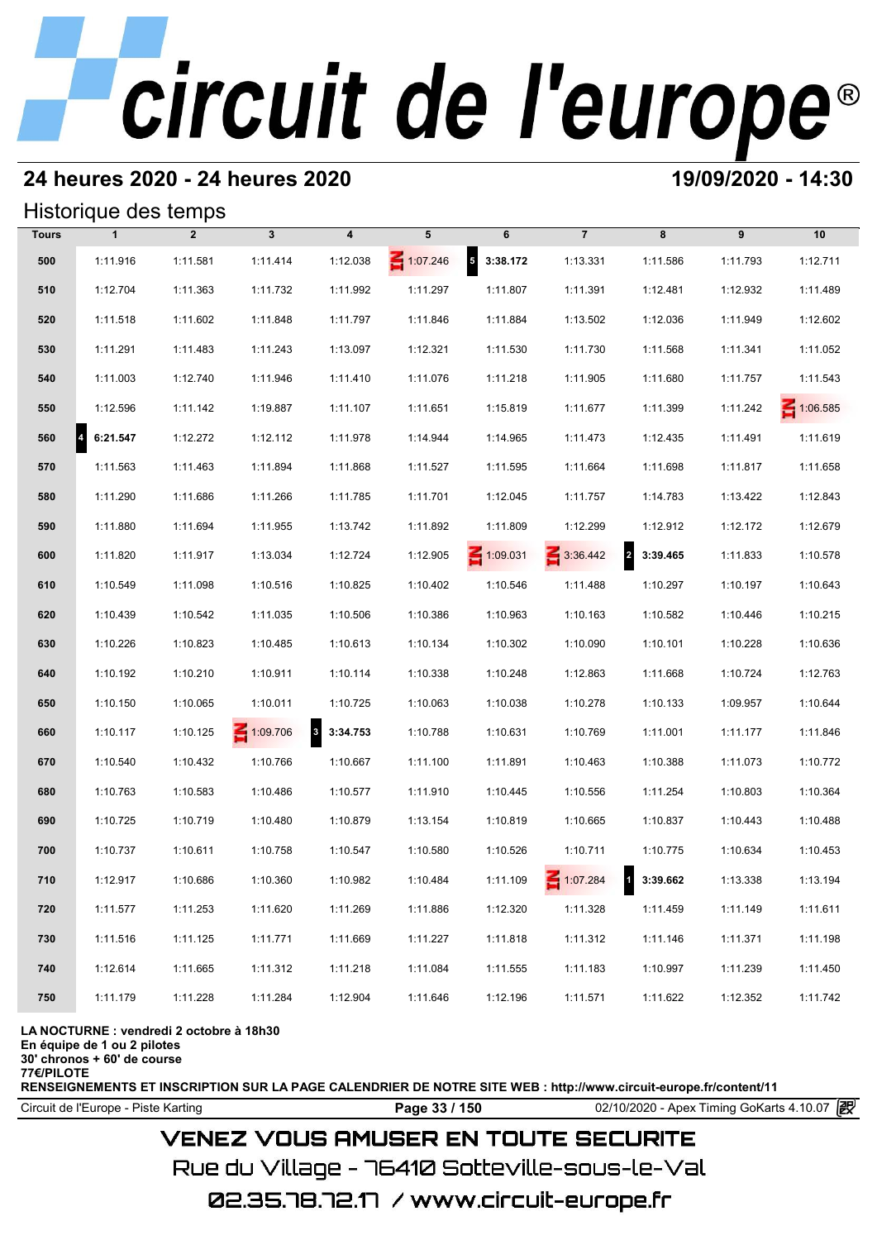## **24 heures 2020 - 24 heures 2020 19/09/2020 - 14:30**

## Historique des temps

|              | Historique des temps |                |                 |                                      |                 |                                      |                |                            |          |          |
|--------------|----------------------|----------------|-----------------|--------------------------------------|-----------------|--------------------------------------|----------------|----------------------------|----------|----------|
| <b>Tours</b> | $\mathbf{1}$         | $\overline{2}$ | $\mathbf{3}$    | $\overline{\mathbf{4}}$              | 5               | 6                                    | $\overline{7}$ | 8                          | 9        | 10       |
| 500          | 1:11.916             | 1:11.581       | 1:11.414        | 1:12.038                             | $\leq 1:07.246$ | $\overline{\phantom{a}}$<br>3:38.172 | 1:13.331       | 1:11.586                   | 1:11.793 | 1:12.711 |
| 510          | 1:12.704             | 1:11.363       | 1:11.732        | 1:11.992                             | 1:11.297        | 1:11.807                             | 1:11.391       | 1:12.481                   | 1:12.932 | 1:11.489 |
| 520          | 1:11.518             | 1:11.602       | 1:11.848        | 1:11.797                             | 1:11.846        | 1:11.884                             | 1:13.502       | 1:12.036                   | 1:11.949 | 1:12.602 |
| 530          | 1:11.291             | 1:11.483       | 1:11.243        | 1:13.097                             | 1:12.321        | 1:11.530                             | 1:11.730       | 1:11.568                   | 1:11.341 | 1:11.052 |
| 540          | 1:11.003             | 1:12.740       | 1:11.946        | 1:11.410                             | 1:11.076        | 1:11.218                             | 1:11.905       | 1:11.680                   | 1:11.757 | 1:11.543 |
| 550          | 1:12.596             | 1:11.142       | 1:19.887        | 1:11.107                             | 1:11.651        | 1:15.819                             | 1:11.677       | 1:11.399                   | 1:11.242 | 1:06.585 |
| 560          | 6:21.547             | 1:12.272       | 1:12.112        | 1:11.978                             | 1:14.944        | 1:14.965                             | 1:11.473       | 1:12.435                   | 1:11.491 | 1:11.619 |
| 570          | 1:11.563             | 1:11.463       | 1:11.894        | 1:11.868                             | 1:11.527        | 1:11.595                             | 1:11.664       | 1:11.698                   | 1:11.817 | 1:11.658 |
| 580          | 1:11.290             | 1:11.686       | 1:11.266        | 1:11.785                             | 1:11.701        | 1:12.045                             | 1:11.757       | 1:14.783                   | 1:13.422 | 1:12.843 |
| 590          | 1:11.880             | 1:11.694       | 1:11.955        | 1:13.742                             | 1:11.892        | 1:11.809                             | 1:12.299       | 1:12.912                   | 1:12.172 | 1:12.679 |
| 600          | 1:11.820             | 1:11.917       | 1:13.034        | 1:12.724                             | 1:12.905        | $\leq 1:09.031$                      | 3:36.442       | $\overline{2}$<br>3:39.465 | 1:11.833 | 1:10.578 |
| 610          | 1:10.549             | 1:11.098       | 1:10.516        | 1:10.825                             | 1:10.402        | 1:10.546                             | 1:11.488       | 1:10.297                   | 1:10.197 | 1:10.643 |
| 620          | 1:10.439             | 1:10.542       | 1:11.035        | 1:10.506                             | 1:10.386        | 1:10.963                             | 1:10.163       | 1:10.582                   | 1:10.446 | 1:10.215 |
| 630          | 1:10.226             | 1:10.823       | 1:10.485        | 1:10.613                             | 1:10.134        | 1:10.302                             | 1:10.090       | 1:10.101                   | 1:10.228 | 1:10.636 |
| 640          | 1:10.192             | 1:10.210       | 1:10.911        | 1:10.114                             | 1:10.338        | 1:10.248                             | 1:12.863       | 1:11.668                   | 1:10.724 | 1:12.763 |
| 650          | 1:10.150             | 1:10.065       | 1:10.011        | 1:10.725                             | 1:10.063        | 1:10.038                             | 1:10.278       | 1:10.133                   | 1:09.957 | 1:10.644 |
| 660          | 1:10.117             | 1:10.125       | $\leq 1:09.706$ | $\overline{\phantom{a}}$<br>3:34.753 | 1:10.788        | 1:10.631                             | 1:10.769       | 1:11.001                   | 1:11.177 | 1:11.846 |
| 670          | 1:10.540             | 1:10.432       | 1:10.766        | 1:10.667                             | 1:11.100        | 1:11.891                             | 1:10.463       | 1:10.388                   | 1:11.073 | 1:10.772 |
| 680          | 1:10.763             | 1:10.583       | 1:10.486        | 1:10.577                             | 1:11.910        | 1:10.445                             | 1:10.556       | 1:11.254                   | 1:10.803 | 1:10.364 |
| 690          | 1:10.725             | 1:10.719       | 1:10.480        | 1:10.879                             | 1:13.154        | 1:10.819                             | 1:10.665       | 1:10.837                   | 1:10.443 | 1:10.488 |
| 700          | 1:10.737             | 1:10.611       | 1:10.758        | 1:10.547                             | 1:10.580        | 1:10.526                             | 1:10.711       | 1:10.775                   | 1:10.634 | 1:10.453 |
| 710          | 1:12.917             | 1:10.686       | 1:10.360        | 1:10.982                             | 1:10.484        | 1:11.109                             | 1:07.284       | 13:39.662                  | 1:13.338 | 1:13.194 |
| 720          | 1:11.577             | 1:11.253       | 1:11.620        | 1:11.269                             | 1:11.886        | 1:12.320                             | 1:11.328       | 1:11.459                   | 1:11.149 | 1:11.611 |
| 730          | 1:11.516             | 1:11.125       | 1:11.771        | 1:11.669                             | 1:11.227        | 1:11.818                             | 1:11.312       | 1:11.146                   | 1:11.371 | 1:11.198 |
| 740          | 1:12.614             | 1:11.665       | 1:11.312        | 1:11.218                             | 1:11.084        | 1:11.555                             | 1:11.183       | 1:10.997                   | 1:11.239 | 1:11.450 |
| 750          | 1:11.179             | 1:11.228       | 1:11.284        | 1:12.904                             | 1:11.646        | 1:12.196                             | 1:11.571       | 1:11.622                   | 1:12.352 | 1:11.742 |

### **LA NOCTURNE : vendredi 2 octobre à 18h30**

**En équipe de 1 ou 2 pilotes**

**30' chronos + 60' de course**

**77€/PILOTE**

**RENSEIGNEMENTS ET INSCRIPTION SUR LA PAGE CALENDRIER DE NOTRE SITE WEB : http://www.circuit-europe.fr/content/11**

**Page 33 / 150** 02/10/2020 - Apex Timing GoKarts 4.10.07 **P** 

## **VENEZ VOUS AMUSER EN TOUTE SECURITE**

Rue du Village – 76410 Sotteville-sous-le-Val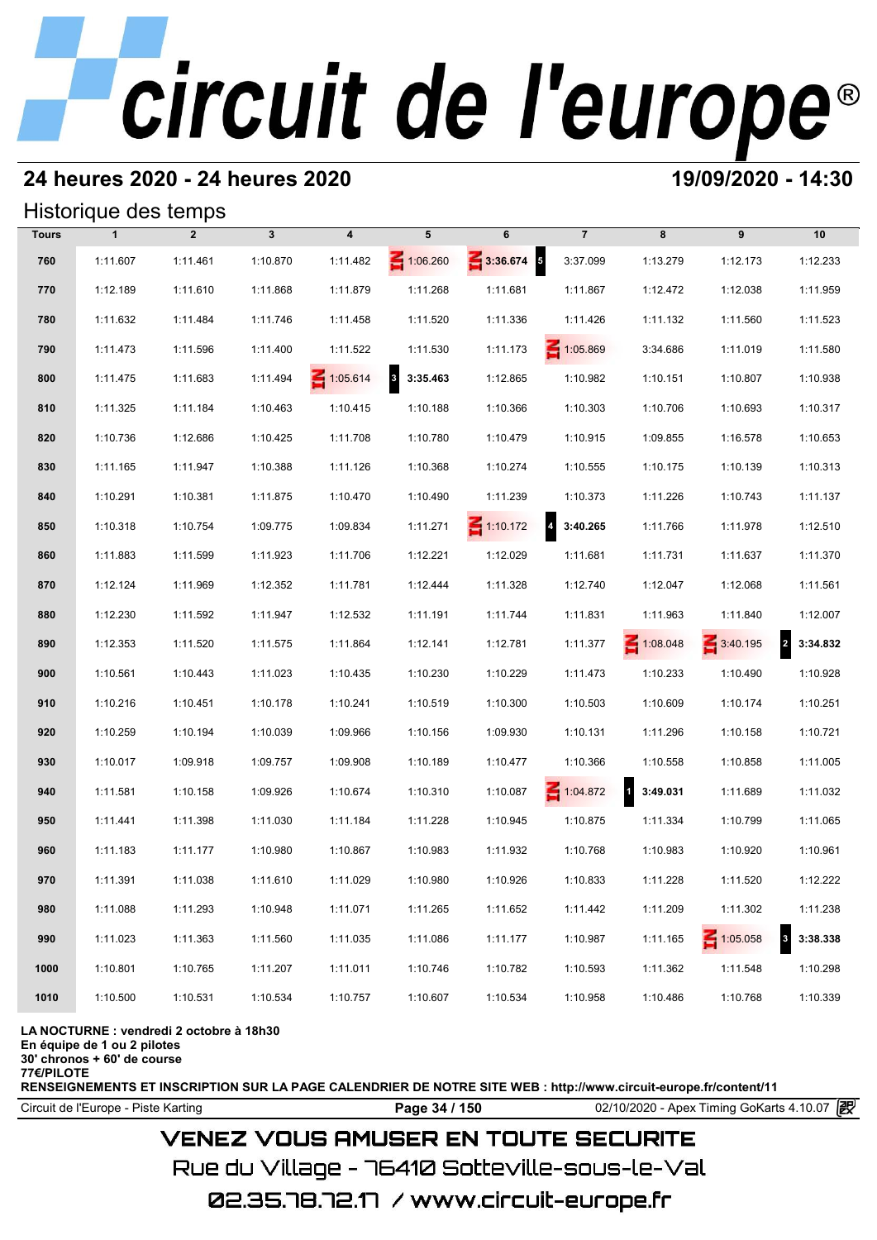## **24 heures 2020 - 24 heures 2020 19/09/2020 - 14:30**

## Historique des temps

|              | Historique des temps |                |              |                         |                                     |                 |                   |            |          |                                     |
|--------------|----------------------|----------------|--------------|-------------------------|-------------------------------------|-----------------|-------------------|------------|----------|-------------------------------------|
| <b>Tours</b> | $\mathbf{1}$         | $\overline{2}$ | $\mathbf{3}$ | $\overline{\mathbf{4}}$ | 5                                   | 6               | $\overline{7}$    | 8          | 9        | 10                                  |
| 760          | 1:11.607             | 1:11.461       | 1:10.870     | 1:11.482                | $\leq 1:06.260$                     | $3:36.674$ 5    | 3:37.099          | 1:13.279   | 1:12.173 | 1:12.233                            |
| 770          | 1:12.189             | 1:11.610       | 1:11.868     | 1:11.879                | 1:11.268                            | 1:11.681        | 1:11.867          | 1:12.472   | 1:12.038 | 1:11.959                            |
| 780          | 1:11.632             | 1:11.484       | 1:11.746     | 1:11.458                | 1:11.520                            | 1:11.336        | 1:11.426          | 1:11.132   | 1:11.560 | 1:11.523                            |
| 790          | 1:11.473             | 1:11.596       | 1:11.400     | 1:11.522                | 1:11.530                            | 1:11.173        | 1:05.869          | 3:34.686   | 1:11.019 | 1:11.580                            |
| 800          | 1:11.475             | 1:11.683       | 1:11.494     | $\leq 1:05.614$         | $\overline{\mathbf{3}}$<br>3:35.463 | 1:12.865        | 1:10.982          | 1:10.151   | 1:10.807 | 1:10.938                            |
| 810          | 1:11.325             | 1:11.184       | 1:10.463     | 1:10.415                | 1:10.188                            | 1:10.366        | 1:10.303          | 1:10.706   | 1:10.693 | 1:10.317                            |
| 820          | 1:10.736             | 1:12.686       | 1:10.425     | 1:11.708                | 1:10.780                            | 1:10.479        | 1:10.915          | 1:09.855   | 1:16.578 | 1:10.653                            |
| 830          | 1:11.165             | 1:11.947       | 1:10.388     | 1:11.126                | 1:10.368                            | 1:10.274        | 1:10.555          | 1:10.175   | 1:10.139 | 1:10.313                            |
| 840          | 1:10.291             | 1:10.381       | 1:11.875     | 1:10.470                | 1:10.490                            | 1:11.239        | 1:10.373          | 1:11.226   | 1:10.743 | 1:11.137                            |
| 850          | 1:10.318             | 1:10.754       | 1:09.775     | 1:09.834                | 1:11.271                            | $\leq 1:10.172$ | $4\quad 3:40.265$ | 1:11.766   | 1:11.978 | 1:12.510                            |
| 860          | 1:11.883             | 1:11.599       | 1:11.923     | 1:11.706                | 1:12.221                            | 1:12.029        | 1:11.681          | 1:11.731   | 1:11.637 | 1:11.370                            |
| 870          | 1:12.124             | 1:11.969       | 1:12.352     | 1:11.781                | 1:12.444                            | 1:11.328        | 1:12.740          | 1:12.047   | 1:12.068 | 1:11.561                            |
| 880          | 1:12.230             | 1:11.592       | 1:11.947     | 1:12.532                | 1:11.191                            | 1:11.744        | 1:11.831          | 1:11.963   | 1:11.840 | 1:12.007                            |
| 890          | 1:12.353             | 1:11.520       | 1:11.575     | 1:11.864                | 1:12.141                            | 1:12.781        | 1:11.377          | 1:08.048   | 3:40.195 | $\overline{2}$<br>3:34.832          |
| 900          | 1:10.561             | 1:10.443       | 1:11.023     | 1:10.435                | 1:10.230                            | 1:10.229        | 1:11.473          | 1:10.233   | 1:10.490 | 1:10.928                            |
| 910          | 1:10.216             | 1:10.451       | 1:10.178     | 1:10.241                | 1:10.519                            | 1:10.300        | 1:10.503          | 1:10.609   | 1:10.174 | 1:10.251                            |
| 920          | 1:10.259             | 1:10.194       | 1:10.039     | 1:09.966                | 1:10.156                            | 1:09.930        | 1:10.131          | 1:11.296   | 1:10.158 | 1:10.721                            |
| 930          | 1:10.017             | 1:09.918       | 1:09.757     | 1:09.908                | 1:10.189                            | 1:10.477        | 1:10.366          | 1:10.558   | 1:10.858 | 1:11.005                            |
| 940          | 1:11.581             | 1:10.158       | 1:09.926     | 1:10.674                | 1:10.310                            | 1:10.087        | 1:04.872          | 1 3:49.031 | 1:11.689 | 1:11.032                            |
| 950          | 1:11.441             | 1:11.398       | 1:11.030     | 1:11.184                | 1:11.228                            | 1:10.945        | 1:10.875          | 1:11.334   | 1:10.799 | 1:11.065                            |
| 960          | 1:11.183             | 1:11.177       | 1:10.980     | 1:10.867                | 1:10.983                            | 1:11.932        | 1:10.768          | 1:10.983   | 1:10.920 | 1:10.961                            |
| 970          | 1:11.391             | 1:11.038       | 1:11.610     | 1:11.029                | 1:10.980                            | 1:10.926        | 1:10.833          | 1:11.228   | 1:11.520 | 1:12.222                            |
| 980          | 1:11.088             | 1:11.293       | 1:10.948     | 1:11.071                | 1:11.265                            | 1:11.652        | 1:11.442          | 1:11.209   | 1:11.302 | 1:11.238                            |
| 990          | 1:11.023             | 1:11.363       | 1:11.560     | 1:11.035                | 1:11.086                            | 1:11.177        | 1:10.987          | 1:11.165   | 1:05.058 | 3:38.338<br>$\overline{\mathbf{3}}$ |
| 1000         | 1:10.801             | 1:10.765       | 1:11.207     | 1:11.011                | 1:10.746                            | 1:10.782        | 1:10.593          | 1:11.362   | 1:11.548 | 1:10.298                            |
| 1010         | 1:10.500             | 1:10.531       | 1:10.534     | 1:10.757                | 1:10.607                            | 1:10.534        | 1:10.958          | 1:10.486   | 1:10.768 | 1:10.339                            |

### **LA NOCTURNE : vendredi 2 octobre à 18h30**

**En équipe de 1 ou 2 pilotes**

**30' chronos + 60' de course**

**77€/PILOTE**

**RENSEIGNEMENTS ET INSCRIPTION SUR LA PAGE CALENDRIER DE NOTRE SITE WEB : http://www.circuit-europe.fr/content/11**

**Page 34 / 150** 02/10/2020 - Apex Timing GoKarts 4.10.07 **P** 

## **VENEZ VOUS AMUSER EN TOUTE SECURITE**

Rue du Village – 76410 Sotteville-sous-le-Val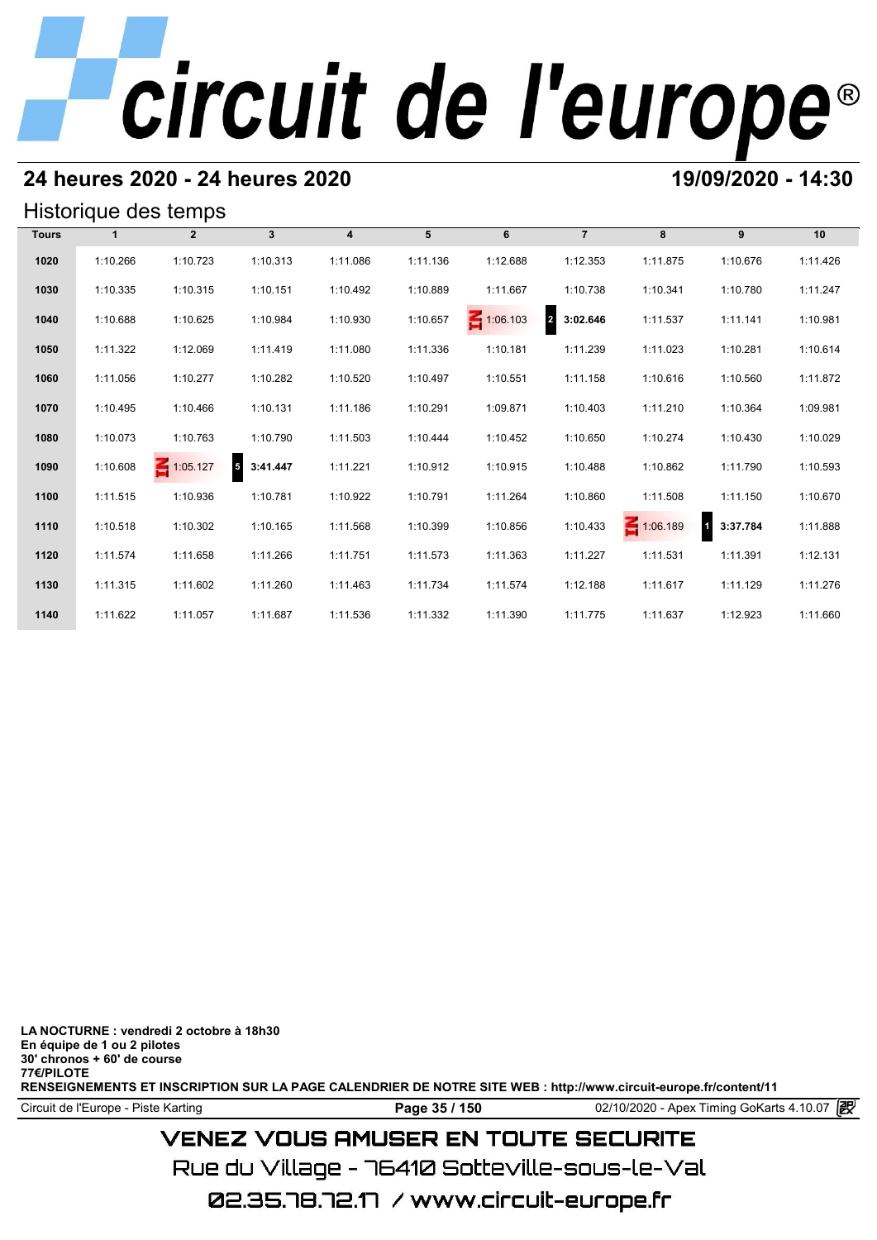## **24 heures 2020 - 24 heures 2020 19/09/2020 - 14:30**

## Historique des temps

|              |          | Historique des temps |              |                         |          |                 |                            |          |                                     |          |
|--------------|----------|----------------------|--------------|-------------------------|----------|-----------------|----------------------------|----------|-------------------------------------|----------|
| <b>Tours</b> |          | $\overline{2}$       | $\mathbf{3}$ | $\overline{\mathbf{4}}$ | 5        | 6               | $\overline{7}$             | 8        | 9                                   | 10       |
| 1020         | 1:10.266 | 1:10.723             | 1:10.313     | 1:11.086                | 1:11.136 | 1:12.688        | 1:12.353                   | 1:11.875 | 1:10.676                            | 1:11.426 |
| 1030         | 1:10.335 | 1:10.315             | 1:10.151     | 1:10.492                | 1:10.889 | 1:11.667        | 1:10.738                   | 1:10.341 | 1:10.780                            | 1:11.247 |
| 1040         | 1:10.688 | 1:10.625             | 1:10.984     | 1:10.930                | 1:10.657 | $\leq 1:06.103$ | $\overline{2}$<br>3:02.646 | 1:11.537 | 1:11.141                            | 1:10.981 |
| 1050         | 1:11.322 | 1:12.069             | 1:11.419     | 1:11.080                | 1:11.336 | 1:10.181        | 1:11.239                   | 1:11.023 | 1:10.281                            | 1:10.614 |
| 1060         | 1:11.056 | 1:10.277             | 1:10.282     | 1:10.520                | 1:10.497 | 1:10.551        | 1:11.158                   | 1:10.616 | 1:10.560                            | 1:11.872 |
| 1070         | 1:10.495 | 1:10.466             | 1:10.131     | 1:11.186                | 1:10.291 | 1:09.871        | 1:10.403                   | 1:11.210 | 1:10.364                            | 1:09.981 |
| 1080         | 1:10.073 | 1:10.763             | 1:10.790     | 1:11.503                | 1:10.444 | 1:10.452        | 1:10.650                   | 1:10.274 | 1:10.430                            | 1:10.029 |
| 1090         | 1:10.608 | $\leq 1:05.127$      | 5 3:41.447   | 1:11.221                | 1:10.912 | 1:10.915        | 1:10.488                   | 1:10.862 | 1:11.790                            | 1:10.593 |
| 1100         | 1:11.515 | 1:10.936             | 1:10.781     | 1:10.922                | 1:10.791 | 1:11.264        | 1:10.860                   | 1:11.508 | 1:11.150                            | 1:10.670 |
| 1110         | 1:10.518 | 1:10.302             | 1:10.165     | 1:11.568                | 1:10.399 | 1:10.856        | 1:10.433                   | 1:06.189 | $\overline{\mathbf{a}}$<br>3:37.784 | 1:11.888 |
| 1120         | 1:11.574 | 1:11.658             | 1:11.266     | 1:11.751                | 1:11.573 | 1:11.363        | 1:11.227                   | 1:11.531 | 1:11.391                            | 1:12.131 |
| 1130         | 1:11.315 | 1:11.602             | 1:11.260     | 1:11.463                | 1:11.734 | 1:11.574        | 1:12.188                   | 1:11.617 | 1:11.129                            | 1:11.276 |
| 1140         | 1:11.622 | 1:11.057             | 1:11.687     | 1:11.536                | 1:11.332 | 1:11.390        | 1:11.775                   | 1:11.637 | 1:12.923                            | 1:11.660 |

**LA NOCTURNE : vendredi 2 octobre à 18h30 En équipe de 1 ou 2 pilotes 30' chronos + 60' de course 77€/PILOTE RENSEIGNEMENTS ET INSCRIPTION SUR LA PAGE CALENDRIER DE NOTRE SITE WEB : http://www.circuit-europe.fr/content/11**

**Page 35 / 150** 02/10/2020 - Apex Timing GoKarts 4.10.07 **P** 

## **VENEZ VOUS AMUSER EN TOUTE SECURITE**

Rue du Village – 76410 Sotteville-sous-le-Val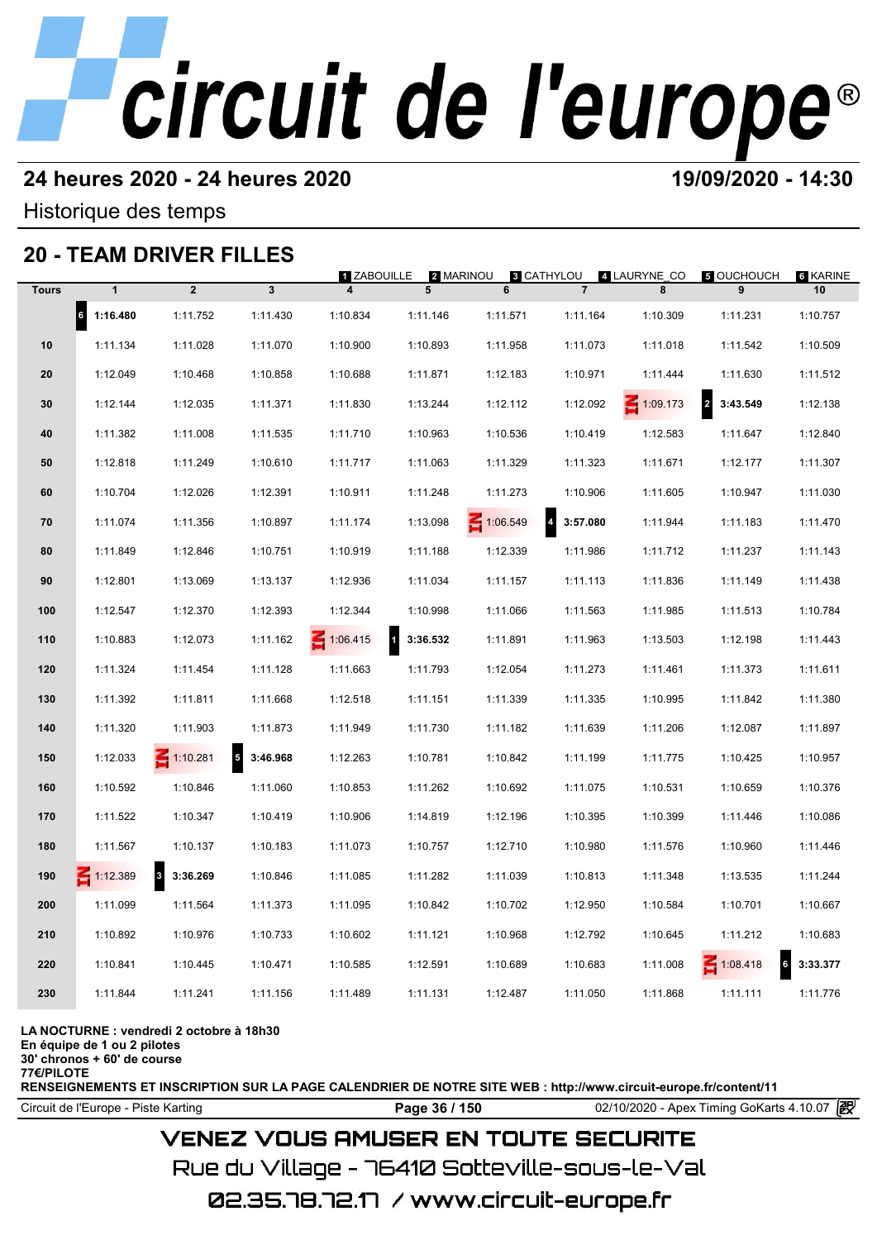## **24 heures 2020 - 24 heures 2020 19/09/2020 - 14:30**

Historique des temps

## **20 - TEAM DRIVER FILLES**

|              |                       | 20 - IEAM DRIVER FILLES  |                             |                                        |                            |          |                                     |                   |                                     |                |
|--------------|-----------------------|--------------------------|-----------------------------|----------------------------------------|----------------------------|----------|-------------------------------------|-------------------|-------------------------------------|----------------|
| <b>Tours</b> | $\mathbf{1}$          | $\overline{2}$           | $\overline{\mathbf{3}}$     | 1 ZABOUILLE<br>$\overline{\mathbf{4}}$ | 2 MARINOU<br>5             | 6        | ន CATHYLOU<br>$\overline{7}$        | 4 LAURYNE_CO<br>8 | <b>5 OUCHOUCH</b><br>9              | 6 KARINE<br>10 |
|              | $\vert$ 6<br>1:16.480 | 1:11.752                 | 1:11.430                    | 1:10.834                               | 1:11.146                   | 1:11.571 | 1:11.164                            | 1:10.309          | 1:11.231                            | 1:10.757       |
| 10           | 1:11.134              | 1:11.028                 | 1:11.070                    | 1:10.900                               | 1:10.893                   | 1:11.958 | 1:11.073                            | 1:11.018          | 1:11.542                            | 1:10.509       |
| 20           | 1:12.049              | 1:10.468                 | 1:10.858                    | 1:10.688                               | 1:11.871                   | 1:12.183 | 1:10.971                            | 1:11.444          | 1:11.630                            | 1:11.512       |
| 30           | 1:12.144              | 1:12.035                 | 1:11.371                    | 1:11.830                               | 1:13.244                   | 1:12.112 | 1:12.092                            | $\leq 1:09.173$   | $\overline{\mathbf{r}}$<br>3:43.549 | 1:12.138       |
| 40           | 1:11.382              | 1:11.008                 | 1:11.535                    | 1:11.710                               | 1:10.963                   | 1:10.536 | 1:10.419                            | 1:12.583          | 1:11.647                            | 1:12.840       |
| 50           | 1:12.818              | 1:11.249                 | 1:10.610                    | 1:11.717                               | 1:11.063                   | 1:11.329 | 1:11.323                            | 1:11.671          | 1:12.177                            | 1:11.307       |
| 60           | 1:10.704              | 1:12.026                 | 1:12.391                    | 1:10.911                               | 1:11.248                   | 1:11.273 | 1:10.906                            | 1:11.605          | 1:10.947                            | 1:11.030       |
| 70           | 1:11.074              | 1:11.356                 | 1:10.897                    | 1:11.174                               | 1:13.098                   | 1:06.549 | $\overline{\mathbf{4}}$<br>3:57.080 | 1:11.944          | 1:11.183                            | 1:11.470       |
| 80           | 1:11.849              | 1:12.846                 | 1:10.751                    | 1:10.919                               | 1:11.188                   | 1:12.339 | 1:11.986                            | 1:11.712          | 1:11.237                            | 1:11.143       |
| 90           | 1:12.801              | 1:13.069                 | 1:13.137                    | 1:12.936                               | 1:11.034                   | 1:11.157 | 1:11.113                            | 1:11.836          | 1:11.149                            | 1:11.438       |
| 100          | 1:12.547              | 1:12.370                 | 1:12.393                    | 1:12.344                               | 1:10.998                   | 1:11.066 | 1:11.563                            | 1:11.985          | 1:11.513                            | 1:10.784       |
| 110          | 1:10.883              | 1:12.073                 | 1:11.162                    | $\leq 1:06.415$                        | $\blacksquare$<br>3:36.532 | 1:11.891 | 1:11.963                            | 1:13.503          | 1:12.198                            | 1:11.443       |
| 120          | 1:11.324              | 1:11.454                 | 1:11.128                    | 1:11.663                               | 1:11.793                   | 1:12.054 | 1:11.273                            | 1:11.461          | 1:11.373                            | 1:11.611       |
| 130          | 1:11.392              | 1:11.811                 | 1:11.668                    | 1:12.518                               | 1:11.151                   | 1:11.339 | 1:11.335                            | 1:10.995          | 1:11.842                            | 1:11.380       |
| 140          | 1:11.320              | 1:11.903                 | 1:11.873                    | 1:11.949                               | 1:11.730                   | 1:11.182 | 1:11.639                            | 1:11.206          | 1:12.087                            | 1:11.897       |
| 150          | 1:12.033              | $\leq 1:10.281$          | $5\overline{5}$<br>3:46.968 | 1:12.263                               | 1:10.781                   | 1:10.842 | 1:11.199                            | 1:11.775          | 1:10.425                            | 1:10.957       |
| 160          | 1:10.592              | 1:10.846                 | 1:11.060                    | 1:10.853                               | 1:11.262                   | 1:10.692 | 1:11.075                            | 1:10.531          | 1:10.659                            | 1:10.376       |
| 170          | 1:11.522              | 1:10.347                 | 1:10.419                    | 1:10.906                               | 1:14.819                   | 1:12.196 | 1:10.395                            | 1:10.399          | 1:11.446                            | 1:10.086       |
| 180          | 1:11.567              | 1:10.137                 | 1:10.183                    | 1:11.073                               | 1:10.757                   | 1:12.710 | 1:10.980                            | 1:11.576          | 1:10.960                            | 1:11.446       |
| 190          | $\leq 1:12.389$       | $\mathbf{3}$<br>3:36.269 | 1:10.846                    | 1:11.085                               | 1:11.282                   | 1:11.039 | 1:10.813                            | 1:11.348          | 1:13.535                            | 1:11.244       |
| 200          | 1:11.099              | 1:11.564                 | 1:11.373                    | 1:11.095                               | 1:10.842                   | 1:10.702 | 1:12.950                            | 1:10.584          | 1:10.701                            | 1:10.667       |
| 210          | 1:10.892              | 1:10.976                 | 1:10.733                    | 1:10.602                               | 1:11.121                   | 1:10.968 | 1:12.792                            | 1:10.645          | 1:11.212                            | 1:10.683       |
| 220          | 1:10.841              | 1:10.445                 | 1:10.471                    | 1:10.585                               | 1:12.591                   | 1:10.689 | 1:10.683                            | 1:11.008          | $\leq 1:08.418$<br>6                | 3:33.377       |
| 230          | 1:11.844              | 1:11.241                 | 1:11.156                    | 1:11.489                               | 1:11.131                   | 1:12.487 | 1:11.050                            | 1:11.868          | 1:11.111                            | 1:11.776       |
|              |                       |                          |                             |                                        |                            |          |                                     |                   |                                     |                |

### **LA NOCTURNE : vendredi 2 octobre à 18h30**

**En équipe de 1 ou 2 pilotes**

**30' chronos + 60' de course 77€/PILOTE**

**RENSEIGNEMENTS ET INSCRIPTION SUR LA PAGE CALENDRIER DE NOTRE SITE WEB : http://www.circuit-europe.fr/content/11**

Circuit de l'Europe - Piste Karting **Page 36 / 150 Page 36 / 150** 02/10/2020 - Apex Timing GoKarts 4.10.07

## **VENEZ VOUS AMUSER EN TOUTE SECURITE**

Rue du Village – 76410 Sotteville-sous-le-Val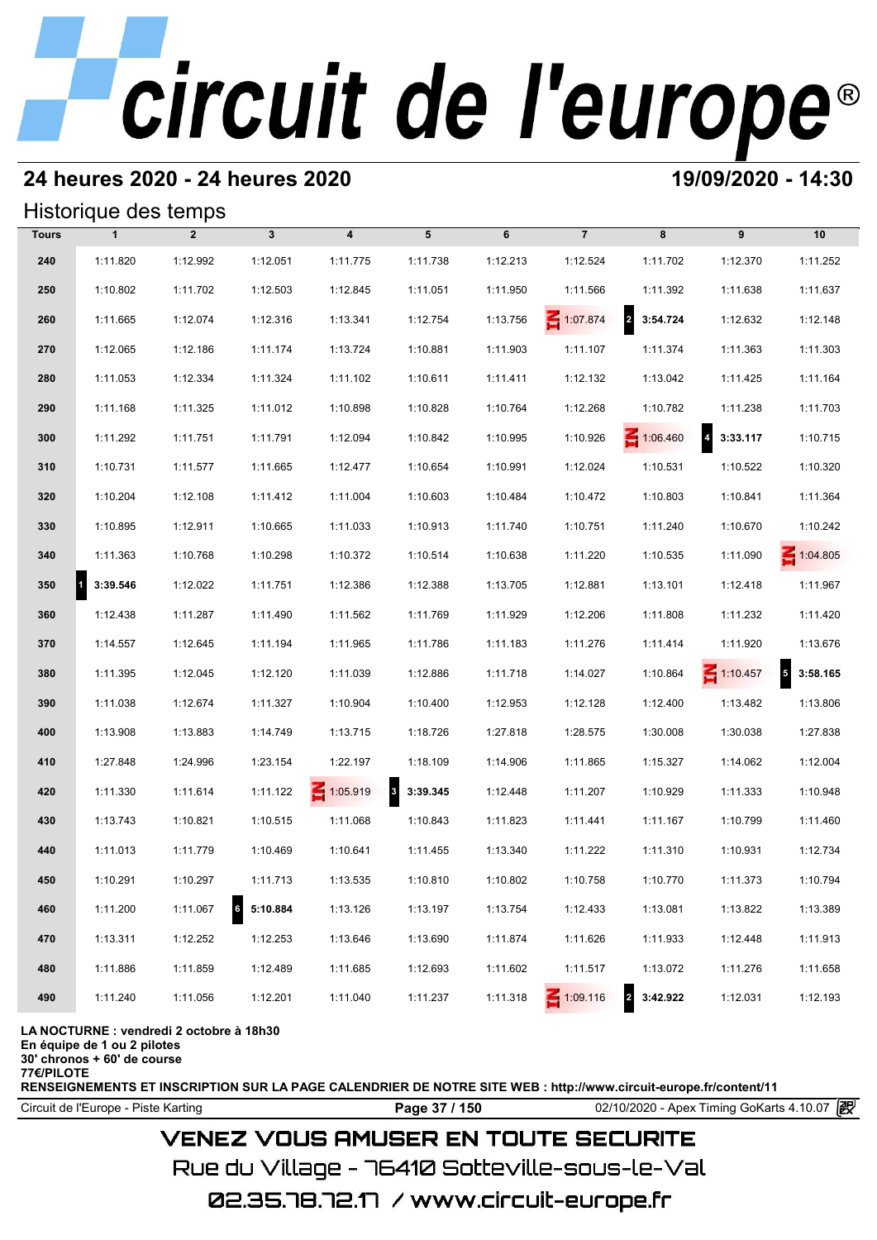# **24 heures 2020 - 24 heures 2020 19/09/2020 - 14:30**

## Historique des temps

|              | Historique des temps |                |                   |                         |                          |          |                 |                 |                   |                        |
|--------------|----------------------|----------------|-------------------|-------------------------|--------------------------|----------|-----------------|-----------------|-------------------|------------------------|
| <b>Tours</b> | $\mathbf{1}$         | $\overline{2}$ | $\mathbf{3}$      | $\overline{\mathbf{4}}$ | 5                        | 6        | $\overline{7}$  | 8               | 9                 | 10                     |
| 240          | 1:11.820             | 1:12.992       | 1:12.051          | 1:11.775                | 1:11.738                 | 1:12.213 | 1:12.524        | 1:11.702        | 1:12.370          | 1:11.252               |
| 250          | 1:10.802             | 1:11.702       | 1:12.503          | 1:12.845                | 1:11.051                 | 1:11.950 | 1:11.566        | 1:11.392        | 1:11.638          | 1:11.637               |
| 260          | 1:11.665             | 1:12.074       | 1:12.316          | 1:13.341                | 1:12.754                 | 1:13.756 | 1:07.874        | 2 3:54.724      | 1:12.632          | 1:12.148               |
| 270          | 1:12.065             | 1:12.186       | 1:11.174          | 1:13.724                | 1:10.881                 | 1:11.903 | 1:11.107        | 1:11.374        | 1:11.363          | 1:11.303               |
| 280          | 1:11.053             | 1:12.334       | 1:11.324          | 1:11.102                | 1:10.611                 | 1:11.411 | 1:12.132        | 1:13.042        | 1:11.425          | 1:11.164               |
| 290          | 1:11.168             | 1:11.325       | 1:11.012          | 1:10.898                | 1:10.828                 | 1:10.764 | 1:12.268        | 1:10.782        | 1:11.238          | 1:11.703               |
| 300          | 1:11.292             | 1:11.751       | 1:11.791          | 1:12.094                | 1:10.842                 | 1:10.995 | 1:10.926        | $\leq 1:06.460$ | $4\quad 3:33.117$ | 1:10.715               |
| 310          | 1:10.731             | 1:11.577       | 1:11.665          | 1:12.477                | 1:10.654                 | 1:10.991 | 1:12.024        | 1:10.531        | 1:10.522          | 1:10.320               |
| 320          | 1:10.204             | 1:12.108       | 1:11.412          | 1:11.004                | 1:10.603                 | 1:10.484 | 1:10.472        | 1:10.803        | 1:10.841          | 1:11.364               |
| 330          | 1:10.895             | 1:12.911       | 1:10.665          | 1:11.033                | 1:10.913                 | 1:11.740 | 1:10.751        | 1:11.240        | 1:10.670          | 1:10.242               |
| 340          | 1:11.363             | 1:10.768       | 1:10.298          | 1:10.372                | 1:10.514                 | 1:10.638 | 1:11.220        | 1:10.535        | 1:11.090          | $\leq 1:04.805$        |
| 350          | 3:39.546             | 1:12.022       | 1:11.751          | 1:12.386                | 1:12.388                 | 1:13.705 | 1:12.881        | 1:13.101        | 1:12.418          | 1:11.967               |
| 360          | 1:12.438             | 1:11.287       | 1:11.490          | 1:11.562                | 1:11.769                 | 1:11.929 | 1:12.206        | 1:11.808        | 1:11.232          | 1:11.420               |
| 370          | 1:14.557             | 1:12.645       | 1:11.194          | 1:11.965                | 1:11.786                 | 1:11.183 | 1:11.276        | 1:11.414        | 1:11.920          | 1:13.676               |
| 380          | 1:11.395             | 1:12.045       | 1:12.120          | 1:11.039                | 1:12.886                 | 1:11.718 | 1:14.027        | 1:10.864        | $\leq 1:10.457$   | $\sqrt{5}$<br>3:58.165 |
| 390          | 1:11.038             | 1:12.674       | 1:11.327          | 1:10.904                | 1:10.400                 | 1:12.953 | 1:12.128        | 1:12.400        | 1:13.482          | 1:13.806               |
| 400          | 1:13.908             | 1:13.883       | 1:14.749          | 1:13.715                | 1:18.726                 | 1:27.818 | 1:28.575        | 1:30.008        | 1:30.038          | 1:27.838               |
| 410          | 1:27.848             | 1:24.996       | 1:23.154          | 1:22.197                | 1:18.109                 | 1:14.906 | 1:11.865        | 1:15.327        | 1:14.062          | 1:12.004               |
| 420          | 1:11.330             | 1:11.614       | 1:11.122          | $\leq 1:05.919$         | 3:39.345<br>$\mathbf{3}$ | 1:12.448 | 1:11.207        | 1:10.929        | 1:11.333          | 1:10.948               |
| 430          | 1:13.743             | 1:10.821       | 1:10.515          | 1:11.068                | 1:10.843                 | 1:11.823 | 1:11.441        | 1:11.167        | 1:10.799          | 1:11.460               |
| 440          | 1:11.013             | 1:11.779       | 1:10.469          | 1:10.641                | 1:11.455                 | 1:13.340 | 1:11.222        | 1:11.310        | 1:10.931          | 1:12.734               |
| 450          | 1:10.291             | 1:10.297       | 1:11.713          | 1:13.535                | 1:10.810                 | 1:10.802 | 1:10.758        | 1:10.770        | 1:11.373          | 1:10.794               |
| 460          | 1:11.200             | 1:11.067       | $6\quad 5:10.884$ | 1:13.126                | 1:13.197                 | 1:13.754 | 1:12.433        | 1:13.081        | 1:13.822          | 1:13.389               |
| 470          | 1:13.311             | 1:12.252       | 1:12.253          | 1:13.646                | 1:13.690                 | 1:11.874 | 1:11.626        | 1:11.933        | 1:12.448          | 1:11.913               |
| 480          | 1:11.886             | 1:11.859       | 1:12.489          | 1:11.685                | 1:12.693                 | 1:11.602 | 1:11.517        | 1:13.072        | 1:11.276          | 1:11.658               |
| 490          | 1:11.240             | 1:11.056       | 1:12.201          | 1:11.040                | 1:11.237                 | 1:11.318 | $\leq 1:09.116$ | 2 3:42.922      | 1:12.031          | 1:12.193               |

### **LA NOCTURNE : vendredi 2 octobre à 18h30**

**En équipe de 1 ou 2 pilotes**

**30' chronos + 60' de course**

**77€/PILOTE**

**RENSEIGNEMENTS ET INSCRIPTION SUR LA PAGE CALENDRIER DE NOTRE SITE WEB : http://www.circuit-europe.fr/content/11**

**Page 37 / 150** 02/10/2020 - Apex Timing GoKarts 4.10.07 **P** 

# **VENEZ VOUS AMUSER EN TOUTE SECURITE**

Rue du Village – 76410 Sotteville-sous-le-Val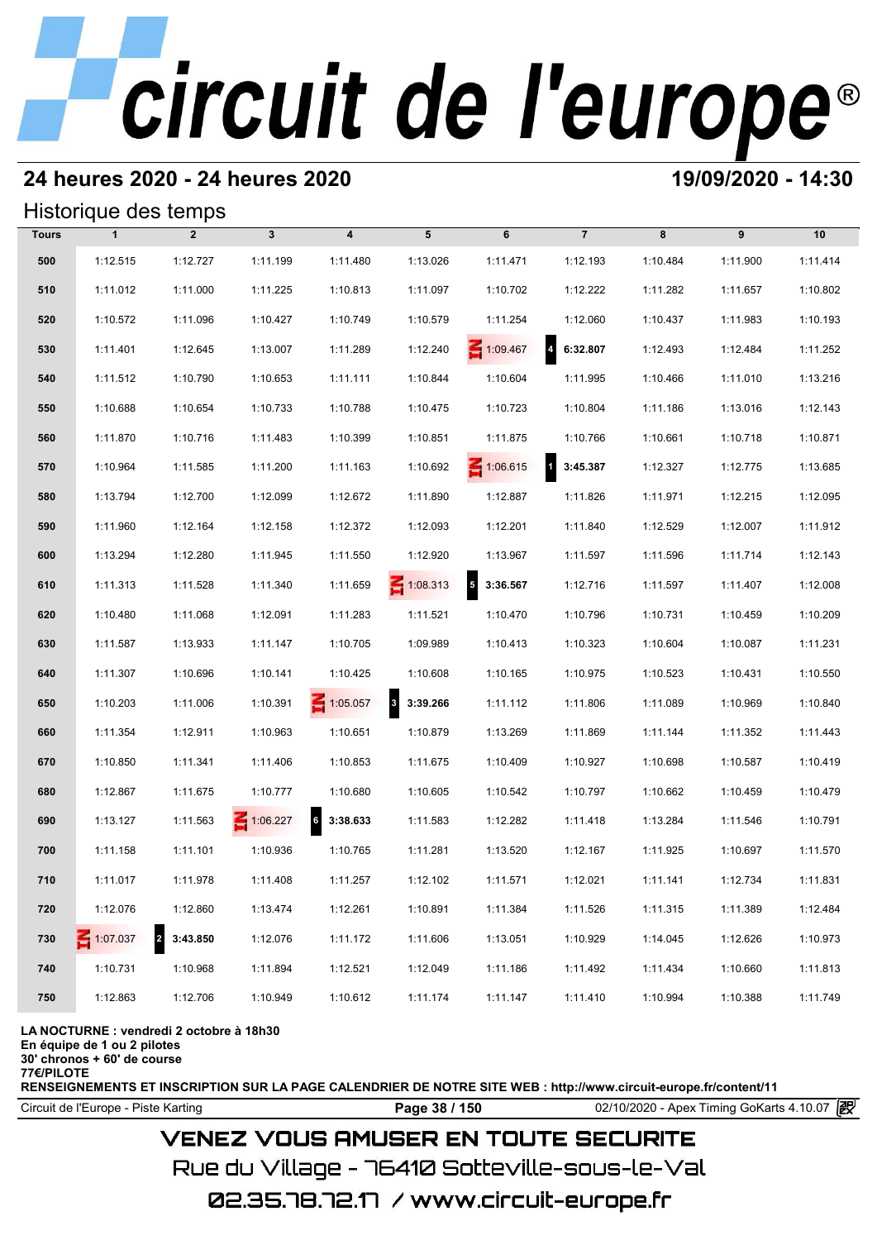# **24 heures 2020 - 24 heures 2020 19/09/2020 - 14:30**

## Historique des temps

|              | Historique des temps |                            |              |                             |                          |                            |                |          |          |          |
|--------------|----------------------|----------------------------|--------------|-----------------------------|--------------------------|----------------------------|----------------|----------|----------|----------|
| <b>Tours</b> | $\mathbf{1}$         | $\overline{2}$             | $\mathbf{3}$ | $\overline{\mathbf{4}}$     | 5                        | 6                          | $\overline{7}$ | 8        | 9        | 10       |
| 500          | 1:12.515             | 1:12.727                   | 1:11.199     | 1:11.480                    | 1:13.026                 | 1:11.471                   | 1:12.193       | 1:10.484 | 1:11.900 | 1:11.414 |
| 510          | 1:11.012             | 1:11.000                   | 1:11.225     | 1:10.813                    | 1:11.097                 | 1:10.702                   | 1:12.222       | 1:11.282 | 1:11.657 | 1:10.802 |
| 520          | 1:10.572             | 1:11.096                   | 1:10.427     | 1:10.749                    | 1:10.579                 | 1:11.254                   | 1:12.060       | 1:10.437 | 1:11.983 | 1:10.193 |
| 530          | 1:11.401             | 1:12.645                   | 1:13.007     | 1:11.289                    | 1:12.240                 | 1:09.467                   | 4 6:32.807     | 1:12.493 | 1:12.484 | 1:11.252 |
| 540          | 1:11.512             | 1:10.790                   | 1:10.653     | 1:11.111                    | 1:10.844                 | 1:10.604                   | 1:11.995       | 1:10.466 | 1:11.010 | 1:13.216 |
| 550          | 1:10.688             | 1:10.654                   | 1:10.733     | 1:10.788                    | 1:10.475                 | 1:10.723                   | 1:10.804       | 1:11.186 | 1:13.016 | 1:12.143 |
| 560          | 1:11.870             | 1:10.716                   | 1:11.483     | 1:10.399                    | 1:10.851                 | 1:11.875                   | 1:10.766       | 1:10.661 | 1:10.718 | 1:10.871 |
| 570          | 1:10.964             | 1:11.585                   | 1:11.200     | 1:11.163                    | 1:10.692                 | 1:06.615                   | 3:45.387       | 1:12.327 | 1:12.775 | 1:13.685 |
| 580          | 1:13.794             | 1:12.700                   | 1:12.099     | 1:12.672                    | 1:11.890                 | 1:12.887                   | 1:11.826       | 1:11.971 | 1:12.215 | 1:12.095 |
| 590          | 1:11.960             | 1:12.164                   | 1:12.158     | 1:12.372                    | 1:12.093                 | 1:12.201                   | 1:11.840       | 1:12.529 | 1:12.007 | 1:11.912 |
| 600          | 1:13.294             | 1:12.280                   | 1:11.945     | 1:11.550                    | 1:12.920                 | 1:13.967                   | 1:11.597       | 1:11.596 | 1:11.714 | 1:12.143 |
| 610          | 1:11.313             | 1:11.528                   | 1:11.340     | 1:11.659                    | $\leq 1:08.313$          | $\overline{5}$<br>3:36.567 | 1:12.716       | 1:11.597 | 1:11.407 | 1:12.008 |
| 620          | 1:10.480             | 1:11.068                   | 1:12.091     | 1:11.283                    | 1:11.521                 | 1:10.470                   | 1:10.796       | 1:10.731 | 1:10.459 | 1:10.209 |
| 630          | 1:11.587             | 1:13.933                   | 1:11.147     | 1:10.705                    | 1:09.989                 | 1:10.413                   | 1:10.323       | 1:10.604 | 1:10.087 | 1:11.231 |
| 640          | 1:11.307             | 1:10.696                   | 1:10.141     | 1:10.425                    | 1:10.608                 | 1:10.165                   | 1:10.975       | 1:10.523 | 1:10.431 | 1:10.550 |
| 650          | 1:10.203             | 1:11.006                   | 1:10.391     | $\leq 1:05.057$             | 3:39.266<br>$\mathbf{3}$ | 1:11.112                   | 1:11.806       | 1:11.089 | 1:10.969 | 1:10.840 |
| 660          | 1:11.354             | 1:12.911                   | 1:10.963     | 1:10.651                    | 1:10.879                 | 1:13.269                   | 1:11.869       | 1:11.144 | 1:11.352 | 1:11.443 |
| 670          | 1:10.850             | 1:11.341                   | 1:11.406     | 1:10.853                    | 1:11.675                 | 1:10.409                   | 1:10.927       | 1:10.698 | 1:10.587 | 1:10.419 |
| 680          | 1:12.867             | 1:11.675                   | 1:10.777     | 1:10.680                    | 1:10.605                 | 1:10.542                   | 1:10.797       | 1:10.662 | 1:10.459 | 1:10.479 |
| 690          | 1:13.127             | 1:11.563                   | 1:06.227     | $6\overline{6}$<br>3:38.633 | 1:11.583                 | 1:12.282                   | 1:11.418       | 1:13.284 | 1:11.546 | 1:10.791 |
| 700          | 1:11.158             | 1:11.101                   | 1:10.936     | 1:10.765                    | 1:11.281                 | 1:13.520                   | 1:12.167       | 1:11.925 | 1:10.697 | 1:11.570 |
| 710          | 1:11.017             | 1:11.978                   | 1:11.408     | 1:11.257                    | 1:12.102                 | 1:11.571                   | 1:12.021       | 1:11.141 | 1:12.734 | 1:11.831 |
| 720          | 1:12.076             | 1:12.860                   | 1:13.474     | 1:12.261                    | 1:10.891                 | 1:11.384                   | 1:11.526       | 1:11.315 | 1:11.389 | 1:12.484 |
| 730          | $-1:07.037$          | $\overline{a}$<br>3:43.850 | 1:12.076     | 1:11.172                    | 1:11.606                 | 1:13.051                   | 1:10.929       | 1:14.045 | 1:12.626 | 1:10.973 |
| 740          | 1:10.731             | 1:10.968                   | 1:11.894     | 1:12.521                    | 1:12.049                 | 1:11.186                   | 1:11.492       | 1:11.434 | 1:10.660 | 1:11.813 |
| 750          | 1:12.863             | 1:12.706                   | 1:10.949     | 1:10.612                    | 1:11.174                 | 1:11.147                   | 1:11.410       | 1:10.994 | 1:10.388 | 1:11.749 |

### **LA NOCTURNE : vendredi 2 octobre à 18h30**

**En équipe de 1 ou 2 pilotes**

**30' chronos + 60' de course**

**77€/PILOTE**

**RENSEIGNEMENTS ET INSCRIPTION SUR LA PAGE CALENDRIER DE NOTRE SITE WEB : http://www.circuit-europe.fr/content/11**

**Page 38 / 150** 02/10/2020 - Apex Timing GoKarts 4.10.07 **P** 

# **VENEZ VOUS AMUSER EN TOUTE SECURITE**

Rue du Village – 76410 Sotteville-sous-le-Val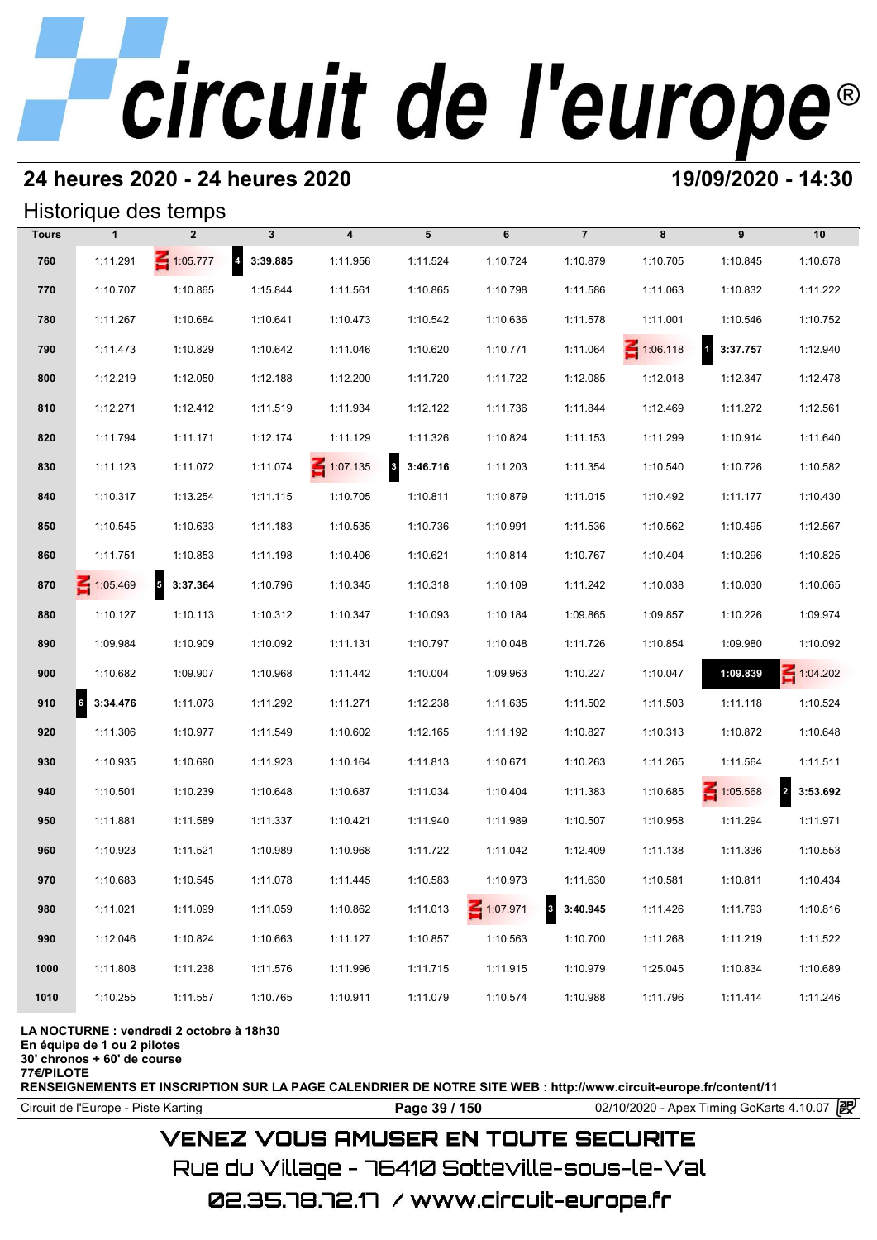# **24 heures 2020 - 24 heures 2020 19/09/2020 - 14:30**

## Historique des temps

|              |              | Historique des temps       |                   |                         |                                     |          |                                     |                 |                    |                 |
|--------------|--------------|----------------------------|-------------------|-------------------------|-------------------------------------|----------|-------------------------------------|-----------------|--------------------|-----------------|
| <b>Tours</b> | $\mathbf{1}$ | $\overline{2}$             | $\mathbf{3}$      | $\overline{\mathbf{4}}$ | 5                                   | 6        | $\overline{7}$                      | 8               | 9                  | 10              |
| 760          | 1:11.291     | $\leq 1:05.777$            | $4\quad 3:39.885$ | 1:11.956                | 1:11.524                            | 1:10.724 | 1:10.879                            | 1:10.705        | 1:10.845           | 1:10.678        |
| 770          | 1:10.707     | 1:10.865                   | 1:15.844          | 1:11.561                | 1:10.865                            | 1:10.798 | 1:11.586                            | 1:11.063        | 1:10.832           | 1:11.222        |
| 780          | 1:11.267     | 1:10.684                   | 1:10.641          | 1:10.473                | 1:10.542                            | 1:10.636 | 1:11.578                            | 1:11.001        | 1:10.546           | 1:10.752        |
| 790          | 1:11.473     | 1:10.829                   | 1:10.642          | 1:11.046                | 1:10.620                            | 1:10.771 | 1:11.064                            | $\leq 1:06.118$ | $1 \quad 3:37.757$ | 1:12.940        |
| 800          | 1:12.219     | 1:12.050                   | 1:12.188          | 1:12.200                | 1:11.720                            | 1:11.722 | 1:12.085                            | 1:12.018        | 1:12.347           | 1:12.478        |
| 810          | 1:12.271     | 1:12.412                   | 1:11.519          | 1:11.934                | 1:12.122                            | 1:11.736 | 1:11.844                            | 1:12.469        | 1:11.272           | 1:12.561        |
| 820          | 1:11.794     | 1:11.171                   | 1:12.174          | 1:11.129                | 1:11.326                            | 1:10.824 | 1:11.153                            | 1:11.299        | 1:10.914           | 1:11.640        |
| 830          | 1:11.123     | 1:11.072                   | 1:11.074          | $\leq 1:07.135$         | $\overline{\mathbf{3}}$<br>3:46.716 | 1:11.203 | 1:11.354                            | 1:10.540        | 1:10.726           | 1:10.582        |
| 840          | 1:10.317     | 1:13.254                   | 1:11.115          | 1:10.705                | 1:10.811                            | 1:10.879 | 1:11.015                            | 1:10.492        | 1:11.177           | 1:10.430        |
| 850          | 1:10.545     | 1:10.633                   | 1:11.183          | 1:10.535                | 1:10.736                            | 1:10.991 | 1:11.536                            | 1:10.562        | 1:10.495           | 1:12.567        |
| 860          | 1:11.751     | 1:10.853                   | 1:11.198          | 1:10.406                | 1:10.621                            | 1:10.814 | 1:10.767                            | 1:10.404        | 1:10.296           | 1:10.825        |
| 870          | 1:05.469     | $\overline{5}$<br>3:37.364 | 1:10.796          | 1:10.345                | 1:10.318                            | 1:10.109 | 1:11.242                            | 1:10.038        | 1:10.030           | 1:10.065        |
| 880          | 1:10.127     | 1:10.113                   | 1:10.312          | 1:10.347                | 1:10.093                            | 1:10.184 | 1:09.865                            | 1:09.857        | 1:10.226           | 1:09.974        |
| 890          | 1:09.984     | 1:10.909                   | 1:10.092          | 1:11.131                | 1:10.797                            | 1:10.048 | 1:11.726                            | 1:10.854        | 1:09.980           | 1:10.092        |
| 900          | 1:10.682     | 1:09.907                   | 1:10.968          | 1:11.442                | 1:10.004                            | 1:09.963 | 1:10.227                            | 1:10.047        | 1:09.839           | $\leq 1:04.202$ |
| 910          | 63:34.476    | 1:11.073                   | 1:11.292          | 1:11.271                | 1:12.238                            | 1:11.635 | 1:11.502                            | 1:11.503        | 1:11.118           | 1:10.524        |
| 920          | 1:11.306     | 1:10.977                   | 1:11.549          | 1:10.602                | 1:12.165                            | 1:11.192 | 1:10.827                            | 1:10.313        | 1:10.872           | 1:10.648        |
| 930          | 1:10.935     | 1:10.690                   | 1:11.923          | 1:10.164                | 1:11.813                            | 1:10.671 | 1:10.263                            | 1:11.265        | 1:11.564           | 1:11.511        |
| 940          | 1:10.501     | 1:10.239                   | 1:10.648          | 1:10.687                | 1:11.034                            | 1:10.404 | 1:11.383                            | 1:10.685        | $\leq 1:05.568$    | 2 3:53.692      |
| 950          | 1:11.881     | 1:11.589                   | 1:11.337          | 1:10.421                | 1:11.940                            | 1:11.989 | 1:10.507                            | 1:10.958        | 1:11.294           | 1:11.971        |
| 960          | 1:10.923     | 1:11.521                   | 1:10.989          | 1:10.968                | 1:11.722                            | 1:11.042 | 1:12.409                            | 1:11.138        | 1:11.336           | 1:10.553        |
| 970          | 1:10.683     | 1:10.545                   | 1:11.078          | 1:11.445                | 1:10.583                            | 1:10.973 | 1:11.630                            | 1:10.581        | 1:10.811           | 1:10.434        |
| 980          | 1:11.021     | 1:11.099                   | 1:11.059          | 1:10.862                | 1:11.013                            | 1:07.971 | $\overline{\mathbf{3}}$<br>3:40.945 | 1:11.426        | 1:11.793           | 1:10.816        |
| 990          | 1:12.046     | 1:10.824                   | 1:10.663          | 1:11.127                | 1:10.857                            | 1:10.563 | 1:10.700                            | 1:11.268        | 1:11.219           | 1:11.522        |
| 1000         | 1:11.808     | 1:11.238                   | 1:11.576          | 1:11.996                | 1:11.715                            | 1:11.915 | 1:10.979                            | 1:25.045        | 1:10.834           | 1:10.689        |
| 1010         | 1:10.255     | 1:11.557                   | 1:10.765          | 1:10.911                | 1:11.079                            | 1:10.574 | 1:10.988                            | 1:11.796        | 1:11.414           | 1:11.246        |

### **LA NOCTURNE : vendredi 2 octobre à 18h30**

**En équipe de 1 ou 2 pilotes**

**30' chronos + 60' de course**

**77€/PILOTE**

**RENSEIGNEMENTS ET INSCRIPTION SUR LA PAGE CALENDRIER DE NOTRE SITE WEB : http://www.circuit-europe.fr/content/11**

Circuit de l'Europe - Piste Karting **Page 39 / 150 Page 39 / 150** 02/10/2020 - Apex Timing GoKarts 4.10.07

# **VENEZ VOUS AMUSER EN TOUTE SECURITE**

Rue du Village – 76410 Sotteville-sous-le-Val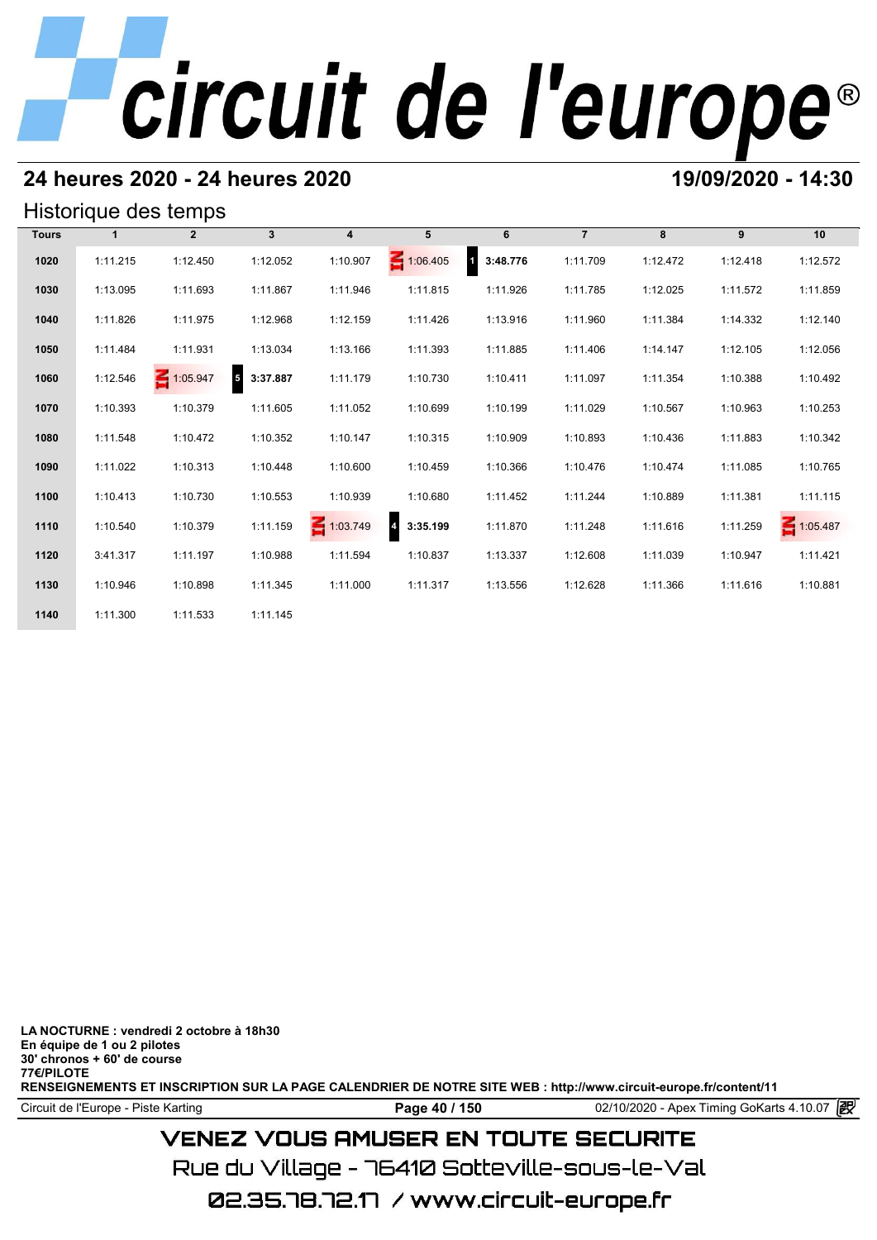# **24 heures 2020 - 24 heures 2020 19/09/2020 - 14:30**

## Historique des temps

| Historique des temps |              |                 |                                      |                |                 |                                     |                |          |          |                 |  |  |  |
|----------------------|--------------|-----------------|--------------------------------------|----------------|-----------------|-------------------------------------|----------------|----------|----------|-----------------|--|--|--|
| <b>Tours</b>         | $\mathbf{1}$ | $\overline{2}$  | $\mathbf{3}$                         | $\overline{4}$ | 5               | 6                                   | $\overline{7}$ | 8        | 9        | 10              |  |  |  |
| 1020                 | 1:11.215     | 1:12.450        | 1:12.052                             | 1:10.907       | $\leq 1:06.405$ | $\overline{\mathbf{1}}$<br>3:48.776 | 1:11.709       | 1:12.472 | 1:12.418 | 1:12.572        |  |  |  |
| 1030                 | 1:13.095     | 1:11.693        | 1:11.867                             | 1:11.946       | 1:11.815        | 1:11.926                            | 1:11.785       | 1:12.025 | 1:11.572 | 1:11.859        |  |  |  |
| 1040                 | 1:11.826     | 1:11.975        | 1:12.968                             | 1:12.159       | 1:11.426        | 1:13.916                            | 1:11.960       | 1:11.384 | 1:14.332 | 1:12.140        |  |  |  |
| 1050                 | 1:11.484     | 1:11.931        | 1:13.034                             | 1:13.166       | 1:11.393        | 1:11.885                            | 1:11.406       | 1:14.147 | 1:12.105 | 1:12.056        |  |  |  |
| 1060                 | 1:12.546     | $\leq 1:05.947$ | $\overline{\phantom{a}}$<br>3:37.887 | 1:11.179       | 1:10.730        | 1:10.411                            | 1:11.097       | 1:11.354 | 1:10.388 | 1:10.492        |  |  |  |
| 1070                 | 1:10.393     | 1:10.379        | 1:11.605                             | 1:11.052       | 1:10.699        | 1:10.199                            | 1:11.029       | 1:10.567 | 1:10.963 | 1:10.253        |  |  |  |
| 1080                 | 1:11.548     | 1:10.472        | 1:10.352                             | 1:10.147       | 1:10.315        | 1:10.909                            | 1:10.893       | 1:10.436 | 1:11.883 | 1:10.342        |  |  |  |
| 1090                 | 1:11.022     | 1:10.313        | 1:10.448                             | 1:10.600       | 1:10.459        | 1:10.366                            | 1:10.476       | 1:10.474 | 1:11.085 | 1:10.765        |  |  |  |
| 1100                 | 1:10.413     | 1:10.730        | 1:10.553                             | 1:10.939       | 1:10.680        | 1:11.452                            | 1:11.244       | 1:10.889 | 1:11.381 | 1:11.115        |  |  |  |
| 1110                 | 1:10.540     | 1:10.379        | 1:11.159                             | 1:03.749       | 3:35.199        | 1:11.870                            | 1:11.248       | 1:11.616 | 1:11.259 | $\leq 1:05.487$ |  |  |  |
| 1120                 | 3:41.317     | 1:11.197        | 1:10.988                             | 1:11.594       | 1:10.837        | 1:13.337                            | 1:12.608       | 1:11.039 | 1:10.947 | 1:11.421        |  |  |  |
| 1130                 | 1:10.946     | 1:10.898        | 1:11.345                             | 1:11.000       | 1:11.317        | 1:13.556                            | 1:12.628       | 1:11.366 | 1:11.616 | 1:10.881        |  |  |  |
| 1140                 | 1:11.300     | 1:11.533        | 1:11.145                             |                |                 |                                     |                |          |          |                 |  |  |  |

**LA NOCTURNE : vendredi 2 octobre à 18h30 En équipe de 1 ou 2 pilotes 30' chronos + 60' de course 77€/PILOTE RENSEIGNEMENTS ET INSCRIPTION SUR LA PAGE CALENDRIER DE NOTRE SITE WEB : http://www.circuit-europe.fr/content/11**

Circuit de l'Europe - Piste Karting **Page 40 / 150 Page 40 / 150** 02/10/2020 - Apex Timing GoKarts 4.10.07

# **VENEZ VOUS AMUSER EN TOUTE SECURITE**

Rue du Village – 76410 Sotteville-sous-le-Val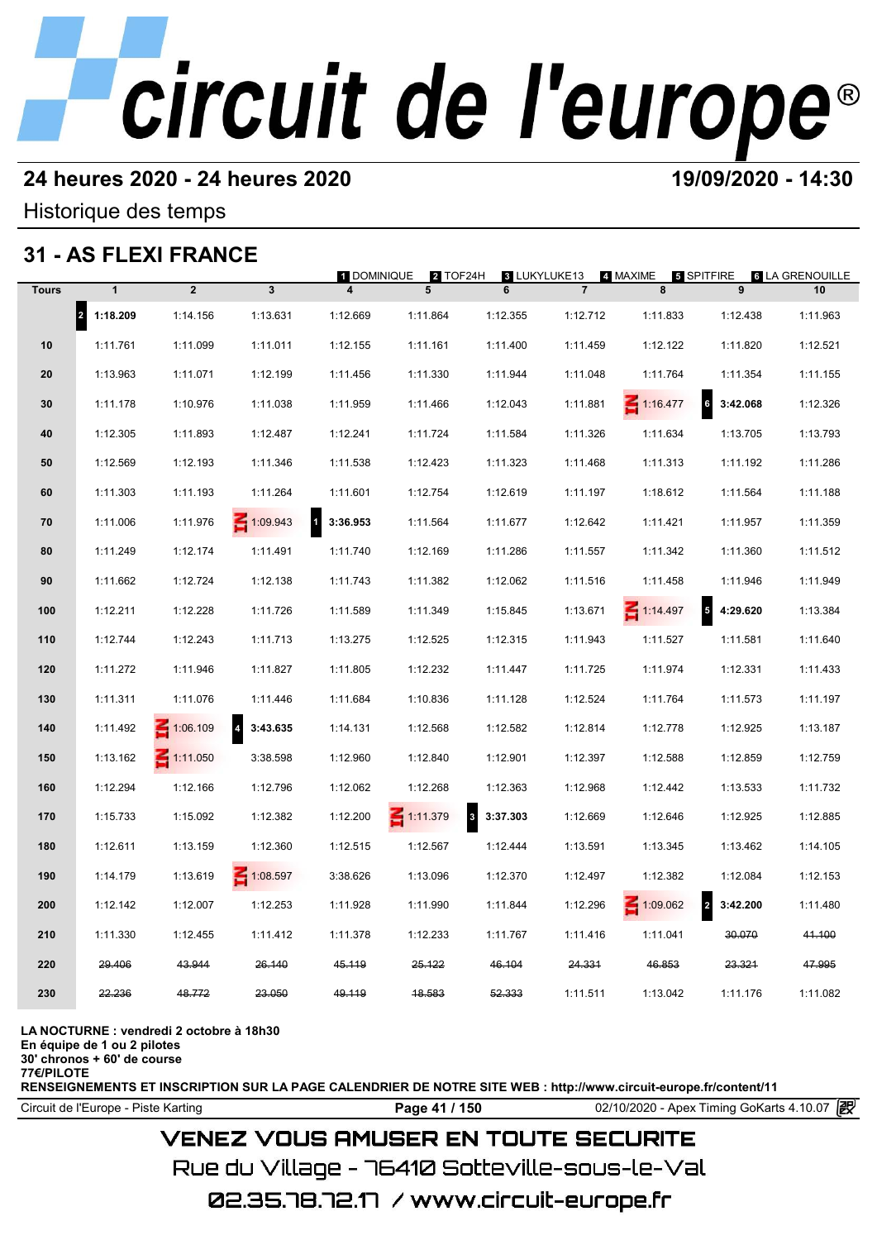# **24 heures 2020 - 24 heures 2020 19/09/2020 - 14:30**

Historique des temps

# **31 - AS FLEXI FRANCE**

|              |                                  | 31 - AS FLEXI FRANCE |                                     | <b>1 DOMINIQUE</b>       | 2 TOF24H        | 3 LUKYLUKE13         |                | 4. MAXIME       | 5 SPITFIRE                           | <b>6 LA GRENOUILLE</b> |
|--------------|----------------------------------|----------------------|-------------------------------------|--------------------------|-----------------|----------------------|----------------|-----------------|--------------------------------------|------------------------|
| <b>Tours</b> | $\mathbf{1}$                     | $\overline{2}$       | $\mathbf{3}$                        | 4                        | 5               | 6                    | $\overline{7}$ | 8               | 9                                    | 10                     |
|              | $\vert$ <sub>2</sub><br>1:18.209 | 1:14.156             | 1:13.631                            | 1:12.669                 | 1:11.864        | 1:12.355             | 1:12.712       | 1:11.833        | 1:12.438                             | 1:11.963               |
| 10           | 1:11.761                         | 1:11.099             | 1:11.011                            | 1:12.155                 | 1:11.161        | 1:11.400             | 1:11.459       | 1:12.122        | 1:11.820                             | 1:12.521               |
| 20           | 1:13.963                         | 1:11.071             | 1:12.199                            | 1:11.456                 | 1:11.330        | 1:11.944             | 1:11.048       | 1:11.764        | 1:11.354                             | 1:11.155               |
| 30           | 1:11.178                         | 1:10.976             | 1:11.038                            | 1:11.959                 | 1:11.466        | 1:12.043             | 1:11.881       | $\leq 1:16.477$ | $6\phantom{a}$<br>3:42.068           | 1:12.326               |
| 40           | 1:12.305                         | 1:11.893             | 1:12.487                            | 1:12.241                 | 1:11.724        | 1:11.584             | 1:11.326       | 1:11.634        | 1:13.705                             | 1:13.793               |
| 50           | 1:12.569                         | 1:12.193             | 1:11.346                            | 1:11.538                 | 1:12.423        | 1:11.323             | 1:11.468       | 1:11.313        | 1:11.192                             | 1:11.286               |
| 60           | 1:11.303                         | 1:11.193             | 1:11.264                            | 1:11.601                 | 1:12.754        | 1:12.619             | 1:11.197       | 1:18.612        | 1:11.564                             | 1:11.188               |
| 70           | 1:11.006                         | 1:11.976             | $\leq 1:09.943$                     | $\mathbf{1}$<br>3:36.953 | 1:11.564        | 1:11.677             | 1:12.642       | 1:11.421        | 1:11.957                             | 1:11.359               |
| 80           | 1:11.249                         | 1:12.174             | 1:11.491                            | 1:11.740                 | 1:12.169        | 1:11.286             | 1:11.557       | 1:11.342        | 1:11.360                             | 1:11.512               |
| 90           | 1:11.662                         | 1:12.724             | 1:12.138                            | 1:11.743                 | 1:11.382        | 1:12.062             | 1:11.516       | 1:11.458        | 1:11.946                             | 1:11.949               |
| 100          | 1:12.211                         | 1:12.228             | 1:11.726                            | 1:11.589                 | 1:11.349        | 1:15.845             | 1:13.671       | $\leq 1:14.497$ | $\overline{\phantom{a}}$<br>4:29.620 | 1:13.384               |
| 110          | 1:12.744                         | 1:12.243             | 1:11.713                            | 1:13.275                 | 1:12.525        | 1:12.315             | 1:11.943       | 1:11.527        | 1:11.581                             | 1:11.640               |
| 120          | 1:11.272                         | 1:11.946             | 1:11.827                            | 1:11.805                 | 1:12.232        | 1:11.447             | 1:11.725       | 1:11.974        | 1:12.331                             | 1:11.433               |
| 130          | 1:11.311                         | 1:11.076             | 1:11.446                            | 1:11.684                 | 1:10.836        | 1:11.128             | 1:12.524       | 1:11.764        | 1:11.573                             | 1:11.197               |
| 140          | 1:11.492                         | $\leq 1:06.109$      | $\overline{\mathbf{4}}$<br>3:43.635 | 1:14.131                 | 1:12.568        | 1:12.582             | 1:12.814       | 1:12.778        | 1:12.925                             | 1:13.187               |
| 150          | 1:13.162                         | $\leq 1:11.050$      | 3:38.598                            | 1:12.960                 | 1:12.840        | 1:12.901             | 1:12.397       | 1:12.588        | 1:12.859                             | 1:12.759               |
| 160          | 1:12.294                         | 1:12.166             | 1:12.796                            | 1:12.062                 | 1:12.268        | 1:12.363             | 1:12.968       | 1:12.442        | 1:13.533                             | 1:11.732               |
| 170          | 1:15.733                         | 1:15.092             | 1:12.382                            | 1:12.200                 | $\leq 1:11.379$ | $\bf{3}$<br>3:37.303 | 1:12.669       | 1:12.646        | 1:12.925                             | 1:12.885               |
| 180          | 1:12.611                         | 1:13.159             | 1:12.360                            | 1:12.515                 | 1:12.567        | 1:12.444             | 1:13.591       | 1:13.345        | 1:13.462                             | 1:14.105               |
| 190          | 1:14.179                         | 1:13.619             | $\leq 1:08.597$                     | 3:38.626                 | 1:13.096        | 1:12.370             | 1:12.497       | 1:12.382        | 1:12.084                             | 1:12.153               |
| 200          | 1:12.142                         | 1:12.007             | 1:12.253                            | 1:11.928                 | 1:11.990        | 1:11.844             | 1:12.296       | $\leq 1:09.062$ | $\overline{a}$<br>3:42.200           | 1:11.480               |
| 210          | 1:11.330                         | 1:12.455             | 1:11.412                            | 1:11.378                 | 1:12.233        | 1:11.767             | 1:11.416       | 1:11.041        | 30.070                               | 41.100                 |
| 220          | 29.406                           | 43.944               | 26.140                              | 45.119                   | 25.122          | 46.104               | 24.331         | 46.853          | 23.321                               | 47.995                 |
| 230          | 22.236                           | 48.772               | 23.050                              | 49.119                   | 48.583          | 52.333               | 1:11.511       | 1:13.042        | 1:11.176                             | 1:11.082               |
|              |                                  |                      |                                     |                          |                 |                      |                |                 |                                      |                        |

**LA NOCTURNE : vendredi 2 octobre à 18h30**

**En équipe de 1 ou 2 pilotes**

**30' chronos + 60' de course 77€/PILOTE**

**RENSEIGNEMENTS ET INSCRIPTION SUR LA PAGE CALENDRIER DE NOTRE SITE WEB : http://www.circuit-europe.fr/content/11**

Circuit de l'Europe - Piste Karting **Page 41 / 150** 02/10/2020 - Apex Timing GoKarts 4.10.07

# **VENEZ VOUS AMUSER EN TOUTE SECURITE**

Rue du Village – 76410 Sotteville-sous-le-Val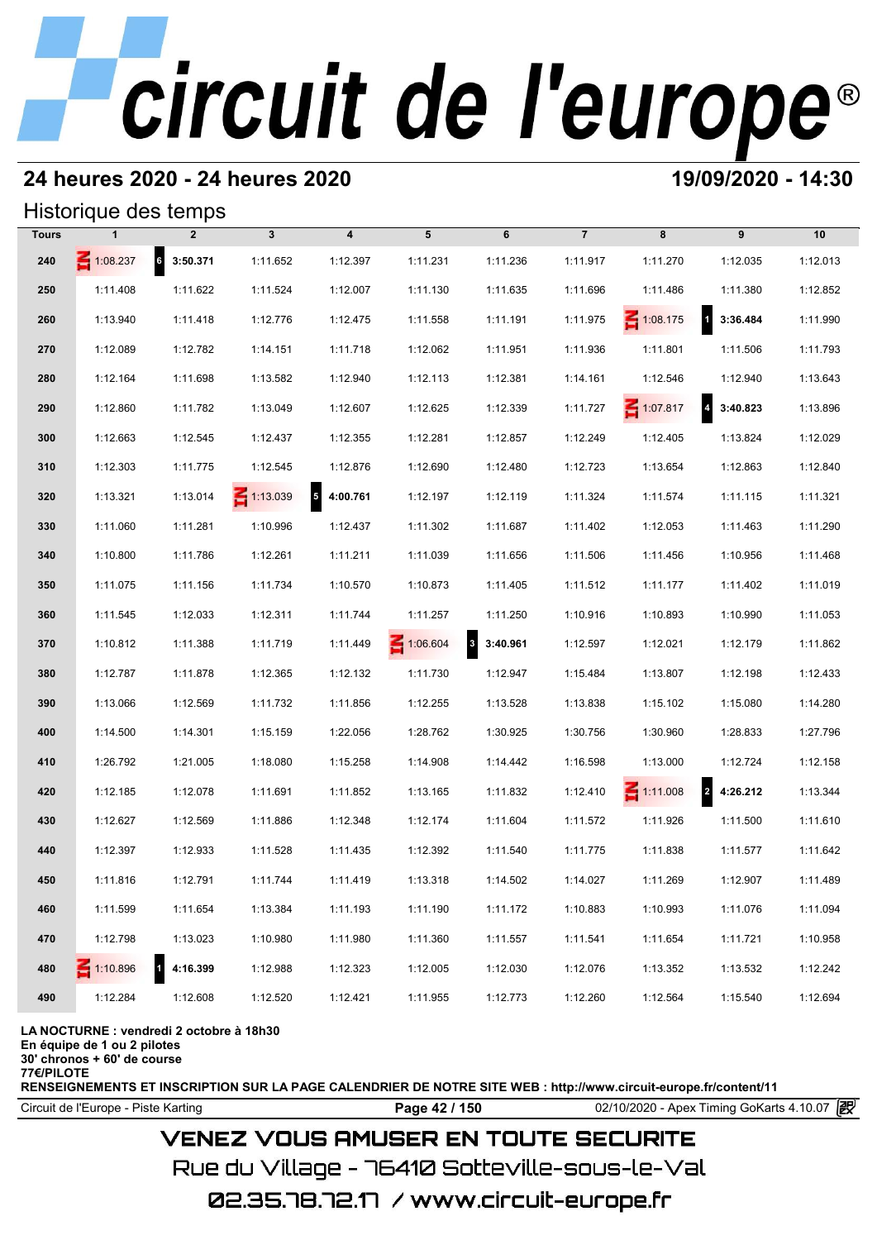# **24 heures 2020 - 24 heures 2020 19/09/2020 - 14:30**

## Historique des temps

|              | Historique des temps |                |                 |                         |          |                                     |                |                 |                                     |          |
|--------------|----------------------|----------------|-----------------|-------------------------|----------|-------------------------------------|----------------|-----------------|-------------------------------------|----------|
| <b>Tours</b> |                      | $\overline{2}$ | $\mathbf{3}$    | $\overline{\mathbf{4}}$ | 5        | 6                                   | $\overline{7}$ | 8               | 9                                   | 10       |
| 240          | $\leq 1:08.237$      | 6 3:50.371     | 1:11.652        | 1:12.397                | 1:11.231 | 1:11.236                            | 1:11.917       | 1:11.270        | 1:12.035                            | 1:12.013 |
| 250          | 1:11.408             | 1:11.622       | 1:11.524        | 1:12.007                | 1:11.130 | 1:11.635                            | 1:11.696       | 1:11.486        | 1:11.380                            | 1:12.852 |
| 260          | 1:13.940             | 1:11.418       | 1:12.776        | 1:12.475                | 1:11.558 | 1:11.191                            | 1:11.975       | $\leq 1:08.175$ | $\overline{\mathbf{a}}$<br>3:36.484 | 1:11.990 |
| 270          | 1:12.089             | 1:12.782       | 1:14.151        | 1:11.718                | 1:12.062 | 1:11.951                            | 1:11.936       | 1:11.801        | 1:11.506                            | 1:11.793 |
| 280          | 1:12.164             | 1:11.698       | 1:13.582        | 1:12.940                | 1:12.113 | 1:12.381                            | 1:14.161       | 1:12.546        | 1:12.940                            | 1:13.643 |
| 290          | 1:12.860             | 1:11.782       | 1:13.049        | 1:12.607                | 1:12.625 | 1:12.339                            | 1:11.727       | $\leq 1:07.817$ | $\overline{\mathbf{4}}$<br>3:40.823 | 1:13.896 |
| 300          | 1:12.663             | 1:12.545       | 1:12.437        | 1:12.355                | 1:12.281 | 1:12.857                            | 1:12.249       | 1:12.405        | 1:13.824                            | 1:12.029 |
| 310          | 1:12.303             | 1:11.775       | 1:12.545        | 1:12.876                | 1:12.690 | 1:12.480                            | 1:12.723       | 1:13.654        | 1:12.863                            | 1:12.840 |
| 320          | 1:13.321             | 1:13.014       | $\leq 1:13.039$ | 5<br>4:00.761           | 1:12.197 | 1:12.119                            | 1:11.324       | 1:11.574        | 1:11.115                            | 1:11.321 |
| 330          | 1:11.060             | 1:11.281       | 1:10.996        | 1:12.437                | 1:11.302 | 1:11.687                            | 1:11.402       | 1:12.053        | 1:11.463                            | 1:11.290 |
| 340          | 1:10.800             | 1:11.786       | 1:12.261        | 1:11.211                | 1:11.039 | 1:11.656                            | 1:11.506       | 1:11.456        | 1:10.956                            | 1:11.468 |
| 350          | 1:11.075             | 1:11.156       | 1:11.734        | 1:10.570                | 1:10.873 | 1:11.405                            | 1:11.512       | 1:11.177        | 1:11.402                            | 1:11.019 |
| 360          | 1:11.545             | 1:12.033       | 1:12.311        | 1:11.744                | 1:11.257 | 1:11.250                            | 1:10.916       | 1:10.893        | 1:10.990                            | 1:11.053 |
| 370          | 1:10.812             | 1:11.388       | 1:11.719        | 1:11.449                | 1:06.604 | $\overline{\mathbf{3}}$<br>3:40.961 | 1:12.597       | 1:12.021        | 1:12.179                            | 1:11.862 |
| 380          | 1:12.787             | 1:11.878       | 1:12.365        | 1:12.132                | 1:11.730 | 1:12.947                            | 1:15.484       | 1:13.807        | 1:12.198                            | 1:12.433 |
| 390          | 1:13.066             | 1:12.569       | 1:11.732        | 1:11.856                | 1:12.255 | 1:13.528                            | 1:13.838       | 1:15.102        | 1:15.080                            | 1:14.280 |
| 400          | 1:14.500             | 1:14.301       | 1:15.159        | 1:22.056                | 1:28.762 | 1:30.925                            | 1:30.756       | 1:30.960        | 1:28.833                            | 1:27.796 |
| 410          | 1:26.792             | 1:21.005       | 1:18.080        | 1:15.258                | 1:14.908 | 1:14.442                            | 1:16.598       | 1:13.000        | 1:12.724                            | 1:12.158 |
| 420          | 1:12.185             | 1:12.078       | 1:11.691        | 1:11.852                | 1:13.165 | 1:11.832                            | 1:12.410       | $\leq 1:11.008$ | 2 4:26.212                          | 1:13.344 |
| 430          | 1:12.627             | 1:12.569       | 1:11.886        | 1:12.348                | 1:12.174 | 1:11.604                            | 1:11.572       | 1:11.926        | 1:11.500                            | 1:11.610 |
| 440          | 1:12.397             | 1:12.933       | 1:11.528        | 1:11.435                | 1:12.392 | 1:11.540                            | 1:11.775       | 1:11.838        | 1:11.577                            | 1:11.642 |
| 450          | 1:11.816             | 1:12.791       | 1:11.744        | 1:11.419                | 1:13.318 | 1:14.502                            | 1:14.027       | 1:11.269        | 1:12.907                            | 1:11.489 |
| 460          | 1:11.599             | 1:11.654       | 1:13.384        | 1:11.193                | 1:11.190 | 1:11.172                            | 1:10.883       | 1:10.993        | 1:11.076                            | 1:11.094 |
| 470          | 1:12.798             | 1:13.023       | 1:10.980        | 1:11.980                | 1:11.360 | 1:11.557                            | 1:11.541       | 1:11.654        | 1:11.721                            | 1:10.958 |
| 480          | $\leq 1:10.896$      | 4:16.399       | 1:12.988        | 1:12.323                | 1:12.005 | 1:12.030                            | 1:12.076       | 1:13.352        | 1:13.532                            | 1:12.242 |
| 490          | 1:12.284             | 1:12.608       | 1:12.520        | 1:12.421                | 1:11.955 | 1:12.773                            | 1:12.260       | 1:12.564        | 1:15.540                            | 1:12.694 |

### **LA NOCTURNE : vendredi 2 octobre à 18h30**

**En équipe de 1 ou 2 pilotes**

**30' chronos + 60' de course**

**77€/PILOTE**

**RENSEIGNEMENTS ET INSCRIPTION SUR LA PAGE CALENDRIER DE NOTRE SITE WEB : http://www.circuit-europe.fr/content/11**

Circuit de l'Europe - Piste Karting **Page 42 / 150 Page 42 / 150** 02/10/2020 - Apex Timing GoKarts 4.10.07

# **VENEZ VOUS AMUSER EN TOUTE SECURITE**

Rue du Village – 76410 Sotteville-sous-le-Val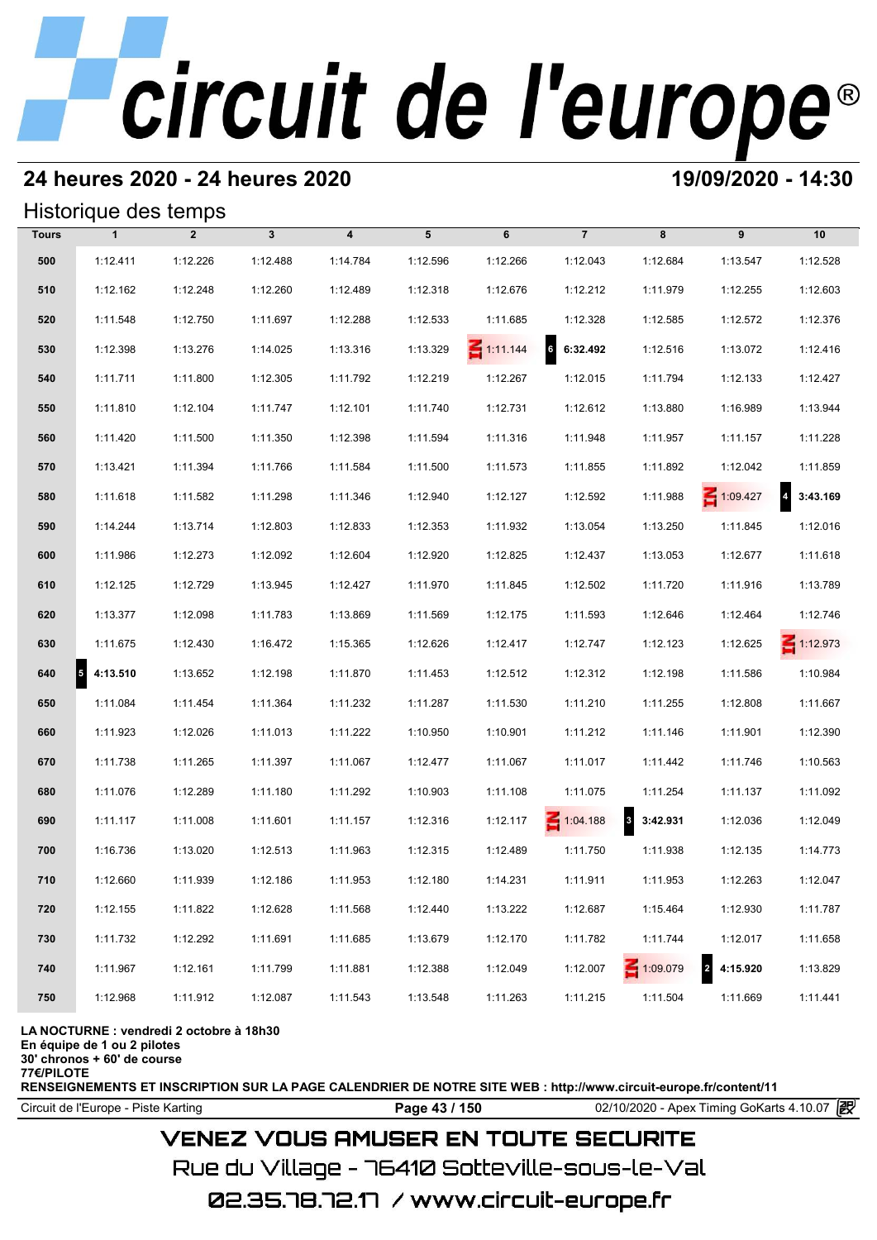# **24 heures 2020 - 24 heures 2020 19/09/2020 - 14:30**

## Historique des temps

|              | Historique des temps |                |              |                         |          |                 |                |                                     |                                     |                            |
|--------------|----------------------|----------------|--------------|-------------------------|----------|-----------------|----------------|-------------------------------------|-------------------------------------|----------------------------|
| <b>Tours</b> | $\mathbf{1}$         | $\overline{2}$ | $\mathbf{3}$ | $\overline{\mathbf{4}}$ | 5        | 6               | $\overline{7}$ | 8                                   | 9                                   | 10                         |
| 500          | 1:12.411             | 1:12.226       | 1:12.488     | 1:14.784                | 1:12.596 | 1:12.266        | 1:12.043       | 1:12.684                            | 1:13.547                            | 1:12.528                   |
| 510          | 1:12.162             | 1:12.248       | 1:12.260     | 1:12.489                | 1:12.318 | 1:12.676        | 1:12.212       | 1:11.979                            | 1:12.255                            | 1:12.603                   |
| 520          | 1:11.548             | 1:12.750       | 1:11.697     | 1:12.288                | 1:12.533 | 1:11.685        | 1:12.328       | 1:12.585                            | 1:12.572                            | 1:12.376                   |
| 530          | 1:12.398             | 1:13.276       | 1:14.025     | 1:13.316                | 1:13.329 | $\leq 1:11.144$ | 6.32.492       | 1:12.516                            | 1:13.072                            | 1:12.416                   |
| 540          | 1:11.711             | 1:11.800       | 1:12.305     | 1:11.792                | 1:12.219 | 1:12.267        | 1:12.015       | 1:11.794                            | 1:12.133                            | 1:12.427                   |
| 550          | 1:11.810             | 1:12.104       | 1:11.747     | 1:12.101                | 1:11.740 | 1:12.731        | 1:12.612       | 1:13.880                            | 1:16.989                            | 1:13.944                   |
| 560          | 1:11.420             | 1:11.500       | 1:11.350     | 1:12.398                | 1:11.594 | 1:11.316        | 1:11.948       | 1:11.957                            | 1:11.157                            | 1:11.228                   |
| 570          | 1:13.421             | 1:11.394       | 1:11.766     | 1:11.584                | 1:11.500 | 1:11.573        | 1:11.855       | 1:11.892                            | 1:12.042                            | 1:11.859                   |
| 580          | 1:11.618             | 1:11.582       | 1:11.298     | 1:11.346                | 1:12.940 | 1:12.127        | 1:12.592       | 1:11.988                            | 1:09.427                            | $\overline{4}$<br>3:43.169 |
| 590          | 1:14.244             | 1:13.714       | 1:12.803     | 1:12.833                | 1:12.353 | 1:11.932        | 1:13.054       | 1:13.250                            | 1:11.845                            | 1:12.016                   |
| 600          | 1:11.986             | 1:12.273       | 1:12.092     | 1:12.604                | 1:12.920 | 1:12.825        | 1:12.437       | 1:13.053                            | 1:12.677                            | 1:11.618                   |
| 610          | 1:12.125             | 1:12.729       | 1:13.945     | 1:12.427                | 1:11.970 | 1:11.845        | 1:12.502       | 1:11.720                            | 1:11.916                            | 1:13.789                   |
| 620          | 1:13.377             | 1:12.098       | 1:11.783     | 1:13.869                | 1:11.569 | 1:12.175        | 1:11.593       | 1:12.646                            | 1:12.464                            | 1:12.746                   |
| 630          | 1:11.675             | 1:12.430       | 1:16.472     | 1:15.365                | 1:12.626 | 1:12.417        | 1:12.747       | 1:12.123                            | 1:12.625                            | $\leq 1:12.973$            |
| 640          | 4:13.510<br>5        | 1:13.652       | 1:12.198     | 1:11.870                | 1:11.453 | 1:12.512        | 1:12.312       | 1:12.198                            | 1:11.586                            | 1:10.984                   |
| 650          | 1:11.084             | 1:11.454       | 1:11.364     | 1:11.232                | 1:11.287 | 1:11.530        | 1:11.210       | 1:11.255                            | 1:12.808                            | 1:11.667                   |
| 660          | 1:11.923             | 1:12.026       | 1:11.013     | 1:11.222                | 1:10.950 | 1:10.901        | 1:11.212       | 1:11.146                            | 1:11.901                            | 1:12.390                   |
| 670          | 1:11.738             | 1:11.265       | 1:11.397     | 1:11.067                | 1:12.477 | 1:11.067        | 1:11.017       | 1:11.442                            | 1:11.746                            | 1:10.563                   |
| 680          | 1:11.076             | 1:12.289       | 1:11.180     | 1:11.292                | 1:10.903 | 1:11.108        | 1:11.075       | 1:11.254                            | 1:11.137                            | 1:11.092                   |
| 690          | 1:11.117             | 1:11.008       | 1:11.601     | 1:11.157                | 1:12.316 | 1:12.117        | 1:04.188       | $\overline{\mathbf{3}}$<br>3:42.931 | 1:12.036                            | 1:12.049                   |
| 700          | 1:16.736             | 1:13.020       | 1:12.513     | 1:11.963                | 1:12.315 | 1:12.489        | 1:11.750       | 1:11.938                            | 1:12.135                            | 1:14.773                   |
| 710          | 1:12.660             | 1:11.939       | 1:12.186     | 1:11.953                | 1:12.180 | 1:14.231        | 1:11.911       | 1:11.953                            | 1:12.263                            | 1:12.047                   |
| 720          | 1:12.155             | 1:11.822       | 1:12.628     | 1:11.568                | 1:12.440 | 1:13.222        | 1:12.687       | 1:15.464                            | 1:12.930                            | 1:11.787                   |
| 730          | 1:11.732             | 1:12.292       | 1:11.691     | 1:11.685                | 1:13.679 | 1:12.170        | 1:11.782       | 1:11.744                            | 1:12.017                            | 1:11.658                   |
| 740          | 1:11.967             | 1:12.161       | 1:11.799     | 1:11.881                | 1:12.388 | 1:12.049        | 1:12.007       | $\leq 1:09.079$                     | $\overline{\mathbf{2}}$<br>4:15.920 | 1:13.829                   |
| 750          | 1:12.968             | 1:11.912       | 1:12.087     | 1:11.543                | 1:13.548 | 1:11.263        | 1:11.215       | 1:11.504                            | 1:11.669                            | 1:11.441                   |

### **LA NOCTURNE : vendredi 2 octobre à 18h30**

**En équipe de 1 ou 2 pilotes**

**30' chronos + 60' de course**

**77€/PILOTE**

**RENSEIGNEMENTS ET INSCRIPTION SUR LA PAGE CALENDRIER DE NOTRE SITE WEB : http://www.circuit-europe.fr/content/11**

Circuit de l'Europe - Piste Karting **Page 43 / 150 Page 43 / 150** 02/10/2020 - Apex Timing GoKarts 4.10.07

# **VENEZ VOUS AMUSER EN TOUTE SECURITE**

Rue du Village – 76410 Sotteville-sous-le-Val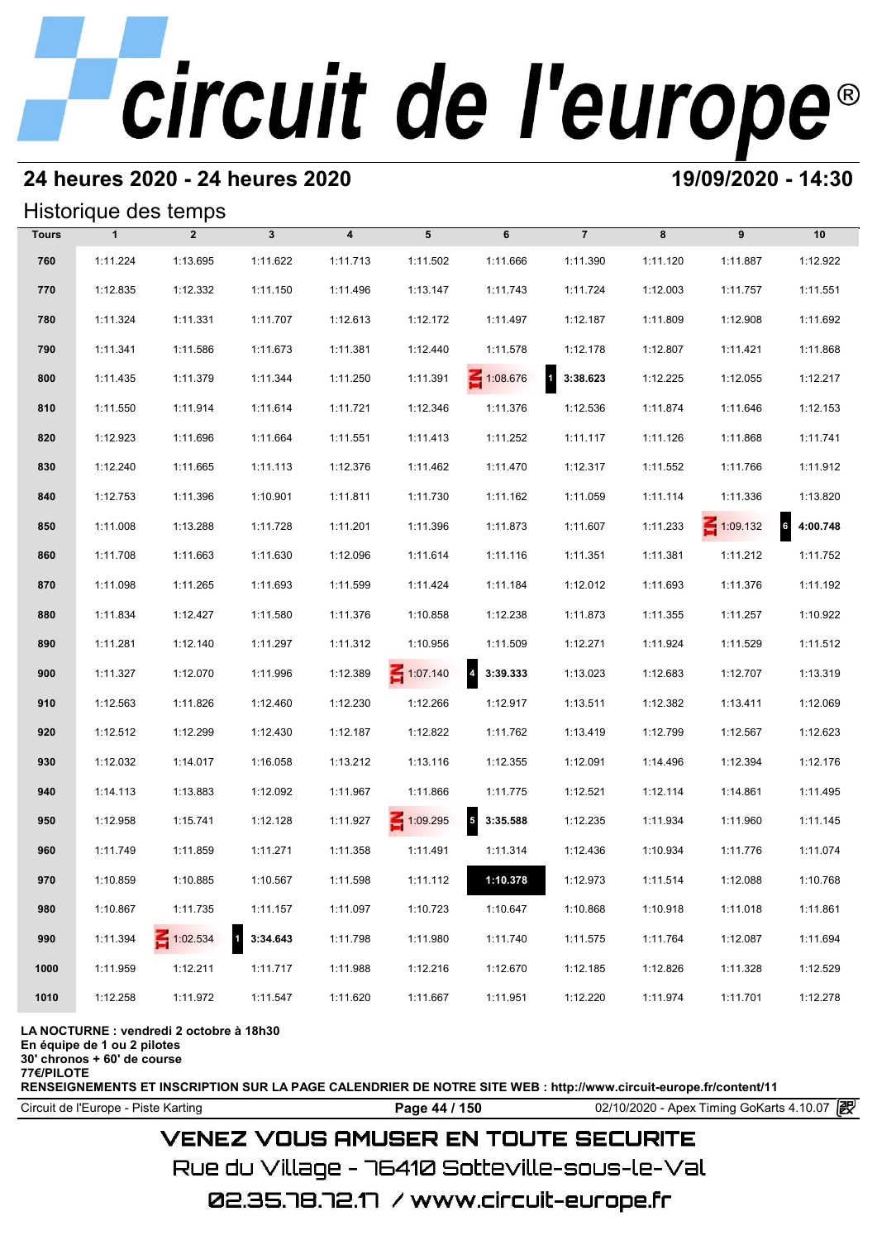# **24 heures 2020 - 24 heures 2020 19/09/2020 - 14:30**

## Historique des temps

|              | Historique des temps<br>$\overline{7}$<br>$\mathbf{1}$<br>$\overline{2}$<br>$\mathbf{3}$<br>$\overline{\mathbf{4}}$<br>5<br>6<br>8<br>9<br>10 |                 |                          |          |                 |                                     |          |          |                 |                            |  |  |  |
|--------------|-----------------------------------------------------------------------------------------------------------------------------------------------|-----------------|--------------------------|----------|-----------------|-------------------------------------|----------|----------|-----------------|----------------------------|--|--|--|
| <b>Tours</b> |                                                                                                                                               |                 |                          |          |                 |                                     |          |          |                 |                            |  |  |  |
| 760          | 1:11.224                                                                                                                                      | 1:13.695        | 1:11.622                 | 1:11.713 | 1:11.502        | 1:11.666                            | 1:11.390 | 1:11.120 | 1:11.887        | 1:12.922                   |  |  |  |
| 770          | 1:12.835                                                                                                                                      | 1:12.332        | 1:11.150                 | 1:11.496 | 1:13.147        | 1:11.743                            | 1:11.724 | 1:12.003 | 1:11.757        | 1:11.551                   |  |  |  |
| 780          | 1:11.324                                                                                                                                      | 1:11.331        | 1:11.707                 | 1:12.613 | 1:12.172        | 1:11.497                            | 1:12.187 | 1:11.809 | 1:12.908        | 1:11.692                   |  |  |  |
| 790          | 1:11.341                                                                                                                                      | 1:11.586        | 1:11.673                 | 1:11.381 | 1:12.440        | 1:11.578                            | 1:12.178 | 1:12.807 | 1:11.421        | 1:11.868                   |  |  |  |
| 800          | 1:11.435                                                                                                                                      | 1:11.379        | 1:11.344                 | 1:11.250 | 1:11.391        | $\leq 1:08.676$                     | 3:38.623 | 1:12.225 | 1:12.055        | 1:12.217                   |  |  |  |
| 810          | 1:11.550                                                                                                                                      | 1:11.914        | 1:11.614                 | 1:11.721 | 1:12.346        | 1:11.376                            | 1:12.536 | 1:11.874 | 1:11.646        | 1:12.153                   |  |  |  |
| 820          | 1:12.923                                                                                                                                      | 1:11.696        | 1:11.664                 | 1:11.551 | 1:11.413        | 1:11.252                            | 1:11.117 | 1:11.126 | 1:11.868        | 1:11.741                   |  |  |  |
| 830          | 1:12.240                                                                                                                                      | 1:11.665        | 1:11.113                 | 1:12.376 | 1:11.462        | 1:11.470                            | 1:12.317 | 1:11.552 | 1:11.766        | 1:11.912                   |  |  |  |
| 840          | 1:12.753                                                                                                                                      | 1:11.396        | 1:10.901                 | 1:11.811 | 1:11.730        | 1:11.162                            | 1:11.059 | 1:11.114 | 1:11.336        | 1:13.820                   |  |  |  |
| 850          | 1:11.008                                                                                                                                      | 1:13.288        | 1:11.728                 | 1:11.201 | 1:11.396        | 1:11.873                            | 1:11.607 | 1:11.233 | $\leq 1:09.132$ | $6\phantom{1}$<br>4:00.748 |  |  |  |
| 860          | 1:11.708                                                                                                                                      | 1:11.663        | 1:11.630                 | 1:12.096 | 1:11.614        | 1:11.116                            | 1:11.351 | 1:11.381 | 1:11.212        | 1:11.752                   |  |  |  |
| 870          | 1:11.098                                                                                                                                      | 1:11.265        | 1:11.693                 | 1:11.599 | 1:11.424        | 1:11.184                            | 1:12.012 | 1:11.693 | 1:11.376        | 1:11.192                   |  |  |  |
| 880          | 1:11.834                                                                                                                                      | 1:12.427        | 1:11.580                 | 1:11.376 | 1:10.858        | 1:12.238                            | 1:11.873 | 1:11.355 | 1:11.257        | 1:10.922                   |  |  |  |
| 890          | 1:11.281                                                                                                                                      | 1:12.140        | 1:11.297                 | 1:11.312 | 1:10.956        | 1:11.509                            | 1:12.271 | 1:11.924 | 1:11.529        | 1:11.512                   |  |  |  |
| 900          | 1:11.327                                                                                                                                      | 1:12.070        | 1:11.996                 | 1:12.389 | $\leq 1:07.140$ | $\overline{a}$<br>3:39.333          | 1:13.023 | 1:12.683 | 1:12.707        | 1:13.319                   |  |  |  |
| 910          | 1:12.563                                                                                                                                      | 1:11.826        | 1:12.460                 | 1:12.230 | 1:12.266        | 1:12.917                            | 1:13.511 | 1:12.382 | 1:13.411        | 1:12.069                   |  |  |  |
| 920          | 1:12.512                                                                                                                                      | 1:12.299        | 1:12.430                 | 1:12.187 | 1:12.822        | 1:11.762                            | 1:13.419 | 1:12.799 | 1:12.567        | 1:12.623                   |  |  |  |
| 930          | 1:12.032                                                                                                                                      | 1:14.017        | 1:16.058                 | 1:13.212 | 1:13.116        | 1:12.355                            | 1:12.091 | 1:14.496 | 1:12.394        | 1:12.176                   |  |  |  |
| 940          | 1:14.113                                                                                                                                      | 1:13.883        | 1:12.092                 | 1:11.967 | 1:11.866        | 1:11.775                            | 1:12.521 | 1:12.114 | 1:14.861        | 1:11.495                   |  |  |  |
| 950          | 1:12.958                                                                                                                                      | 1:15.741        | 1:12.128                 | 1:11.927 | ₹ 1:09.295      | $\overline{\mathbf{5}}$<br>3:35.588 | 1:12.235 | 1:11.934 | 1:11.960        | 1:11.145                   |  |  |  |
| 960          | 1:11.749                                                                                                                                      | 1:11.859        | 1:11.271                 | 1:11.358 | 1:11.491        | 1:11.314                            | 1:12.436 | 1:10.934 | 1:11.776        | 1:11.074                   |  |  |  |
| 970          | 1:10.859                                                                                                                                      | 1:10.885        | 1:10.567                 | 1:11.598 | 1:11.112        | 1:10.378                            | 1:12.973 | 1:11.514 | 1:12.088        | 1:10.768                   |  |  |  |
| 980          | 1:10.867                                                                                                                                      | 1:11.735        | 1:11.157                 | 1:11.097 | 1:10.723        | 1:10.647                            | 1:10.868 | 1:10.918 | 1:11.018        | 1:11.861                   |  |  |  |
| 990          | 1:11.394                                                                                                                                      | $\leq 1:02.534$ | $\mathbf{1}$<br>3:34.643 | 1:11.798 | 1:11.980        | 1:11.740                            | 1:11.575 | 1:11.764 | 1:12.087        | 1:11.694                   |  |  |  |
| 1000         | 1:11.959                                                                                                                                      | 1:12.211        | 1:11.717                 | 1:11.988 | 1:12.216        | 1:12.670                            | 1:12.185 | 1:12.826 | 1:11.328        | 1:12.529                   |  |  |  |
| 1010         | 1:12.258                                                                                                                                      | 1:11.972        | 1:11.547                 | 1:11.620 | 1:11.667        | 1:11.951                            | 1:12.220 | 1:11.974 | 1:11.701        | 1:12.278                   |  |  |  |

### **LA NOCTURNE : vendredi 2 octobre à 18h30**

**En équipe de 1 ou 2 pilotes**

**30' chronos + 60' de course**

**77€/PILOTE**

**RENSEIGNEMENTS ET INSCRIPTION SUR LA PAGE CALENDRIER DE NOTRE SITE WEB : http://www.circuit-europe.fr/content/11**

Circuit de l'Europe - Piste Karting **Page 44 / 150 Page 44 / 150** 02/10/2020 - Apex Timing GoKarts 4.10.07

# **VENEZ VOUS AMUSER EN TOUTE SECURITE**

Rue du Village – 76410 Sotteville-sous-le-Val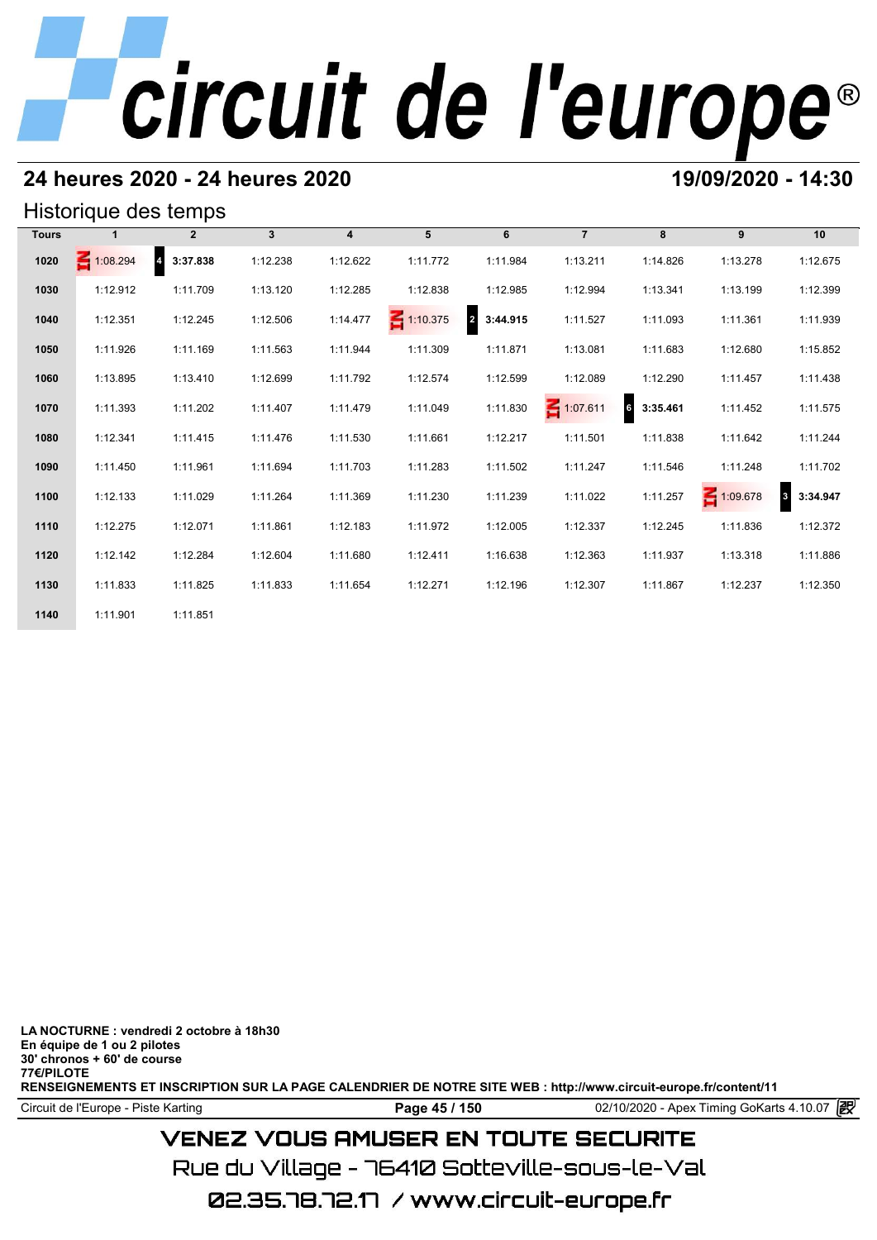# **24 heures 2020 - 24 heures 2020 19/09/2020 - 14:30**

## Historique des temps

| Historique des temps |                 |                                     |              |                         |                 |                            |                 |               |          |                          |  |  |
|----------------------|-----------------|-------------------------------------|--------------|-------------------------|-----------------|----------------------------|-----------------|---------------|----------|--------------------------|--|--|
| <b>Tours</b>         |                 | $\overline{2}$                      | $\mathbf{3}$ | $\overline{\mathbf{4}}$ | 5               | 6                          | $\overline{7}$  | 8             | 9        | 10                       |  |  |
| 1020                 | $\leq 1:08.294$ | $\overline{\mathbf{4}}$<br>3:37.838 | 1:12.238     | 1:12.622                | 1:11.772        | 1:11.984                   | 1:13.211        | 1:14.826      | 1:13.278 | 1:12.675                 |  |  |
| 1030                 | 1:12.912        | 1:11.709                            | 1:13.120     | 1:12.285                | 1:12.838        | 1:12.985                   | 1:12.994        | 1:13.341      | 1:13.199 | 1:12.399                 |  |  |
| 1040                 | 1:12.351        | 1:12.245                            | 1:12.506     | 1:14.477                | $\leq 1:10.375$ | $\overline{2}$<br>3:44.915 | 1:11.527        | 1:11.093      | 1:11.361 | 1:11.939                 |  |  |
| 1050                 | 1:11.926        | 1:11.169                            | 1:11.563     | 1:11.944                | 1:11.309        | 1:11.871                   | 1:13.081        | 1:11.683      | 1:12.680 | 1:15.852                 |  |  |
| 1060                 | 1:13.895        | 1:13.410                            | 1:12.699     | 1:11.792                | 1:12.574        | 1:12.599                   | 1:12.089        | 1:12.290      | 1:11.457 | 1:11.438                 |  |  |
| 1070                 | 1:11.393        | 1:11.202                            | 1:11.407     | 1:11.479                | 1:11.049        | 1:11.830                   | $\leq 1:07.611$ | 6<br>3:35.461 | 1:11.452 | 1:11.575                 |  |  |
| 1080                 | 1:12.341        | 1:11.415                            | 1:11.476     | 1:11.530                | 1:11.661        | 1:12.217                   | 1:11.501        | 1:11.838      | 1:11.642 | 1:11.244                 |  |  |
| 1090                 | 1:11.450        | 1:11.961                            | 1:11.694     | 1:11.703                | 1:11.283        | 1:11.502                   | 1:11.247        | 1:11.546      | 1:11.248 | 1:11.702                 |  |  |
| 1100                 | 1:12.133        | 1:11.029                            | 1:11.264     | 1:11.369                | 1:11.230        | 1:11.239                   | 1:11.022        | 1:11.257      | 1:09.678 | $\mathbf{3}$<br>3:34.947 |  |  |
| 1110                 | 1:12.275        | 1:12.071                            | 1:11.861     | 1:12.183                | 1:11.972        | 1:12.005                   | 1:12.337        | 1:12.245      | 1:11.836 | 1:12.372                 |  |  |
| 1120                 | 1:12.142        | 1:12.284                            | 1:12.604     | 1:11.680                | 1:12.411        | 1:16.638                   | 1:12.363        | 1:11.937      | 1:13.318 | 1:11.886                 |  |  |
| 1130                 | 1:11.833        | 1:11.825                            | 1:11.833     | 1:11.654                | 1:12.271        | 1:12.196                   | 1:12.307        | 1:11.867      | 1:12.237 | 1:12.350                 |  |  |
| 1140                 | 1:11.901        | 1:11.851                            |              |                         |                 |                            |                 |               |          |                          |  |  |

**LA NOCTURNE : vendredi 2 octobre à 18h30 En équipe de 1 ou 2 pilotes 30' chronos + 60' de course 77€/PILOTE RENSEIGNEMENTS ET INSCRIPTION SUR LA PAGE CALENDRIER DE NOTRE SITE WEB : http://www.circuit-europe.fr/content/11**

Circuit de l'Europe - Piste Karting **Page 45 / 150 Page 45 / 150** 02/10/2020 - Apex Timing GoKarts 4.10.07

# **VENEZ VOUS AMUSER EN TOUTE SECURITE**

Rue du Village – 76410 Sotteville-sous-le-Val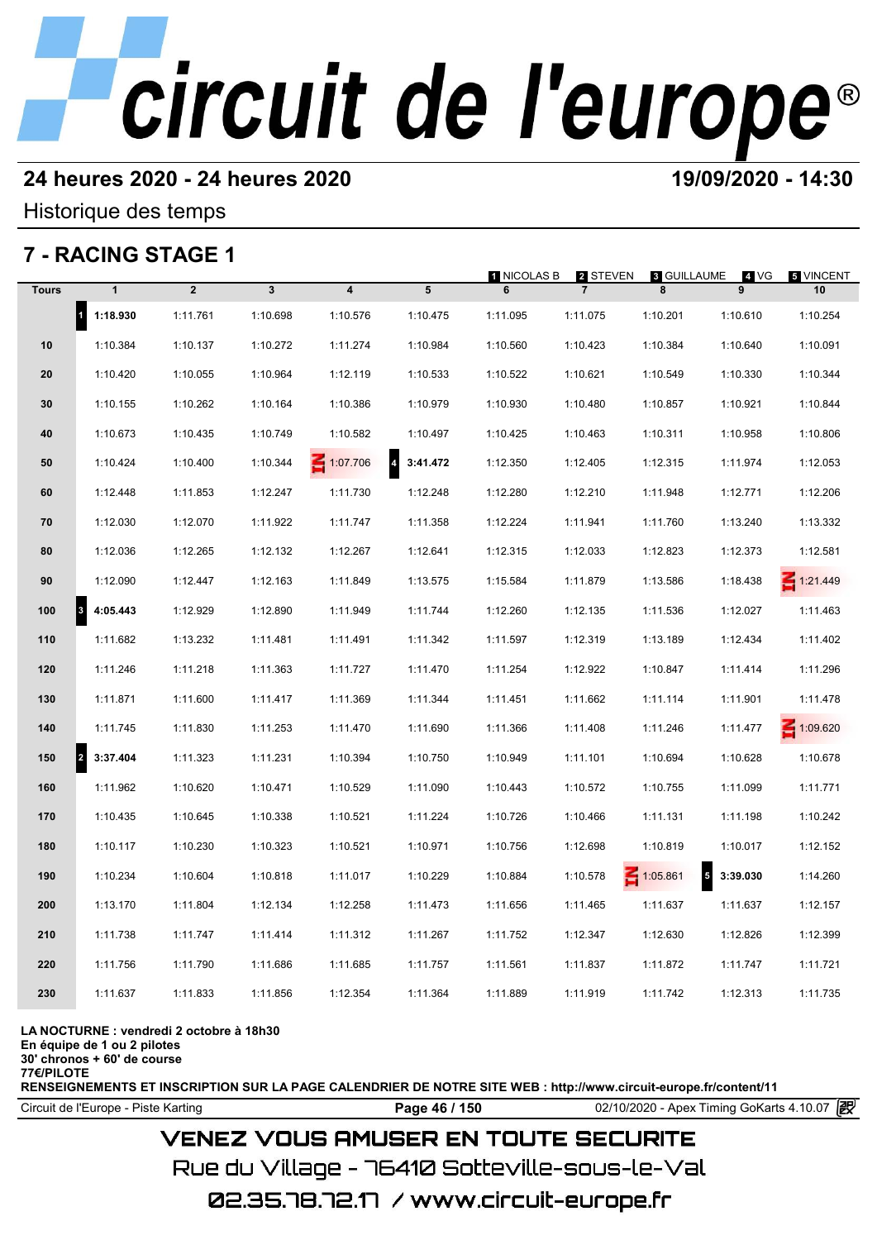# **24 heures 2020 - 24 heures 2020 19/09/2020 - 14:30**

Historique des temps

# **7 - RACING STAGE 1**

|              | 7 - RACING STAGE 1               |                |              |                         |                            |                  |                            |                  |                |                 |
|--------------|----------------------------------|----------------|--------------|-------------------------|----------------------------|------------------|----------------------------|------------------|----------------|-----------------|
| <b>Tours</b> | $\mathbf{1}$                     | $\overline{2}$ | $\mathbf{3}$ | $\overline{\mathbf{4}}$ | $5\phantom{.0}$            | 1 NICOLAS B<br>6 | 2 STEVEN<br>$\overline{7}$ | 8 GUILLAUME<br>8 | 4 VG<br>9      | 5 VINCENT<br>10 |
|              | $\vert$ <sup>1</sup><br>1:18.930 | 1:11.761       | 1:10.698     | 1:10.576                | 1:10.475                   | 1:11.095         | 1:11.075                   | 1:10.201         | 1:10.610       | 1:10.254        |
| 10           | 1:10.384                         | 1:10.137       | 1:10.272     | 1:11.274                | 1:10.984                   | 1:10.560         | 1:10.423                   | 1:10.384         | 1:10.640       | 1:10.091        |
| 20           | 1:10.420                         | 1:10.055       | 1:10.964     | 1:12.119                | 1:10.533                   | 1:10.522         | 1:10.621                   | 1:10.549         | 1:10.330       | 1:10.344        |
| 30           | 1:10.155                         | 1:10.262       | 1:10.164     | 1:10.386                | 1:10.979                   | 1:10.930         | 1:10.480                   | 1:10.857         | 1:10.921       | 1:10.844        |
| 40           | 1:10.673                         | 1:10.435       | 1:10.749     | 1:10.582                | 1:10.497                   | 1:10.425         | 1:10.463                   | 1:10.311         | 1:10.958       | 1:10.806        |
| 50           | 1:10.424                         | 1:10.400       | 1:10.344     | $\leq 1:07.706$         | $\overline{4}$<br>3:41.472 | 1:12.350         | 1:12.405                   | 1:12.315         | 1:11.974       | 1:12.053        |
| 60           | 1:12.448                         | 1:11.853       | 1:12.247     | 1:11.730                | 1:12.248                   | 1:12.280         | 1:12.210                   | 1:11.948         | 1:12.771       | 1:12.206        |
| 70           | 1:12.030                         | 1:12.070       | 1:11.922     | 1:11.747                | 1:11.358                   | 1:12.224         | 1:11.941                   | 1:11.760         | 1:13.240       | 1:13.332        |
| 80           | 1:12.036                         | 1:12.265       | 1:12.132     | 1:12.267                | 1:12.641                   | 1:12.315         | 1:12.033                   | 1:12.823         | 1:12.373       | 1:12.581        |
| 90           | 1:12.090                         | 1:12.447       | 1:12.163     | 1:11.849                | 1:13.575                   | 1:15.584         | 1:11.879                   | 1:13.586         | 1:18.438       | $\leq 1:21.449$ |
| 100          | 4:05.443<br>$\vert$ 3            | 1:12.929       | 1:12.890     | 1:11.949                | 1:11.744                   | 1:12.260         | 1:12.135                   | 1:11.536         | 1:12.027       | 1:11.463        |
| 110          | 1:11.682                         | 1:13.232       | 1:11.481     | 1:11.491                | 1:11.342                   | 1:11.597         | 1:12.319                   | 1:13.189         | 1:12.434       | 1:11.402        |
| 120          | 1:11.246                         | 1:11.218       | 1:11.363     | 1:11.727                | 1:11.470                   | 1:11.254         | 1:12.922                   | 1:10.847         | 1:11.414       | 1:11.296        |
| 130          | 1:11.871                         | 1:11.600       | 1:11.417     | 1:11.369                | 1:11.344                   | 1:11.451         | 1:11.662                   | 1:11.114         | 1:11.901       | 1:11.478        |
| 140          | 1:11.745                         | 1:11.830       | 1:11.253     | 1:11.470                | 1:11.690                   | 1:11.366         | 1:11.408                   | 1:11.246         | 1:11.477       | 1:09.620        |
| 150          | 3:37.404<br> 2                   | 1:11.323       | 1:11.231     | 1:10.394                | 1:10.750                   | 1:10.949         | 1:11.101                   | 1:10.694         | 1:10.628       | 1:10.678        |
| 160          | 1:11.962                         | 1:10.620       | 1:10.471     | 1:10.529                | 1:11.090                   | 1:10.443         | 1:10.572                   | 1:10.755         | 1:11.099       | 1:11.771        |
| 170          | 1:10.435                         | 1:10.645       | 1:10.338     | 1:10.521                | 1:11.224                   | 1:10.726         | 1:10.466                   | 1:11.131         | 1:11.198       | 1:10.242        |
| 180          | 1:10.117                         | 1:10.230       | 1:10.323     | 1:10.521                | 1:10.971                   | 1:10.756         | 1:12.698                   | 1:10.819         | 1:10.017       | 1:12.152        |
| 190          | 1:10.234                         | 1:10.604       | 1:10.818     | 1:11.017                | 1:10.229                   | 1:10.884         | 1:10.578                   | $\leq 1:05.861$  | $5 - 3:39.030$ | 1:14.260        |
| 200          | 1:13.170                         | 1:11.804       | 1:12.134     | 1:12.258                | 1:11.473                   | 1:11.656         | 1:11.465                   | 1:11.637         | 1:11.637       | 1:12.157        |
| 210          | 1:11.738                         | 1:11.747       | 1:11.414     | 1:11.312                | 1:11.267                   | 1:11.752         | 1:12.347                   | 1:12.630         | 1:12.826       | 1:12.399        |
| 220          | 1:11.756                         | 1:11.790       | 1:11.686     | 1:11.685                | 1:11.757                   | 1:11.561         | 1:11.837                   | 1:11.872         | 1:11.747       | 1:11.721        |
| 230          | 1:11.637                         | 1:11.833       | 1:11.856     | 1:12.354                | 1:11.364                   | 1:11.889         | 1:11.919                   | 1:11.742         | 1:12.313       | 1:11.735        |
|              |                                  |                |              |                         |                            |                  |                            |                  |                |                 |

### **LA NOCTURNE : vendredi 2 octobre à 18h30**

**En équipe de 1 ou 2 pilotes**

**30' chronos + 60' de course 77€/PILOTE**

**RENSEIGNEMENTS ET INSCRIPTION SUR LA PAGE CALENDRIER DE NOTRE SITE WEB : http://www.circuit-europe.fr/content/11**

Circuit de l'Europe - Piste Karting **Page 46 / 150 Page 46 / 150** 02/10/2020 - Apex Timing GoKarts 4.10.07

# **VENEZ VOUS AMUSER EN TOUTE SECURITE**

Rue du Village – 76410 Sotteville-sous-le-Val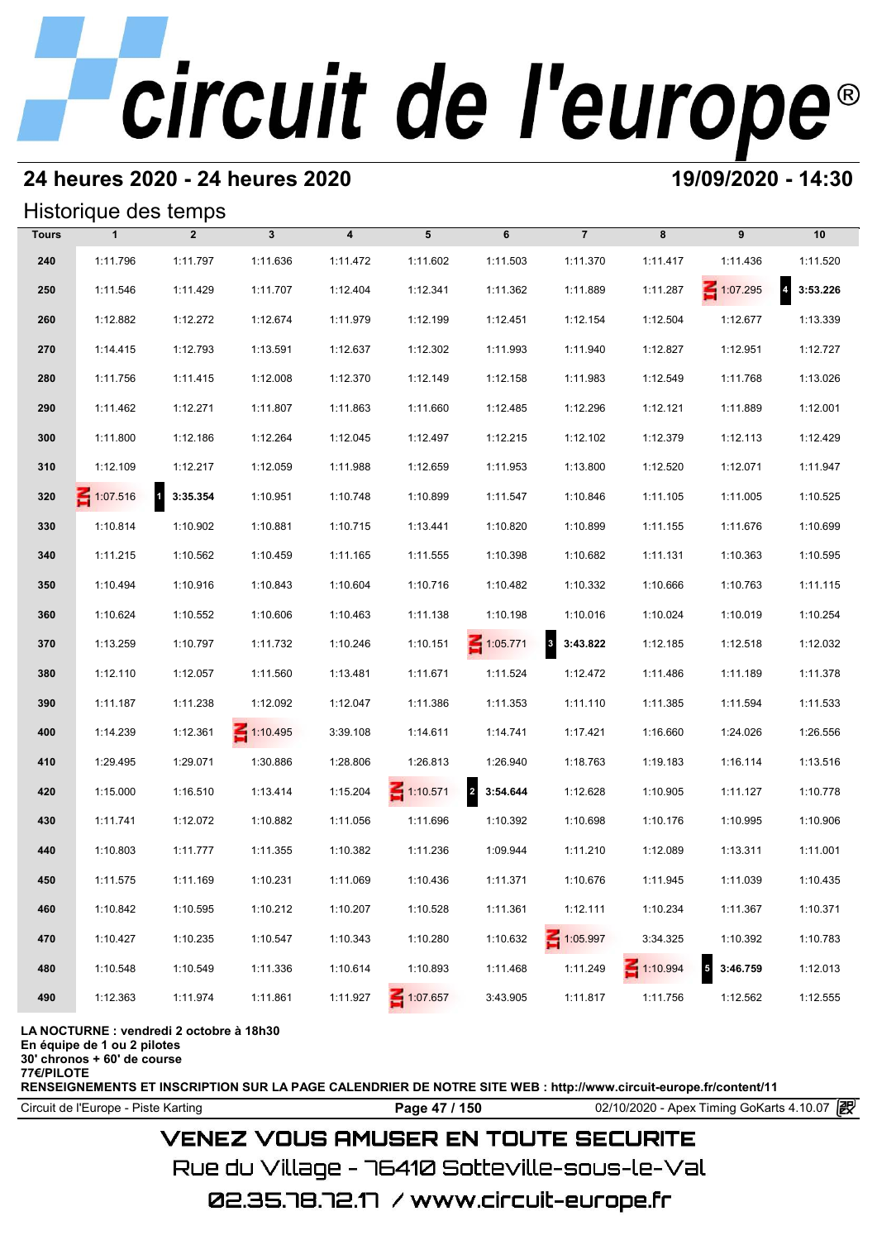# **24 heures 2020 - 24 heures 2020 19/09/2020 - 14:30**

## Historique des temps

|              | Historique des temps |                          |                 |                  |                 |                 |                                     |                 |                 |                                     |
|--------------|----------------------|--------------------------|-----------------|------------------|-----------------|-----------------|-------------------------------------|-----------------|-----------------|-------------------------------------|
| <b>Tours</b> | $\mathbf{1}$         | $\overline{2}$           | $\mathbf{3}$    | $\boldsymbol{4}$ | 5               | 6               | $\overline{7}$                      | 8               | 9               | 10                                  |
| 240          | 1:11.796             | 1:11.797                 | 1:11.636        | 1:11.472         | 1:11.602        | 1:11.503        | 1:11.370                            | 1:11.417        | 1:11.436        | 1:11.520                            |
| 250          | 1:11.546             | 1:11.429                 | 1:11.707        | 1:12.404         | 1:12.341        | 1:11.362        | 1:11.889                            | 1:11.287        | $\leq 1:07.295$ | $\overline{\mathbf{4}}$<br>3:53.226 |
| 260          | 1:12.882             | 1:12.272                 | 1:12.674        | 1:11.979         | 1:12.199        | 1:12.451        | 1:12.154                            | 1:12.504        | 1:12.677        | 1:13.339                            |
| 270          | 1:14.415             | 1:12.793                 | 1:13.591        | 1:12.637         | 1:12.302        | 1:11.993        | 1:11.940                            | 1:12.827        | 1:12.951        | 1:12.727                            |
| 280          | 1:11.756             | 1:11.415                 | 1:12.008        | 1:12.370         | 1:12.149        | 1:12.158        | 1:11.983                            | 1:12.549        | 1:11.768        | 1:13.026                            |
| 290          | 1:11.462             | 1:12.271                 | 1:11.807        | 1:11.863         | 1:11.660        | 1:12.485        | 1:12.296                            | 1:12.121        | 1:11.889        | 1:12.001                            |
| 300          | 1:11.800             | 1:12.186                 | 1:12.264        | 1:12.045         | 1:12.497        | 1:12.215        | 1:12.102                            | 1:12.379        | 1:12.113        | 1:12.429                            |
| 310          | 1:12.109             | 1:12.217                 | 1:12.059        | 1:11.988         | 1:12.659        | 1:11.953        | 1:13.800                            | 1:12.520        | 1:12.071        | 1:11.947                            |
| 320          | 1:07.516             | $\mathbf{1}$<br>3:35.354 | 1:10.951        | 1:10.748         | 1:10.899        | 1:11.547        | 1:10.846                            | 1:11.105        | 1:11.005        | 1:10.525                            |
| 330          | 1:10.814             | 1:10.902                 | 1:10.881        | 1:10.715         | 1:13.441        | 1:10.820        | 1:10.899                            | 1:11.155        | 1:11.676        | 1:10.699                            |
| 340          | 1:11.215             | 1:10.562                 | 1:10.459        | 1:11.165         | 1:11.555        | 1:10.398        | 1:10.682                            | 1:11.131        | 1:10.363        | 1:10.595                            |
| 350          | 1:10.494             | 1:10.916                 | 1:10.843        | 1:10.604         | 1:10.716        | 1:10.482        | 1:10.332                            | 1:10.666        | 1:10.763        | 1:11.115                            |
| 360          | 1:10.624             | 1:10.552                 | 1:10.606        | 1:10.463         | 1:11.138        | 1:10.198        | 1:10.016                            | 1:10.024        | 1:10.019        | 1:10.254                            |
| 370          | 1:13.259             | 1:10.797                 | 1:11.732        | 1:10.246         | 1:10.151        | $\leq 1:05.771$ | $\overline{\mathbf{3}}$<br>3:43.822 | 1:12.185        | 1:12.518        | 1:12.032                            |
| 380          | 1:12.110             | 1:12.057                 | 1:11.560        | 1:13.481         | 1:11.671        | 1:11.524        | 1:12.472                            | 1:11.486        | 1:11.189        | 1:11.378                            |
| 390          | 1:11.187             | 1:11.238                 | 1:12.092        | 1:12.047         | 1:11.386        | 1:11.353        | 1:11.110                            | 1:11.385        | 1:11.594        | 1:11.533                            |
| 400          | 1:14.239             | 1:12.361                 | $\leq 1:10.495$ | 3:39.108         | 1:14.611        | 1:14.741        | 1:17.421                            | 1:16.660        | 1:24.026        | 1:26.556                            |
| 410          | 1:29.495             | 1:29.071                 | 1:30.886        | 1:28.806         | 1:26.813        | 1:26.940        | 1:18.763                            | 1:19.183        | 1:16.114        | 1:13.516                            |
| 420          | 1:15.000             | 1:16.510                 | 1:13.414        | 1:15.204         | $\leq 1:10.571$ | 2 3:54.644      | 1:12.628                            | 1:10.905        | 1:11.127        | 1:10.778                            |
| 430          | 1:11.741             | 1:12.072                 | 1:10.882        | 1:11.056         | 1:11.696        | 1:10.392        | 1:10.698                            | 1:10.176        | 1:10.995        | 1:10.906                            |
| 440          | 1:10.803             | 1:11.777                 | 1:11.355        | 1:10.382         | 1:11.236        | 1:09.944        | 1:11.210                            | 1:12.089        | 1:13.311        | 1:11.001                            |
| 450          | 1:11.575             | 1:11.169                 | 1:10.231        | 1:11.069         | 1:10.436        | 1:11.371        | 1:10.676                            | 1:11.945        | 1:11.039        | 1:10.435                            |
| 460          | 1:10.842             | 1:10.595                 | 1:10.212        | 1:10.207         | 1:10.528        | 1:11.361        | 1:12.111                            | 1:10.234        | 1:11.367        | 1:10.371                            |
| 470          | 1:10.427             | 1:10.235                 | 1:10.547        | 1:10.343         | 1:10.280        | 1:10.632        | 1:05.997                            | 3:34.325        | 1:10.392        | 1:10.783                            |
| 480          | 1:10.548             | 1:10.549                 | 1:11.336        | 1:10.614         | 1:10.893        | 1:11.468        | 1:11.249                            | $\leq 1:10.994$ | 5<br>3:46.759   | 1:12.013                            |
| 490          | 1:12.363             | 1:11.974                 | 1:11.861        | 1:11.927         | $\leq 1:07.657$ | 3:43.905        | 1:11.817                            | 1:11.756        | 1:12.562        | 1:12.555                            |

**LA NOCTURNE : vendredi 2 octobre à 18h30**

**En équipe de 1 ou 2 pilotes**

**30' chronos + 60' de course**

**77€/PILOTE**

**RENSEIGNEMENTS ET INSCRIPTION SUR LA PAGE CALENDRIER DE NOTRE SITE WEB : http://www.circuit-europe.fr/content/11**

Circuit de l'Europe - Piste Karting **Page 47 / 150 Page 47 / 150** 02/10/2020 - Apex Timing GoKarts 4.10.07

# **VENEZ VOUS AMUSER EN TOUTE SECURITE**

Rue du Village – 76410 Sotteville-sous-le-Val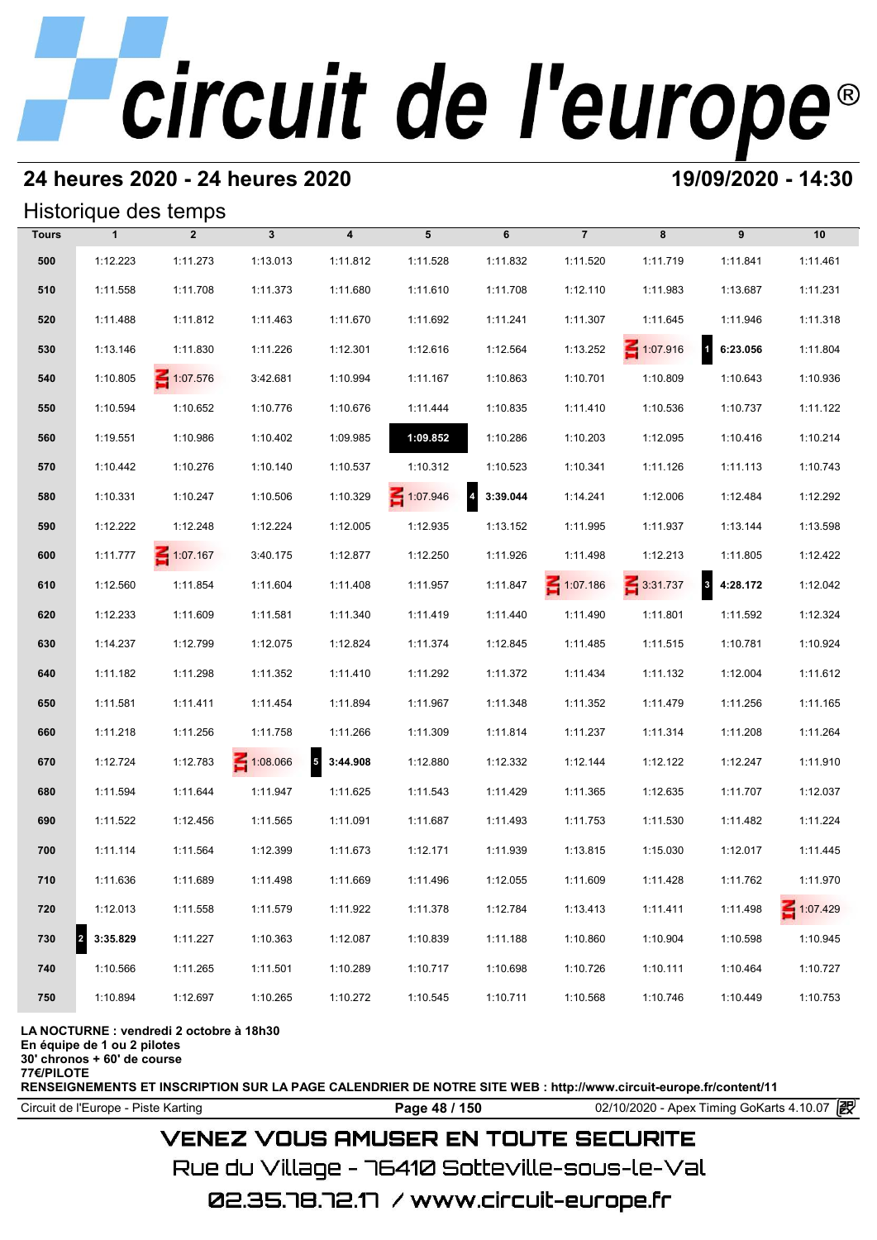# **24 heures 2020 - 24 heures 2020 19/09/2020 - 14:30**

## Historique des temps

|              |              | Historique des temps |                 |                                      |          |                            |                 |                 |               |                 |
|--------------|--------------|----------------------|-----------------|--------------------------------------|----------|----------------------------|-----------------|-----------------|---------------|-----------------|
| <b>Tours</b> | $\mathbf{1}$ | $\overline{2}$       | $3\phantom{a}$  | $\overline{\mathbf{4}}$              | 5        | 6                          | $\overline{7}$  | 8               | 9             | 10              |
| 500          | 1:12.223     | 1:11.273             | 1:13.013        | 1:11.812                             | 1:11.528 | 1:11.832                   | 1:11.520        | 1:11.719        | 1:11.841      | 1:11.461        |
| 510          | 1:11.558     | 1:11.708             | 1:11.373        | 1:11.680                             | 1:11.610 | 1:11.708                   | 1:12.110        | 1:11.983        | 1:13.687      | 1:11.231        |
| 520          | 1:11.488     | 1:11.812             | 1:11.463        | 1:11.670                             | 1:11.692 | 1:11.241                   | 1:11.307        | 1:11.645        | 1:11.946      | 1:11.318        |
| 530          | 1:13.146     | 1:11.830             | 1:11.226        | 1:12.301                             | 1:12.616 | 1:12.564                   | 1:13.252        | $\leq 1:07.916$ | 1 6:23.056    | 1:11.804        |
| 540          | 1:10.805     | 1:07.576             | 3:42.681        | 1:10.994                             | 1:11.167 | 1:10.863                   | 1:10.701        | 1:10.809        | 1:10.643      | 1:10.936        |
| 550          | 1:10.594     | 1:10.652             | 1:10.776        | 1:10.676                             | 1:11.444 | 1:10.835                   | 1:11.410        | 1:10.536        | 1:10.737      | 1:11.122        |
| 560          | 1:19.551     | 1:10.986             | 1:10.402        | 1:09.985                             | 1:09.852 | 1:10.286                   | 1:10.203        | 1:12.095        | 1:10.416      | 1:10.214        |
| 570          | 1:10.442     | 1:10.276             | 1:10.140        | 1:10.537                             | 1:10.312 | 1:10.523                   | 1:10.341        | 1:11.126        | 1:11.113      | 1:10.743        |
| 580          | 1:10.331     | 1:10.247             | 1:10.506        | 1:10.329                             | 1:07.946 | $\overline{4}$<br>3:39.044 | 1:14.241        | 1:12.006        | 1:12.484      | 1:12.292        |
| 590          | 1:12.222     | 1:12.248             | 1:12.224        | 1:12.005                             | 1:12.935 | 1:13.152                   | 1:11.995        | 1:11.937        | 1:13.144      | 1:13.598        |
| 600          | 1:11.777     | 1:07.167             | 3:40.175        | 1:12.877                             | 1:12.250 | 1:11.926                   | 1:11.498        | 1:12.213        | 1:11.805      | 1:12.422        |
| 610          | 1:12.560     | 1:11.854             | 1:11.604        | 1:11.408                             | 1:11.957 | 1:11.847                   | $\leq 1:07.186$ | $\leq 3:31.737$ | 3<br>4:28.172 | 1:12.042        |
| 620          | 1:12.233     | 1:11.609             | 1:11.581        | 1:11.340                             | 1:11.419 | 1:11.440                   | 1:11.490        | 1:11.801        | 1:11.592      | 1:12.324        |
| 630          | 1:14.237     | 1:12.799             | 1:12.075        | 1:12.824                             | 1:11.374 | 1:12.845                   | 1:11.485        | 1:11.515        | 1:10.781      | 1:10.924        |
| 640          | 1:11.182     | 1:11.298             | 1:11.352        | 1:11.410                             | 1:11.292 | 1:11.372                   | 1:11.434        | 1:11.132        | 1:12.004      | 1:11.612        |
| 650          | 1:11.581     | 1:11.411             | 1:11.454        | 1:11.894                             | 1:11.967 | 1:11.348                   | 1:11.352        | 1:11.479        | 1:11.256      | 1:11.165        |
| 660          | 1:11.218     | 1:11.256             | 1:11.758        | 1:11.266                             | 1:11.309 | 1:11.814                   | 1:11.237        | 1:11.314        | 1:11.208      | 1:11.264        |
| 670          | 1:12.724     | 1:12.783             | $\leq 1:08.066$ | $\overline{\phantom{a}}$<br>3:44.908 | 1:12.880 | 1:12.332                   | 1:12.144        | 1:12.122        | 1:12.247      | 1:11.910        |
| 680          | 1:11.594     | 1:11.644             | 1:11.947        | 1:11.625                             | 1:11.543 | 1:11.429                   | 1:11.365        | 1:12.635        | 1:11.707      | 1:12.037        |
| 690          | 1:11.522     | 1:12.456             | 1:11.565        | 1:11.091                             | 1:11.687 | 1:11.493                   | 1:11.753        | 1:11.530        | 1:11.482      | 1:11.224        |
| 700          | 1:11.114     | 1:11.564             | 1:12.399        | 1:11.673                             | 1:12.171 | 1:11.939                   | 1:13.815        | 1:15.030        | 1:12.017      | 1:11.445        |
| 710          | 1:11.636     | 1:11.689             | 1:11.498        | 1:11.669                             | 1:11.496 | 1:12.055                   | 1:11.609        | 1:11.428        | 1:11.762      | 1:11.970        |
| 720          | 1:12.013     | 1:11.558             | 1:11.579        | 1:11.922                             | 1:11.378 | 1:12.784                   | 1:13.413        | 1:11.411        | 1:11.498      | $\leq 1:07.429$ |
| 730          | 3:35.829     | 1:11.227             | 1:10.363        | 1:12.087                             | 1:10.839 | 1:11.188                   | 1:10.860        | 1:10.904        | 1:10.598      | 1:10.945        |
| 740          | 1:10.566     | 1:11.265             | 1:11.501        | 1:10.289                             | 1:10.717 | 1:10.698                   | 1:10.726        | 1:10.111        | 1:10.464      | 1:10.727        |
| 750          | 1:10.894     | 1:12.697             | 1:10.265        | 1:10.272                             | 1:10.545 | 1:10.711                   | 1:10.568        | 1:10.746        | 1:10.449      | 1:10.753        |

**LA NOCTURNE : vendredi 2 octobre à 18h30**

**En équipe de 1 ou 2 pilotes**

**30' chronos + 60' de course 77€/PILOTE**

**RENSEIGNEMENTS ET INSCRIPTION SUR LA PAGE CALENDRIER DE NOTRE SITE WEB : http://www.circuit-europe.fr/content/11**

Circuit de l'Europe - Piste Karting **Page 48 / 150 Page 48 / 150** 02/10/2020 - Apex Timing GoKarts 4.10.07

# **VENEZ VOUS AMUSER EN TOUTE SECURITE**

Rue du Village – 76410 Sotteville-sous-le-Val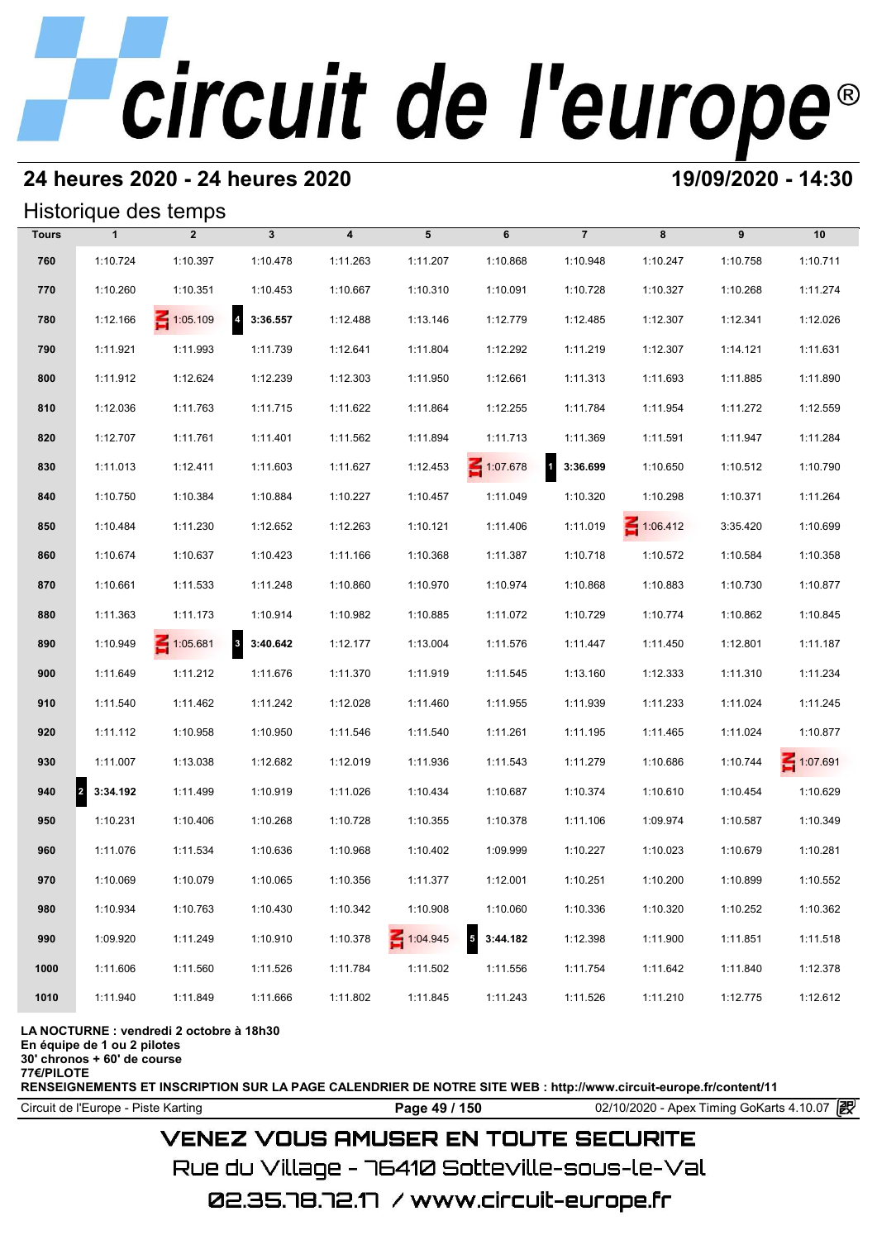# **24 heures 2020 - 24 heures 2020 19/09/2020 - 14:30**

## Historique des temps

|              |                                  | Historique des temps |                            |                         |                 |                                      |                          |                 |          |          |
|--------------|----------------------------------|----------------------|----------------------------|-------------------------|-----------------|--------------------------------------|--------------------------|-----------------|----------|----------|
| <b>Tours</b> | $\mathbf{1}$                     | $\overline{2}$       | $\mathbf{3}$               | $\overline{\mathbf{4}}$ | 5               | 6                                    | $\overline{7}$           | 8               | 9        | 10       |
| 760          | 1:10.724                         | 1:10.397             | 1:10.478                   | 1:11.263                | 1:11.207        | 1:10.868                             | 1:10.948                 | 1:10.247        | 1:10.758 | 1:10.711 |
| 770          | 1:10.260                         | 1:10.351             | 1:10.453                   | 1:10.667                | 1:10.310        | 1:10.091                             | 1:10.728                 | 1:10.327        | 1:10.268 | 1:11.274 |
| 780          | 1:12.166                         | $\leq 1:05.109$      | $\overline{4}$<br>3:36.557 | 1:12.488                | 1:13.146        | 1:12.779                             | 1:12.485                 | 1:12.307        | 1:12.341 | 1:12.026 |
| 790          | 1:11.921                         | 1:11.993             | 1:11.739                   | 1:12.641                | 1:11.804        | 1:12.292                             | 1:11.219                 | 1:12.307        | 1:14.121 | 1:11.631 |
| 800          | 1:11.912                         | 1:12.624             | 1:12.239                   | 1:12.303                | 1:11.950        | 1:12.661                             | 1:11.313                 | 1:11.693        | 1:11.885 | 1:11.890 |
| 810          | 1:12.036                         | 1:11.763             | 1:11.715                   | 1:11.622                | 1:11.864        | 1:12.255                             | 1:11.784                 | 1:11.954        | 1:11.272 | 1:12.559 |
| 820          | 1:12.707                         | 1:11.761             | 1:11.401                   | 1:11.562                | 1:11.894        | 1:11.713                             | 1:11.369                 | 1:11.591        | 1:11.947 | 1:11.284 |
| 830          | 1:11.013                         | 1:12.411             | 1:11.603                   | 1:11.627                | 1:12.453        | 1:07.678                             | $\mathbf{1}$<br>3:36.699 | 1:10.650        | 1:10.512 | 1:10.790 |
| 840          | 1:10.750                         | 1:10.384             | 1:10.884                   | 1:10.227                | 1:10.457        | 1:11.049                             | 1:10.320                 | 1:10.298        | 1:10.371 | 1:11.264 |
| 850          | 1:10.484                         | 1:11.230             | 1:12.652                   | 1:12.263                | 1:10.121        | 1:11.406                             | 1:11.019                 | $\leq 1:06.412$ | 3:35.420 | 1:10.699 |
| 860          | 1:10.674                         | 1:10.637             | 1:10.423                   | 1:11.166                | 1:10.368        | 1:11.387                             | 1:10.718                 | 1:10.572        | 1:10.584 | 1:10.358 |
| 870          | 1:10.661                         | 1:11.533             | 1:11.248                   | 1:10.860                | 1:10.970        | 1:10.974                             | 1:10.868                 | 1:10.883        | 1:10.730 | 1:10.877 |
| 880          | 1:11.363                         | 1:11.173             | 1:10.914                   | 1:10.982                | 1:10.885        | 1:11.072                             | 1:10.729                 | 1:10.774        | 1:10.862 | 1:10.845 |
| 890          | 1:10.949                         | $\leq 1:05.681$      | 3 3:40.642                 | 1:12.177                | 1:13.004        | 1:11.576                             | 1:11.447                 | 1:11.450        | 1:12.801 | 1:11.187 |
| 900          | 1:11.649                         | 1:11.212             | 1:11.676                   | 1:11.370                | 1:11.919        | 1:11.545                             | 1:13.160                 | 1:12.333        | 1:11.310 | 1:11.234 |
| 910          | 1:11.540                         | 1:11.462             | 1:11.242                   | 1:12.028                | 1:11.460        | 1:11.955                             | 1:11.939                 | 1:11.233        | 1:11.024 | 1:11.245 |
| 920          | 1:11.112                         | 1:10.958             | 1:10.950                   | 1:11.546                | 1:11.540        | 1:11.261                             | 1:11.195                 | 1:11.465        | 1:11.024 | 1:10.877 |
| 930          | 1:11.007                         | 1:13.038             | 1:12.682                   | 1:12.019                | 1:11.936        | 1:11.543                             | 1:11.279                 | 1:10.686        | 1:10.744 | 1:07.691 |
| 940          | $\vert$ <sub>2</sub><br>3:34.192 | 1:11.499             | 1:10.919                   | 1:11.026                | 1:10.434        | 1:10.687                             | 1:10.374                 | 1:10.610        | 1:10.454 | 1:10.629 |
| 950          | 1:10.231                         | 1:10.406             | 1:10.268                   | 1:10.728                | 1:10.355        | 1:10.378                             | 1:11.106                 | 1:09.974        | 1:10.587 | 1:10.349 |
| 960          | 1:11.076                         | 1:11.534             | 1:10.636                   | 1:10.968                | 1:10.402        | 1:09.999                             | 1:10.227                 | 1:10.023        | 1:10.679 | 1:10.281 |
| 970          | 1:10.069                         | 1:10.079             | 1:10.065                   | 1:10.356                | 1:11.377        | 1:12.001                             | 1:10.251                 | 1:10.200        | 1:10.899 | 1:10.552 |
| 980          | 1:10.934                         | 1:10.763             | 1:10.430                   | 1:10.342                | 1:10.908        | 1:10.060                             | 1:10.336                 | 1:10.320        | 1:10.252 | 1:10.362 |
| 990          | 1:09.920                         | 1:11.249             | 1:10.910                   | 1:10.378                | $\leq 1:04.945$ | $\overline{\phantom{a}}$<br>3:44.182 | 1:12.398                 | 1:11.900        | 1:11.851 | 1:11.518 |
| 1000         | 1:11.606                         | 1:11.560             | 1:11.526                   | 1:11.784                | 1:11.502        | 1:11.556                             | 1:11.754                 | 1:11.642        | 1:11.840 | 1:12.378 |
| 1010         | 1:11.940                         | 1:11.849             | 1:11.666                   | 1:11.802                | 1:11.845        | 1:11.243                             | 1:11.526                 | 1:11.210        | 1:12.775 | 1:12.612 |

### **LA NOCTURNE : vendredi 2 octobre à 18h30**

**En équipe de 1 ou 2 pilotes**

**30' chronos + 60' de course**

**77€/PILOTE**

**RENSEIGNEMENTS ET INSCRIPTION SUR LA PAGE CALENDRIER DE NOTRE SITE WEB : http://www.circuit-europe.fr/content/11**

Circuit de l'Europe - Piste Karting **Page 49 / 150 Page 49 / 150** 02/10/2020 - Apex Timing GoKarts 4.10.07

# **VENEZ VOUS AMUSER EN TOUTE SECURITE**

Rue du Village – 76410 Sotteville-sous-le-Val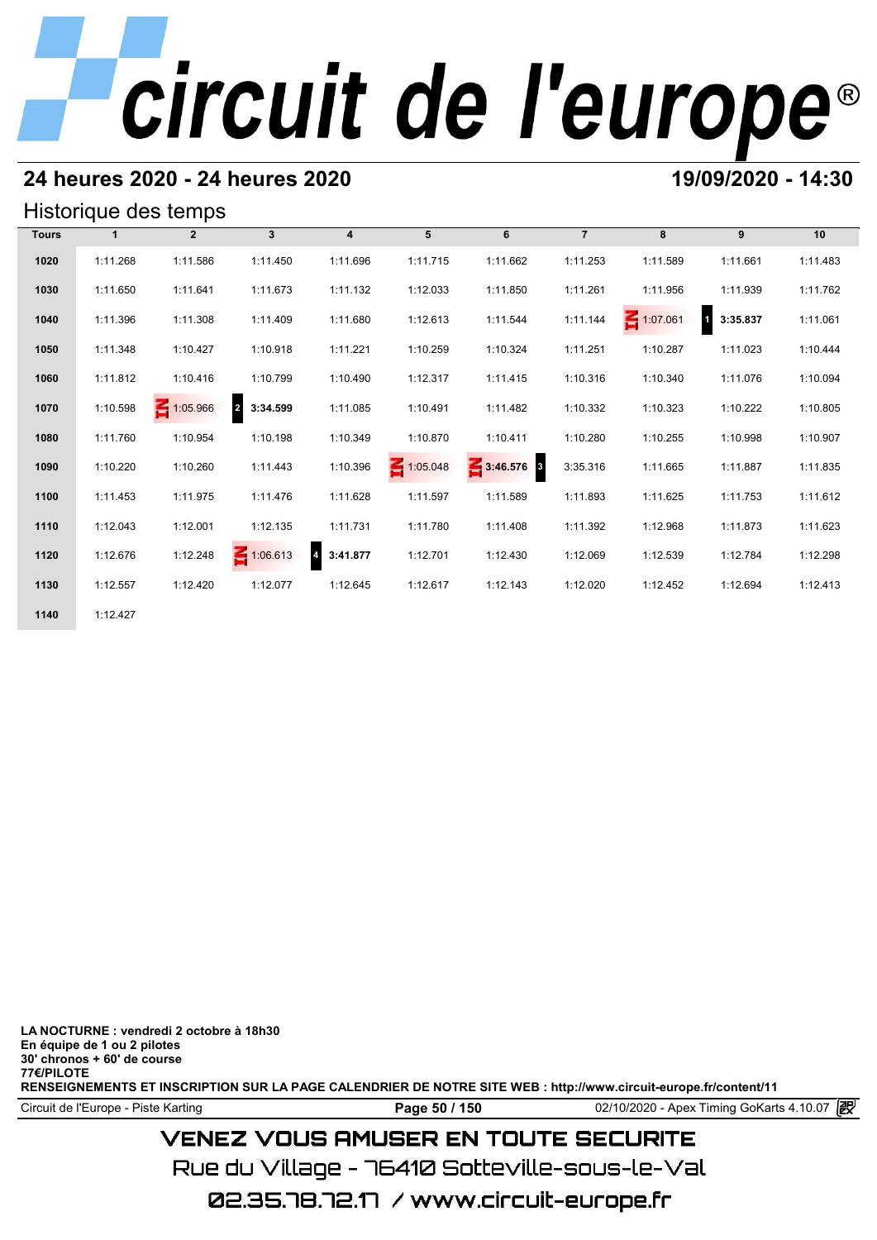# **24 heures 2020 - 24 heures 2020 19/09/2020 - 14:30**

## Historique des temps

| Historique des temps |              |                |                            |                            |                 |            |                |          |                            |          |  |  |  |
|----------------------|--------------|----------------|----------------------------|----------------------------|-----------------|------------|----------------|----------|----------------------------|----------|--|--|--|
| <b>Tours</b>         | $\mathbf{1}$ | $\overline{2}$ | $\mathbf{3}$               | $\overline{4}$             | 5               | 6          | $\overline{7}$ | 8        | 9                          | 10       |  |  |  |
| 1020                 | 1:11.268     | 1:11.586       | 1:11.450                   | 1:11.696                   | 1:11.715        | 1:11.662   | 1:11.253       | 1:11.589 | 1:11.661                   | 1:11.483 |  |  |  |
| 1030                 | 1:11.650     | 1:11.641       | 1:11.673                   | 1:11.132                   | 1:12.033        | 1:11.850   | 1:11.261       | 1:11.956 | 1:11.939                   | 1:11.762 |  |  |  |
| 1040                 | 1:11.396     | 1:11.308       | 1:11.409                   | 1:11.680                   | 1:12.613        | 1:11.544   | 1:11.144       | 1:07.061 | $\blacksquare$<br>3:35.837 | 1:11.061 |  |  |  |
| 1050                 | 1:11.348     | 1:10.427       | 1:10.918                   | 1:11.221                   | 1:10.259        | 1:10.324   | 1:11.251       | 1:10.287 | 1:11.023                   | 1:10.444 |  |  |  |
| 1060                 | 1:11.812     | 1:10.416       | 1:10.799                   | 1:10.490                   | 1:12.317        | 1:11.415   | 1:10.316       | 1:10.340 | 1:11.076                   | 1:10.094 |  |  |  |
| 1070                 | 1:10.598     | 1:05.966       | $\overline{2}$<br>3:34.599 | 1:11.085                   | 1:10.491        | 1:11.482   | 1:10.332       | 1:10.323 | 1:10.222                   | 1:10.805 |  |  |  |
| 1080                 | 1:11.760     | 1:10.954       | 1:10.198                   | 1:10.349                   | 1:10.870        | 1:10.411   | 1:10.280       | 1:10.255 | 1:10.998                   | 1:10.907 |  |  |  |
| 1090                 | 1:10.220     | 1:10.260       | 1:11.443                   | 1:10.396                   | $\leq 1:05.048$ | 3:46.576 3 | 3:35.316       | 1:11.665 | 1:11.887                   | 1:11.835 |  |  |  |
| 1100                 | 1:11.453     | 1:11.975       | 1:11.476                   | 1:11.628                   | 1:11.597        | 1:11.589   | 1:11.893       | 1:11.625 | 1:11.753                   | 1:11.612 |  |  |  |
| 1110                 | 1:12.043     | 1:12.001       | 1:12.135                   | 1:11.731                   | 1:11.780        | 1:11.408   | 1:11.392       | 1:12.968 | 1:11.873                   | 1:11.623 |  |  |  |
| 1120                 | 1:12.676     | 1:12.248       | $\leq 1:06.613$            | $\overline{4}$<br>3:41.877 | 1:12.701        | 1:12.430   | 1:12.069       | 1:12.539 | 1:12.784                   | 1:12.298 |  |  |  |
| 1130                 | 1:12.557     | 1:12.420       | 1:12.077                   | 1:12.645                   | 1:12.617        | 1:12.143   | 1:12.020       | 1:12.452 | 1:12.694                   | 1:12.413 |  |  |  |
| 1140                 | 1:12.427     |                |                            |                            |                 |            |                |          |                            |          |  |  |  |

**LA NOCTURNE : vendredi 2 octobre à 18h30 En équipe de 1 ou 2 pilotes 30' chronos + 60' de course 77€/PILOTE RENSEIGNEMENTS ET INSCRIPTION SUR LA PAGE CALENDRIER DE NOTRE SITE WEB : http://www.circuit-europe.fr/content/11**

Circuit de l'Europe - Piste Karting **Page 50 / 150 Page 50 / 150** 02/10/2020 - Apex Timing GoKarts 4.10.07

# **VENEZ VOUS AMUSER EN TOUTE SECURITE**

Rue du Village – 76410 Sotteville-sous-le-Val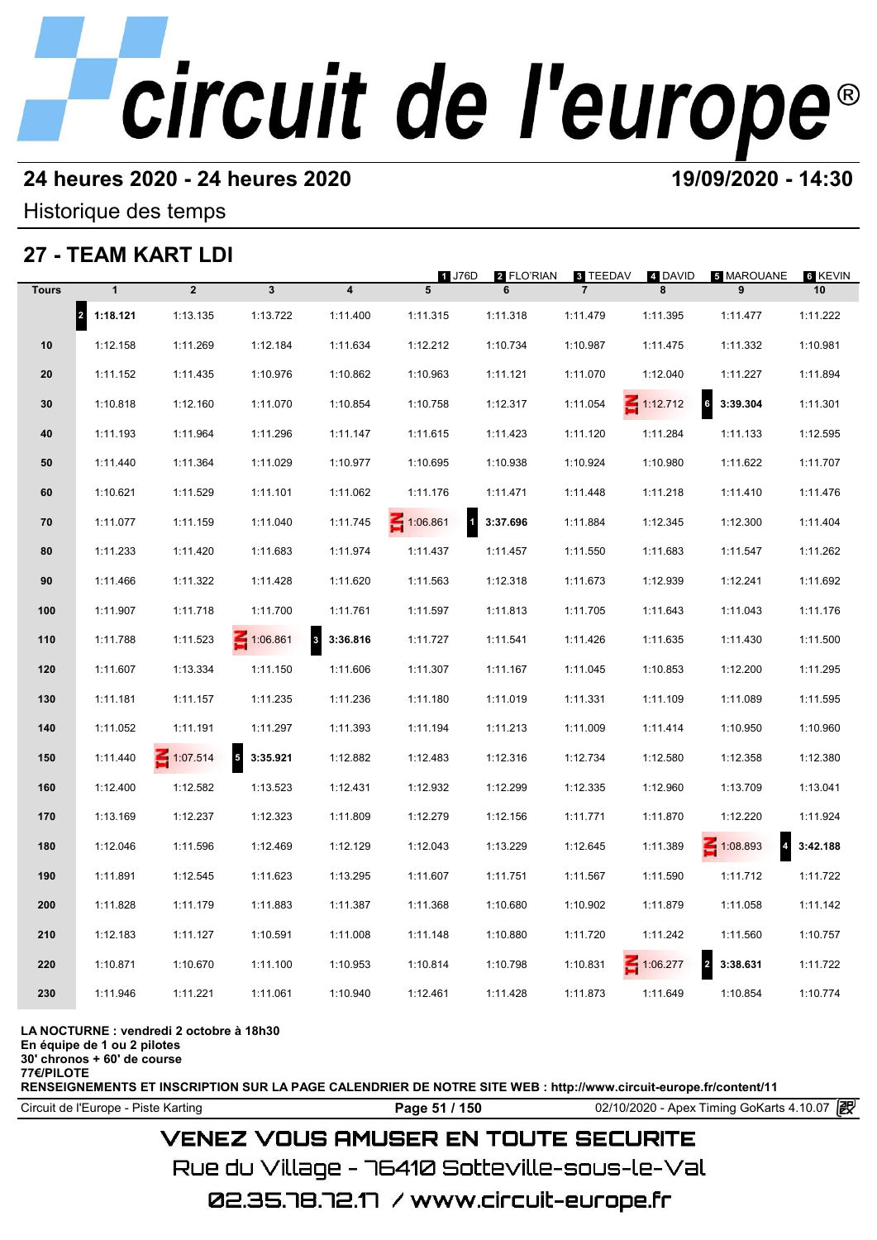# **24 heures 2020 - 24 heures 2020 19/09/2020 - 14:30**

Historique des temps

# **27 - TEAM KART LDI**

|              |                                  | 27 - IEAM KARI LDI |                             |                                     |                          |                 |                            |                 |                                   |               |
|--------------|----------------------------------|--------------------|-----------------------------|-------------------------------------|--------------------------|-----------------|----------------------------|-----------------|-----------------------------------|---------------|
| <b>Tours</b> | $\mathbf{1}$                     | $\overline{2}$     | $\mathbf{3}$                | 4                                   | 1 J76D<br>5              | 2 FLO'RIAN<br>6 | 3 TEEDAV<br>$\overline{7}$ | 4 DAVID<br>8    | <b>5 MAROUANE</b><br>9            | 6 KEVIN<br>10 |
|              | $\vert$ <sub>2</sub><br>1:18.121 | 1:13.135           | 1:13.722                    | 1:11.400                            | 1:11.315                 | 1:11.318        | 1:11.479                   | 1:11.395        | 1:11.477                          | 1:11.222      |
| 10           | 1:12.158                         | 1:11.269           | 1:12.184                    | 1:11.634                            | 1:12.212                 | 1:10.734        | 1:10.987                   | 1:11.475        | 1:11.332                          | 1:10.981      |
| 20           | 1:11.152                         | 1:11.435           | 1:10.976                    | 1:10.862                            | 1:10.963                 | 1:11.121        | 1:11.070                   | 1:12.040        | 1:11.227                          | 1:11.894      |
| 30           | 1:10.818                         | 1:12.160           | 1:11.070                    | 1:10.854                            | 1:10.758                 | 1:12.317        | 1:11.054                   | $\leq 1:12.712$ | 6<br>3:39.304                     | 1:11.301      |
| 40           | 1:11.193                         | 1:11.964           | 1:11.296                    | 1:11.147                            | 1:11.615                 | 1:11.423        | 1:11.120                   | 1:11.284        | 1:11.133                          | 1:12.595      |
| 50           | 1:11.440                         | 1:11.364           | 1:11.029                    | 1:10.977                            | 1:10.695                 | 1:10.938        | 1:10.924                   | 1:10.980        | 1:11.622                          | 1:11.707      |
| 60           | 1:10.621                         | 1:11.529           | 1:11.101                    | 1:11.062                            | 1:11.176                 | 1:11.471        | 1:11.448                   | 1:11.218        | 1:11.410                          | 1:11.476      |
| 70           | 1:11.077                         | 1:11.159           | 1:11.040                    | 1:11.745                            | 1:06.861<br>$\mathbf{1}$ | 3:37.696        | 1:11.884                   | 1:12.345        | 1:12.300                          | 1:11.404      |
| 80           | 1:11.233                         | 1:11.420           | 1:11.683                    | 1:11.974                            | 1:11.437                 | 1:11.457        | 1:11.550                   | 1:11.683        | 1:11.547                          | 1:11.262      |
| 90           | 1:11.466                         | 1:11.322           | 1:11.428                    | 1:11.620                            | 1:11.563                 | 1:12.318        | 1:11.673                   | 1:12.939        | 1:12.241                          | 1:11.692      |
| 100          | 1:11.907                         | 1:11.718           | 1:11.700                    | 1:11.761                            | 1:11.597                 | 1:11.813        | 1:11.705                   | 1:11.643        | 1:11.043                          | 1:11.176      |
| 110          | 1:11.788                         | 1:11.523           | 1:06.861                    | $\overline{\mathbf{3}}$<br>3:36.816 | 1:11.727                 | 1:11.541        | 1:11.426                   | 1:11.635        | 1:11.430                          | 1:11.500      |
| 120          | 1:11.607                         | 1:13.334           | 1:11.150                    | 1:11.606                            | 1:11.307                 | 1:11.167        | 1:11.045                   | 1:10.853        | 1:12.200                          | 1:11.295      |
| 130          | 1:11.181                         | 1:11.157           | 1:11.235                    | 1:11.236                            | 1:11.180                 | 1:11.019        | 1:11.331                   | 1:11.109        | 1:11.089                          | 1:11.595      |
| 140          | 1:11.052                         | 1:11.191           | 1:11.297                    | 1:11.393                            | 1:11.194                 | 1:11.213        | 1:11.009                   | 1:11.414        | 1:10.950                          | 1:10.960      |
| 150          | 1:11.440                         | $\leq 1:07.514$    | $5\phantom{.0}$<br>3:35.921 | 1:12.882                            | 1:12.483                 | 1:12.316        | 1:12.734                   | 1:12.580        | 1:12.358                          | 1:12.380      |
| 160          | 1:12.400                         | 1:12.582           | 1:13.523                    | 1:12.431                            | 1:12.932                 | 1:12.299        | 1:12.335                   | 1:12.960        | 1:13.709                          | 1:13.041      |
| 170          | 1:13.169                         | 1:12.237           | 1:12.323                    | 1:11.809                            | 1:12.279                 | 1:12.156        | 1:11.771                   | 1:11.870        | 1:12.220                          | 1:11.924      |
| 180          | 1:12.046                         | 1:11.596           | 1:12.469                    | 1:12.129                            | 1:12.043                 | 1:13.229        | 1:12.645                   | 1:11.389        | $\leq 1:08.893$<br>$\overline{4}$ | 3:42.188      |
| 190          | 1:11.891                         | 1:12.545           | 1:11.623                    | 1:13.295                            | 1:11.607                 | 1:11.751        | 1:11.567                   | 1:11.590        | 1:11.712                          | 1:11.722      |
| 200          | 1:11.828                         | 1:11.179           | 1:11.883                    | 1:11.387                            | 1:11.368                 | 1:10.680        | 1:10.902                   | 1:11.879        | 1:11.058                          | 1:11.142      |
| 210          | 1:12.183                         | 1:11.127           | 1:10.591                    | 1:11.008                            | 1:11.148                 | 1:10.880        | 1:11.720                   | 1:11.242        | 1:11.560                          | 1:10.757      |
| 220          | 1:10.871                         | 1:10.670           | 1:11.100                    | 1:10.953                            | 1:10.814                 | 1:10.798        | 1:10.831                   | $\leq 1:06.277$ | $\overline{2}$<br>3:38.631        | 1:11.722      |
| 230          | 1:11.946                         | 1:11.221           | 1:11.061                    | 1:10.940                            | 1:12.461                 | 1:11.428        | 1:11.873                   | 1:11.649        | 1:10.854                          | 1:10.774      |
|              |                                  |                    |                             |                                     |                          |                 |                            |                 |                                   |               |

### **LA NOCTURNE : vendredi 2 octobre à 18h30**

**En équipe de 1 ou 2 pilotes**

**30' chronos + 60' de course 77€/PILOTE**

**RENSEIGNEMENTS ET INSCRIPTION SUR LA PAGE CALENDRIER DE NOTRE SITE WEB : http://www.circuit-europe.fr/content/11**

Circuit de l'Europe - Piste Karting **Page 51 / 150 Page 51 / 150** 02/10/2020 - Apex Timing GoKarts 4.10.07

# **VENEZ VOUS AMUSER EN TOUTE SECURITE**

Rue du Village – 76410 Sotteville-sous-le-Val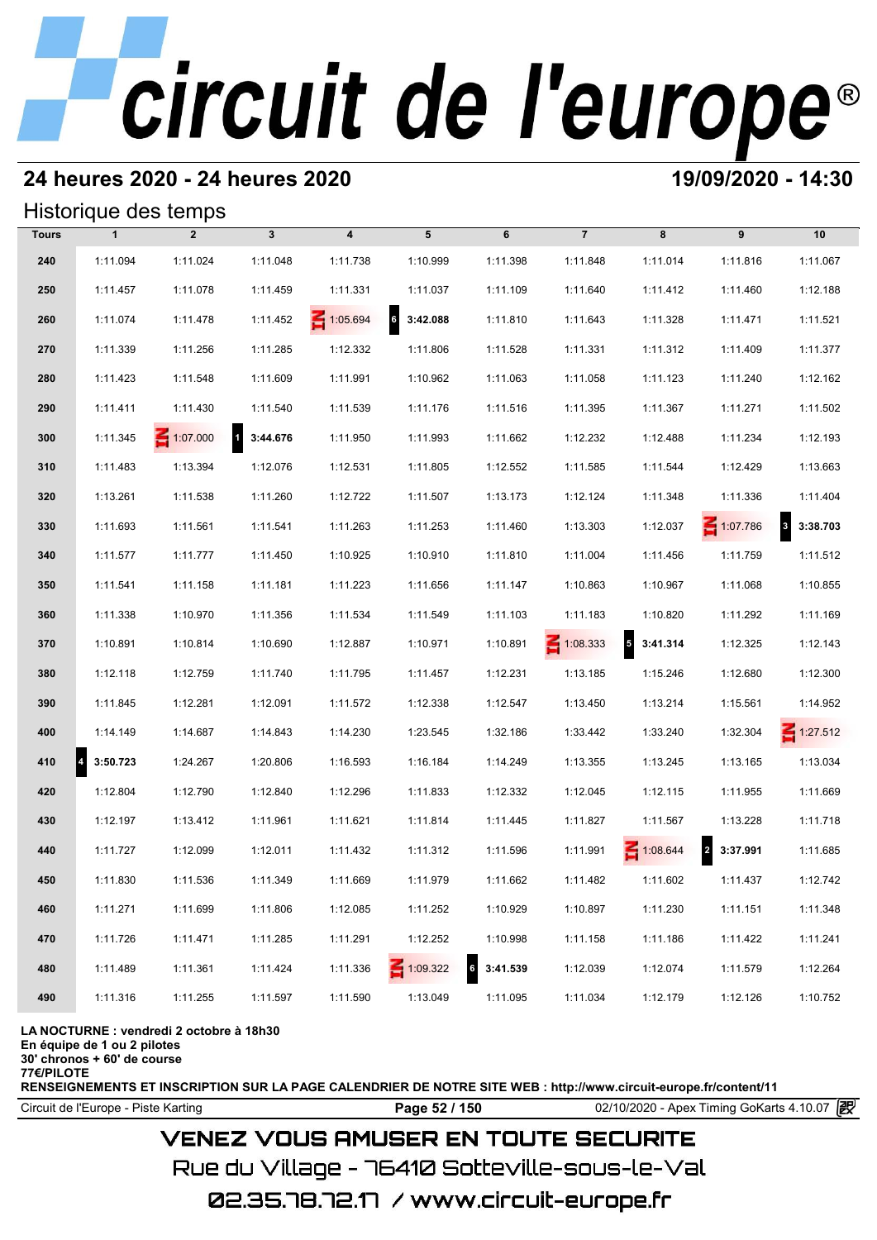# **24 heures 2020 - 24 heures 2020 19/09/2020 - 14:30**

## Historique des temps

|              |               | Historique des temps |            |                 |                 |          |                 |                            |                                     |                          |
|--------------|---------------|----------------------|------------|-----------------|-----------------|----------|-----------------|----------------------------|-------------------------------------|--------------------------|
| <b>Tours</b> | $\mathbf{1}$  | $\overline{2}$       | 3          | 4               | 5               | 6        | $\overline{7}$  | 8                          | 9                                   | 10                       |
| 240          | 1:11.094      | 1:11.024             | 1:11.048   | 1:11.738        | 1:10.999        | 1:11.398 | 1:11.848        | 1:11.014                   | 1:11.816                            | 1:11.067                 |
| 250          | 1:11.457      | 1:11.078             | 1:11.459   | 1:11.331        | 1:11.037        | 1:11.109 | 1:11.640        | 1:11.412                   | 1:11.460                            | 1:12.188                 |
| 260          | 1:11.074      | 1:11.478             | 1:11.452   | $\leq 1:05.694$ | 6<br>3:42.088   | 1:11.810 | 1:11.643        | 1:11.328                   | 1:11.471                            | 1:11.521                 |
| 270          | 1:11.339      | 1:11.256             | 1:11.285   | 1:12.332        | 1:11.806        | 1:11.528 | 1:11.331        | 1:11.312                   | 1:11.409                            | 1:11.377                 |
| 280          | 1:11.423      | 1:11.548             | 1:11.609   | 1:11.991        | 1:10.962        | 1:11.063 | 1:11.058        | 1:11.123                   | 1:11.240                            | 1:12.162                 |
| 290          | 1:11.411      | 1:11.430             | 1:11.540   | 1:11.539        | 1:11.176        | 1:11.516 | 1:11.395        | 1:11.367                   | 1:11.271                            | 1:11.502                 |
| 300          | 1:11.345      | $\leq 1:07.000$      | 1 3:44.676 | 1:11.950        | 1:11.993        | 1:11.662 | 1:12.232        | 1:12.488                   | 1:11.234                            | 1:12.193                 |
| 310          | 1:11.483      | 1:13.394             | 1:12.076   | 1:12.531        | 1:11.805        | 1:12.552 | 1:11.585        | 1:11.544                   | 1:12.429                            | 1:13.663                 |
| 320          | 1:13.261      | 1:11.538             | 1:11.260   | 1:12.722        | 1:11.507        | 1:13.173 | 1:12.124        | 1:11.348                   | 1:11.336                            | 1:11.404                 |
| 330          | 1:11.693      | 1:11.561             | 1:11.541   | 1:11.263        | 1:11.253        | 1:11.460 | 1:13.303        | 1:12.037                   | 1:07.786                            | $\mathbf{3}$<br>3:38.703 |
| 340          | 1:11.577      | 1:11.777             | 1:11.450   | 1:10.925        | 1:10.910        | 1:11.810 | 1:11.004        | 1:11.456                   | 1:11.759                            | 1:11.512                 |
| 350          | 1:11.541      | 1:11.158             | 1:11.181   | 1:11.223        | 1:11.656        | 1:11.147 | 1:10.863        | 1:10.967                   | 1:11.068                            | 1:10.855                 |
| 360          | 1:11.338      | 1:10.970             | 1:11.356   | 1:11.534        | 1:11.549        | 1:11.103 | 1:11.183        | 1:10.820                   | 1:11.292                            | 1:11.169                 |
| 370          | 1:10.891      | 1:10.814             | 1:10.690   | 1:12.887        | 1:10.971        | 1:10.891 | $\leq 1:08.333$ | $\overline{5}$<br>3:41.314 | 1:12.325                            | 1:12.143                 |
| 380          | 1:12.118      | 1:12.759             | 1:11.740   | 1:11.795        | 1:11.457        | 1:12.231 | 1:13.185        | 1:15.246                   | 1:12.680                            | 1:12.300                 |
| 390          | 1:11.845      | 1:12.281             | 1:12.091   | 1:11.572        | 1:12.338        | 1:12.547 | 1:13.450        | 1:13.214                   | 1:15.561                            | 1:14.952                 |
| 400          | 1:14.149      | 1:14.687             | 1:14.843   | 1:14.230        | 1:23.545        | 1:32.186 | 1:33.442        | 1:33.240                   | 1:32.304                            | $\leq 1:27.512$          |
| 410          | 4<br>3:50.723 | 1:24.267             | 1:20.806   | 1:16.593        | 1:16.184        | 1:14.249 | 1:13.355        | 1:13.245                   | 1:13.165                            | 1:13.034                 |
| 420          | 1:12.804      | 1:12.790             | 1:12.840   | 1:12.296        | 1:11.833        | 1:12.332 | 1:12.045        | 1:12.115                   | 1:11.955                            | 1:11.669                 |
| 430          | 1:12.197      | 1:13.412             | 1:11.961   | 1:11.621        | 1:11.814        | 1:11.445 | 1:11.827        | 1:11.567                   | 1:13.228                            | 1:11.718                 |
| 440          | 1:11.727      | 1:12.099             | 1:12.011   | 1:11.432        | 1:11.312        | 1:11.596 | 1:11.991        | 1:08.644                   | $\overline{\mathbf{c}}$<br>3:37.991 | 1:11.685                 |
| 450          | 1:11.830      | 1:11.536             | 1:11.349   | 1:11.669        | 1:11.979        | 1:11.662 | 1:11.482        | 1:11.602                   | 1:11.437                            | 1:12.742                 |
| 460          | 1:11.271      | 1:11.699             | 1:11.806   | 1:12.085        | 1:11.252        | 1:10.929 | 1:10.897        | 1:11.230                   | 1:11.151                            | 1:11.348                 |
| 470          | 1:11.726      | 1:11.471             | 1:11.285   | 1:11.291        | 1:12.252        | 1:10.998 | 1:11.158        | 1:11.186                   | 1:11.422                            | 1:11.241                 |
| 480          | 1:11.489      | 1:11.361             | 1:11.424   | 1:11.336        | $\leq 1:09.322$ | 3:41.539 | 1:12.039        | 1:12.074                   | 1:11.579                            | 1:12.264                 |
| 490          | 1:11.316      | 1:11.255             | 1:11.597   | 1:11.590        | 1:13.049        | 1:11.095 | 1:11.034        | 1:12.179                   | 1:12.126                            | 1:10.752                 |

### **LA NOCTURNE : vendredi 2 octobre à 18h30**

**En équipe de 1 ou 2 pilotes**

**30' chronos + 60' de course**

**77€/PILOTE**

**RENSEIGNEMENTS ET INSCRIPTION SUR LA PAGE CALENDRIER DE NOTRE SITE WEB : http://www.circuit-europe.fr/content/11**

**Page 52 / 150** 02/10/2020 - Apex Timing GoKarts 4.10.07 **P** 

# **VENEZ VOUS AMUSER EN TOUTE SECURITE**

Rue du Village – 76410 Sotteville-sous-le-Val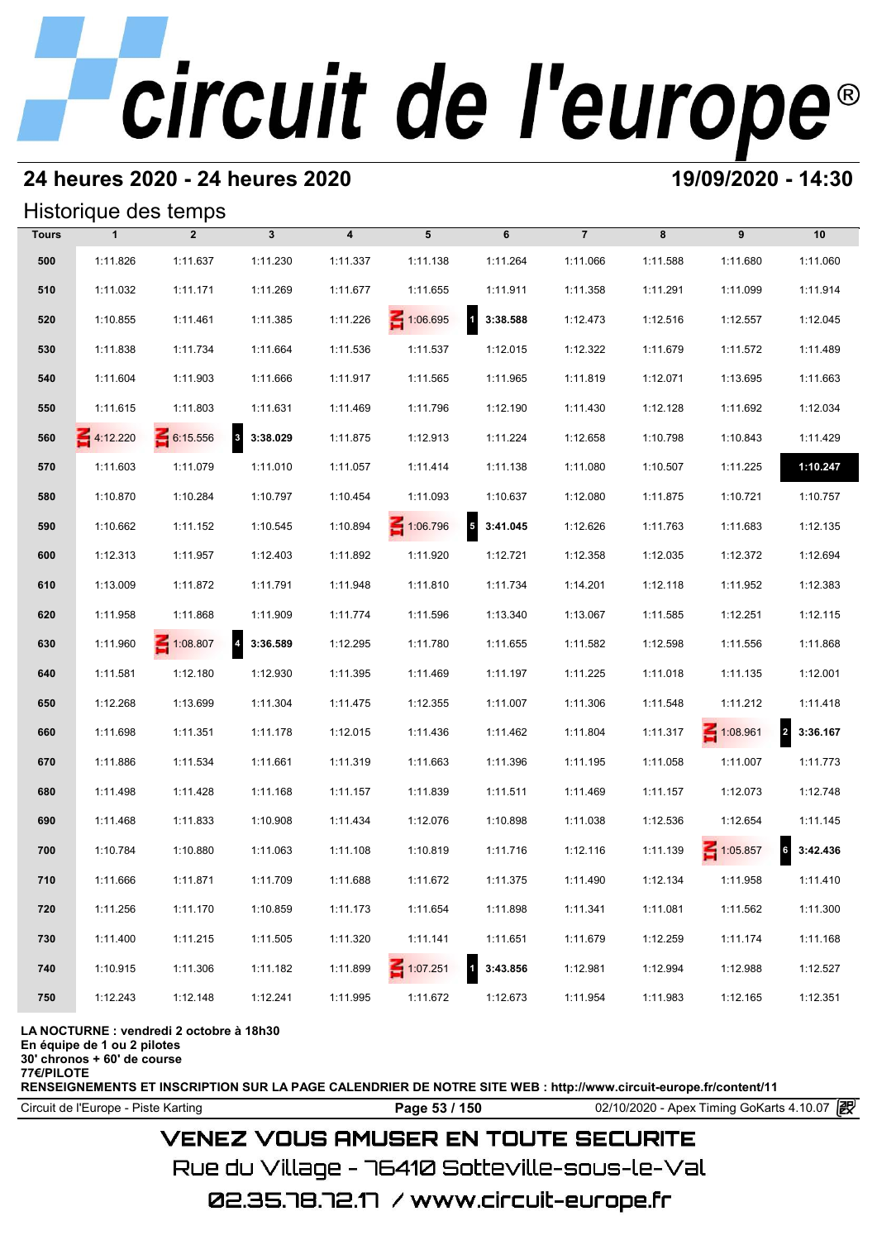# **24 heures 2020 - 24 heures 2020 19/09/2020 - 14:30**

## Historique des temps

|              | Historique des temps |                 |                                     |                         |                 |                          |                |          |                 |                            |
|--------------|----------------------|-----------------|-------------------------------------|-------------------------|-----------------|--------------------------|----------------|----------|-----------------|----------------------------|
| <b>Tours</b> | $\mathbf{1}$         | $\overline{2}$  | $\mathbf{3}$                        | $\overline{\mathbf{4}}$ | 5               | 6                        | $\overline{7}$ | 8        | 9               | 10                         |
| 500          | 1:11.826             | 1:11.637        | 1:11.230                            | 1:11.337                | 1:11.138        | 1:11.264                 | 1:11.066       | 1:11.588 | 1:11.680        | 1:11.060                   |
| 510          | 1:11.032             | 1:11.171        | 1:11.269                            | 1:11.677                | 1:11.655        | 1:11.911                 | 1:11.358       | 1:11.291 | 1:11.099        | 1:11.914                   |
| 520          | 1:10.855             | 1:11.461        | 1:11.385                            | 1:11.226                | 1:06.695        | $\mathbf{1}$<br>3:38.588 | 1:12.473       | 1:12.516 | 1:12.557        | 1:12.045                   |
| 530          | 1:11.838             | 1:11.734        | 1:11.664                            | 1:11.536                | 1:11.537        | 1:12.015                 | 1:12.322       | 1:11.679 | 1:11.572        | 1:11.489                   |
| 540          | 1:11.604             | 1:11.903        | 1:11.666                            | 1:11.917                | 1:11.565        | 1:11.965                 | 1:11.819       | 1:12.071 | 1:13.695        | 1:11.663                   |
| 550          | 1:11.615             | 1:11.803        | 1:11.631                            | 1:11.469                | 1:11.796        | 1:12.190                 | 1:11.430       | 1:12.128 | 1:11.692        | 1:12.034                   |
| 560          | $\leq 4:12.220$      | 6:15.556        | 3 3:38.029                          | 1:11.875                | 1:12.913        | 1:11.224                 | 1:12.658       | 1:10.798 | 1:10.843        | 1:11.429                   |
| 570          | 1:11.603             | 1:11.079        | 1:11.010                            | 1:11.057                | 1:11.414        | 1:11.138                 | 1:11.080       | 1:10.507 | 1:11.225        | 1:10.247                   |
| 580          | 1:10.870             | 1:10.284        | 1:10.797                            | 1:10.454                | 1:11.093        | 1:10.637                 | 1:12.080       | 1:11.875 | 1:10.721        | 1:10.757                   |
| 590          | 1:10.662             | 1:11.152        | 1:10.545                            | 1:10.894                | 1:06.796        | $5$ 3:41.045             | 1:12.626       | 1:11.763 | 1:11.683        | 1:12.135                   |
| 600          | 1:12.313             | 1:11.957        | 1:12.403                            | 1:11.892                | 1:11.920        | 1:12.721                 | 1:12.358       | 1:12.035 | 1:12.372        | 1:12.694                   |
| 610          | 1:13.009             | 1:11.872        | 1:11.791                            | 1:11.948                | 1:11.810        | 1:11.734                 | 1:14.201       | 1:12.118 | 1:11.952        | 1:12.383                   |
| 620          | 1:11.958             | 1:11.868        | 1:11.909                            | 1:11.774                | 1:11.596        | 1:13.340                 | 1:13.067       | 1:11.585 | 1:12.251        | 1:12.115                   |
| 630          | 1:11.960             | $\leq 1:08.807$ | $\overline{\mathbf{4}}$<br>3:36.589 | 1:12.295                | 1:11.780        | 1:11.655                 | 1:11.582       | 1:12.598 | 1:11.556        | 1:11.868                   |
| 640          | 1:11.581             | 1:12.180        | 1:12.930                            | 1:11.395                | 1:11.469        | 1:11.197                 | 1:11.225       | 1:11.018 | 1:11.135        | 1:12.001                   |
| 650          | 1:12.268             | 1:13.699        | 1:11.304                            | 1:11.475                | 1:12.355        | 1:11.007                 | 1:11.306       | 1:11.548 | 1:11.212        | 1:11.418                   |
| 660          | 1:11.698             | 1:11.351        | 1:11.178                            | 1:12.015                | 1:11.436        | 1:11.462                 | 1:11.804       | 1:11.317 | $\leq 1:08.961$ | $\overline{2}$<br>3:36.167 |
| 670          | 1:11.886             | 1:11.534        | 1:11.661                            | 1:11.319                | 1:11.663        | 1:11.396                 | 1:11.195       | 1:11.058 | 1:11.007        | 1:11.773                   |
| 680          | 1:11.498             | 1:11.428        | 1:11.168                            | 1:11.157                | 1:11.839        | 1:11.511                 | 1:11.469       | 1:11.157 | 1:12.073        | 1:12.748                   |
| 690          | 1:11.468             | 1:11.833        | 1:10.908                            | 1:11.434                | 1:12.076        | 1:10.898                 | 1:11.038       | 1:12.536 | 1:12.654        | 1:11.145                   |
| 700          | 1:10.784             | 1:10.880        | 1:11.063                            | 1:11.108                | 1:10.819        | 1:11.716                 | 1:12.116       | 1:11.139 | $\leq 1:05.857$ | 63:42.436                  |
| 710          | 1:11.666             | 1:11.871        | 1:11.709                            | 1:11.688                | 1:11.672        | 1:11.375                 | 1:11.490       | 1:12.134 | 1:11.958        | 1:11.410                   |
| 720          | 1:11.256             | 1:11.170        | 1:10.859                            | 1:11.173                | 1:11.654        | 1:11.898                 | 1:11.341       | 1:11.081 | 1:11.562        | 1:11.300                   |
| 730          | 1:11.400             | 1:11.215        | 1:11.505                            | 1:11.320                | 1:11.141        | 1:11.651                 | 1:11.679       | 1:12.259 | 1:11.174        | 1:11.168                   |
| 740          | 1:10.915             | 1:11.306        | 1:11.182                            | 1:11.899                | $\leq 1:07.251$ | $\mathbf{1}$<br>3:43.856 | 1:12.981       | 1:12.994 | 1:12.988        | 1:12.527                   |
| 750          | 1:12.243             | 1:12.148        | 1:12.241                            | 1:11.995                | 1:11.672        | 1:12.673                 | 1:11.954       | 1:11.983 | 1:12.165        | 1:12.351                   |

### **LA NOCTURNE : vendredi 2 octobre à 18h30**

**En équipe de 1 ou 2 pilotes**

**30' chronos + 60' de course**

**77€/PILOTE**

**RENSEIGNEMENTS ET INSCRIPTION SUR LA PAGE CALENDRIER DE NOTRE SITE WEB : http://www.circuit-europe.fr/content/11**

Circuit de l'Europe - Piste Karting **Page 53 / 150 Page 53 / 150** 02/10/2020 - Apex Timing GoKarts 4.10.07 **段** 

# **VENEZ VOUS AMUSER EN TOUTE SECURITE**

Rue du Village – 76410 Sotteville-sous-le-Val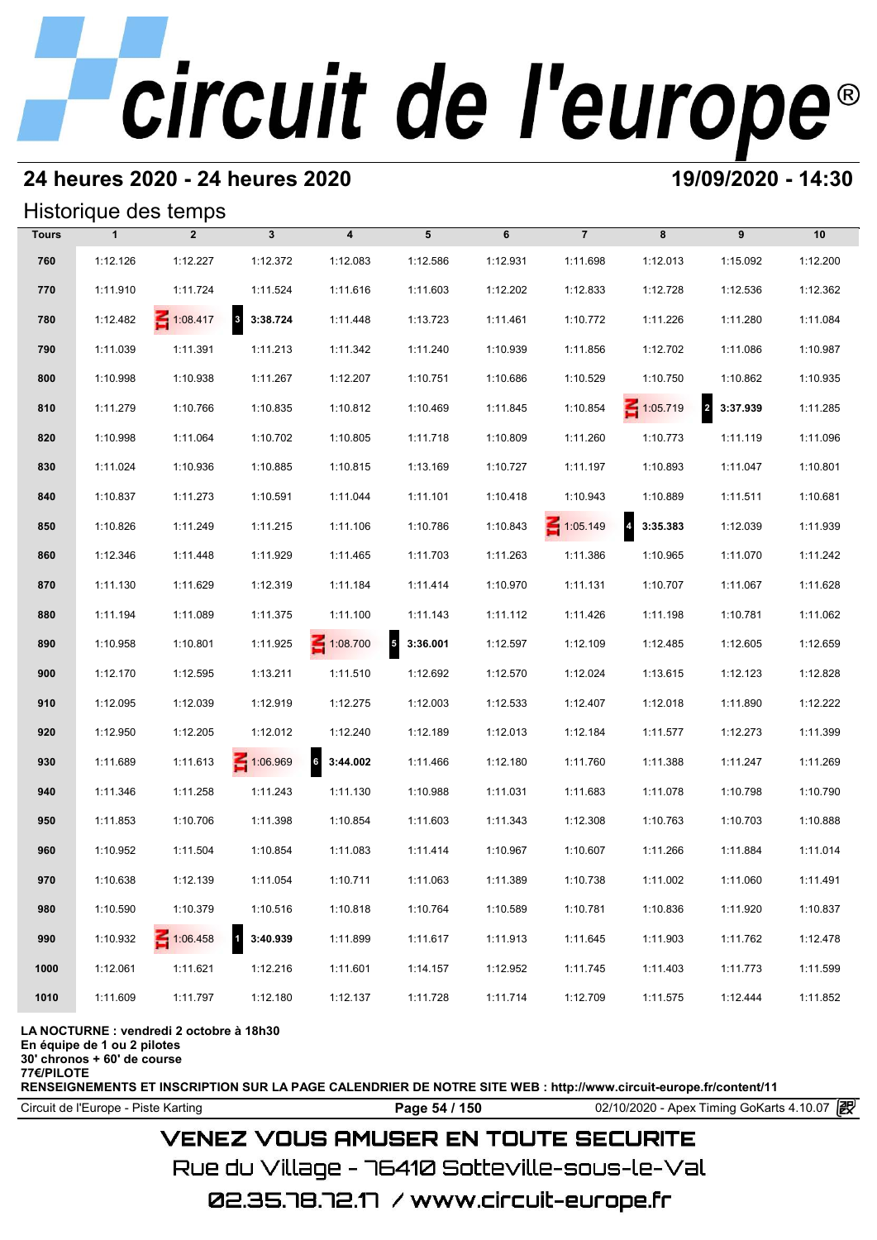# **24 heures 2020 - 24 heures 2020 19/09/2020 - 14:30**

## Historique des temps

| <b>Tours</b> | $\mathbf{1}$ | $\overline{2}$  | $\mathbf{3}$             | $\overline{\mathbf{4}}$     | 5                                    | 6        | $\overline{7}$  | 8               | 9                                   | 10       |
|--------------|--------------|-----------------|--------------------------|-----------------------------|--------------------------------------|----------|-----------------|-----------------|-------------------------------------|----------|
| 760          | 1:12.126     | 1:12.227        | 1:12.372                 | 1:12.083                    | 1:12.586                             | 1:12.931 | 1:11.698        | 1:12.013        | 1:15.092                            | 1:12.200 |
| 770          | 1:11.910     | 1:11.724        | 1:11.524                 | 1:11.616                    | 1:11.603                             | 1:12.202 | 1:12.833        | 1:12.728        | 1:12.536                            | 1:12.362 |
| 780          | 1:12.482     | $\leq 1:08.417$ | 3 3:38.724               | 1:11.448                    | 1:13.723                             | 1:11.461 | 1:10.772        | 1:11.226        | 1:11.280                            | 1:11.084 |
| 790          | 1:11.039     | 1:11.391        | 1:11.213                 | 1:11.342                    | 1:11.240                             | 1:10.939 | 1:11.856        | 1:12.702        | 1:11.086                            | 1:10.987 |
| 800          | 1:10.998     | 1:10.938        | 1:11.267                 | 1:12.207                    | 1:10.751                             | 1:10.686 | 1:10.529        | 1:10.750        | 1:10.862                            | 1:10.935 |
| 810          | 1:11.279     | 1:10.766        | 1:10.835                 | 1:10.812                    | 1:10.469                             | 1:11.845 | 1:10.854        | $\leq 1:05.719$ | $\overline{\mathbf{2}}$<br>3:37.939 | 1:11.285 |
| 820          | 1:10.998     | 1:11.064        | 1:10.702                 | 1:10.805                    | 1:11.718                             | 1:10.809 | 1:11.260        | 1:10.773        | 1:11.119                            | 1:11.096 |
| 830          | 1:11.024     | 1:10.936        | 1:10.885                 | 1:10.815                    | 1:13.169                             | 1:10.727 | 1:11.197        | 1:10.893        | 1:11.047                            | 1:10.801 |
| 840          | 1:10.837     | 1:11.273        | 1:10.591                 | 1:11.044                    | 1:11.101                             | 1:10.418 | 1:10.943        | 1:10.889        | 1:11.511                            | 1:10.681 |
| 850          | 1:10.826     | 1:11.249        | 1:11.215                 | 1:11.106                    | 1:10.786                             | 1:10.843 | $\leq 1:05.149$ | 4 3:35.383      | 1:12.039                            | 1:11.939 |
| 860          | 1:12.346     | 1:11.448        | 1:11.929                 | 1:11.465                    | 1:11.703                             | 1:11.263 | 1:11.386        | 1:10.965        | 1:11.070                            | 1:11.242 |
| 870          | 1:11.130     | 1:11.629        | 1:12.319                 | 1:11.184                    | 1:11.414                             | 1:10.970 | 1:11.131        | 1:10.707        | 1:11.067                            | 1:11.628 |
| 880          | 1:11.194     | 1:11.089        | 1:11.375                 | 1:11.100                    | 1:11.143                             | 1:11.112 | 1:11.426        | 1:11.198        | 1:10.781                            | 1:11.062 |
| 890          | 1:10.958     | 1:10.801        | 1:11.925                 | $\leq 1:08.700$             | $\overline{\phantom{a}}$<br>3:36.001 | 1:12.597 | 1:12.109        | 1:12.485        | 1:12.605                            | 1:12.659 |
| 900          | 1:12.170     | 1:12.595        | 1:13.211                 | 1:11.510                    | 1:12.692                             | 1:12.570 | 1:12.024        | 1:13.615        | 1:12.123                            | 1:12.828 |
| 910          | 1:12.095     | 1:12.039        | 1:12.919                 | 1:12.275                    | 1:12.003                             | 1:12.533 | 1:12.407        | 1:12.018        | 1:11.890                            | 1:12.222 |
| 920          | 1:12.950     | 1:12.205        | 1:12.012                 | 1:12.240                    | 1:12.189                             | 1:12.013 | 1:12.184        | 1:11.577        | 1:12.273                            | 1:11.399 |
| 930          | 1:11.689     | 1:11.613        | 1:06.969                 | $6\overline{6}$<br>3:44.002 | 1:11.466                             | 1:12.180 | 1:11.760        | 1:11.388        | 1:11.247                            | 1:11.269 |
| 940          | 1:11.346     | 1:11.258        | 1:11.243                 | 1:11.130                    | 1:10.988                             | 1:11.031 | 1:11.683        | 1:11.078        | 1:10.798                            | 1:10.790 |
| 950          | 1:11.853     | 1:10.706        | 1:11.398                 | 1:10.854                    | 1:11.603                             | 1:11.343 | 1:12.308        | 1:10.763        | 1:10.703                            | 1:10.888 |
| 960          | 1:10.952     | 1:11.504        | 1:10.854                 | 1:11.083                    | 1:11.414                             | 1:10.967 | 1:10.607        | 1:11.266        | 1:11.884                            | 1:11.014 |
| 970          | 1:10.638     | 1:12.139        | 1:11.054                 | 1:10.711                    | 1:11.063                             | 1:11.389 | 1:10.738        | 1:11.002        | 1:11.060                            | 1:11.491 |
| 980          | 1:10.590     | 1:10.379        | 1:10.516                 | 1:10.818                    | 1:10.764                             | 1:10.589 | 1:10.781        | 1:10.836        | 1:11.920                            | 1:10.837 |
| 990          | 1:10.932     | $\leq 1:06.458$ | $\mathbf{1}$<br>3:40.939 | 1:11.899                    | 1:11.617                             | 1:11.913 | 1:11.645        | 1:11.903        | 1:11.762                            | 1:12.478 |
| 1000         | 1:12.061     | 1:11.621        | 1:12.216                 | 1:11.601                    | 1:14.157                             | 1:12.952 | 1:11.745        | 1:11.403        | 1:11.773                            | 1:11.599 |
| 1010         | 1:11.609     | 1:11.797        | 1:12.180                 | 1:12.137                    | 1:11.728                             | 1:11.714 | 1:12.709        | 1:11.575        | 1:12.444                            | 1:11.852 |

**LA NOCTURNE : vendredi 2 octobre à 18h30**

**En équipe de 1 ou 2 pilotes**

**30' chronos + 60' de course 77€/PILOTE**

**RENSEIGNEMENTS ET INSCRIPTION SUR LA PAGE CALENDRIER DE NOTRE SITE WEB : http://www.circuit-europe.fr/content/11**

Circuit de l'Europe - Piste Karting **Page 54 / 150 Page 54 / 150** 02/10/2020 - Apex Timing GoKarts 4.10.07

# **VENEZ VOUS AMUSER EN TOUTE SECURITE**

Rue du Village – 76410 Sotteville-sous-le-Val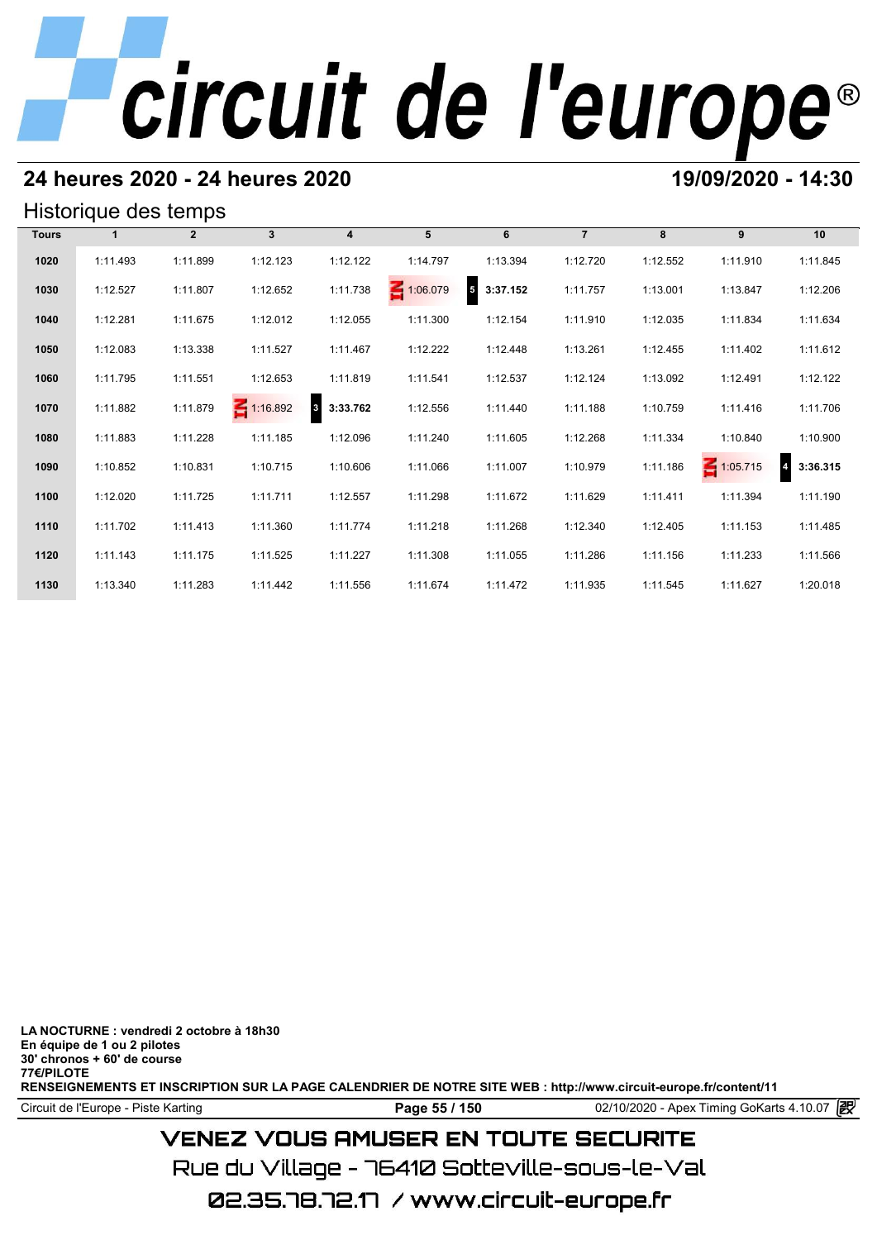# **24 heures 2020 - 24 heures 2020 19/09/2020 - 14:30**

## Historique des temps

| Historique des temps |          |                |                 |                                     |                 |                                     |                |          |                 |          |  |  |  |
|----------------------|----------|----------------|-----------------|-------------------------------------|-----------------|-------------------------------------|----------------|----------|-----------------|----------|--|--|--|
| <b>Tours</b>         |          | $\overline{2}$ | 3 <sup>1</sup>  | $\overline{4}$                      | 5               | 6                                   | $\overline{7}$ | 8        | 9               | 10       |  |  |  |
| 1020                 | 1:11.493 | 1:11.899       | 1:12.123        | 1:12.122                            | 1:14.797        | 1:13.394                            | 1:12.720       | 1:12.552 | 1:11.910        | 1:11.845 |  |  |  |
| 1030                 | 1:12.527 | 1:11.807       | 1:12.652        | 1:11.738                            | $\leq 1:06.079$ | $\overline{\mathbf{5}}$<br>3:37.152 | 1:11.757       | 1:13.001 | 1:13.847        | 1:12.206 |  |  |  |
| 1040                 | 1:12.281 | 1:11.675       | 1:12.012        | 1:12.055                            | 1:11.300        | 1:12.154                            | 1:11.910       | 1:12.035 | 1:11.834        | 1:11.634 |  |  |  |
| 1050                 | 1:12.083 | 1:13.338       | 1:11.527        | 1:11.467                            | 1:12.222        | 1:12.448                            | 1:13.261       | 1:12.455 | 1:11.402        | 1:11.612 |  |  |  |
| 1060                 | 1:11.795 | 1:11.551       | 1:12.653        | 1:11.819                            | 1:11.541        | 1:12.537                            | 1:12.124       | 1:13.092 | 1:12.491        | 1:12.122 |  |  |  |
| 1070                 | 1:11.882 | 1:11.879       | $\leq 1:16.892$ | $\overline{\mathbf{3}}$<br>3:33.762 | 1:12.556        | 1:11.440                            | 1:11.188       | 1:10.759 | 1:11.416        | 1:11.706 |  |  |  |
| 1080                 | 1:11.883 | 1:11.228       | 1:11.185        | 1:12.096                            | 1:11.240        | 1:11.605                            | 1:12.268       | 1:11.334 | 1:10.840        | 1:10.900 |  |  |  |
| 1090                 | 1:10.852 | 1:10.831       | 1:10.715        | 1:10.606                            | 1:11.066        | 1:11.007                            | 1:10.979       | 1:11.186 | $\leq 1:05.715$ | 3:36.315 |  |  |  |
| 1100                 | 1:12.020 | 1:11.725       | 1:11.711        | 1:12.557                            | 1:11.298        | 1:11.672                            | 1:11.629       | 1:11.411 | 1:11.394        | 1:11.190 |  |  |  |
| 1110                 | 1:11.702 | 1:11.413       | 1:11.360        | 1:11.774                            | 1:11.218        | 1:11.268                            | 1:12.340       | 1:12.405 | 1:11.153        | 1:11.485 |  |  |  |
| 1120                 | 1:11.143 | 1:11.175       | 1:11.525        | 1:11.227                            | 1:11.308        | 1:11.055                            | 1:11.286       | 1:11.156 | 1:11.233        | 1:11.566 |  |  |  |
| 1130                 | 1:13.340 | 1:11.283       | 1:11.442        | 1:11.556                            | 1:11.674        | 1:11.472                            | 1:11.935       | 1:11.545 | 1:11.627        | 1:20.018 |  |  |  |

**LA NOCTURNE : vendredi 2 octobre à 18h30 En équipe de 1 ou 2 pilotes 30' chronos + 60' de course 77€/PILOTE RENSEIGNEMENTS ET INSCRIPTION SUR LA PAGE CALENDRIER DE NOTRE SITE WEB : http://www.circuit-europe.fr/content/11**

Circuit de l'Europe - Piste Karting **Page 55 / 150** 02/10/2020 - Apex Timing GoKarts 4.10.07

# **VENEZ VOUS AMUSER EN TOUTE SECURITE**

Rue du Village – 76410 Sotteville-sous-le-Val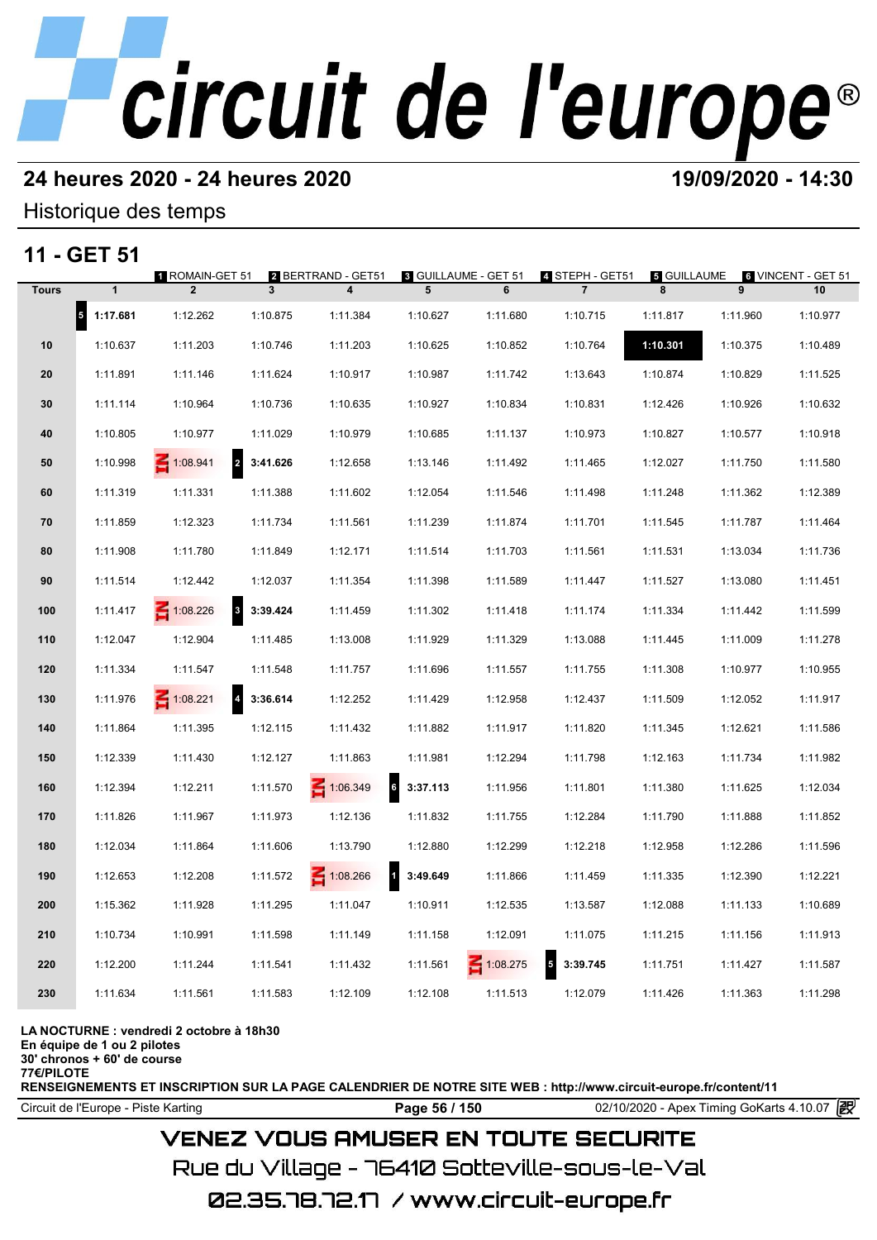# **24 heures 2020 - 24 heures 2020 19/09/2020 - 14:30**

## Historique des temps

# **11 - GET 51**

|              | 11 - GET 51                          | <b>1 ROMAIN-GET 51</b> |                            | 2 BERTRAND - GET51      | <b>8 GUILLAUME - GET 51</b> |          | 4 STEPH - GET51                      | 5 GUILLAUME |          | 6 VINCENT - GET 51 |
|--------------|--------------------------------------|------------------------|----------------------------|-------------------------|-----------------------------|----------|--------------------------------------|-------------|----------|--------------------|
| <b>Tours</b> | $\mathbf{1}$                         | $\overline{2}$         | 3                          | $\overline{\mathbf{4}}$ | 5                           | 6        | $\overline{7}$                       | 8           | 9        | 10                 |
|              | $\overline{\phantom{a}}$<br>1:17.681 | 1:12.262               | 1:10.875                   | 1:11.384                | 1:10.627                    | 1:11.680 | 1:10.715                             | 1:11.817    | 1:11.960 | 1:10.977           |
| 10           | 1:10.637                             | 1:11.203               | 1:10.746                   | 1:11.203                | 1:10.625                    | 1:10.852 | 1:10.764                             | 1:10.301    | 1:10.375 | 1:10.489           |
| 20           | 1:11.891                             | 1:11.146               | 1:11.624                   | 1:10.917                | 1:10.987                    | 1:11.742 | 1:13.643                             | 1:10.874    | 1:10.829 | 1:11.525           |
| 30           | 1:11.114                             | 1:10.964               | 1:10.736                   | 1:10.635                | 1:10.927                    | 1:10.834 | 1:10.831                             | 1:12.426    | 1:10.926 | 1:10.632           |
| 40           | 1:10.805                             | 1:10.977               | 1:11.029                   | 1:10.979                | 1:10.685                    | 1:11.137 | 1:10.973                             | 1:10.827    | 1:10.577 | 1:10.918           |
| 50           | 1:10.998                             | 1:08.941               | $\overline{2}$<br>3:41.626 | 1:12.658                | 1:13.146                    | 1:11.492 | 1:11.465                             | 1:12.027    | 1:11.750 | 1:11.580           |
| 60           | 1:11.319                             | 1:11.331               | 1:11.388                   | 1:11.602                | 1:12.054                    | 1:11.546 | 1:11.498                             | 1:11.248    | 1:11.362 | 1:12.389           |
| 70           | 1:11.859                             | 1:12.323               | 1:11.734                   | 1:11.561                | 1:11.239                    | 1:11.874 | 1:11.701                             | 1:11.545    | 1:11.787 | 1:11.464           |
| 80           | 1:11.908                             | 1:11.780               | 1:11.849                   | 1:12.171                | 1:11.514                    | 1:11.703 | 1:11.561                             | 1:11.531    | 1:13.034 | 1:11.736           |
| 90           | 1:11.514                             | 1:12.442               | 1:12.037                   | 1:11.354                | 1:11.398                    | 1:11.589 | 1:11.447                             | 1:11.527    | 1:13.080 | 1:11.451           |
| 100          | 1:11.417                             | $\leq 1:08.226$        | 8 3:39.424                 | 1:11.459                | 1:11.302                    | 1:11.418 | 1:11.174                             | 1:11.334    | 1:11.442 | 1:11.599           |
| 110          | 1:12.047                             | 1:12.904               | 1:11.485                   | 1:13.008                | 1:11.929                    | 1:11.329 | 1:13.088                             | 1:11.445    | 1:11.009 | 1:11.278           |
| 120          | 1:11.334                             | 1:11.547               | 1:11.548                   | 1:11.757                | 1:11.696                    | 1:11.557 | 1:11.755                             | 1:11.308    | 1:10.977 | 1:10.955           |
| 130          | 1:11.976                             | $\leq 1:08.221$        | $\overline{4}$<br>3:36.614 | 1:12.252                | 1:11.429                    | 1:12.958 | 1:12.437                             | 1:11.509    | 1:12.052 | 1:11.917           |
| 140          | 1:11.864                             | 1:11.395               | 1:12.115                   | 1:11.432                | 1:11.882                    | 1:11.917 | 1:11.820                             | 1:11.345    | 1:12.621 | 1:11.586           |
| 150          | 1:12.339                             | 1:11.430               | 1:12.127                   | 1:11.863                | 1:11.981                    | 1:12.294 | 1:11.798                             | 1:12.163    | 1:11.734 | 1:11.982           |
| 160          | 1:12.394                             | 1:12.211               | 1:11.570                   | 1:06.349                | $6\phantom{a}$<br>3:37.113  | 1:11.956 | 1:11.801                             | 1:11.380    | 1:11.625 | 1:12.034           |
| 170          | 1:11.826                             | 1:11.967               | 1:11.973                   | 1:12.136                | 1:11.832                    | 1:11.755 | 1:12.284                             | 1:11.790    | 1:11.888 | 1:11.852           |
| 180          | 1:12.034                             | 1:11.864               | 1:11.606                   | 1:13.790                | 1:12.880                    | 1:12.299 | 1:12.218                             | 1:12.958    | 1:12.286 | 1:11.596           |
| 190          | 1:12.653                             | 1:12.208               | 1:11.572                   | 1:08.266                | $\mathbf{1}$<br>3:49.649    | 1:11.866 | 1:11.459                             | 1:11.335    | 1:12.390 | 1:12.221           |
| 200          | 1:15.362                             | 1:11.928               | 1:11.295                   | 1:11.047                | 1:10.911                    | 1:12.535 | 1:13.587                             | 1:12.088    | 1:11.133 | 1:10.689           |
| 210          | 1:10.734                             | 1:10.991               | 1:11.598                   | 1:11.149                | 1:11.158                    | 1:12.091 | 1:11.075                             | 1:11.215    | 1:11.156 | 1:11.913           |
| 220          | 1:12.200                             | 1:11.244               | 1:11.541                   | 1:11.432                | 1:11.561                    | 1:08.275 | $\overline{\phantom{a}}$<br>3:39.745 | 1:11.751    | 1:11.427 | 1:11.587           |
| 230          | 1:11.634                             | 1:11.561               | 1:11.583                   | 1:12.109                | 1:12.108                    | 1:11.513 | 1:12.079                             | 1:11.426    | 1:11.363 | 1:11.298           |
|              |                                      |                        |                            |                         |                             |          |                                      |             |          |                    |

### **LA NOCTURNE : vendredi 2 octobre à 18h30**

**En équipe de 1 ou 2 pilotes**

**30' chronos + 60' de course**

**77€/PILOTE**

**RENSEIGNEMENTS ET INSCRIPTION SUR LA PAGE CALENDRIER DE NOTRE SITE WEB : http://www.circuit-europe.fr/content/11**

**Page 56 / 150** 02/10/2020 - Apex Timing GoKarts 4.10.07 **P** 

# **VENEZ VOUS AMUSER EN TOUTE SECURITE**

Rue du Village – 76410 Sotteville-sous-le-Val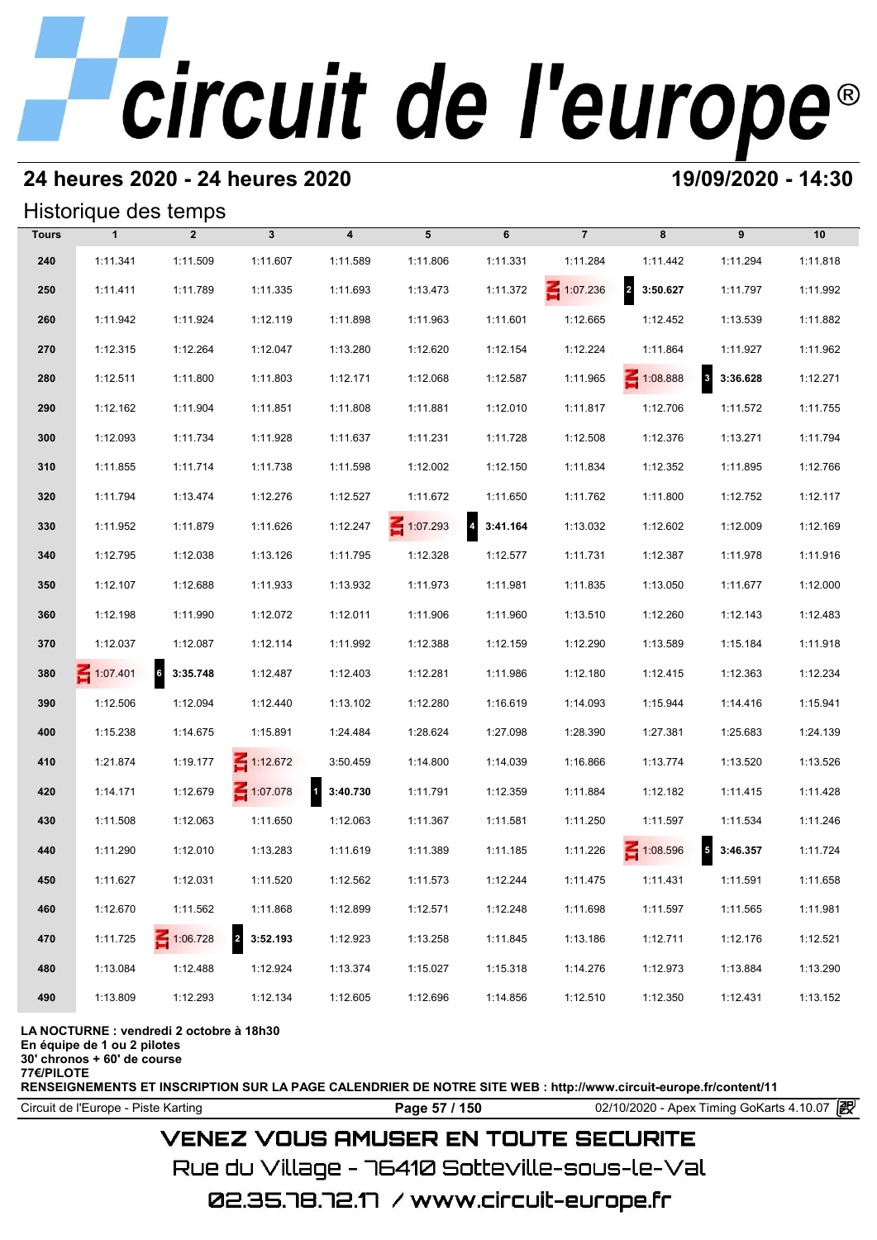# **24 heures 2020 - 24 heures 2020 19/09/2020 - 14:30**

## Historique des temps

|              |              | Historique des temps |                            |                          |                 |                            |                 |                                     |                                      |          |
|--------------|--------------|----------------------|----------------------------|--------------------------|-----------------|----------------------------|-----------------|-------------------------------------|--------------------------------------|----------|
| <b>Tours</b> | $\mathbf{1}$ | $\overline{2}$       | $\mathbf{3}$               | $\overline{\mathbf{4}}$  | 5               | 6                          | $\overline{7}$  | 8                                   | 9                                    | 10       |
| 240          | 1:11.341     | 1:11.509             | 1:11.607                   | 1:11.589                 | 1:11.806        | 1:11.331                   | 1:11.284        | 1:11.442                            | 1:11.294                             | 1:11.818 |
| 250          | 1:11.411     | 1:11.789             | 1:11.335                   | 1:11.693                 | 1:13.473        | 1:11.372                   | $\leq 1:07.236$ | $\overline{\mathbf{2}}$<br>3:50.627 | 1:11.797                             | 1:11.992 |
| 260          | 1:11.942     | 1:11.924             | 1:12.119                   | 1:11.898                 | 1:11.963        | 1:11.601                   | 1:12.665        | 1:12.452                            | 1:13.539                             | 1:11.882 |
| 270          | 1:12.315     | 1:12.264             | 1:12.047                   | 1:13.280                 | 1:12.620        | 1:12.154                   | 1:12.224        | 1:11.864                            | 1:11.927                             | 1:11.962 |
| 280          | 1:12.511     | 1:11.800             | 1:11.803                   | 1:12.171                 | 1:12.068        | 1:12.587                   | 1:11.965        | 1:08.888                            | 3<br>3:36.628                        | 1:12.271 |
| 290          | 1:12.162     | 1:11.904             | 1:11.851                   | 1:11.808                 | 1:11.881        | 1:12.010                   | 1:11.817        | 1:12.706                            | 1:11.572                             | 1:11.755 |
| 300          | 1:12.093     | 1:11.734             | 1:11.928                   | 1:11.637                 | 1:11.231        | 1:11.728                   | 1:12.508        | 1:12.376                            | 1:13.271                             | 1:11.794 |
| 310          | 1:11.855     | 1:11.714             | 1:11.738                   | 1:11.598                 | 1:12.002        | 1:12.150                   | 1:11.834        | 1:12.352                            | 1:11.895                             | 1:12.766 |
| 320          | 1:11.794     | 1:13.474             | 1:12.276                   | 1:12.527                 | 1:11.672        | 1:11.650                   | 1:11.762        | 1:11.800                            | 1:12.752                             | 1:12.117 |
| 330          | 1:11.952     | 1:11.879             | 1:11.626                   | 1:12.247                 | $\leq 1:07.293$ | $\overline{4}$<br>3:41.164 | 1:13.032        | 1:12.602                            | 1:12.009                             | 1:12.169 |
| 340          | 1:12.795     | 1:12.038             | 1:13.126                   | 1:11.795                 | 1:12.328        | 1:12.577                   | 1:11.731        | 1:12.387                            | 1:11.978                             | 1:11.916 |
| 350          | 1:12.107     | 1:12.688             | 1:11.933                   | 1:13.932                 | 1:11.973        | 1:11.981                   | 1:11.835        | 1:13.050                            | 1:11.677                             | 1:12.000 |
| 360          | 1:12.198     | 1:11.990             | 1:12.072                   | 1:12.011                 | 1:11.906        | 1:11.960                   | 1:13.510        | 1:12.260                            | 1:12.143                             | 1:12.483 |
| 370          | 1:12.037     | 1:12.087             | 1:12.114                   | 1:11.992                 | 1:12.388        | 1:12.159                   | 1:12.290        | 1:13.589                            | 1:15.184                             | 1:11.918 |
| 380          | 1:07.401     | 6<br>3:35.748        | 1:12.487                   | 1:12.403                 | 1:12.281        | 1:11.986                   | 1:12.180        | 1:12.415                            | 1:12.363                             | 1:12.234 |
| 390          | 1:12.506     | 1:12.094             | 1:12.440                   | 1:13.102                 | 1:12.280        | 1:16.619                   | 1:14.093        | 1:15.944                            | 1:14.416                             | 1:15.941 |
| 400          | 1:15.238     | 1:14.675             | 1:15.891                   | 1:24.484                 | 1:28.624        | 1:27.098                   | 1:28.390        | 1:27.381                            | 1:25.683                             | 1:24.139 |
| 410          | 1:21.874     | 1:19.177             | $\leq 1:12.672$            | 3:50.459                 | 1:14.800        | 1:14.039                   | 1:16.866        | 1:13.774                            | 1:13.520                             | 1:13.526 |
| 420          | 1:14.171     | 1:12.679             | $\leq 1:07.078$            | $\mathbf{1}$<br>3:40.730 | 1:11.791        | 1:12.359                   | 1:11.884        | 1:12.182                            | 1:11.415                             | 1:11.428 |
| 430          | 1:11.508     | 1:12.063             | 1:11.650                   | 1:12.063                 | 1:11.367        | 1:11.581                   | 1:11.250        | 1:11.597                            | 1:11.534                             | 1:11.246 |
| 440          | 1:11.290     | 1:12.010             | 1:13.283                   | 1:11.619                 | 1:11.389        | 1:11.185                   | 1:11.226        | $\leq 1:08.596$                     | $\overline{\phantom{a}}$<br>3:46.357 | 1:11.724 |
| 450          | 1:11.627     | 1:12.031             | 1:11.520                   | 1:12.562                 | 1:11.573        | 1:12.244                   | 1:11.475        | 1:11.431                            | 1:11.591                             | 1:11.658 |
| 460          | 1:12.670     | 1:11.562             | 1:11.868                   | 1:12.899                 | 1:12.571        | 1:12.248                   | 1:11.698        | 1:11.597                            | 1:11.565                             | 1:11.981 |
| 470          | 1:11.725     | $\leq 1:06.728$      | $\overline{2}$<br>3:52.193 | 1:12.923                 | 1:13.258        | 1:11.845                   | 1:13.186        | 1:12.711                            | 1:12.176                             | 1:12.521 |
| 480          | 1:13.084     | 1:12.488             | 1:12.924                   | 1:13.374                 | 1:15.027        | 1:15.318                   | 1:14.276        | 1:12.973                            | 1:13.884                             | 1:13.290 |
| 490          | 1:13.809     | 1:12.293             | 1:12.134                   | 1:12.605                 | 1:12.696        | 1:14.856                   | 1:12.510        | 1:12.350                            | 1:12.431                             | 1:13.152 |

### **LA NOCTURNE : vendredi 2 octobre à 18h30**

**En équipe de 1 ou 2 pilotes**

**30' chronos + 60' de course**

**77€/PILOTE**

**RENSEIGNEMENTS ET INSCRIPTION SUR LA PAGE CALENDRIER DE NOTRE SITE WEB : http://www.circuit-europe.fr/content/11**

Circuit de l'Europe - Piste Karting **Page 57 / 150 Page 57 / 150** 02/10/2020 - Apex Timing GoKarts 4.10.07

# **VENEZ VOUS AMUSER EN TOUTE SECURITE**

Rue du Village – 76410 Sotteville-sous-le-Val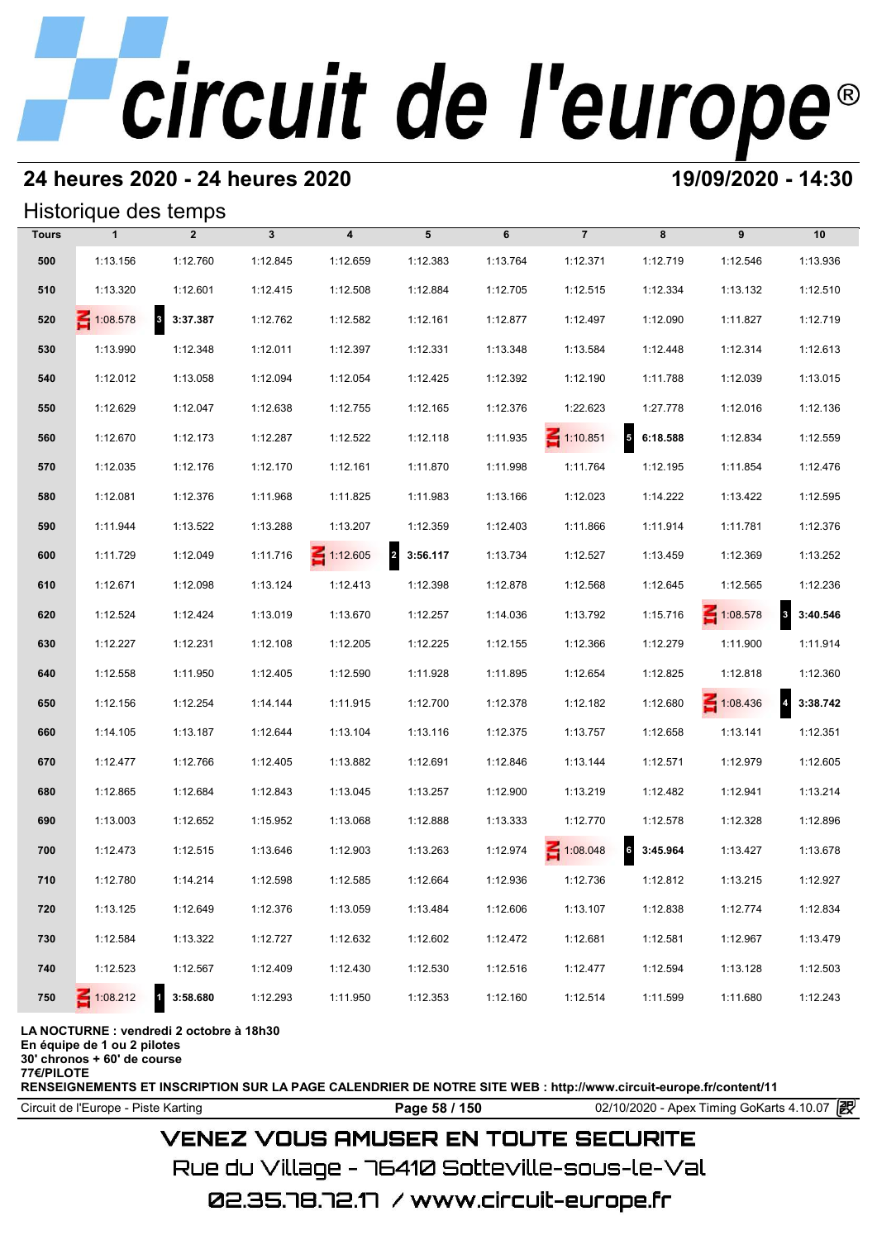# **24 heures 2020 - 24 heures 2020 19/09/2020 - 14:30**

## Historique des temps

|              | Historique des temps |                                     |              |                         |                            |          |                 |                   |                 |                            |
|--------------|----------------------|-------------------------------------|--------------|-------------------------|----------------------------|----------|-----------------|-------------------|-----------------|----------------------------|
| <b>Tours</b> | $\mathbf{1}$         | $\overline{2}$                      | $\mathbf{3}$ | $\overline{\mathbf{4}}$ | 5                          | 6        | $\overline{7}$  | 8                 | 9               | 10                         |
| 500          | 1:13.156             | 1:12.760                            | 1:12.845     | 1:12.659                | 1:12.383                   | 1:13.764 | 1:12.371        | 1:12.719          | 1:12.546        | 1:13.936                   |
| 510          | 1:13.320             | 1:12.601                            | 1:12.415     | 1:12.508                | 1:12.884                   | 1:12.705 | 1:12.515        | 1:12.334          | 1:13.132        | 1:12.510                   |
| 520          | $\leq 1:08.578$      | $\overline{\mathbf{3}}$<br>3:37.387 | 1:12.762     | 1:12.582                | 1:12.161                   | 1:12.877 | 1:12.497        | 1:12.090          | 1:11.827        | 1:12.719                   |
| 530          | 1:13.990             | 1:12.348                            | 1:12.011     | 1:12.397                | 1:12.331                   | 1:13.348 | 1:13.584        | 1:12.448          | 1:12.314        | 1:12.613                   |
| 540          | 1:12.012             | 1:13.058                            | 1:12.094     | 1:12.054                | 1:12.425                   | 1:12.392 | 1:12.190        | 1:11.788          | 1:12.039        | 1:13.015                   |
| 550          | 1:12.629             | 1:12.047                            | 1:12.638     | 1:12.755                | 1:12.165                   | 1:12.376 | 1:22.623        | 1:27.778          | 1:12.016        | 1:12.136                   |
| 560          | 1:12.670             | 1:12.173                            | 1:12.287     | 1:12.522                | 1:12.118                   | 1:11.935 | $\leq 1:10.851$ | 56:18.588         | 1:12.834        | 1:12.559                   |
| 570          | 1:12.035             | 1:12.176                            | 1:12.170     | 1:12.161                | 1:11.870                   | 1:11.998 | 1:11.764        | 1:12.195          | 1:11.854        | 1:12.476                   |
| 580          | 1:12.081             | 1:12.376                            | 1:11.968     | 1:11.825                | 1:11.983                   | 1:13.166 | 1:12.023        | 1:14.222          | 1:13.422        | 1:12.595                   |
| 590          | 1:11.944             | 1:13.522                            | 1:13.288     | 1:13.207                | 1:12.359                   | 1:12.403 | 1:11.866        | 1:11.914          | 1:11.781        | 1:12.376                   |
| 600          | 1:11.729             | 1:12.049                            | 1:11.716     | $\leq 1:12.605$         | $\overline{2}$<br>3:56.117 | 1:13.734 | 1:12.527        | 1:13.459          | 1:12.369        | 1:13.252                   |
| 610          | 1:12.671             | 1:12.098                            | 1:13.124     | 1:12.413                | 1:12.398                   | 1:12.878 | 1:12.568        | 1:12.645          | 1:12.565        | 1:12.236                   |
| 620          | 1:12.524             | 1:12.424                            | 1:13.019     | 1:13.670                | 1:12.257                   | 1:14.036 | 1:13.792        | 1:15.716          | $\leq 1:08.578$ | 3 3:40.546                 |
| 630          | 1:12.227             | 1:12.231                            | 1:12.108     | 1:12.205                | 1:12.225                   | 1:12.155 | 1:12.366        | 1:12.279          | 1:11.900        | 1:11.914                   |
| 640          | 1:12.558             | 1:11.950                            | 1:12.405     | 1:12.590                | 1:11.928                   | 1:11.895 | 1:12.654        | 1:12.825          | 1:12.818        | 1:12.360                   |
| 650          | 1:12.156             | 1:12.254                            | 1:14.144     | 1:11.915                | 1:12.700                   | 1:12.378 | 1:12.182        | 1:12.680          | $\leq 1:08.436$ | $\overline{4}$<br>3:38.742 |
| 660          | 1:14.105             | 1:13.187                            | 1:12.644     | 1:13.104                | 1:13.116                   | 1:12.375 | 1:13.757        | 1:12.658          | 1:13.141        | 1:12.351                   |
| 670          | 1:12.477             | 1:12.766                            | 1:12.405     | 1:13.882                | 1:12.691                   | 1:12.846 | 1:13.144        | 1:12.571          | 1:12.979        | 1:12.605                   |
| 680          | 1:12.865             | 1:12.684                            | 1:12.843     | 1:13.045                | 1:13.257                   | 1:12.900 | 1:13.219        | 1:12.482          | 1:12.941        | 1:13.214                   |
| 690          | 1:13.003             | 1:12.652                            | 1:15.952     | 1:13.068                | 1:12.888                   | 1:13.333 | 1:12.770        | 1:12.578          | 1:12.328        | 1:12.896                   |
| 700          | 1:12.473             | 1:12.515                            | 1:13.646     | 1:12.903                | 1:13.263                   | 1:12.974 | $\leq 1:08.048$ | $6\quad 3:45.964$ | 1:13.427        | 1:13.678                   |
| 710          | 1:12.780             | 1:14.214                            | 1:12.598     | 1:12.585                | 1:12.664                   | 1:12.936 | 1:12.736        | 1:12.812          | 1:13.215        | 1:12.927                   |
| 720          | 1:13.125             | 1:12.649                            | 1:12.376     | 1:13.059                | 1:13.484                   | 1:12.606 | 1:13.107        | 1:12.838          | 1:12.774        | 1:12.834                   |
| 730          | 1:12.584             | 1:13.322                            | 1:12.727     | 1:12.632                | 1:12.602                   | 1:12.472 | 1:12.681        | 1:12.581          | 1:12.967        | 1:13.479                   |
| 740          | 1:12.523             | 1:12.567                            | 1:12.409     | 1:12.430                | 1:12.530                   | 1:12.516 | 1:12.477        | 1:12.594          | 1:13.128        | 1:12.503                   |
| 750          | 1:08.212             | 3:58.680                            | 1:12.293     | 1:11.950                | 1:12.353                   | 1:12.160 | 1:12.514        | 1:11.599          | 1:11.680        | 1:12.243                   |

### **LA NOCTURNE : vendredi 2 octobre à 18h30**

**En équipe de 1 ou 2 pilotes**

**30' chronos + 60' de course 77€/PILOTE**

**RENSEIGNEMENTS ET INSCRIPTION SUR LA PAGE CALENDRIER DE NOTRE SITE WEB : http://www.circuit-europe.fr/content/11**

**Page 58 / 150** 02/10/2020 - Apex Timing GoKarts 4.10.07 **P** 

## **VENEZ VOUS AMUSER EN TOUTE SECURITE**

Rue du Village – 76410 Sotteville-sous-le-Val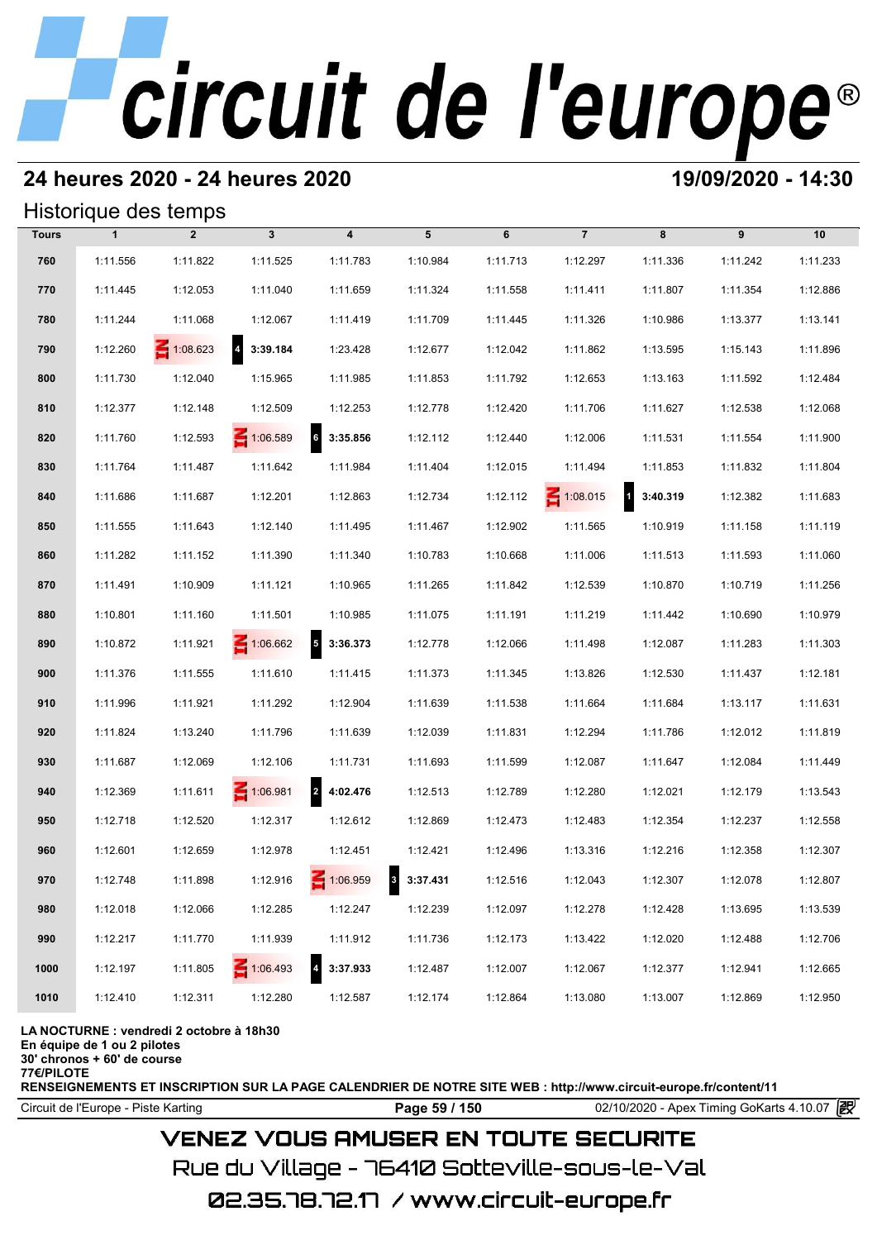# **24 heures 2020 - 24 heures 2020 19/09/2020 - 14:30**

## Historique des temps

|      | Historique des temps<br>$\overline{7}$<br>$\overline{2}$<br>$\mathbf{3}$<br>$\overline{\mathbf{4}}$<br>5<br>6<br>8<br>9<br>10<br><b>Tours</b><br>$\mathbf{1}$ |                 |                 |                                      |          |          |                 |                          |          |          |  |  |  |  |
|------|---------------------------------------------------------------------------------------------------------------------------------------------------------------|-----------------|-----------------|--------------------------------------|----------|----------|-----------------|--------------------------|----------|----------|--|--|--|--|
|      |                                                                                                                                                               |                 |                 |                                      |          |          |                 |                          |          |          |  |  |  |  |
| 760  | 1:11.556                                                                                                                                                      | 1:11.822        | 1:11.525        | 1:11.783                             | 1:10.984 | 1:11.713 | 1:12.297        | 1:11.336                 | 1:11.242 | 1:11.233 |  |  |  |  |
| 770  | 1:11.445                                                                                                                                                      | 1:12.053        | 1:11.040        | 1:11.659                             | 1:11.324 | 1:11.558 | 1:11.411        | 1:11.807                 | 1:11.354 | 1:12.886 |  |  |  |  |
| 780  | 1:11.244                                                                                                                                                      | 1:11.068        | 1:12.067        | 1:11.419                             | 1:11.709 | 1:11.445 | 1:11.326        | 1:10.986                 | 1:13.377 | 1:13.141 |  |  |  |  |
| 790  | 1:12.260                                                                                                                                                      | $\leq 1:08.623$ | 4 3:39.184      | 1:23.428                             | 1:12.677 | 1:12.042 | 1:11.862        | 1:13.595                 | 1:15.143 | 1:11.896 |  |  |  |  |
| 800  | 1:11.730                                                                                                                                                      | 1:12.040        | 1:15.965        | 1:11.985                             | 1:11.853 | 1:11.792 | 1:12.653        | 1:13.163                 | 1:11.592 | 1:12.484 |  |  |  |  |
| 810  | 1:12.377                                                                                                                                                      | 1:12.148        | 1:12.509        | 1:12.253                             | 1:12.778 | 1:12.420 | 1:11.706        | 1:11.627                 | 1:12.538 | 1:12.068 |  |  |  |  |
| 820  | 1:11.760                                                                                                                                                      | 1:12.593        | 1:06.589        | $6\quad 3:35.856$                    | 1:12.112 | 1:12.440 | 1:12.006        | 1:11.531                 | 1:11.554 | 1:11.900 |  |  |  |  |
| 830  | 1:11.764                                                                                                                                                      | 1:11.487        | 1:11.642        | 1:11.984                             | 1:11.404 | 1:12.015 | 1:11.494        | 1:11.853                 | 1:11.832 | 1:11.804 |  |  |  |  |
| 840  | 1:11.686                                                                                                                                                      | 1:11.687        | 1:12.201        | 1:12.863                             | 1:12.734 | 1:12.112 | $\leq 1:08.015$ | $\mathbf{1}$<br>3:40.319 | 1:12.382 | 1:11.683 |  |  |  |  |
| 850  | 1:11.555                                                                                                                                                      | 1:11.643        | 1:12.140        | 1:11.495                             | 1:11.467 | 1:12.902 | 1:11.565        | 1:10.919                 | 1:11.158 | 1:11.119 |  |  |  |  |
| 860  | 1:11.282                                                                                                                                                      | 1:11.152        | 1:11.390        | 1:11.340                             | 1:10.783 | 1:10.668 | 1:11.006        | 1:11.513                 | 1:11.593 | 1:11.060 |  |  |  |  |
| 870  | 1:11.491                                                                                                                                                      | 1:10.909        | 1:11.121        | 1:10.965                             | 1:11.265 | 1:11.842 | 1:12.539        | 1:10.870                 | 1:10.719 | 1:11.256 |  |  |  |  |
| 880  | 1:10.801                                                                                                                                                      | 1:11.160        | 1:11.501        | 1:10.985                             | 1:11.075 | 1:11.191 | 1:11.219        | 1:11.442                 | 1:10.690 | 1:10.979 |  |  |  |  |
| 890  | 1:10.872                                                                                                                                                      | 1:11.921        | 1:06.662        | $\overline{\phantom{a}}$<br>3:36.373 | 1:12.778 | 1:12.066 | 1:11.498        | 1:12.087                 | 1:11.283 | 1:11.303 |  |  |  |  |
| 900  | 1:11.376                                                                                                                                                      | 1:11.555        | 1:11.610        | 1:11.415                             | 1:11.373 | 1:11.345 | 1:13.826        | 1:12.530                 | 1:11.437 | 1:12.181 |  |  |  |  |
| 910  | 1:11.996                                                                                                                                                      | 1:11.921        | 1:11.292        | 1:12.904                             | 1:11.639 | 1:11.538 | 1:11.664        | 1:11.684                 | 1:13.117 | 1:11.631 |  |  |  |  |
| 920  | 1:11.824                                                                                                                                                      | 1:13.240        | 1:11.796        | 1:11.639                             | 1:12.039 | 1:11.831 | 1:12.294        | 1:11.786                 | 1:12.012 | 1:11.819 |  |  |  |  |
| 930  | 1:11.687                                                                                                                                                      | 1:12.069        | 1:12.106        | 1:11.731                             | 1:11.693 | 1:11.599 | 1:12.087        | 1:11.647                 | 1:12.084 | 1:11.449 |  |  |  |  |
| 940  | 1:12.369                                                                                                                                                      | 1:11.611        | 1:06.981        | 2 4:02.476                           | 1:12.513 | 1:12.789 | 1:12.280        | 1:12.021                 | 1:12.179 | 1:13.543 |  |  |  |  |
| 950  | 1:12.718                                                                                                                                                      | 1:12.520        | 1:12.317        | 1:12.612                             | 1:12.869 | 1:12.473 | 1:12.483        | 1:12.354                 | 1:12.237 | 1:12.558 |  |  |  |  |
| 960  | 1:12.601                                                                                                                                                      | 1:12.659        | 1:12.978        | 1:12.451                             | 1:12.421 | 1:12.496 | 1:13.316        | 1:12.216                 | 1:12.358 | 1:12.307 |  |  |  |  |
| 970  | 1:12.748                                                                                                                                                      | 1:11.898        | 1:12.916        | 1:06.959                             | 3:37.431 | 1:12.516 | 1:12.043        | 1:12.307                 | 1:12.078 | 1:12.807 |  |  |  |  |
| 980  | 1:12.018                                                                                                                                                      | 1:12.066        | 1:12.285        | 1:12.247                             | 1:12.239 | 1:12.097 | 1:12.278        | 1:12.428                 | 1:13.695 | 1:13.539 |  |  |  |  |
| 990  | 1:12.217                                                                                                                                                      | 1:11.770        | 1:11.939        | 1:11.912                             | 1:11.736 | 1:12.173 | 1:13.422        | 1:12.020                 | 1:12.488 | 1:12.706 |  |  |  |  |
| 1000 | 1:12.197                                                                                                                                                      | 1:11.805        | $\leq 1:06.493$ | 3:37.933                             | 1:12.487 | 1:12.007 | 1:12.067        | 1:12.377                 | 1:12.941 | 1:12.665 |  |  |  |  |
| 1010 | 1:12.410                                                                                                                                                      | 1:12.311        | 1:12.280        | 1:12.587                             | 1:12.174 | 1:12.864 | 1:13.080        | 1:13.007                 | 1:12.869 | 1:12.950 |  |  |  |  |

### **LA NOCTURNE : vendredi 2 octobre à 18h30**

**En équipe de 1 ou 2 pilotes**

**30' chronos + 60' de course 77€/PILOTE**

**RENSEIGNEMENTS ET INSCRIPTION SUR LA PAGE CALENDRIER DE NOTRE SITE WEB : http://www.circuit-europe.fr/content/11**

Circuit de l'Europe - Piste Karting **Page 59 / 150 Page 59 / 150** 02/10/2020 - Apex Timing GoKarts 4.10.07

# **VENEZ VOUS AMUSER EN TOUTE SECURITE**

Rue du Village – 76410 Sotteville-sous-le-Val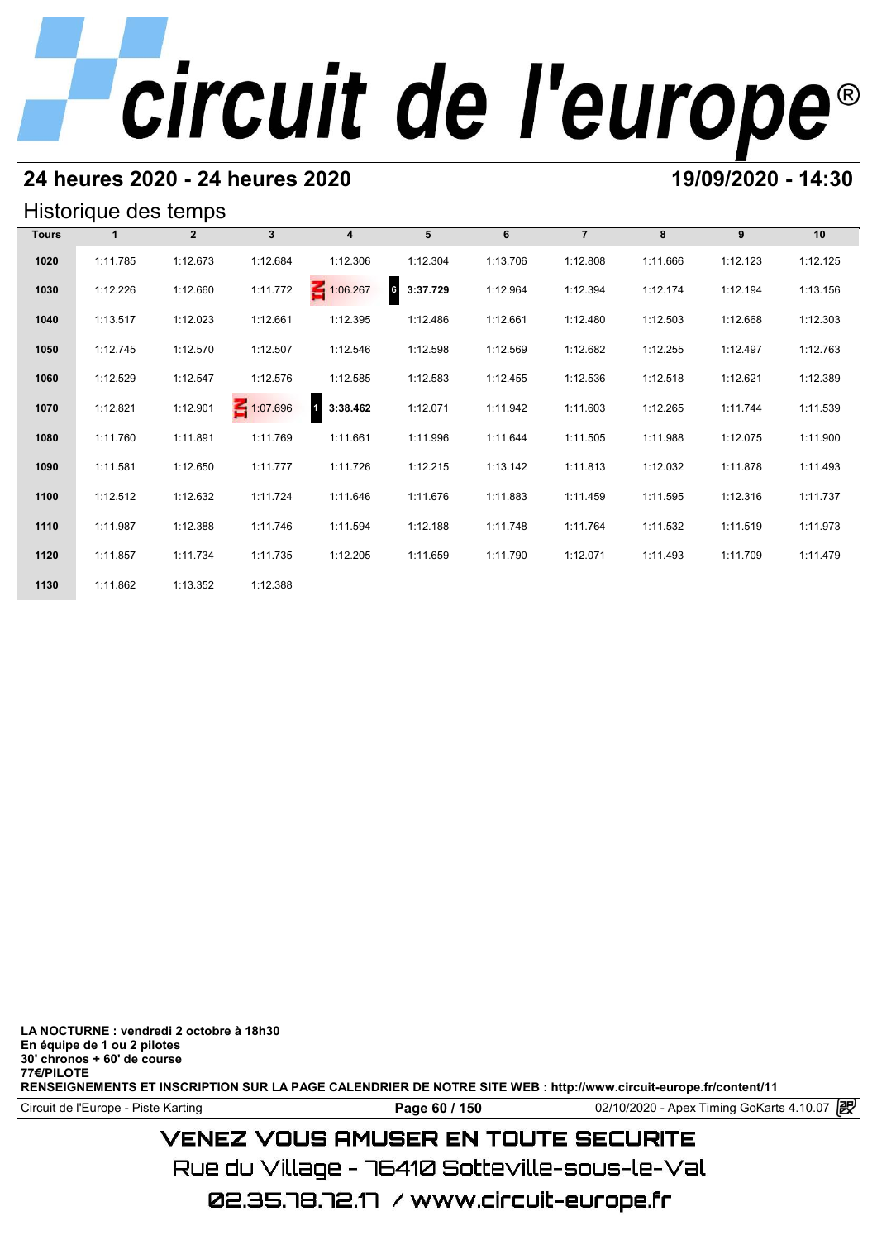# **24 heures 2020 - 24 heures 2020 19/09/2020 - 14:30**

## Historique des temps

| Historique des temps |          |                |              |                         |                                      |          |                |          |          |          |  |  |  |
|----------------------|----------|----------------|--------------|-------------------------|--------------------------------------|----------|----------------|----------|----------|----------|--|--|--|
| <b>Tours</b>         |          | $\overline{2}$ | $\mathbf{3}$ | $\overline{\mathbf{4}}$ | 5                                    | 6        | $\overline{7}$ | 8        | 9        | 10       |  |  |  |
| 1020                 | 1:11.785 | 1:12.673       | 1:12.684     | 1:12.306                | 1:12.304                             | 1:13.706 | 1:12.808       | 1:11.666 | 1:12.123 | 1:12.125 |  |  |  |
| 1030                 | 1:12.226 | 1:12.660       | 1:11.772     | 1:06.267                | $\overline{\phantom{a}}$<br>3:37.729 | 1:12.964 | 1:12.394       | 1:12.174 | 1:12.194 | 1:13.156 |  |  |  |
| 1040                 | 1:13.517 | 1:12.023       | 1:12.661     | 1:12.395                | 1:12.486                             | 1:12.661 | 1:12.480       | 1:12.503 | 1:12.668 | 1:12.303 |  |  |  |
| 1050                 | 1:12.745 | 1:12.570       | 1:12.507     | 1:12.546                | 1:12.598                             | 1:12.569 | 1:12.682       | 1:12.255 | 1:12.497 | 1:12.763 |  |  |  |
| 1060                 | 1:12.529 | 1:12.547       | 1:12.576     | 1:12.585                | 1:12.583                             | 1:12.455 | 1:12.536       | 1:12.518 | 1:12.621 | 1:12.389 |  |  |  |
| 1070                 | 1:12.821 | 1:12.901       | 1:07.696     | 4<br>3:38.462           | 1:12.071                             | 1:11.942 | 1:11.603       | 1:12.265 | 1:11.744 | 1:11.539 |  |  |  |
| 1080                 | 1:11.760 | 1:11.891       | 1:11.769     | 1:11.661                | 1:11.996                             | 1:11.644 | 1:11.505       | 1:11.988 | 1:12.075 | 1:11.900 |  |  |  |
| 1090                 | 1:11.581 | 1:12.650       | 1:11.777     | 1:11.726                | 1:12.215                             | 1:13.142 | 1:11.813       | 1:12.032 | 1:11.878 | 1:11.493 |  |  |  |
| 1100                 | 1:12.512 | 1:12.632       | 1:11.724     | 1:11.646                | 1:11.676                             | 1:11.883 | 1:11.459       | 1:11.595 | 1:12.316 | 1:11.737 |  |  |  |
| 1110                 | 1:11.987 | 1:12.388       | 1:11.746     | 1:11.594                | 1:12.188                             | 1:11.748 | 1:11.764       | 1:11.532 | 1:11.519 | 1:11.973 |  |  |  |
| 1120                 | 1:11.857 | 1:11.734       | 1:11.735     | 1:12.205                | 1:11.659                             | 1:11.790 | 1:12.071       | 1:11.493 | 1:11.709 | 1:11.479 |  |  |  |
| 1130                 | 1:11.862 | 1:13.352       | 1:12.388     |                         |                                      |          |                |          |          |          |  |  |  |

**LA NOCTURNE : vendredi 2 octobre à 18h30 En équipe de 1 ou 2 pilotes 30' chronos + 60' de course 77€/PILOTE RENSEIGNEMENTS ET INSCRIPTION SUR LA PAGE CALENDRIER DE NOTRE SITE WEB : http://www.circuit-europe.fr/content/11**

Circuit de l'Europe - Piste Karting **Page 60 / 150 Page 60 / 150** 02/10/2020 - Apex Timing GoKarts 4.10.07

# **VENEZ VOUS AMUSER EN TOUTE SECURITE**

Rue du Village – 76410 Sotteville-sous-le-Val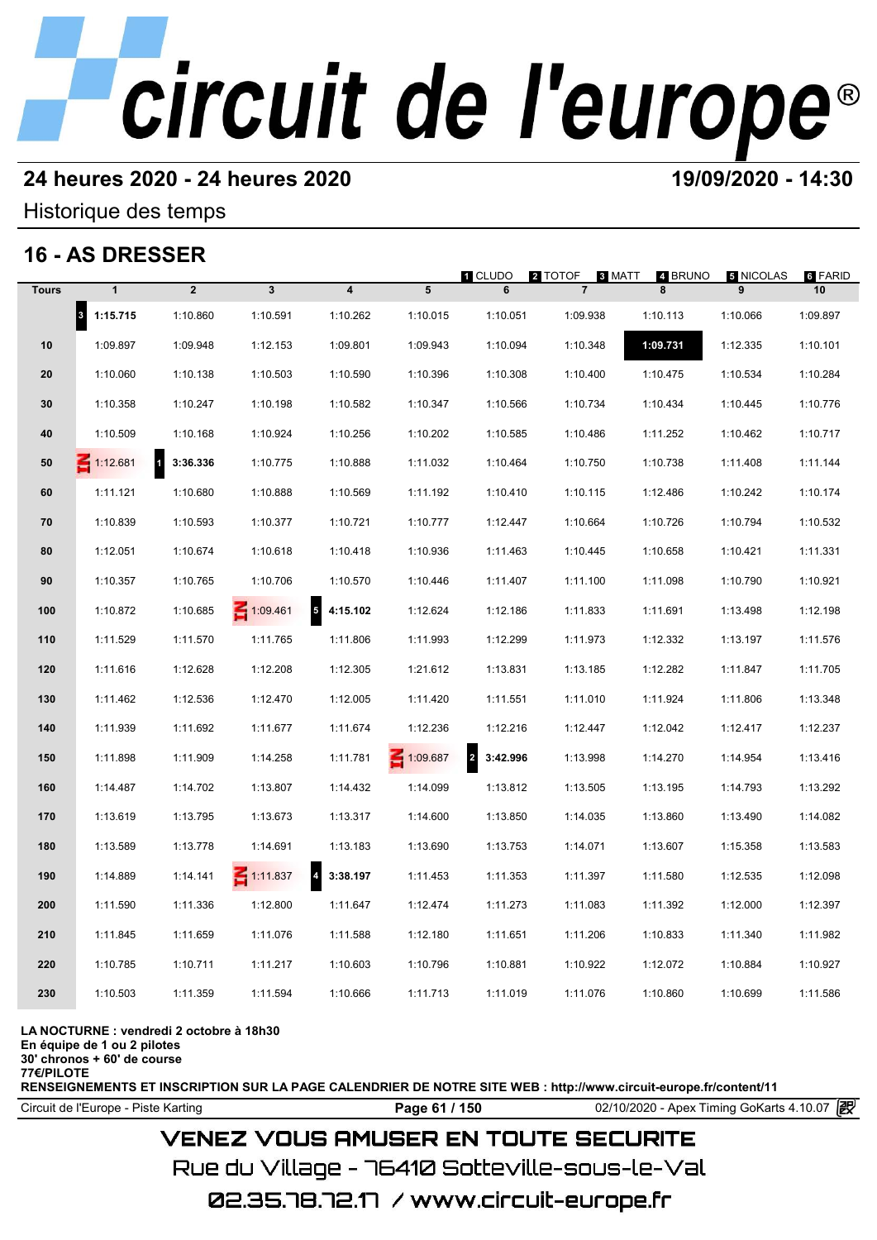# **24 heures 2020 - 24 heures 2020 19/09/2020 - 14:30**

## Historique des temps

# **16 - AS DRESSER**

|              | 16 - AS DRESSER                  |                          |                 |                                     |          | 1 CLUDO                    | 2 TOTOF        | 8 MATT<br>4 BRUNO | 5 NICOLAS | 6 FARID  |
|--------------|----------------------------------|--------------------------|-----------------|-------------------------------------|----------|----------------------------|----------------|-------------------|-----------|----------|
| <b>Tours</b> | $\mathbf{1}$                     | $\overline{2}$           | $\mathbf{3}$    | $\boldsymbol{4}$                    | 5        | 6                          | $\overline{7}$ | 8                 | 9         | 10       |
|              | $\vert$ <sub>3</sub><br>1:15.715 | 1:10.860                 | 1:10.591        | 1:10.262                            | 1:10.015 | 1:10.051                   | 1:09.938       | 1:10.113          | 1:10.066  | 1:09.897 |
| 10           | 1:09.897                         | 1:09.948                 | 1:12.153        | 1:09.801                            | 1:09.943 | 1:10.094                   | 1:10.348       | 1:09.731          | 1:12.335  | 1:10.101 |
| 20           | 1:10.060                         | 1:10.138                 | 1:10.503        | 1:10.590                            | 1:10.396 | 1:10.308                   | 1:10.400       | 1:10.475          | 1:10.534  | 1:10.284 |
| 30           | 1:10.358                         | 1:10.247                 | 1:10.198        | 1:10.582                            | 1:10.347 | 1:10.566                   | 1:10.734       | 1:10.434          | 1:10.445  | 1:10.776 |
| 40           | 1:10.509                         | 1:10.168                 | 1:10.924        | 1:10.256                            | 1:10.202 | 1:10.585                   | 1:10.486       | 1:11.252          | 1:10.462  | 1:10.717 |
| 50           | $\leq 1:12.681$                  | $\mathbf{1}$<br>3:36.336 | 1:10.775        | 1:10.888                            | 1:11.032 | 1:10.464                   | 1:10.750       | 1:10.738          | 1:11.408  | 1:11.144 |
| 60           | 1:11.121                         | 1:10.680                 | 1:10.888        | 1:10.569                            | 1:11.192 | 1:10.410                   | 1:10.115       | 1:12.486          | 1:10.242  | 1:10.174 |
| 70           | 1:10.839                         | 1:10.593                 | 1:10.377        | 1:10.721                            | 1:10.777 | 1:12.447                   | 1:10.664       | 1:10.726          | 1:10.794  | 1:10.532 |
| 80           | 1:12.051                         | 1:10.674                 | 1:10.618        | 1:10.418                            | 1:10.936 | 1:11.463                   | 1:10.445       | 1:10.658          | 1:10.421  | 1:11.331 |
| 90           | 1:10.357                         | 1:10.765                 | 1:10.706        | 1:10.570                            | 1:10.446 | 1:11.407                   | 1:11.100       | 1:11.098          | 1:10.790  | 1:10.921 |
| 100          | 1:10.872                         | 1:10.685                 | 1:09.461        | $\overline{\mathbf{5}}$<br>4:15.102 | 1:12.624 | 1:12.186                   | 1:11.833       | 1:11.691          | 1:13.498  | 1:12.198 |
| 110          | 1:11.529                         | 1:11.570                 | 1:11.765        | 1:11.806                            | 1:11.993 | 1:12.299                   | 1:11.973       | 1:12.332          | 1:13.197  | 1:11.576 |
| 120          | 1:11.616                         | 1:12.628                 | 1:12.208        | 1:12.305                            | 1:21.612 | 1:13.831                   | 1:13.185       | 1:12.282          | 1:11.847  | 1:11.705 |
| 130          | 1:11.462                         | 1:12.536                 | 1:12.470        | 1:12.005                            | 1:11.420 | 1:11.551                   | 1:11.010       | 1:11.924          | 1:11.806  | 1:13.348 |
| 140          | 1:11.939                         | 1:11.692                 | 1:11.677        | 1:11.674                            | 1:12.236 | 1:12.216                   | 1:12.447       | 1:12.042          | 1:12.417  | 1:12.237 |
| 150          | 1:11.898                         | 1:11.909                 | 1:14.258        | 1:11.781                            | 1:09.687 | $\overline{2}$<br>3:42.996 | 1:13.998       | 1:14.270          | 1:14.954  | 1:13.416 |
| 160          | 1:14.487                         | 1:14.702                 | 1:13.807        | 1:14.432                            | 1:14.099 | 1:13.812                   | 1:13.505       | 1:13.195          | 1:14.793  | 1:13.292 |
| 170          | 1:13.619                         | 1:13.795                 | 1:13.673        | 1:13.317                            | 1:14.600 | 1:13.850                   | 1:14.035       | 1:13.860          | 1:13.490  | 1:14.082 |
| 180          | 1:13.589                         | 1:13.778                 | 1:14.691        | 1:13.183                            | 1:13.690 | 1:13.753                   | 1:14.071       | 1:13.607          | 1:15.358  | 1:13.583 |
| 190          | 1:14.889                         | 1:14.141                 | $\leq 1:11.837$ | $4\quad 3:38.197$                   | 1:11.453 | 1:11.353                   | 1:11.397       | 1:11.580          | 1:12.535  | 1:12.098 |
| 200          | 1:11.590                         | 1:11.336                 | 1:12.800        | 1:11.647                            | 1:12.474 | 1:11.273                   | 1:11.083       | 1:11.392          | 1:12.000  | 1:12.397 |
| 210          | 1:11.845                         | 1:11.659                 | 1:11.076        | 1:11.588                            | 1:12.180 | 1:11.651                   | 1:11.206       | 1:10.833          | 1:11.340  | 1:11.982 |
| 220          | 1:10.785                         | 1:10.711                 | 1:11.217        | 1:10.603                            | 1:10.796 | 1:10.881                   | 1:10.922       | 1:12.072          | 1:10.884  | 1:10.927 |
| 230          | 1:10.503                         | 1:11.359                 | 1:11.594        | 1:10.666                            | 1:11.713 | 1:11.019                   | 1:11.076       | 1:10.860          | 1:10.699  | 1:11.586 |
|              |                                  |                          |                 |                                     |          |                            |                |                   |           |          |

### **LA NOCTURNE : vendredi 2 octobre à 18h30**

**En équipe de 1 ou 2 pilotes**

**30' chronos + 60' de course**

**77€/PILOTE**

**RENSEIGNEMENTS ET INSCRIPTION SUR LA PAGE CALENDRIER DE NOTRE SITE WEB : http://www.circuit-europe.fr/content/11**

Circuit de l'Europe - Piste Karting **Page 61 / 150 Page 61 / 150** 02/10/2020 - Apex Timing GoKarts 4.10.07

# **VENEZ VOUS AMUSER EN TOUTE SECURITE**

Rue du Village – 76410 Sotteville-sous-le-Val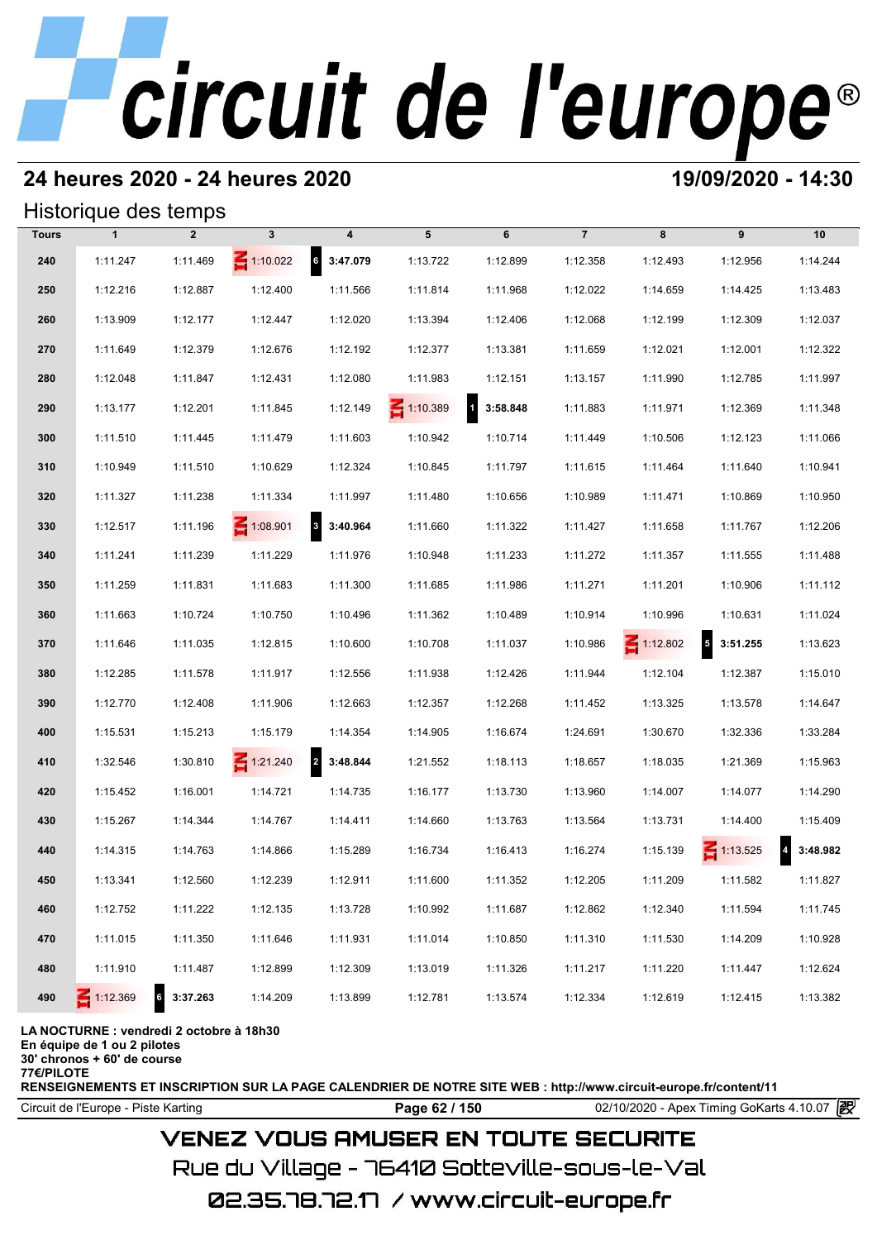# **24 heures 2020 - 24 heures 2020 19/09/2020 - 14:30**

## Historique des temps

| Historique des temps |                 |                |                 |                                     |                 |                          |                |                 |                                      |                                     |  |  |
|----------------------|-----------------|----------------|-----------------|-------------------------------------|-----------------|--------------------------|----------------|-----------------|--------------------------------------|-------------------------------------|--|--|
| <b>Tours</b>         | $\mathbf{1}$    | $\overline{2}$ | $\mathbf{3}$    | 4                                   | 5               | 6                        | $\overline{7}$ | 8               | 9                                    | 10                                  |  |  |
| 240                  | 1:11.247        | 1:11.469       | $\leq 1:10.022$ | $6\quad 3:47.079$                   | 1:13.722        | 1:12.899                 | 1:12.358       | 1:12.493        | 1:12.956                             | 1:14.244                            |  |  |
| 250                  | 1:12.216        | 1:12.887       | 1:12.400        | 1:11.566                            | 1:11.814        | 1:11.968                 | 1:12.022       | 1:14.659        | 1:14.425                             | 1:13.483                            |  |  |
| 260                  | 1:13.909        | 1:12.177       | 1:12.447        | 1:12.020                            | 1:13.394        | 1:12.406                 | 1:12.068       | 1:12.199        | 1:12.309                             | 1:12.037                            |  |  |
| 270                  | 1:11.649        | 1:12.379       | 1:12.676        | 1:12.192                            | 1:12.377        | 1:13.381                 | 1:11.659       | 1:12.021        | 1:12.001                             | 1:12.322                            |  |  |
| 280                  | 1:12.048        | 1:11.847       | 1:12.431        | 1:12.080                            | 1:11.983        | 1:12.151                 | 1:13.157       | 1:11.990        | 1:12.785                             | 1:11.997                            |  |  |
| 290                  | 1:13.177        | 1:12.201       | 1:11.845        | 1:12.149                            | $\leq 1:10.389$ | $\mathbf{1}$<br>3:58.848 | 1:11.883       | 1:11.971        | 1:12.369                             | 1:11.348                            |  |  |
| 300                  | 1:11.510        | 1:11.445       | 1:11.479        | 1:11.603                            | 1:10.942        | 1:10.714                 | 1:11.449       | 1:10.506        | 1:12.123                             | 1:11.066                            |  |  |
| 310                  | 1:10.949        | 1:11.510       | 1:10.629        | 1:12.324                            | 1:10.845        | 1:11.797                 | 1:11.615       | 1:11.464        | 1:11.640                             | 1:10.941                            |  |  |
| 320                  | 1:11.327        | 1:11.238       | 1:11.334        | 1:11.997                            | 1:11.480        | 1:10.656                 | 1:10.989       | 1:11.471        | 1:10.869                             | 1:10.950                            |  |  |
| 330                  | 1:12.517        | 1:11.196       | $\leq 1:08.901$ | $\mathbf{3}$<br>3:40.964            | 1:11.660        | 1:11.322                 | 1:11.427       | 1:11.658        | 1:11.767                             | 1:12.206                            |  |  |
| 340                  | 1:11.241        | 1:11.239       | 1:11.229        | 1:11.976                            | 1:10.948        | 1:11.233                 | 1:11.272       | 1:11.357        | 1:11.555                             | 1:11.488                            |  |  |
| 350                  | 1:11.259        | 1:11.831       | 1:11.683        | 1:11.300                            | 1:11.685        | 1:11.986                 | 1:11.271       | 1:11.201        | 1:10.906                             | 1:11.112                            |  |  |
| 360                  | 1:11.663        | 1:10.724       | 1:10.750        | 1:10.496                            | 1:11.362        | 1:10.489                 | 1:10.914       | 1:10.996        | 1:10.631                             | 1:11.024                            |  |  |
| 370                  | 1:11.646        | 1:11.035       | 1:12.815        | 1:10.600                            | 1:10.708        | 1:11.037                 | 1:10.986       | $\leq 1:12.802$ | $\overline{\phantom{a}}$<br>3:51.255 | 1:13.623                            |  |  |
| 380                  | 1:12.285        | 1:11.578       | 1:11.917        | 1:12.556                            | 1:11.938        | 1:12.426                 | 1:11.944       | 1:12.104        | 1:12.387                             | 1:15.010                            |  |  |
| 390                  | 1:12.770        | 1:12.408       | 1:11.906        | 1:12.663                            | 1:12.357        | 1:12.268                 | 1:11.452       | 1:13.325        | 1:13.578                             | 1:14.647                            |  |  |
| 400                  | 1:15.531        | 1:15.213       | 1:15.179        | 1:14.354                            | 1:14.905        | 1:16.674                 | 1:24.691       | 1:30.670        | 1:32.336                             | 1:33.284                            |  |  |
| 410                  | 1:32.546        | 1:30.810       | $\leq 1:21.240$ | $\overline{\mathbf{r}}$<br>3:48.844 | 1:21.552        | 1:18.113                 | 1:18.657       | 1:18.035        | 1:21.369                             | 1:15.963                            |  |  |
| 420                  | 1:15.452        | 1:16.001       | 1:14.721        | 1:14.735                            | 1:16.177        | 1:13.730                 | 1:13.960       | 1:14.007        | 1:14.077                             | 1:14.290                            |  |  |
| 430                  | 1:15.267        | 1:14.344       | 1:14.767        | 1:14.411                            | 1:14.660        | 1:13.763                 | 1:13.564       | 1:13.731        | 1:14.400                             | 1:15.409                            |  |  |
| 440                  | 1:14.315        | 1:14.763       | 1:14.866        | 1:15.289                            | 1:16.734        | 1:16.413                 | 1:16.274       | 1:15.139        | $\leq 1:13.525$                      | $\overline{\mathbf{4}}$<br>3:48.982 |  |  |
| 450                  | 1:13.341        | 1:12.560       | 1:12.239        | 1:12.911                            | 1:11.600        | 1:11.352                 | 1:12.205       | 1:11.209        | 1:11.582                             | 1:11.827                            |  |  |
| 460                  | 1:12.752        | 1:11.222       | 1:12.135        | 1:13.728                            | 1:10.992        | 1:11.687                 | 1:12.862       | 1:12.340        | 1:11.594                             | 1:11.745                            |  |  |
| 470                  | 1:11.015        | 1:11.350       | 1:11.646        | 1:11.931                            | 1:11.014        | 1:10.850                 | 1:11.310       | 1:11.530        | 1:14.209                             | 1:10.928                            |  |  |
| 480                  | 1:11.910        | 1:11.487       | 1:12.899        | 1:12.309                            | 1:13.019        | 1:11.326                 | 1:11.217       | 1:11.220        | 1:11.447                             | 1:12.624                            |  |  |
| 490                  | $\leq 1:12.369$ | 3:37.263<br>6  | 1:14.209        | 1:13.899                            | 1:12.781        | 1:13.574                 | 1:12.334       | 1:12.619        | 1:12.415                             | 1:13.382                            |  |  |

### **LA NOCTURNE : vendredi 2 octobre à 18h30**

**En équipe de 1 ou 2 pilotes**

**30' chronos + 60' de course**

**77€/PILOTE**

**RENSEIGNEMENTS ET INSCRIPTION SUR LA PAGE CALENDRIER DE NOTRE SITE WEB : http://www.circuit-europe.fr/content/11**

**Page 62 / 150** 02/10/2020 - Apex Timing GoKarts 4.10.07 **P** 

# **VENEZ VOUS AMUSER EN TOUTE SECURITE**

Rue du Village – 76410 Sotteville-sous-le-Val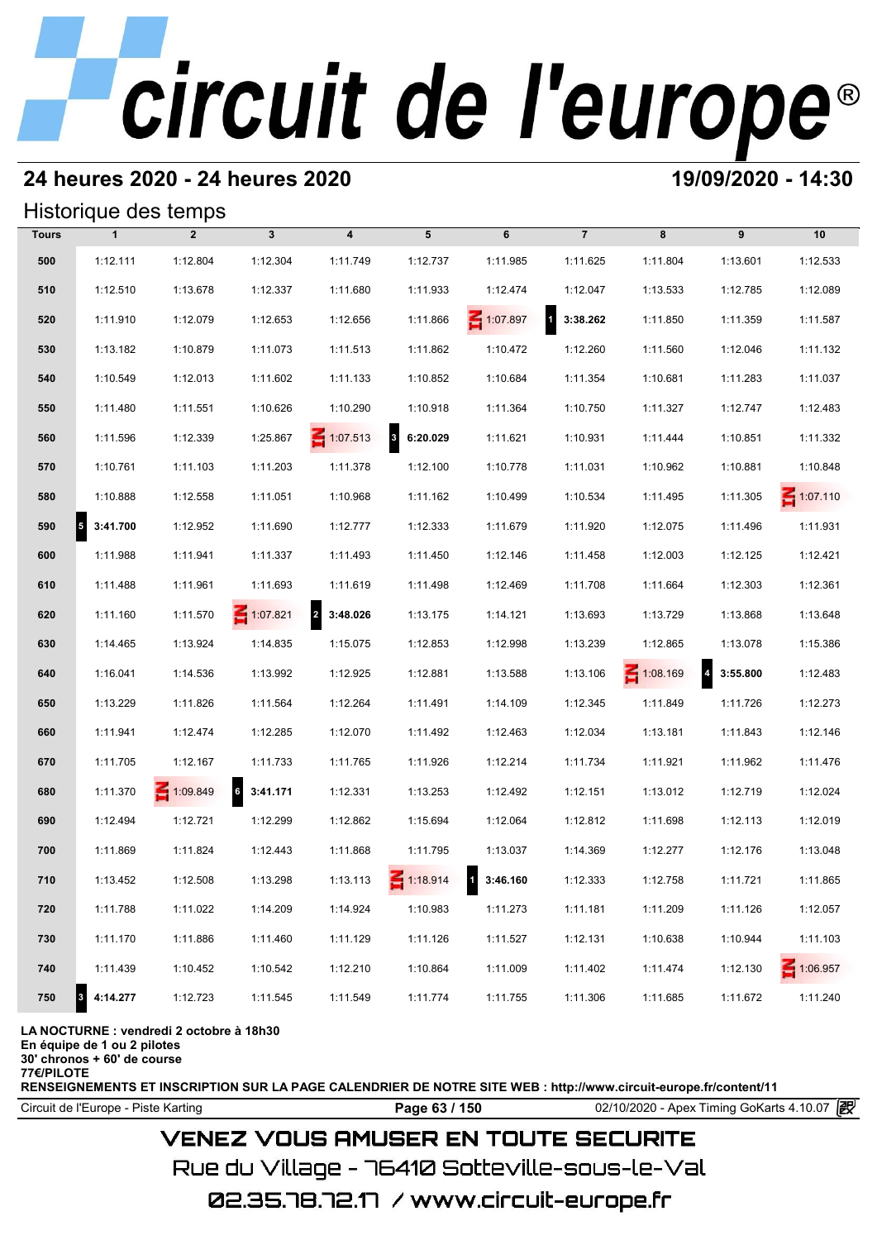# **24 heures 2020 - 24 heures 2020 19/09/2020 - 14:30**

## Historique des temps

|              | Historique des temps |                 |                 |                                     |                          |          |                          |                 |                                     |                 |  |  |  |
|--------------|----------------------|-----------------|-----------------|-------------------------------------|--------------------------|----------|--------------------------|-----------------|-------------------------------------|-----------------|--|--|--|
| <b>Tours</b> | $\mathbf{1}$         | $\overline{2}$  | $\mathbf{3}$    | $\overline{\mathbf{4}}$             | 5                        | 6        | $\overline{7}$           | 8               | 9                                   | 10              |  |  |  |
| 500          | 1:12.111             | 1:12.804        | 1:12.304        | 1:11.749                            | 1:12.737                 | 1:11.985 | 1:11.625                 | 1:11.804        | 1:13.601                            | 1:12.533        |  |  |  |
| 510          | 1:12.510             | 1:13.678        | 1:12.337        | 1:11.680                            | 1:11.933                 | 1:12.474 | 1:12.047                 | 1:13.533        | 1:12.785                            | 1:12.089        |  |  |  |
| 520          | 1:11.910             | 1:12.079        | 1:12.653        | 1:12.656                            | 1:11.866                 | 1:07.897 | 3:38.262<br>$\mathbf{1}$ | 1:11.850        | 1:11.359                            | 1:11.587        |  |  |  |
| 530          | 1:13.182             | 1:10.879        | 1:11.073        | 1:11.513                            | 1:11.862                 | 1:10.472 | 1:12.260                 | 1:11.560        | 1:12.046                            | 1:11.132        |  |  |  |
| 540          | 1:10.549             | 1:12.013        | 1:11.602        | 1:11.133                            | 1:10.852                 | 1:10.684 | 1:11.354                 | 1:10.681        | 1:11.283                            | 1:11.037        |  |  |  |
| 550          | 1:11.480             | 1:11.551        | 1:10.626        | 1:10.290                            | 1:10.918                 | 1:11.364 | 1:10.750                 | 1:11.327        | 1:12.747                            | 1:12.483        |  |  |  |
| 560          | 1:11.596             | 1:12.339        | 1:25.867        | $\leq 1:07.513$                     | $\mathbf{3}$<br>6:20.029 | 1:11.621 | 1:10.931                 | 1:11.444        | 1:10.851                            | 1:11.332        |  |  |  |
| 570          | 1:10.761             | 1:11.103        | 1:11.203        | 1:11.378                            | 1:12.100                 | 1:10.778 | 1:11.031                 | 1:10.962        | 1:10.881                            | 1:10.848        |  |  |  |
| 580          | 1:10.888             | 1:12.558        | 1:11.051        | 1:10.968                            | 1:11.162                 | 1:10.499 | 1:10.534                 | 1:11.495        | 1:11.305                            | $\leq 1:07.110$ |  |  |  |
| 590          | 53:41.700            | 1:12.952        | 1:11.690        | 1:12.777                            | 1:12.333                 | 1:11.679 | 1:11.920                 | 1:12.075        | 1:11.496                            | 1:11.931        |  |  |  |
| 600          | 1:11.988             | 1:11.941        | 1:11.337        | 1:11.493                            | 1:11.450                 | 1:12.146 | 1:11.458                 | 1:12.003        | 1:12.125                            | 1:12.421        |  |  |  |
| 610          | 1:11.488             | 1:11.961        | 1:11.693        | 1:11.619                            | 1:11.498                 | 1:12.469 | 1:11.708                 | 1:11.664        | 1:12.303                            | 1:12.361        |  |  |  |
| 620          | 1:11.160             | 1:11.570        | $\leq 1:07.821$ | $\overline{\mathbf{2}}$<br>3:48.026 | 1:13.175                 | 1:14.121 | 1:13.693                 | 1:13.729        | 1:13.868                            | 1:13.648        |  |  |  |
| 630          | 1:14.465             | 1:13.924        | 1:14.835        | 1:15.075                            | 1:12.853                 | 1:12.998 | 1:13.239                 | 1:12.865        | 1:13.078                            | 1:15.386        |  |  |  |
| 640          | 1:16.041             | 1:14.536        | 1:13.992        | 1:12.925                            | 1:12.881                 | 1:13.588 | 1:13.106                 | $\leq 1:08.169$ | $\overline{\mathbf{4}}$<br>3:55.800 | 1:12.483        |  |  |  |
| 650          | 1:13.229             | 1:11.826        | 1:11.564        | 1:12.264                            | 1:11.491                 | 1:14.109 | 1:12.345                 | 1:11.849        | 1:11.726                            | 1:12.273        |  |  |  |
| 660          | 1:11.941             | 1:12.474        | 1:12.285        | 1:12.070                            | 1:11.492                 | 1:12.463 | 1:12.034                 | 1:13.181        | 1:11.843                            | 1:12.146        |  |  |  |
| 670          | 1:11.705             | 1:12.167        | 1:11.733        | 1:11.765                            | 1:11.926                 | 1:12.214 | 1:11.734                 | 1:11.921        | 1:11.962                            | 1:11.476        |  |  |  |
| 680          | 1:11.370             | $\leq 1:09.849$ | 6 3:41.171      | 1:12.331                            | 1:13.253                 | 1:12.492 | 1:12.151                 | 1:13.012        | 1:12.719                            | 1:12.024        |  |  |  |
| 690          | 1:12.494             | 1:12.721        | 1:12.299        | 1:12.862                            | 1:15.694                 | 1:12.064 | 1:12.812                 | 1:11.698        | 1:12.113                            | 1:12.019        |  |  |  |
| 700          | 1:11.869             | 1:11.824        | 1:12.443        | 1:11.868                            | 1:11.795                 | 1:13.037 | 1:14.369                 | 1:12.277        | 1:12.176                            | 1:13.048        |  |  |  |
| 710          | 1:13.452             | 1:12.508        | 1:13.298        | 1:13.113                            | $\leq 1:18.914$          | 3:46.160 | 1:12.333                 | 1:12.758        | 1:11.721                            | 1:11.865        |  |  |  |
| 720          | 1:11.788             | 1:11.022        | 1:14.209        | 1:14.924                            | 1:10.983                 | 1:11.273 | 1:11.181                 | 1:11.209        | 1:11.126                            | 1:12.057        |  |  |  |
| 730          | 1:11.170             | 1:11.886        | 1:11.460        | 1:11.129                            | 1:11.126                 | 1:11.527 | 1:12.131                 | 1:10.638        | 1:10.944                            | 1:11.103        |  |  |  |
| 740          | 1:11.439             | 1:10.452        | 1:10.542        | 1:12.210                            | 1:10.864                 | 1:11.009 | 1:11.402                 | 1:11.474        | 1:12.130                            | $\leq 1:06.957$ |  |  |  |
| 750          | 4:14.277<br>3        | 1:12.723        | 1:11.545        | 1:11.549                            | 1:11.774                 | 1:11.755 | 1:11.306                 | 1:11.685        | 1:11.672                            | 1:11.240        |  |  |  |

### **LA NOCTURNE : vendredi 2 octobre à 18h30**

**En équipe de 1 ou 2 pilotes**

**30' chronos + 60' de course**

**77€/PILOTE**

**RENSEIGNEMENTS ET INSCRIPTION SUR LA PAGE CALENDRIER DE NOTRE SITE WEB : http://www.circuit-europe.fr/content/11**

**Page 63 / 150** 02/10/2020 - Apex Timing GoKarts 4.10.07 **P** 

# **VENEZ VOUS AMUSER EN TOUTE SECURITE**

Rue du Village – 76410 Sotteville-sous-le-Val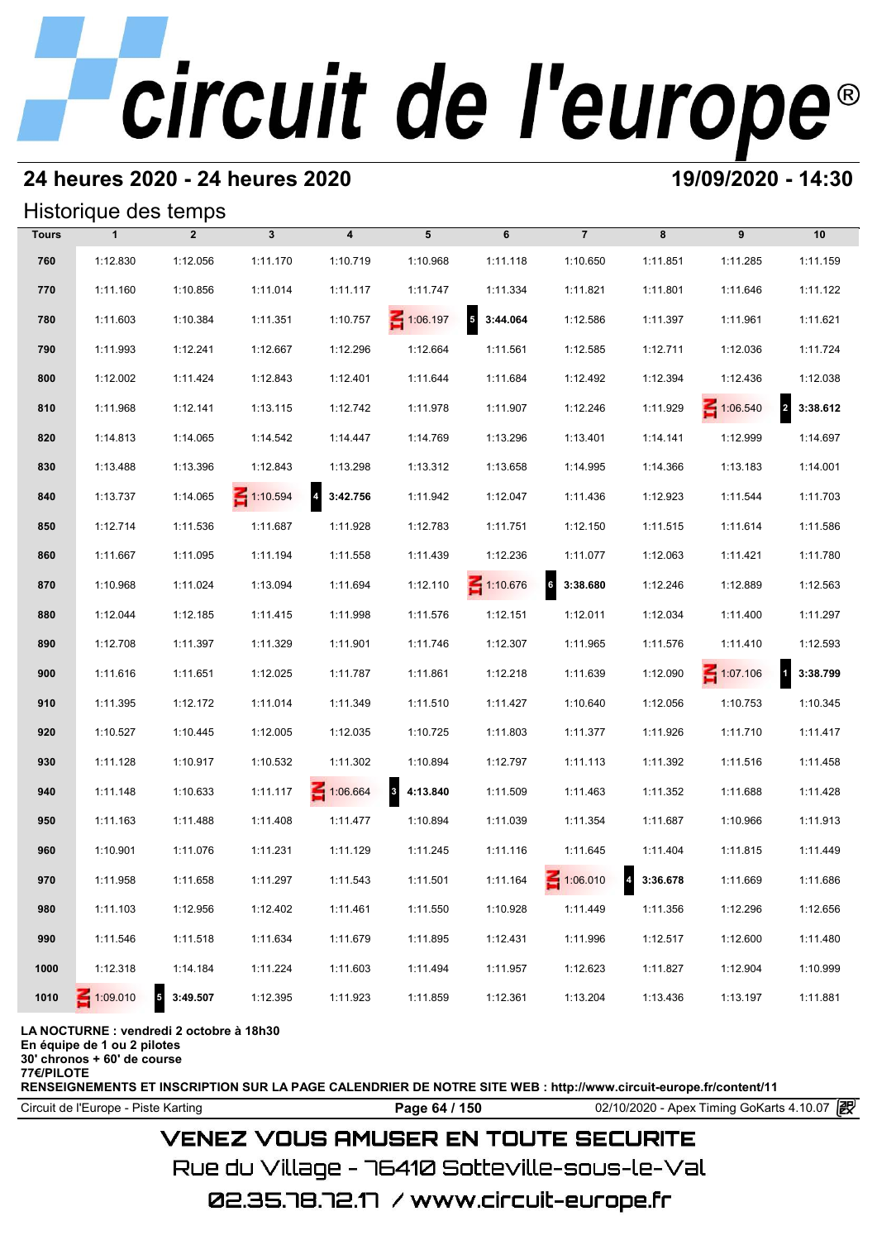# **24 heures 2020 - 24 heures 2020 19/09/2020 - 14:30**

| Historique des temps |  |
|----------------------|--|
|----------------------|--|

|              | Historique des temps |                                      |                 |                            |            |                                     |                 |            |                 |                            |  |  |  |
|--------------|----------------------|--------------------------------------|-----------------|----------------------------|------------|-------------------------------------|-----------------|------------|-----------------|----------------------------|--|--|--|
| <b>Tours</b> | $\mathbf{1}$         | $\overline{2}$                       | $\mathbf{3}$    | 4                          | 5          | 6                                   | $\overline{7}$  | 8          | 9               | 10                         |  |  |  |
| 760          | 1:12.830             | 1:12.056                             | 1:11.170        | 1:10.719                   | 1:10.968   | 1:11.118                            | 1:10.650        | 1:11.851   | 1:11.285        | 1:11.159                   |  |  |  |
| 770          | 1:11.160             | 1:10.856                             | 1:11.014        | 1:11.117                   | 1:11.747   | 1:11.334                            | 1:11.821        | 1:11.801   | 1:11.646        | 1:11.122                   |  |  |  |
| 780          | 1:11.603             | 1:10.384                             | 1:11.351        | 1:10.757                   | 1:06.197   | $\overline{\mathbf{5}}$<br>3:44.064 | 1:12.586        | 1:11.397   | 1:11.961        | 1:11.621                   |  |  |  |
| 790          | 1:11.993             | 1:12.241                             | 1:12.667        | 1:12.296                   | 1:12.664   | 1:11.561                            | 1:12.585        | 1:12.711   | 1:12.036        | 1:11.724                   |  |  |  |
| 800          | 1:12.002             | 1:11.424                             | 1:12.843        | 1:12.401                   | 1:11.644   | 1:11.684                            | 1:12.492        | 1:12.394   | 1:12.436        | 1:12.038                   |  |  |  |
| 810          | 1:11.968             | 1:12.141                             | 1:13.115        | 1:12.742                   | 1:11.978   | 1:11.907                            | 1:12.246        | 1:11.929   | $\leq 1:06.540$ | $\overline{a}$<br>3:38.612 |  |  |  |
| 820          | 1:14.813             | 1:14.065                             | 1:14.542        | 1:14.447                   | 1:14.769   | 1:13.296                            | 1:13.401        | 1:14.141   | 1:12.999        | 1:14.697                   |  |  |  |
| 830          | 1:13.488             | 1:13.396                             | 1:12.843        | 1:13.298                   | 1:13.312   | 1:13.658                            | 1:14.995        | 1:14.366   | 1:13.183        | 1:14.001                   |  |  |  |
| 840          | 1:13.737             | 1:14.065                             | $\leq 1:10.594$ | $\overline{a}$<br>3:42.756 | 1:11.942   | 1:12.047                            | 1:11.436        | 1:12.923   | 1:11.544        | 1:11.703                   |  |  |  |
| 850          | 1:12.714             | 1:11.536                             | 1:11.687        | 1:11.928                   | 1:12.783   | 1:11.751                            | 1:12.150        | 1:11.515   | 1:11.614        | 1:11.586                   |  |  |  |
| 860          | 1:11.667             | 1:11.095                             | 1:11.194        | 1:11.558                   | 1:11.439   | 1:12.236                            | 1:11.077        | 1:12.063   | 1:11.421        | 1:11.780                   |  |  |  |
| 870          | 1:10.968             | 1:11.024                             | 1:13.094        | 1:11.694                   | 1:12.110   | $\leq 1:10.676$                     | 6<br>3:38.680   | 1:12.246   | 1:12.889        | 1:12.563                   |  |  |  |
| 880          | 1:12.044             | 1:12.185                             | 1:11.415        | 1:11.998                   | 1:11.576   | 1:12.151                            | 1:12.011        | 1:12.034   | 1:11.400        | 1:11.297                   |  |  |  |
| 890          | 1:12.708             | 1:11.397                             | 1:11.329        | 1:11.901                   | 1:11.746   | 1:12.307                            | 1:11.965        | 1:11.576   | 1:11.410        | 1:12.593                   |  |  |  |
| 900          | 1:11.616             | 1:11.651                             | 1:12.025        | 1:11.787                   | 1:11.861   | 1:12.218                            | 1:11.639        | 1:12.090   | $\leq 1:07.106$ | $\mathbf{1}$<br>3:38.799   |  |  |  |
| 910          | 1:11.395             | 1:12.172                             | 1:11.014        | 1:11.349                   | 1:11.510   | 1:11.427                            | 1:10.640        | 1:12.056   | 1:10.753        | 1:10.345                   |  |  |  |
| 920          | 1:10.527             | 1:10.445                             | 1:12.005        | 1:12.035                   | 1:10.725   | 1:11.803                            | 1:11.377        | 1:11.926   | 1:11.710        | 1:11.417                   |  |  |  |
| 930          | 1:11.128             | 1:10.917                             | 1:10.532        | 1:11.302                   | 1:10.894   | 1:12.797                            | 1:11.113        | 1:11.392   | 1:11.516        | 1:11.458                   |  |  |  |
| 940          | 1:11.148             | 1:10.633                             | 1:11.117        | 1:06.664                   | 3 4:13.840 | 1:11.509                            | 1:11.463        | 1:11.352   | 1:11.688        | 1:11.428                   |  |  |  |
| 950          | 1:11.163             | 1:11.488                             | 1:11.408        | 1:11.477                   | 1:10.894   | 1:11.039                            | 1:11.354        | 1:11.687   | 1:10.966        | 1:11.913                   |  |  |  |
| 960          | 1:10.901             | 1:11.076                             | 1:11.231        | 1:11.129                   | 1:11.245   | 1:11.116                            | 1:11.645        | 1:11.404   | 1:11.815        | 1:11.449                   |  |  |  |
| 970          | 1:11.958             | 1:11.658                             | 1:11.297        | 1:11.543                   | 1:11.501   | 1:11.164                            | $\leq 1:06.010$ | 4 3:36.678 | 1:11.669        | 1:11.686                   |  |  |  |
| 980          | 1:11.103             | 1:12.956                             | 1:12.402        | 1:11.461                   | 1:11.550   | 1:10.928                            | 1:11.449        | 1:11.356   | 1:12.296        | 1:12.656                   |  |  |  |
| 990          | 1:11.546             | 1:11.518                             | 1:11.634        | 1:11.679                   | 1:11.895   | 1:12.431                            | 1:11.996        | 1:12.517   | 1:12.600        | 1:11.480                   |  |  |  |
| 1000         | 1:12.318             | 1:14.184                             | 1:11.224        | 1:11.603                   | 1:11.494   | 1:11.957                            | 1:12.623        | 1:11.827   | 1:12.904        | 1:10.999                   |  |  |  |
| 1010         | $\leq 1:09.010$      | $\overline{\phantom{a}}$<br>3:49.507 | 1:12.395        | 1:11.923                   | 1:11.859   | 1:12.361                            | 1:13.204        | 1:13.436   | 1:13.197        | 1:11.881                   |  |  |  |

**LA NOCTURNE : vendredi 2 octobre à 18h30**

**En équipe de 1 ou 2 pilotes**

**30' chronos + 60' de course 77€/PILOTE**

**RENSEIGNEMENTS ET INSCRIPTION SUR LA PAGE CALENDRIER DE NOTRE SITE WEB : http://www.circuit-europe.fr/content/11**

Circuit de l'Europe - Piste Karting **Page 64 / 150** 02/10/2020 - Apex Timing GoKarts 4.10.07

# **VENEZ VOUS AMUSER EN TOUTE SECURITE**

Rue du Village – 76410 Sotteville-sous-le-Val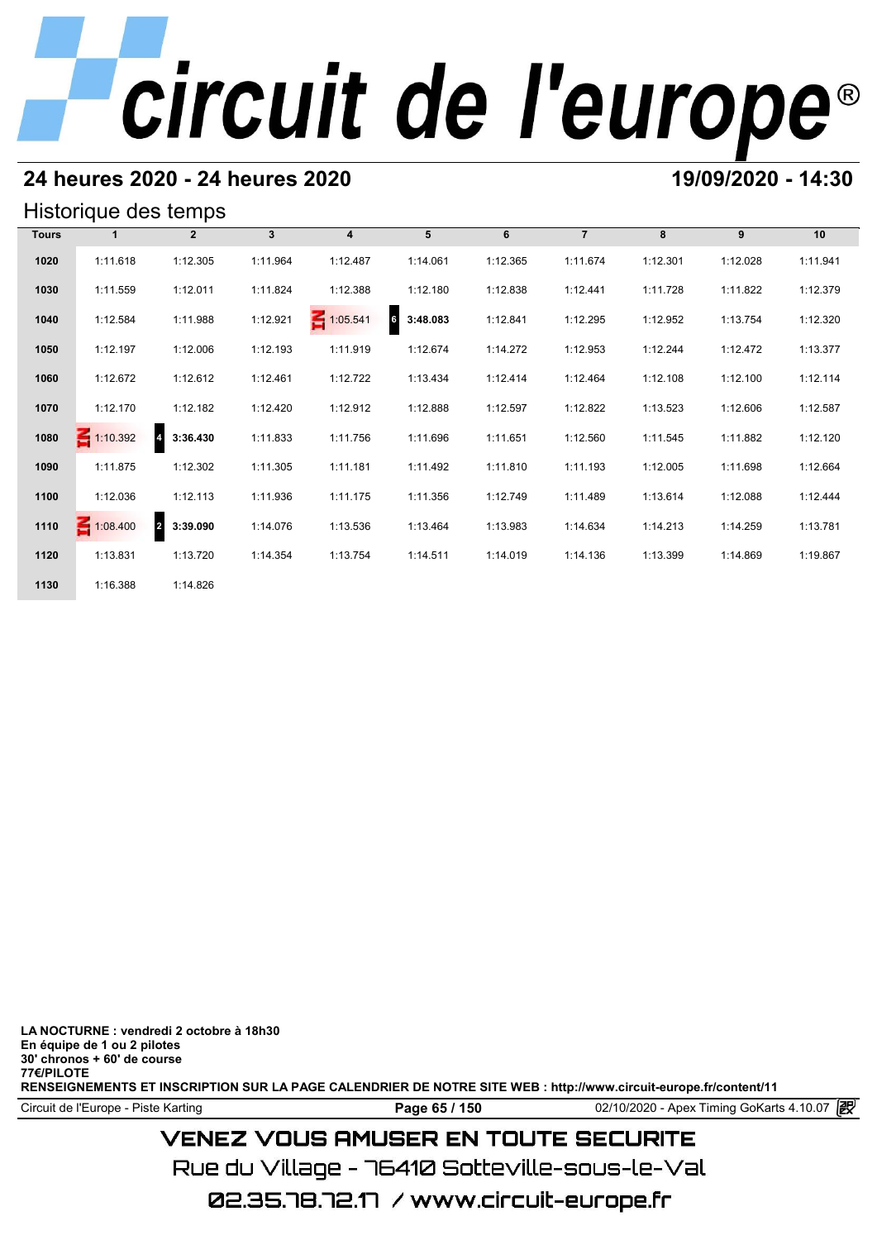# **24 heures 2020 - 24 heures 2020 19/09/2020 - 14:30**

## Historique des temps

| Historique des temps |                 |                            |              |                         |               |          |                |          |          |          |  |  |
|----------------------|-----------------|----------------------------|--------------|-------------------------|---------------|----------|----------------|----------|----------|----------|--|--|
| <b>Tours</b>         |                 | $\overline{2}$             | $\mathbf{3}$ | $\overline{\mathbf{4}}$ | 5             | 6        | $\overline{7}$ | 8        | 9        | 10       |  |  |
| 1020                 | 1:11.618        | 1:12.305                   | 1:11.964     | 1:12.487                | 1:14.061      | 1:12.365 | 1:11.674       | 1:12.301 | 1:12.028 | 1:11.941 |  |  |
| 1030                 | 1:11.559        | 1:12.011                   | 1:11.824     | 1:12.388                | 1:12.180      | 1:12.838 | 1:12.441       | 1:11.728 | 1:11.822 | 1:12.379 |  |  |
| 1040                 | 1:12.584        | 1:11.988                   | 1:12.921     | $\leq 1:05.541$         | 6<br>3:48.083 | 1:12.841 | 1:12.295       | 1:12.952 | 1:13.754 | 1:12.320 |  |  |
| 1050                 | 1:12.197        | 1:12.006                   | 1:12.193     | 1:11.919                | 1:12.674      | 1:14.272 | 1:12.953       | 1:12.244 | 1:12.472 | 1:13.377 |  |  |
| 1060                 | 1:12.672        | 1:12.612                   | 1:12.461     | 1:12.722                | 1:13.434      | 1:12.414 | 1:12.464       | 1:12.108 | 1:12.100 | 1:12.114 |  |  |
| 1070                 | 1:12.170        | 1:12.182                   | 1:12.420     | 1:12.912                | 1:12.888      | 1:12.597 | 1:12.822       | 1:13.523 | 1:12.606 | 1:12.587 |  |  |
| 1080                 | $\leq 1:10.392$ | $\overline{a}$<br>3:36.430 | 1:11.833     | 1:11.756                | 1:11.696      | 1:11.651 | 1:12.560       | 1:11.545 | 1:11.882 | 1:12.120 |  |  |
| 1090                 | 1:11.875        | 1:12.302                   | 1:11.305     | 1:11.181                | 1:11.492      | 1:11.810 | 1:11.193       | 1:12.005 | 1:11.698 | 1:12.664 |  |  |
| 1100                 | 1:12.036        | 1:12.113                   | 1:11.936     | 1:11.175                | 1:11.356      | 1:12.749 | 1:11.489       | 1:13.614 | 1:12.088 | 1:12.444 |  |  |
| 1110                 | 1:08.400        | 2 3:39.090                 | 1:14.076     | 1:13.536                | 1:13.464      | 1:13.983 | 1:14.634       | 1:14.213 | 1:14.259 | 1:13.781 |  |  |
| 1120                 | 1:13.831        | 1:13.720                   | 1:14.354     | 1:13.754                | 1:14.511      | 1:14.019 | 1:14.136       | 1:13.399 | 1:14.869 | 1:19.867 |  |  |
| 1130                 | 1:16.388        | 1:14.826                   |              |                         |               |          |                |          |          |          |  |  |

**LA NOCTURNE : vendredi 2 octobre à 18h30 En équipe de 1 ou 2 pilotes 30' chronos + 60' de course 77€/PILOTE RENSEIGNEMENTS ET INSCRIPTION SUR LA PAGE CALENDRIER DE NOTRE SITE WEB : http://www.circuit-europe.fr/content/11**

Circuit de l'Europe - Piste Karting **Page 65 / 150 Page 65 / 150** 02/10/2020 - Apex Timing GoKarts 4.10.07

# **VENEZ VOUS AMUSER EN TOUTE SECURITE**

Rue du Village – 76410 Sotteville-sous-le-Val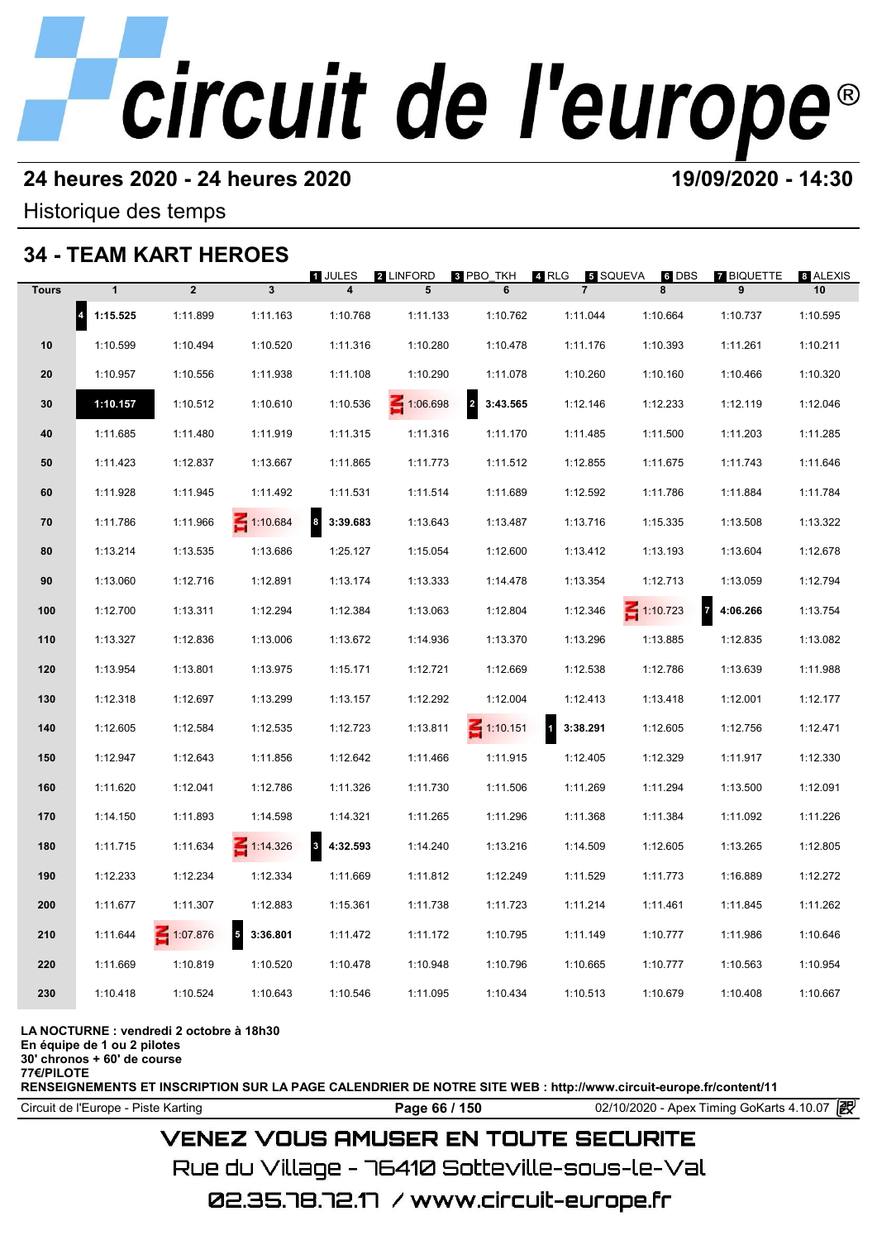# **24 heures 2020 - 24 heures 2020 19/09/2020 - 14:30**

Historique des temps

# **34 - TEAM KART HEROES**

| - 34         |                       | <b>ILAM KARI HEROES</b> |                        |                                     |                |                                     |                            |                          |                            |                |
|--------------|-----------------------|-------------------------|------------------------|-------------------------------------|----------------|-------------------------------------|----------------------------|--------------------------|----------------------------|----------------|
| <b>Tours</b> | $\mathbf{1}$          | $\overline{2}$          | $\mathbf{3}$           | 1 JULES<br>$\overline{\mathbf{4}}$  | 2 LINFORD<br>5 | 8 PBO_TKH<br>6                      | 4 RLG<br>$\overline{7}$    | 5 SQUEVA<br>$6$ DBS<br>8 | <b>7 BIQUETTE</b><br>9     | 8 ALEXIS<br>10 |
|              | $\vert$ 4<br>1:15.525 | 1:11.899                | 1:11.163               | 1:10.768                            | 1:11.133       | 1:10.762                            | 1:11.044                   | 1:10.664                 | 1:10.737                   | 1:10.595       |
| 10           | 1:10.599              | 1:10.494                | 1:10.520               | 1:11.316                            | 1:10.280       | 1:10.478                            | 1:11.176                   | 1:10.393                 | 1:11.261                   | 1:10.211       |
| 20           | 1:10.957              | 1:10.556                | 1:11.938               | 1:11.108                            | 1:10.290       | 1:11.078                            | 1:10.260                   | 1:10.160                 | 1:10.466                   | 1:10.320       |
| 30           | 1:10.157              | 1:10.512                | 1:10.610               | 1:10.536                            | 1:06.698       | $\overline{\mathbf{2}}$<br>3:43.565 | 1:12.146                   | 1:12.233                 | 1:12.119                   | 1:12.046       |
| 40           | 1:11.685              | 1:11.480                | 1:11.919               | 1:11.315                            | 1:11.316       | 1:11.170                            | 1:11.485                   | 1:11.500                 | 1:11.203                   | 1:11.285       |
| 50           | 1:11.423              | 1:12.837                | 1:13.667               | 1:11.865                            | 1:11.773       | 1:11.512                            | 1:12.855                   | 1:11.675                 | 1:11.743                   | 1:11.646       |
| 60           | 1:11.928              | 1:11.945                | 1:11.492               | 1:11.531                            | 1:11.514       | 1:11.689                            | 1:12.592                   | 1:11.786                 | 1:11.884                   | 1:11.784       |
| 70           | 1:11.786              | 1:11.966                | $\leq 1:10.684$        | $\boldsymbol{8}$<br>3:39.683        | 1:13.643       | 1:13.487                            | 1:13.716                   | 1:15.335                 | 1:13.508                   | 1:13.322       |
| 80           | 1:13.214              | 1:13.535                | 1:13.686               | 1:25.127                            | 1:15.054       | 1:12.600                            | 1:13.412                   | 1:13.193                 | 1:13.604                   | 1:12.678       |
| 90           | 1:13.060              | 1:12.716                | 1:12.891               | 1:13.174                            | 1:13.333       | 1:14.478                            | 1:13.354                   | 1:12.713                 | 1:13.059                   | 1:12.794       |
| 100          | 1:12.700              | 1:13.311                | 1:12.294               | 1:12.384                            | 1:13.063       | 1:12.804                            | 1:12.346                   | $\leq 1:10.723$          | $\overline{7}$<br>4:06.266 | 1:13.754       |
| 110          | 1:13.327              | 1:12.836                | 1:13.006               | 1:13.672                            | 1:14.936       | 1:13.370                            | 1:13.296                   | 1:13.885                 | 1:12.835                   | 1:13.082       |
| 120          | 1:13.954              | 1:13.801                | 1:13.975               | 1:15.171                            | 1:12.721       | 1:12.669                            | 1:12.538                   | 1:12.786                 | 1:13.639                   | 1:11.988       |
| 130          | 1:12.318              | 1:12.697                | 1:13.299               | 1:13.157                            | 1:12.292       | 1:12.004                            | 1:12.413                   | 1:13.418                 | 1:12.001                   | 1:12.177       |
| 140          | 1:12.605              | 1:12.584                | 1:12.535               | 1:12.723                            | 1:13.811       | $\leq 1:10.151$                     | $\blacksquare$<br>3:38.291 | 1:12.605                 | 1:12.756                   | 1:12.471       |
| 150          | 1:12.947              | 1:12.643                | 1:11.856               | 1:12.642                            | 1:11.466       | 1:11.915                            | 1:12.405                   | 1:12.329                 | 1:11.917                   | 1:12.330       |
| 160          | 1:11.620              | 1:12.041                | 1:12.786               | 1:11.326                            | 1:11.730       | 1:11.506                            | 1:11.269                   | 1:11.294                 | 1:13.500                   | 1:12.091       |
| 170          | 1:14.150              | 1:11.893                | 1:14.598               | 1:14.321                            | 1:11.265       | 1:11.296                            | 1:11.368                   | 1:11.384                 | 1:11.092                   | 1:11.226       |
| 180          | 1:11.715              | 1:11.634                | $\leq 1:14.326$        | $\overline{\mathbf{3}}$<br>4:32.593 | 1:14.240       | 1:13.216                            | 1:14.509                   | 1:12.605                 | 1:13.265                   | 1:12.805       |
| 190          | 1:12.233              | 1:12.234                | 1:12.334               | 1:11.669                            | 1:11.812       | 1:12.249                            | 1:11.529                   | 1:11.773                 | 1:16.889                   | 1:12.272       |
| 200          | 1:11.677              | 1:11.307                | 1:12.883               | 1:15.361                            | 1:11.738       | 1:11.723                            | 1:11.214                   | 1:11.461                 | 1:11.845                   | 1:11.262       |
| 210          | 1:11.644              | 1:07.876                | $\sqrt{5}$<br>3:36.801 | 1:11.472                            | 1:11.172       | 1:10.795                            | 1:11.149                   | 1:10.777                 | 1:11.986                   | 1:10.646       |
| 220          | 1:11.669              | 1:10.819                | 1:10.520               | 1:10.478                            | 1:10.948       | 1:10.796                            | 1:10.665                   | 1:10.777                 | 1:10.563                   | 1:10.954       |
| 230          | 1:10.418              | 1:10.524                | 1:10.643               | 1:10.546                            | 1:11.095       | 1:10.434                            | 1:10.513                   | 1:10.679                 | 1:10.408                   | 1:10.667       |
|              |                       |                         |                        |                                     |                |                                     |                            |                          |                            |                |

### **LA NOCTURNE : vendredi 2 octobre à 18h30**

**En équipe de 1 ou 2 pilotes**

**30' chronos + 60' de course 77€/PILOTE**

**RENSEIGNEMENTS ET INSCRIPTION SUR LA PAGE CALENDRIER DE NOTRE SITE WEB : http://www.circuit-europe.fr/content/11**

**Page 66 / 150** 02/10/2020 - Apex Timing GoKarts 4.10.07 **P** 

## **VENEZ VOUS AMUSER EN TOUTE SECURITE**

Rue du Village – 76410 Sotteville-sous-le-Val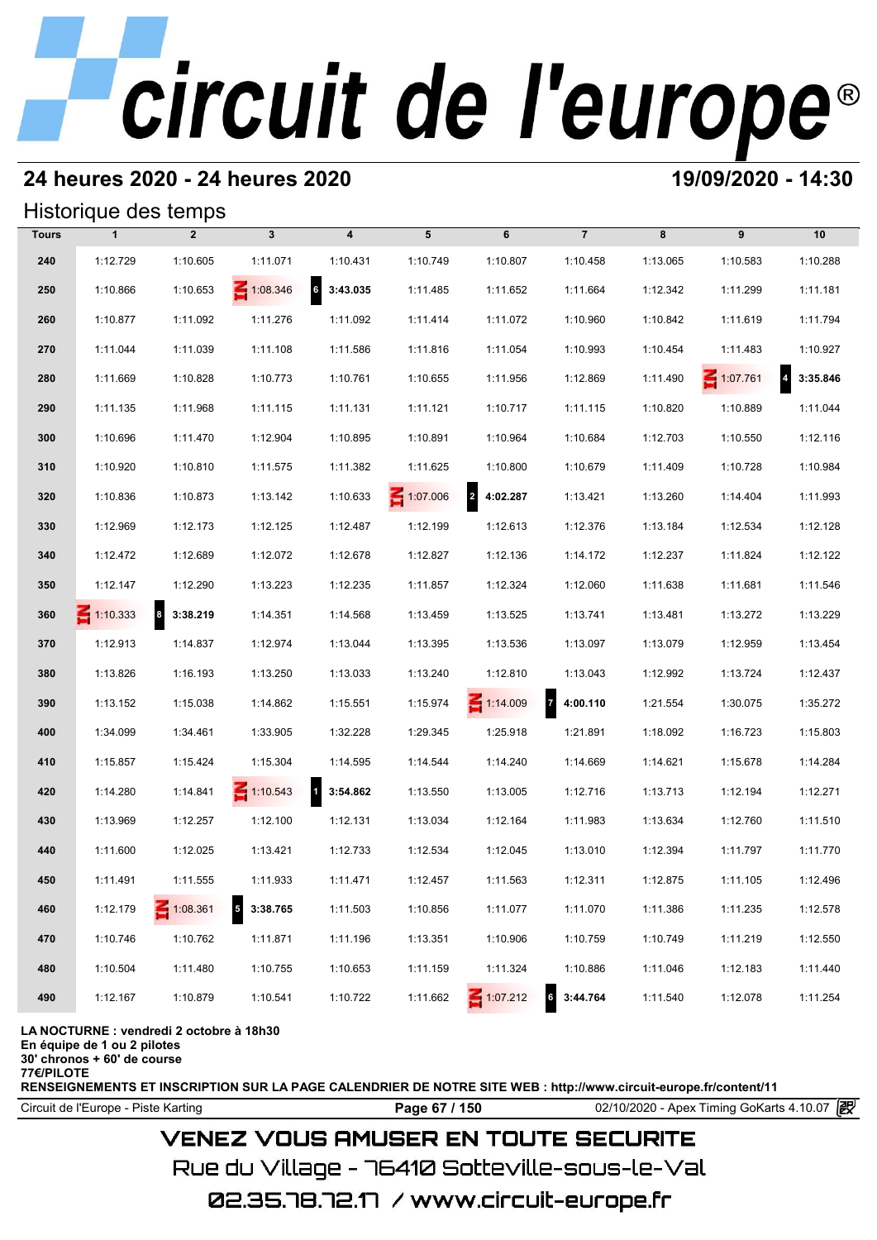# **24 heures 2020 - 24 heures 2020 19/09/2020 - 14:30**

## Historique des temps

| Historique des temps |                 |                                          |                                      |                             |          |                 |                       |          |                 |          |  |  |
|----------------------|-----------------|------------------------------------------|--------------------------------------|-----------------------------|----------|-----------------|-----------------------|----------|-----------------|----------|--|--|
| <b>Tours</b>         | $\mathbf{1}$    | $\overline{2}$                           | $\mathbf{3}$                         | $\overline{\mathbf{4}}$     | 5        | 6               | $\overline{7}$        | 8        | 9               | 10       |  |  |
| 240                  | 1:12.729        | 1:10.605                                 | 1:11.071                             | 1:10.431                    | 1:10.749 | 1:10.807        | 1:10.458              | 1:13.065 | 1:10.583        | 1:10.288 |  |  |
| 250                  | 1:10.866        | 1:10.653                                 | 1:08.346                             | $6\overline{6}$<br>3:43.035 | 1:11.485 | 1:11.652        | 1:11.664              | 1:12.342 | 1:11.299        | 1:11.181 |  |  |
| 260                  | 1:10.877        | 1:11.092                                 | 1:11.276                             | 1:11.092                    | 1:11.414 | 1:11.072        | 1:10.960              | 1:10.842 | 1:11.619        | 1:11.794 |  |  |
| 270                  | 1:11.044        | 1:11.039                                 | 1:11.108                             | 1:11.586                    | 1:11.816 | 1:11.054        | 1:10.993              | 1:10.454 | 1:11.483        | 1:10.927 |  |  |
| 280                  | 1:11.669        | 1:10.828                                 | 1:10.773                             | 1:10.761                    | 1:10.655 | 1:11.956        | 1:12.869              | 1:11.490 | $\leq 1:07.761$ | 3:35.846 |  |  |
| 290                  | 1:11.135        | 1:11.968                                 | 1:11.115                             | 1:11.131                    | 1:11.121 | 1:10.717        | 1:11.115              | 1:10.820 | 1:10.889        | 1:11.044 |  |  |
| 300                  | 1:10.696        | 1:11.470                                 | 1:12.904                             | 1:10.895                    | 1:10.891 | 1:10.964        | 1:10.684              | 1:12.703 | 1:10.550        | 1:12.116 |  |  |
| 310                  | 1:10.920        | 1:10.810                                 | 1:11.575                             | 1:11.382                    | 1:11.625 | 1:10.800        | 1:10.679              | 1:11.409 | 1:10.728        | 1:10.984 |  |  |
| 320                  | 1:10.836        | 1:10.873                                 | 1:13.142                             | 1:10.633                    | 1:07.006 | 2 4:02.287      | 1:13.421              | 1:13.260 | 1:14.404        | 1:11.993 |  |  |
| 330                  | 1:12.969        | 1:12.173                                 | 1:12.125                             | 1:12.487                    | 1:12.199 | 1:12.613        | 1:12.376              | 1:13.184 | 1:12.534        | 1:12.128 |  |  |
| 340                  | 1:12.472        | 1:12.689                                 | 1:12.072                             | 1:12.678                    | 1:12.827 | 1:12.136        | 1:14.172              | 1:12.237 | 1:11.824        | 1:12.122 |  |  |
| 350                  | 1:12.147        | 1:12.290                                 | 1:13.223                             | 1:12.235                    | 1:11.857 | 1:12.324        | 1:12.060              | 1:11.638 | 1:11.681        | 1:11.546 |  |  |
| 360                  | $\leq 1:10.333$ | 8 3:38.219                               | 1:14.351                             | 1:14.568                    | 1:13.459 | 1:13.525        | 1:13.741              | 1:13.481 | 1:13.272        | 1:13.229 |  |  |
| 370                  | 1:12.913        | 1:14.837                                 | 1:12.974                             | 1:13.044                    | 1:13.395 | 1:13.536        | 1:13.097              | 1:13.079 | 1:12.959        | 1:13.454 |  |  |
| 380                  | 1:13.826        | 1:16.193                                 | 1:13.250                             | 1:13.033                    | 1:13.240 | 1:12.810        | 1:13.043              | 1:12.992 | 1:13.724        | 1:12.437 |  |  |
| 390                  | 1:13.152        | 1:15.038                                 | 1:14.862                             | 1:15.551                    | 1:15.974 | $\leq 1:14.009$ | 74:00.110             | 1:21.554 | 1:30.075        | 1:35.272 |  |  |
| 400                  | 1:34.099        | 1:34.461                                 | 1:33.905                             | 1:32.228                    | 1:29.345 | 1:25.918        | 1:21.891              | 1:18.092 | 1:16.723        | 1:15.803 |  |  |
| 410                  | 1:15.857        | 1:15.424                                 | 1:15.304                             | 1:14.595                    | 1:14.544 | 1:14.240        | 1:14.669              | 1:14.621 | 1:15.678        | 1:14.284 |  |  |
| 420                  | 1:14.280        | 1:14.841                                 | $\leq 1:10.543$                      | $1 \quad 3:54.862$          | 1:13.550 | 1:13.005        | 1:12.716              | 1:13.713 | 1:12.194        | 1:12.271 |  |  |
| 430                  | 1:13.969        | 1:12.257                                 | 1:12.100                             | 1:12.131                    | 1:13.034 | 1:12.164        | 1:11.983              | 1:13.634 | 1:12.760        | 1:11.510 |  |  |
| 440                  | 1:11.600        | 1:12.025                                 | 1:13.421                             | 1:12.733                    | 1:12.534 | 1:12.045        | 1:13.010              | 1:12.394 | 1:11.797        | 1:11.770 |  |  |
| 450                  | 1:11.491        | 1:11.555                                 | 1:11.933                             | 1:11.471                    | 1:12.457 | 1:11.563        | 1:12.311              | 1:12.875 | 1:11.105        | 1:12.496 |  |  |
| 460                  | 1:12.179        | $\leq 1:08.361$                          | $\overline{\phantom{a}}$<br>3:38.765 | 1:11.503                    | 1:10.856 | 1:11.077        | 1:11.070              | 1:11.386 | 1:11.235        | 1:12.578 |  |  |
| 470                  | 1:10.746        | 1:10.762                                 | 1:11.871                             | 1:11.196                    | 1:13.351 | 1:10.906        | 1:10.759              | 1:10.749 | 1:11.219        | 1:12.550 |  |  |
| 480                  | 1:10.504        | 1:11.480                                 | 1:10.755                             | 1:10.653                    | 1:11.159 | 1:11.324        | 1:10.886              | 1:11.046 | 1:12.183        | 1:11.440 |  |  |
| 490                  | 1:12.167        | 1:10.879                                 | 1:10.541                             | 1:10.722                    | 1:11.662 | $\leq 1:07.212$ | $\bullet$<br>3:44.764 | 1:11.540 | 1:12.078        | 1:11.254 |  |  |
|                      |                 | LA NOCTURNE : vendredi 2 octobre à 18h30 |                                      |                             |          |                 |                       |          |                 |          |  |  |

**En équipe de 1 ou 2 pilotes**

**30' chronos + 60' de course**

**77€/PILOTE**

**RENSEIGNEMENTS ET INSCRIPTION SUR LA PAGE CALENDRIER DE NOTRE SITE WEB : http://www.circuit-europe.fr/content/11**

Circuit de l'Europe - Piste Karting **Page 67 / 150 Page 67 / 150** 02/10/2020 - Apex Timing GoKarts 4.10.07 **段** 

# **VENEZ VOUS AMUSER EN TOUTE SECURITE**

Rue du Village – 76410 Sotteville-sous-le-Val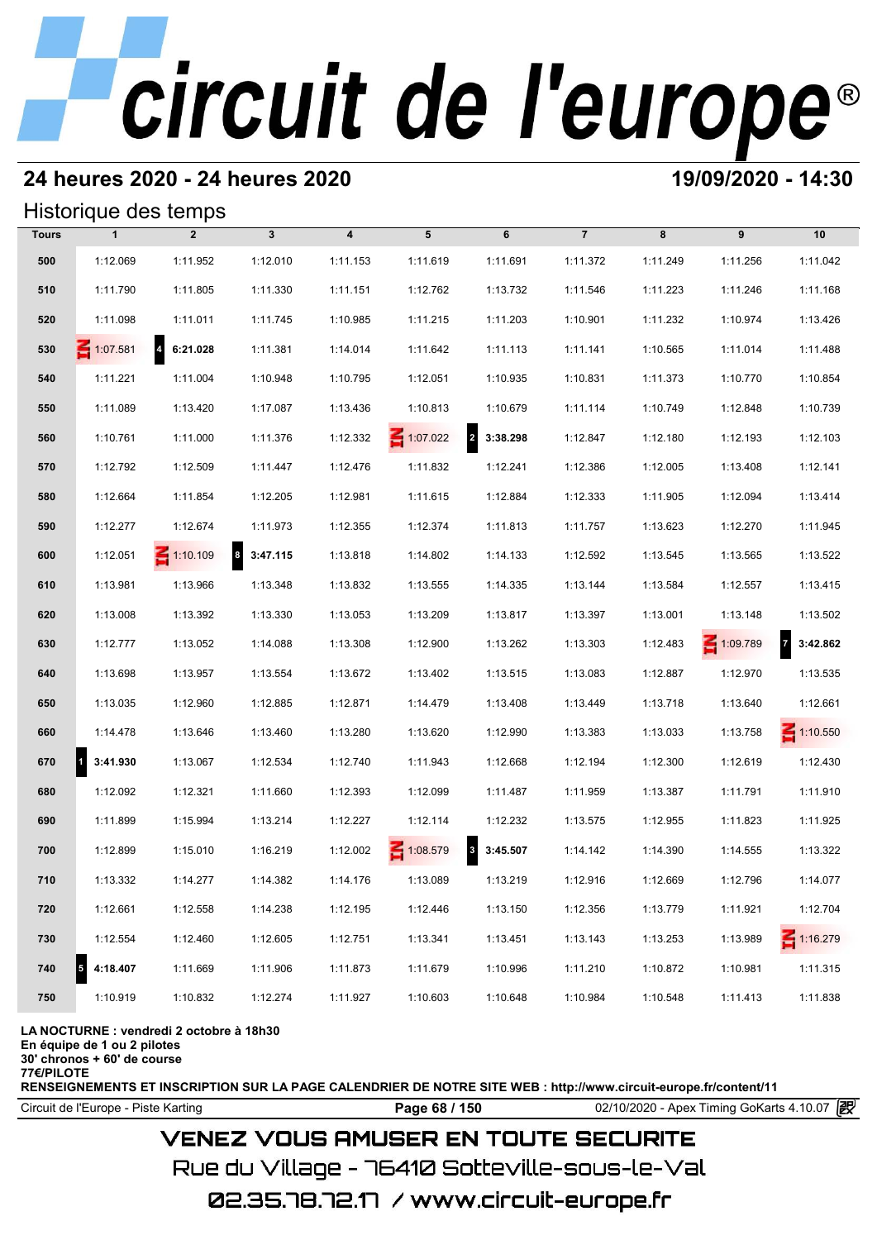# **24 heures 2020 - 24 heures 2020 19/09/2020 - 14:30**

## Historique des temps

|              | Historique des temps |                            |              |                         |                 |               |                |          |          |                            |
|--------------|----------------------|----------------------------|--------------|-------------------------|-----------------|---------------|----------------|----------|----------|----------------------------|
| <b>Tours</b> | $\mathbf{1}$         | $\overline{2}$             | $\mathbf{3}$ | $\overline{\mathbf{4}}$ | 5               | 6             | $\overline{7}$ | 8        | 9        | 10                         |
| 500          | 1:12.069             | 1:11.952                   | 1:12.010     | 1:11.153                | 1:11.619        | 1:11.691      | 1:11.372       | 1:11.249 | 1:11.256 | 1:11.042                   |
| 510          | 1:11.790             | 1:11.805                   | 1:11.330     | 1:11.151                | 1:12.762        | 1:13.732      | 1:11.546       | 1:11.223 | 1:11.246 | 1:11.168                   |
| 520          | 1:11.098             | 1:11.011                   | 1:11.745     | 1:10.985                | 1:11.215        | 1:11.203      | 1:10.901       | 1:11.232 | 1:10.974 | 1:13.426                   |
| 530          | 1:07.581             | $\overline{a}$<br>6:21.028 | 1:11.381     | 1:14.014                | 1:11.642        | 1:11.113      | 1:11.141       | 1:10.565 | 1:11.014 | 1:11.488                   |
| 540          | 1:11.221             | 1:11.004                   | 1:10.948     | 1:10.795                | 1:12.051        | 1:10.935      | 1:10.831       | 1:11.373 | 1:10.770 | 1:10.854                   |
| 550          | 1:11.089             | 1:13.420                   | 1:17.087     | 1:13.436                | 1:10.813        | 1:10.679      | 1:11.114       | 1:10.749 | 1:12.848 | 1:10.739                   |
| 560          | 1:10.761             | 1:11.000                   | 1:11.376     | 1:12.332                | $\leq 1:07.022$ | 2 3:38.298    | 1:12.847       | 1:12.180 | 1:12.193 | 1:12.103                   |
| 570          | 1:12.792             | 1:12.509                   | 1:11.447     | 1:12.476                | 1:11.832        | 1:12.241      | 1:12.386       | 1:12.005 | 1:13.408 | 1:12.141                   |
| 580          | 1:12.664             | 1:11.854                   | 1:12.205     | 1:12.981                | 1:11.615        | 1:12.884      | 1:12.333       | 1:11.905 | 1:12.094 | 1:13.414                   |
| 590          | 1:12.277             | 1:12.674                   | 1:11.973     | 1:12.355                | 1:12.374        | 1:11.813      | 1:11.757       | 1:13.623 | 1:12.270 | 1:11.945                   |
| 600          | 1:12.051             | $\leq 1:10.109$            | 8 3:47.115   | 1:13.818                | 1:14.802        | 1:14.133      | 1:12.592       | 1:13.545 | 1:13.565 | 1:13.522                   |
| 610          | 1:13.981             | 1:13.966                   | 1:13.348     | 1:13.832                | 1:13.555        | 1:14.335      | 1:13.144       | 1:13.584 | 1:12.557 | 1:13.415                   |
| 620          | 1:13.008             | 1:13.392                   | 1:13.330     | 1:13.053                | 1:13.209        | 1:13.817      | 1:13.397       | 1:13.001 | 1:13.148 | 1:13.502                   |
| 630          | 1:12.777             | 1:13.052                   | 1:14.088     | 1:13.308                | 1:12.900        | 1:13.262      | 1:13.303       | 1:12.483 | 1:09.789 | $\overline{z}$<br>3:42.862 |
| 640          | 1:13.698             | 1:13.957                   | 1:13.554     | 1:13.672                | 1:13.402        | 1:13.515      | 1:13.083       | 1:12.887 | 1:12.970 | 1:13.535                   |
| 650          | 1:13.035             | 1:12.960                   | 1:12.885     | 1:12.871                | 1:14.479        | 1:13.408      | 1:13.449       | 1:13.718 | 1:13.640 | 1:12.661                   |
| 660          | 1:14.478             | 1:13.646                   | 1:13.460     | 1:13.280                | 1:13.620        | 1:12.990      | 1:13.383       | 1:13.033 | 1:13.758 | $\leq 1:10.550$            |
| 670          | 3:41.930<br>1        | 1:13.067                   | 1:12.534     | 1:12.740                | 1:11.943        | 1:12.668      | 1:12.194       | 1:12.300 | 1:12.619 | 1:12.430                   |
| 680          | 1:12.092             | 1:12.321                   | 1:11.660     | 1:12.393                | 1:12.099        | 1:11.487      | 1:11.959       | 1:13.387 | 1:11.791 | 1:11.910                   |
| 690          | 1:11.899             | 1:15.994                   | 1:13.214     | 1:12.227                | 1:12.114        | 1:12.232      | 1:13.575       | 1:12.955 | 1:11.823 | 1:11.925                   |
| 700          | 1:12.899             | 1:15.010                   | 1:16.219     | 1:12.002                | 1:08.579        | 3:45.507<br>3 | 1:14.142       | 1:14.390 | 1:14.555 | 1:13.322                   |
| 710          | 1:13.332             | 1:14.277                   | 1:14.382     | 1:14.176                | 1:13.089        | 1:13.219      | 1:12.916       | 1:12.669 | 1:12.796 | 1:14.077                   |
| 720          | 1:12.661             | 1:12.558                   | 1:14.238     | 1:12.195                | 1:12.446        | 1:13.150      | 1:12.356       | 1:13.779 | 1:11.921 | 1:12.704                   |
| 730          | 1:12.554             | 1:12.460                   | 1:12.605     | 1:12.751                | 1:13.341        | 1:13.451      | 1:13.143       | 1:13.253 | 1:13.989 | 1:16.279                   |
| 740          | 4:18.407             | 1:11.669                   | 1:11.906     | 1:11.873                | 1:11.679        | 1:10.996      | 1:11.210       | 1:10.872 | 1:10.981 | 1:11.315                   |
| 750          | 1:10.919             | 1:10.832                   | 1:12.274     | 1:11.927                | 1:10.603        | 1:10.648      | 1:10.984       | 1:10.548 | 1:11.413 | 1:11.838                   |
|              |                      |                            |              |                         |                 |               |                |          |          |                            |

### **LA NOCTURNE : vendredi 2 octobre à 18h30**

**En équipe de 1 ou 2 pilotes**

**30' chronos + 60' de course**

**77€/PILOTE**

**RENSEIGNEMENTS ET INSCRIPTION SUR LA PAGE CALENDRIER DE NOTRE SITE WEB : http://www.circuit-europe.fr/content/11**

**Page 68 / 150** 02/10/2020 - Apex Timing GoKarts 4.10.07 **P** 

# **VENEZ VOUS AMUSER EN TOUTE SECURITE**

Rue du Village – 76410 Sotteville-sous-le-Val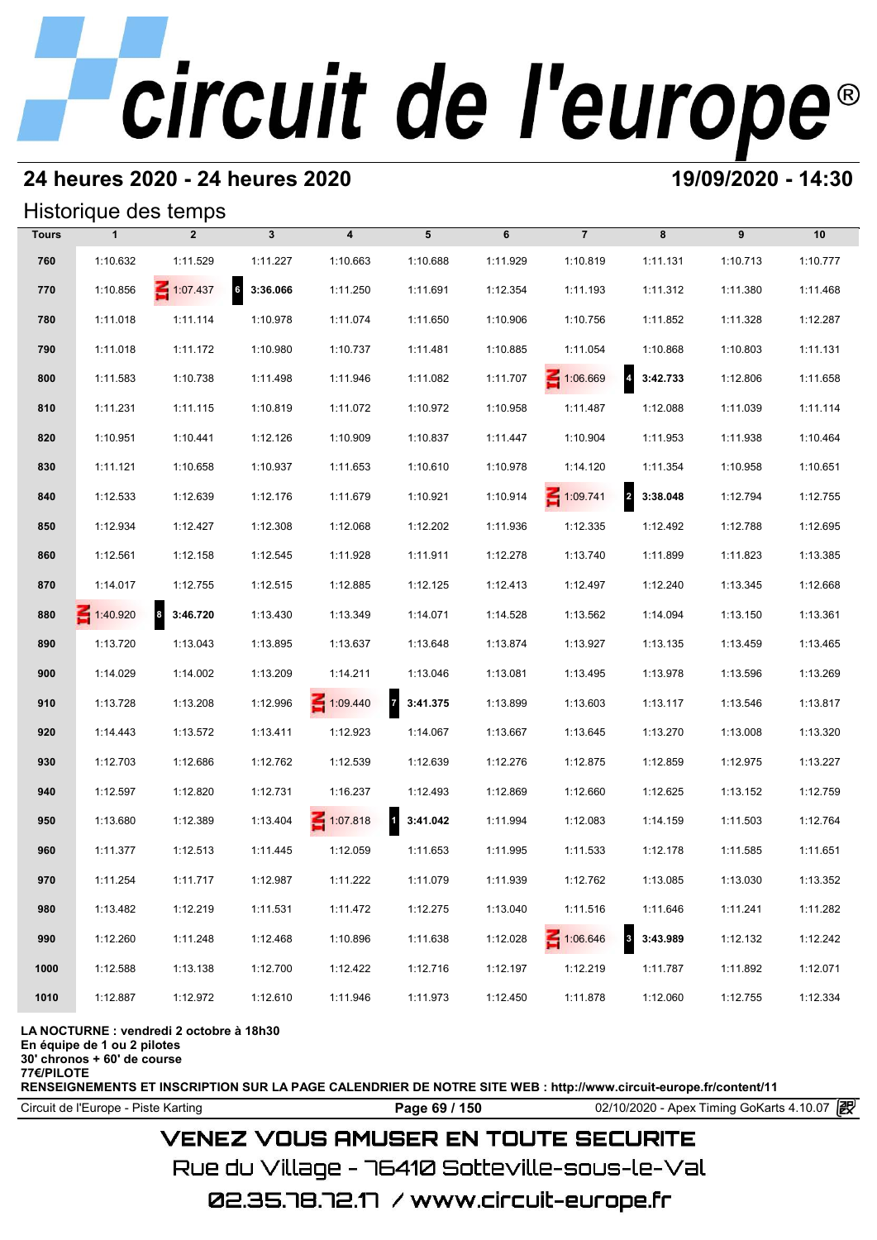# **24 heures 2020 - 24 heures 2020 19/09/2020 - 14:30**

## Historique des temps

|              | Historique des temps |                 |               |                         |                            |          |                 |                                     |          |          |  |  |  |
|--------------|----------------------|-----------------|---------------|-------------------------|----------------------------|----------|-----------------|-------------------------------------|----------|----------|--|--|--|
| <b>Tours</b> | $\mathbf{1}$         | $\overline{2}$  | $\mathbf{3}$  | $\overline{\mathbf{4}}$ | 5                          | 6        | $\overline{7}$  | 8                                   | 9        | 10       |  |  |  |
| 760          | 1:10.632             | 1:11.529        | 1:11.227      | 1:10.663                | 1:10.688                   | 1:11.929 | 1:10.819        | 1:11.131                            | 1:10.713 | 1:10.777 |  |  |  |
| 770          | 1:10.856             | $\leq 1:07.437$ | 6<br>3:36.066 | 1:11.250                | 1:11.691                   | 1:12.354 | 1:11.193        | 1:11.312                            | 1:11.380 | 1:11.468 |  |  |  |
| 780          | 1:11.018             | 1:11.114        | 1:10.978      | 1:11.074                | 1:11.650                   | 1:10.906 | 1:10.756        | 1:11.852                            | 1:11.328 | 1:12.287 |  |  |  |
| 790          | 1:11.018             | 1:11.172        | 1:10.980      | 1:10.737                | 1:11.481                   | 1:10.885 | 1:11.054        | 1:10.868                            | 1:10.803 | 1:11.131 |  |  |  |
| 800          | 1:11.583             | 1:10.738        | 1:11.498      | 1:11.946                | 1:11.082                   | 1:11.707 | 1:06.669        | $\overline{\mathbf{4}}$<br>3:42.733 | 1:12.806 | 1:11.658 |  |  |  |
| 810          | 1:11.231             | 1:11.115        | 1:10.819      | 1:11.072                | 1:10.972                   | 1:10.958 | 1:11.487        | 1:12.088                            | 1:11.039 | 1:11.114 |  |  |  |
| 820          | 1:10.951             | 1:10.441        | 1:12.126      | 1:10.909                | 1:10.837                   | 1:11.447 | 1:10.904        | 1:11.953                            | 1:11.938 | 1:10.464 |  |  |  |
| 830          | 1:11.121             | 1:10.658        | 1:10.937      | 1:11.653                | 1:10.610                   | 1:10.978 | 1:14.120        | 1:11.354                            | 1:10.958 | 1:10.651 |  |  |  |
| 840          | 1:12.533             | 1:12.639        | 1:12.176      | 1:11.679                | 1:10.921                   | 1:10.914 | $\leq 1:09.741$ | 2 3:38.048                          | 1:12.794 | 1:12.755 |  |  |  |
| 850          | 1:12.934             | 1:12.427        | 1:12.308      | 1:12.068                | 1:12.202                   | 1:11.936 | 1:12.335        | 1:12.492                            | 1:12.788 | 1:12.695 |  |  |  |
| 860          | 1:12.561             | 1:12.158        | 1:12.545      | 1:11.928                | 1:11.911                   | 1:12.278 | 1:13.740        | 1:11.899                            | 1:11.823 | 1:13.385 |  |  |  |
| 870          | 1:14.017             | 1:12.755        | 1:12.515      | 1:12.885                | 1:12.125                   | 1:12.413 | 1:12.497        | 1:12.240                            | 1:13.345 | 1:12.668 |  |  |  |
| 880          | $\leq 1:40.920$      | 8 3:46.720      | 1:13.430      | 1:13.349                | 1:14.071                   | 1:14.528 | 1:13.562        | 1:14.094                            | 1:13.150 | 1:13.361 |  |  |  |
| 890          | 1:13.720             | 1:13.043        | 1:13.895      | 1:13.637                | 1:13.648                   | 1:13.874 | 1:13.927        | 1:13.135                            | 1:13.459 | 1:13.465 |  |  |  |
| 900          | 1:14.029             | 1:14.002        | 1:13.209      | 1:14.211                | 1:13.046                   | 1:13.081 | 1:13.495        | 1:13.978                            | 1:13.596 | 1:13.269 |  |  |  |
| 910          | 1:13.728             | 1:13.208        | 1:12.996      | $\leq 1:09.440$         | $\overline{z}$<br>3:41.375 | 1:13.899 | 1:13.603        | 1:13.117                            | 1:13.546 | 1:13.817 |  |  |  |
| 920          | 1:14.443             | 1:13.572        | 1:13.411      | 1:12.923                | 1:14.067                   | 1:13.667 | 1:13.645        | 1:13.270                            | 1:13.008 | 1:13.320 |  |  |  |
| 930          | 1:12.703             | 1:12.686        | 1:12.762      | 1:12.539                | 1:12.639                   | 1:12.276 | 1:12.875        | 1:12.859                            | 1:12.975 | 1:13.227 |  |  |  |
| 940          | 1:12.597             | 1:12.820        | 1:12.731      | 1:16.237                | 1:12.493                   | 1:12.869 | 1:12.660        | 1:12.625                            | 1:13.152 | 1:12.759 |  |  |  |
| 950          | 1:13.680             | 1:12.389        | 1:13.404      | 1:07.818                | 3:41.042                   | 1:11.994 | 1:12.083        | 1:14.159                            | 1:11.503 | 1:12.764 |  |  |  |
| 960          | 1:11.377             | 1:12.513        | 1:11.445      | 1:12.059                | 1:11.653                   | 1:11.995 | 1:11.533        | 1:12.178                            | 1:11.585 | 1:11.651 |  |  |  |
| 970          | 1:11.254             | 1:11.717        | 1:12.987      | 1:11.222                | 1:11.079                   | 1:11.939 | 1:12.762        | 1:13.085                            | 1:13.030 | 1:13.352 |  |  |  |
| 980          | 1:13.482             | 1:12.219        | 1:11.531      | 1:11.472                | 1:12.275                   | 1:13.040 | 1:11.516        | 1:11.646                            | 1:11.241 | 1:11.282 |  |  |  |
| 990          | 1:12.260             | 1:11.248        | 1:12.468      | 1:10.896                | 1:11.638                   | 1:12.028 | 1:06.646        | $\overline{\mathbf{3}}$<br>3:43.989 | 1:12.132 | 1:12.242 |  |  |  |
| 1000         | 1:12.588             | 1:13.138        | 1:12.700      | 1:12.422                | 1:12.716                   | 1:12.197 | 1:12.219        | 1:11.787                            | 1:11.892 | 1:12.071 |  |  |  |
| 1010         | 1:12.887             | 1:12.972        | 1:12.610      | 1:11.946                | 1:11.973                   | 1:12.450 | 1:11.878        | 1:12.060                            | 1:12.755 | 1:12.334 |  |  |  |

### **LA NOCTURNE : vendredi 2 octobre à 18h30**

**En équipe de 1 ou 2 pilotes**

**30' chronos + 60' de course**

**77€/PILOTE**

**RENSEIGNEMENTS ET INSCRIPTION SUR LA PAGE CALENDRIER DE NOTRE SITE WEB : http://www.circuit-europe.fr/content/11**

**Page 69 / 150** 02/10/2020 - Apex Timing GoKarts 4.10.07 **P** 

## **VENEZ VOUS AMUSER EN TOUTE SECURITE**

Rue du Village – 76410 Sotteville-sous-le-Val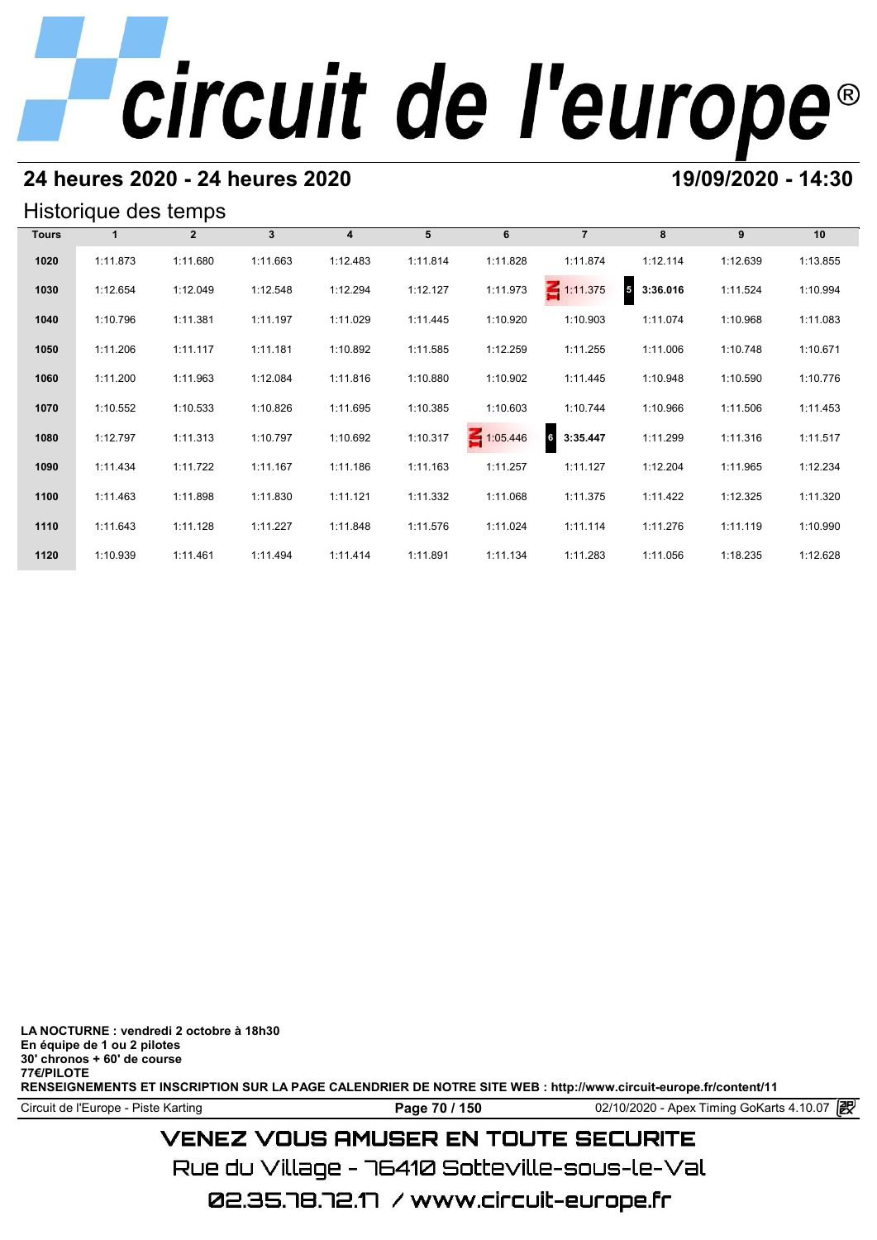# **24 heures 2020 - 24 heures 2020 19/09/2020 - 14:30**

## Historique des temps

| Historique des temps |          |              |              |          |          |          |                             |                                      |          |          |  |  |
|----------------------|----------|--------------|--------------|----------|----------|----------|-----------------------------|--------------------------------------|----------|----------|--|--|
| <b>Tours</b>         |          | $\mathbf{2}$ | $\mathbf{3}$ | 4        | 5        | 6        | $\overline{7}$              | 8                                    | 9        | 10       |  |  |
| 1020                 | 1:11.873 | 1:11.680     | 1:11.663     | 1:12.483 | 1:11.814 | 1:11.828 | 1:11.874                    | 1:12.114                             | 1:12.639 | 1:13.855 |  |  |
| 1030                 | 1:12.654 | 1:12.049     | 1:12.548     | 1:12.294 | 1:12.127 | 1:11.973 | $\leq 1:11.375$             | $\overline{\phantom{a}}$<br>3:36.016 | 1:11.524 | 1:10.994 |  |  |
| 1040                 | 1:10.796 | 1:11.381     | 1:11.197     | 1:11.029 | 1:11.445 | 1:10.920 | 1:10.903                    | 1:11.074                             | 1:10.968 | 1:11.083 |  |  |
| 1050                 | 1:11.206 | 1:11.117     | 1:11.181     | 1:10.892 | 1:11.585 | 1:12.259 | 1:11.255                    | 1:11.006                             | 1:10.748 | 1:10.671 |  |  |
| 1060                 | 1:11.200 | 1:11.963     | 1:12.084     | 1:11.816 | 1:10.880 | 1:10.902 | 1:11.445                    | 1:10.948                             | 1:10.590 | 1:10.776 |  |  |
| 1070                 | 1:10.552 | 1:10.533     | 1:10.826     | 1:11.695 | 1:10.385 | 1:10.603 | 1:10.744                    | 1:10.966                             | 1:11.506 | 1:11.453 |  |  |
| 1080                 | 1:12.797 | 1:11.313     | 1:10.797     | 1:10.692 | 1:10.317 | 1:05.446 | $6\phantom{.0}$<br>3:35.447 | 1:11.299                             | 1:11.316 | 1:11.517 |  |  |
| 1090                 | 1:11.434 | 1:11.722     | 1:11.167     | 1:11.186 | 1:11.163 | 1:11.257 | 1:11.127                    | 1:12.204                             | 1:11.965 | 1:12.234 |  |  |
| 1100                 | 1:11.463 | 1:11.898     | 1:11.830     | 1:11.121 | 1:11.332 | 1:11.068 | 1:11.375                    | 1:11.422                             | 1:12.325 | 1:11.320 |  |  |
| 1110                 | 1:11.643 | 1:11.128     | 1:11.227     | 1:11.848 | 1:11.576 | 1:11.024 | 1:11.114                    | 1:11.276                             | 1:11.119 | 1:10.990 |  |  |
| 1120                 | 1:10.939 | 1:11.461     | 1:11.494     | 1:11.414 | 1:11.891 | 1:11.134 | 1:11.283                    | 1:11.056                             | 1:18.235 | 1:12.628 |  |  |

**LA NOCTURNE : vendredi 2 octobre à 18h30 En équipe de 1 ou 2 pilotes 30' chronos + 60' de course 77€/PILOTE RENSEIGNEMENTS ET INSCRIPTION SUR LA PAGE CALENDRIER DE NOTRE SITE WEB : http://www.circuit-europe.fr/content/11**

Circuit de l'Europe - Piste Karting **Page 70 / 150 Page 70 / 150** 02/10/2020 - Apex Timing GoKarts 4.10.07

# **VENEZ VOUS AMUSER EN TOUTE SECURITE**

Rue du Village – 76410 Sotteville-sous-le-Val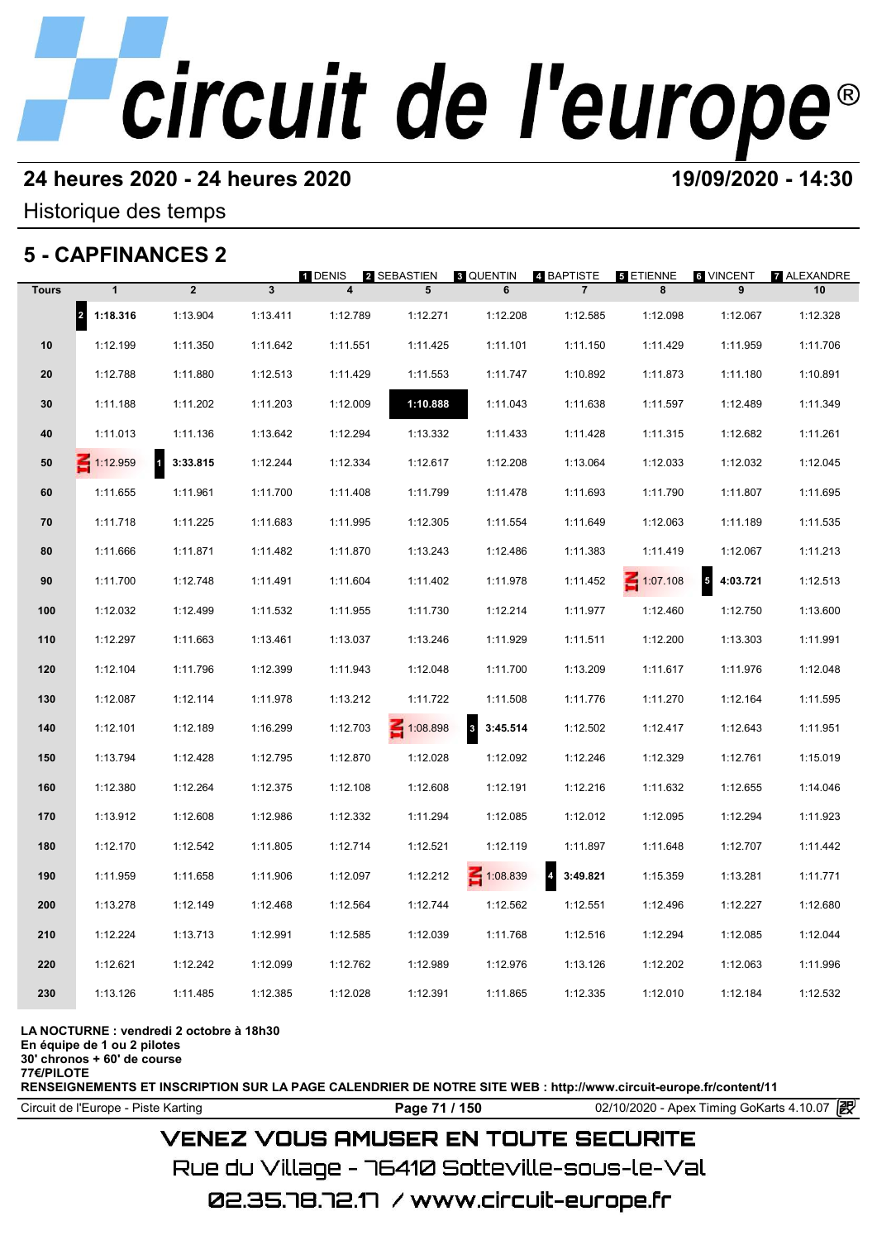# **24 heures 2020 - 24 heures 2020 19/09/2020 - 14:30**

Historique des temps

# **5 - CAPFINANCES 2**

|              | 5 - CAPFINANCES 2                |                          |              | <b>T</b> DENIS          | 2 SEBASTIEN | <b>8 QUENTIN</b> | 4 BAPTISTE                           | <b>5 ETIENNE</b> | 6 VINCENT                            | <b>7 ALEXANDRE</b> |
|--------------|----------------------------------|--------------------------|--------------|-------------------------|-------------|------------------|--------------------------------------|------------------|--------------------------------------|--------------------|
| <b>Tours</b> | $\mathbf{1}$                     | $\overline{2}$           | $\mathbf{3}$ | $\overline{\mathbf{4}}$ | 5           | 6                | $\overline{7}$                       | 8                | 9                                    | 10                 |
|              | $\vert$ <sub>2</sub><br>1:18.316 | 1:13.904                 | 1:13.411     | 1:12.789                | 1:12.271    | 1:12.208         | 1:12.585                             | 1:12.098         | 1:12.067                             | 1:12.328           |
| 10           | 1:12.199                         | 1:11.350                 | 1:11.642     | 1:11.551                | 1:11.425    | 1:11.101         | 1:11.150                             | 1:11.429         | 1:11.959                             | 1:11.706           |
| 20           | 1:12.788                         | 1:11.880                 | 1:12.513     | 1:11.429                | 1:11.553    | 1:11.747         | 1:10.892                             | 1:11.873         | 1:11.180                             | 1:10.891           |
| 30           | 1:11.188                         | 1:11.202                 | 1:11.203     | 1:12.009                | 1:10.888    | 1:11.043         | 1:11.638                             | 1:11.597         | 1:12.489                             | 1:11.349           |
| 40           | 1:11.013                         | 1:11.136                 | 1:13.642     | 1:12.294                | 1:13.332    | 1:11.433         | 1:11.428                             | 1:11.315         | 1:12.682                             | 1:11.261           |
| 50           | $\leq 1:12.959$                  | $\mathbf{d}$<br>3:33.815 | 1:12.244     | 1:12.334                | 1:12.617    | 1:12.208         | 1:13.064                             | 1:12.033         | 1:12.032                             | 1:12.045           |
| 60           | 1:11.655                         | 1:11.961                 | 1:11.700     | 1:11.408                | 1:11.799    | 1:11.478         | 1:11.693                             | 1:11.790         | 1:11.807                             | 1:11.695           |
| 70           | 1:11.718                         | 1:11.225                 | 1:11.683     | 1:11.995                | 1:12.305    | 1:11.554         | 1:11.649                             | 1:12.063         | 1:11.189                             | 1:11.535           |
| 80           | 1:11.666                         | 1:11.871                 | 1:11.482     | 1:11.870                | 1:13.243    | 1:12.486         | 1:11.383                             | 1:11.419         | 1:12.067                             | 1:11.213           |
| 90           | 1:11.700                         | 1:12.748                 | 1:11.491     | 1:11.604                | 1:11.402    | 1:11.978         | 1:11.452                             | $\leq 1:07.108$  | $\overline{\phantom{a}}$<br>4:03.721 | 1:12.513           |
| 100          | 1:12.032                         | 1:12.499                 | 1:11.532     | 1:11.955                | 1:11.730    | 1:12.214         | 1:11.977                             | 1:12.460         | 1:12.750                             | 1:13.600           |
| 110          | 1:12.297                         | 1:11.663                 | 1:13.461     | 1:13.037                | 1:13.246    | 1:11.929         | 1:11.511                             | 1:12.200         | 1:13.303                             | 1:11.991           |
| 120          | 1:12.104                         | 1:11.796                 | 1:12.399     | 1:11.943                | 1:12.048    | 1:11.700         | 1:13.209                             | 1:11.617         | 1:11.976                             | 1:12.048           |
| 130          | 1:12.087                         | 1:12.114                 | 1:11.978     | 1:13.212                | 1:11.722    | 1:11.508         | 1:11.776                             | 1:11.270         | 1:12.164                             | 1:11.595           |
| 140          | 1:12.101                         | 1:12.189                 | 1:16.299     | 1:12.703                | 1:08.898    | 3:45.514<br>3    | 1:12.502                             | 1:12.417         | 1:12.643                             | 1:11.951           |
| 150          | 1:13.794                         | 1:12.428                 | 1:12.795     | 1:12.870                | 1:12.028    | 1:12.092         | 1:12.246                             | 1:12.329         | 1:12.761                             | 1:15.019           |
| 160          | 1:12.380                         | 1:12.264                 | 1:12.375     | 1:12.108                | 1:12.608    | 1:12.191         | 1:12.216                             | 1:11.632         | 1:12.655                             | 1:14.046           |
| 170          | 1:13.912                         | 1:12.608                 | 1:12.986     | 1:12.332                | 1:11.294    | 1:12.085         | 1:12.012                             | 1:12.095         | 1:12.294                             | 1:11.923           |
| 180          | 1:12.170                         | 1:12.542                 | 1:11.805     | 1:12.714                | 1:12.521    | 1:12.119         | 1:11.897                             | 1:11.648         | 1:12.707                             | 1:11.442           |
| 190          | 1:11.959                         | 1:11.658                 | 1:11.906     | 1:12.097                | 1:12.212    | $\leq 1:08.839$  | $\overline{\phantom{a}}$<br>3:49.821 | 1:15.359         | 1:13.281                             | 1:11.771           |
| 200          | 1:13.278                         | 1:12.149                 | 1:12.468     | 1:12.564                | 1:12.744    | 1:12.562         | 1:12.551                             | 1:12.496         | 1:12.227                             | 1:12.680           |
| 210          | 1:12.224                         | 1:13.713                 | 1:12.991     | 1:12.585                | 1:12.039    | 1:11.768         | 1:12.516                             | 1:12.294         | 1:12.085                             | 1:12.044           |
| 220          | 1:12.621                         | 1:12.242                 | 1:12.099     | 1:12.762                | 1:12.989    | 1:12.976         | 1:13.126                             | 1:12.202         | 1:12.063                             | 1:11.996           |
| 230          | 1:13.126                         | 1:11.485                 | 1:12.385     | 1:12.028                | 1:12.391    | 1:11.865         | 1:12.335                             | 1:12.010         | 1:12.184                             | 1:12.532           |
|              |                                  |                          |              |                         |             |                  |                                      |                  |                                      |                    |

**LA NOCTURNE : vendredi 2 octobre à 18h30**

**En équipe de 1 ou 2 pilotes**

**30' chronos + 60' de course 77€/PILOTE**

**RENSEIGNEMENTS ET INSCRIPTION SUR LA PAGE CALENDRIER DE NOTRE SITE WEB : http://www.circuit-europe.fr/content/11**

Circuit de l'Europe - Piste Karting **Page 71 / 150** 02/10/2020 - Apex Timing GoKarts 4.10.07

# **VENEZ VOUS AMUSER EN TOUTE SECURITE**

Rue du Village – 76410 Sotteville-sous-le-Val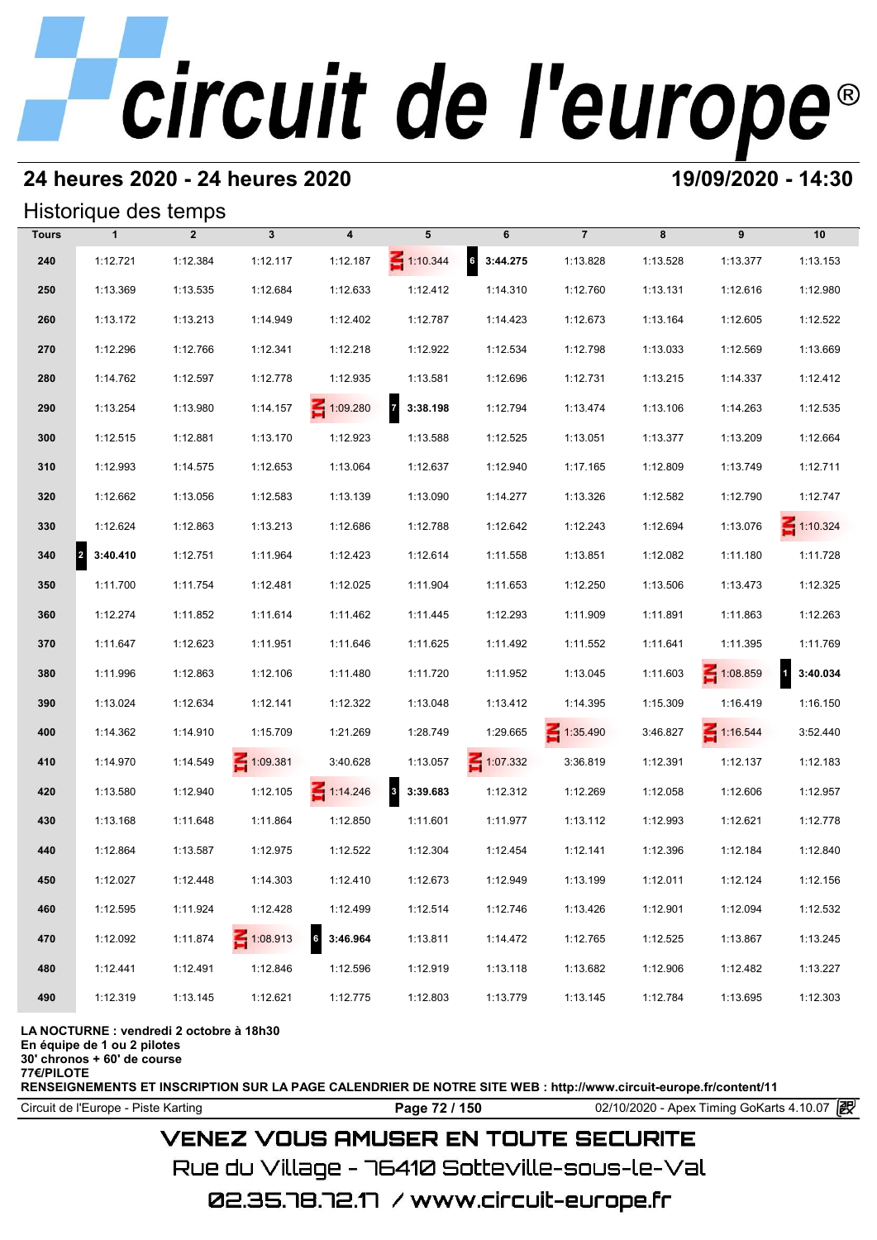# **24 heures 2020 - 24 heures 2020 19/09/2020 - 14:30**

## Historique des temps

| Historique des temps |                                  |                |              |                     |                            |                   |                 |          |                 |                          |
|----------------------|----------------------------------|----------------|--------------|---------------------|----------------------------|-------------------|-----------------|----------|-----------------|--------------------------|
| <b>Tours</b>         | $\mathbf{1}$                     | $\overline{2}$ | $\mathbf{3}$ | 4                   | 5                          | 6                 | $\overline{7}$  | 8        | 9               | 10                       |
| 240                  | 1:12.721                         | 1:12.384       | 1:12.117     | 1:12.187            | $\leq 1:10.344$            | $6\quad 3:44.275$ | 1:13.828        | 1:13.528 | 1:13.377        | 1:13.153                 |
| 250                  | 1:13.369                         | 1:13.535       | 1:12.684     | 1:12.633            | 1:12.412                   | 1:14.310          | 1:12.760        | 1:13.131 | 1:12.616        | 1:12.980                 |
| 260                  | 1:13.172                         | 1:13.213       | 1:14.949     | 1:12.402            | 1:12.787                   | 1:14.423          | 1:12.673        | 1:13.164 | 1:12.605        | 1:12.522                 |
| 270                  | 1:12.296                         | 1:12.766       | 1:12.341     | 1:12.218            | 1:12.922                   | 1:12.534          | 1:12.798        | 1:13.033 | 1:12.569        | 1:13.669                 |
| 280                  | 1:14.762                         | 1:12.597       | 1:12.778     | 1:12.935            | 1:13.581                   | 1:12.696          | 1:12.731        | 1:13.215 | 1:14.337        | 1:12.412                 |
| 290                  | 1:13.254                         | 1:13.980       | 1:14.157     | $\leq 1:09.280$     | $\overline{z}$<br>3:38.198 | 1:12.794          | 1:13.474        | 1:13.106 | 1:14.263        | 1:12.535                 |
| 300                  | 1:12.515                         | 1:12.881       | 1:13.170     | 1:12.923            | 1:13.588                   | 1:12.525          | 1:13.051        | 1:13.377 | 1:13.209        | 1:12.664                 |
| 310                  | 1:12.993                         | 1:14.575       | 1:12.653     | 1:13.064            | 1:12.637                   | 1:12.940          | 1:17.165        | 1:12.809 | 1:13.749        | 1:12.711                 |
| 320                  | 1:12.662                         | 1:13.056       | 1:12.583     | 1:13.139            | 1:13.090                   | 1:14.277          | 1:13.326        | 1:12.582 | 1:12.790        | 1:12.747                 |
| 330                  | 1:12.624                         | 1:12.863       | 1:13.213     | 1:12.686            | 1:12.788                   | 1:12.642          | 1:12.243        | 1:12.694 | 1:13.076        | $\leq 1:10.324$          |
| 340                  | $\vert$ <sub>2</sub><br>3:40.410 | 1:12.751       | 1:11.964     | 1:12.423            | 1:12.614                   | 1:11.558          | 1:13.851        | 1:12.082 | 1:11.180        | 1:11.728                 |
| 350                  | 1:11.700                         | 1:11.754       | 1:12.481     | 1:12.025            | 1:11.904                   | 1:11.653          | 1:12.250        | 1:13.506 | 1:13.473        | 1:12.325                 |
| 360                  | 1:12.274                         | 1:11.852       | 1:11.614     | 1:11.462            | 1:11.445                   | 1:12.293          | 1:11.909        | 1:11.891 | 1:11.863        | 1:12.263                 |
| 370                  | 1:11.647                         | 1:12.623       | 1:11.951     | 1:11.646            | 1:11.625                   | 1:11.492          | 1:11.552        | 1:11.641 | 1:11.395        | 1:11.769                 |
| 380                  | 1:11.996                         | 1:12.863       | 1:12.106     | 1:11.480            | 1:11.720                   | 1:11.952          | 1:13.045        | 1:11.603 | $\leq 1:08.859$ | $\mathbf{1}$<br>3:40.034 |
| 390                  | 1:13.024                         | 1:12.634       | 1:12.141     | 1:12.322            | 1:13.048                   | 1:13.412          | 1:14.395        | 1:15.309 | 1:16.419        | 1:16.150                 |
| 400                  | 1:14.362                         | 1:14.910       | 1:15.709     | 1:21.269            | 1:28.749                   | 1:29.665          | $\leq 1:35.490$ | 3:46.827 | 1:16.544        | 3:52.440                 |
| 410                  | 1:14.970                         | 1:14.549       | 1:09.381     | 3:40.628            | 1:13.057                   | $\leq 1:07.332$   | 3:36.819        | 1:12.391 | 1:12.137        | 1:12.183                 |
| 420                  | 1:13.580                         | 1:12.940       | 1:12.105     | $\leq 1:14.246$     | $\mathbf{3}$<br>3:39.683   | 1:12.312          | 1:12.269        | 1:12.058 | 1:12.606        | 1:12.957                 |
| 430                  | 1:13.168                         | 1:11.648       | 1:11.864     | 1:12.850            | 1:11.601                   | 1:11.977          | 1:13.112        | 1:12.993 | 1:12.621        | 1:12.778                 |
| 440                  | 1:12.864                         | 1:13.587       | 1:12.975     | 1:12.522            | 1:12.304                   | 1:12.454          | 1:12.141        | 1:12.396 | 1:12.184        | 1:12.840                 |
| 450                  | 1:12.027                         | 1:12.448       | 1:14.303     | 1:12.410            | 1:12.673                   | 1:12.949          | 1:13.199        | 1:12.011 | 1:12.124        | 1:12.156                 |
| 460                  | 1:12.595                         | 1:11.924       | 1:12.428     | 1:12.499            | 1:12.514                   | 1:12.746          | 1:13.426        | 1:12.901 | 1:12.094        | 1:12.532                 |
| 470                  | 1:12.092                         | 1:11.874       | 1:08.913     | $\bf 6$<br>3:46.964 | 1:13.811                   | 1:14.472          | 1:12.765        | 1:12.525 | 1:13.867        | 1:13.245                 |
| 480                  | 1:12.441                         | 1:12.491       | 1:12.846     | 1:12.596            | 1:12.919                   | 1:13.118          | 1:13.682        | 1:12.906 | 1:12.482        | 1:13.227                 |
| 490                  | 1:12.319                         | 1:13.145       | 1:12.621     | 1:12.775            | 1:12.803                   | 1:13.779          | 1:13.145        | 1:12.784 | 1:13.695        | 1:12.303                 |

### **LA NOCTURNE : vendredi 2 octobre à 18h30**

**En équipe de 1 ou 2 pilotes**

**30' chronos + 60' de course**

**77€/PILOTE**

**RENSEIGNEMENTS ET INSCRIPTION SUR LA PAGE CALENDRIER DE NOTRE SITE WEB : http://www.circuit-europe.fr/content/11**

Circuit de l'Europe - Piste Karting **Page 72 / 150 Page 72 / 150** 02/10/2020 - Apex Timing GoKarts 4.10.07 **P** 

# **VENEZ VOUS AMUSER EN TOUTE SECURITE**

Rue du Village – 76410 Sotteville-sous-le-Val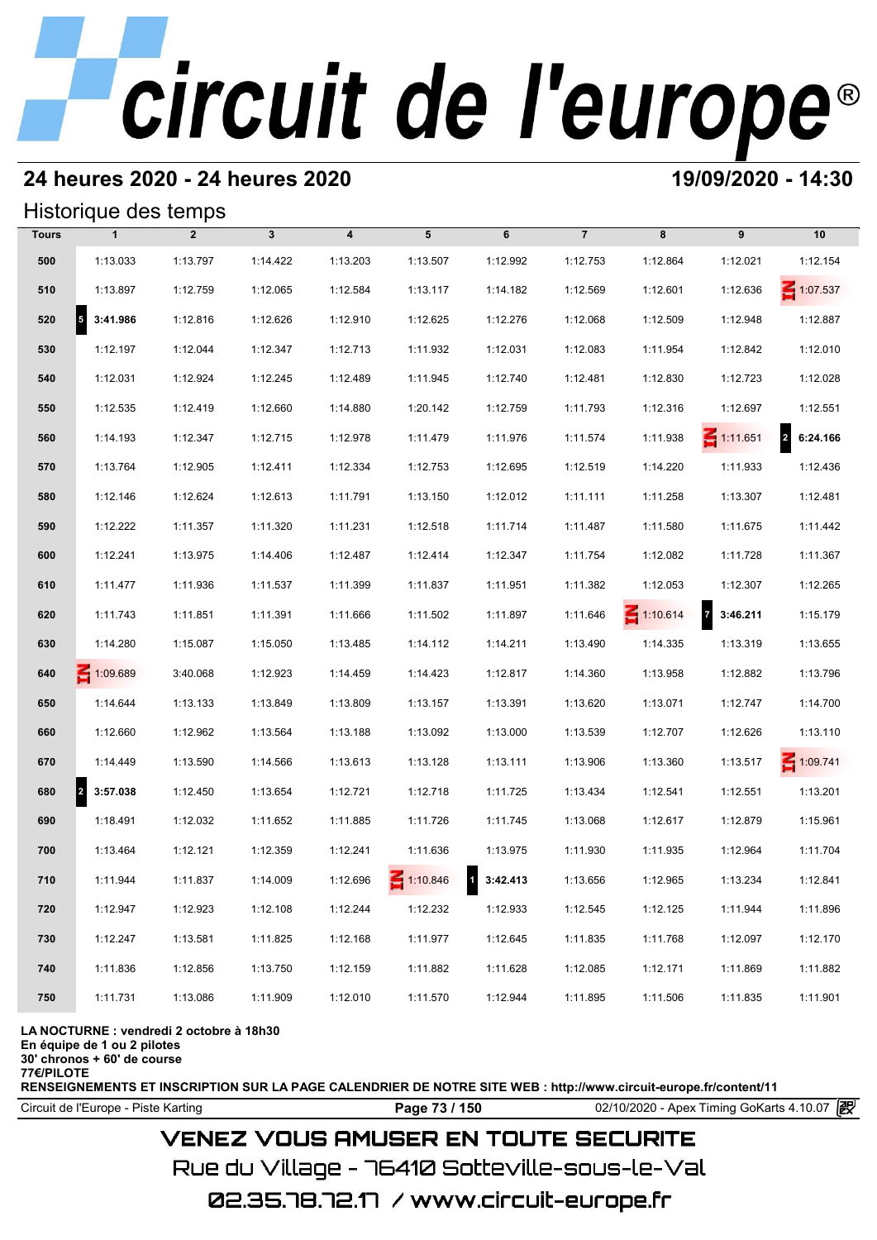#### **24 heures 2020 - 24 heures 2020 19/09/2020 - 14:30**

#### Historique des temps

|              | Historique des temps             |                |              |                         |                 |            |                |                 |                   |                 |
|--------------|----------------------------------|----------------|--------------|-------------------------|-----------------|------------|----------------|-----------------|-------------------|-----------------|
| <b>Tours</b> | $\mathbf{1}$                     | $\overline{2}$ | $\mathbf{3}$ | $\overline{\mathbf{4}}$ | 5               | 6          | $\overline{7}$ | 8               | 9                 | 10              |
| 500          | 1:13.033                         | 1:13.797       | 1:14.422     | 1:13.203                | 1:13.507        | 1:12.992   | 1:12.753       | 1:12.864        | 1:12.021          | 1:12.154        |
| 510          | 1:13.897                         | 1:12.759       | 1:12.065     | 1:12.584                | 1:13.117        | 1:14.182   | 1:12.569       | 1:12.601        | 1:12.636          | $\leq 1:07.537$ |
| 520          | 3:41.986<br>5                    | 1:12.816       | 1:12.626     | 1:12.910                | 1:12.625        | 1:12.276   | 1:12.068       | 1:12.509        | 1:12.948          | 1:12.887        |
| 530          | 1:12.197                         | 1:12.044       | 1:12.347     | 1:12.713                | 1:11.932        | 1:12.031   | 1:12.083       | 1:11.954        | 1:12.842          | 1:12.010        |
| 540          | 1:12.031                         | 1:12.924       | 1:12.245     | 1:12.489                | 1:11.945        | 1:12.740   | 1:12.481       | 1:12.830        | 1:12.723          | 1:12.028        |
| 550          | 1:12.535                         | 1:12.419       | 1:12.660     | 1:14.880                | 1:20.142        | 1:12.759   | 1:11.793       | 1:12.316        | 1:12.697          | 1:12.551        |
| 560          | 1:14.193                         | 1:12.347       | 1:12.715     | 1:12.978                | 1:11.479        | 1:11.976   | 1:11.574       | 1:11.938        | $\leq 1:11.651$   | 2 6:24.166      |
| 570          | 1:13.764                         | 1:12.905       | 1:12.411     | 1:12.334                | 1:12.753        | 1:12.695   | 1:12.519       | 1:14.220        | 1:11.933          | 1:12.436        |
| 580          | 1:12.146                         | 1:12.624       | 1:12.613     | 1:11.791                | 1:13.150        | 1:12.012   | 1:11.111       | 1:11.258        | 1:13.307          | 1:12.481        |
| 590          | 1:12.222                         | 1:11.357       | 1:11.320     | 1:11.231                | 1:12.518        | 1:11.714   | 1:11.487       | 1:11.580        | 1:11.675          | 1:11.442        |
| 600          | 1:12.241                         | 1:13.975       | 1:14.406     | 1:12.487                | 1:12.414        | 1:12.347   | 1:11.754       | 1:12.082        | 1:11.728          | 1:11.367        |
| 610          | 1:11.477                         | 1:11.936       | 1:11.537     | 1:11.399                | 1:11.837        | 1:11.951   | 1:11.382       | 1:12.053        | 1:12.307          | 1:12.265        |
| 620          | 1:11.743                         | 1:11.851       | 1:11.391     | 1:11.666                | 1:11.502        | 1:11.897   | 1:11.646       | $\leq 1:10.614$ | $7\quad 3:46.211$ | 1:15.179        |
| 630          | 1:14.280                         | 1:15.087       | 1:15.050     | 1:13.485                | 1:14.112        | 1:14.211   | 1:13.490       | 1:14.335        | 1:13.319          | 1:13.655        |
| 640          | 1:09.689                         | 3:40.068       | 1:12.923     | 1:14.459                | 1:14.423        | 1:12.817   | 1:14.360       | 1:13.958        | 1:12.882          | 1:13.796        |
| 650          | 1:14.644                         | 1:13.133       | 1:13.849     | 1:13.809                | 1:13.157        | 1:13.391   | 1:13.620       | 1:13.071        | 1:12.747          | 1:14.700        |
| 660          | 1:12.660                         | 1:12.962       | 1:13.564     | 1:13.188                | 1:13.092        | 1:13.000   | 1:13.539       | 1:12.707        | 1:12.626          | 1:13.110        |
| 670          | 1:14.449                         | 1:13.590       | 1:14.566     | 1:13.613                | 1:13.128        | 1:13.111   | 1:13.906       | 1:13.360        | 1:13.517          | $\leq 1:09.741$ |
| 680          | $\vert$ <sup>2</sup><br>3:57.038 | 1:12.450       | 1:13.654     | 1:12.721                | 1:12.718        | 1:11.725   | 1:13.434       | 1:12.541        | 1:12.551          | 1:13.201        |
| 690          | 1:18.491                         | 1:12.032       | 1:11.652     | 1:11.885                | 1:11.726        | 1:11.745   | 1:13.068       | 1:12.617        | 1:12.879          | 1:15.961        |
| 700          | 1:13.464                         | 1:12.121       | 1:12.359     | 1:12.241                | 1:11.636        | 1:13.975   | 1:11.930       | 1:11.935        | 1:12.964          | 1:11.704        |
| 710          | 1:11.944                         | 1:11.837       | 1:14.009     | 1:12.696                | $\leq 1:10.846$ | 1 3:42.413 | 1:13.656       | 1:12.965        | 1:13.234          | 1:12.841        |
| 720          | 1:12.947                         | 1:12.923       | 1:12.108     | 1:12.244                | 1:12.232        | 1:12.933   | 1:12.545       | 1:12.125        | 1:11.944          | 1:11.896        |
| 730          | 1:12.247                         | 1:13.581       | 1:11.825     | 1:12.168                | 1:11.977        | 1:12.645   | 1:11.835       | 1:11.768        | 1:12.097          | 1:12.170        |
| 740          | 1:11.836                         | 1:12.856       | 1:13.750     | 1:12.159                | 1:11.882        | 1:11.628   | 1:12.085       | 1:12.171        | 1:11.869          | 1:11.882        |
| 750          | 1:11.731                         | 1:13.086       | 1:11.909     | 1:12.010                | 1:11.570        | 1:12.944   | 1:11.895       | 1:11.506        | 1:11.835          | 1:11.901        |
|              |                                  |                |              |                         |                 |            |                |                 |                   |                 |

**LA NOCTURNE : vendredi 2 octobre à 18h30**

**En équipe de 1 ou 2 pilotes**

**30' chronos + 60' de course 77€/PILOTE**

**RENSEIGNEMENTS ET INSCRIPTION SUR LA PAGE CALENDRIER DE NOTRE SITE WEB : http://www.circuit-europe.fr/content/11**

Circuit de l'Europe - Piste Karting **Page 73 / 150 Page 73 / 150** 02/10/2020 - Apex Timing GoKarts 4.10.07

### **VENEZ VOUS AMUSER EN TOUTE SECURITE**

Rue du Village – 76410 Sotteville-sous-le-Val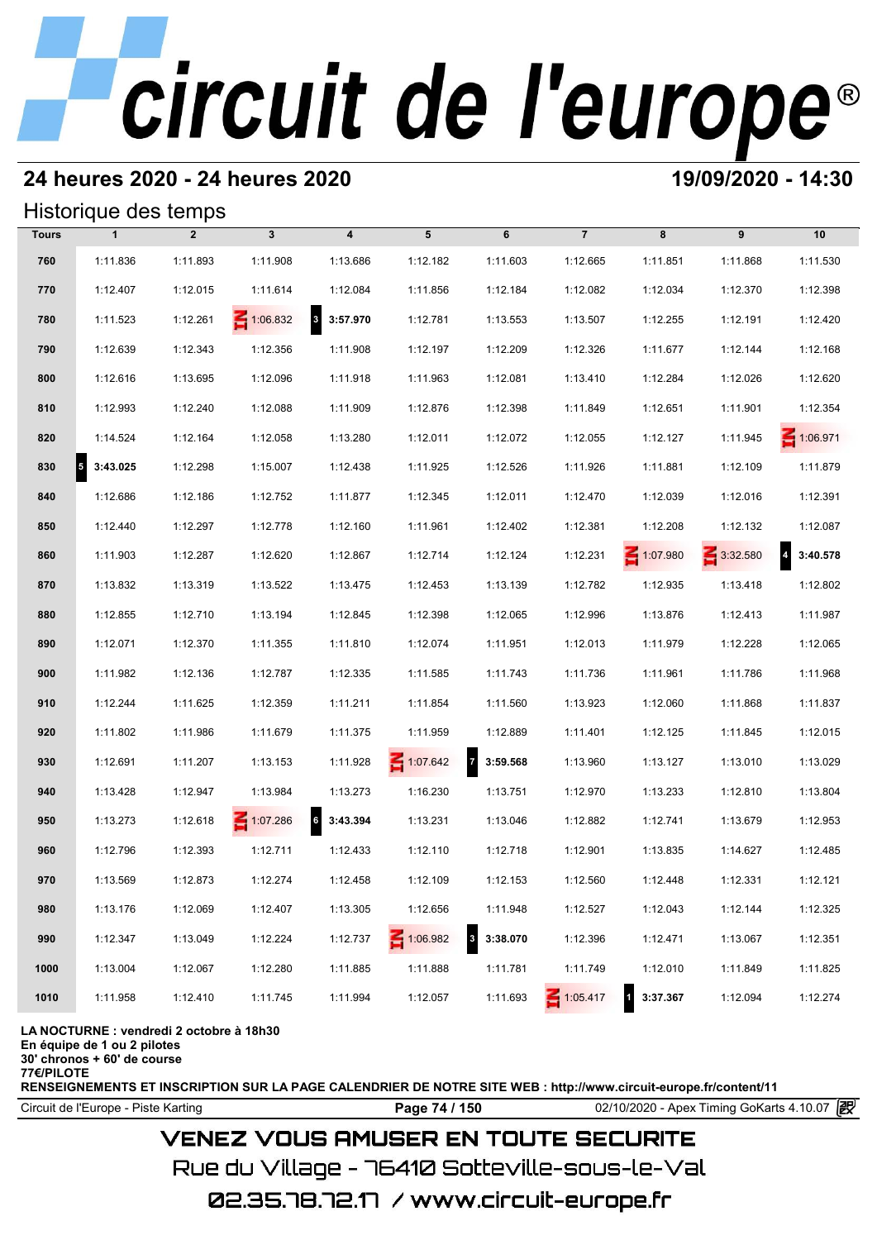## **24 heures 2020 - 24 heures 2020 19/09/2020 - 14:30**

#### Historique des temps

|              | Historique des temps                 |                |              |                                     |          |                                     |                 |            |          |          |
|--------------|--------------------------------------|----------------|--------------|-------------------------------------|----------|-------------------------------------|-----------------|------------|----------|----------|
| <b>Tours</b> | $\mathbf{1}$                         | $\overline{2}$ | $\mathbf{3}$ | $\overline{\mathbf{4}}$             | 5        | 6                                   | $\overline{7}$  | 8          | 9        | 10       |
| 760          | 1:11.836                             | 1:11.893       | 1:11.908     | 1:13.686                            | 1:12.182 | 1:11.603                            | 1:12.665        | 1:11.851   | 1:11.868 | 1:11.530 |
| 770          | 1:12.407                             | 1:12.015       | 1:11.614     | 1:12.084                            | 1:11.856 | 1:12.184                            | 1:12.082        | 1:12.034   | 1:12.370 | 1:12.398 |
| 780          | 1:11.523                             | 1:12.261       | 1:06.832     | $\overline{\mathbf{3}}$<br>3:57.970 | 1:12.781 | 1:13.553                            | 1:13.507        | 1:12.255   | 1:12.191 | 1:12.420 |
| 790          | 1:12.639                             | 1:12.343       | 1:12.356     | 1:11.908                            | 1:12.197 | 1:12.209                            | 1:12.326        | 1:11.677   | 1:12.144 | 1:12.168 |
| 800          | 1:12.616                             | 1:13.695       | 1:12.096     | 1:11.918                            | 1:11.963 | 1:12.081                            | 1:13.410        | 1:12.284   | 1:12.026 | 1:12.620 |
| 810          | 1:12.993                             | 1:12.240       | 1:12.088     | 1:11.909                            | 1:12.876 | 1:12.398                            | 1:11.849        | 1:12.651   | 1:11.901 | 1:12.354 |
| 820          | 1:14.524                             | 1:12.164       | 1:12.058     | 1:13.280                            | 1:12.011 | 1:12.072                            | 1:12.055        | 1:12.127   | 1:11.945 | 1:06.971 |
| 830          | $\overline{\phantom{a}}$<br>3:43.025 | 1:12.298       | 1:15.007     | 1:12.438                            | 1:11.925 | 1:12.526                            | 1:11.926        | 1:11.881   | 1:12.109 | 1:11.879 |
| 840          | 1:12.686                             | 1:12.186       | 1:12.752     | 1:11.877                            | 1:12.345 | 1:12.011                            | 1:12.470        | 1:12.039   | 1:12.016 | 1:12.391 |
| 850          | 1:12.440                             | 1:12.297       | 1:12.778     | 1:12.160                            | 1:11.961 | 1:12.402                            | 1:12.381        | 1:12.208   | 1:12.132 | 1:12.087 |
| 860          | 1:11.903                             | 1:12.287       | 1:12.620     | 1:12.867                            | 1:12.714 | 1:12.124                            | 1:12.231        | 1:07.980   | 3:32.580 | 3:40.578 |
| 870          | 1:13.832                             | 1:13.319       | 1:13.522     | 1:13.475                            | 1:12.453 | 1:13.139                            | 1:12.782        | 1:12.935   | 1:13.418 | 1:12.802 |
| 880          | 1:12.855                             | 1:12.710       | 1:13.194     | 1:12.845                            | 1:12.398 | 1:12.065                            | 1:12.996        | 1:13.876   | 1:12.413 | 1:11.987 |
| 890          | 1:12.071                             | 1:12.370       | 1:11.355     | 1:11.810                            | 1:12.074 | 1:11.951                            | 1:12.013        | 1:11.979   | 1:12.228 | 1:12.065 |
| 900          | 1:11.982                             | 1:12.136       | 1:12.787     | 1:12.335                            | 1:11.585 | 1:11.743                            | 1:11.736        | 1:11.961   | 1:11.786 | 1:11.968 |
| 910          | 1:12.244                             | 1:11.625       | 1:12.359     | 1:11.211                            | 1:11.854 | 1:11.560                            | 1:13.923        | 1:12.060   | 1:11.868 | 1:11.837 |
| 920          | 1:11.802                             | 1:11.986       | 1:11.679     | 1:11.375                            | 1:11.959 | 1:12.889                            | 1:11.401        | 1:12.125   | 1:11.845 | 1:12.015 |
| 930          | 1:12.691                             | 1:11.207       | 1:13.153     | 1:11.928                            | 1:07.642 | $\overline{7}$<br>3:59.568          | 1:13.960        | 1:13.127   | 1:13.010 | 1:13.029 |
| 940          | 1:13.428                             | 1:12.947       | 1:13.984     | 1:13.273                            | 1:16.230 | 1:13.751                            | 1:12.970        | 1:13.233   | 1:12.810 | 1:13.804 |
| 950          | 1:13.273                             | 1:12.618       | $-1:07.286$  | $\overline{\bf{6}}$<br>3:43.394     | 1:13.231 | 1:13.046                            | 1:12.882        | 1:12.741   | 1:13.679 | 1:12.953 |
| 960          | 1:12.796                             | 1:12.393       | 1:12.711     | 1:12.433                            | 1:12.110 | 1:12.718                            | 1:12.901        | 1:13.835   | 1:14.627 | 1:12.485 |
| 970          | 1:13.569                             | 1:12.873       | 1:12.274     | 1:12.458                            | 1:12.109 | 1:12.153                            | 1:12.560        | 1:12.448   | 1:12.331 | 1:12.121 |
| 980          | 1:13.176                             | 1:12.069       | 1:12.407     | 1:13.305                            | 1:12.656 | 1:11.948                            | 1:12.527        | 1:12.043   | 1:12.144 | 1:12.325 |
| 990          | 1:12.347                             | 1:13.049       | 1:12.224     | 1:12.737                            | 1:06.982 | $\overline{\mathbf{3}}$<br>3:38.070 | 1:12.396        | 1:12.471   | 1:13.067 | 1:12.351 |
| 1000         | 1:13.004                             | 1:12.067       | 1:12.280     | 1:11.885                            | 1:11.888 | 1:11.781                            | 1:11.749        | 1:12.010   | 1:11.849 | 1:11.825 |
| 1010         | 1:11.958                             | 1:12.410       | 1:11.745     | 1:11.994                            | 1:12.057 | 1:11.693                            | $\leq 1:05.417$ | 1 3:37.367 | 1:12.094 | 1:12.274 |

**LA NOCTURNE : vendredi 2 octobre à 18h30**

**En équipe de 1 ou 2 pilotes**

**30' chronos + 60' de course 77€/PILOTE**

**RENSEIGNEMENTS ET INSCRIPTION SUR LA PAGE CALENDRIER DE NOTRE SITE WEB : http://www.circuit-europe.fr/content/11**

Circuit de l'Europe - Piste Karting **Page 74 / 150 Page 74 / 150** 02/10/2020 - Apex Timing GoKarts 4.10.07

### **VENEZ VOUS AMUSER EN TOUTE SECURITE**

Rue du Village – 76410 Sotteville-sous-le-Val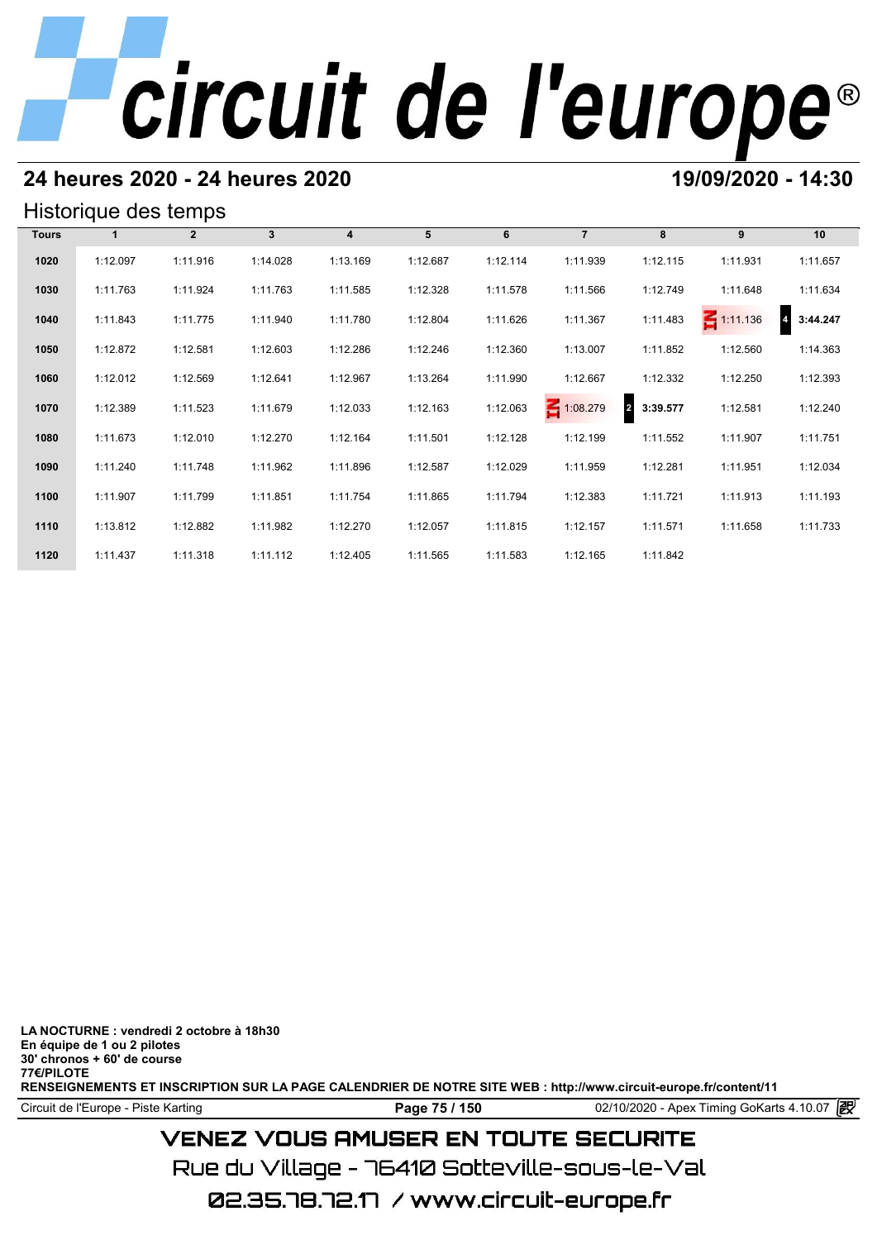### **24 heures 2020 - 24 heures 2020 19/09/2020 - 14:30**

#### Historique des temps

| Historique des temps |          |              |              |          |          |          |                |                            |                 |          |  |  |
|----------------------|----------|--------------|--------------|----------|----------|----------|----------------|----------------------------|-----------------|----------|--|--|
| <b>Tours</b>         |          | $\mathbf{2}$ | $\mathbf{3}$ | 4        | 5        | 6        | $\overline{7}$ | 8                          | 9               | 10       |  |  |
| 1020                 | 1:12.097 | 1:11.916     | 1:14.028     | 1:13.169 | 1:12.687 | 1:12.114 | 1:11.939       | 1:12.115                   | 1:11.931        | 1:11.657 |  |  |
| 1030                 | 1:11.763 | 1:11.924     | 1:11.763     | 1:11.585 | 1:12.328 | 1:11.578 | 1:11.566       | 1:12.749                   | 1:11.648        | 1:11.634 |  |  |
| 1040                 | 1:11.843 | 1:11.775     | 1:11.940     | 1:11.780 | 1:12.804 | 1:11.626 | 1:11.367       | 1:11.483                   | $\leq 1:11.136$ | 3:44.247 |  |  |
| 1050                 | 1:12.872 | 1:12.581     | 1:12.603     | 1:12.286 | 1:12.246 | 1:12.360 | 1:13.007       | 1:11.852                   | 1:12.560        | 1:14.363 |  |  |
| 1060                 | 1:12.012 | 1:12.569     | 1:12.641     | 1:12.967 | 1:13.264 | 1:11.990 | 1:12.667       | 1:12.332                   | 1:12.250        | 1:12.393 |  |  |
| 1070                 | 1:12.389 | 1:11.523     | 1:11.679     | 1:12.033 | 1:12.163 | 1:12.063 | 1:08.279       | $\overline{2}$<br>3:39.577 | 1:12.581        | 1:12.240 |  |  |
| 1080                 | 1:11.673 | 1:12.010     | 1:12.270     | 1:12.164 | 1:11.501 | 1:12.128 | 1:12.199       | 1:11.552                   | 1:11.907        | 1:11.751 |  |  |
| 1090                 | 1:11.240 | 1:11.748     | 1:11.962     | 1:11.896 | 1:12.587 | 1:12.029 | 1:11.959       | 1:12.281                   | 1:11.951        | 1:12.034 |  |  |
| 1100                 | 1:11.907 | 1:11.799     | 1:11.851     | 1:11.754 | 1:11.865 | 1:11.794 | 1:12.383       | 1:11.721                   | 1:11.913        | 1:11.193 |  |  |
| 1110                 | 1:13.812 | 1:12.882     | 1:11.982     | 1:12.270 | 1:12.057 | 1:11.815 | 1:12.157       | 1:11.571                   | 1:11.658        | 1:11.733 |  |  |
| 1120                 | 1:11.437 | 1:11.318     | 1:11.112     | 1:12.405 | 1:11.565 | 1:11.583 | 1:12.165       | 1:11.842                   |                 |          |  |  |

**LA NOCTURNE : vendredi 2 octobre à 18h30 En équipe de 1 ou 2 pilotes 30' chronos + 60' de course 77€/PILOTE RENSEIGNEMENTS ET INSCRIPTION SUR LA PAGE CALENDRIER DE NOTRE SITE WEB : http://www.circuit-europe.fr/content/11**

Circuit de l'Europe - Piste Karting **Page 75 / 150** 02/10/2020 - Apex Timing GoKarts 4.10.07

## **VENEZ VOUS AMUSER EN TOUTE SECURITE**

Rue du Village – 76410 Sotteville-sous-le-Val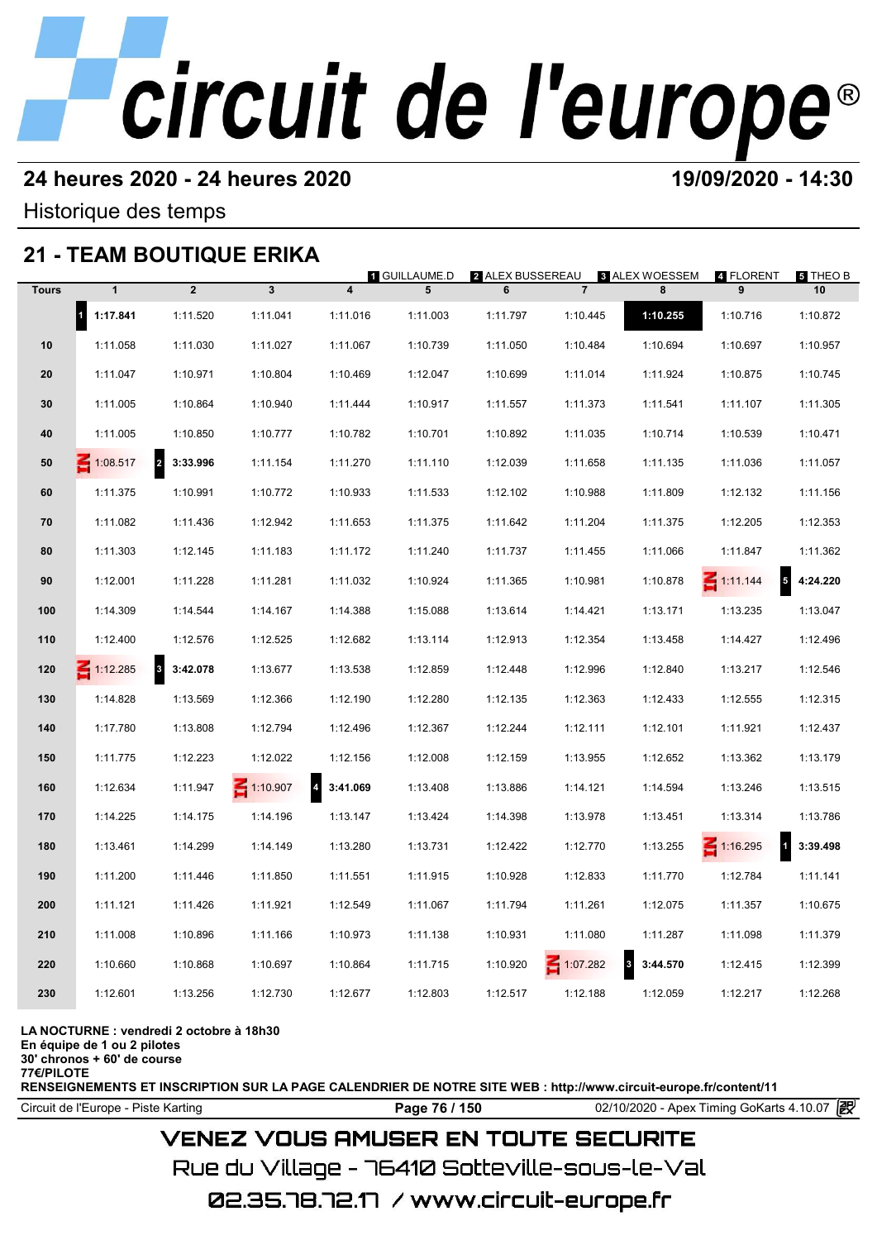### **24 heures 2020 - 24 heures 2020 19/09/2020 - 14:30**

Historique des temps

## **21 - TEAM BOUTIQUE ERIKA**

|              |                          |                              | 21 - IEAM BOUTIQUE ERIKA |                            |                           |                       |                |                              |                                             |                |
|--------------|--------------------------|------------------------------|--------------------------|----------------------------|---------------------------|-----------------------|----------------|------------------------------|---------------------------------------------|----------------|
| <b>Tours</b> | $\mathbf{1}$             | $\overline{2}$               | $\overline{\mathbf{3}}$  | $\overline{\mathbf{4}}$    | <b>1 GUILLAUME.D</b><br>5 | 2 ALEX BUSSEREAU<br>6 | $\overline{7}$ | 8 ALEX WOESSEM<br>8          | 4 FLORENT<br>9                              | 5 THEO B<br>10 |
|              | $\mathbf{I}$<br>1:17.841 | 1:11.520                     | 1:11.041                 | 1:11.016                   | 1:11.003                  | 1:11.797              | 1:10.445       | 1:10.255                     | 1:10.716                                    | 1:10.872       |
| 10           | 1:11.058                 | 1:11.030                     | 1:11.027                 | 1:11.067                   | 1:10.739                  | 1:11.050              | 1:10.484       | 1:10.694                     | 1:10.697                                    | 1:10.957       |
| 20           | 1:11.047                 | 1:10.971                     | 1:10.804                 | 1:10.469                   | 1:12.047                  | 1:10.699              | 1:11.014       | 1:11.924                     | 1:10.875                                    | 1:10.745       |
| 30           | 1:11.005                 | 1:10.864                     | 1:10.940                 | 1:11.444                   | 1:10.917                  | 1:11.557              | 1:11.373       | 1:11.541                     | 1:11.107                                    | 1:11.305       |
| 40           | 1:11.005                 | 1:10.850                     | 1:10.777                 | 1:10.782                   | 1:10.701                  | 1:10.892              | 1:11.035       | 1:10.714                     | 1:10.539                                    | 1:10.471       |
| 50           | $\leq 1:08.517$          | $\overline{a}$<br>3:33.996   | 1:11.154                 | 1:11.270                   | 1:11.110                  | 1:12.039              | 1:11.658       | 1:11.135                     | 1:11.036                                    | 1:11.057       |
| 60           | 1:11.375                 | 1:10.991                     | 1:10.772                 | 1:10.933                   | 1:11.533                  | 1:12.102              | 1:10.988       | 1:11.809                     | 1:12.132                                    | 1:11.156       |
| 70           | 1:11.082                 | 1:11.436                     | 1:12.942                 | 1:11.653                   | 1:11.375                  | 1:11.642              | 1:11.204       | 1:11.375                     | 1:12.205                                    | 1:12.353       |
| 80           | 1:11.303                 | 1:12.145                     | 1:11.183                 | 1:11.172                   | 1:11.240                  | 1:11.737              | 1:11.455       | 1:11.066                     | 1:11.847                                    | 1:11.362       |
| 90           | 1:12.001                 | 1:11.228                     | 1:11.281                 | 1:11.032                   | 1:10.924                  | 1:11.365              | 1:10.981       | 1:10.878                     | $\overline{\phantom{a}}$<br>$\leq 1:11.144$ | 4:24.220       |
| 100          | 1:14.309                 | 1:14.544                     | 1:14.167                 | 1:14.388                   | 1:15.088                  | 1:13.614              | 1:14.421       | 1:13.171                     | 1:13.235                                    | 1:13.047       |
| 110          | 1:12.400                 | 1:12.576                     | 1:12.525                 | 1:12.682                   | 1:13.114                  | 1:12.913              | 1:12.354       | 1:13.458                     | 1:14.427                                    | 1:12.496       |
| 120          | $\leq 1:12.285$          | $\boldsymbol{3}$<br>3:42.078 | 1:13.677                 | 1:13.538                   | 1:12.859                  | 1:12.448              | 1:12.996       | 1:12.840                     | 1:13.217                                    | 1:12.546       |
| 130          | 1:14.828                 | 1:13.569                     | 1:12.366                 | 1:12.190                   | 1:12.280                  | 1:12.135              | 1:12.363       | 1:12.433                     | 1:12.555                                    | 1:12.315       |
| 140          | 1:17.780                 | 1:13.808                     | 1:12.794                 | 1:12.496                   | 1:12.367                  | 1:12.244              | 1:12.111       | 1:12.101                     | 1:11.921                                    | 1:12.437       |
| 150          | 1:11.775                 | 1:12.223                     | 1:12.022                 | 1:12.156                   | 1:12.008                  | 1:12.159              | 1:13.955       | 1:12.652                     | 1:13.362                                    | 1:13.179       |
| 160          | 1:12.634                 | 1:11.947                     | $\leq 1:10.907$          | $\overline{4}$<br>3:41.069 | 1:13.408                  | 1:13.886              | 1:14.121       | 1:14.594                     | 1:13.246                                    | 1:13.515       |
| 170          | 1:14.225                 | 1:14.175                     | 1:14.196                 | 1:13.147                   | 1:13.424                  | 1:14.398              | 1:13.978       | 1:13.451                     | 1:13.314                                    | 1:13.786       |
| 180          | 1:13.461                 | 1:14.299                     | 1:14.149                 | 1:13.280                   | 1:13.731                  | 1:12.422              | 1:12.770       | 1:13.255                     | $\leq 1:16.295$<br>$\overline{1}$           | 3:39.498       |
| 190          | 1:11.200                 | 1:11.446                     | 1:11.850                 | 1:11.551                   | 1:11.915                  | 1:10.928              | 1:12.833       | 1:11.770                     | 1:12.784                                    | 1:11.141       |
| 200          | 1:11.121                 | 1:11.426                     | 1:11.921                 | 1:12.549                   | 1:11.067                  | 1:11.794              | 1:11.261       | 1:12.075                     | 1:11.357                                    | 1:10.675       |
| 210          | 1:11.008                 | 1:10.896                     | 1:11.166                 | 1:10.973                   | 1:11.138                  | 1:10.931              | 1:11.080       | 1:11.287                     | 1:11.098                                    | 1:11.379       |
| 220          | 1:10.660                 | 1:10.868                     | 1:10.697                 | 1:10.864                   | 1:11.715                  | 1:10.920              | $-1:07.282$    | $\boldsymbol{3}$<br>3:44.570 | 1:12.415                                    | 1:12.399       |
| 230          | 1:12.601                 | 1:13.256                     | 1:12.730                 | 1:12.677                   | 1:12.803                  | 1:12.517              | 1:12.188       | 1:12.059                     | 1:12.217                                    | 1:12.268       |
|              |                          |                              |                          |                            |                           |                       |                |                              |                                             |                |

**LA NOCTURNE : vendredi 2 octobre à 18h30**

**En équipe de 1 ou 2 pilotes**

**30' chronos + 60' de course 77€/PILOTE**

**RENSEIGNEMENTS ET INSCRIPTION SUR LA PAGE CALENDRIER DE NOTRE SITE WEB : http://www.circuit-europe.fr/content/11**

Circuit de l'Europe - Piste Karting **Page 76 / 150 Page 76 / 150** 02/10/2020 - Apex Timing GoKarts 4.10.07

### **VENEZ VOUS AMUSER EN TOUTE SECURITE**

Rue du Village – 76410 Sotteville-sous-le-Val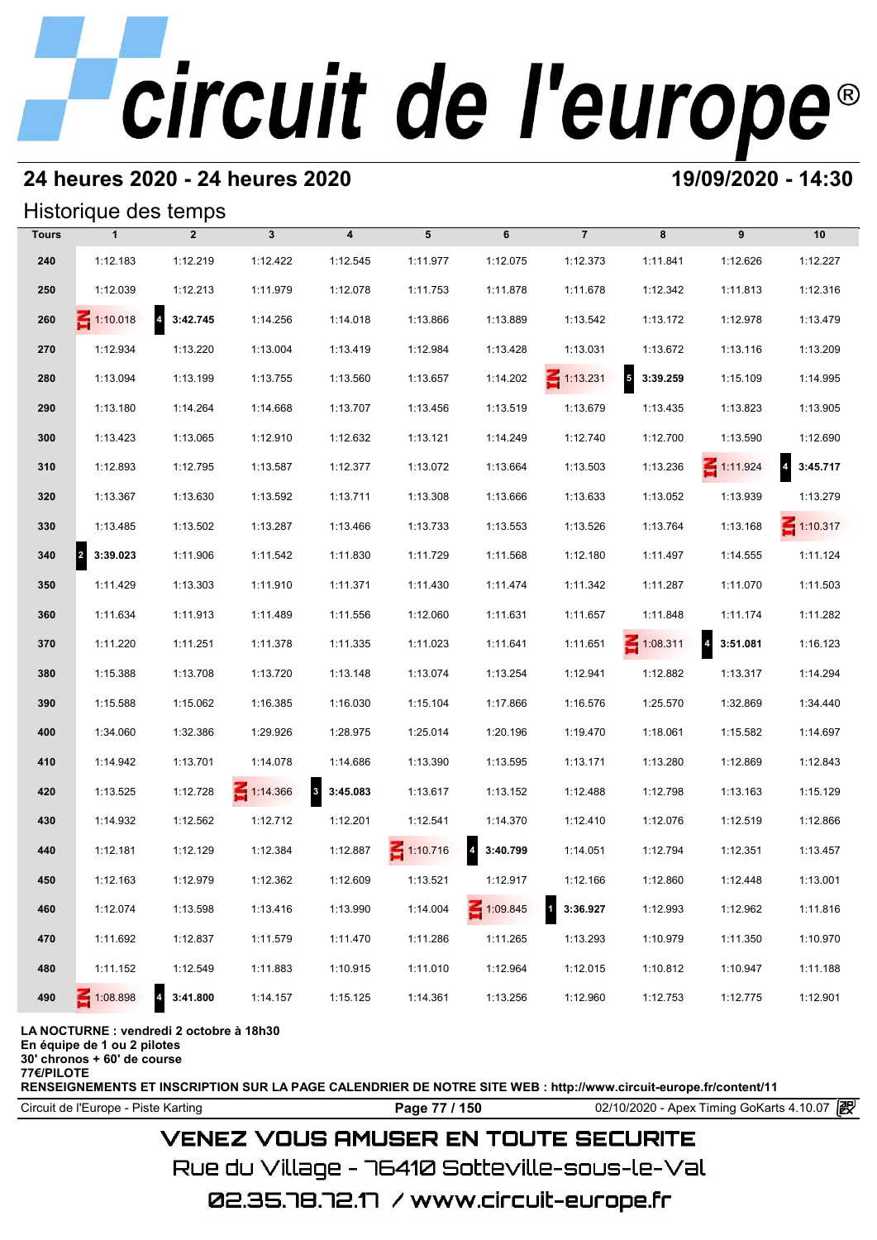### **24 heures 2020 - 24 heures 2020 19/09/2020 - 14:30**

#### Historique des temps

|              | Historique des temps  |                                     |                 |                          |                 |                                     |                 |                                      |                                     |                 |
|--------------|-----------------------|-------------------------------------|-----------------|--------------------------|-----------------|-------------------------------------|-----------------|--------------------------------------|-------------------------------------|-----------------|
| <b>Tours</b> | $\mathbf{1}$          | $\overline{2}$                      | $\mathbf{3}$    | $\overline{\mathbf{4}}$  | 5               | 6                                   | $\overline{7}$  | 8                                    | 9                                   | 10              |
| 240          | 1:12.183              | 1:12.219                            | 1:12.422        | 1:12.545                 | 1:11.977        | 1:12.075                            | 1:12.373        | 1:11.841                             | 1:12.626                            | 1:12.227        |
| 250          | 1:12.039              | 1:12.213                            | 1:11.979        | 1:12.078                 | 1:11.753        | 1:11.878                            | 1:11.678        | 1:12.342                             | 1:11.813                            | 1:12.316        |
| 260          | $\leq 1:10.018$       | $\overline{4}$<br>3:42.745          | 1:14.256        | 1:14.018                 | 1:13.866        | 1:13.889                            | 1:13.542        | 1:13.172                             | 1:12.978                            | 1:13.479        |
| 270          | 1:12.934              | 1:13.220                            | 1:13.004        | 1:13.419                 | 1:12.984        | 1:13.428                            | 1:13.031        | 1:13.672                             | 1:13.116                            | 1:13.209        |
| 280          | 1:13.094              | 1:13.199                            | 1:13.755        | 1:13.560                 | 1:13.657        | 1:14.202                            | $\leq 1:13.231$ | $\overline{\phantom{a}}$<br>3:39.259 | 1:15.109                            | 1:14.995        |
| 290          | 1:13.180              | 1:14.264                            | 1:14.668        | 1:13.707                 | 1:13.456        | 1:13.519                            | 1:13.679        | 1:13.435                             | 1:13.823                            | 1:13.905        |
| 300          | 1:13.423              | 1:13.065                            | 1:12.910        | 1:12.632                 | 1:13.121        | 1:14.249                            | 1:12.740        | 1:12.700                             | 1:13.590                            | 1:12.690        |
| 310          | 1:12.893              | 1:12.795                            | 1:13.587        | 1:12.377                 | 1:13.072        | 1:13.664                            | 1:13.503        | 1:13.236                             | $\leq 1:11.924$                     | 3:45.717        |
| 320          | 1:13.367              | 1:13.630                            | 1:13.592        | 1:13.711                 | 1:13.308        | 1:13.666                            | 1:13.633        | 1:13.052                             | 1:13.939                            | 1:13.279        |
| 330          | 1:13.485              | 1:13.502                            | 1:13.287        | 1:13.466                 | 1:13.733        | 1:13.553                            | 1:13.526        | 1:13.764                             | 1:13.168                            | $\leq 1:10.317$ |
| 340          | $\vert$ 2<br>3:39.023 | 1:11.906                            | 1:11.542        | 1:11.830                 | 1:11.729        | 1:11.568                            | 1:12.180        | 1:11.497                             | 1:14.555                            | 1:11.124        |
| 350          | 1:11.429              | 1:13.303                            | 1:11.910        | 1:11.371                 | 1:11.430        | 1:11.474                            | 1:11.342        | 1:11.287                             | 1:11.070                            | 1:11.503        |
| 360          | 1:11.634              | 1:11.913                            | 1:11.489        | 1:11.556                 | 1:12.060        | 1:11.631                            | 1:11.657        | 1:11.848                             | 1:11.174                            | 1:11.282        |
| 370          | 1:11.220              | 1:11.251                            | 1:11.378        | 1:11.335                 | 1:11.023        | 1:11.641                            | 1:11.651        | $\leq 1:08.311$                      | $\overline{\mathbf{4}}$<br>3:51.081 | 1:16.123        |
| 380          | 1:15.388              | 1:13.708                            | 1:13.720        | 1:13.148                 | 1:13.074        | 1:13.254                            | 1:12.941        | 1:12.882                             | 1:13.317                            | 1:14.294        |
| 390          | 1:15.588              | 1:15.062                            | 1:16.385        | 1:16.030                 | 1:15.104        | 1:17.866                            | 1:16.576        | 1:25.570                             | 1:32.869                            | 1:34.440        |
| 400          | 1:34.060              | 1:32.386                            | 1:29.926        | 1:28.975                 | 1:25.014        | 1:20.196                            | 1:19.470        | 1:18.061                             | 1:15.582                            | 1:14.697        |
| 410          | 1:14.942              | 1:13.701                            | 1:14.078        | 1:14.686                 | 1:13.390        | 1:13.595                            | 1:13.171        | 1:13.280                             | 1:12.869                            | 1:12.843        |
| 420          | 1:13.525              | 1:12.728                            | $\leq 1:14.366$ | $\mathbf{3}$<br>3:45.083 | 1:13.617        | 1:13.152                            | 1:12.488        | 1:12.798                             | 1:13.163                            | 1:15.129        |
| 430          | 1:14.932              | 1:12.562                            | 1:12.712        | 1:12.201                 | 1:12.541        | 1:14.370                            | 1:12.410        | 1:12.076                             | 1:12.519                            | 1:12.866        |
| 440          | 1:12.181              | 1:12.129                            | 1:12.384        | 1:12.887                 | $\leq 1:10.716$ | $\overline{\mathbf{4}}$<br>3:40.799 | 1:14.051        | 1:12.794                             | 1:12.351                            | 1:13.457        |
| 450          | 1:12.163              | 1:12.979                            | 1:12.362        | 1:12.609                 | 1:13.521        | 1:12.917                            | 1:12.166        | 1:12.860                             | 1:12.448                            | 1:13.001        |
| 460          | 1:12.074              | 1:13.598                            | 1:13.416        | 1:13.990                 | 1:14.004        | $\leq 1:09.845$                     | 3:36.927<br>1   | 1:12.993                             | 1:12.962                            | 1:11.816        |
| 470          | 1:11.692              | 1:12.837                            | 1:11.579        | 1:11.470                 | 1:11.286        | 1:11.265                            | 1:13.293        | 1:10.979                             | 1:11.350                            | 1:10.970        |
| 480          | 1:11.152              | 1:12.549                            | 1:11.883        | 1:10.915                 | 1:11.010        | 1:12.964                            | 1:12.015        | 1:10.812                             | 1:10.947                            | 1:11.188        |
| 490          | $\leq 1:08.898$       | $\overline{\mathbf{4}}$<br>3:41.800 | 1:14.157        | 1:15.125                 | 1:14.361        | 1:13.256                            | 1:12.960        | 1:12.753                             | 1:12.775                            | 1:12.901        |

#### **LA NOCTURNE : vendredi 2 octobre à 18h30**

**En équipe de 1 ou 2 pilotes**

**30' chronos + 60' de course**

**77€/PILOTE**

**RENSEIGNEMENTS ET INSCRIPTION SUR LA PAGE CALENDRIER DE NOTRE SITE WEB : http://www.circuit-europe.fr/content/11**

Circuit de l'Europe - Piste Karting **Page 77 / 150** 02/10/2020 - Apex Timing GoKarts 4.10.07

#### **VENEZ VOUS AMUSER EN TOUTE SECURITE**

Rue du Village – 76410 Sotteville-sous-le-Val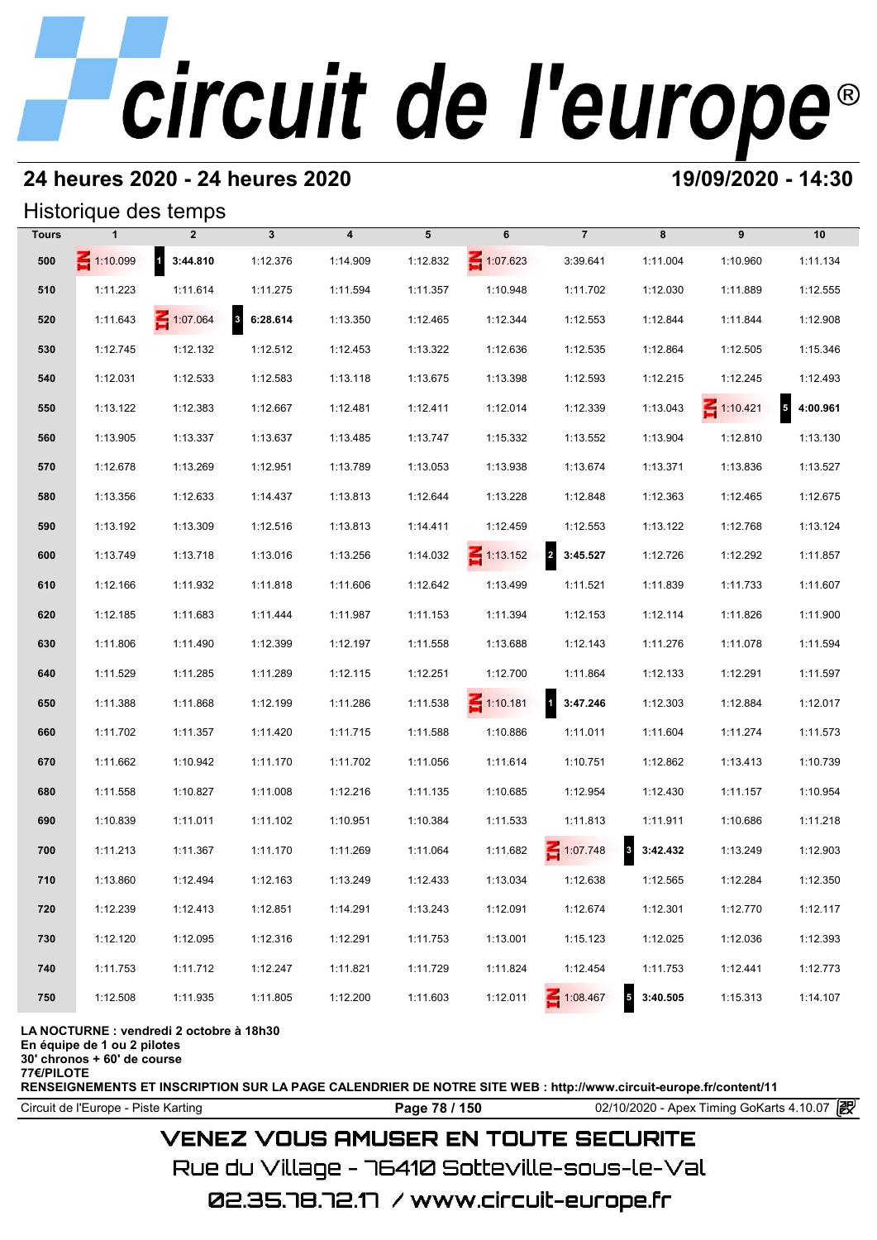### **24 heures 2020 - 24 heures 2020 19/09/2020 - 14:30**

#### Historique des temps

|              |                 | Historique des temps |                                     |                         |          |                 |                                     |                                     |                 |                            |
|--------------|-----------------|----------------------|-------------------------------------|-------------------------|----------|-----------------|-------------------------------------|-------------------------------------|-----------------|----------------------------|
| <b>Tours</b> | 1               | $\overline{2}$       | $\mathbf{3}$                        | $\overline{\mathbf{4}}$ | 5        | 6               | $\overline{7}$                      | 8                                   | 9               | 10                         |
| 500          | $\leq 1:10.099$ | $1 \quad 3:44.810$   | 1:12.376                            | 1:14.909                | 1:12.832 | $\leq 1:07.623$ | 3:39.641                            | 1:11.004                            | 1:10.960        | 1:11.134                   |
| 510          | 1:11.223        | 1:11.614             | 1:11.275                            | 1:11.594                | 1:11.357 | 1:10.948        | 1:11.702                            | 1:12.030                            | 1:11.889        | 1:12.555                   |
| 520          | 1:11.643        | $\leq 1:07.064$      | $\overline{\mathbf{3}}$<br>6:28.614 | 1:13.350                | 1:12.465 | 1:12.344        | 1:12.553                            | 1:12.844                            | 1:11.844        | 1:12.908                   |
| 530          | 1:12.745        | 1:12.132             | 1:12.512                            | 1:12.453                | 1:13.322 | 1:12.636        | 1:12.535                            | 1:12.864                            | 1:12.505        | 1:15.346                   |
| 540          | 1:12.031        | 1:12.533             | 1:12.583                            | 1:13.118                | 1:13.675 | 1:13.398        | 1:12.593                            | 1:12.215                            | 1:12.245        | 1:12.493                   |
| 550          | 1:13.122        | 1:12.383             | 1:12.667                            | 1:12.481                | 1:12.411 | 1:12.014        | 1:12.339                            | 1:13.043                            | $\leq 1:10.421$ | $\overline{5}$<br>4:00.961 |
| 560          | 1:13.905        | 1:13.337             | 1:13.637                            | 1:13.485                | 1:13.747 | 1:15.332        | 1:13.552                            | 1:13.904                            | 1:12.810        | 1:13.130                   |
| 570          | 1:12.678        | 1:13.269             | 1:12.951                            | 1:13.789                | 1:13.053 | 1:13.938        | 1:13.674                            | 1:13.371                            | 1:13.836        | 1:13.527                   |
| 580          | 1:13.356        | 1:12.633             | 1:14.437                            | 1:13.813                | 1:12.644 | 1:13.228        | 1:12.848                            | 1:12.363                            | 1:12.465        | 1:12.675                   |
| 590          | 1:13.192        | 1:13.309             | 1:12.516                            | 1:13.813                | 1:14.411 | 1:12.459        | 1:12.553                            | 1:13.122                            | 1:12.768        | 1:13.124                   |
| 600          | 1:13.749        | 1:13.718             | 1:13.016                            | 1:13.256                | 1:14.032 | $\leq 1:13.152$ | $\overline{\mathbf{2}}$<br>3:45.527 | 1:12.726                            | 1:12.292        | 1:11.857                   |
| 610          | 1:12.166        | 1:11.932             | 1:11.818                            | 1:11.606                | 1:12.642 | 1:13.499        | 1:11.521                            | 1:11.839                            | 1:11.733        | 1:11.607                   |
| 620          | 1:12.185        | 1:11.683             | 1:11.444                            | 1:11.987                | 1:11.153 | 1:11.394        | 1:12.153                            | 1:12.114                            | 1:11.826        | 1:11.900                   |
| 630          | 1:11.806        | 1:11.490             | 1:12.399                            | 1:12.197                | 1:11.558 | 1:13.688        | 1:12.143                            | 1:11.276                            | 1:11.078        | 1:11.594                   |
| 640          | 1:11.529        | 1:11.285             | 1:11.289                            | 1:12.115                | 1:12.251 | 1:12.700        | 1:11.864                            | 1:12.133                            | 1:12.291        | 1:11.597                   |
| 650          | 1:11.388        | 1:11.868             | 1:12.199                            | 1:11.286                | 1:11.538 | $\leq 1:10.181$ | 1 3:47.246                          | 1:12.303                            | 1:12.884        | 1:12.017                   |
| 660          | 1:11.702        | 1:11.357             | 1:11.420                            | 1:11.715                | 1:11.588 | 1:10.886        | 1:11.011                            | 1:11.604                            | 1:11.274        | 1:11.573                   |
| 670          | 1:11.662        | 1:10.942             | 1:11.170                            | 1:11.702                | 1:11.056 | 1:11.614        | 1:10.751                            | 1:12.862                            | 1:13.413        | 1:10.739                   |
| 680          | 1:11.558        | 1:10.827             | 1:11.008                            | 1:12.216                | 1:11.135 | 1:10.685        | 1:12.954                            | 1:12.430                            | 1:11.157        | 1:10.954                   |
| 690          | 1:10.839        | 1:11.011             | 1:11.102                            | 1:10.951                | 1:10.384 | 1:11.533        | 1:11.813                            | 1:11.911                            | 1:10.686        | 1:11.218                   |
| 700          | 1:11.213        | 1:11.367             | 1:11.170                            | 1:11.269                | 1:11.064 | 1:11.682        | 1:07.748                            | 3:42.432                            | 1:13.249        | 1:12.903                   |
| 710          | 1:13.860        | 1:12.494             | 1:12.163                            | 1:13.249                | 1:12.433 | 1:13.034        | 1:12.638                            | 1:12.565                            | 1:12.284        | 1:12.350                   |
| 720          | 1:12.239        | 1:12.413             | 1:12.851                            | 1:14.291                | 1:13.243 | 1:12.091        | 1:12.674                            | 1:12.301                            | 1:12.770        | 1:12.117                   |
| 730          | 1:12.120        | 1:12.095             | 1:12.316                            | 1:12.291                | 1:11.753 | 1:13.001        | 1:15.123                            | 1:12.025                            | 1:12.036        | 1:12.393                   |
| 740          | 1:11.753        | 1:11.712             | 1:12.247                            | 1:11.821                | 1:11.729 | 1:11.824        | 1:12.454                            | 1:11.753                            | 1:12.441        | 1:12.773                   |
| 750          | 1:12.508        | 1:11.935             | 1:11.805                            | 1:12.200                | 1:11.603 | 1:12.011        | 1:08.467                            | $\overline{\mathbf{5}}$<br>3:40.505 | 1:15.313        | 1:14.107                   |

#### **LA NOCTURNE : vendredi 2 octobre à 18h30**

**En équipe de 1 ou 2 pilotes**

**30' chronos + 60' de course**

**77€/PILOTE**

**RENSEIGNEMENTS ET INSCRIPTION SUR LA PAGE CALENDRIER DE NOTRE SITE WEB : http://www.circuit-europe.fr/content/11**

Circuit de l'Europe - Piste Karting **Page 78 / 150 Page 78 / 150** 02/10/2020 - Apex Timing GoKarts 4.10.07 **P** 

#### **VENEZ VOUS AMUSER EN TOUTE SECURITE**

Rue du Village – 76410 Sotteville-sous-le-Val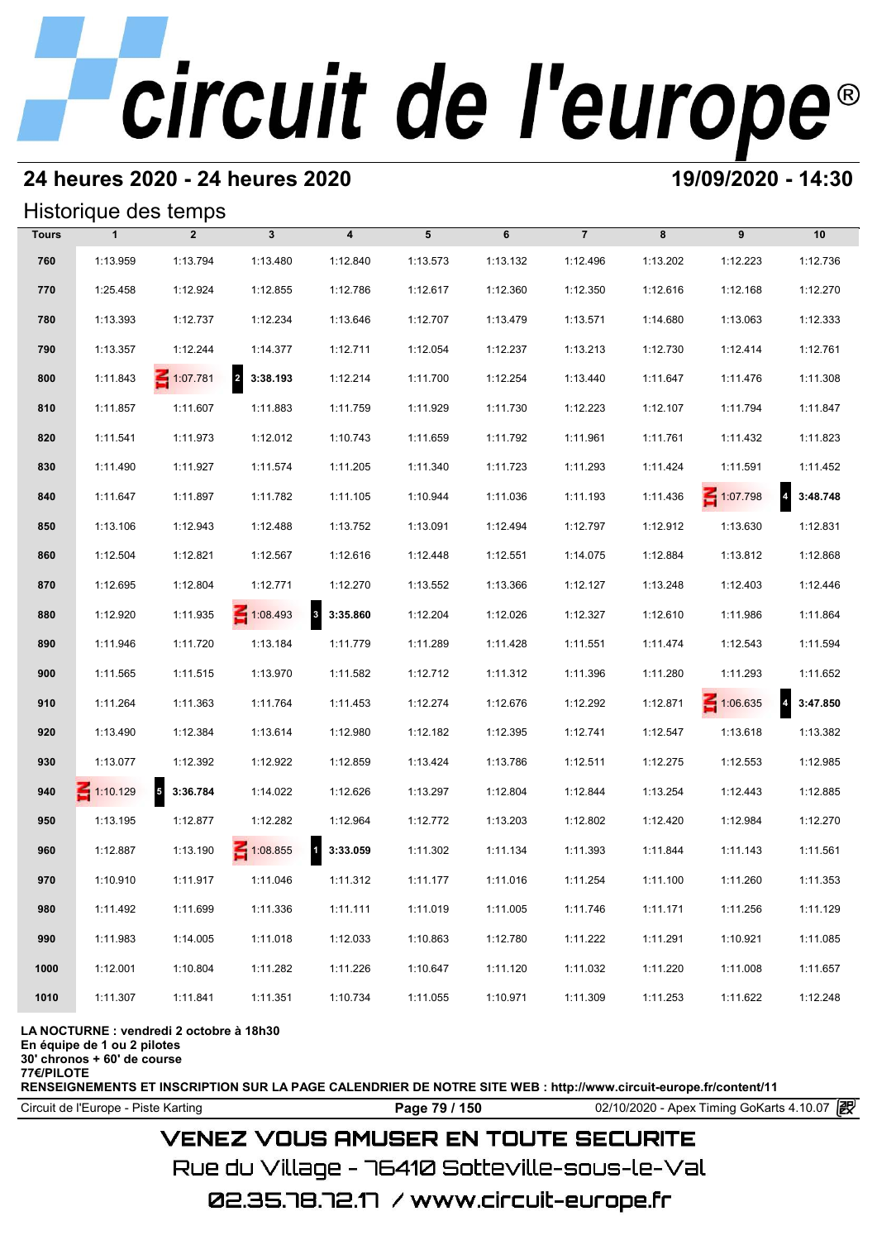#### **24 heures 2020 - 24 heures 2020 19/09/2020 - 14:30**

#### Historique des temps

|              | Historique des temps |                   |                            |                                     |          |          |                |          |                 |                            |
|--------------|----------------------|-------------------|----------------------------|-------------------------------------|----------|----------|----------------|----------|-----------------|----------------------------|
| <b>Tours</b> | $\mathbf{1}$         | $\overline{2}$    | 3                          | 4                                   | 5        | 6        | $\overline{7}$ | 8        | 9               | 10                         |
| 760          | 1:13.959             | 1:13.794          | 1:13.480                   | 1:12.840                            | 1:13.573 | 1:13.132 | 1:12.496       | 1:13.202 | 1:12.223        | 1:12.736                   |
| 770          | 1:25.458             | 1:12.924          | 1:12.855                   | 1:12.786                            | 1:12.617 | 1:12.360 | 1:12.350       | 1:12.616 | 1:12.168        | 1:12.270                   |
| 780          | 1:13.393             | 1:12.737          | 1:12.234                   | 1:13.646                            | 1:12.707 | 1:13.479 | 1:13.571       | 1:14.680 | 1:13.063        | 1:12.333                   |
| 790          | 1:13.357             | 1:12.244          | 1:14.377                   | 1:12.711                            | 1:12.054 | 1:12.237 | 1:13.213       | 1:12.730 | 1:12.414        | 1:12.761                   |
| 800          | 1:11.843             | $\leq 1:07.781$   | $\overline{a}$<br>3:38.193 | 1:12.214                            | 1:11.700 | 1:12.254 | 1:13.440       | 1:11.647 | 1:11.476        | 1:11.308                   |
| 810          | 1:11.857             | 1:11.607          | 1:11.883                   | 1:11.759                            | 1:11.929 | 1:11.730 | 1:12.223       | 1:12.107 | 1:11.794        | 1:11.847                   |
| 820          | 1:11.541             | 1:11.973          | 1:12.012                   | 1:10.743                            | 1:11.659 | 1:11.792 | 1:11.961       | 1:11.761 | 1:11.432        | 1:11.823                   |
| 830          | 1:11.490             | 1:11.927          | 1:11.574                   | 1:11.205                            | 1:11.340 | 1:11.723 | 1:11.293       | 1:11.424 | 1:11.591        | 1:11.452                   |
| 840          | 1:11.647             | 1:11.897          | 1:11.782                   | 1:11.105                            | 1:10.944 | 1:11.036 | 1:11.193       | 1:11.436 | $\leq 1:07.798$ | $\overline{a}$<br>3:48.748 |
| 850          | 1:13.106             | 1:12.943          | 1:12.488                   | 1:13.752                            | 1:13.091 | 1:12.494 | 1:12.797       | 1:12.912 | 1:13.630        | 1:12.831                   |
| 860          | 1:12.504             | 1:12.821          | 1:12.567                   | 1:12.616                            | 1:12.448 | 1:12.551 | 1:14.075       | 1:12.884 | 1:13.812        | 1:12.868                   |
| 870          | 1:12.695             | 1:12.804          | 1:12.771                   | 1:12.270                            | 1:13.552 | 1:13.366 | 1:12.127       | 1:13.248 | 1:12.403        | 1:12.446                   |
| 880          | 1:12.920             | 1:11.935          | 1:08.493                   | $\mathbf{3}$<br>3:35.860            | 1:12.204 | 1:12.026 | 1:12.327       | 1:12.610 | 1:11.986        | 1:11.864                   |
| 890          | 1:11.946             | 1:11.720          | 1:13.184                   | 1:11.779                            | 1:11.289 | 1:11.428 | 1:11.551       | 1:11.474 | 1:12.543        | 1:11.594                   |
| 900          | 1:11.565             | 1:11.515          | 1:13.970                   | 1:11.582                            | 1:12.712 | 1:11.312 | 1:11.396       | 1:11.280 | 1:11.293        | 1:11.652                   |
| 910          | 1:11.264             | 1:11.363          | 1:11.764                   | 1:11.453                            | 1:12.274 | 1:12.676 | 1:12.292       | 1:12.871 | $\leq 1:06.635$ | $\overline{a}$<br>3:47.850 |
| 920          | 1:13.490             | 1:12.384          | 1:13.614                   | 1:12.980                            | 1:12.182 | 1:12.395 | 1:12.741       | 1:12.547 | 1:13.618        | 1:13.382                   |
| 930          | 1:13.077             | 1:12.392          | 1:12.922                   | 1:12.859                            | 1:13.424 | 1:13.786 | 1:12.511       | 1:12.275 | 1:12.553        | 1:12.985                   |
| 940          | $\leq 1:10.129$      | $5\quad 3:36.784$ | 1:14.022                   | 1:12.626                            | 1:13.297 | 1:12.804 | 1:12.844       | 1:13.254 | 1:12.443        | 1:12.885                   |
| 950          | 1:13.195             | 1:12.877          | 1:12.282                   | 1:12.964                            | 1:12.772 | 1:13.203 | 1:12.802       | 1:12.420 | 1:12.984        | 1:12.270                   |
| 960          | 1:12.887             | 1:13.190          | $\leq 1:08.855$            | $\overline{\mathbf{1}}$<br>3:33.059 | 1:11.302 | 1:11.134 | 1:11.393       | 1:11.844 | 1:11.143        | 1:11.561                   |
| 970          | 1:10.910             | 1:11.917          | 1:11.046                   | 1:11.312                            | 1:11.177 | 1:11.016 | 1:11.254       | 1:11.100 | 1:11.260        | 1:11.353                   |
| 980          | 1:11.492             | 1:11.699          | 1:11.336                   | 1:11.111                            | 1:11.019 | 1:11.005 | 1:11.746       | 1:11.171 | 1:11.256        | 1:11.129                   |
| 990          | 1:11.983             | 1:14.005          | 1:11.018                   | 1:12.033                            | 1:10.863 | 1:12.780 | 1:11.222       | 1:11.291 | 1:10.921        | 1:11.085                   |
| 1000         | 1:12.001             | 1:10.804          | 1:11.282                   | 1:11.226                            | 1:10.647 | 1:11.120 | 1:11.032       | 1:11.220 | 1:11.008        | 1:11.657                   |
| 1010         | 1:11.307             | 1:11.841          | 1:11.351                   | 1:10.734                            | 1:11.055 | 1:10.971 | 1:11.309       | 1:11.253 | 1:11.622        | 1:12.248                   |

#### **LA NOCTURNE : vendredi 2 octobre à 18h30**

**En équipe de 1 ou 2 pilotes**

**30' chronos + 60' de course**

**77€/PILOTE**

**RENSEIGNEMENTS ET INSCRIPTION SUR LA PAGE CALENDRIER DE NOTRE SITE WEB : http://www.circuit-europe.fr/content/11**

Circuit de l'Europe - Piste Karting **Page 79 / 150 Page 79 / 150** 02/10/2020 - Apex Timing GoKarts 4.10.07

### **VENEZ VOUS AMUSER EN TOUTE SECURITE**

Rue du Village – 76410 Sotteville-sous-le-Val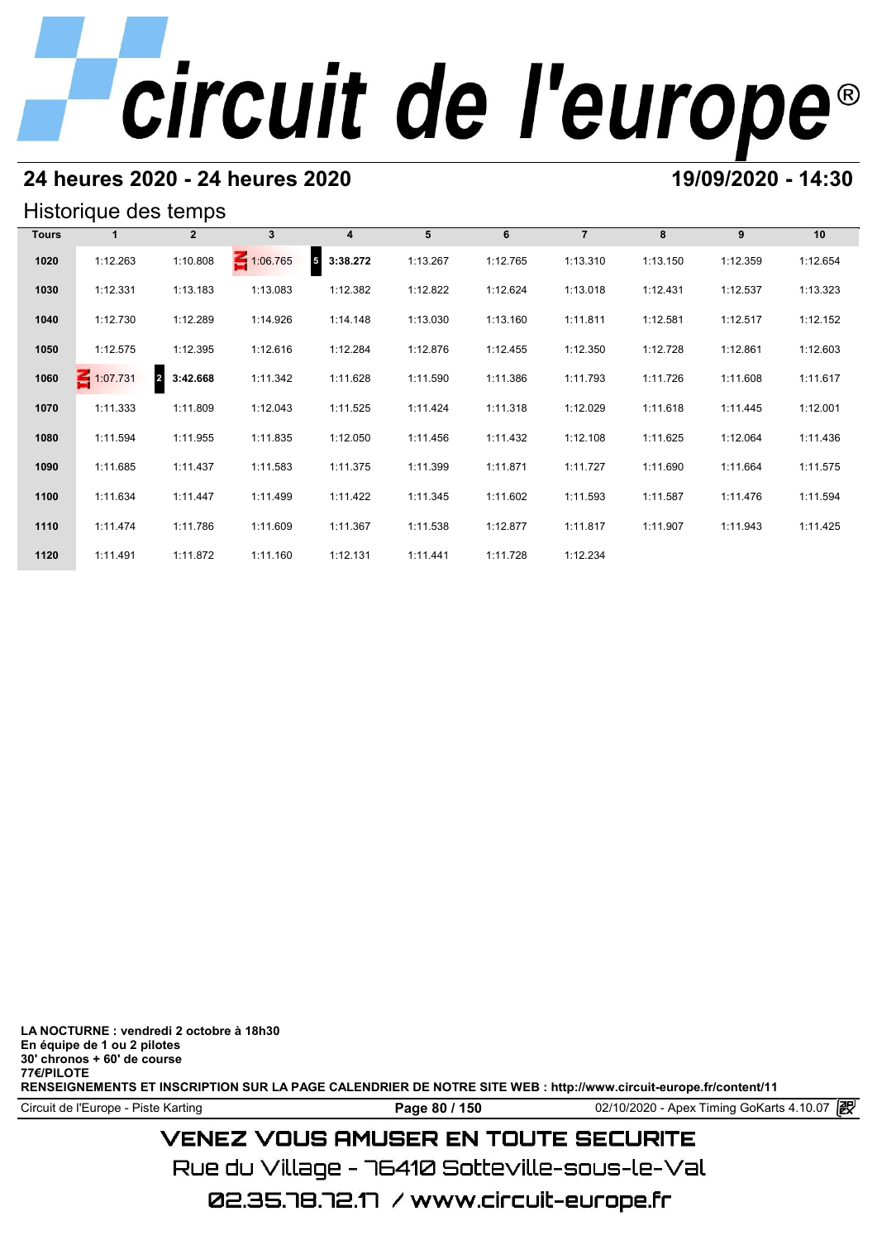### **24 heures 2020 - 24 heures 2020 19/09/2020 - 14:30**

#### Historique des temps

| Historique des temps |          |                            |                 |                       |          |          |                |          |          |          |  |  |
|----------------------|----------|----------------------------|-----------------|-----------------------|----------|----------|----------------|----------|----------|----------|--|--|
| <b>Tours</b>         |          | $\mathbf{2}$               | $3\phantom{a}$  | 4                     | 5        | 6        | $\overline{7}$ | 8        | 9        | 10       |  |  |
| 1020                 | 1:12.263 | 1:10.808                   | $\leq 1:06.765$ | ${\bf 5}$<br>3:38.272 | 1:13.267 | 1:12.765 | 1:13.310       | 1:13.150 | 1:12.359 | 1:12.654 |  |  |
| 1030                 | 1:12.331 | 1:13.183                   | 1:13.083        | 1:12.382              | 1:12.822 | 1:12.624 | 1:13.018       | 1:12.431 | 1:12.537 | 1:13.323 |  |  |
| 1040                 | 1:12.730 | 1:12.289                   | 1:14.926        | 1:14.148              | 1:13.030 | 1:13.160 | 1:11.811       | 1:12.581 | 1:12.517 | 1:12.152 |  |  |
| 1050                 | 1:12.575 | 1:12.395                   | 1:12.616        | 1:12.284              | 1:12.876 | 1:12.455 | 1:12.350       | 1:12.728 | 1:12.861 | 1:12.603 |  |  |
| 1060                 | 1:07.731 | 3:42.668<br>$\overline{2}$ | 1:11.342        | 1:11.628              | 1:11.590 | 1:11.386 | 1:11.793       | 1:11.726 | 1:11.608 | 1:11.617 |  |  |
| 1070                 | 1:11.333 | 1:11.809                   | 1:12.043        | 1:11.525              | 1:11.424 | 1:11.318 | 1:12.029       | 1:11.618 | 1:11.445 | 1:12.001 |  |  |
| 1080                 | 1:11.594 | 1:11.955                   | 1:11.835        | 1:12.050              | 1:11.456 | 1:11.432 | 1:12.108       | 1:11.625 | 1:12.064 | 1:11.436 |  |  |
| 1090                 | 1:11.685 | 1:11.437                   | 1:11.583        | 1:11.375              | 1:11.399 | 1:11.871 | 1:11.727       | 1:11.690 | 1:11.664 | 1:11.575 |  |  |
| 1100                 | 1:11.634 | 1:11.447                   | 1:11.499        | 1:11.422              | 1:11.345 | 1:11.602 | 1:11.593       | 1:11.587 | 1:11.476 | 1:11.594 |  |  |
| 1110                 | 1:11.474 | 1:11.786                   | 1:11.609        | 1:11.367              | 1:11.538 | 1:12.877 | 1:11.817       | 1:11.907 | 1:11.943 | 1:11.425 |  |  |
| 1120                 | 1:11.491 | 1:11.872                   | 1:11.160        | 1:12.131              | 1:11.441 | 1:11.728 | 1:12.234       |          |          |          |  |  |

**LA NOCTURNE : vendredi 2 octobre à 18h30 En équipe de 1 ou 2 pilotes 30' chronos + 60' de course 77€/PILOTE RENSEIGNEMENTS ET INSCRIPTION SUR LA PAGE CALENDRIER DE NOTRE SITE WEB : http://www.circuit-europe.fr/content/11**

Circuit de l'Europe - Piste Karting **Page 80 / 150 Page 80 / 150** 02/10/2020 - Apex Timing GoKarts 4.10.07

## **VENEZ VOUS AMUSER EN TOUTE SECURITE**

Rue du Village – 76410 Sotteville-sous-le-Val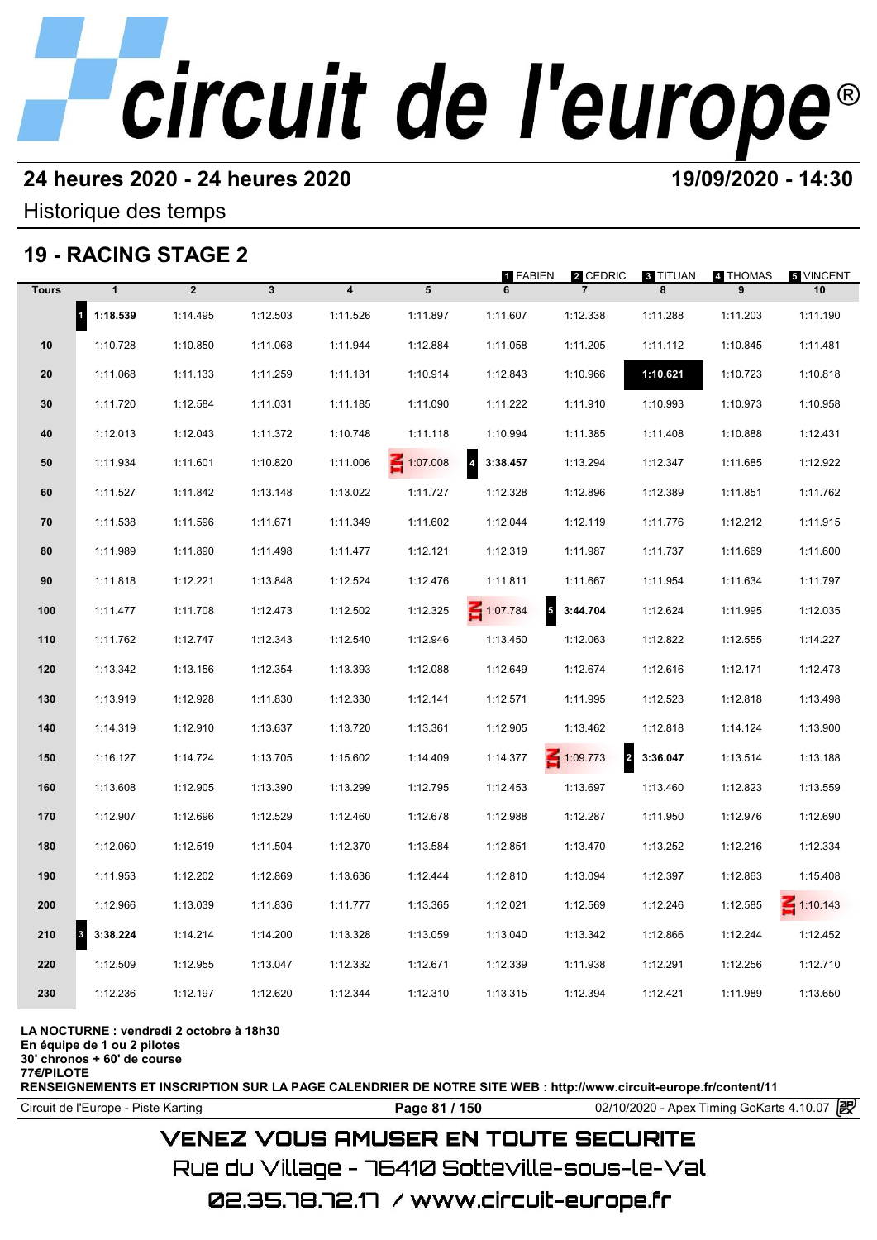### **24 heures 2020 - 24 heures 2020 19/09/2020 - 14:30**

Historique des temps

## **19 - RACING STAGE 2**

|              |              | 19 - RACING STAGE 2 |              |                         |                 |                                     |                                   |               |               |                 |
|--------------|--------------|---------------------|--------------|-------------------------|-----------------|-------------------------------------|-----------------------------------|---------------|---------------|-----------------|
| <b>Tours</b> | $\mathbf{1}$ | $\overline{2}$      | $\mathbf{3}$ | $\overline{\mathbf{4}}$ | 5               | <b>1 FABIEN</b><br>6                | 2 CEDRIC<br>$\overline{7}$        | 3 TITUAN<br>8 | 4 THOMAS<br>9 | 5 VINCENT<br>10 |
| $\vert$ 1    | 1:18.539     | 1:14.495            | 1:12.503     | 1:11.526                | 1:11.897        | 1:11.607                            | 1:12.338                          | 1:11.288      | 1:11.203      | 1:11.190        |
| 10           | 1:10.728     | 1:10.850            | 1:11.068     | 1:11.944                | 1:12.884        | 1:11.058                            | 1:11.205                          | 1:11.112      | 1:10.845      | 1:11.481        |
| 20           | 1:11.068     | 1:11.133            | 1:11.259     | 1:11.131                | 1:10.914        | 1:12.843                            | 1:10.966                          | 1:10.621      | 1:10.723      | 1:10.818        |
| 30           | 1:11.720     | 1:12.584            | 1:11.031     | 1:11.185                | 1:11.090        | 1:11.222                            | 1:11.910                          | 1:10.993      | 1:10.973      | 1:10.958        |
| 40           | 1:12.013     | 1:12.043            | 1:11.372     | 1:10.748                | 1:11.118        | 1:10.994                            | 1:11.385                          | 1:11.408      | 1:10.888      | 1:12.431        |
| 50           | 1:11.934     | 1:11.601            | 1:10.820     | 1:11.006                | $\leq 1:07.008$ | $\overline{\mathbf{4}}$<br>3:38.457 | 1:13.294                          | 1:12.347      | 1:11.685      | 1:12.922        |
| 60           | 1:11.527     | 1:11.842            | 1:13.148     | 1:13.022                | 1:11.727        | 1:12.328                            | 1:12.896                          | 1:12.389      | 1:11.851      | 1:11.762        |
| 70           | 1:11.538     | 1:11.596            | 1:11.671     | 1:11.349                | 1:11.602        | 1:12.044                            | 1:12.119                          | 1:11.776      | 1:12.212      | 1:11.915        |
| 80           | 1:11.989     | 1:11.890            | 1:11.498     | 1:11.477                | 1:12.121        | 1:12.319                            | 1:11.987                          | 1:11.737      | 1:11.669      | 1:11.600        |
| 90           | 1:11.818     | 1:12.221            | 1:13.848     | 1:12.524                | 1:12.476        | 1:11.811                            | 1:11.667                          | 1:11.954      | 1:11.634      | 1:11.797        |
| 100          | 1:11.477     | 1:11.708            | 1:12.473     | 1:12.502                | 1:12.325        | 1:07.784                            | 3:44.704                          | 1:12.624      | 1:11.995      | 1:12.035        |
| 110          | 1:11.762     | 1:12.747            | 1:12.343     | 1:12.540                | 1:12.946        | 1:13.450                            | 1:12.063                          | 1:12.822      | 1:12.555      | 1:14.227        |
| 120          | 1:13.342     | 1:13.156            | 1:12.354     | 1:13.393                | 1:12.088        | 1:12.649                            | 1:12.674                          | 1:12.616      | 1:12.171      | 1:12.473        |
| 130          | 1:13.919     | 1:12.928            | 1:11.830     | 1:12.330                | 1:12.141        | 1:12.571                            | 1:11.995                          | 1:12.523      | 1:12.818      | 1:13.498        |
| 140          | 1:14.319     | 1:12.910            | 1:13.637     | 1:13.720                | 1:13.361        | 1:12.905                            | 1:13.462                          | 1:12.818      | 1:14.124      | 1:13.900        |
| 150          | 1:16.127     | 1:14.724            | 1:13.705     | 1:15.602                | 1:14.409        | 1:14.377                            | $\leq 1:09.773$<br>$\overline{a}$ | 3:36.047      | 1:13.514      | 1:13.188        |
| 160          | 1:13.608     | 1:12.905            | 1:13.390     | 1:13.299                | 1:12.795        | 1:12.453                            | 1:13.697                          | 1:13.460      | 1:12.823      | 1:13.559        |
| 170          | 1:12.907     | 1:12.696            | 1:12.529     | 1:12.460                | 1:12.678        | 1:12.988                            | 1:12.287                          | 1:11.950      | 1:12.976      | 1:12.690        |
| 180          | 1:12.060     | 1:12.519            | 1:11.504     | 1:12.370                | 1:13.584        | 1:12.851                            | 1:13.470                          | 1:13.252      | 1:12.216      | 1:12.334        |
| 190          | 1:11.953     | 1:12.202            | 1:12.869     | 1:13.636                | 1:12.444        | 1:12.810                            | 1:13.094                          | 1:12.397      | 1:12.863      | 1:15.408        |
| 200          | 1:12.966     | 1:13.039            | 1:11.836     | 1:11.777                | 1:13.365        | 1:12.021                            | 1:12.569                          | 1:12.246      | 1:12.585      | $\leq 1:10.143$ |
| 3<br>210     | 3:38.224     | 1:14.214            | 1:14.200     | 1:13.328                | 1:13.059        | 1:13.040                            | 1:13.342                          | 1:12.866      | 1:12.244      | 1:12.452        |
| 220          | 1:12.509     | 1:12.955            | 1:13.047     | 1:12.332                | 1:12.671        | 1:12.339                            | 1:11.938                          | 1:12.291      | 1:12.256      | 1:12.710        |
| 230          | 1:12.236     | 1:12.197            | 1:12.620     | 1:12.344                | 1:12.310        | 1:13.315                            | 1:12.394                          | 1:12.421      | 1:11.989      | 1:13.650        |
|              |              |                     |              |                         |                 |                                     |                                   |               |               |                 |

**LA NOCTURNE : vendredi 2 octobre à 18h30**

**En équipe de 1 ou 2 pilotes**

**30' chronos + 60' de course 77€/PILOTE**

**RENSEIGNEMENTS ET INSCRIPTION SUR LA PAGE CALENDRIER DE NOTRE SITE WEB : http://www.circuit-europe.fr/content/11**

Circuit de l'Europe - Piste Karting **Page 81 / 150 Page 81 / 150** 02/10/2020 - Apex Timing GoKarts 4.10.07

### **VENEZ VOUS AMUSER EN TOUTE SECURITE**

Rue du Village – 76410 Sotteville-sous-le-Val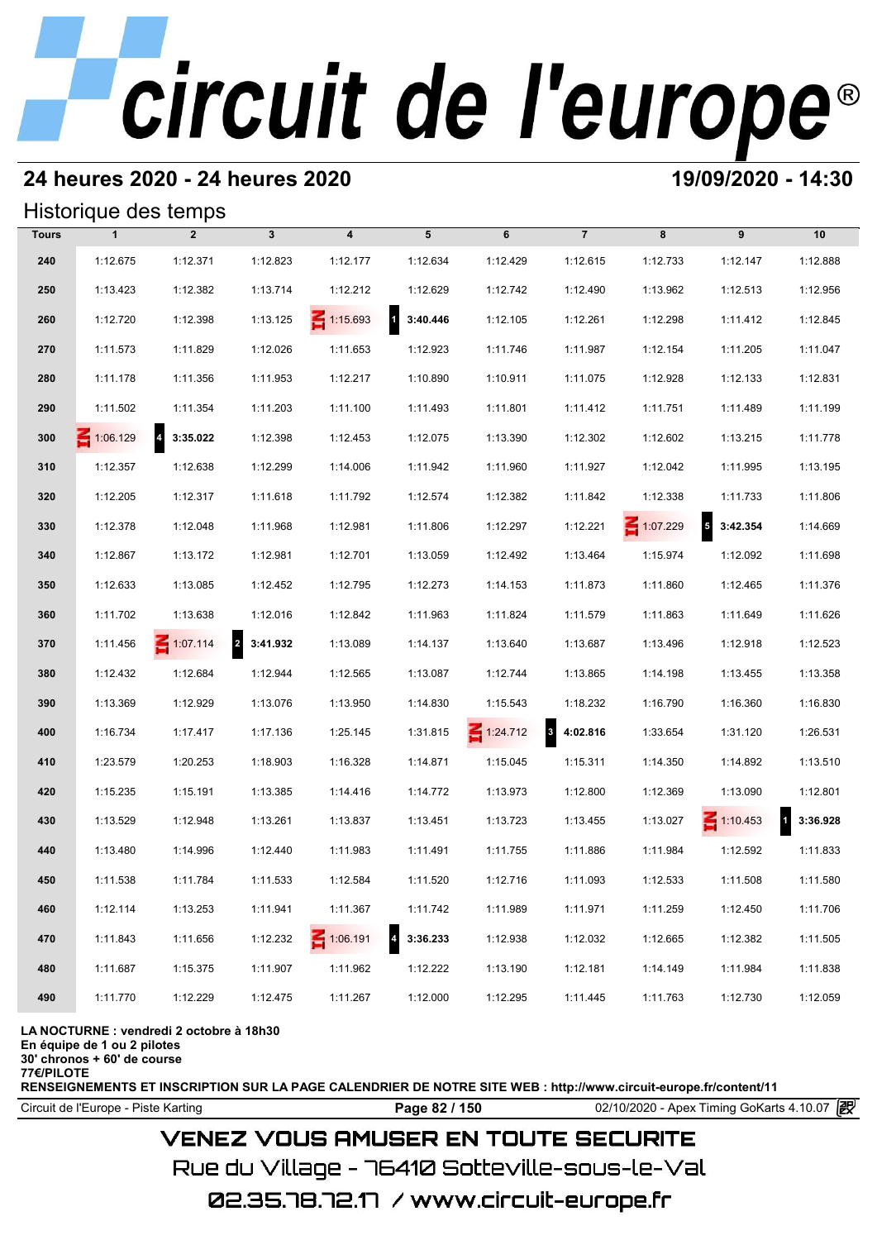## **24 heures 2020 - 24 heures 2020 19/09/2020 - 14:30**

#### Historique des temps

|              | Historique des temps |                 |                            |                 |                          |                 |                                     |          |                                      |          |
|--------------|----------------------|-----------------|----------------------------|-----------------|--------------------------|-----------------|-------------------------------------|----------|--------------------------------------|----------|
| <b>Tours</b> | $\mathbf{1}$         | $\overline{2}$  | $\mathbf{3}$               | 4               | 5                        | 6               | $\overline{7}$                      | 8        | 9                                    | 10       |
| 240          | 1:12.675             | 1:12.371        | 1:12.823                   | 1:12.177        | 1:12.634                 | 1:12.429        | 1:12.615                            | 1:12.733 | 1:12.147                             | 1:12.888 |
| 250          | 1:13.423             | 1:12.382        | 1:13.714                   | 1:12.212        | 1:12.629                 | 1:12.742        | 1:12.490                            | 1:13.962 | 1:12.513                             | 1:12.956 |
| 260          | 1:12.720             | 1:12.398        | 1:13.125                   | $\leq 1:15.693$ | $\mathbf{1}$<br>3:40.446 | 1:12.105        | 1:12.261                            | 1:12.298 | 1:11.412                             | 1:12.845 |
| 270          | 1:11.573             | 1:11.829        | 1:12.026                   | 1:11.653        | 1:12.923                 | 1:11.746        | 1:11.987                            | 1:12.154 | 1:11.205                             | 1:11.047 |
| 280          | 1:11.178             | 1:11.356        | 1:11.953                   | 1:12.217        | 1:10.890                 | 1:10.911        | 1:11.075                            | 1:12.928 | 1:12.133                             | 1:12.831 |
| 290          | 1:11.502             | 1:11.354        | 1:11.203                   | 1:11.100        | 1:11.493                 | 1:11.801        | 1:11.412                            | 1:11.751 | 1:11.489                             | 1:11.199 |
| 300          | $\leq 1:06.129$      | 4 3:35.022      | 1:12.398                   | 1:12.453        | 1:12.075                 | 1:13.390        | 1:12.302                            | 1:12.602 | 1:13.215                             | 1:11.778 |
| 310          | 1:12.357             | 1:12.638        | 1:12.299                   | 1:14.006        | 1:11.942                 | 1:11.960        | 1:11.927                            | 1:12.042 | 1:11.995                             | 1:13.195 |
| 320          | 1:12.205             | 1:12.317        | 1:11.618                   | 1:11.792        | 1:12.574                 | 1:12.382        | 1:11.842                            | 1:12.338 | 1:11.733                             | 1:11.806 |
| 330          | 1:12.378             | 1:12.048        | 1:11.968                   | 1:12.981        | 1:11.806                 | 1:12.297        | 1:12.221                            | 1:07.229 | $\overline{\phantom{a}}$<br>3:42.354 | 1:14.669 |
| 340          | 1:12.867             | 1:13.172        | 1:12.981                   | 1:12.701        | 1:13.059                 | 1:12.492        | 1:13.464                            | 1:15.974 | 1:12.092                             | 1:11.698 |
| 350          | 1:12.633             | 1:13.085        | 1:12.452                   | 1:12.795        | 1:12.273                 | 1:14.153        | 1:11.873                            | 1:11.860 | 1:12.465                             | 1:11.376 |
| 360          | 1:11.702             | 1:13.638        | 1:12.016                   | 1:12.842        | 1:11.963                 | 1:11.824        | 1:11.579                            | 1:11.863 | 1:11.649                             | 1:11.626 |
| 370          | 1:11.456             | $\leq 1:07.114$ | $\overline{a}$<br>3:41.932 | 1:13.089        | 1:14.137                 | 1:13.640        | 1:13.687                            | 1:13.496 | 1:12.918                             | 1:12.523 |
| 380          | 1:12.432             | 1:12.684        | 1:12.944                   | 1:12.565        | 1:13.087                 | 1:12.744        | 1:13.865                            | 1:14.198 | 1:13.455                             | 1:13.358 |
| 390          | 1:13.369             | 1:12.929        | 1:13.076                   | 1:13.950        | 1:14.830                 | 1:15.543        | 1:18.232                            | 1:16.790 | 1:16.360                             | 1:16.830 |
| 400          | 1:16.734             | 1:17.417        | 1:17.136                   | 1:25.145        | 1:31.815                 | $\leq 1:24.712$ | $\overline{\mathbf{3}}$<br>4:02.816 | 1:33.654 | 1:31.120                             | 1:26.531 |
| 410          | 1:23.579             | 1:20.253        | 1:18.903                   | 1:16.328        | 1:14.871                 | 1:15.045        | 1:15.311                            | 1:14.350 | 1:14.892                             | 1:13.510 |
| 420          | 1:15.235             | 1:15.191        | 1:13.385                   | 1:14.416        | 1:14.772                 | 1:13.973        | 1:12.800                            | 1:12.369 | 1:13.090                             | 1:12.801 |
| 430          | 1:13.529             | 1:12.948        | 1:13.261                   | 1:13.837        | 1:13.451                 | 1:13.723        | 1:13.455                            | 1:13.027 | $\leq 1:10.453$                      | 3:36.928 |
| 440          | 1:13.480             | 1:14.996        | 1:12.440                   | 1:11.983        | 1:11.491                 | 1:11.755        | 1:11.886                            | 1:11.984 | 1:12.592                             | 1:11.833 |
| 450          | 1:11.538             | 1:11.784        | 1:11.533                   | 1:12.584        | 1:11.520                 | 1:12.716        | 1:11.093                            | 1:12.533 | 1:11.508                             | 1:11.580 |
| 460          | 1:12.114             | 1:13.253        | 1:11.941                   | 1:11.367        | 1:11.742                 | 1:11.989        | 1:11.971                            | 1:11.259 | 1:12.450                             | 1:11.706 |
| 470          | 1:11.843             | 1:11.656        | 1:12.232                   | 1:06.191        | 3:36.233                 | 1:12.938        | 1:12.032                            | 1:12.665 | 1:12.382                             | 1:11.505 |
| 480          | 1:11.687             | 1:15.375        | 1:11.907                   | 1:11.962        | 1:12.222                 | 1:13.190        | 1:12.181                            | 1:14.149 | 1:11.984                             | 1:11.838 |
| 490          | 1:11.770             | 1:12.229        | 1:12.475                   | 1:11.267        | 1:12.000                 | 1:12.295        | 1:11.445                            | 1:11.763 | 1:12.730                             | 1:12.059 |

#### **LA NOCTURNE : vendredi 2 octobre à 18h30**

**En équipe de 1 ou 2 pilotes**

**30' chronos + 60' de course 77€/PILOTE**

**RENSEIGNEMENTS ET INSCRIPTION SUR LA PAGE CALENDRIER DE NOTRE SITE WEB : http://www.circuit-europe.fr/content/11**

Circuit de l'Europe - Piste Karting **Page 82 / 150 Page 82 / 150** 02/10/2020 - Apex Timing GoKarts 4.10.07 **P** 

### **VENEZ VOUS AMUSER EN TOUTE SECURITE**

Rue du Village – 76410 Sotteville-sous-le-Val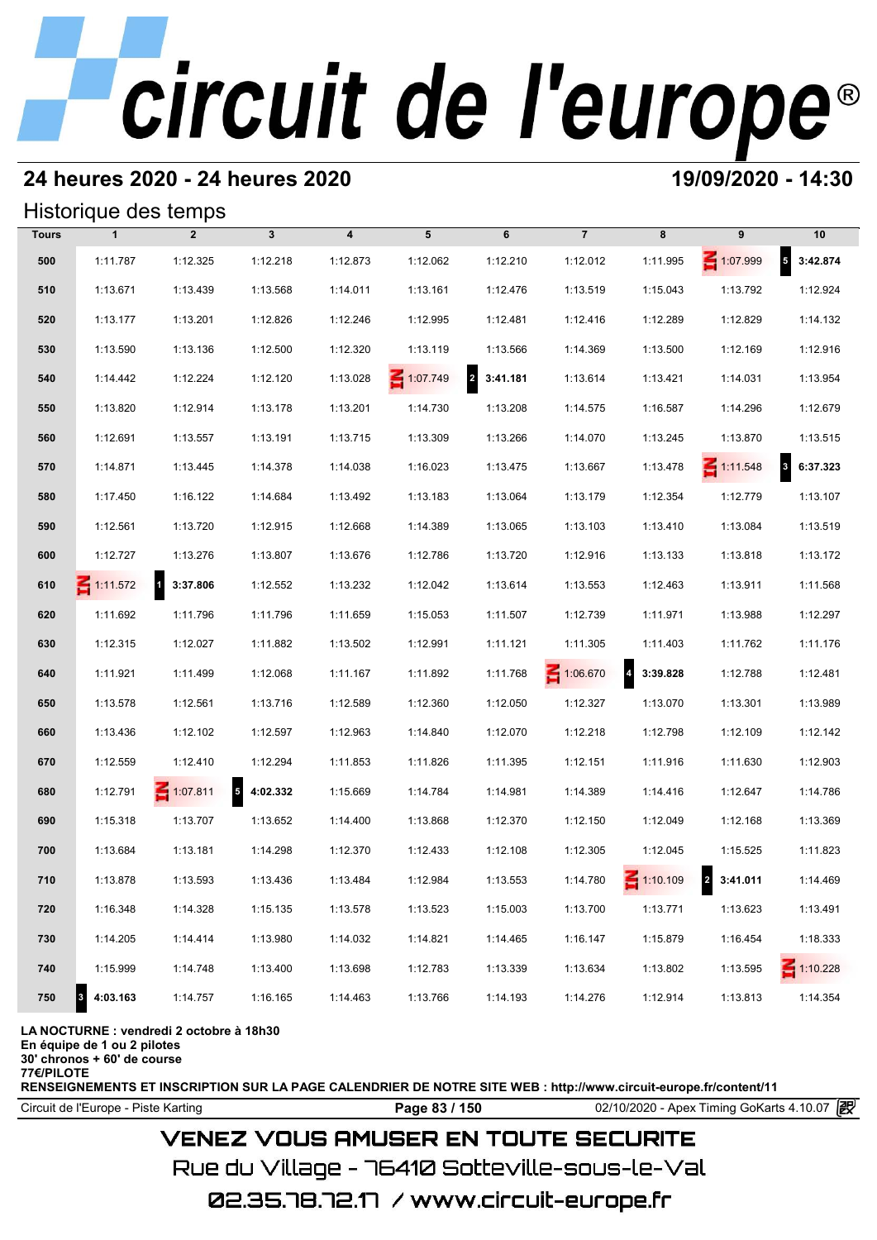### **24 heures 2020 - 24 heures 2020 19/09/2020 - 14:30**

#### Historique des temps

|              | Historique des temps |                                     |              |                         |          |                            |                 |                            |                 |                                     |
|--------------|----------------------|-------------------------------------|--------------|-------------------------|----------|----------------------------|-----------------|----------------------------|-----------------|-------------------------------------|
| <b>Tours</b> | $\mathbf{1}$         | $\overline{2}$                      | $\mathbf{3}$ | $\overline{\mathbf{4}}$ | 5        | 6                          | $\overline{7}$  | 8                          | 9               | 10                                  |
| 500          | 1:11.787             | 1:12.325                            | 1:12.218     | 1:12.873                | 1:12.062 | 1:12.210                   | 1:12.012        | 1:11.995                   | 1:07.999        | $5$ 3:42.874                        |
| 510          | 1:13.671             | 1:13.439                            | 1:13.568     | 1:14.011                | 1:13.161 | 1:12.476                   | 1:13.519        | 1:15.043                   | 1:13.792        | 1:12.924                            |
| 520          | 1:13.177             | 1:13.201                            | 1:12.826     | 1:12.246                | 1:12.995 | 1:12.481                   | 1:12.416        | 1:12.289                   | 1:12.829        | 1:14.132                            |
| 530          | 1:13.590             | 1:13.136                            | 1:12.500     | 1:12.320                | 1:13.119 | 1:13.566                   | 1:14.369        | 1:13.500                   | 1:12.169        | 1:12.916                            |
| 540          | 1:14.442             | 1:12.224                            | 1:12.120     | 1:13.028                | 1:07.749 | $\overline{2}$<br>3:41.181 | 1:13.614        | 1:13.421                   | 1:14.031        | 1:13.954                            |
| 550          | 1:13.820             | 1:12.914                            | 1:13.178     | 1:13.201                | 1:14.730 | 1:13.208                   | 1:14.575        | 1:16.587                   | 1:14.296        | 1:12.679                            |
| 560          | 1:12.691             | 1:13.557                            | 1:13.191     | 1:13.715                | 1:13.309 | 1:13.266                   | 1:14.070        | 1:13.245                   | 1:13.870        | 1:13.515                            |
| 570          | 1:14.871             | 1:13.445                            | 1:14.378     | 1:14.038                | 1:16.023 | 1:13.475                   | 1:13.667        | 1:13.478                   | $\leq 1:11.548$ | $\overline{\mathbf{3}}$<br>6:37.323 |
| 580          | 1:17.450             | 1:16.122                            | 1:14.684     | 1:13.492                | 1:13.183 | 1:13.064                   | 1:13.179        | 1:12.354                   | 1:12.779        | 1:13.107                            |
| 590          | 1:12.561             | 1:13.720                            | 1:12.915     | 1:12.668                | 1:14.389 | 1:13.065                   | 1:13.103        | 1:13.410                   | 1:13.084        | 1:13.519                            |
| 600          | 1:12.727             | 1:13.276                            | 1:13.807     | 1:13.676                | 1:12.786 | 1:13.720                   | 1:12.916        | 1:13.133                   | 1:13.818        | 1:13.172                            |
| 610          | $\leq 1:11.572$      | $\overline{\mathbf{1}}$<br>3:37.806 | 1:12.552     | 1:13.232                | 1:12.042 | 1:13.614                   | 1:13.553        | 1:12.463                   | 1:13.911        | 1:11.568                            |
| 620          | 1:11.692             | 1:11.796                            | 1:11.796     | 1:11.659                | 1:15.053 | 1:11.507                   | 1:12.739        | 1:11.971                   | 1:13.988        | 1:12.297                            |
| 630          | 1:12.315             | 1:12.027                            | 1:11.882     | 1:13.502                | 1:12.991 | 1:11.121                   | 1:11.305        | 1:11.403                   | 1:11.762        | 1:11.176                            |
| 640          | 1:11.921             | 1:11.499                            | 1:12.068     | 1:11.167                | 1:11.892 | 1:11.768                   | $\leq 1:06.670$ | $\overline{a}$<br>3:39.828 | 1:12.788        | 1:12.481                            |
| 650          | 1:13.578             | 1:12.561                            | 1:13.716     | 1:12.589                | 1:12.360 | 1:12.050                   | 1:12.327        | 1:13.070                   | 1:13.301        | 1:13.989                            |
| 660          | 1:13.436             | 1:12.102                            | 1:12.597     | 1:12.963                | 1:14.840 | 1:12.070                   | 1:12.218        | 1:12.798                   | 1:12.109        | 1:12.142                            |
| 670          | 1:12.559             | 1:12.410                            | 1:12.294     | 1:11.853                | 1:11.826 | 1:11.395                   | 1:12.151        | 1:11.916                   | 1:11.630        | 1:12.903                            |
| 680          | 1:12.791             | $\leq 1:07.811$                     | 54:02.332    | 1:15.669                | 1:14.784 | 1:14.981                   | 1:14.389        | 1:14.416                   | 1:12.647        | 1:14.786                            |
| 690          | 1:15.318             | 1:13.707                            | 1:13.652     | 1:14.400                | 1:13.868 | 1:12.370                   | 1:12.150        | 1:12.049                   | 1:12.168        | 1:13.369                            |
| 700          | 1:13.684             | 1:13.181                            | 1:14.298     | 1:12.370                | 1:12.433 | 1:12.108                   | 1:12.305        | 1:12.045                   | 1:15.525        | 1:11.823                            |
| 710          | 1:13.878             | 1:13.593                            | 1:13.436     | 1:13.484                | 1:12.984 | 1:13.553                   | 1:14.780        | $\leq 1:10.109$            | 2 3:41.011      | 1:14.469                            |
| 720          | 1:16.348             | 1:14.328                            | 1:15.135     | 1:13.578                | 1:13.523 | 1:15.003                   | 1:13.700        | 1:13.771                   | 1:13.623        | 1:13.491                            |
| 730          | 1:14.205             | 1:14.414                            | 1:13.980     | 1:14.032                | 1:14.821 | 1:14.465                   | 1:16.147        | 1:15.879                   | 1:16.454        | 1:18.333                            |
| 740          | 1:15.999             | 1:14.748                            | 1:13.400     | 1:13.698                | 1:12.783 | 1:13.339                   | 1:13.634        | 1:13.802                   | 1:13.595        | $\leq 1:10.228$                     |
| 750          | 4:03.163<br>3        | 1:14.757                            | 1:16.165     | 1:14.463                | 1:13.766 | 1:14.193                   | 1:14.276        | 1:12.914                   | 1:13.813        | 1:14.354                            |

#### **LA NOCTURNE : vendredi 2 octobre à 18h30**

**En équipe de 1 ou 2 pilotes**

**30' chronos + 60' de course**

**77€/PILOTE**

**RENSEIGNEMENTS ET INSCRIPTION SUR LA PAGE CALENDRIER DE NOTRE SITE WEB : http://www.circuit-europe.fr/content/11**

**Page 83 / 150** 02/10/2020 - Apex Timing GoKarts 4.10.07 **P** 

## **VENEZ VOUS AMUSER EN TOUTE SECURITE**

Rue du Village – 76410 Sotteville-sous-le-Val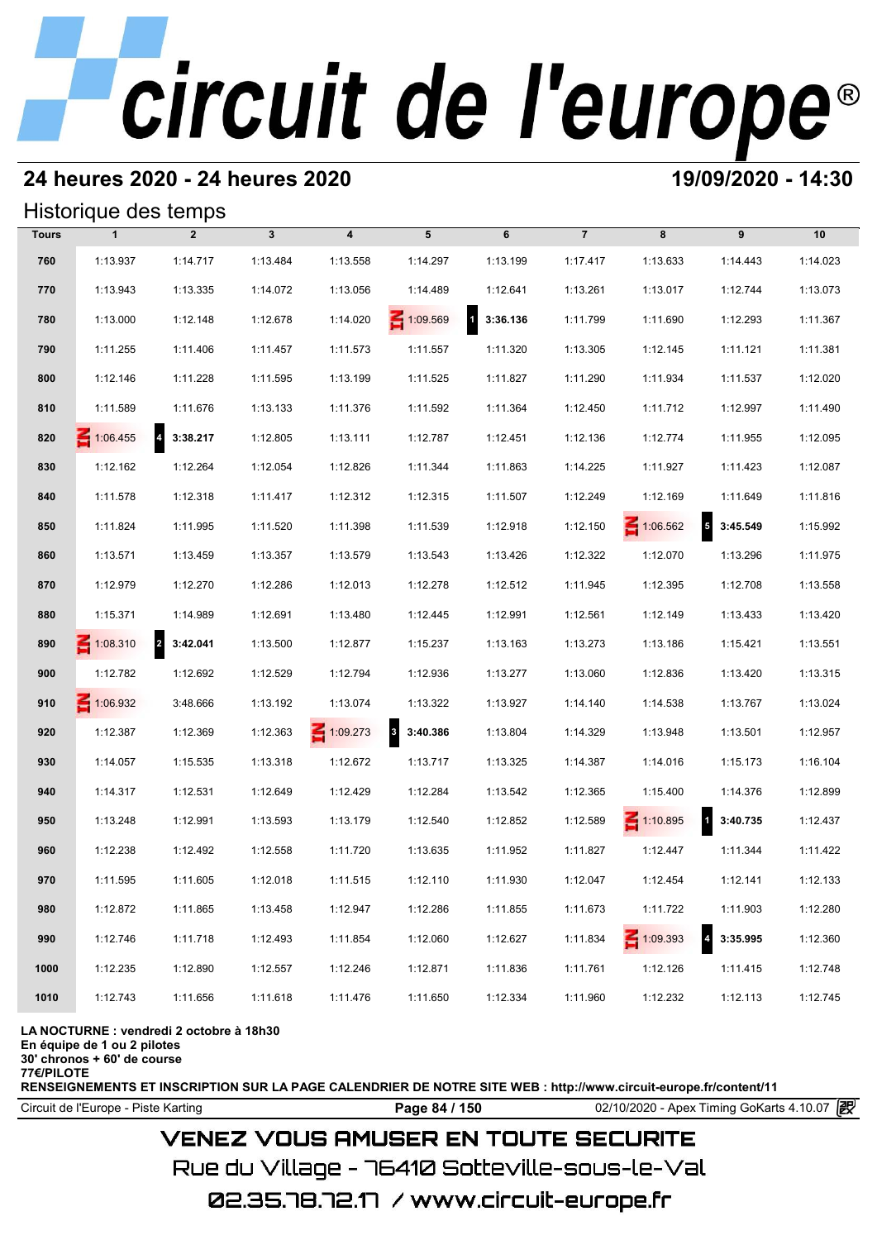### **24 heures 2020 - 24 heures 2020 19/09/2020 - 14:30**

#### Historique des temps

|              | Historique des temps |                            |              |                         |                              |                          |                |                 |                                     |          |
|--------------|----------------------|----------------------------|--------------|-------------------------|------------------------------|--------------------------|----------------|-----------------|-------------------------------------|----------|
| <b>Tours</b> | $\mathbf{1}$         | $\overline{2}$             | $\mathbf{3}$ | $\overline{\mathbf{4}}$ | 5                            | 6                        | $\overline{7}$ | 8               | 9                                   | 10       |
| 760          | 1:13.937             | 1:14.717                   | 1:13.484     | 1:13.558                | 1:14.297                     | 1:13.199                 | 1:17.417       | 1:13.633        | 1:14.443                            | 1:14.023 |
| 770          | 1:13.943             | 1:13.335                   | 1:14.072     | 1:13.056                | 1:14.489                     | 1:12.641                 | 1:13.261       | 1:13.017        | 1:12.744                            | 1:13.073 |
| 780          | 1:13.000             | 1:12.148                   | 1:12.678     | 1:14.020                | 1:09.569                     | $\mathbf{1}$<br>3:36.136 | 1:11.799       | 1:11.690        | 1:12.293                            | 1:11.367 |
| 790          | 1:11.255             | 1:11.406                   | 1:11.457     | 1:11.573                | 1:11.557                     | 1:11.320                 | 1:13.305       | 1:12.145        | 1:11.121                            | 1:11.381 |
| 800          | 1:12.146             | 1:11.228                   | 1:11.595     | 1:13.199                | 1:11.525                     | 1:11.827                 | 1:11.290       | 1:11.934        | 1:11.537                            | 1:12.020 |
| 810          | 1:11.589             | 1:11.676                   | 1:13.133     | 1:11.376                | 1:11.592                     | 1:11.364                 | 1:12.450       | 1:11.712        | 1:12.997                            | 1:11.490 |
| 820          | $\leq 1:06.455$      | 4 3:38.217                 | 1:12.805     | 1:13.111                | 1:12.787                     | 1:12.451                 | 1:12.136       | 1:12.774        | 1:11.955                            | 1:12.095 |
| 830          | 1:12.162             | 1:12.264                   | 1:12.054     | 1:12.826                | 1:11.344                     | 1:11.863                 | 1:14.225       | 1:11.927        | 1:11.423                            | 1:12.087 |
| 840          | 1:11.578             | 1:12.318                   | 1:11.417     | 1:12.312                | 1:12.315                     | 1:11.507                 | 1:12.249       | 1:12.169        | 1:11.649                            | 1:11.816 |
| 850          | 1:11.824             | 1:11.995                   | 1:11.520     | 1:11.398                | 1:11.539                     | 1:12.918                 | 1:12.150       | 1:06.562        | $5\quad 3:45.549$                   | 1:15.992 |
| 860          | 1:13.571             | 1:13.459                   | 1:13.357     | 1:13.579                | 1:13.543                     | 1:13.426                 | 1:12.322       | 1:12.070        | 1:13.296                            | 1:11.975 |
| 870          | 1:12.979             | 1:12.270                   | 1:12.286     | 1:12.013                | 1:12.278                     | 1:12.512                 | 1:11.945       | 1:12.395        | 1:12.708                            | 1:13.558 |
| 880          | 1:15.371             | 1:14.989                   | 1:12.691     | 1:13.480                | 1:12.445                     | 1:12.991                 | 1:12.561       | 1:12.149        | 1:13.433                            | 1:13.420 |
| 890          | $\leq 1:08.310$      | $\overline{a}$<br>3:42.041 | 1:13.500     | 1:12.877                | 1:15.237                     | 1:13.163                 | 1:13.273       | 1:13.186        | 1:15.421                            | 1:13.551 |
| 900          | 1:12.782             | 1:12.692                   | 1:12.529     | 1:12.794                | 1:12.936                     | 1:13.277                 | 1:13.060       | 1:12.836        | 1:13.420                            | 1:13.315 |
| 910          | $\leq 1:06.932$      | 3:48.666                   | 1:13.192     | 1:13.074                | 1:13.322                     | 1:13.927                 | 1:14.140       | 1:14.538        | 1:13.767                            | 1:13.024 |
| 920          | 1:12.387             | 1:12.369                   | 1:12.363     | 1:09.273                | 3:40.386<br>$\boldsymbol{3}$ | 1:13.804                 | 1:14.329       | 1:13.948        | 1:13.501                            | 1:12.957 |
| 930          | 1:14.057             | 1:15.535                   | 1:13.318     | 1:12.672                | 1:13.717                     | 1:13.325                 | 1:14.387       | 1:14.016        | 1:15.173                            | 1:16.104 |
| 940          | 1:14.317             | 1:12.531                   | 1:12.649     | 1:12.429                | 1:12.284                     | 1:13.542                 | 1:12.365       | 1:15.400        | 1:14.376                            | 1:12.899 |
| 950          | 1:13.248             | 1:12.991                   | 1:13.593     | 1:13.179                | 1:12.540                     | 1:12.852                 | 1:12.589       | $\leq 1:10.895$ | $\overline{\mathbf{1}}$<br>3:40.735 | 1:12.437 |
| 960          | 1:12.238             | 1:12.492                   | 1:12.558     | 1:11.720                | 1:13.635                     | 1:11.952                 | 1:11.827       | 1:12.447        | 1:11.344                            | 1:11.422 |
| 970          | 1:11.595             | 1:11.605                   | 1:12.018     | 1:11.515                | 1:12.110                     | 1:11.930                 | 1:12.047       | 1:12.454        | 1:12.141                            | 1:12.133 |
| 980          | 1:12.872             | 1:11.865                   | 1:13.458     | 1:12.947                | 1:12.286                     | 1:11.855                 | 1:11.673       | 1:11.722        | 1:11.903                            | 1:12.280 |
| 990          | 1:12.746             | 1:11.718                   | 1:12.493     | 1:11.854                | 1:12.060                     | 1:12.627                 | 1:11.834       | $\leq 1:09.393$ | $\overline{\mathbf{4}}$<br>3:35.995 | 1:12.360 |
| 1000         | 1:12.235             | 1:12.890                   | 1:12.557     | 1:12.246                | 1:12.871                     | 1:11.836                 | 1:11.761       | 1:12.126        | 1:11.415                            | 1:12.748 |
| 1010         | 1:12.743             | 1:11.656                   | 1:11.618     | 1:11.476                | 1:11.650                     | 1:12.334                 | 1:11.960       | 1:12.232        | 1:12.113                            | 1:12.745 |

#### **LA NOCTURNE : vendredi 2 octobre à 18h30**

**En équipe de 1 ou 2 pilotes**

**30' chronos + 60' de course**

**77€/PILOTE**

**RENSEIGNEMENTS ET INSCRIPTION SUR LA PAGE CALENDRIER DE NOTRE SITE WEB : http://www.circuit-europe.fr/content/11**

Circuit de l'Europe - Piste Karting **Page 84 / 150 Page 84 / 150** 02/10/2020 - Apex Timing GoKarts 4.10.07

### **VENEZ VOUS AMUSER EN TOUTE SECURITE**

Rue du Village – 76410 Sotteville-sous-le-Val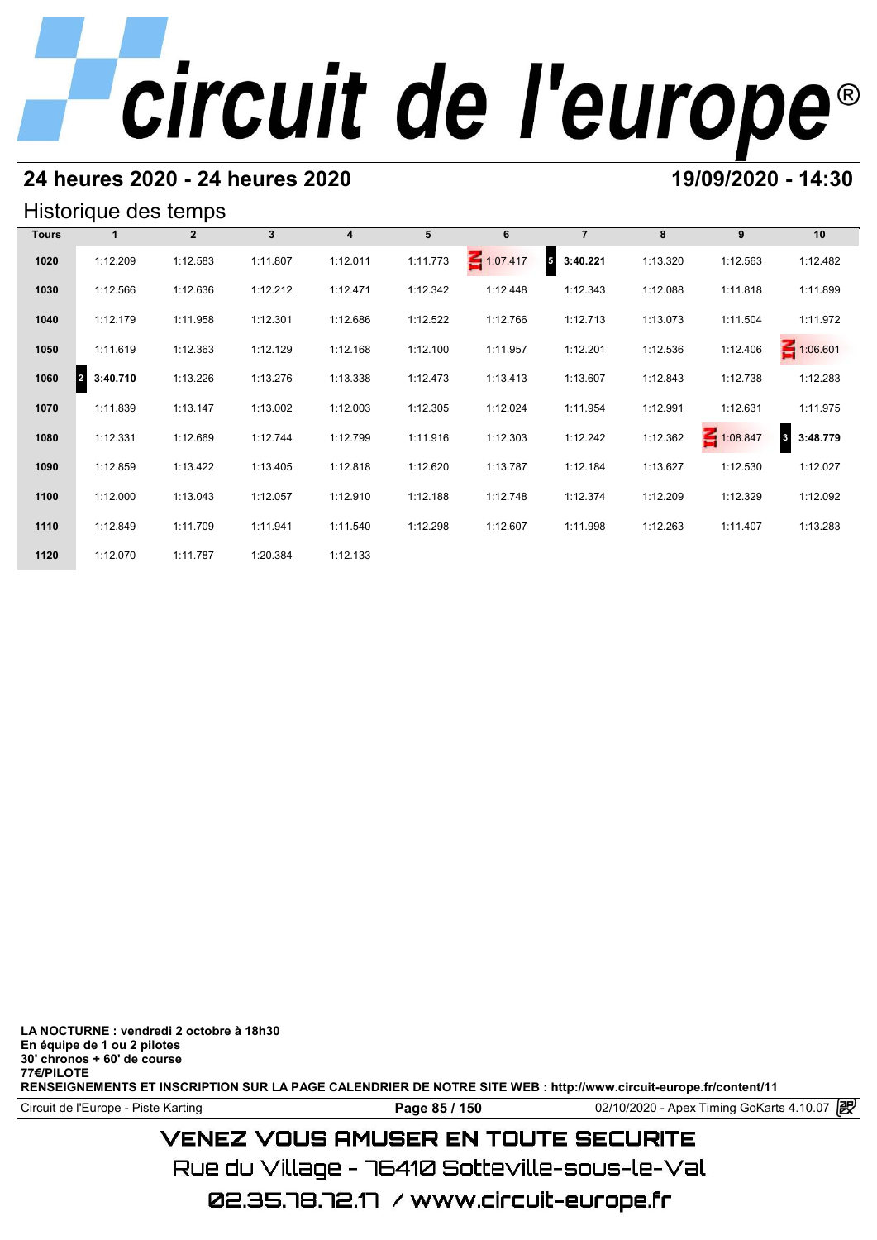### **24 heures 2020 - 24 heures 2020 19/09/2020 - 14:30**

#### Historique des temps

|              | Historique des temps |              |              |          |          |          |                             |          |          |                                     |
|--------------|----------------------|--------------|--------------|----------|----------|----------|-----------------------------|----------|----------|-------------------------------------|
| <b>Tours</b> | 1                    | $\mathbf{2}$ | $\mathbf{3}$ | 4        | 5        | 6        | $\overline{7}$              | 8        | 9        | 10                                  |
| 1020         | 1:12.209             | 1:12.583     | 1:11.807     | 1:12.011 | 1:11.773 | 1:07.417 | $5\phantom{.0}$<br>3:40.221 | 1:13.320 | 1:12.563 | 1:12.482                            |
| 1030         | 1:12.566             | 1:12.636     | 1:12.212     | 1:12.471 | 1:12.342 | 1:12.448 | 1:12.343                    | 1:12.088 | 1:11.818 | 1:11.899                            |
| 1040         | 1:12.179             | 1:11.958     | 1:12.301     | 1:12.686 | 1:12.522 | 1:12.766 | 1:12.713                    | 1:13.073 | 1:11.504 | 1:11.972                            |
| 1050         | 1:11.619             | 1:12.363     | 1:12.129     | 1:12.168 | 1:12.100 | 1:11.957 | 1:12.201                    | 1:12.536 | 1:12.406 | 1:06.601                            |
| 1060         | 3:40.710<br>2        | 1:13.226     | 1:13.276     | 1:13.338 | 1:12.473 | 1:13.413 | 1:13.607                    | 1:12.843 | 1:12.738 | 1:12.283                            |
| 1070         | 1:11.839             | 1:13.147     | 1:13.002     | 1:12.003 | 1:12.305 | 1:12.024 | 1:11.954                    | 1:12.991 | 1:12.631 | 1:11.975                            |
| 1080         | 1:12.331             | 1:12.669     | 1:12.744     | 1:12.799 | 1:11.916 | 1:12.303 | 1:12.242                    | 1:12.362 | 1:08.847 | 3:48.779<br>$\overline{\mathbf{3}}$ |
| 1090         | 1:12.859             | 1:13.422     | 1:13.405     | 1:12.818 | 1:12.620 | 1:13.787 | 1:12.184                    | 1:13.627 | 1:12.530 | 1:12.027                            |
| 1100         | 1:12.000             | 1:13.043     | 1:12.057     | 1:12.910 | 1:12.188 | 1:12.748 | 1:12.374                    | 1:12.209 | 1:12.329 | 1:12.092                            |
| 1110         | 1:12.849             | 1:11.709     | 1:11.941     | 1:11.540 | 1:12.298 | 1:12.607 | 1:11.998                    | 1:12.263 | 1:11.407 | 1:13.283                            |
| 1120         | 1:12.070             | 1:11.787     | 1:20.384     | 1:12.133 |          |          |                             |          |          |                                     |

**LA NOCTURNE : vendredi 2 octobre à 18h30 En équipe de 1 ou 2 pilotes 30' chronos + 60' de course 77€/PILOTE RENSEIGNEMENTS ET INSCRIPTION SUR LA PAGE CALENDRIER DE NOTRE SITE WEB : http://www.circuit-europe.fr/content/11**

Circuit de l'Europe - Piste Karting **Page 85 / 150** 02/10/2020 - Apex Timing GoKarts 4.10.07

## **VENEZ VOUS AMUSER EN TOUTE SECURITE**

Rue du Village – 76410 Sotteville-sous-le-Val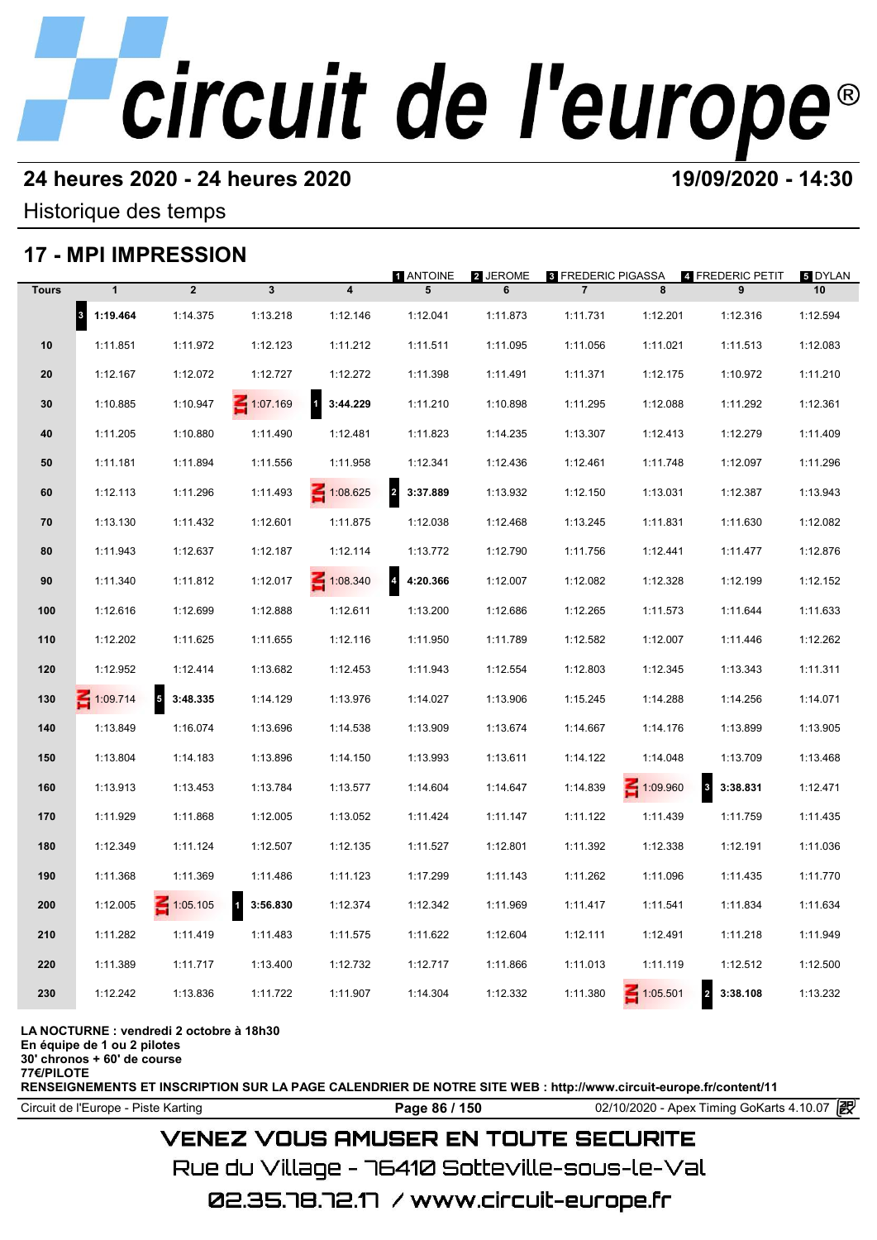### **24 heures 2020 - 24 heures 2020 19/09/2020 - 14:30**

Historique des temps

### **17 - MPI IMPRESSION**

|              |                                  | 17 - MPI IMPRESSION                 |                                     |                          |                                     |               |                                             |                 |                              |                      |
|--------------|----------------------------------|-------------------------------------|-------------------------------------|--------------------------|-------------------------------------|---------------|---------------------------------------------|-----------------|------------------------------|----------------------|
| <b>Tours</b> | $\mathbf{1}$                     | $\overline{2}$                      | $\mathbf{3}$                        | $\overline{\mathbf{4}}$  | <b>1 ANTOINE</b><br>5               | 2 JEROME<br>6 | <b>3 FREDERIC PIGASSA</b><br>$\overline{7}$ | 8               | 4 FREDERIC PETIT<br>9        | <b>5 DYLAN</b><br>10 |
|              | $\vert$ <sub>3</sub><br>1:19.464 | 1:14.375                            | 1:13.218                            | 1:12.146                 | 1:12.041                            | 1:11.873      | 1:11.731                                    | 1:12.201        | 1:12.316                     | 1:12.594             |
| 10           | 1:11.851                         | 1:11.972                            | 1:12.123                            | 1:11.212                 | 1:11.511                            | 1:11.095      | 1:11.056                                    | 1:11.021        | 1:11.513                     | 1:12.083             |
| 20           | 1:12.167                         | 1:12.072                            | 1:12.727                            | 1:12.272                 | 1:11.398                            | 1:11.491      | 1:11.371                                    | 1:12.175        | 1:10.972                     | 1:11.210             |
| 30           | 1:10.885                         | 1:10.947                            | $\leq 1:07.169$                     | $\mathbf{1}$<br>3:44.229 | 1:11.210                            | 1:10.898      | 1:11.295                                    | 1:12.088        | 1:11.292                     | 1:12.361             |
| 40           | 1:11.205                         | 1:10.880                            | 1:11.490                            | 1:12.481                 | 1:11.823                            | 1:14.235      | 1:13.307                                    | 1:12.413        | 1:12.279                     | 1:11.409             |
| 50           | 1:11.181                         | 1:11.894                            | 1:11.556                            | 1:11.958                 | 1:12.341                            | 1:12.436      | 1:12.461                                    | 1:11.748        | 1:12.097                     | 1:11.296             |
| 60           | 1:12.113                         | 1:11.296                            | 1:11.493                            | $\leq 1:08.625$          | $\overline{\mathbf{2}}$<br>3:37.889 | 1:13.932      | 1:12.150                                    | 1:13.031        | 1:12.387                     | 1:13.943             |
| 70           | 1:13.130                         | 1:11.432                            | 1:12.601                            | 1:11.875                 | 1:12.038                            | 1:12.468      | 1:13.245                                    | 1:11.831        | 1:11.630                     | 1:12.082             |
| 80           | 1:11.943                         | 1:12.637                            | 1:12.187                            | 1:12.114                 | 1:13.772                            | 1:12.790      | 1:11.756                                    | 1:12.441        | 1:11.477                     | 1:12.876             |
| 90           | 1:11.340                         | 1:11.812                            | 1:12.017                            | $\leq 1:08.340$          | $\overline{4}$<br>4:20.366          | 1:12.007      | 1:12.082                                    | 1:12.328        | 1:12.199                     | 1:12.152             |
| 100          | 1:12.616                         | 1:12.699                            | 1:12.888                            | 1:12.611                 | 1:13.200                            | 1:12.686      | 1:12.265                                    | 1:11.573        | 1:11.644                     | 1:11.633             |
| 110          | 1:12.202                         | 1:11.625                            | 1:11.655                            | 1:12.116                 | 1:11.950                            | 1:11.789      | 1:12.582                                    | 1:12.007        | 1:11.446                     | 1:12.262             |
| 120          | 1:12.952                         | 1:12.414                            | 1:13.682                            | 1:12.453                 | 1:11.943                            | 1:12.554      | 1:12.803                                    | 1:12.345        | 1:13.343                     | 1:11.311             |
| 130          | $-1:09.714$                      | $\overline{\mathbf{5}}$<br>3:48.335 | 1:14.129                            | 1:13.976                 | 1:14.027                            | 1:13.906      | 1:15.245                                    | 1:14.288        | 1:14.256                     | 1:14.071             |
| 140          | 1:13.849                         | 1:16.074                            | 1:13.696                            | 1:14.538                 | 1:13.909                            | 1:13.674      | 1:14.667                                    | 1:14.176        | 1:13.899                     | 1:13.905             |
| 150          | 1:13.804                         | 1:14.183                            | 1:13.896                            | 1:14.150                 | 1:13.993                            | 1:13.611      | 1:14.122                                    | 1:14.048        | 1:13.709                     | 1:13.468             |
| 160          | 1:13.913                         | 1:13.453                            | 1:13.784                            | 1:13.577                 | 1:14.604                            | 1:14.647      | 1:14.839                                    | $\leq 1:09.960$ | $\mathbf{3}$<br>3:38.831     | 1:12.471             |
| 170          | 1:11.929                         | 1:11.868                            | 1:12.005                            | 1:13.052                 | 1:11.424                            | 1:11.147      | 1:11.122                                    | 1:11.439        | 1:11.759                     | 1:11.435             |
| 180          | 1:12.349                         | 1:11.124                            | 1:12.507                            | 1:12.135                 | 1:11.527                            | 1:12.801      | 1:11.392                                    | 1:12.338        | 1:12.191                     | 1:11.036             |
| 190          | 1:11.368                         | 1:11.369                            | 1:11.486                            | 1:11.123                 | 1:17.299                            | 1:11.143      | 1:11.262                                    | 1:11.096        | 1:11.435                     | 1:11.770             |
| 200          | 1:12.005                         | $\leq 1:05.105$                     | $\overline{\mathbf{1}}$<br>3:56.830 | 1:12.374                 | 1:12.342                            | 1:11.969      | 1:11.417                                    | 1:11.541        | 1:11.834                     | 1:11.634             |
| 210          | 1:11.282                         | 1:11.419                            | 1:11.483                            | 1:11.575                 | 1:11.622                            | 1:12.604      | 1:12.111                                    | 1:12.491        | 1:11.218                     | 1:11.949             |
| 220          | 1:11.389                         | 1:11.717                            | 1:13.400                            | 1:12.732                 | 1:12.717                            | 1:11.866      | 1:11.013                                    | 1:11.119        | 1:12.512                     | 1:12.500             |
| 230          | 1:12.242                         | 1:13.836                            | 1:11.722                            | 1:11.907                 | 1:14.304                            | 1:12.332      | 1:11.380                                    | $\leq 1:05.501$ | $\boldsymbol{2}$<br>3:38.108 | 1:13.232             |
|              |                                  |                                     |                                     |                          |                                     |               |                                             |                 |                              |                      |

**LA NOCTURNE : vendredi 2 octobre à 18h30**

**En équipe de 1 ou 2 pilotes**

**30' chronos + 60' de course 77€/PILOTE**

**RENSEIGNEMENTS ET INSCRIPTION SUR LA PAGE CALENDRIER DE NOTRE SITE WEB : http://www.circuit-europe.fr/content/11**

Circuit de l'Europe - Piste Karting **Page 86 / 150 Page 86 / 150** 02/10/2020 - Apex Timing GoKarts 4.10.07

### **VENEZ VOUS AMUSER EN TOUTE SECURITE**

Rue du Village – 76410 Sotteville-sous-le-Val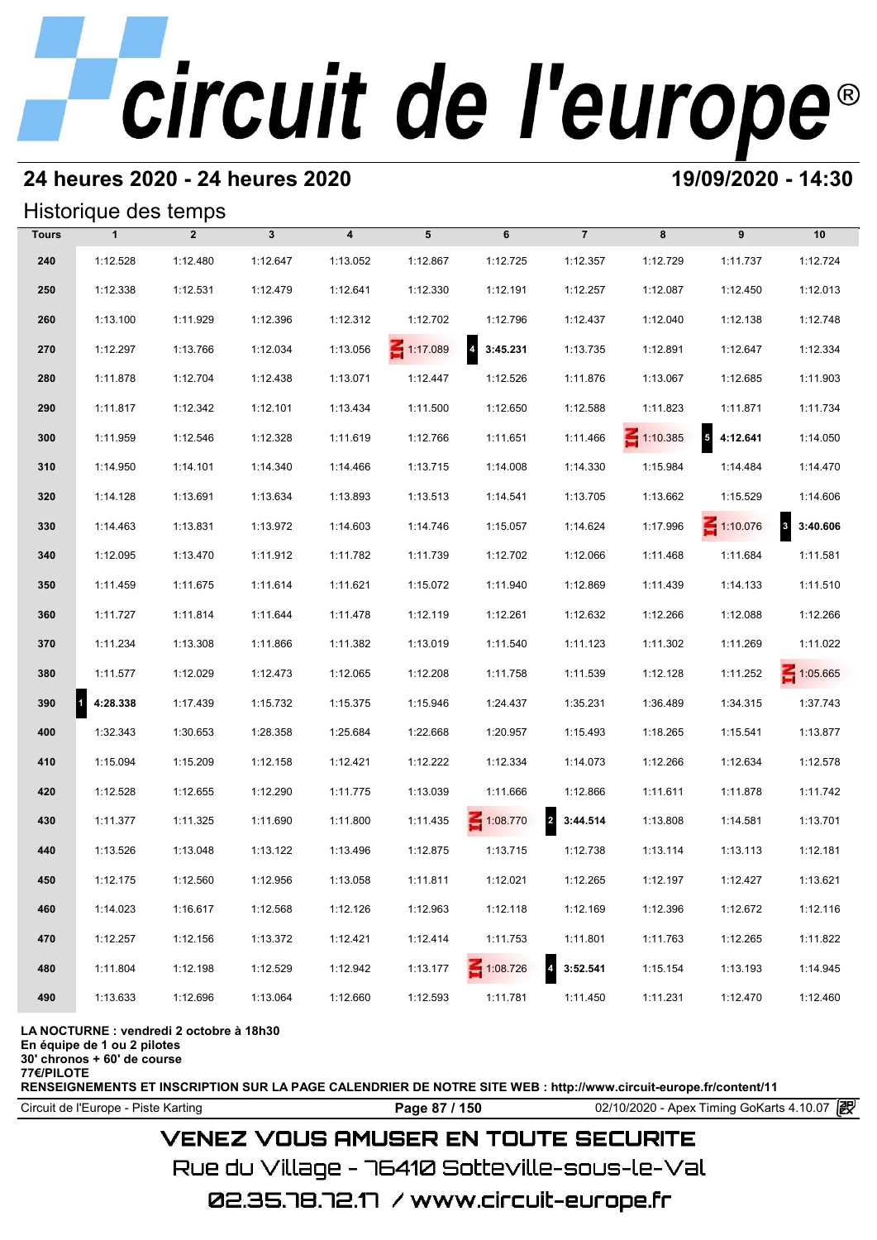## **24 heures 2020 - 24 heures 2020 19/09/2020 - 14:30**

#### Historique des temps

|              | Historique des temps     |                |              |                         |          |            |                            |                 |                 |                 |
|--------------|--------------------------|----------------|--------------|-------------------------|----------|------------|----------------------------|-----------------|-----------------|-----------------|
| <b>Tours</b> | $\mathbf{1}$             | $\overline{2}$ | $\mathbf{3}$ | $\overline{\mathbf{4}}$ | 5        | 6          | $\overline{7}$             | 8               | 9               | 10              |
| 240          | 1:12.528                 | 1:12.480       | 1:12.647     | 1:13.052                | 1:12.867 | 1:12.725   | 1:12.357                   | 1:12.729        | 1:11.737        | 1:12.724        |
| 250          | 1:12.338                 | 1:12.531       | 1:12.479     | 1:12.641                | 1:12.330 | 1:12.191   | 1:12.257                   | 1:12.087        | 1:12.450        | 1:12.013        |
| 260          | 1:13.100                 | 1:11.929       | 1:12.396     | 1:12.312                | 1:12.702 | 1:12.796   | 1:12.437                   | 1:12.040        | 1:12.138        | 1:12.748        |
| 270          | 1:12.297                 | 1:13.766       | 1:12.034     | 1:13.056                | 1:17.089 | 4 3:45.231 | 1:13.735                   | 1:12.891        | 1:12.647        | 1:12.334        |
| 280          | 1:11.878                 | 1:12.704       | 1:12.438     | 1:13.071                | 1:12.447 | 1:12.526   | 1:11.876                   | 1:13.067        | 1:12.685        | 1:11.903        |
| 290          | 1:11.817                 | 1:12.342       | 1:12.101     | 1:13.434                | 1:11.500 | 1:12.650   | 1:12.588                   | 1:11.823        | 1:11.871        | 1:11.734        |
| 300          | 1:11.959                 | 1:12.546       | 1:12.328     | 1:11.619                | 1:12.766 | 1:11.651   | 1:11.466                   | $\leq 1:10.385$ | 54:12.641       | 1:14.050        |
| 310          | 1:14.950                 | 1:14.101       | 1:14.340     | 1:14.466                | 1:13.715 | 1:14.008   | 1:14.330                   | 1:15.984        | 1:14.484        | 1:14.470        |
| 320          | 1:14.128                 | 1:13.691       | 1:13.634     | 1:13.893                | 1:13.513 | 1:14.541   | 1:13.705                   | 1:13.662        | 1:15.529        | 1:14.606        |
| 330          | 1:14.463                 | 1:13.831       | 1:13.972     | 1:14.603                | 1:14.746 | 1:15.057   | 1:14.624                   | 1:17.996        | $\leq 1:10.076$ | 3:40.606        |
| 340          | 1:12.095                 | 1:13.470       | 1:11.912     | 1:11.782                | 1:11.739 | 1:12.702   | 1:12.066                   | 1:11.468        | 1:11.684        | 1:11.581        |
| 350          | 1:11.459                 | 1:11.675       | 1:11.614     | 1:11.621                | 1:15.072 | 1:11.940   | 1:12.869                   | 1:11.439        | 1:14.133        | 1:11.510        |
| 360          | 1:11.727                 | 1:11.814       | 1:11.644     | 1:11.478                | 1:12.119 | 1:12.261   | 1:12.632                   | 1:12.266        | 1:12.088        | 1:12.266        |
| 370          | 1:11.234                 | 1:13.308       | 1:11.866     | 1:11.382                | 1:13.019 | 1:11.540   | 1:11.123                   | 1:11.302        | 1:11.269        | 1:11.022        |
| 380          | 1:11.577                 | 1:12.029       | 1:12.473     | 1:12.065                | 1:12.208 | 1:11.758   | 1:11.539                   | 1:12.128        | 1:11.252        | $\leq 1:05.665$ |
| 390          | $\mathbf{1}$<br>4:28.338 | 1:17.439       | 1:15.732     | 1:15.375                | 1:15.946 | 1:24.437   | 1:35.231                   | 1:36.489        | 1:34.315        | 1:37.743        |
| 400          | 1:32.343                 | 1:30.653       | 1:28.358     | 1:25.684                | 1:22.668 | 1:20.957   | 1:15.493                   | 1:18.265        | 1:15.541        | 1:13.877        |
| 410          | 1:15.094                 | 1:15.209       | 1:12.158     | 1:12.421                | 1:12.222 | 1:12.334   | 1:14.073                   | 1:12.266        | 1:12.634        | 1:12.578        |
| 420          | 1:12.528                 | 1:12.655       | 1:12.290     | 1:11.775                | 1:13.039 | 1:11.666   | 1:12.866                   | 1:11.611        | 1:11.878        | 1:11.742        |
| 430          | 1:11.377                 | 1:11.325       | 1:11.690     | 1:11.800                | 1:11.435 | 1:08.770   | $\overline{a}$<br>3:44.514 | 1:13.808        | 1:14.581        | 1:13.701        |
| 440          | 1:13.526                 | 1:13.048       | 1:13.122     | 1:13.496                | 1:12.875 | 1:13.715   | 1:12.738                   | 1:13.114        | 1:13.113        | 1:12.181        |
| 450          | 1:12.175                 | 1:12.560       | 1:12.956     | 1:13.058                | 1:11.811 | 1:12.021   | 1:12.265                   | 1:12.197        | 1:12.427        | 1:13.621        |
| 460          | 1:14.023                 | 1:16.617       | 1:12.568     | 1:12.126                | 1:12.963 | 1:12.118   | 1:12.169                   | 1:12.396        | 1:12.672        | 1:12.116        |
| 470          | 1:12.257                 | 1:12.156       | 1:13.372     | 1:12.421                | 1:12.414 | 1:11.753   | 1:11.801                   | 1:11.763        | 1:12.265        | 1:11.822        |
| 480          | 1:11.804                 | 1:12.198       | 1:12.529     | 1:12.942                | 1:13.177 | 1:08.726   | 3:52.541                   | 1:15.154        | 1:13.193        | 1:14.945        |
| 490          | 1:13.633                 | 1:12.696       | 1:13.064     | 1:12.660                | 1:12.593 | 1:11.781   | 1:11.450                   | 1:11.231        | 1:12.470        | 1:12.460        |

**LA NOCTURNE : vendredi 2 octobre à 18h30**

**En équipe de 1 ou 2 pilotes**

**30' chronos + 60' de course 77€/PILOTE**

**RENSEIGNEMENTS ET INSCRIPTION SUR LA PAGE CALENDRIER DE NOTRE SITE WEB : http://www.circuit-europe.fr/content/11**

Circuit de l'Europe - Piste Karting **Page 87 / 150 Page 87 / 150** 02/10/2020 - Apex Timing GoKarts 4.10.07

### **VENEZ VOUS AMUSER EN TOUTE SECURITE**

Rue du Village – 76410 Sotteville-sous-le-Val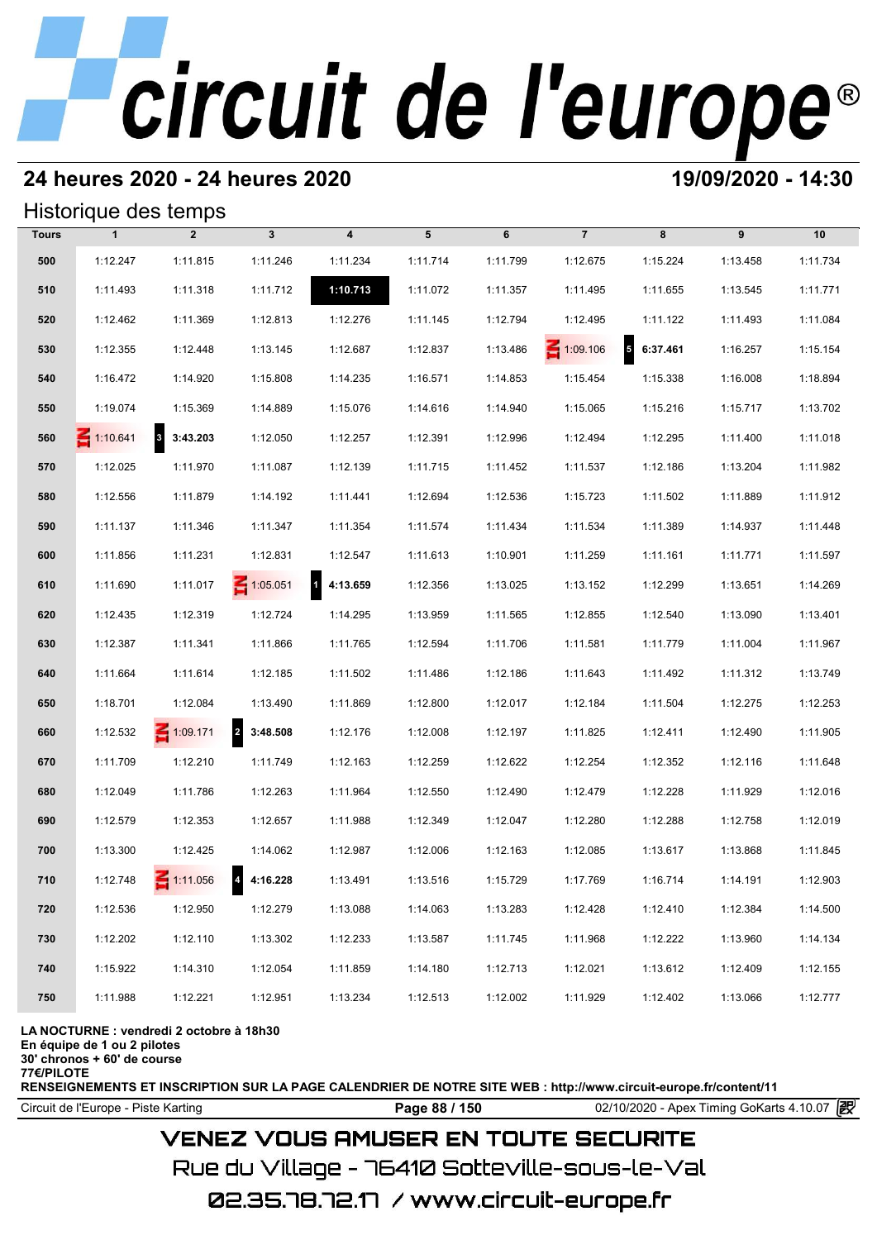#### **24 heures 2020 - 24 heures 2020 19/09/2020 - 14:30**

#### Historique des temps

|              | Historique des temps |                 |                 |                          |          |          |                 |           |          |          |
|--------------|----------------------|-----------------|-----------------|--------------------------|----------|----------|-----------------|-----------|----------|----------|
| <b>Tours</b> | $\mathbf{1}$         | $\overline{2}$  | $\mathbf{3}$    | $\overline{\mathbf{4}}$  | 5        | 6        | $\overline{7}$  | 8         | 9        | 10       |
| 500          | 1:12.247             | 1:11.815        | 1:11.246        | 1:11.234                 | 1:11.714 | 1:11.799 | 1:12.675        | 1:15.224  | 1:13.458 | 1:11.734 |
| 510          | 1:11.493             | 1:11.318        | 1:11.712        | 1:10.713                 | 1:11.072 | 1:11.357 | 1:11.495        | 1:11.655  | 1:13.545 | 1:11.771 |
| 520          | 1:12.462             | 1:11.369        | 1:12.813        | 1:12.276                 | 1:11.145 | 1:12.794 | 1:12.495        | 1:11.122  | 1:11.493 | 1:11.084 |
| 530          | 1:12.355             | 1:12.448        | 1:13.145        | 1:12.687                 | 1:12.837 | 1:13.486 | $\leq 1:09.106$ | 56:37.461 | 1:16.257 | 1:15.154 |
| 540          | 1:16.472             | 1:14.920        | 1:15.808        | 1:14.235                 | 1:16.571 | 1:14.853 | 1:15.454        | 1:15.338  | 1:16.008 | 1:18.894 |
| 550          | 1:19.074             | 1:15.369        | 1:14.889        | 1:15.076                 | 1:14.616 | 1:14.940 | 1:15.065        | 1:15.216  | 1:15.717 | 1:13.702 |
| 560          | $\leq 1:10.641$      | 3:43.203        | 1:12.050        | 1:12.257                 | 1:12.391 | 1:12.996 | 1:12.494        | 1:12.295  | 1:11.400 | 1:11.018 |
| 570          | 1:12.025             | 1:11.970        | 1:11.087        | 1:12.139                 | 1:11.715 | 1:11.452 | 1:11.537        | 1:12.186  | 1:13.204 | 1:11.982 |
| 580          | 1:12.556             | 1:11.879        | 1:14.192        | 1:11.441                 | 1:12.694 | 1:12.536 | 1:15.723        | 1:11.502  | 1:11.889 | 1:11.912 |
| 590          | 1:11.137             | 1:11.346        | 1:11.347        | 1:11.354                 | 1:11.574 | 1:11.434 | 1:11.534        | 1:11.389  | 1:14.937 | 1:11.448 |
| 600          | 1:11.856             | 1:11.231        | 1:12.831        | 1:12.547                 | 1:11.613 | 1:10.901 | 1:11.259        | 1:11.161  | 1:11.771 | 1:11.597 |
| 610          | 1:11.690             | 1:11.017        | $\leq 1:05.051$ | $\mathbf{1}$<br>4:13.659 | 1:12.356 | 1:13.025 | 1:13.152        | 1:12.299  | 1:13.651 | 1:14.269 |
| 620          | 1:12.435             | 1:12.319        | 1:12.724        | 1:14.295                 | 1:13.959 | 1:11.565 | 1:12.855        | 1:12.540  | 1:13.090 | 1:13.401 |
| 630          | 1:12.387             | 1:11.341        | 1:11.866        | 1:11.765                 | 1:12.594 | 1:11.706 | 1:11.581        | 1:11.779  | 1:11.004 | 1:11.967 |
| 640          | 1:11.664             | 1:11.614        | 1:12.185        | 1:11.502                 | 1:11.486 | 1:12.186 | 1:11.643        | 1:11.492  | 1:11.312 | 1:13.749 |
| 650          | 1:18.701             | 1:12.084        | 1:13.490        | 1:11.869                 | 1:12.800 | 1:12.017 | 1:12.184        | 1:11.504  | 1:12.275 | 1:12.253 |
| 660          | 1:12.532             | $\leq 1:09.171$ | 2 3:48.508      | 1:12.176                 | 1:12.008 | 1:12.197 | 1:11.825        | 1:12.411  | 1:12.490 | 1:11.905 |
| 670          | 1:11.709             | 1:12.210        | 1:11.749        | 1:12.163                 | 1:12.259 | 1:12.622 | 1:12.254        | 1:12.352  | 1:12.116 | 1:11.648 |
| 680          | 1:12.049             | 1:11.786        | 1:12.263        | 1:11.964                 | 1:12.550 | 1:12.490 | 1:12.479        | 1:12.228  | 1:11.929 | 1:12.016 |
| 690          | 1:12.579             | 1:12.353        | 1:12.657        | 1:11.988                 | 1:12.349 | 1:12.047 | 1:12.280        | 1:12.288  | 1:12.758 | 1:12.019 |
| 700          | 1:13.300             | 1:12.425        | 1:14.062        | 1:12.987                 | 1:12.006 | 1:12.163 | 1:12.085        | 1:13.617  | 1:13.868 | 1:11.845 |
| 710          | 1:12.748             | $\leq 1:11.056$ | 4 4:16.228      | 1:13.491                 | 1:13.516 | 1:15.729 | 1:17.769        | 1:16.714  | 1:14.191 | 1:12.903 |
| 720          | 1:12.536             | 1:12.950        | 1:12.279        | 1:13.088                 | 1:14.063 | 1:13.283 | 1:12.428        | 1:12.410  | 1:12.384 | 1:14.500 |
| 730          | 1:12.202             | 1:12.110        | 1:13.302        | 1:12.233                 | 1:13.587 | 1:11.745 | 1:11.968        | 1:12.222  | 1:13.960 | 1:14.134 |
| 740          | 1:15.922             | 1:14.310        | 1:12.054        | 1:11.859                 | 1:14.180 | 1:12.713 | 1:12.021        | 1:13.612  | 1:12.409 | 1:12.155 |
| 750          | 1:11.988             | 1:12.221        | 1:12.951        | 1:13.234                 | 1:12.513 | 1:12.002 | 1:11.929        | 1:12.402  | 1:13.066 | 1:12.777 |

#### **LA NOCTURNE : vendredi 2 octobre à 18h30**

**En équipe de 1 ou 2 pilotes**

**30' chronos + 60' de course**

**77€/PILOTE**

**RENSEIGNEMENTS ET INSCRIPTION SUR LA PAGE CALENDRIER DE NOTRE SITE WEB : http://www.circuit-europe.fr/content/11**

Circuit de l'Europe - Piste Karting **Page 88 / 150 Page 88 / 150** 02/10/2020 - Apex Timing GoKarts 4.10.07

## **VENEZ VOUS AMUSER EN TOUTE SECURITE**

Rue du Village – 76410 Sotteville-sous-le-Val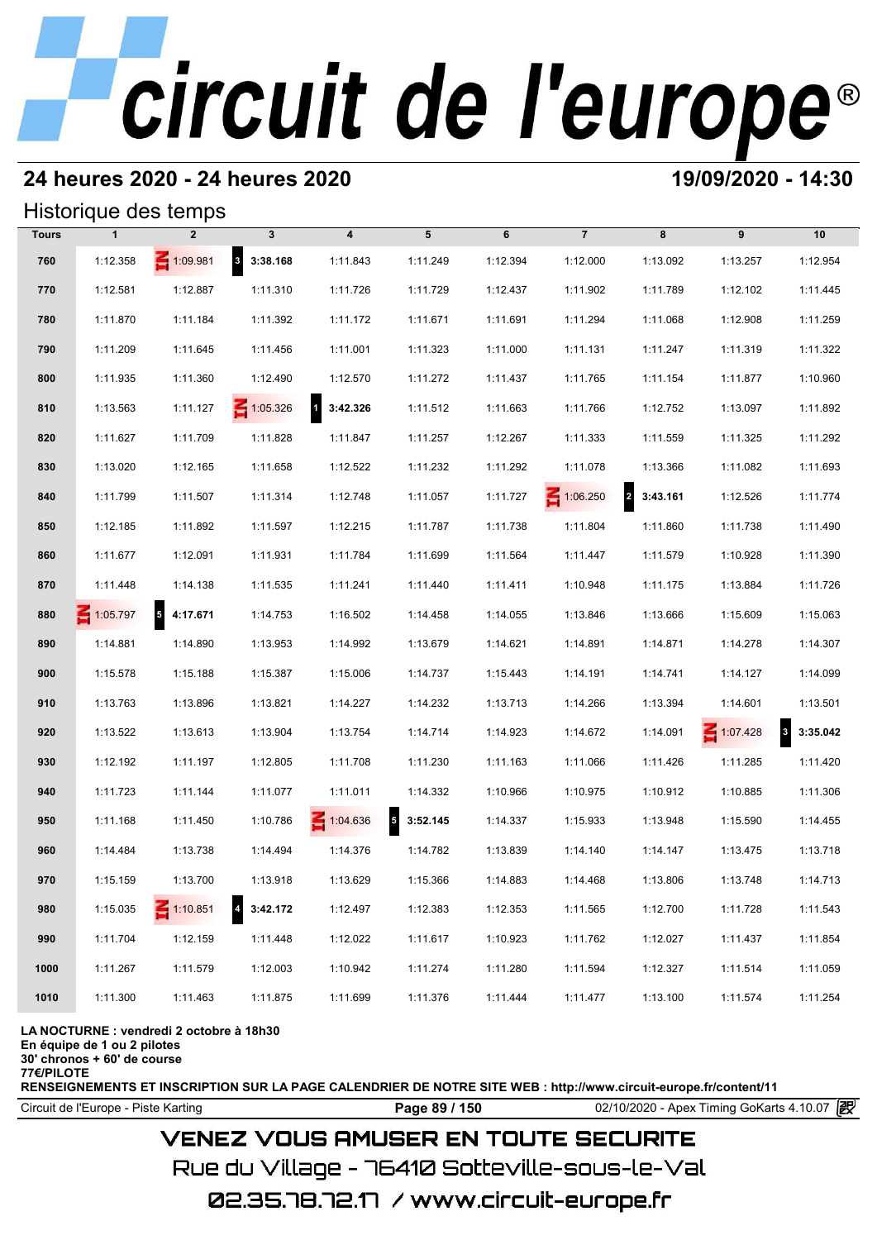### **24 heures 2020 - 24 heures 2020 19/09/2020 - 14:30**

#### Historique des temps

|              |                 | Historique des temps |                 |                            |               |          |                 |            |             |                                     |
|--------------|-----------------|----------------------|-----------------|----------------------------|---------------|----------|-----------------|------------|-------------|-------------------------------------|
| <b>Tours</b> | $\mathbf{1}$    | $\overline{2}$       | $\mathbf{3}$    | $\overline{\mathbf{4}}$    | 5             | 6        | $\overline{7}$  | 8          | 9           | 10                                  |
| 760          | 1:12.358        | 1:09.981             | 8 3:38.168      | 1:11.843                   | 1:11.249      | 1:12.394 | 1:12.000        | 1:13.092   | 1:13.257    | 1:12.954                            |
| 770          | 1:12.581        | 1:12.887             | 1:11.310        | 1:11.726                   | 1:11.729      | 1:12.437 | 1:11.902        | 1:11.789   | 1:12.102    | 1:11.445                            |
| 780          | 1:11.870        | 1:11.184             | 1:11.392        | 1:11.172                   | 1:11.671      | 1:11.691 | 1:11.294        | 1:11.068   | 1:12.908    | 1:11.259                            |
| 790          | 1:11.209        | 1:11.645             | 1:11.456        | 1:11.001                   | 1:11.323      | 1:11.000 | 1:11.131        | 1:11.247   | 1:11.319    | 1:11.322                            |
| 800          | 1:11.935        | 1:11.360             | 1:12.490        | 1:12.570                   | 1:11.272      | 1:11.437 | 1:11.765        | 1:11.154   | 1:11.877    | 1:10.960                            |
| 810          | 1:13.563        | 1:11.127             | $\leq 1:05.326$ | $\overline{1}$<br>3:42.326 | 1:11.512      | 1:11.663 | 1:11.766        | 1:12.752   | 1:13.097    | 1:11.892                            |
| 820          | 1:11.627        | 1:11.709             | 1:11.828        | 1:11.847                   | 1:11.257      | 1:12.267 | 1:11.333        | 1:11.559   | 1:11.325    | 1:11.292                            |
| 830          | 1:13.020        | 1:12.165             | 1:11.658        | 1:12.522                   | 1:11.232      | 1:11.292 | 1:11.078        | 1:13.366   | 1:11.082    | 1:11.693                            |
| 840          | 1:11.799        | 1:11.507             | 1:11.314        | 1:12.748                   | 1:11.057      | 1:11.727 | $\leq 1:06.250$ | 2 3:43.161 | 1:12.526    | 1:11.774                            |
| 850          | 1:12.185        | 1:11.892             | 1:11.597        | 1:12.215                   | 1:11.787      | 1:11.738 | 1:11.804        | 1:11.860   | 1:11.738    | 1:11.490                            |
| 860          | 1:11.677        | 1:12.091             | 1:11.931        | 1:11.784                   | 1:11.699      | 1:11.564 | 1:11.447        | 1:11.579   | 1:10.928    | 1:11.390                            |
| 870          | 1:11.448        | 1:14.138             | 1:11.535        | 1:11.241                   | 1:11.440      | 1:11.411 | 1:10.948        | 1:11.175   | 1:13.884    | 1:11.726                            |
| 880          | $\leq 1:05.797$ | 54:17.671            | 1:14.753        | 1:16.502                   | 1:14.458      | 1:14.055 | 1:13.846        | 1:13.666   | 1:15.609    | 1:15.063                            |
| 890          | 1:14.881        | 1:14.890             | 1:13.953        | 1:14.992                   | 1:13.679      | 1:14.621 | 1:14.891        | 1:14.871   | 1:14.278    | 1:14.307                            |
| 900          | 1:15.578        | 1:15.188             | 1:15.387        | 1:15.006                   | 1:14.737      | 1:15.443 | 1:14.191        | 1:14.741   | 1:14.127    | 1:14.099                            |
| 910          | 1:13.763        | 1:13.896             | 1:13.821        | 1:14.227                   | 1:14.232      | 1:13.713 | 1:14.266        | 1:13.394   | 1:14.601    | 1:13.501                            |
| 920          | 1:13.522        | 1:13.613             | 1:13.904        | 1:13.754                   | 1:14.714      | 1:14.923 | 1:14.672        | 1:14.091   | $-1:07.428$ | $\overline{\mathbf{3}}$<br>3:35.042 |
| 930          | 1:12.192        | 1:11.197             | 1:12.805        | 1:11.708                   | 1:11.230      | 1:11.163 | 1:11.066        | 1:11.426   | 1:11.285    | 1:11.420                            |
| 940          | 1:11.723        | 1:11.144             | 1:11.077        | 1:11.011                   | 1:14.332      | 1:10.966 | 1:10.975        | 1:10.912   | 1:10.885    | 1:11.306                            |
| 950          | 1:11.168        | 1:11.450             | 1:10.786        | 1:04.636                   | 3:52.145<br>5 | 1:14.337 | 1:15.933        | 1:13.948   | 1:15.590    | 1:14.455                            |
| 960          | 1:14.484        | 1:13.738             | 1:14.494        | 1:14.376                   | 1:14.782      | 1:13.839 | 1:14.140        | 1:14.147   | 1:13.475    | 1:13.718                            |
| 970          | 1:15.159        | 1:13.700             | 1:13.918        | 1:13.629                   | 1:15.366      | 1:14.883 | 1:14.468        | 1:13.806   | 1:13.748    | 1:14.713                            |
| 980          | 1:15.035        | $\leq 1:10.851$      | 4 3:42.172      | 1:12.497                   | 1:12.383      | 1:12.353 | 1:11.565        | 1:12.700   | 1:11.728    | 1:11.543                            |
| 990          | 1:11.704        | 1:12.159             | 1:11.448        | 1:12.022                   | 1:11.617      | 1:10.923 | 1:11.762        | 1:12.027   | 1:11.437    | 1:11.854                            |
| 1000         | 1:11.267        | 1:11.579             | 1:12.003        | 1:10.942                   | 1:11.274      | 1:11.280 | 1:11.594        | 1:12.327   | 1:11.514    | 1:11.059                            |
| 1010         | 1:11.300        | 1:11.463             | 1:11.875        | 1:11.699                   | 1:11.376      | 1:11.444 | 1:11.477        | 1:13.100   | 1:11.574    | 1:11.254                            |

#### **LA NOCTURNE : vendredi 2 octobre à 18h30**

**En équipe de 1 ou 2 pilotes**

**30' chronos + 60' de course**

**77€/PILOTE**

**RENSEIGNEMENTS ET INSCRIPTION SUR LA PAGE CALENDRIER DE NOTRE SITE WEB : http://www.circuit-europe.fr/content/11**

Circuit de l'Europe - Piste Karting **Page 89 / 150 Page 89 / 150** 02/10/2020 - Apex Timing GoKarts 4.10.07

### **VENEZ VOUS AMUSER EN TOUTE SECURITE**

Rue du Village – 76410 Sotteville-sous-le-Val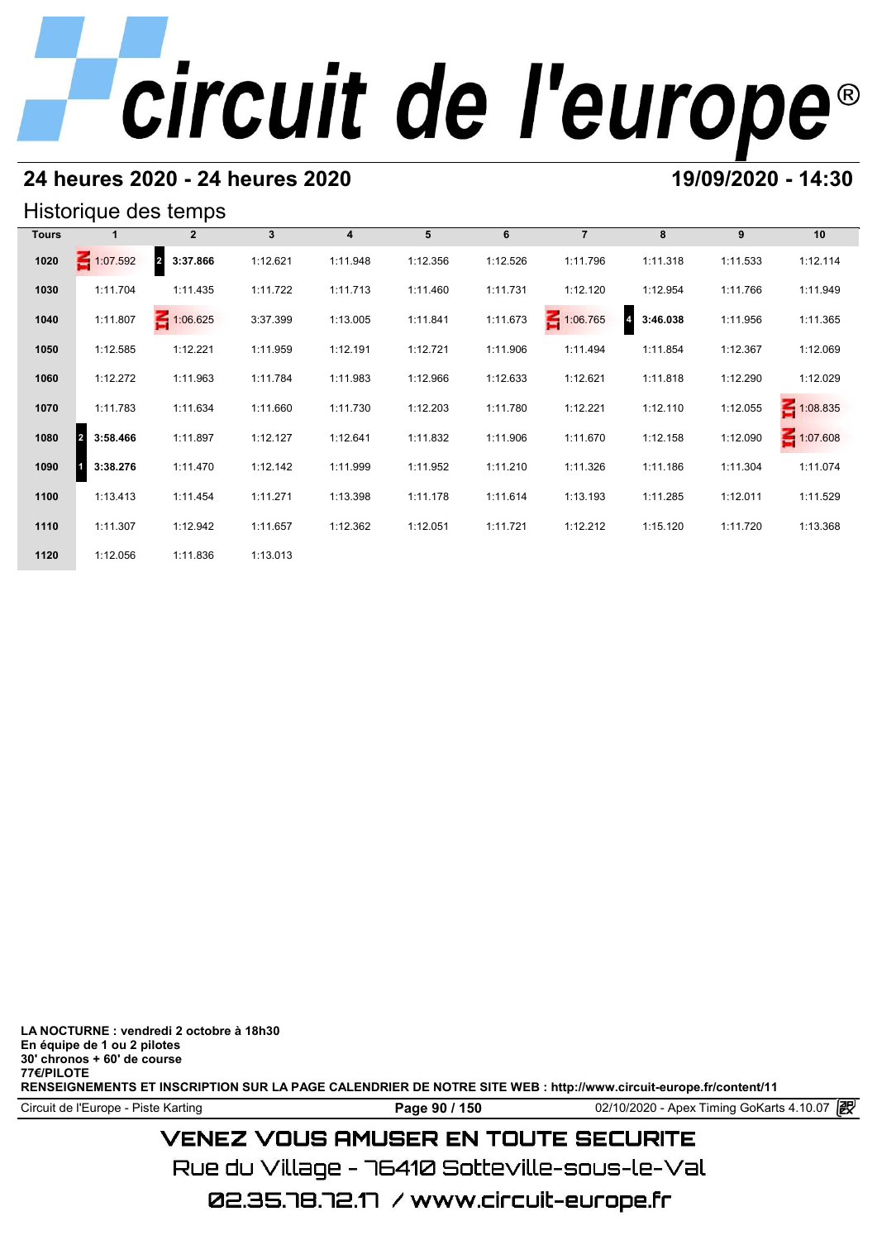### **24 heures 2020 - 24 heures 2020 19/09/2020 - 14:30**

#### Historique des temps

|              |                            | Historique des temps       |                 |          |          |          |                |                            |          |                 |
|--------------|----------------------------|----------------------------|-----------------|----------|----------|----------|----------------|----------------------------|----------|-----------------|
| <b>Tours</b> |                            | $\mathbf{2}$               | $3\phantom{.0}$ | 4        | 5        | 6        | $\overline{7}$ | 8                          | 9        | 10              |
| 1020         | $\leq 1:07.592$            | $\overline{a}$<br>3:37.866 | 1:12.621        | 1:11.948 | 1:12.356 | 1:12.526 | 1:11.796       | 1:11.318                   | 1:11.533 | 1:12.114        |
| 1030         | 1:11.704                   | 1:11.435                   | 1:11.722        | 1:11.713 | 1:11.460 | 1:11.731 | 1:12.120       | 1:12.954                   | 1:11.766 | 1:11.949        |
| 1040         | 1:11.807                   | $-1:06.625$                | 3:37.399        | 1:13.005 | 1:11.841 | 1:11.673 | 1:06.765       | $\overline{4}$<br>3:46.038 | 1:11.956 | 1:11.365        |
| 1050         | 1:12.585                   | 1:12.221                   | 1:11.959        | 1:12.191 | 1:12.721 | 1:11.906 | 1:11.494       | 1:11.854                   | 1:12.367 | 1:12.069        |
| 1060         | 1:12.272                   | 1:11.963                   | 1:11.784        | 1:11.983 | 1:12.966 | 1:12.633 | 1:12.621       | 1:11.818                   | 1:12.290 | 1:12.029        |
| 1070         | 1:11.783                   | 1:11.634                   | 1:11.660        | 1:11.730 | 1:12.203 | 1:11.780 | 1:12.221       | 1:12.110                   | 1:12.055 | $\leq 1:08.835$ |
| 1080         | 3:58.466<br>$\overline{2}$ | 1:11.897                   | 1:12.127        | 1:12.641 | 1:11.832 | 1:11.906 | 1:11.670       | 1:12.158                   | 1:12.090 | $-1:07.608$     |
| 1090         | 3:38.276                   | 1:11.470                   | 1:12.142        | 1:11.999 | 1:11.952 | 1:11.210 | 1:11.326       | 1:11.186                   | 1:11.304 | 1:11.074        |
| 1100         | 1:13.413                   | 1:11.454                   | 1:11.271        | 1:13.398 | 1:11.178 | 1:11.614 | 1:13.193       | 1:11.285                   | 1:12.011 | 1:11.529        |
| 1110         | 1:11.307                   | 1:12.942                   | 1:11.657        | 1:12.362 | 1:12.051 | 1:11.721 | 1:12.212       | 1:15.120                   | 1:11.720 | 1:13.368        |
| 1120         | 1:12.056                   | 1:11.836                   | 1:13.013        |          |          |          |                |                            |          |                 |

**LA NOCTURNE : vendredi 2 octobre à 18h30 En équipe de 1 ou 2 pilotes 30' chronos + 60' de course 77€/PILOTE RENSEIGNEMENTS ET INSCRIPTION SUR LA PAGE CALENDRIER DE NOTRE SITE WEB : http://www.circuit-europe.fr/content/11**

Circuit de l'Europe - Piste Karting **Page 90 / 150 Page 90 / 150** 02/10/2020 - Apex Timing GoKarts 4.10.07

## **VENEZ VOUS AMUSER EN TOUTE SECURITE**

Rue du Village – 76410 Sotteville-sous-le-Val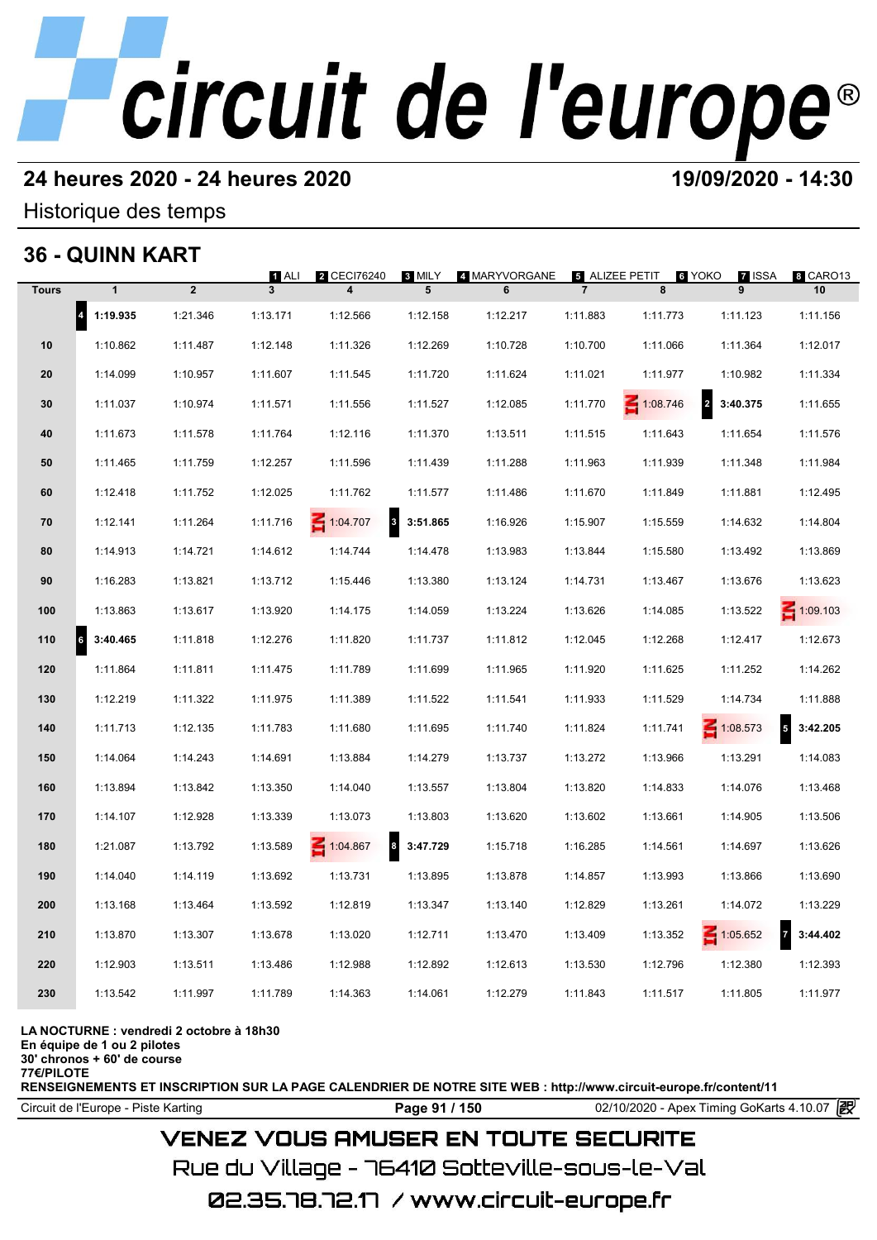## **24 heures 2020 - 24 heures 2020 19/09/2020 - 14:30**

Historique des temps

## **36 - QUINN KART**

|              | 36 - QUINN KART       |             |                         |                                        |                       |                    |                |                     |                              |                            |
|--------------|-----------------------|-------------|-------------------------|----------------------------------------|-----------------------|--------------------|----------------|---------------------|------------------------------|----------------------------|
| <b>Tours</b> | $\mathbf{1}$          | $\mathbf 2$ | $\blacksquare$ ALI<br>3 | 2 CECI76240                            | 8 MILY<br>5           | 4 MARYVORGANE<br>6 | $\overline{7}$ | 5 ALIZEE PETIT<br>8 | 6 YOKO<br><b>7 ISSA</b><br>9 | 8 CARO13<br>10             |
|              | $\vert$ 4<br>1:19.935 | 1:21.346    | 1:13.171                | 1:12.566                               | 1:12.158              | 1:12.217           | 1:11.883       | 1:11.773            | 1:11.123                     | 1:11.156                   |
| 10           | 1:10.862              | 1:11.487    | 1:12.148                | 1:11.326                               | 1:12.269              | 1:10.728           | 1:10.700       | 1:11.066            | 1:11.364                     | 1:12.017                   |
| 20           | 1:14.099              | 1:10.957    | 1:11.607                | 1:11.545                               | 1:11.720              | 1:11.624           | 1:11.021       | 1:11.977            | 1:10.982                     | 1:11.334                   |
| 30           | 1:11.037              | 1:10.974    | 1:11.571                | 1:11.556                               | 1:11.527              | 1:12.085           | 1:11.770       | 1:08.746            | $\overline{a}$<br>3:40.375   | 1:11.655                   |
| 40           | 1:11.673              | 1:11.578    | 1:11.764                | 1:12.116                               | 1:11.370              | 1:13.511           | 1:11.515       | 1:11.643            | 1:11.654                     | 1:11.576                   |
| 50           | 1:11.465              | 1:11.759    | 1:12.257                | 1:11.596                               | 1:11.439              | 1:11.288           | 1:11.963       | 1:11.939            | 1:11.348                     | 1:11.984                   |
| 60           | 1:12.418              | 1:11.752    | 1:12.025                | 1:11.762                               | 1:11.577              | 1:11.486           | 1:11.670       | 1:11.849            | 1:11.881                     | 1:12.495                   |
| 70           | 1:12.141              | 1:11.264    | 1:11.716                | $\overline{\mathbf{3}}$<br>$-1:04.707$ | 3:51.865              | 1:16.926           | 1:15.907       | 1:15.559            | 1:14.632                     | 1:14.804                   |
| 80           | 1:14.913              | 1:14.721    | 1:14.612                | 1:14.744                               | 1:14.478              | 1:13.983           | 1:13.844       | 1:15.580            | 1:13.492                     | 1:13.869                   |
| 90           | 1:16.283              | 1:13.821    | 1:13.712                | 1:15.446                               | 1:13.380              | 1:13.124           | 1:14.731       | 1:13.467            | 1:13.676                     | 1:13.623                   |
| 100          | 1:13.863              | 1:13.617    | 1:13.920                | 1:14.175                               | 1:14.059              | 1:13.224           | 1:13.626       | 1:14.085            | 1:13.522                     | $\leq 1:09.103$            |
| 110          | 3:40.465<br>6         | 1:11.818    | 1:12.276                | 1:11.820                               | 1:11.737              | 1:11.812           | 1:12.045       | 1:12.268            | 1:12.417                     | 1:12.673                   |
| 120          | 1:11.864              | 1:11.811    | 1:11.475                | 1:11.789                               | 1:11.699              | 1:11.965           | 1:11.920       | 1:11.625            | 1:11.252                     | 1:14.262                   |
| 130          | 1:12.219              | 1:11.322    | 1:11.975                | 1:11.389                               | 1:11.522              | 1:11.541           | 1:11.933       | 1:11.529            | 1:14.734                     | 1:11.888                   |
| 140          | 1:11.713              | 1:12.135    | 1:11.783                | 1:11.680                               | 1:11.695              | 1:11.740           | 1:11.824       | 1:11.741            | 1:08.573                     | ${\bf 5}$<br>3:42.205      |
| 150          | 1:14.064              | 1:14.243    | 1:14.691                | 1:13.884                               | 1:14.279              | 1:13.737           | 1:13.272       | 1:13.966            | 1:13.291                     | 1:14.083                   |
| 160          | 1:13.894              | 1:13.842    | 1:13.350                | 1:14.040                               | 1:13.557              | 1:13.804           | 1:13.820       | 1:14.833            | 1:14.076                     | 1:13.468                   |
| 170          | 1:14.107              | 1:12.928    | 1:13.339                | 1:13.073                               | 1:13.803              | 1:13.620           | 1:13.602       | 1:13.661            | 1:14.905                     | 1:13.506                   |
| 180          | 1:21.087              | 1:13.792    | 1:13.589                | $\leq 1:04.867$                        | $\vert$ 8<br>3:47.729 | 1:15.718           | 1:16.285       | 1:14.561            | 1:14.697                     | 1:13.626                   |
| 190          | 1:14.040              | 1:14.119    | 1:13.692                | 1:13.731                               | 1:13.895              | 1:13.878           | 1:14.857       | 1:13.993            | 1:13.866                     | 1:13.690                   |
| 200          | 1:13.168              | 1:13.464    | 1:13.592                | 1:12.819                               | 1:13.347              | 1:13.140           | 1:12.829       | 1:13.261            | 1:14.072                     | 1:13.229                   |
| 210          | 1:13.870              | 1:13.307    | 1:13.678                | 1:13.020                               | 1:12.711              | 1:13.470           | 1:13.409       | 1:13.352            | $\leq 1:05.652$              | $\overline{7}$<br>3:44.402 |
| 220          | 1:12.903              | 1:13.511    | 1:13.486                | 1:12.988                               | 1:12.892              | 1:12.613           | 1:13.530       | 1:12.796            | 1:12.380                     | 1:12.393                   |
| 230          | 1:13.542              | 1:11.997    | 1:11.789                | 1:14.363                               | 1:14.061              | 1:12.279           | 1:11.843       | 1:11.517            | 1:11.805                     | 1:11.977                   |
|              |                       |             |                         |                                        |                       |                    |                |                     |                              |                            |

#### **LA NOCTURNE : vendredi 2 octobre à 18h30**

**En équipe de 1 ou 2 pilotes**

**30' chronos + 60' de course 77€/PILOTE**

**RENSEIGNEMENTS ET INSCRIPTION SUR LA PAGE CALENDRIER DE NOTRE SITE WEB : http://www.circuit-europe.fr/content/11**

Circuit de l'Europe - Piste Karting **Page 91 / 150 Page 91 / 150** 02/10/2020 - Apex Timing GoKarts 4.10.07

### **VENEZ VOUS AMUSER EN TOUTE SECURITE**

Rue du Village – 76410 Sotteville-sous-le-Val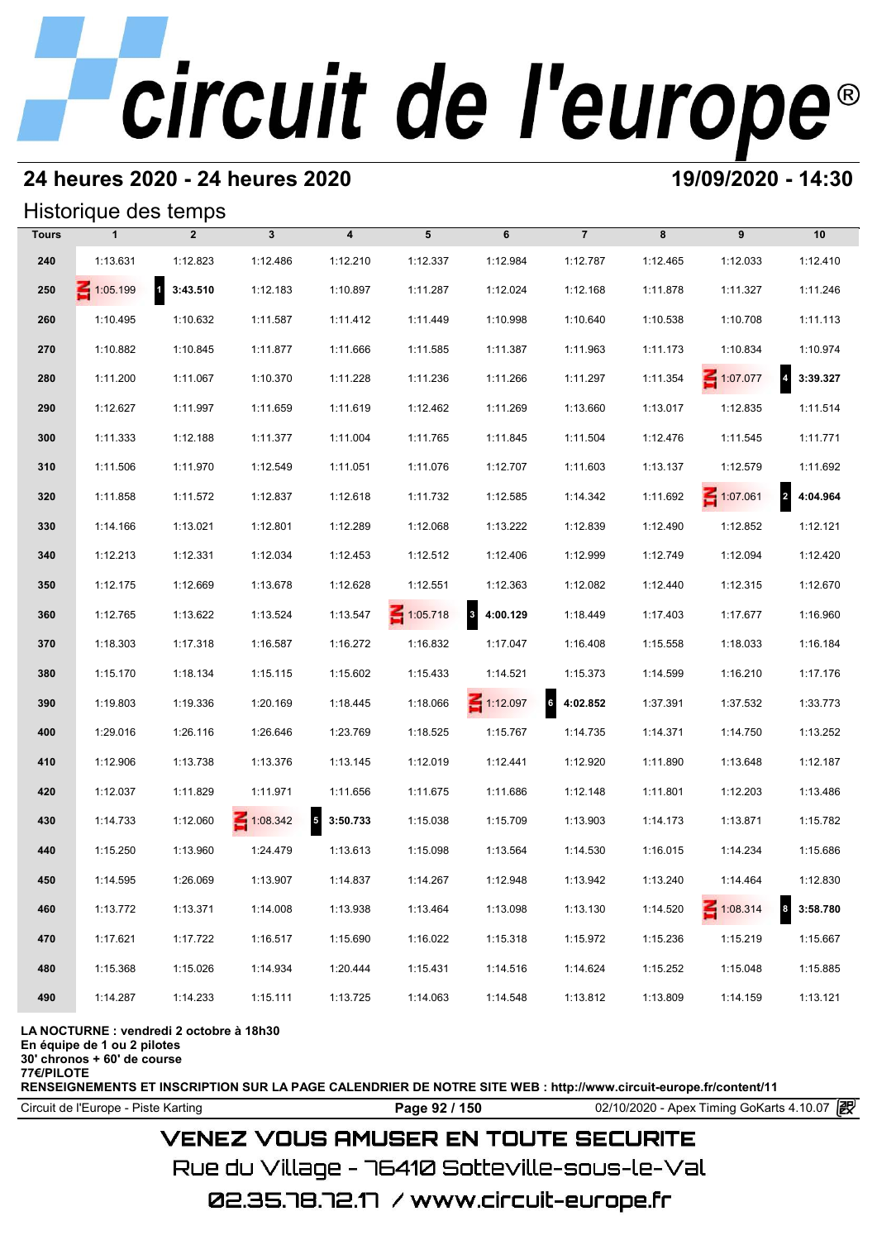### **24 heures 2020 - 24 heures 2020 19/09/2020 - 14:30**

#### Historique des temps

|              | Historique des temps |                          |              |                                      |                 |                          |                |          |                 |                              |
|--------------|----------------------|--------------------------|--------------|--------------------------------------|-----------------|--------------------------|----------------|----------|-----------------|------------------------------|
| <b>Tours</b> | $\mathbf{1}$         | $\overline{2}$           | $\mathbf{3}$ | $\overline{\mathbf{4}}$              | 5               | 6                        | $\overline{7}$ | 8        | 9               | 10                           |
| 240          | 1:13.631             | 1:12.823                 | 1:12.486     | 1:12.210                             | 1:12.337        | 1:12.984                 | 1:12.787       | 1:12.465 | 1:12.033        | 1:12.410                     |
| 250          | $\leq 1:05.199$      | $\mathbf{1}$<br>3:43.510 | 1:12.183     | 1:10.897                             | 1:11.287        | 1:12.024                 | 1:12.168       | 1:11.878 | 1:11.327        | 1:11.246                     |
| 260          | 1:10.495             | 1:10.632                 | 1:11.587     | 1:11.412                             | 1:11.449        | 1:10.998                 | 1:10.640       | 1:10.538 | 1:10.708        | 1:11.113                     |
| 270          | 1:10.882             | 1:10.845                 | 1:11.877     | 1:11.666                             | 1:11.585        | 1:11.387                 | 1:11.963       | 1:11.173 | 1:10.834        | 1:10.974                     |
| 280          | 1:11.200             | 1:11.067                 | 1:10.370     | 1:11.228                             | 1:11.236        | 1:11.266                 | 1:11.297       | 1:11.354 | 1:07.077        | 3:39.327                     |
| 290          | 1:12.627             | 1:11.997                 | 1:11.659     | 1:11.619                             | 1:12.462        | 1:11.269                 | 1:13.660       | 1:13.017 | 1:12.835        | 1:11.514                     |
| 300          | 1:11.333             | 1:12.188                 | 1:11.377     | 1:11.004                             | 1:11.765        | 1:11.845                 | 1:11.504       | 1:12.476 | 1:11.545        | 1:11.771                     |
| 310          | 1:11.506             | 1:11.970                 | 1:12.549     | 1:11.051                             | 1:11.076        | 1:12.707                 | 1:11.603       | 1:13.137 | 1:12.579        | 1:11.692                     |
| 320          | 1:11.858             | 1:11.572                 | 1:12.837     | 1:12.618                             | 1:11.732        | 1:12.585                 | 1:14.342       | 1:11.692 | $\leq 1:07.061$ | $\overline{2}$<br>4:04.964   |
| 330          | 1:14.166             | 1:13.021                 | 1:12.801     | 1:12.289                             | 1:12.068        | 1:13.222                 | 1:12.839       | 1:12.490 | 1:12.852        | 1:12.121                     |
| 340          | 1:12.213             | 1:12.331                 | 1:12.034     | 1:12.453                             | 1:12.512        | 1:12.406                 | 1:12.999       | 1:12.749 | 1:12.094        | 1:12.420                     |
| 350          | 1:12.175             | 1:12.669                 | 1:13.678     | 1:12.628                             | 1:12.551        | 1:12.363                 | 1:12.082       | 1:12.440 | 1:12.315        | 1:12.670                     |
| 360          | 1:12.765             | 1:13.622                 | 1:13.524     | 1:13.547                             | $\leq 1:05.718$ | $\mathbf{3}$<br>4:00.129 | 1:18.449       | 1:17.403 | 1:17.677        | 1:16.960                     |
| 370          | 1:18.303             | 1:17.318                 | 1:16.587     | 1:16.272                             | 1:16.832        | 1:17.047                 | 1:16.408       | 1:15.558 | 1:18.033        | 1:16.184                     |
| 380          | 1:15.170             | 1:18.134                 | 1:15.115     | 1:15.602                             | 1:15.433        | 1:14.521                 | 1:15.373       | 1:14.599 | 1:16.210        | 1:17.176                     |
| 390          | 1:19.803             | 1:19.336                 | 1:20.169     | 1:18.445                             | 1:18.066        | $\leq 1:12.097$          | 64:02.852      | 1:37.391 | 1:37.532        | 1:33.773                     |
| 400          | 1:29.016             | 1:26.116                 | 1:26.646     | 1:23.769                             | 1:18.525        | 1:15.767                 | 1:14.735       | 1:14.371 | 1:14.750        | 1:13.252                     |
| 410          | 1:12.906             | 1:13.738                 | 1:13.376     | 1:13.145                             | 1:12.019        | 1:12.441                 | 1:12.920       | 1:11.890 | 1:13.648        | 1:12.187                     |
| 420          | 1:12.037             | 1:11.829                 | 1:11.971     | 1:11.656                             | 1:11.675        | 1:11.686                 | 1:12.148       | 1:11.801 | 1:12.203        | 1:13.486                     |
| 430          | 1:14.733             | 1:12.060                 | 1:08.342     | $\overline{\phantom{a}}$<br>3:50.733 | 1:15.038        | 1:15.709                 | 1:13.903       | 1:14.173 | 1:13.871        | 1:15.782                     |
| 440          | 1:15.250             | 1:13.960                 | 1:24.479     | 1:13.613                             | 1:15.098        | 1:13.564                 | 1:14.530       | 1:16.015 | 1:14.234        | 1:15.686                     |
| 450          | 1:14.595             | 1:26.069                 | 1:13.907     | 1:14.837                             | 1:14.267        | 1:12.948                 | 1:13.942       | 1:13.240 | 1:14.464        | 1:12.830                     |
| 460          | 1:13.772             | 1:13.371                 | 1:14.008     | 1:13.938                             | 1:13.464        | 1:13.098                 | 1:13.130       | 1:14.520 | $\leq 1:08.314$ | $\boldsymbol{8}$<br>3:58.780 |
| 470          | 1:17.621             | 1:17.722                 | 1:16.517     | 1:15.690                             | 1:16.022        | 1:15.318                 | 1:15.972       | 1:15.236 | 1:15.219        | 1:15.667                     |
| 480          | 1:15.368             | 1:15.026                 | 1:14.934     | 1:20.444                             | 1:15.431        | 1:14.516                 | 1:14.624       | 1:15.252 | 1:15.048        | 1:15.885                     |
| 490          | 1:14.287             | 1:14.233                 | 1:15.111     | 1:13.725                             | 1:14.063        | 1:14.548                 | 1:13.812       | 1:13.809 | 1:14.159        | 1:13.121                     |

**LA NOCTURNE : vendredi 2 octobre à 18h30**

**En équipe de 1 ou 2 pilotes**

**30' chronos + 60' de course**

**77€/PILOTE**

**RENSEIGNEMENTS ET INSCRIPTION SUR LA PAGE CALENDRIER DE NOTRE SITE WEB : http://www.circuit-europe.fr/content/11**

Circuit de l'Europe - Piste Karting **Page 92 / 150 Page 92 / 150** 02/10/2020 - Apex Timing GoKarts 4.10.07 **P** 

### **VENEZ VOUS AMUSER EN TOUTE SECURITE**

Rue du Village – 76410 Sotteville-sous-le-Val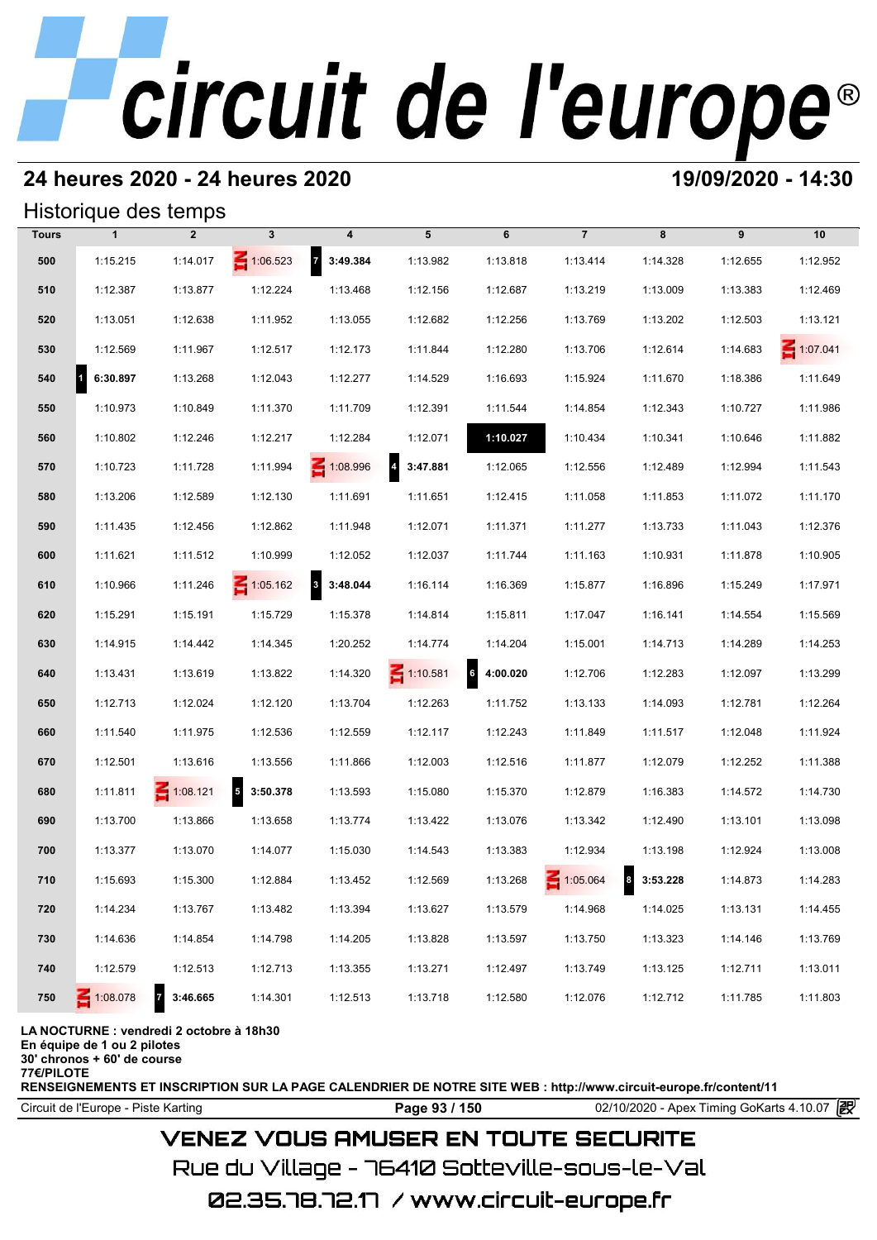## **24 heures 2020 - 24 heures 2020 19/09/2020 - 14:30**

#### Historique des temps

|              |                       | Historique des temps       |                   |                                     |                            |            |                 |            |          |                 |
|--------------|-----------------------|----------------------------|-------------------|-------------------------------------|----------------------------|------------|-----------------|------------|----------|-----------------|
| <b>Tours</b> | $\mathbf{1}$          | $\overline{2}$             | $\mathbf{3}$      | 4                                   | 5                          | 6          | $\overline{7}$  | 8          | 9        | 10              |
| 500          | 1:15.215              | 1:14.017                   | $\leq 1:06.523$   | $\overline{7}$<br>3:49.384          | 1:13.982                   | 1:13.818   | 1:13.414        | 1:14.328   | 1:12.655 | 1:12.952        |
| 510          | 1:12.387              | 1:13.877                   | 1:12.224          | 1:13.468                            | 1:12.156                   | 1:12.687   | 1:13.219        | 1:13.009   | 1:13.383 | 1:12.469        |
| 520          | 1:13.051              | 1:12.638                   | 1:11.952          | 1:13.055                            | 1:12.682                   | 1:12.256   | 1:13.769        | 1:13.202   | 1:12.503 | 1:13.121        |
| 530          | 1:12.569              | 1:11.967                   | 1:12.517          | 1:12.173                            | 1:11.844                   | 1:12.280   | 1:13.706        | 1:12.614   | 1:14.683 | $\leq 1:07.041$ |
| 540          | $\vert$ 1<br>6:30.897 | 1:13.268                   | 1:12.043          | 1:12.277                            | 1:14.529                   | 1:16.693   | 1:15.924        | 1:11.670   | 1:18.386 | 1:11.649        |
| 550          | 1:10.973              | 1:10.849                   | 1:11.370          | 1:11.709                            | 1:12.391                   | 1:11.544   | 1:14.854        | 1:12.343   | 1:10.727 | 1:11.986        |
| 560          | 1:10.802              | 1:12.246                   | 1:12.217          | 1:12.284                            | 1:12.071                   | 1:10.027   | 1:10.434        | 1:10.341   | 1:10.646 | 1:11.882        |
| 570          | 1:10.723              | 1:11.728                   | 1:11.994          | 1:08.996                            | $\overline{a}$<br>3:47.881 | 1:12.065   | 1:12.556        | 1:12.489   | 1:12.994 | 1:11.543        |
| 580          | 1:13.206              | 1:12.589                   | 1:12.130          | 1:11.691                            | 1:11.651                   | 1:12.415   | 1:11.058        | 1:11.853   | 1:11.072 | 1:11.170        |
| 590          | 1:11.435              | 1:12.456                   | 1:12.862          | 1:11.948                            | 1:12.071                   | 1:11.371   | 1:11.277        | 1:13.733   | 1:11.043 | 1:12.376        |
| 600          | 1:11.621              | 1:11.512                   | 1:10.999          | 1:12.052                            | 1:12.037                   | 1:11.744   | 1:11.163        | 1:10.931   | 1:11.878 | 1:10.905        |
| 610          | 1:10.966              | 1:11.246                   | $\leq 1:05.162$   | $\overline{\mathbf{3}}$<br>3:48.044 | 1:16.114                   | 1:16.369   | 1:15.877        | 1:16.896   | 1:15.249 | 1:17.971        |
| 620          | 1:15.291              | 1:15.191                   | 1:15.729          | 1:15.378                            | 1:14.814                   | 1:15.811   | 1:17.047        | 1:16.141   | 1:14.554 | 1:15.569        |
| 630          | 1:14.915              | 1:14.442                   | 1:14.345          | 1:20.252                            | 1:14.774                   | 1:14.204   | 1:15.001        | 1:14.713   | 1:14.289 | 1:14.253        |
| 640          | 1:13.431              | 1:13.619                   | 1:13.822          | 1:14.320                            | $\leq 1:10.581$            | 6 4:00.020 | 1:12.706        | 1:12.283   | 1:12.097 | 1:13.299        |
| 650          | 1:12.713              | 1:12.024                   | 1:12.120          | 1:13.704                            | 1:12.263                   | 1:11.752   | 1:13.133        | 1:14.093   | 1:12.781 | 1:12.264        |
| 660          | 1:11.540              | 1:11.975                   | 1:12.536          | 1:12.559                            | 1:12.117                   | 1:12.243   | 1:11.849        | 1:11.517   | 1:12.048 | 1:11.924        |
| 670          | 1:12.501              | 1:13.616                   | 1:13.556          | 1:11.866                            | 1:12.003                   | 1:12.516   | 1:11.877        | 1:12.079   | 1:12.252 | 1:11.388        |
| 680          | 1:11.811              | $\leq 1:08.121$            | $5\quad 3:50.378$ | 1:13.593                            | 1:15.080                   | 1:15.370   | 1:12.879        | 1:16.383   | 1:14.572 | 1:14.730        |
| 690          | 1:13.700              | 1:13.866                   | 1:13.658          | 1:13.774                            | 1:13.422                   | 1:13.076   | 1:13.342        | 1:12.490   | 1:13.101 | 1:13.098        |
| 700          | 1:13.377              | 1:13.070                   | 1:14.077          | 1:15.030                            | 1:14.543                   | 1:13.383   | 1:12.934        | 1:13.198   | 1:12.924 | 1:13.008        |
| 710          | 1:15.693              | 1:15.300                   | 1:12.884          | 1:13.452                            | 1:12.569                   | 1:13.268   | $\leq 1:05.064$ | 8 3:53.228 | 1:14.873 | 1:14.283        |
| 720          | 1:14.234              | 1:13.767                   | 1:13.482          | 1:13.394                            | 1:13.627                   | 1:13.579   | 1:14.968        | 1:14.025   | 1:13.131 | 1:14.455        |
| 730          | 1:14.636              | 1:14.854                   | 1:14.798          | 1:14.205                            | 1:13.828                   | 1:13.597   | 1:13.750        | 1:13.323   | 1:14.146 | 1:13.769        |
| 740          | 1:12.579              | 1:12.513                   | 1:12.713          | 1:13.355                            | 1:13.271                   | 1:12.497   | 1:13.749        | 1:13.125   | 1:12.711 | 1:13.011        |
| 750          | 1:08.078              | 3:46.665<br>$\overline{7}$ | 1:14.301          | 1:12.513                            | 1:13.718                   | 1:12.580   | 1:12.076        | 1:12.712   | 1:11.785 | 1:11.803        |

#### **LA NOCTURNE : vendredi 2 octobre à 18h30**

**En équipe de 1 ou 2 pilotes**

**30' chronos + 60' de course**

**77€/PILOTE**

**RENSEIGNEMENTS ET INSCRIPTION SUR LA PAGE CALENDRIER DE NOTRE SITE WEB : http://www.circuit-europe.fr/content/11**

Circuit de l'Europe - Piste Karting **Page 93 / 150 Page 93 / 150** 02/10/2020 - Apex Timing GoKarts 4.10.07 **P** 

### **VENEZ VOUS AMUSER EN TOUTE SECURITE**

Rue du Village – 76410 Sotteville-sous-le-Val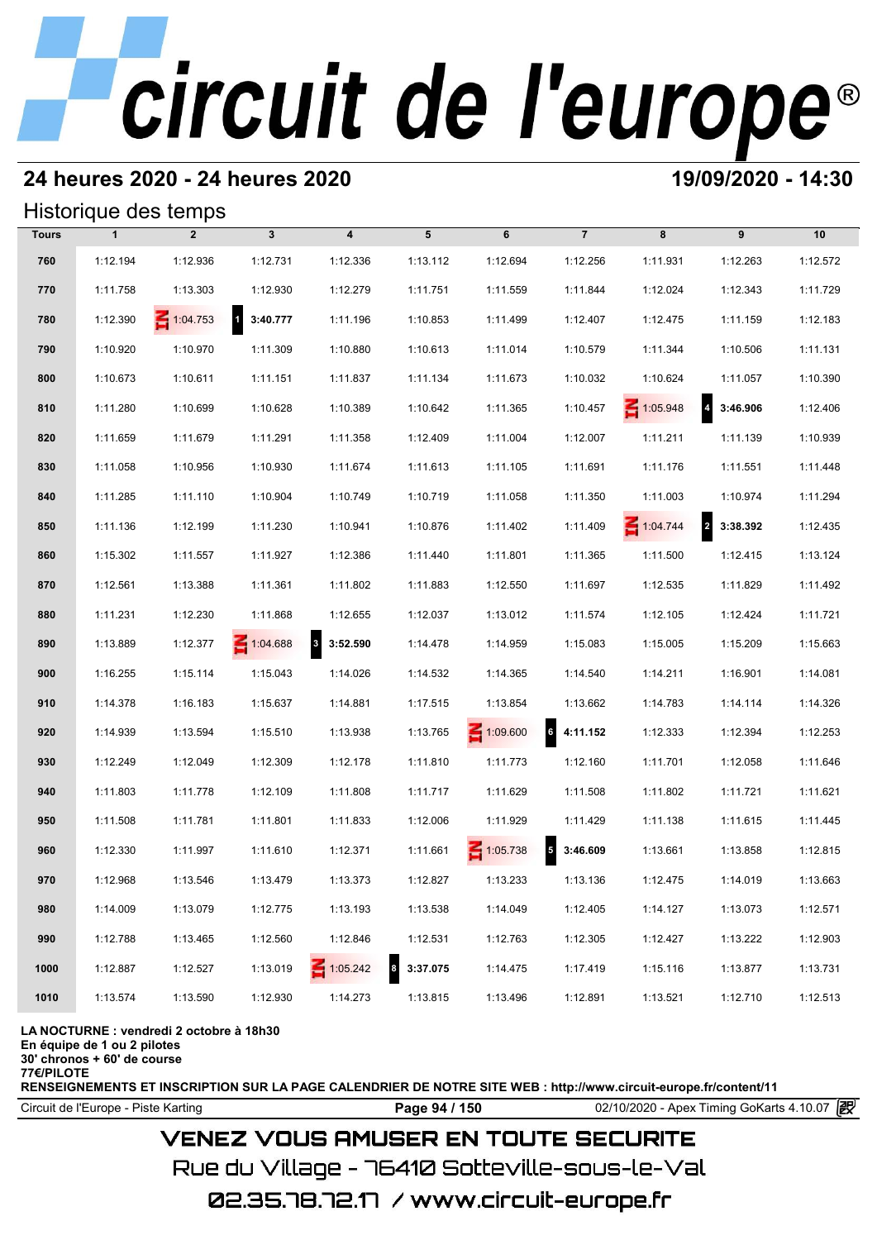### **24 heures 2020 - 24 heures 2020 19/09/2020 - 14:30**

#### Historique des temps

|              |              | Historique des temps |                          |                                     |          |                 |                                     |                 |                                     |          |
|--------------|--------------|----------------------|--------------------------|-------------------------------------|----------|-----------------|-------------------------------------|-----------------|-------------------------------------|----------|
| <b>Tours</b> | $\mathbf{1}$ | $\overline{2}$       | $\mathbf{3}$             | $\overline{\mathbf{4}}$             | 5        | 6               | $\overline{7}$                      | 8               | 9                                   | 10       |
| 760          | 1:12.194     | 1:12.936             | 1:12.731                 | 1:12.336                            | 1:13.112 | 1:12.694        | 1:12.256                            | 1:11.931        | 1:12.263                            | 1:12.572 |
| 770          | 1:11.758     | 1:13.303             | 1:12.930                 | 1:12.279                            | 1:11.751 | 1:11.559        | 1:11.844                            | 1:12.024        | 1:12.343                            | 1:11.729 |
| 780          | 1:12.390     | $\leq 1:04.753$      | $\mathbf{1}$<br>3:40.777 | 1:11.196                            | 1:10.853 | 1:11.499        | 1:12.407                            | 1:12.475        | 1:11.159                            | 1:12.183 |
| 790          | 1:10.920     | 1:10.970             | 1:11.309                 | 1:10.880                            | 1:10.613 | 1:11.014        | 1:10.579                            | 1:11.344        | 1:10.506                            | 1:11.131 |
| 800          | 1:10.673     | 1:10.611             | 1:11.151                 | 1:11.837                            | 1:11.134 | 1:11.673        | 1:10.032                            | 1:10.624        | 1:11.057                            | 1:10.390 |
| 810          | 1:11.280     | 1:10.699             | 1:10.628                 | 1:10.389                            | 1:10.642 | 1:11.365        | 1:10.457                            | $\leq 1:05.948$ | $\overline{a}$<br>3:46.906          | 1:12.406 |
| 820          | 1:11.659     | 1:11.679             | 1:11.291                 | 1:11.358                            | 1:12.409 | 1:11.004        | 1:12.007                            | 1:11.211        | 1:11.139                            | 1:10.939 |
| 830          | 1:11.058     | 1:10.956             | 1:10.930                 | 1:11.674                            | 1:11.613 | 1:11.105        | 1:11.691                            | 1:11.176        | 1:11.551                            | 1:11.448 |
| 840          | 1:11.285     | 1:11.110             | 1:10.904                 | 1:10.749                            | 1:10.719 | 1:11.058        | 1:11.350                            | 1:11.003        | 1:10.974                            | 1:11.294 |
| 850          | 1:11.136     | 1:12.199             | 1:11.230                 | 1:10.941                            | 1:10.876 | 1:11.402        | 1:11.409                            | 1:04.744        | $\overline{\mathbf{2}}$<br>3:38.392 | 1:12.435 |
| 860          | 1:15.302     | 1:11.557             | 1:11.927                 | 1:12.386                            | 1:11.440 | 1:11.801        | 1:11.365                            | 1:11.500        | 1:12.415                            | 1:13.124 |
| 870          | 1:12.561     | 1:13.388             | 1:11.361                 | 1:11.802                            | 1:11.883 | 1:12.550        | 1:11.697                            | 1:12.535        | 1:11.829                            | 1:11.492 |
| 880          | 1:11.231     | 1:12.230             | 1:11.868                 | 1:12.655                            | 1:12.037 | 1:13.012        | 1:11.574                            | 1:12.105        | 1:12.424                            | 1:11.721 |
| 890          | 1:13.889     | 1:12.377             | 1:04.688                 | $\overline{\mathbf{3}}$<br>3:52.590 | 1:14.478 | 1:14.959        | 1:15.083                            | 1:15.005        | 1:15.209                            | 1:15.663 |
| 900          | 1:16.255     | 1:15.114             | 1:15.043                 | 1:14.026                            | 1:14.532 | 1:14.365        | 1:14.540                            | 1:14.211        | 1:16.901                            | 1:14.081 |
| 910          | 1:14.378     | 1:16.183             | 1:15.637                 | 1:14.881                            | 1:17.515 | 1:13.854        | 1:13.662                            | 1:14.783        | 1:14.114                            | 1:14.326 |
| 920          | 1:14.939     | 1:13.594             | 1:15.510                 | 1:13.938                            | 1:13.765 | $\leq 1:09.600$ | 6<br>4:11.152                       | 1:12.333        | 1:12.394                            | 1:12.253 |
| 930          | 1:12.249     | 1:12.049             | 1:12.309                 | 1:12.178                            | 1:11.810 | 1:11.773        | 1:12.160                            | 1:11.701        | 1:12.058                            | 1:11.646 |
| 940          | 1:11.803     | 1:11.778             | 1:12.109                 | 1:11.808                            | 1:11.717 | 1:11.629        | 1:11.508                            | 1:11.802        | 1:11.721                            | 1:11.621 |
| 950          | 1:11.508     | 1:11.781             | 1:11.801                 | 1:11.833                            | 1:12.006 | 1:11.929        | 1:11.429                            | 1:11.138        | 1:11.615                            | 1:11.445 |
| 960          | 1:12.330     | 1:11.997             | 1:11.610                 | 1:12.371                            | 1:11.661 | $-1:05.738$     | $\overline{\mathbf{5}}$<br>3:46.609 | 1:13.661        | 1:13.858                            | 1:12.815 |
| 970          | 1:12.968     | 1:13.546             | 1:13.479                 | 1:13.373                            | 1:12.827 | 1:13.233        | 1:13.136                            | 1:12.475        | 1:14.019                            | 1:13.663 |
| 980          | 1:14.009     | 1:13.079             | 1:12.775                 | 1:13.193                            | 1:13.538 | 1:14.049        | 1:12.405                            | 1:14.127        | 1:13.073                            | 1:12.571 |
| 990          | 1:12.788     | 1:13.465             | 1:12.560                 | 1:12.846                            | 1:12.531 | 1:12.763        | 1:12.305                            | 1:12.427        | 1:13.222                            | 1:12.903 |
| 1000         | 1:12.887     | 1:12.527             | 1:13.019                 | 1:05.242                            | 3:37.075 | 1:14.475        | 1:17.419                            | 1:15.116        | 1:13.877                            | 1:13.731 |
| 1010         | 1:13.574     | 1:13.590             | 1:12.930                 | 1:14.273                            | 1:13.815 | 1:13.496        | 1:12.891                            | 1:13.521        | 1:12.710                            | 1:12.513 |

#### **LA NOCTURNE : vendredi 2 octobre à 18h30**

**En équipe de 1 ou 2 pilotes**

**30' chronos + 60' de course**

**77€/PILOTE**

**RENSEIGNEMENTS ET INSCRIPTION SUR LA PAGE CALENDRIER DE NOTRE SITE WEB : http://www.circuit-europe.fr/content/11**

Circuit de l'Europe - Piste Karting **Page 94 / 150 Page 94 / 150** 02/10/2020 - Apex Timing GoKarts 4.10.07

#### **VENEZ VOUS AMUSER EN TOUTE SECURITE**

Rue du Village – 76410 Sotteville-sous-le-Val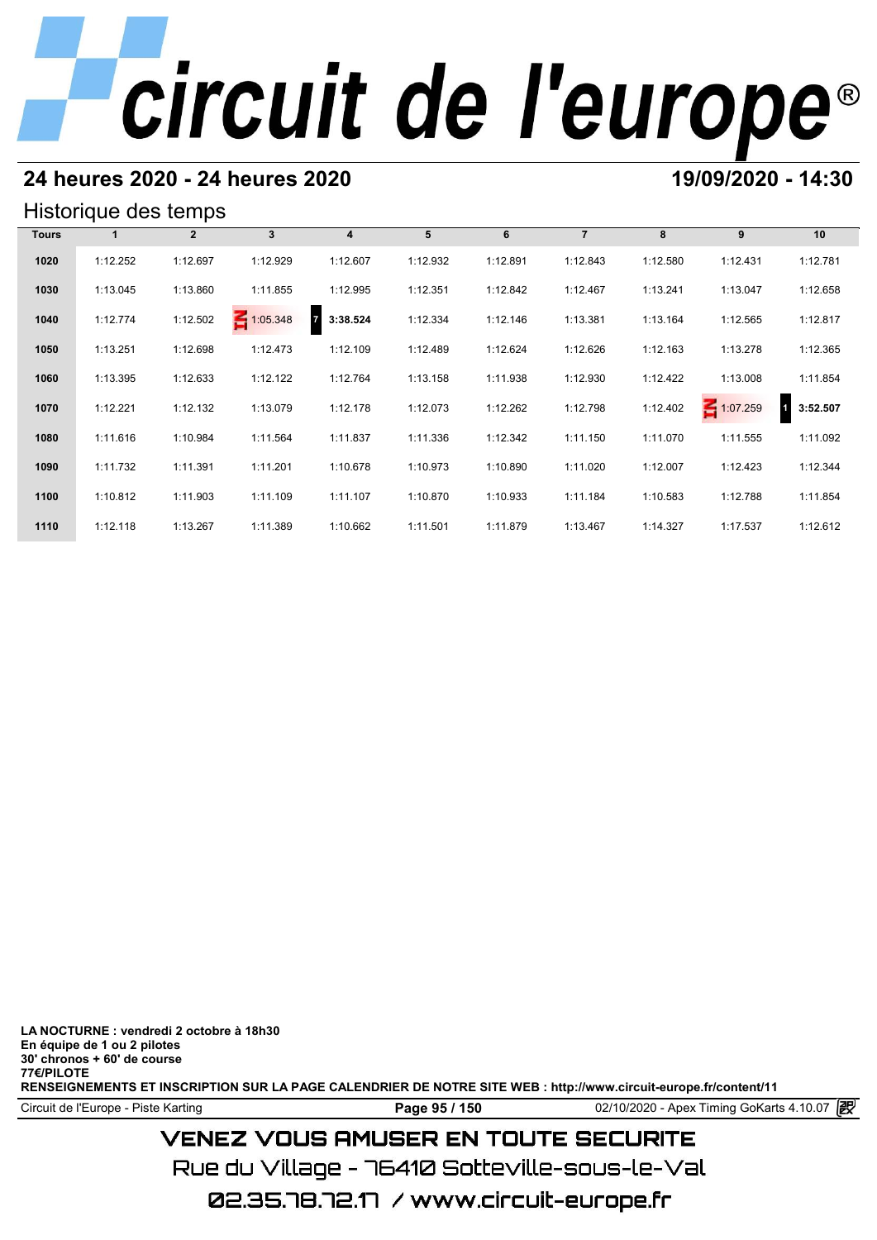### **24 heures 2020 - 24 heures 2020 19/09/2020 - 14:30**

#### Historique des temps

|              | Historique des temps |              |             |                            |          |          |                |          |          |          |
|--------------|----------------------|--------------|-------------|----------------------------|----------|----------|----------------|----------|----------|----------|
| <b>Tours</b> |                      | $\mathbf{2}$ | $3^{\circ}$ | $\overline{4}$             | 5        | 6        | $\overline{7}$ | 8        | 9        | 10       |
| 1020         | 1:12.252             | 1:12.697     | 1:12.929    | 1:12.607                   | 1:12.932 | 1:12.891 | 1:12.843       | 1:12.580 | 1:12.431 | 1:12.781 |
| 1030         | 1:13.045             | 1:13.860     | 1:11.855    | 1:12.995                   | 1:12.351 | 1:12.842 | 1:12.467       | 1:13.241 | 1:13.047 | 1:12.658 |
| 1040         | 1:12.774             | 1:12.502     | 1:05.348    | $\overline{z}$<br>3:38.524 | 1:12.334 | 1:12.146 | 1:13.381       | 1:13.164 | 1:12.565 | 1:12.817 |
| 1050         | 1:13.251             | 1:12.698     | 1:12.473    | 1:12.109                   | 1:12.489 | 1:12.624 | 1:12.626       | 1:12.163 | 1:13.278 | 1:12.365 |
| 1060         | 1:13.395             | 1:12.633     | 1:12.122    | 1:12.764                   | 1:13.158 | 1:11.938 | 1:12.930       | 1:12.422 | 1:13.008 | 1:11.854 |
| 1070         | 1:12.221             | 1:12.132     | 1:13.079    | 1:12.178                   | 1:12.073 | 1:12.262 | 1:12.798       | 1:12.402 | 1:07.259 | 3:52.507 |
| 1080         | 1:11.616             | 1:10.984     | 1:11.564    | 1:11.837                   | 1:11.336 | 1:12.342 | 1:11.150       | 1:11.070 | 1:11.555 | 1:11.092 |
| 1090         | 1:11.732             | 1:11.391     | 1:11.201    | 1:10.678                   | 1:10.973 | 1:10.890 | 1:11.020       | 1:12.007 | 1:12.423 | 1:12.344 |
| 1100         | 1:10.812             | 1:11.903     | 1:11.109    | 1:11.107                   | 1:10.870 | 1:10.933 | 1:11.184       | 1:10.583 | 1:12.788 | 1:11.854 |
| 1110         | 1:12.118             | 1:13.267     | 1:11.389    | 1:10.662                   | 1:11.501 | 1:11.879 | 1:13.467       | 1:14.327 | 1:17.537 | 1:12.612 |

**LA NOCTURNE : vendredi 2 octobre à 18h30 En équipe de 1 ou 2 pilotes 30' chronos + 60' de course 77€/PILOTE RENSEIGNEMENTS ET INSCRIPTION SUR LA PAGE CALENDRIER DE NOTRE SITE WEB : http://www.circuit-europe.fr/content/11**

Circuit de l'Europe - Piste Karting **Page 95 / 150** 02/10/2020 - Apex Timing GoKarts 4.10.07

## **VENEZ VOUS AMUSER EN TOUTE SECURITE**

Rue du Village – 76410 Sotteville-sous-le-Val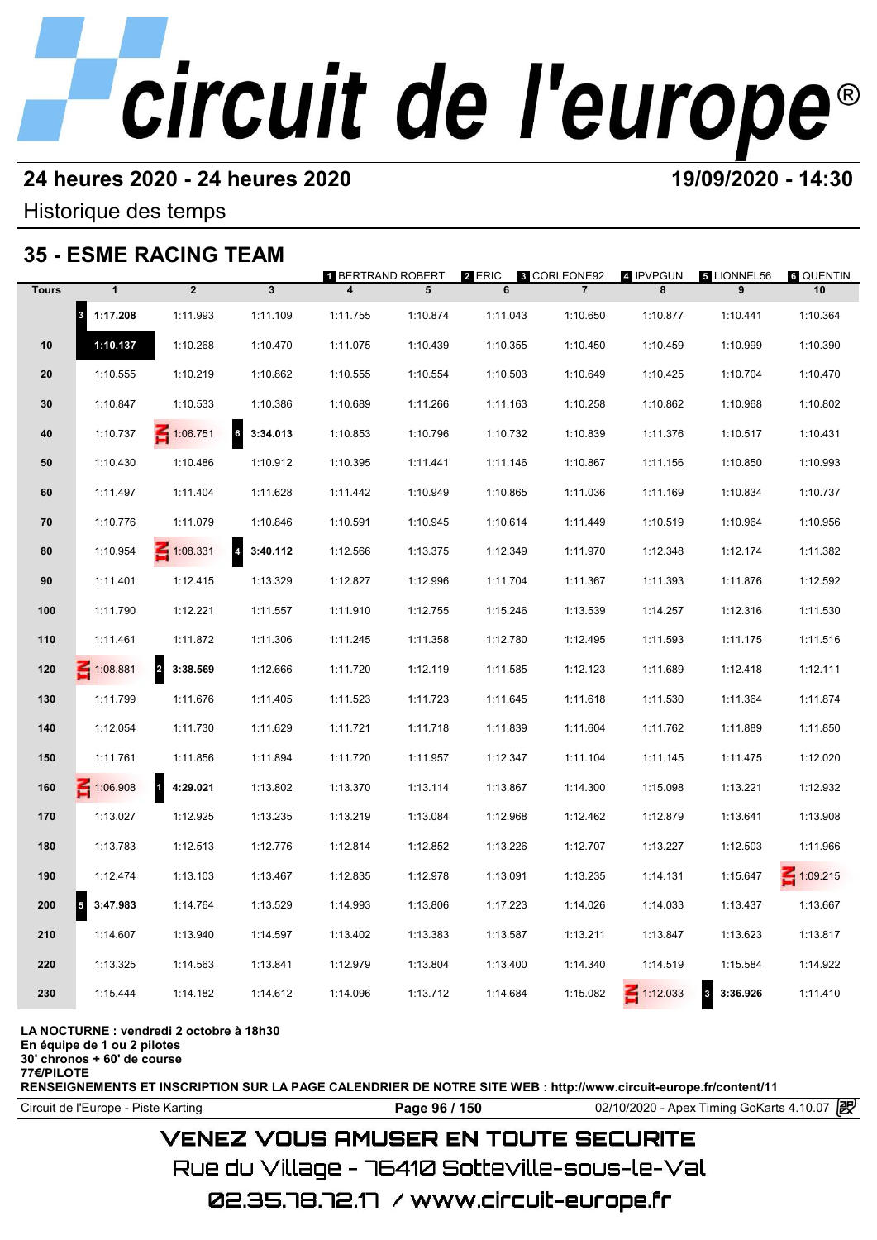### **24 heures 2020 - 24 heures 2020 19/09/2020 - 14:30**

Historique des temps

### **35 - ESME RACING TEAM**

|              |                                      | 35 - ESME RACING TEAM               |                                     |                                              |          |             |                                       |                 |                         |                 |
|--------------|--------------------------------------|-------------------------------------|-------------------------------------|----------------------------------------------|----------|-------------|---------------------------------------|-----------------|-------------------------|-----------------|
| <b>Tours</b> | $\mathbf{1}$                         | $\overline{2}$                      | $\mathbf{3}$                        | 1 BERTRAND ROBERT<br>$\overline{\mathbf{4}}$ | 5        | 2 ERIC<br>6 | <b>8 CORLEONE92</b><br>$\overline{7}$ | 4 IPVPGUN<br>8  | 5 LIONNEL56<br>9        | 6 QUENTIN<br>10 |
|              | $\vert$ <sub>3</sub><br>1:17.208     | 1:11.993                            | 1:11.109                            | 1:11.755                                     | 1:10.874 | 1:11.043    | 1:10.650                              | 1:10.877        | 1:10.441                | 1:10.364        |
| 10           | 1:10.137                             | 1:10.268                            | 1:10.470                            | 1:11.075                                     | 1:10.439 | 1:10.355    | 1:10.450                              | 1:10.459        | 1:10.999                | 1:10.390        |
| 20           | 1:10.555                             | 1:10.219                            | 1:10.862                            | 1:10.555                                     | 1:10.554 | 1:10.503    | 1:10.649                              | 1:10.425        | 1:10.704                | 1:10.470        |
| 30           | 1:10.847                             | 1:10.533                            | 1:10.386                            | 1:10.689                                     | 1:11.266 | 1:11.163    | 1:10.258                              | 1:10.862        | 1:10.968                | 1:10.802        |
| 40           | 1:10.737                             | $\leq 1:06.751$                     | 6<br>3:34.013                       | 1:10.853                                     | 1:10.796 | 1:10.732    | 1:10.839                              | 1:11.376        | 1:10.517                | 1:10.431        |
| 50           | 1:10.430                             | 1:10.486                            | 1:10.912                            | 1:10.395                                     | 1:11.441 | 1:11.146    | 1:10.867                              | 1:11.156        | 1:10.850                | 1:10.993        |
| 60           | 1:11.497                             | 1:11.404                            | 1:11.628                            | 1:11.442                                     | 1:10.949 | 1:10.865    | 1:11.036                              | 1:11.169        | 1:10.834                | 1:10.737        |
| 70           | 1:10.776                             | 1:11.079                            | 1:10.846                            | 1:10.591                                     | 1:10.945 | 1:10.614    | 1:11.449                              | 1:10.519        | 1:10.964                | 1:10.956        |
| 80           | 1:10.954                             | $\leq 1:08.331$                     | $\overline{\mathbf{4}}$<br>3:40.112 | 1:12.566                                     | 1:13.375 | 1:12.349    | 1:11.970                              | 1:12.348        | 1:12.174                | 1:11.382        |
| 90           | 1:11.401                             | 1:12.415                            | 1:13.329                            | 1:12.827                                     | 1:12.996 | 1:11.704    | 1:11.367                              | 1:11.393        | 1:11.876                | 1:12.592        |
| 100          | 1:11.790                             | 1:12.221                            | 1:11.557                            | 1:11.910                                     | 1:12.755 | 1:15.246    | 1:13.539                              | 1:14.257        | 1:12.316                | 1:11.530        |
| 110          | 1:11.461                             | 1:11.872                            | 1:11.306                            | 1:11.245                                     | 1:11.358 | 1:12.780    | 1:12.495                              | 1:11.593        | 1:11.175                | 1:11.516        |
| 120          | $-1:08.881$                          | $\overline{\mathbf{c}}$<br>3:38.569 | 1:12.666                            | 1:11.720                                     | 1:12.119 | 1:11.585    | 1:12.123                              | 1:11.689        | 1:12.418                | 1:12.111        |
| 130          | 1:11.799                             | 1:11.676                            | 1:11.405                            | 1:11.523                                     | 1:11.723 | 1:11.645    | 1:11.618                              | 1:11.530        | 1:11.364                | 1:11.874        |
| 140          | 1:12.054                             | 1:11.730                            | 1:11.629                            | 1:11.721                                     | 1:11.718 | 1:11.839    | 1:11.604                              | 1:11.762        | 1:11.889                | 1:11.850        |
| 150          | 1:11.761                             | 1:11.856                            | 1:11.894                            | 1:11.720                                     | 1:11.957 | 1:12.347    | 1:11.104                              | 1:11.145        | 1:11.475                | 1:12.020        |
| 160          | $\leq 1:06.908$                      | $\overline{1}$<br>4:29.021          | 1:13.802                            | 1:13.370                                     | 1:13.114 | 1:13.867    | 1:14.300                              | 1:15.098        | 1:13.221                | 1:12.932        |
| 170          | 1:13.027                             | 1:12.925                            | 1:13.235                            | 1:13.219                                     | 1:13.084 | 1:12.968    | 1:12.462                              | 1:12.879        | 1:13.641                | 1:13.908        |
| 180          | 1:13.783                             | 1:12.513                            | 1:12.776                            | 1:12.814                                     | 1:12.852 | 1:13.226    | 1:12.707                              | 1:13.227        | 1:12.503                | 1:11.966        |
| 190          | 1:12.474                             | 1:13.103                            | 1:13.467                            | 1:12.835                                     | 1:12.978 | 1:13.091    | 1:13.235                              | 1:14.131        | 1:15.647                | $\leq 1:09.215$ |
| 200          | $\overline{\phantom{a}}$<br>3:47.983 | 1:14.764                            | 1:13.529                            | 1:14.993                                     | 1:13.806 | 1:17.223    | 1:14.026                              | 1:14.033        | 1:13.437                | 1:13.667        |
| 210          | 1:14.607                             | 1:13.940                            | 1:14.597                            | 1:13.402                                     | 1:13.383 | 1:13.587    | 1:13.211                              | 1:13.847        | 1:13.623                | 1:13.817        |
| 220          | 1:13.325                             | 1:14.563                            | 1:13.841                            | 1:12.979                                     | 1:13.804 | 1:13.400    | 1:14.340                              | 1:14.519        | 1:15.584                | 1:14.922        |
| 230          | 1:15.444                             | 1:14.182                            | 1:14.612                            | 1:14.096                                     | 1:13.712 | 1:14.684    | 1:15.082                              | $\leq 1:12.033$ | $\mathbf 3$<br>3:36.926 | 1:11.410        |
|              |                                      |                                     |                                     |                                              |          |             |                                       |                 |                         |                 |

#### **LA NOCTURNE : vendredi 2 octobre à 18h30**

**En équipe de 1 ou 2 pilotes**

**30' chronos + 60' de course**

**77€/PILOTE**

**RENSEIGNEMENTS ET INSCRIPTION SUR LA PAGE CALENDRIER DE NOTRE SITE WEB : http://www.circuit-europe.fr/content/11**

Circuit de l'Europe - Piste Karting **Page 96 / 150 Page 96 / 150** 02/10/2020 - Apex Timing GoKarts 4.10.07

## **VENEZ VOUS AMUSER EN TOUTE SECURITE**

Rue du Village – 76410 Sotteville-sous-le-Val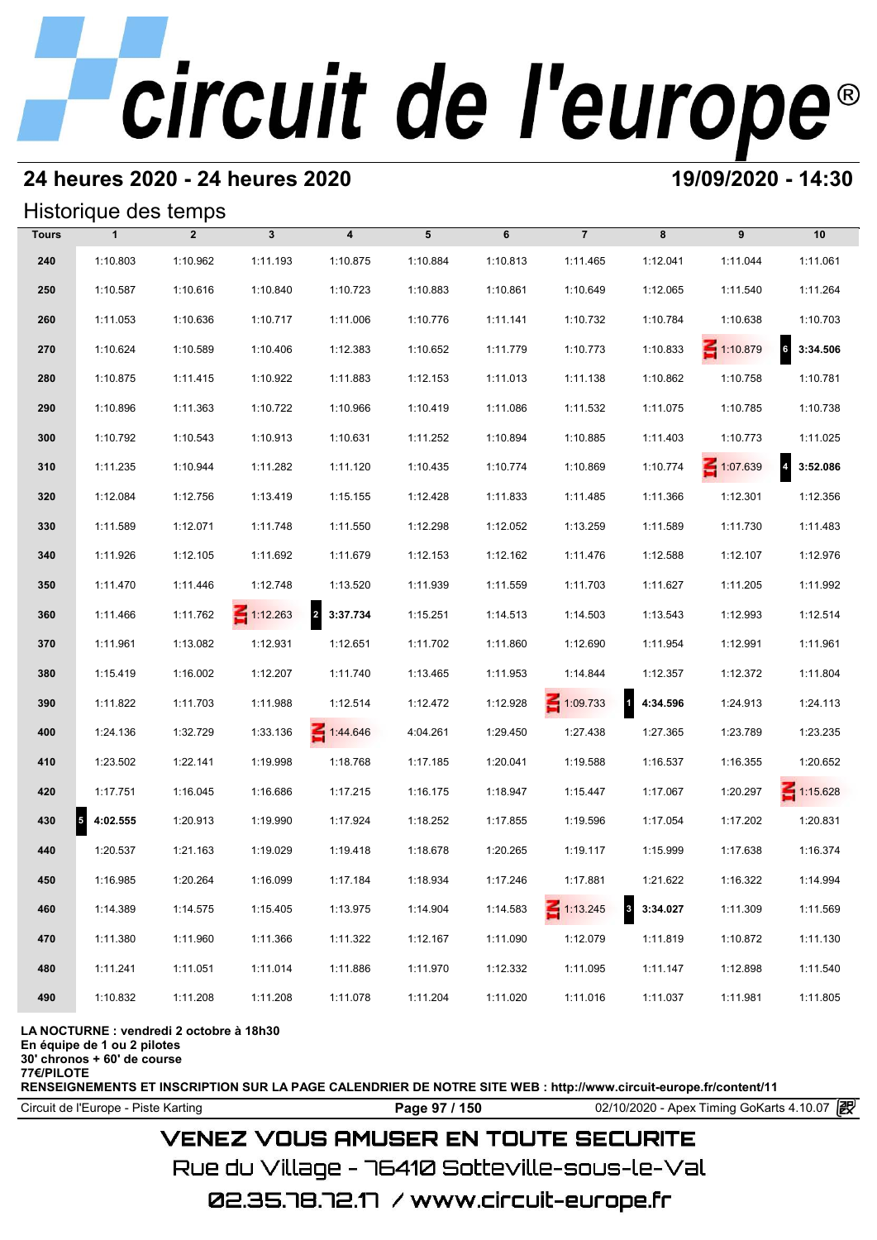## **24 heures 2020 - 24 heures 2020 19/09/2020 - 14:30**

#### Historique des temps

|              | Historique des temps                 |                |                 |                  |          |          |                 |            |                 |                   |
|--------------|--------------------------------------|----------------|-----------------|------------------|----------|----------|-----------------|------------|-----------------|-------------------|
| <b>Tours</b> | $\mathbf{1}$                         | $\overline{2}$ | $\mathbf{3}$    | $\boldsymbol{4}$ | 5        | 6        | $\overline{7}$  | 8          | 9               | 10                |
| 240          | 1:10.803                             | 1:10.962       | 1:11.193        | 1:10.875         | 1:10.884 | 1:10.813 | 1:11.465        | 1:12.041   | 1:11.044        | 1:11.061          |
| 250          | 1:10.587                             | 1:10.616       | 1:10.840        | 1:10.723         | 1:10.883 | 1:10.861 | 1:10.649        | 1:12.065   | 1:11.540        | 1:11.264          |
| 260          | 1:11.053                             | 1:10.636       | 1:10.717        | 1:11.006         | 1:10.776 | 1:11.141 | 1:10.732        | 1:10.784   | 1:10.638        | 1:10.703          |
| 270          | 1:10.624                             | 1:10.589       | 1:10.406        | 1:12.383         | 1:10.652 | 1:11.779 | 1:10.773        | 1:10.833   | $\leq 1:10.879$ | $6\quad 3:34.506$ |
| 280          | 1:10.875                             | 1:11.415       | 1:10.922        | 1:11.883         | 1:12.153 | 1:11.013 | 1:11.138        | 1:10.862   | 1:10.758        | 1:10.781          |
| 290          | 1:10.896                             | 1:11.363       | 1:10.722        | 1:10.966         | 1:10.419 | 1:11.086 | 1:11.532        | 1:11.075   | 1:10.785        | 1:10.738          |
| 300          | 1:10.792                             | 1:10.543       | 1:10.913        | 1:10.631         | 1:11.252 | 1:10.894 | 1:10.885        | 1:11.403   | 1:10.773        | 1:11.025          |
| 310          | 1:11.235                             | 1:10.944       | 1:11.282        | 1:11.120         | 1:10.435 | 1:10.774 | 1:10.869        | 1:10.774   | $\leq 1:07.639$ | 3:52.086          |
| 320          | 1:12.084                             | 1:12.756       | 1:13.419        | 1:15.155         | 1:12.428 | 1:11.833 | 1:11.485        | 1:11.366   | 1:12.301        | 1:12.356          |
| 330          | 1:11.589                             | 1:12.071       | 1:11.748        | 1:11.550         | 1:12.298 | 1:12.052 | 1:13.259        | 1:11.589   | 1:11.730        | 1:11.483          |
| 340          | 1:11.926                             | 1:12.105       | 1:11.692        | 1:11.679         | 1:12.153 | 1:12.162 | 1:11.476        | 1:12.588   | 1:12.107        | 1:12.976          |
| 350          | 1:11.470                             | 1:11.446       | 1:12.748        | 1:13.520         | 1:11.939 | 1:11.559 | 1:11.703        | 1:11.627   | 1:11.205        | 1:11.992          |
| 360          | 1:11.466                             | 1:11.762       | $\leq 1:12.263$ | 2 3:37.734       | 1:15.251 | 1:14.513 | 1:14.503        | 1:13.543   | 1:12.993        | 1:12.514          |
| 370          | 1:11.961                             | 1:13.082       | 1:12.931        | 1:12.651         | 1:11.702 | 1:11.860 | 1:12.690        | 1:11.954   | 1:12.991        | 1:11.961          |
| 380          | 1:15.419                             | 1:16.002       | 1:12.207        | 1:11.740         | 1:13.465 | 1:11.953 | 1:14.844        | 1:12.357   | 1:12.372        | 1:11.804          |
| 390          | 1:11.822                             | 1:11.703       | 1:11.988        | 1:12.514         | 1:12.472 | 1:12.928 | $\leq 1:09.733$ | 4 4:34.596 | 1:24.913        | 1:24.113          |
| 400          | 1:24.136                             | 1:32.729       | 1:33.136        | 1:44.646         | 4:04.261 | 1:29.450 | 1:27.438        | 1:27.365   | 1:23.789        | 1:23.235          |
| 410          | 1:23.502                             | 1:22.141       | 1:19.998        | 1:18.768         | 1:17.185 | 1:20.041 | 1:19.588        | 1:16.537   | 1:16.355        | 1:20.652          |
| 420          | 1:17.751                             | 1:16.045       | 1:16.686        | 1:17.215         | 1:16.175 | 1:18.947 | 1:15.447        | 1:17.067   | 1:20.297        | $\leq 1:15.628$   |
| 430          | $\overline{\phantom{a}}$<br>4:02.555 | 1:20.913       | 1:19.990        | 1:17.924         | 1:18.252 | 1:17.855 | 1:19.596        | 1:17.054   | 1:17.202        | 1:20.831          |
| 440          | 1:20.537                             | 1:21.163       | 1:19.029        | 1:19.418         | 1:18.678 | 1:20.265 | 1:19.117        | 1:15.999   | 1:17.638        | 1:16.374          |
| 450          | 1:16.985                             | 1:20.264       | 1:16.099        | 1:17.184         | 1:18.934 | 1:17.246 | 1:17.881        | 1:21.622   | 1:16.322        | 1:14.994          |
| 460          | 1:14.389                             | 1:14.575       | 1:15.405        | 1:13.975         | 1:14.904 | 1:14.583 | $\leq 1:13.245$ | 3:34.027   | 1:11.309        | 1:11.569          |
| 470          | 1:11.380                             | 1:11.960       | 1:11.366        | 1:11.322         | 1:12.167 | 1:11.090 | 1:12.079        | 1:11.819   | 1:10.872        | 1:11.130          |
| 480          | 1:11.241                             | 1:11.051       | 1:11.014        | 1:11.886         | 1:11.970 | 1:12.332 | 1:11.095        | 1:11.147   | 1:12.898        | 1:11.540          |
| 490          | 1:10.832                             | 1:11.208       | 1:11.208        | 1:11.078         | 1:11.204 | 1:11.020 | 1:11.016        | 1:11.037   | 1:11.981        | 1:11.805          |

#### **LA NOCTURNE : vendredi 2 octobre à 18h30**

**En équipe de 1 ou 2 pilotes**

**30' chronos + 60' de course**

**77€/PILOTE**

**RENSEIGNEMENTS ET INSCRIPTION SUR LA PAGE CALENDRIER DE NOTRE SITE WEB : http://www.circuit-europe.fr/content/11**

Circuit de l'Europe - Piste Karting **Page 97 / 150 Page 97 / 150** 02/10/2020 - Apex Timing GoKarts 4.10.07

### **VENEZ VOUS AMUSER EN TOUTE SECURITE**

Rue du Village – 76410 Sotteville-sous-le-Val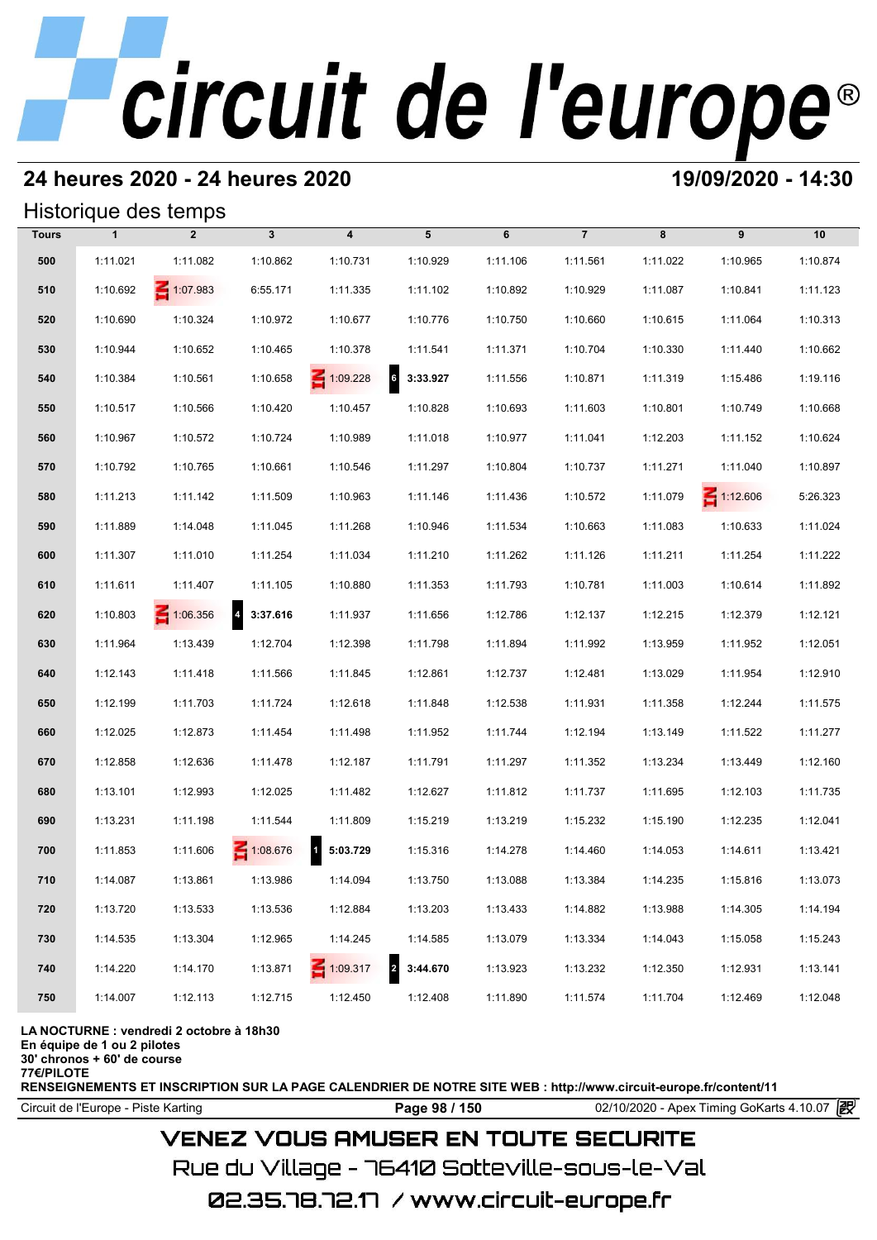## **24 heures 2020 - 24 heures 2020 19/09/2020 - 14:30**

#### Historique des temps

|              |              | Historique des temps |              |                                     |                             |          |                |          |                 |          |
|--------------|--------------|----------------------|--------------|-------------------------------------|-----------------------------|----------|----------------|----------|-----------------|----------|
| <b>Tours</b> | $\mathbf{1}$ | $\overline{2}$       | $\mathbf{3}$ | 4                                   | 5                           | 6        | $\overline{7}$ | 8        | 9               | 10       |
| 500          | 1:11.021     | 1:11.082             | 1:10.862     | 1:10.731                            | 1:10.929                    | 1:11.106 | 1:11.561       | 1:11.022 | 1:10.965        | 1:10.874 |
| 510          | 1:10.692     | 1:07.983             | 6:55.171     | 1:11.335                            | 1:11.102                    | 1:10.892 | 1:10.929       | 1:11.087 | 1:10.841        | 1:11.123 |
| 520          | 1:10.690     | 1:10.324             | 1:10.972     | 1:10.677                            | 1:10.776                    | 1:10.750 | 1:10.660       | 1:10.615 | 1:11.064        | 1:10.313 |
| 530          | 1:10.944     | 1:10.652             | 1:10.465     | 1:10.378                            | 1:11.541                    | 1:11.371 | 1:10.704       | 1:10.330 | 1:11.440        | 1:10.662 |
| 540          | 1:10.384     | 1:10.561             | 1:10.658     | $\leq 1:09.228$                     | $6\overline{6}$<br>3:33.927 | 1:11.556 | 1:10.871       | 1:11.319 | 1:15.486        | 1:19.116 |
| 550          | 1:10.517     | 1:10.566             | 1:10.420     | 1:10.457                            | 1:10.828                    | 1:10.693 | 1:11.603       | 1:10.801 | 1:10.749        | 1:10.668 |
| 560          | 1:10.967     | 1:10.572             | 1:10.724     | 1:10.989                            | 1:11.018                    | 1:10.977 | 1:11.041       | 1:12.203 | 1:11.152        | 1:10.624 |
| 570          | 1:10.792     | 1:10.765             | 1:10.661     | 1:10.546                            | 1:11.297                    | 1:10.804 | 1:10.737       | 1:11.271 | 1:11.040        | 1:10.897 |
| 580          | 1:11.213     | 1:11.142             | 1:11.509     | 1:10.963                            | 1:11.146                    | 1:11.436 | 1:10.572       | 1:11.079 | $\leq 1:12.606$ | 5:26.323 |
| 590          | 1:11.889     | 1:14.048             | 1:11.045     | 1:11.268                            | 1:10.946                    | 1:11.534 | 1:10.663       | 1:11.083 | 1:10.633        | 1:11.024 |
| 600          | 1:11.307     | 1:11.010             | 1:11.254     | 1:11.034                            | 1:11.210                    | 1:11.262 | 1:11.126       | 1:11.211 | 1:11.254        | 1:11.222 |
| 610          | 1:11.611     | 1:11.407             | 1:11.105     | 1:10.880                            | 1:11.353                    | 1:11.793 | 1:10.781       | 1:11.003 | 1:10.614        | 1:11.892 |
| 620          | 1:10.803     | $\leq 1:06.356$      | 4 3:37.616   | 1:11.937                            | 1:11.656                    | 1:12.786 | 1:12.137       | 1:12.215 | 1:12.379        | 1:12.121 |
| 630          | 1:11.964     | 1:13.439             | 1:12.704     | 1:12.398                            | 1:11.798                    | 1:11.894 | 1:11.992       | 1:13.959 | 1:11.952        | 1:12.051 |
| 640          | 1:12.143     | 1:11.418             | 1:11.566     | 1:11.845                            | 1:12.861                    | 1:12.737 | 1:12.481       | 1:13.029 | 1:11.954        | 1:12.910 |
| 650          | 1:12.199     | 1:11.703             | 1:11.724     | 1:12.618                            | 1:11.848                    | 1:12.538 | 1:11.931       | 1:11.358 | 1:12.244        | 1:11.575 |
| 660          | 1:12.025     | 1:12.873             | 1:11.454     | 1:11.498                            | 1:11.952                    | 1:11.744 | 1:12.194       | 1:13.149 | 1:11.522        | 1:11.277 |
| 670          | 1:12.858     | 1:12.636             | 1:11.478     | 1:12.187                            | 1:11.791                    | 1:11.297 | 1:11.352       | 1:13.234 | 1:13.449        | 1:12.160 |
| 680          | 1:13.101     | 1:12.993             | 1:12.025     | 1:11.482                            | 1:12.627                    | 1:11.812 | 1:11.737       | 1:11.695 | 1:12.103        | 1:11.735 |
| 690          | 1:13.231     | 1:11.198             | 1:11.544     | 1:11.809                            | 1:15.219                    | 1:13.219 | 1:15.232       | 1:15.190 | 1:12.235        | 1:12.041 |
| 700          | 1:11.853     | 1:11.606             | 1:08.676     | $\overline{\mathbf{1}}$<br>5:03.729 | 1:15.316                    | 1:14.278 | 1:14.460       | 1:14.053 | 1:14.611        | 1:13.421 |
| 710          | 1:14.087     | 1:13.861             | 1:13.986     | 1:14.094                            | 1:13.750                    | 1:13.088 | 1:13.384       | 1:14.235 | 1:15.816        | 1:13.073 |
| 720          | 1:13.720     | 1:13.533             | 1:13.536     | 1:12.884                            | 1:13.203                    | 1:13.433 | 1:14.882       | 1:13.988 | 1:14.305        | 1:14.194 |
| 730          | 1:14.535     | 1:13.304             | 1:12.965     | 1:14.245                            | 1:14.585                    | 1:13.079 | 1:13.334       | 1:14.043 | 1:15.058        | 1:15.243 |
| 740          | 1:14.220     | 1:14.170             | 1:13.871     | $\leq 1:09.317$                     | $\overline{2}$<br>3:44.670  | 1:13.923 | 1:13.232       | 1:12.350 | 1:12.931        | 1:13.141 |
| 750          | 1:14.007     | 1:12.113             | 1:12.715     | 1:12.450                            | 1:12.408                    | 1:11.890 | 1:11.574       | 1:11.704 | 1:12.469        | 1:12.048 |

#### **LA NOCTURNE : vendredi 2 octobre à 18h30**

**En équipe de 1 ou 2 pilotes**

**30' chronos + 60' de course**

**77€/PILOTE**

**RENSEIGNEMENTS ET INSCRIPTION SUR LA PAGE CALENDRIER DE NOTRE SITE WEB : http://www.circuit-europe.fr/content/11**

Circuit de l'Europe - Piste Karting **Page 98 / 150 Page 98 / 150** 02/10/2020 - Apex Timing GoKarts 4.10.07

### **VENEZ VOUS AMUSER EN TOUTE SECURITE**

Rue du Village – 76410 Sotteville-sous-le-Val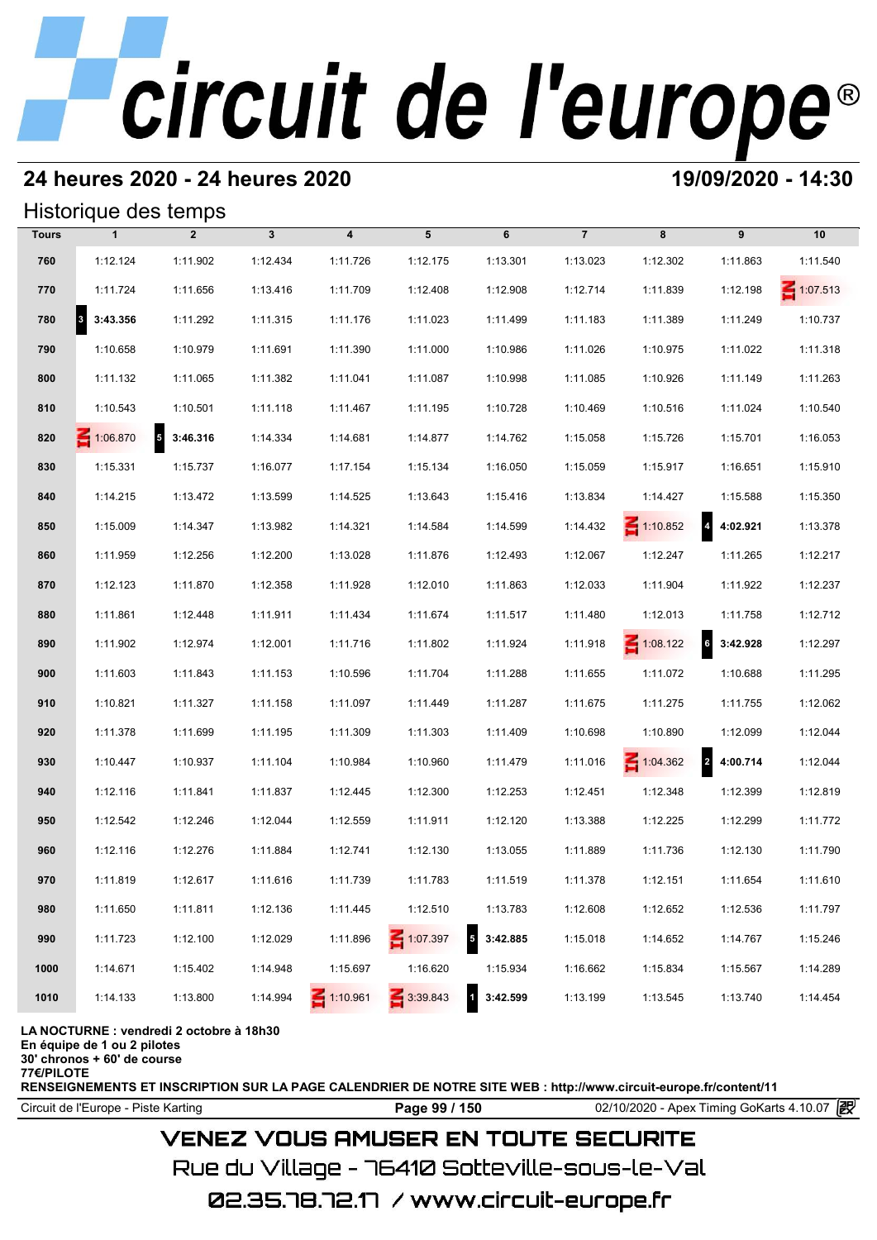### **24 heures 2020 - 24 heures 2020 19/09/2020 - 14:30**

#### Historique des temps

|              | Historique des temps |                   |                |                         |                 |                                     |                |                 |                                     |                 |
|--------------|----------------------|-------------------|----------------|-------------------------|-----------------|-------------------------------------|----------------|-----------------|-------------------------------------|-----------------|
| <b>Tours</b> | $\mathbf{1}$         | $\overline{2}$    | $3\phantom{a}$ | $\overline{\mathbf{4}}$ | 5               | 6                                   | $\overline{7}$ | 8               | 9                                   | 10              |
| 760          | 1:12.124             | 1:11.902          | 1:12.434       | 1:11.726                | 1:12.175        | 1:13.301                            | 1:13.023       | 1:12.302        | 1:11.863                            | 1:11.540        |
| 770          | 1:11.724             | 1:11.656          | 1:13.416       | 1:11.709                | 1:12.408        | 1:12.908                            | 1:12.714       | 1:11.839        | 1:12.198                            | $\leq 1:07.513$ |
| 780          | 3:43.356             | 1:11.292          | 1:11.315       | 1:11.176                | 1:11.023        | 1:11.499                            | 1:11.183       | 1:11.389        | 1:11.249                            | 1:10.737        |
| 790          | 1:10.658             | 1:10.979          | 1:11.691       | 1:11.390                | 1:11.000        | 1:10.986                            | 1:11.026       | 1:10.975        | 1:11.022                            | 1:11.318        |
| 800          | 1:11.132             | 1:11.065          | 1:11.382       | 1:11.041                | 1:11.087        | 1:10.998                            | 1:11.085       | 1:10.926        | 1:11.149                            | 1:11.263        |
| 810          | 1:10.543             | 1:10.501          | 1:11.118       | 1:11.467                | 1:11.195        | 1:10.728                            | 1:10.469       | 1:10.516        | 1:11.024                            | 1:10.540        |
| 820          | $\leq 1:06.870$      | $5\quad 3:46.316$ | 1:14.334       | 1:14.681                | 1:14.877        | 1:14.762                            | 1:15.058       | 1:15.726        | 1:15.701                            | 1:16.053        |
| 830          | 1:15.331             | 1:15.737          | 1:16.077       | 1:17.154                | 1:15.134        | 1:16.050                            | 1:15.059       | 1:15.917        | 1:16.651                            | 1:15.910        |
| 840          | 1:14.215             | 1:13.472          | 1:13.599       | 1:14.525                | 1:13.643        | 1:15.416                            | 1:13.834       | 1:14.427        | 1:15.588                            | 1:15.350        |
| 850          | 1:15.009             | 1:14.347          | 1:13.982       | 1:14.321                | 1:14.584        | 1:14.599                            | 1:14.432       | $\leq 1:10.852$ | 4.4:02.921                          | 1:13.378        |
| 860          | 1:11.959             | 1:12.256          | 1:12.200       | 1:13.028                | 1:11.876        | 1:12.493                            | 1:12.067       | 1:12.247        | 1:11.265                            | 1:12.217        |
| 870          | 1:12.123             | 1:11.870          | 1:12.358       | 1:11.928                | 1:12.010        | 1:11.863                            | 1:12.033       | 1:11.904        | 1:11.922                            | 1:12.237        |
| 880          | 1:11.861             | 1:12.448          | 1:11.911       | 1:11.434                | 1:11.674        | 1:11.517                            | 1:11.480       | 1:12.013        | 1:11.758                            | 1:12.712        |
| 890          | 1:11.902             | 1:12.974          | 1:12.001       | 1:11.716                | 1:11.802        | 1:11.924                            | 1:11.918       | $\leq 1:08.122$ | $6\overline{6}$<br>3:42.928         | 1:12.297        |
| 900          | 1:11.603             | 1:11.843          | 1:11.153       | 1:10.596                | 1:11.704        | 1:11.288                            | 1:11.655       | 1:11.072        | 1:10.688                            | 1:11.295        |
| 910          | 1:10.821             | 1:11.327          | 1:11.158       | 1:11.097                | 1:11.449        | 1:11.287                            | 1:11.675       | 1:11.275        | 1:11.755                            | 1:12.062        |
| 920          | 1:11.378             | 1:11.699          | 1:11.195       | 1:11.309                | 1:11.303        | 1:11.409                            | 1:10.698       | 1:10.890        | 1:12.099                            | 1:12.044        |
| 930          | 1:10.447             | 1:10.937          | 1:11.104       | 1:10.984                | 1:10.960        | 1:11.479                            | 1:11.016       | 1:04.362        | $\overline{\mathbf{r}}$<br>4:00.714 | 1:12.044        |
| 940          | 1:12.116             | 1:11.841          | 1:11.837       | 1:12.445                | 1:12.300        | 1:12.253                            | 1:12.451       | 1:12.348        | 1:12.399                            | 1:12.819        |
| 950          | 1:12.542             | 1:12.246          | 1:12.044       | 1:12.559                | 1:11.911        | 1:12.120                            | 1:13.388       | 1:12.225        | 1:12.299                            | 1:11.772        |
| 960          | 1:12.116             | 1:12.276          | 1:11.884       | 1:12.741                | 1:12.130        | 1:13.055                            | 1:11.889       | 1:11.736        | 1:12.130                            | 1:11.790        |
| 970          | 1:11.819             | 1:12.617          | 1:11.616       | 1:11.739                | 1:11.783        | 1:11.519                            | 1:11.378       | 1:12.151        | 1:11.654                            | 1:11.610        |
| 980          | 1:11.650             | 1:11.811          | 1:12.136       | 1:11.445                | 1:12.510        | 1:13.783                            | 1:12.608       | 1:12.652        | 1:12.536                            | 1:11.797        |
| 990          | 1:11.723             | 1:12.100          | 1:12.029       | 1:11.896                | $\leq 1:07.397$ | $\overline{\mathbf{5}}$<br>3:42.885 | 1:15.018       | 1:14.652        | 1:14.767                            | 1:15.246        |
| 1000         | 1:14.671             | 1:15.402          | 1:14.948       | 1:15.697                | 1:16.620        | 1:15.934                            | 1:16.662       | 1:15.834        | 1:15.567                            | 1:14.289        |
| 1010         | 1:14.133             | 1:13.800          | 1:14.994       | $\leq 1:10.961$         | 3:39.843        | $\overline{\mathbf{1}}$<br>3:42.599 | 1:13.199       | 1:13.545        | 1:13.740                            | 1:14.454        |

**LA NOCTURNE : vendredi 2 octobre à 18h30**

**En équipe de 1 ou 2 pilotes**

**30' chronos + 60' de course**

**77€/PILOTE**

**RENSEIGNEMENTS ET INSCRIPTION SUR LA PAGE CALENDRIER DE NOTRE SITE WEB : http://www.circuit-europe.fr/content/11**

Circuit de l'Europe - Piste Karting **Page 99 / 150 Page 99 / 150** 02/10/2020 - Apex Timing GoKarts 4.10.07 **P** 

### **VENEZ VOUS AMUSER EN TOUTE SECURITE**

Rue du Village – 76410 Sotteville-sous-le-Val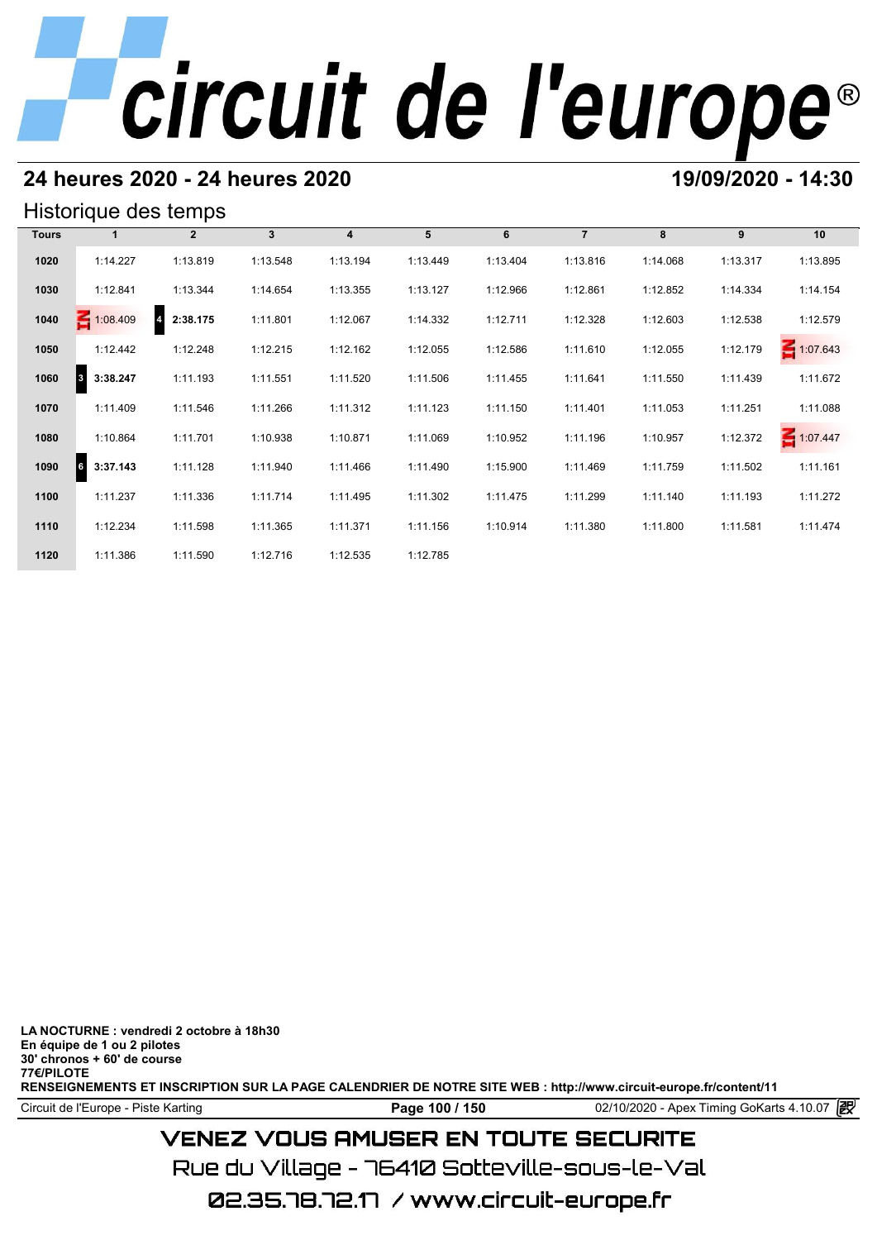### **24 heures 2020 - 24 heures 2020 19/09/2020 - 14:30**

#### Historique des temps

|              | Historique des temps |                            |          |          |          |          |                |          |          |                 |
|--------------|----------------------|----------------------------|----------|----------|----------|----------|----------------|----------|----------|-----------------|
| <b>Tours</b> |                      | $\mathbf{2}$               | 3        | 4        | 5        | 6        | $\overline{7}$ | 8        | 9        | 10              |
| 1020         | 1:14.227             | 1:13.819                   | 1:13.548 | 1:13.194 | 1:13.449 | 1:13.404 | 1:13.816       | 1:14.068 | 1:13.317 | 1:13.895        |
| 1030         | 1:12.841             | 1:13.344                   | 1:14.654 | 1:13.355 | 1:13.127 | 1:12.966 | 1:12.861       | 1:12.852 | 1:14.334 | 1:14.154        |
| 1040         | $\leq 1:08.409$      | 2:38.175<br>$\overline{4}$ | 1:11.801 | 1:12.067 | 1:14.332 | 1:12.711 | 1:12.328       | 1:12.603 | 1:12.538 | 1:12.579        |
| 1050         | 1:12.442             | 1:12.248                   | 1:12.215 | 1:12.162 | 1:12.055 | 1:12.586 | 1:11.610       | 1:12.055 | 1:12.179 | 1:07.643        |
| 1060         | 3:38.247<br>3        | 1:11.193                   | 1:11.551 | 1:11.520 | 1:11.506 | 1:11.455 | 1:11.641       | 1:11.550 | 1:11.439 | 1:11.672        |
| 1070         | 1:11.409             | 1:11.546                   | 1:11.266 | 1:11.312 | 1:11.123 | 1:11.150 | 1:11.401       | 1:11.053 | 1:11.251 | 1:11.088        |
| 1080         | 1:10.864             | 1:11.701                   | 1:10.938 | 1:10.871 | 1:11.069 | 1:10.952 | 1:11.196       | 1:10.957 | 1:12.372 | $\leq 1:07.447$ |
| 1090         | 3:37.143<br>6        | 1:11.128                   | 1:11.940 | 1:11.466 | 1:11.490 | 1:15.900 | 1:11.469       | 1:11.759 | 1:11.502 | 1:11.161        |
| 1100         | 1:11.237             | 1:11.336                   | 1:11.714 | 1:11.495 | 1:11.302 | 1:11.475 | 1:11.299       | 1:11.140 | 1:11.193 | 1:11.272        |
| 1110         | 1:12.234             | 1:11.598                   | 1:11.365 | 1:11.371 | 1:11.156 | 1:10.914 | 1:11.380       | 1:11.800 | 1:11.581 | 1:11.474        |
| 1120         | 1:11.386             | 1:11.590                   | 1:12.716 | 1:12.535 | 1:12.785 |          |                |          |          |                 |

**LA NOCTURNE : vendredi 2 octobre à 18h30 En équipe de 1 ou 2 pilotes 30' chronos + 60' de course 77€/PILOTE RENSEIGNEMENTS ET INSCRIPTION SUR LA PAGE CALENDRIER DE NOTRE SITE WEB : http://www.circuit-europe.fr/content/11**

Circuit de l'Europe - Piste Karting **Page 100 / 150** 02/10/2020 - Apex Timing GoKarts 4.10.07

## **VENEZ VOUS AMUSER EN TOUTE SECURITE**

Rue du Village – 76410 Sotteville-sous-le-Val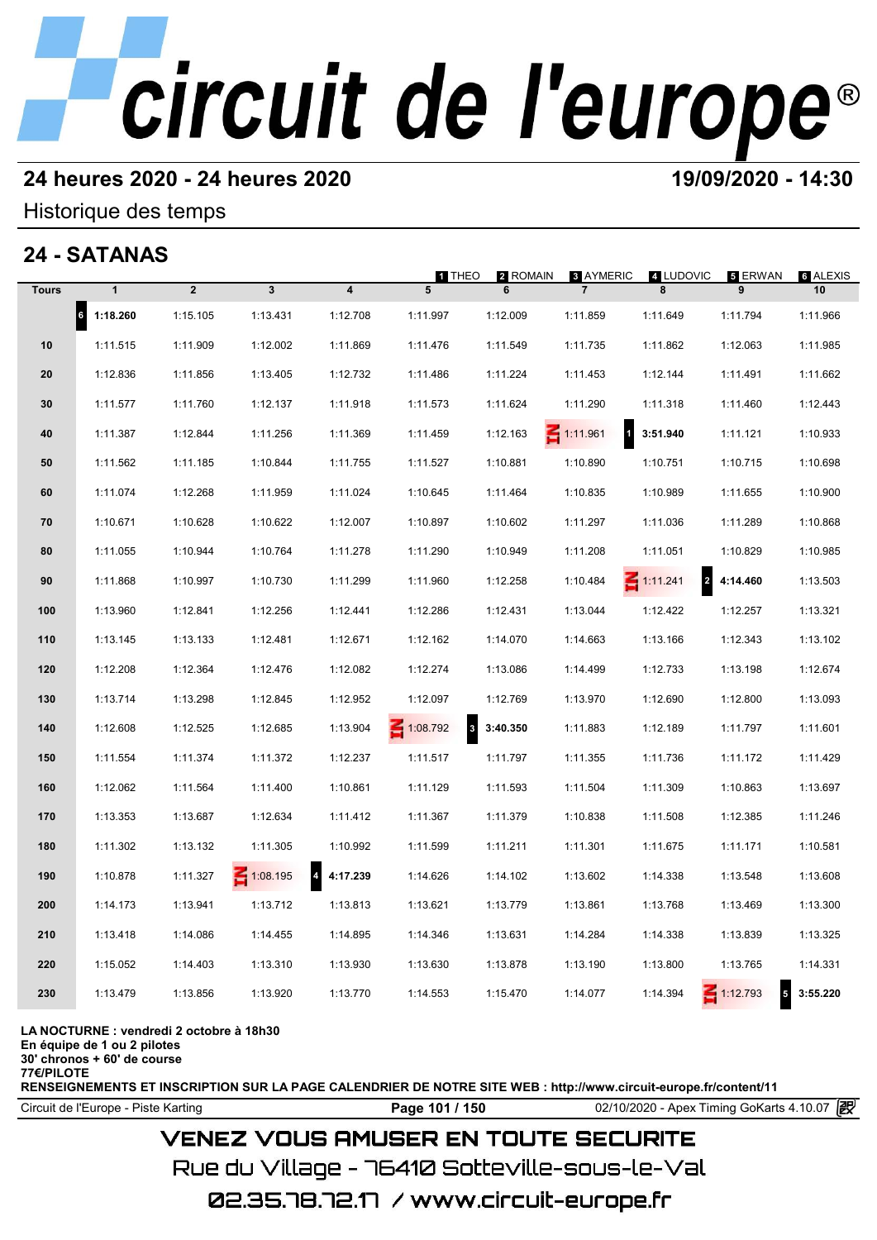#### **24 heures 2020 - 24 heures 2020 19/09/2020 - 14:30**

#### Historique des temps

## **24 - SATANAS**

|              | 24 - SATANAS          |                |                 |                            |               |               |                                    |                                            |                                    |                |
|--------------|-----------------------|----------------|-----------------|----------------------------|---------------|---------------|------------------------------------|--------------------------------------------|------------------------------------|----------------|
| <b>Tours</b> | $\mathbf{1}$          | $\overline{2}$ | $\mathbf{3}$    | $\overline{\mathbf{4}}$    | 1 THEO<br>5   | 2 ROMAIN<br>6 | <b>8 AYMERIC</b><br>$\overline{7}$ | 4 LUDOVIC<br>8                             | 5 ERWAN<br>9                       | 6 ALEXIS<br>10 |
|              | $\vert$ 6<br>1:18.260 | 1:15.105       | 1:13.431        | 1:12.708                   | 1:11.997      | 1:12.009      | 1:11.859                           | 1:11.649                                   | 1:11.794                           | 1:11.966       |
| 10           | 1:11.515              | 1:11.909       | 1:12.002        | 1:11.869                   | 1:11.476      | 1:11.549      | 1:11.735                           | 1:11.862                                   | 1:12.063                           | 1:11.985       |
| 20           | 1:12.836              | 1:11.856       | 1:13.405        | 1:12.732                   | 1:11.486      | 1:11.224      | 1:11.453                           | 1:12.144                                   | 1:11.491                           | 1:11.662       |
| 30           | 1:11.577              | 1:11.760       | 1:12.137        | 1:11.918                   | 1:11.573      | 1:11.624      | 1:11.290                           | 1:11.318                                   | 1:11.460                           | 1:12.443       |
| 40           | 1:11.387              | 1:12.844       | 1:11.256        | 1:11.369                   | 1:11.459      | 1:12.163      | $\mathbf{1}$<br>$\leq 1:11.961$    | 3:51.940                                   | 1:11.121                           | 1:10.933       |
| 50           | 1:11.562              | 1:11.185       | 1:10.844        | 1:11.755                   | 1:11.527      | 1:10.881      | 1:10.890                           | 1:10.751                                   | 1:10.715                           | 1:10.698       |
| 60           | 1:11.074              | 1:12.268       | 1:11.959        | 1:11.024                   | 1:10.645      | 1:11.464      | 1:10.835                           | 1:10.989                                   | 1:11.655                           | 1:10.900       |
| 70           | 1:10.671              | 1:10.628       | 1:10.622        | 1:12.007                   | 1:10.897      | 1:10.602      | 1:11.297                           | 1:11.036                                   | 1:11.289                           | 1:10.868       |
| 80           | 1:11.055              | 1:10.944       | 1:10.764        | 1:11.278                   | 1:11.290      | 1:10.949      | 1:11.208                           | 1:11.051                                   | 1:10.829                           | 1:10.985       |
| 90           | 1:11.868              | 1:10.997       | 1:10.730        | 1:11.299                   | 1:11.960      | 1:12.258      | 1:10.484                           | $\overline{\mathbf{2}}$<br>$\leq 1:11.241$ | 4:14.460                           | 1:13.503       |
| 100          | 1:13.960              | 1:12.841       | 1:12.256        | 1:12.441                   | 1:12.286      | 1:12.431      | 1:13.044                           | 1:12.422                                   | 1:12.257                           | 1:13.321       |
| 110          | 1:13.145              | 1:13.133       | 1:12.481        | 1:12.671                   | 1:12.162      | 1:14.070      | 1:14.663                           | 1:13.166                                   | 1:12.343                           | 1:13.102       |
| 120          | 1:12.208              | 1:12.364       | 1:12.476        | 1:12.082                   | 1:12.274      | 1:13.086      | 1:14.499                           | 1:12.733                                   | 1:13.198                           | 1:12.674       |
| 130          | 1:13.714              | 1:13.298       | 1:12.845        | 1:12.952                   | 1:12.097      | 1:12.769      | 1:13.970                           | 1:12.690                                   | 1:12.800                           | 1:13.093       |
| 140          | 1:12.608              | 1:12.525       | 1:12.685        | 1:13.904                   | 1:08.792<br>3 | 3:40.350      | 1:11.883                           | 1:12.189                                   | 1:11.797                           | 1:11.601       |
| 150          | 1:11.554              | 1:11.374       | 1:11.372        | 1:12.237                   | 1:11.517      | 1:11.797      | 1:11.355                           | 1:11.736                                   | 1:11.172                           | 1:11.429       |
| 160          | 1:12.062              | 1:11.564       | 1:11.400        | 1:10.861                   | 1:11.129      | 1:11.593      | 1:11.504                           | 1:11.309                                   | 1:10.863                           | 1:13.697       |
| 170          | 1:13.353              | 1:13.687       | 1:12.634        | 1:11.412                   | 1:11.367      | 1:11.379      | 1:10.838                           | 1:11.508                                   | 1:12.385                           | 1:11.246       |
| 180          | 1:11.302              | 1:13.132       | 1:11.305        | 1:10.992                   | 1:11.599      | 1:11.211      | 1:11.301                           | 1:11.675                                   | 1:11.171                           | 1:10.581       |
| 190          | 1:10.878              | 1:11.327       | $\leq 1:08.195$ | $\overline{4}$<br>4:17.239 | 1:14.626      | 1:14.102      | 1:13.602                           | 1:14.338                                   | 1:13.548                           | 1:13.608       |
| 200          | 1:14.173              | 1:13.941       | 1:13.712        | 1:13.813                   | 1:13.621      | 1:13.779      | 1:13.861                           | 1:13.768                                   | 1:13.469                           | 1:13.300       |
| 210          | 1:13.418              | 1:14.086       | 1:14.455        | 1:14.895                   | 1:14.346      | 1:13.631      | 1:14.284                           | 1:14.338                                   | 1:13.839                           | 1:13.325       |
| 220          | 1:15.052              | 1:14.403       | 1:13.310        | 1:13.930                   | 1:13.630      | 1:13.878      | 1:13.190                           | 1:13.800                                   | 1:13.765                           | 1:14.331       |
| 230          | 1:13.479              | 1:13.856       | 1:13.920        | 1:13.770                   | 1:14.553      | 1:15.470      | 1:14.077                           | 1:14.394                                   | $\leq 1:12.793$<br>$5\phantom{.0}$ | 3:55.220       |
|              |                       |                |                 |                            |               |               |                                    |                                            |                                    |                |

#### **LA NOCTURNE : vendredi 2 octobre à 18h30**

**En équipe de 1 ou 2 pilotes**

**30' chronos + 60' de course**

**77€/PILOTE**

**RENSEIGNEMENTS ET INSCRIPTION SUR LA PAGE CALENDRIER DE NOTRE SITE WEB : http://www.circuit-europe.fr/content/11**

Circuit de l'Europe - Piste Karting **Page 101 / 150** 02/10/2020 - Apex Timing GoKarts 4.10.07

### **VENEZ VOUS AMUSER EN TOUTE SECURITE**

Rue du Village – 76410 Sotteville-sous-le-Val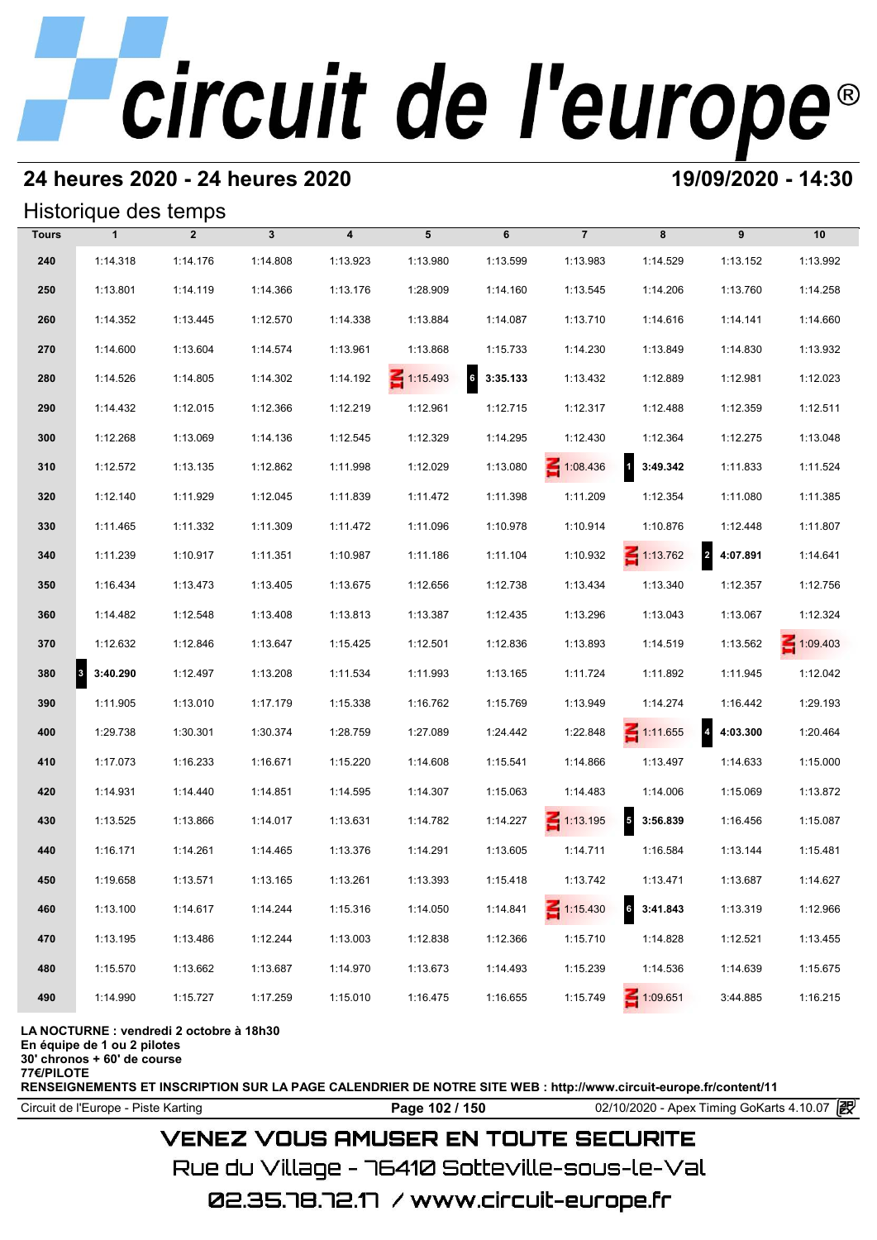### **24 heures 2020 - 24 heures 2020 19/09/2020 - 14:30**

#### Historique des temps

|              | Historique des temps |                |              |                         |                 |                             |                 |                                     |                                     |                 |
|--------------|----------------------|----------------|--------------|-------------------------|-----------------|-----------------------------|-----------------|-------------------------------------|-------------------------------------|-----------------|
| <b>Tours</b> | $\mathbf{1}$         | $\overline{2}$ | $\mathbf{3}$ | $\overline{\mathbf{4}}$ | 5               | 6                           | $\overline{7}$  | 8                                   | 9                                   | 10              |
| 240          | 1:14.318             | 1:14.176       | 1:14.808     | 1:13.923                | 1:13.980        | 1:13.599                    | 1:13.983        | 1:14.529                            | 1:13.152                            | 1:13.992        |
| 250          | 1:13.801             | 1:14.119       | 1:14.366     | 1:13.176                | 1:28.909        | 1:14.160                    | 1:13.545        | 1:14.206                            | 1:13.760                            | 1:14.258        |
| 260          | 1:14.352             | 1:13.445       | 1:12.570     | 1:14.338                | 1:13.884        | 1:14.087                    | 1:13.710        | 1:14.616                            | 1:14.141                            | 1:14.660        |
| 270          | 1:14.600             | 1:13.604       | 1:14.574     | 1:13.961                | 1:13.868        | 1:15.733                    | 1:14.230        | 1:13.849                            | 1:14.830                            | 1:13.932        |
| 280          | 1:14.526             | 1:14.805       | 1:14.302     | 1:14.192                | $\leq 1:15.493$ | $6\overline{6}$<br>3:35.133 | 1:13.432        | 1:12.889                            | 1:12.981                            | 1:12.023        |
| 290          | 1:14.432             | 1:12.015       | 1:12.366     | 1:12.219                | 1:12.961        | 1:12.715                    | 1:12.317        | 1:12.488                            | 1:12.359                            | 1:12.511        |
| 300          | 1:12.268             | 1:13.069       | 1:14.136     | 1:12.545                | 1:12.329        | 1:14.295                    | 1:12.430        | 1:12.364                            | 1:12.275                            | 1:13.048        |
| 310          | 1:12.572             | 1:13.135       | 1:12.862     | 1:11.998                | 1:12.029        | 1:13.080                    | 1:08.436        | $\overline{\mathbf{1}}$<br>3:49.342 | 1:11.833                            | 1:11.524        |
| 320          | 1:12.140             | 1:11.929       | 1:12.045     | 1:11.839                | 1:11.472        | 1:11.398                    | 1:11.209        | 1:12.354                            | 1:11.080                            | 1:11.385        |
| 330          | 1:11.465             | 1:11.332       | 1:11.309     | 1:11.472                | 1:11.096        | 1:10.978                    | 1:10.914        | 1:10.876                            | 1:12.448                            | 1:11.807        |
| 340          | 1:11.239             | 1:10.917       | 1:11.351     | 1:10.987                | 1:11.186        | 1:11.104                    | 1:10.932        | $\leq 1:13.762$                     | $\overline{a}$<br>4:07.891          | 1:14.641        |
| 350          | 1:16.434             | 1:13.473       | 1:13.405     | 1:13.675                | 1:12.656        | 1:12.738                    | 1:13.434        | 1:13.340                            | 1:12.357                            | 1:12.756        |
| 360          | 1:14.482             | 1:12.548       | 1:13.408     | 1:13.813                | 1:13.387        | 1:12.435                    | 1:13.296        | 1:13.043                            | 1:13.067                            | 1:12.324        |
| 370          | 1:12.632             | 1:12.846       | 1:13.647     | 1:15.425                | 1:12.501        | 1:12.836                    | 1:13.893        | 1:14.519                            | 1:13.562                            | $\leq 1:09.403$ |
| 380          | 3:40.290<br>3        | 1:12.497       | 1:13.208     | 1:11.534                | 1:11.993        | 1:13.165                    | 1:11.724        | 1:11.892                            | 1:11.945                            | 1:12.042        |
| 390          | 1:11.905             | 1:13.010       | 1:17.179     | 1:15.338                | 1:16.762        | 1:15.769                    | 1:13.949        | 1:14.274                            | 1:16.442                            | 1:29.193        |
| 400          | 1:29.738             | 1:30.301       | 1:30.374     | 1:28.759                | 1:27.089        | 1:24.442                    | 1:22.848        | $\leq 1:11.655$                     | $\overline{\mathbf{4}}$<br>4:03.300 | 1:20.464        |
| 410          | 1:17.073             | 1:16.233       | 1:16.671     | 1:15.220                | 1:14.608        | 1:15.541                    | 1:14.866        | 1:13.497                            | 1:14.633                            | 1:15.000        |
| 420          | 1:14.931             | 1:14.440       | 1:14.851     | 1:14.595                | 1:14.307        | 1:15.063                    | 1:14.483        | 1:14.006                            | 1:15.069                            | 1:13.872        |
| 430          | 1:13.525             | 1:13.866       | 1:14.017     | 1:13.631                | 1:14.782        | 1:14.227                    | $\leq 1:13.195$ | $\overline{5}$<br>3:56.839          | 1:16.456                            | 1:15.087        |
| 440          | 1:16.171             | 1:14.261       | 1:14.465     | 1:13.376                | 1:14.291        | 1:13.605                    | 1:14.711        | 1:16.584                            | 1:13.144                            | 1:15.481        |
| 450          | 1:19.658             | 1:13.571       | 1:13.165     | 1:13.261                | 1:13.393        | 1:15.418                    | 1:13.742        | 1:13.471                            | 1:13.687                            | 1:14.627        |
| 460          | 1:13.100             | 1:14.617       | 1:14.244     | 1:15.316                | 1:14.050        | 1:14.841                    | $\leq 1:15.430$ | $6\overline{6}$<br>3:41.843         | 1:13.319                            | 1:12.966        |
| 470          | 1:13.195             | 1:13.486       | 1:12.244     | 1:13.003                | 1:12.838        | 1:12.366                    | 1:15.710        | 1:14.828                            | 1:12.521                            | 1:13.455        |
| 480          | 1:15.570             | 1:13.662       | 1:13.687     | 1:14.970                | 1:13.673        | 1:14.493                    | 1:15.239        | 1:14.536                            | 1:14.639                            | 1:15.675        |
| 490          | 1:14.990             | 1:15.727       | 1:17.259     | 1:15.010                | 1:16.475        | 1:16.655                    | 1:15.749        | 1:09.651                            | 3:44.885                            | 1:16.215        |

#### **LA NOCTURNE : vendredi 2 octobre à 18h30**

**En équipe de 1 ou 2 pilotes**

**30' chronos + 60' de course**

**77€/PILOTE**

**RENSEIGNEMENTS ET INSCRIPTION SUR LA PAGE CALENDRIER DE NOTRE SITE WEB : http://www.circuit-europe.fr/content/11**

**Page 102 / 150** 02/10/2020 - Apex Timing GoKarts 4.10.07 **P** 

### **VENEZ VOUS AMUSER EN TOUTE SECURITE**

Rue du Village – 76410 Sotteville-sous-le-Val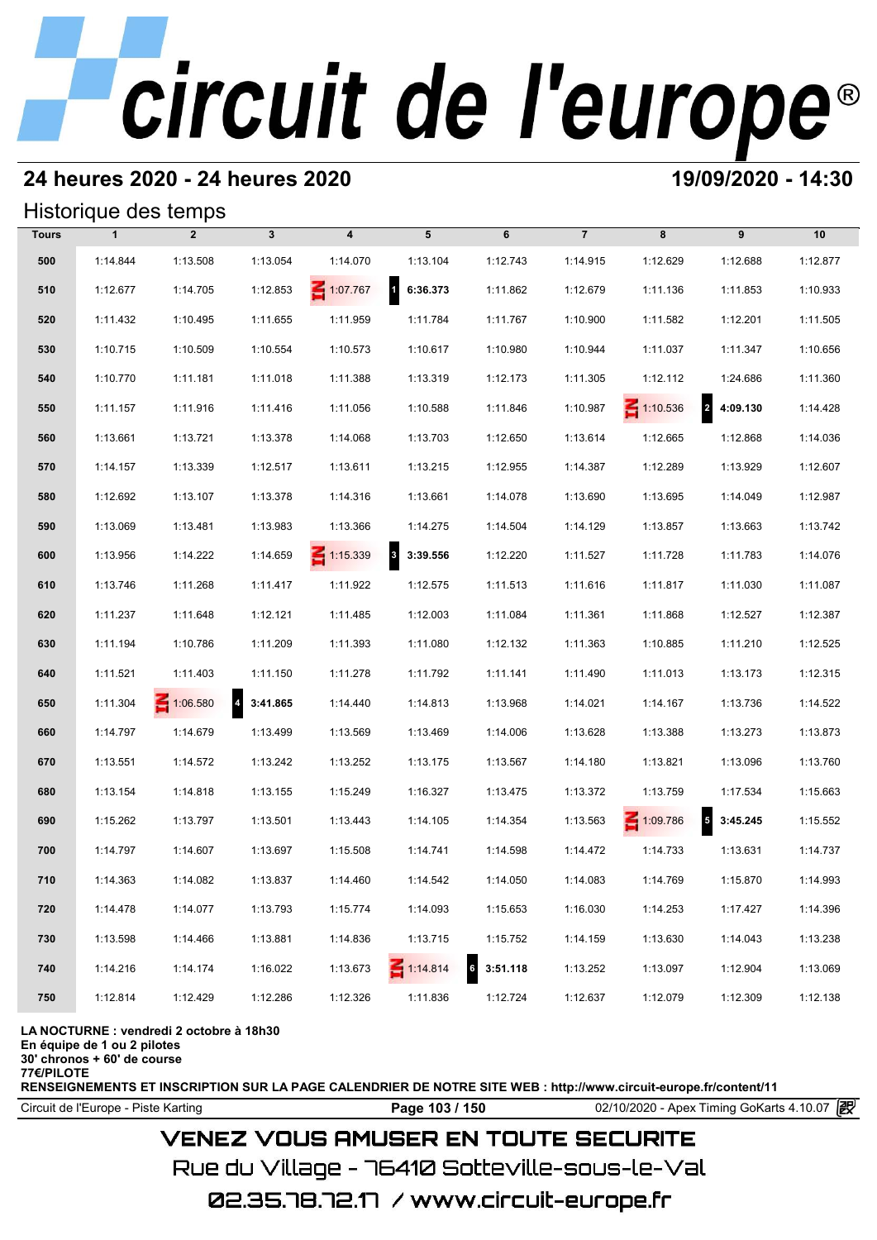## **24 heures 2020 - 24 heures 2020 19/09/2020 - 14:30**

#### Historique des temps

|              |              | Historique des temps |              |                         |                                     |                             |                |                 |                                      |          |
|--------------|--------------|----------------------|--------------|-------------------------|-------------------------------------|-----------------------------|----------------|-----------------|--------------------------------------|----------|
| <b>Tours</b> | $\mathbf{1}$ | $\overline{2}$       | $\mathbf{3}$ | $\overline{\mathbf{4}}$ | 5                                   | 6                           | $\overline{7}$ | 8               | 9                                    | 10       |
| 500          | 1:14.844     | 1:13.508             | 1:13.054     | 1:14.070                | 1:13.104                            | 1:12.743                    | 1:14.915       | 1:12.629        | 1:12.688                             | 1:12.877 |
| 510          | 1:12.677     | 1:14.705             | 1:12.853     | $\leq 1:07.767$         | $\mathbf{1}$<br>6:36.373            | 1:11.862                    | 1:12.679       | 1:11.136        | 1:11.853                             | 1:10.933 |
| 520          | 1:11.432     | 1:10.495             | 1:11.655     | 1:11.959                | 1:11.784                            | 1:11.767                    | 1:10.900       | 1:11.582        | 1:12.201                             | 1:11.505 |
| 530          | 1:10.715     | 1:10.509             | 1:10.554     | 1:10.573                | 1:10.617                            | 1:10.980                    | 1:10.944       | 1:11.037        | 1:11.347                             | 1:10.656 |
| 540          | 1:10.770     | 1:11.181             | 1:11.018     | 1:11.388                | 1:13.319                            | 1:12.173                    | 1:11.305       | 1:12.112        | 1:24.686                             | 1:11.360 |
| 550          | 1:11.157     | 1:11.916             | 1:11.416     | 1:11.056                | 1:10.588                            | 1:11.846                    | 1:10.987       | $\leq 1:10.536$ | $\mathbf{2}$<br>4:09.130             | 1:14.428 |
| 560          | 1:13.661     | 1:13.721             | 1:13.378     | 1:14.068                | 1:13.703                            | 1:12.650                    | 1:13.614       | 1:12.665        | 1:12.868                             | 1:14.036 |
| 570          | 1:14.157     | 1:13.339             | 1:12.517     | 1:13.611                | 1:13.215                            | 1:12.955                    | 1:14.387       | 1:12.289        | 1:13.929                             | 1:12.607 |
| 580          | 1:12.692     | 1:13.107             | 1:13.378     | 1:14.316                | 1:13.661                            | 1:14.078                    | 1:13.690       | 1:13.695        | 1:14.049                             | 1:12.987 |
| 590          | 1:13.069     | 1:13.481             | 1:13.983     | 1:13.366                | 1:14.275                            | 1:14.504                    | 1:14.129       | 1:13.857        | 1:13.663                             | 1:13.742 |
| 600          | 1:13.956     | 1:14.222             | 1:14.659     | $\leq 1:15.339$         | $\overline{\mathbf{3}}$<br>3:39.556 | 1:12.220                    | 1:11.527       | 1:11.728        | 1:11.783                             | 1:14.076 |
| 610          | 1:13.746     | 1:11.268             | 1:11.417     | 1:11.922                | 1:12.575                            | 1:11.513                    | 1:11.616       | 1:11.817        | 1:11.030                             | 1:11.087 |
| 620          | 1:11.237     | 1:11.648             | 1:12.121     | 1:11.485                | 1:12.003                            | 1:11.084                    | 1:11.361       | 1:11.868        | 1:12.527                             | 1:12.387 |
| 630          | 1:11.194     | 1:10.786             | 1:11.209     | 1:11.393                | 1:11.080                            | 1:12.132                    | 1:11.363       | 1:10.885        | 1:11.210                             | 1:12.525 |
| 640          | 1:11.521     | 1:11.403             | 1:11.150     | 1:11.278                | 1:11.792                            | 1:11.141                    | 1:11.490       | 1:11.013        | 1:13.173                             | 1:12.315 |
| 650          | 1:11.304     | $\leq 1:06.580$      | 4 3:41.865   | 1:14.440                | 1:14.813                            | 1:13.968                    | 1:14.021       | 1:14.167        | 1:13.736                             | 1:14.522 |
| 660          | 1:14.797     | 1:14.679             | 1:13.499     | 1:13.569                | 1:13.469                            | 1:14.006                    | 1:13.628       | 1:13.388        | 1:13.273                             | 1:13.873 |
| 670          | 1:13.551     | 1:14.572             | 1:13.242     | 1:13.252                | 1:13.175                            | 1:13.567                    | 1:14.180       | 1:13.821        | 1:13.096                             | 1:13.760 |
| 680          | 1:13.154     | 1:14.818             | 1:13.155     | 1:15.249                | 1:16.327                            | 1:13.475                    | 1:13.372       | 1:13.759        | 1:17.534                             | 1:15.663 |
| 690          | 1:15.262     | 1:13.797             | 1:13.501     | 1:13.443                | 1:14.105                            | 1:14.354                    | 1:13.563       | 1:09.786        | $\overline{\phantom{a}}$<br>3:45.245 | 1:15.552 |
| 700          | 1:14.797     | 1:14.607             | 1:13.697     | 1:15.508                | 1:14.741                            | 1:14.598                    | 1:14.472       | 1:14.733        | 1:13.631                             | 1:14.737 |
| 710          | 1:14.363     | 1:14.082             | 1:13.837     | 1:14.460                | 1:14.542                            | 1:14.050                    | 1:14.083       | 1:14.769        | 1:15.870                             | 1:14.993 |
| 720          | 1:14.478     | 1:14.077             | 1:13.793     | 1:15.774                | 1:14.093                            | 1:15.653                    | 1:16.030       | 1:14.253        | 1:17.427                             | 1:14.396 |
| 730          | 1:13.598     | 1:14.466             | 1:13.881     | 1:14.836                | 1:13.715                            | 1:15.752                    | 1:14.159       | 1:13.630        | 1:14.043                             | 1:13.238 |
| 740          | 1:14.216     | 1:14.174             | 1:16.022     | 1:13.673                | $\leq 1:14.814$                     | $6\overline{6}$<br>3:51.118 | 1:13.252       | 1:13.097        | 1:12.904                             | 1:13.069 |
| 750          | 1:12.814     | 1:12.429             | 1:12.286     | 1:12.326                | 1:11.836                            | 1:12.724                    | 1:12.637       | 1:12.079        | 1:12.309                             | 1:12.138 |

#### **LA NOCTURNE : vendredi 2 octobre à 18h30**

**En équipe de 1 ou 2 pilotes**

**30' chronos + 60' de course**

**77€/PILOTE**

**RENSEIGNEMENTS ET INSCRIPTION SUR LA PAGE CALENDRIER DE NOTRE SITE WEB : http://www.circuit-europe.fr/content/11**

Circuit de l'Europe - Piste Karting **Page 103 / 150** 02/10/2020 - Apex Timing GoKarts 4.10.07

## **VENEZ VOUS AMUSER EN TOUTE SECURITE**

Rue du Village – 76410 Sotteville-sous-le-Val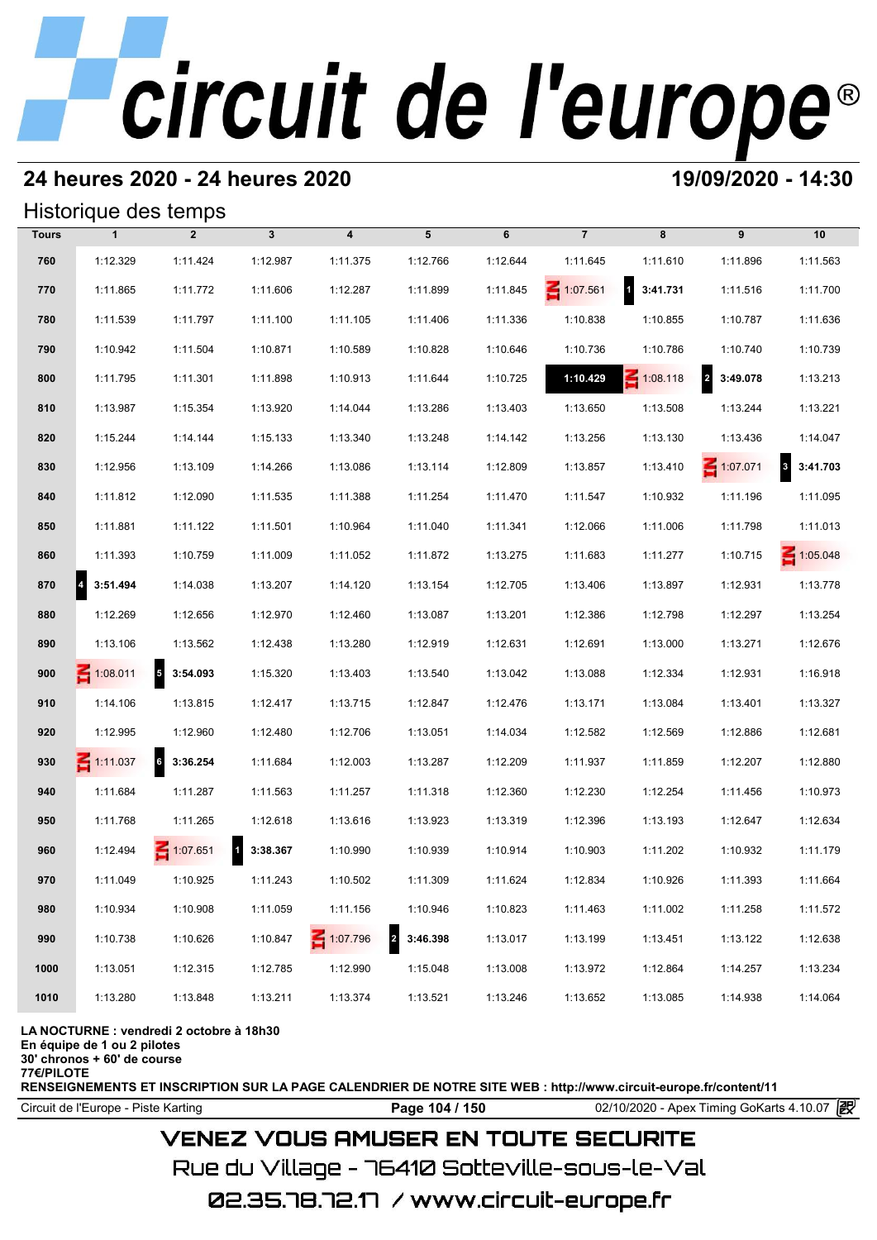### **24 heures 2020 - 24 heures 2020 19/09/2020 - 14:30**

#### Historique des temps

|              |                 | Historique des temps   |              |                  |                            |          |                 |                                     |                            |                                     |
|--------------|-----------------|------------------------|--------------|------------------|----------------------------|----------|-----------------|-------------------------------------|----------------------------|-------------------------------------|
| <b>Tours</b> | $\mathbf{1}$    | $\overline{2}$         | $\mathbf{3}$ | $\boldsymbol{4}$ | 5                          | 6        | $\overline{7}$  | 8                                   | 9                          | 10                                  |
| 760          | 1:12.329        | 1:11.424               | 1:12.987     | 1:11.375         | 1:12.766                   | 1:12.644 | 1:11.645        | 1:11.610                            | 1:11.896                   | 1:11.563                            |
| 770          | 1:11.865        | 1:11.772               | 1:11.606     | 1:12.287         | 1:11.899                   | 1:11.845 | $\leq 1:07.561$ | $\overline{\mathbf{1}}$<br>3:41.731 | 1:11.516                   | 1:11.700                            |
| 780          | 1:11.539        | 1:11.797               | 1:11.100     | 1:11.105         | 1:11.406                   | 1:11.336 | 1:10.838        | 1:10.855                            | 1:10.787                   | 1:11.636                            |
| 790          | 1:10.942        | 1:11.504               | 1:10.871     | 1:10.589         | 1:10.828                   | 1:10.646 | 1:10.736        | 1:10.786                            | 1:10.740                   | 1:10.739                            |
| 800          | 1:11.795        | 1:11.301               | 1:11.898     | 1:10.913         | 1:11.644                   | 1:10.725 | 1:10.429        | $\leq 1:08.118$                     | $\overline{a}$<br>3:49.078 | 1:13.213                            |
| 810          | 1:13.987        | 1:15.354               | 1:13.920     | 1:14.044         | 1:13.286                   | 1:13.403 | 1:13.650        | 1:13.508                            | 1:13.244                   | 1:13.221                            |
| 820          | 1:15.244        | 1:14.144               | 1:15.133     | 1:13.340         | 1:13.248                   | 1:14.142 | 1:13.256        | 1:13.130                            | 1:13.436                   | 1:14.047                            |
| 830          | 1:12.956        | 1:13.109               | 1:14.266     | 1:13.086         | 1:13.114                   | 1:12.809 | 1:13.857        | 1:13.410                            | $\leq 1:07.071$            | $\overline{\mathbf{3}}$<br>3:41.703 |
| 840          | 1:11.812        | 1:12.090               | 1:11.535     | 1:11.388         | 1:11.254                   | 1:11.470 | 1:11.547        | 1:10.932                            | 1:11.196                   | 1:11.095                            |
| 850          | 1:11.881        | 1:11.122               | 1:11.501     | 1:10.964         | 1:11.040                   | 1:11.341 | 1:12.066        | 1:11.006                            | 1:11.798                   | 1:11.013                            |
| 860          | 1:11.393        | 1:10.759               | 1:11.009     | 1:11.052         | 1:11.872                   | 1:13.275 | 1:11.683        | 1:11.277                            | 1:10.715                   | $\leq 1:05.048$                     |
| 870          | 4<br>3:51.494   | 1:14.038               | 1:13.207     | 1:14.120         | 1:13.154                   | 1:12.705 | 1:13.406        | 1:13.897                            | 1:12.931                   | 1:13.778                            |
| 880          | 1:12.269        | 1:12.656               | 1:12.970     | 1:12.460         | 1:13.087                   | 1:13.201 | 1:12.386        | 1:12.798                            | 1:12.297                   | 1:13.254                            |
| 890          | 1:13.106        | 1:13.562               | 1:12.438     | 1:13.280         | 1:12.919                   | 1:12.631 | 1:12.691        | 1:13.000                            | 1:13.271                   | 1:12.676                            |
| 900          | $\leq 1:08.011$ | $\sqrt{5}$<br>3:54.093 | 1:15.320     | 1:13.403         | 1:13.540                   | 1:13.042 | 1:13.088        | 1:12.334                            | 1:12.931                   | 1:16.918                            |
| 910          | 1:14.106        | 1:13.815               | 1:12.417     | 1:13.715         | 1:12.847                   | 1:12.476 | 1:13.171        | 1:13.084                            | 1:13.401                   | 1:13.327                            |
| 920          | 1:12.995        | 1:12.960               | 1:12.480     | 1:12.706         | 1:13.051                   | 1:14.034 | 1:12.582        | 1:12.569                            | 1:12.886                   | 1:12.681                            |
| 930          | $\leq 1:11.037$ | 6<br>3:36.254          | 1:11.684     | 1:12.003         | 1:13.287                   | 1:12.209 | 1:11.937        | 1:11.859                            | 1:12.207                   | 1:12.880                            |
| 940          | 1:11.684        | 1:11.287               | 1:11.563     | 1:11.257         | 1:11.318                   | 1:12.360 | 1:12.230        | 1:12.254                            | 1:11.456                   | 1:10.973                            |
| 950          | 1:11.768        | 1:11.265               | 1:12.618     | 1:13.616         | 1:13.923                   | 1:13.319 | 1:12.396        | 1:13.193                            | 1:12.647                   | 1:12.634                            |
| 960          | 1:12.494        | 1:07.651               | 1 3:38.367   | 1:10.990         | 1:10.939                   | 1:10.914 | 1:10.903        | 1:11.202                            | 1:10.932                   | 1:11.179                            |
| 970          | 1:11.049        | 1:10.925               | 1:11.243     | 1:10.502         | 1:11.309                   | 1:11.624 | 1:12.834        | 1:10.926                            | 1:11.393                   | 1:11.664                            |
| 980          | 1:10.934        | 1:10.908               | 1:11.059     | 1:11.156         | 1:10.946                   | 1:10.823 | 1:11.463        | 1:11.002                            | 1:11.258                   | 1:11.572                            |
| 990          | 1:10.738        | 1:10.626               | 1:10.847     | 1:07.796         | $\overline{a}$<br>3:46.398 | 1:13.017 | 1:13.199        | 1:13.451                            | 1:13.122                   | 1:12.638                            |
| 1000         | 1:13.051        | 1:12.315               | 1:12.785     | 1:12.990         | 1:15.048                   | 1:13.008 | 1:13.972        | 1:12.864                            | 1:14.257                   | 1:13.234                            |
| 1010         | 1:13.280        | 1:13.848               | 1:13.211     | 1:13.374         | 1:13.521                   | 1:13.246 | 1:13.652        | 1:13.085                            | 1:14.938                   | 1:14.064                            |

#### **LA NOCTURNE : vendredi 2 octobre à 18h30**

**En équipe de 1 ou 2 pilotes**

**30' chronos + 60' de course**

**77€/PILOTE**

**RENSEIGNEMENTS ET INSCRIPTION SUR LA PAGE CALENDRIER DE NOTRE SITE WEB : http://www.circuit-europe.fr/content/11**

Circuit de l'Europe - Piste Karting **Page 104 / 150** 02/10/2020 - Apex Timing GoKarts 4.10.07

### **VENEZ VOUS AMUSER EN TOUTE SECURITE**

Rue du Village – 76410 Sotteville-sous-le-Val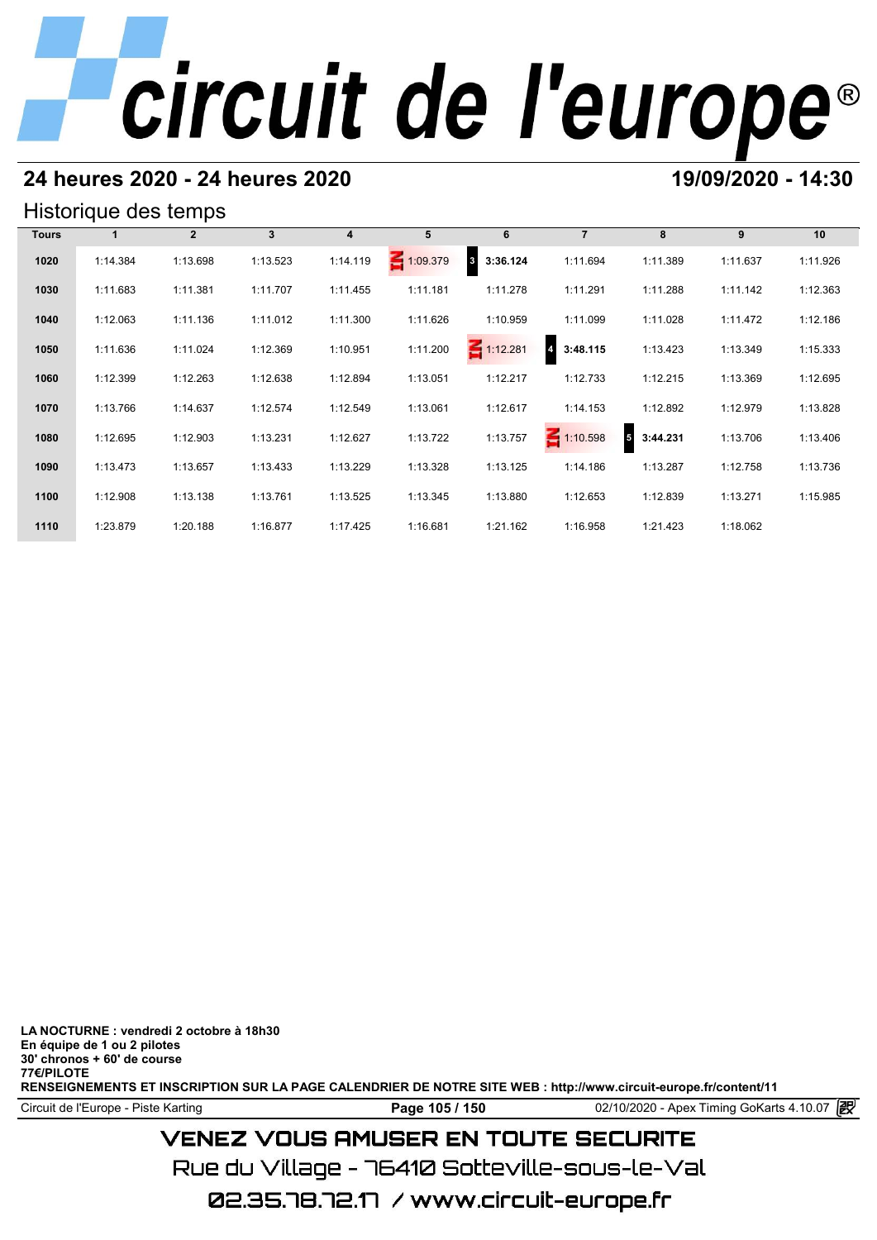## **24 heures 2020 - 24 heures 2020 19/09/2020 - 14:30**

#### Historique des temps

|              | Historique des temps |              |             |                |                 |                          |                            |               |          |          |
|--------------|----------------------|--------------|-------------|----------------|-----------------|--------------------------|----------------------------|---------------|----------|----------|
| <b>Tours</b> |                      | $\mathbf{2}$ | $3^{\circ}$ | $\overline{4}$ | 5               | 6                        | $\overline{7}$             | 8             | 9        | 10       |
| 1020         | 1:14.384             | 1:13.698     | 1:13.523    | 1:14.119       | $\leq 1:09.379$ | $\mathbf{3}$<br>3:36.124 | 1:11.694                   | 1:11.389      | 1:11.637 | 1:11.926 |
| 1030         | 1:11.683             | 1:11.381     | 1:11.707    | 1:11.455       | 1:11.181        | 1:11.278                 | 1:11.291                   | 1:11.288      | 1:11.142 | 1:12.363 |
| 1040         | 1:12.063             | 1:11.136     | 1:11.012    | 1:11.300       | 1:11.626        | 1:10.959                 | 1:11.099                   | 1:11.028      | 1:11.472 | 1:12.186 |
| 1050         | 1:11.636             | 1:11.024     | 1:12.369    | 1:10.951       | 1:11.200        | $\leq 1:12.281$          | $\overline{a}$<br>3:48.115 | 1:13.423      | 1:13.349 | 1:15.333 |
| 1060         | 1:12.399             | 1:12.263     | 1:12.638    | 1:12.894       | 1:13.051        | 1:12.217                 | 1:12.733                   | 1:12.215      | 1:13.369 | 1:12.695 |
| 1070         | 1:13.766             | 1:14.637     | 1:12.574    | 1:12.549       | 1:13.061        | 1:12.617                 | 1:14.153                   | 1:12.892      | 1:12.979 | 1:13.828 |
| 1080         | 1:12.695             | 1:12.903     | 1:13.231    | 1:12.627       | 1:13.722        | 1:13.757                 | $\leq 1:10.598$            | 5<br>3:44.231 | 1:13.706 | 1:13.406 |
| 1090         | 1:13.473             | 1:13.657     | 1:13.433    | 1:13.229       | 1:13.328        | 1:13.125                 | 1:14.186                   | 1:13.287      | 1:12.758 | 1:13.736 |
| 1100         | 1:12.908             | 1:13.138     | 1:13.761    | 1:13.525       | 1:13.345        | 1:13.880                 | 1:12.653                   | 1:12.839      | 1:13.271 | 1:15.985 |
| 1110         | 1:23.879             | 1:20.188     | 1:16.877    | 1:17.425       | 1:16.681        | 1:21.162                 | 1:16.958                   | 1:21.423      | 1:18.062 |          |

**LA NOCTURNE : vendredi 2 octobre à 18h30 En équipe de 1 ou 2 pilotes 30' chronos + 60' de course 77€/PILOTE RENSEIGNEMENTS ET INSCRIPTION SUR LA PAGE CALENDRIER DE NOTRE SITE WEB : http://www.circuit-europe.fr/content/11**

**Page 105 / 150** 02/10/2020 - Apex Timing GoKarts 4.10.07 **P** 

## **VENEZ VOUS AMUSER EN TOUTE SECURITE**

Rue du Village – 76410 Sotteville-sous-le-Val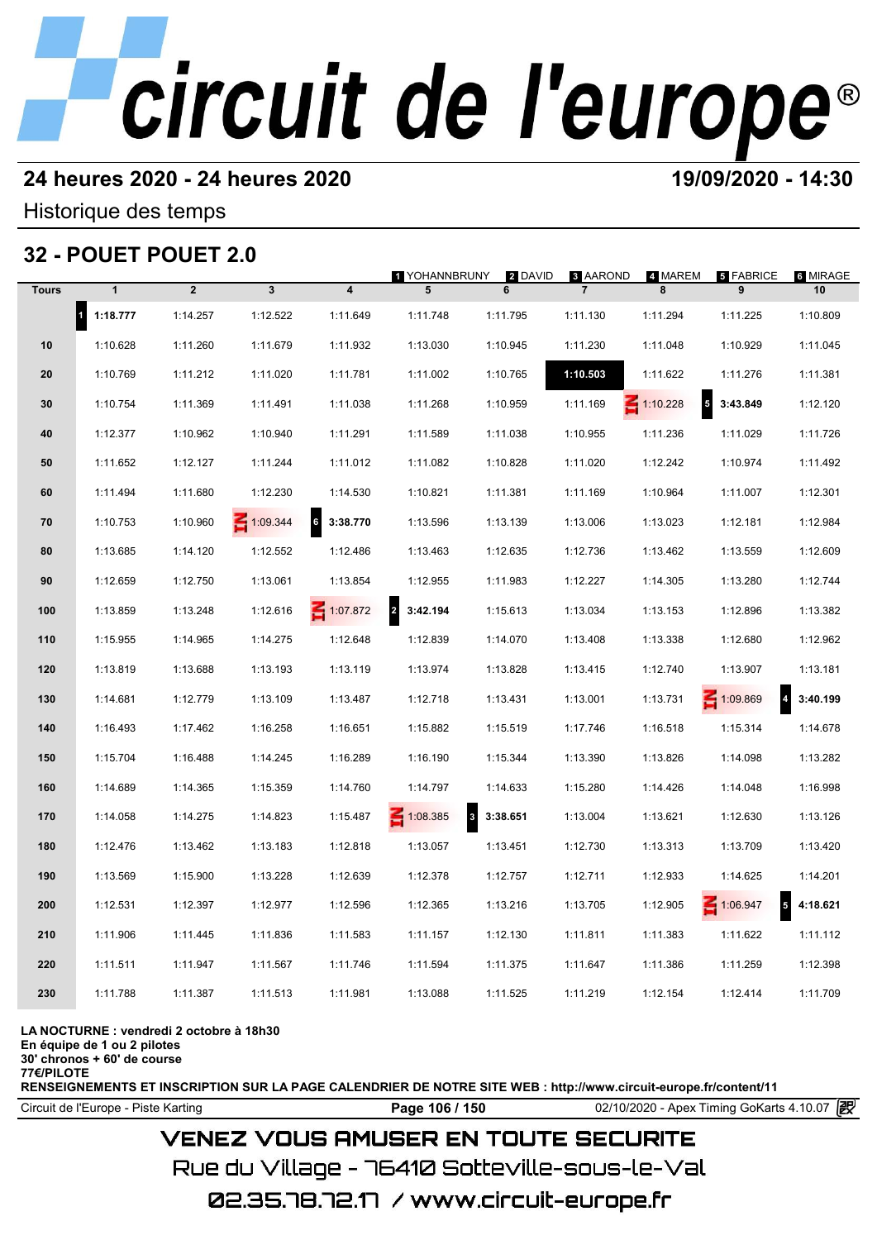### **24 heures 2020 - 24 heures 2020 19/09/2020 - 14:30**

Historique des temps

## **32 - POUET POUET 2.0**

|              |                       | <b>32 - POUET POUET 2.0</b> |                 |                            |                            |              |                                   |                 |                                      |                             |
|--------------|-----------------------|-----------------------------|-----------------|----------------------------|----------------------------|--------------|-----------------------------------|-----------------|--------------------------------------|-----------------------------|
| <b>Tours</b> | $\mathbf{1}$          | $\overline{2}$              | $\mathbf{3}$    | $\overline{\mathbf{4}}$    | 1 YOHANNBRUNY<br>5         | 2 DAVID<br>6 | <b>8 AAROND</b><br>$\overline{7}$ | 4 MAREM<br>8    | 5 FABRICE<br>9                       | 6 MIRAGE<br>10              |
|              | $\vert$ 1<br>1:18.777 | 1:14.257                    | 1:12.522        | 1:11.649                   | 1:11.748                   | 1:11.795     | 1:11.130                          | 1:11.294        | 1:11.225                             | 1:10.809                    |
| 10           | 1:10.628              | 1:11.260                    | 1:11.679        | 1:11.932                   | 1:13.030                   | 1:10.945     | 1:11.230                          | 1:11.048        | 1:10.929                             | 1:11.045                    |
| 20           | 1:10.769              | 1:11.212                    | 1:11.020        | 1:11.781                   | 1:11.002                   | 1:10.765     | 1:10.503                          | 1:11.622        | 1:11.276                             | 1:11.381                    |
| 30           | 1:10.754              | 1:11.369                    | 1:11.491        | 1:11.038                   | 1:11.268                   | 1:10.959     | 1:11.169                          | $\leq 1:10.228$ | $\overline{\phantom{a}}$<br>3:43.849 | 1:12.120                    |
| 40           | 1:12.377              | 1:10.962                    | 1:10.940        | 1:11.291                   | 1:11.589                   | 1:11.038     | 1:10.955                          | 1:11.236        | 1:11.029                             | 1:11.726                    |
| 50           | 1:11.652              | 1:12.127                    | 1:11.244        | 1:11.012                   | 1:11.082                   | 1:10.828     | 1:11.020                          | 1:12.242        | 1:10.974                             | 1:11.492                    |
| 60           | 1:11.494              | 1:11.680                    | 1:12.230        | 1:14.530                   | 1:10.821                   | 1:11.381     | 1:11.169                          | 1:10.964        | 1:11.007                             | 1:12.301                    |
| 70           | 1:10.753              | 1:10.960                    | $\leq 1:09.344$ | $6\phantom{a}$<br>3:38.770 | 1:13.596                   | 1:13.139     | 1:13.006                          | 1:13.023        | 1:12.181                             | 1:12.984                    |
| 80           | 1:13.685              | 1:14.120                    | 1:12.552        | 1:12.486                   | 1:13.463                   | 1:12.635     | 1:12.736                          | 1:13.462        | 1:13.559                             | 1:12.609                    |
| 90           | 1:12.659              | 1:12.750                    | 1:13.061        | 1:13.854                   | 1:12.955                   | 1:11.983     | 1:12.227                          | 1:14.305        | 1:13.280                             | 1:12.744                    |
| 100          | 1:13.859              | 1:13.248                    | 1:12.616        | 1:07.872                   | $\overline{2}$<br>3:42.194 | 1:15.613     | 1:13.034                          | 1:13.153        | 1:12.896                             | 1:13.382                    |
| 110          | 1:15.955              | 1:14.965                    | 1:14.275        | 1:12.648                   | 1:12.839                   | 1:14.070     | 1:13.408                          | 1:13.338        | 1:12.680                             | 1:12.962                    |
| 120          | 1:13.819              | 1:13.688                    | 1:13.193        | 1:13.119                   | 1:13.974                   | 1:13.828     | 1:13.415                          | 1:12.740        | 1:13.907                             | 1:13.181                    |
| 130          | 1:14.681              | 1:12.779                    | 1:13.109        | 1:13.487                   | 1:12.718                   | 1:13.431     | 1:13.001                          | 1:13.731        | 1:09.869                             | $\overline{4}$<br>3:40.199  |
| 140          | 1:16.493              | 1:17.462                    | 1:16.258        | 1:16.651                   | 1:15.882                   | 1:15.519     | 1:17.746                          | 1:16.518        | 1:15.314                             | 1:14.678                    |
| 150          | 1:15.704              | 1:16.488                    | 1:14.245        | 1:16.289                   | 1:16.190                   | 1:15.344     | 1:13.390                          | 1:13.826        | 1:14.098                             | 1:13.282                    |
| 160          | 1:14.689              | 1:14.365                    | 1:15.359        | 1:14.760                   | 1:14.797                   | 1:14.633     | 1:15.280                          | 1:14.426        | 1:14.048                             | 1:16.998                    |
| 170          | 1:14.058              | 1:14.275                    | 1:14.823        | 1:15.487                   | $\leq 1:08.385$            | 3:38.651     | 1:13.004                          | 1:13.621        | 1:12.630                             | 1:13.126                    |
| 180          | 1:12.476              | 1:13.462                    | 1:13.183        | 1:12.818                   | 1:13.057                   | 1:13.451     | 1:12.730                          | 1:13.313        | 1:13.709                             | 1:13.420                    |
| 190          | 1:13.569              | 1:15.900                    | 1:13.228        | 1:12.639                   | 1:12.378                   | 1:12.757     | 1:12.711                          | 1:12.933        | 1:14.625                             | 1:14.201                    |
| 200          | 1:12.531              | 1:12.397                    | 1:12.977        | 1:12.596                   | 1:12.365                   | 1:13.216     | 1:13.705                          | 1:12.905        | 1:06.947                             | $5\phantom{.0}$<br>4:18.621 |
| 210          | 1:11.906              | 1:11.445                    | 1:11.836        | 1:11.583                   | 1:11.157                   | 1:12.130     | 1:11.811                          | 1:11.383        | 1:11.622                             | 1:11.112                    |
| 220          | 1:11.511              | 1:11.947                    | 1:11.567        | 1:11.746                   | 1:11.594                   | 1:11.375     | 1:11.647                          | 1:11.386        | 1:11.259                             | 1:12.398                    |
| 230          | 1:11.788              | 1:11.387                    | 1:11.513        | 1:11.981                   | 1:13.088                   | 1:11.525     | 1:11.219                          | 1:12.154        | 1:12.414                             | 1:11.709                    |
|              |                       |                             |                 |                            |                            |              |                                   |                 |                                      |                             |

#### **LA NOCTURNE : vendredi 2 octobre à 18h30**

**En équipe de 1 ou 2 pilotes**

**30' chronos + 60' de course 77€/PILOTE**

**RENSEIGNEMENTS ET INSCRIPTION SUR LA PAGE CALENDRIER DE NOTRE SITE WEB : http://www.circuit-europe.fr/content/11**

**Page 106 / 150** 02/10/2020 - Apex Timing GoKarts 4.10.07 **P** 

### **VENEZ VOUS AMUSER EN TOUTE SECURITE**

Rue du Village – 76410 Sotteville-sous-le-Val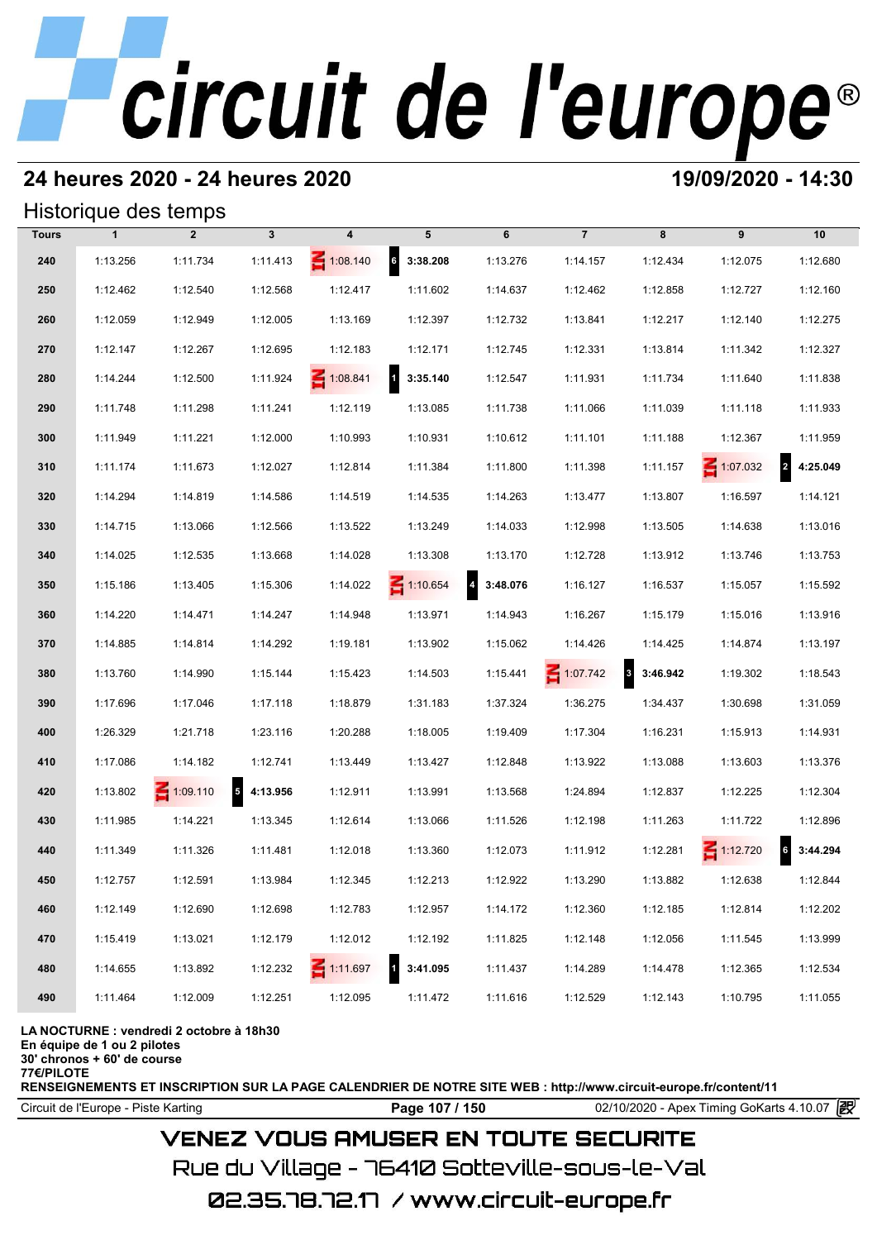### **24 heures 2020 - 24 heures 2020 19/09/2020 - 14:30**

#### Historique des temps

|              |              | Historique des temps |              |                 |                            |                            |                                 |          |                 |                            |
|--------------|--------------|----------------------|--------------|-----------------|----------------------------|----------------------------|---------------------------------|----------|-----------------|----------------------------|
| <b>Tours</b> | $\mathbf{1}$ | $\overline{2}$       | $\mathbf{3}$ | 4               | 5                          | 6                          | $\overline{7}$                  | 8        | 9               | 10                         |
| 240          | 1:13.256     | 1:11.734             | 1:11.413     | $\leq 1:08.140$ | $6\quad 3:38.208$          | 1:13.276                   | 1:14.157                        | 1:12.434 | 1:12.075        | 1:12.680                   |
| 250          | 1:12.462     | 1:12.540             | 1:12.568     | 1:12.417        | 1:11.602                   | 1:14.637                   | 1:12.462                        | 1:12.858 | 1:12.727        | 1:12.160                   |
| 260          | 1:12.059     | 1:12.949             | 1:12.005     | 1:13.169        | 1:12.397                   | 1:12.732                   | 1:13.841                        | 1:12.217 | 1:12.140        | 1:12.275                   |
| 270          | 1:12.147     | 1:12.267             | 1:12.695     | 1:12.183        | 1:12.171                   | 1:12.745                   | 1:12.331                        | 1:13.814 | 1:11.342        | 1:12.327                   |
| 280          | 1:14.244     | 1:12.500             | 1:11.924     | $\leq 1:08.841$ | $\overline{1}$<br>3:35.140 | 1:12.547                   | 1:11.931                        | 1:11.734 | 1:11.640        | 1:11.838                   |
| 290          | 1:11.748     | 1:11.298             | 1:11.241     | 1:12.119        | 1:13.085                   | 1:11.738                   | 1:11.066                        | 1:11.039 | 1:11.118        | 1:11.933                   |
| 300          | 1:11.949     | 1:11.221             | 1:12.000     | 1:10.993        | 1:10.931                   | 1:10.612                   | 1:11.101                        | 1:11.188 | 1:12.367        | 1:11.959                   |
| 310          | 1:11.174     | 1:11.673             | 1:12.027     | 1:12.814        | 1:11.384                   | 1:11.800                   | 1:11.398                        | 1:11.157 | $\leq 1:07.032$ | $\overline{2}$<br>4:25.049 |
| 320          | 1:14.294     | 1:14.819             | 1:14.586     | 1:14.519        | 1:14.535                   | 1:14.263                   | 1:13.477                        | 1:13.807 | 1:16.597        | 1:14.121                   |
| 330          | 1:14.715     | 1:13.066             | 1:12.566     | 1:13.522        | 1:13.249                   | 1:14.033                   | 1:12.998                        | 1:13.505 | 1:14.638        | 1:13.016                   |
| 340          | 1:14.025     | 1:12.535             | 1:13.668     | 1:14.028        | 1:13.308                   | 1:13.170                   | 1:12.728                        | 1:13.912 | 1:13.746        | 1:13.753                   |
| 350          | 1:15.186     | 1:13.405             | 1:15.306     | 1:14.022        | $\leq 1:10.654$            | $\overline{a}$<br>3:48.076 | 1:16.127                        | 1:16.537 | 1:15.057        | 1:15.592                   |
| 360          | 1:14.220     | 1:14.471             | 1:14.247     | 1:14.948        | 1:13.971                   | 1:14.943                   | 1:16.267                        | 1:15.179 | 1:15.016        | 1:13.916                   |
| 370          | 1:14.885     | 1:14.814             | 1:14.292     | 1:19.181        | 1:13.902                   | 1:15.062                   | 1:14.426                        | 1:14.425 | 1:14.874        | 1:13.197                   |
| 380          | 1:13.760     | 1:14.990             | 1:15.144     | 1:15.423        | 1:14.503                   | 1:15.441                   | $\mathbf{3}$<br>$\leq 1:07.742$ | 3:46.942 | 1:19.302        | 1:18.543                   |
| 390          | 1:17.696     | 1:17.046             | 1:17.118     | 1:18.879        | 1:31.183                   | 1:37.324                   | 1:36.275                        | 1:34.437 | 1:30.698        | 1:31.059                   |
| 400          | 1:26.329     | 1:21.718             | 1:23.116     | 1:20.288        | 1:18.005                   | 1:19.409                   | 1:17.304                        | 1:16.231 | 1:15.913        | 1:14.931                   |
| 410          | 1:17.086     | 1:14.182             | 1:12.741     | 1:13.449        | 1:13.427                   | 1:12.848                   | 1:13.922                        | 1:13.088 | 1:13.603        | 1:13.376                   |
| 420          | 1:13.802     | $\leq 1:09.110$      | 5 4:13.956   | 1:12.911        | 1:13.991                   | 1:13.568                   | 1:24.894                        | 1:12.837 | 1:12.225        | 1:12.304                   |
| 430          | 1:11.985     | 1:14.221             | 1:13.345     | 1:12.614        | 1:13.066                   | 1:11.526                   | 1:12.198                        | 1:11.263 | 1:11.722        | 1:12.896                   |
| 440          | 1:11.349     | 1:11.326             | 1:11.481     | 1:12.018        | 1:13.360                   | 1:12.073                   | 1:11.912                        | 1:12.281 | $\leq 1:12.720$ | $6\phantom{a}$<br>3:44.294 |
| 450          | 1:12.757     | 1:12.591             | 1:13.984     | 1:12.345        | 1:12.213                   | 1:12.922                   | 1:13.290                        | 1:13.882 | 1:12.638        | 1:12.844                   |
| 460          | 1:12.149     | 1:12.690             | 1:12.698     | 1:12.783        | 1:12.957                   | 1:14.172                   | 1:12.360                        | 1:12.185 | 1:12.814        | 1:12.202                   |
| 470          | 1:15.419     | 1:13.021             | 1:12.179     | 1:12.012        | 1:12.192                   | 1:11.825                   | 1:12.148                        | 1:12.056 | 1:11.545        | 1:13.999                   |
| 480          | 1:14.655     | 1:13.892             | 1:12.232     | $\leq 1:11.697$ | 3:41.095                   | 1:11.437                   | 1:14.289                        | 1:14.478 | 1:12.365        | 1:12.534                   |
| 490          | 1:11.464     | 1:12.009             | 1:12.251     | 1:12.095        | 1:11.472                   | 1:11.616                   | 1:12.529                        | 1:12.143 | 1:10.795        | 1:11.055                   |

#### **LA NOCTURNE : vendredi 2 octobre à 18h30**

**En équipe de 1 ou 2 pilotes**

**30' chronos + 60' de course**

**77€/PILOTE**

**RENSEIGNEMENTS ET INSCRIPTION SUR LA PAGE CALENDRIER DE NOTRE SITE WEB : http://www.circuit-europe.fr/content/11**

Circuit de l'Europe - Piste Karting **Page 107 / 150** 02/10/2020 - Apex Timing GoKarts 4.10.07

### **VENEZ VOUS AMUSER EN TOUTE SECURITE**

Rue du Village – 76410 Sotteville-sous-le-Val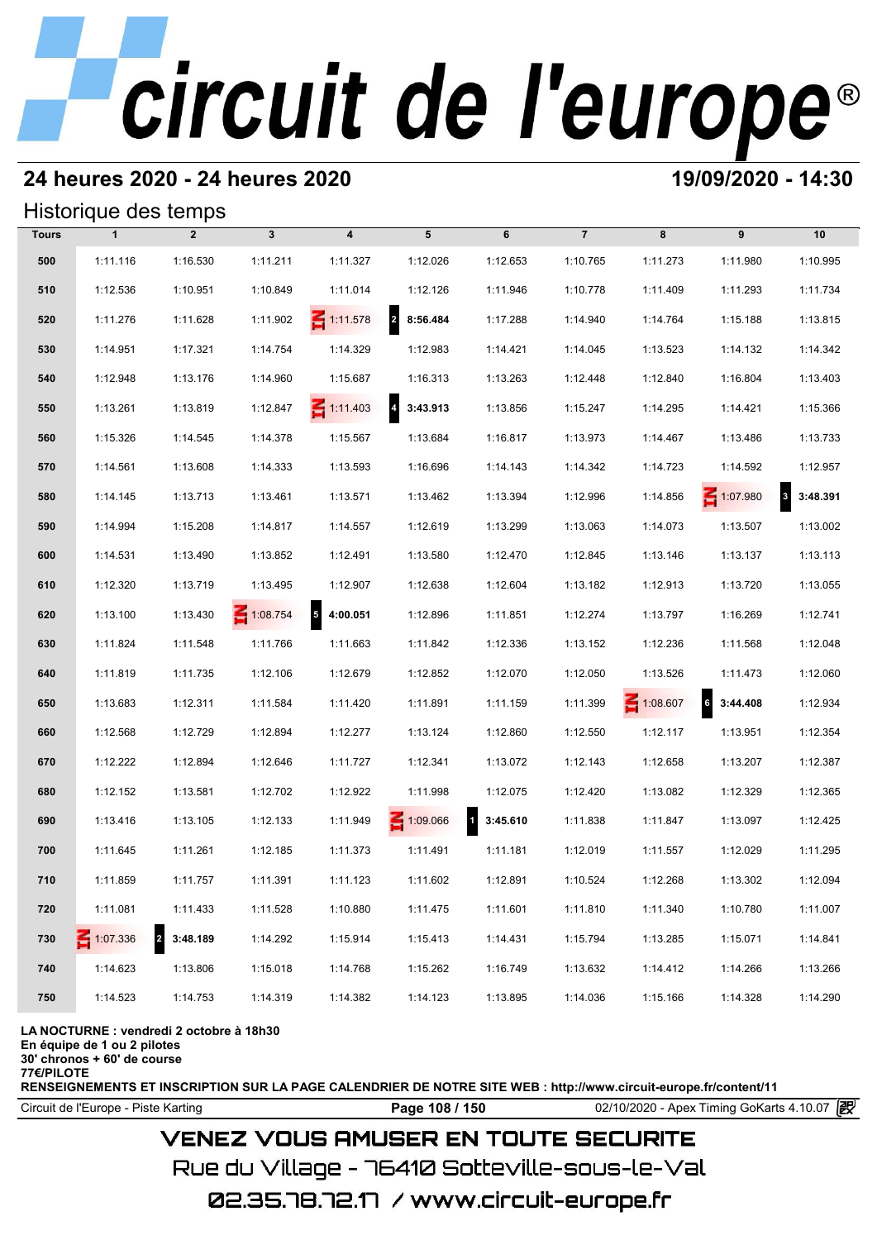## **24 heures 2020 - 24 heures 2020 19/09/2020 - 14:30**

#### Historique des temps

|              | Historique des temps |                            |              |                                      |                            |                          |                |                 |                 |                                     |
|--------------|----------------------|----------------------------|--------------|--------------------------------------|----------------------------|--------------------------|----------------|-----------------|-----------------|-------------------------------------|
| <b>Tours</b> | $\mathbf{1}$         | $\overline{2}$             | $\mathbf{3}$ | $\overline{\mathbf{4}}$              | 5                          | 6                        | $\overline{7}$ | 8               | 9               | 10                                  |
| 500          | 1:11.116             | 1:16.530                   | 1:11.211     | 1:11.327                             | 1:12.026                   | 1:12.653                 | 1:10.765       | 1:11.273        | 1:11.980        | 1:10.995                            |
| 510          | 1:12.536             | 1:10.951                   | 1:10.849     | 1:11.014                             | 1:12.126                   | 1:11.946                 | 1:10.778       | 1:11.409        | 1:11.293        | 1:11.734                            |
| 520          | 1:11.276             | 1:11.628                   | 1:11.902     | $\leq 1:11.578$                      | $\overline{2}$<br>8:56.484 | 1:17.288                 | 1:14.940       | 1:14.764        | 1:15.188        | 1:13.815                            |
| 530          | 1:14.951             | 1:17.321                   | 1:14.754     | 1:14.329                             | 1:12.983                   | 1:14.421                 | 1:14.045       | 1:13.523        | 1:14.132        | 1:14.342                            |
| 540          | 1:12.948             | 1:13.176                   | 1:14.960     | 1:15.687                             | 1:16.313                   | 1:13.263                 | 1:12.448       | 1:12.840        | 1:16.804        | 1:13.403                            |
| 550          | 1:13.261             | 1:13.819                   | 1:12.847     | $\leq 1:11.403$                      | $\overline{4}$<br>3:43.913 | 1:13.856                 | 1:15.247       | 1:14.295        | 1:14.421        | 1:15.366                            |
| 560          | 1:15.326             | 1:14.545                   | 1:14.378     | 1:15.567                             | 1:13.684                   | 1:16.817                 | 1:13.973       | 1:14.467        | 1:13.486        | 1:13.733                            |
| 570          | 1:14.561             | 1:13.608                   | 1:14.333     | 1:13.593                             | 1:16.696                   | 1:14.143                 | 1:14.342       | 1:14.723        | 1:14.592        | 1:12.957                            |
| 580          | 1:14.145             | 1:13.713                   | 1:13.461     | 1:13.571                             | 1:13.462                   | 1:13.394                 | 1:12.996       | 1:14.856        | $\leq 1:07.980$ | $\overline{\mathbf{3}}$<br>3:48.391 |
| 590          | 1:14.994             | 1:15.208                   | 1:14.817     | 1:14.557                             | 1:12.619                   | 1:13.299                 | 1:13.063       | 1:14.073        | 1:13.507        | 1:13.002                            |
| 600          | 1:14.531             | 1:13.490                   | 1:13.852     | 1:12.491                             | 1:13.580                   | 1:12.470                 | 1:12.845       | 1:13.146        | 1:13.137        | 1:13.113                            |
| 610          | 1:12.320             | 1:13.719                   | 1:13.495     | 1:12.907                             | 1:12.638                   | 1:12.604                 | 1:13.182       | 1:12.913        | 1:13.720        | 1:13.055                            |
| 620          | 1:13.100             | 1:13.430                   | 1:08.754     | $\overline{\phantom{a}}$<br>4:00.051 | 1:12.896                   | 1:11.851                 | 1:12.274       | 1:13.797        | 1:16.269        | 1:12.741                            |
| 630          | 1:11.824             | 1:11.548                   | 1:11.766     | 1:11.663                             | 1:11.842                   | 1:12.336                 | 1:13.152       | 1:12.236        | 1:11.568        | 1:12.048                            |
| 640          | 1:11.819             | 1:11.735                   | 1:12.106     | 1:12.679                             | 1:12.852                   | 1:12.070                 | 1:12.050       | 1:13.526        | 1:11.473        | 1:12.060                            |
| 650          | 1:13.683             | 1:12.311                   | 1:11.584     | 1:11.420                             | 1:11.891                   | 1:11.159                 | 1:11.399       | $\leq 1:08.607$ | 3:44.408        | 1:12.934                            |
| 660          | 1:12.568             | 1:12.729                   | 1:12.894     | 1:12.277                             | 1:13.124                   | 1:12.860                 | 1:12.550       | 1:12.117        | 1:13.951        | 1:12.354                            |
| 670          | 1:12.222             | 1:12.894                   | 1:12.646     | 1:11.727                             | 1:12.341                   | 1:13.072                 | 1:12.143       | 1:12.658        | 1:13.207        | 1:12.387                            |
| 680          | 1:12.152             | 1:13.581                   | 1:12.702     | 1:12.922                             | 1:11.998                   | 1:12.075                 | 1:12.420       | 1:13.082        | 1:12.329        | 1:12.365                            |
| 690          | 1:13.416             | 1:13.105                   | 1:12.133     | 1:11.949                             | 1:09.066                   | $\mathbf{d}$<br>3:45.610 | 1:11.838       | 1:11.847        | 1:13.097        | 1:12.425                            |
| 700          | 1:11.645             | 1:11.261                   | 1:12.185     | 1:11.373                             | 1:11.491                   | 1:11.181                 | 1:12.019       | 1:11.557        | 1:12.029        | 1:11.295                            |
| 710          | 1:11.859             | 1:11.757                   | 1:11.391     | 1:11.123                             | 1:11.602                   | 1:12.891                 | 1:10.524       | 1:12.268        | 1:13.302        | 1:12.094                            |
| 720          | 1:11.081             | 1:11.433                   | 1:11.528     | 1:10.880                             | 1:11.475                   | 1:11.601                 | 1:11.810       | 1:11.340        | 1:10.780        | 1:11.007                            |
| 730          | $\leq 1:07.336$      | $\overline{a}$<br>3:48.189 | 1:14.292     | 1:15.914                             | 1:15.413                   | 1:14.431                 | 1:15.794       | 1:13.285        | 1:15.071        | 1:14.841                            |
| 740          | 1:14.623             | 1:13.806                   | 1:15.018     | 1:14.768                             | 1:15.262                   | 1:16.749                 | 1:13.632       | 1:14.412        | 1:14.266        | 1:13.266                            |
| 750          | 1:14.523             | 1:14.753                   | 1:14.319     | 1:14.382                             | 1:14.123                   | 1:13.895                 | 1:14.036       | 1:15.166        | 1:14.328        | 1:14.290                            |

#### **LA NOCTURNE : vendredi 2 octobre à 18h30**

**En équipe de 1 ou 2 pilotes**

**30' chronos + 60' de course**

**77€/PILOTE**

**RENSEIGNEMENTS ET INSCRIPTION SUR LA PAGE CALENDRIER DE NOTRE SITE WEB : http://www.circuit-europe.fr/content/11**

**Page 108 / 150** 02/10/2020 - Apex Timing GoKarts 4.10.07 **P** 

## **VENEZ VOUS AMUSER EN TOUTE SECURITE**

Rue du Village – 76410 Sotteville-sous-le-Val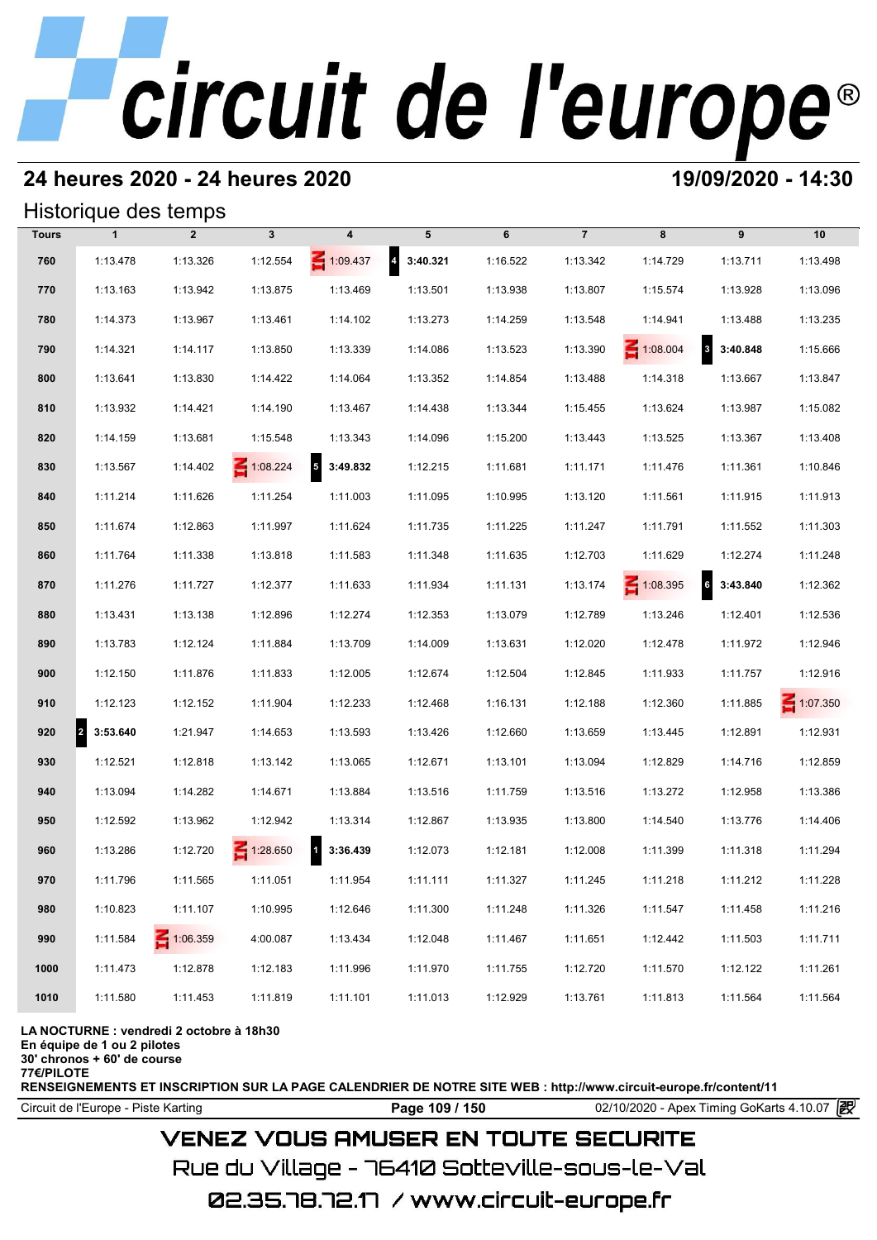# **24 heures 2020 - 24 heures 2020 19/09/2020 - 14:30**

## Historique des temps

|              |                       | Historique des temps |                 |                                      |                                     |          |                |                 |                                      |                 |
|--------------|-----------------------|----------------------|-----------------|--------------------------------------|-------------------------------------|----------|----------------|-----------------|--------------------------------------|-----------------|
| <b>Tours</b> | $\mathbf{1}$          | $\overline{2}$       | $\mathbf{3}$    | 4                                    | 5                                   | 6        | $\overline{7}$ | 8               | 9                                    | 10              |
| 760          | 1:13.478              | 1:13.326             | 1:12.554        | 1:09.437                             | $\overline{\mathbf{4}}$<br>3:40.321 | 1:16.522 | 1:13.342       | 1:14.729        | 1:13.711                             | 1:13.498        |
| 770          | 1:13.163              | 1:13.942             | 1:13.875        | 1:13.469                             | 1:13.501                            | 1:13.938 | 1:13.807       | 1:15.574        | 1:13.928                             | 1:13.096        |
| 780          | 1:14.373              | 1:13.967             | 1:13.461        | 1:14.102                             | 1:13.273                            | 1:14.259 | 1:13.548       | 1:14.941        | 1:13.488                             | 1:13.235        |
| 790          | 1:14.321              | 1:14.117             | 1:13.850        | 1:13.339                             | 1:14.086                            | 1:13.523 | 1:13.390       | $\leq 1:08.004$ | 8 3:40.848                           | 1:15.666        |
| 800          | 1:13.641              | 1:13.830             | 1:14.422        | 1:14.064                             | 1:13.352                            | 1:14.854 | 1:13.488       | 1:14.318        | 1:13.667                             | 1:13.847        |
| 810          | 1:13.932              | 1:14.421             | 1:14.190        | 1:13.467                             | 1:14.438                            | 1:13.344 | 1:15.455       | 1:13.624        | 1:13.987                             | 1:15.082        |
| 820          | 1:14.159              | 1:13.681             | 1:15.548        | 1:13.343                             | 1:14.096                            | 1:15.200 | 1:13.443       | 1:13.525        | 1:13.367                             | 1:13.408        |
| 830          | 1:13.567              | 1:14.402             | $\leq 1:08.224$ | $\overline{\phantom{a}}$<br>3:49.832 | 1:12.215                            | 1:11.681 | 1:11.171       | 1:11.476        | 1:11.361                             | 1:10.846        |
| 840          | 1:11.214              | 1:11.626             | 1:11.254        | 1:11.003                             | 1:11.095                            | 1:10.995 | 1:13.120       | 1:11.561        | 1:11.915                             | 1:11.913        |
| 850          | 1:11.674              | 1:12.863             | 1:11.997        | 1:11.624                             | 1:11.735                            | 1:11.225 | 1:11.247       | 1:11.791        | 1:11.552                             | 1:11.303        |
| 860          | 1:11.764              | 1:11.338             | 1:13.818        | 1:11.583                             | 1:11.348                            | 1:11.635 | 1:12.703       | 1:11.629        | 1:12.274                             | 1:11.248        |
| 870          | 1:11.276              | 1:11.727             | 1:12.377        | 1:11.633                             | 1:11.934                            | 1:11.131 | 1:13.174       | $\leq 1:08.395$ | $\overline{\phantom{a}}$<br>3:43.840 | 1:12.362        |
| 880          | 1:13.431              | 1:13.138             | 1:12.896        | 1:12.274                             | 1:12.353                            | 1:13.079 | 1:12.789       | 1:13.246        | 1:12.401                             | 1:12.536        |
| 890          | 1:13.783              | 1:12.124             | 1:11.884        | 1:13.709                             | 1:14.009                            | 1:13.631 | 1:12.020       | 1:12.478        | 1:11.972                             | 1:12.946        |
| 900          | 1:12.150              | 1:11.876             | 1:11.833        | 1:12.005                             | 1:12.674                            | 1:12.504 | 1:12.845       | 1:11.933        | 1:11.757                             | 1:12.916        |
| 910          | 1:12.123              | 1:12.152             | 1:11.904        | 1:12.233                             | 1:12.468                            | 1:16.131 | 1:12.188       | 1:12.360        | 1:11.885                             | $\leq 1:07.350$ |
| 920          | $\vert$ 2<br>3:53.640 | 1:21.947             | 1:14.653        | 1:13.593                             | 1:13.426                            | 1:12.660 | 1:13.659       | 1:13.445        | 1:12.891                             | 1:12.931        |
| 930          | 1:12.521              | 1:12.818             | 1:13.142        | 1:13.065                             | 1:12.671                            | 1:13.101 | 1:13.094       | 1:12.829        | 1:14.716                             | 1:12.859        |
| 940          | 1:13.094              | 1:14.282             | 1:14.671        | 1:13.884                             | 1:13.516                            | 1:11.759 | 1:13.516       | 1:13.272        | 1:12.958                             | 1:13.386        |
| 950          | 1:12.592              | 1:13.962             | 1:12.942        | 1:13.314                             | 1:12.867                            | 1:13.935 | 1:13.800       | 1:14.540        | 1:13.776                             | 1:14.406        |
| 960          | 1:13.286              | 1:12.720             | $\leq 1:28.650$ | $\overline{1}$<br>3:36.439           | 1:12.073                            | 1:12.181 | 1:12.008       | 1:11.399        | 1:11.318                             | 1:11.294        |
| 970          | 1:11.796              | 1:11.565             | 1:11.051        | 1:11.954                             | 1:11.111                            | 1:11.327 | 1:11.245       | 1:11.218        | 1:11.212                             | 1:11.228        |
| 980          | 1:10.823              | 1:11.107             | 1:10.995        | 1:12.646                             | 1:11.300                            | 1:11.248 | 1:11.326       | 1:11.547        | 1:11.458                             | 1:11.216        |
| 990          | 1:11.584              | 1:06.359             | 4:00.087        | 1:13.434                             | 1:12.048                            | 1:11.467 | 1:11.651       | 1:12.442        | 1:11.503                             | 1:11.711        |
| 1000         | 1:11.473              | 1:12.878             | 1:12.183        | 1:11.996                             | 1:11.970                            | 1:11.755 | 1:12.720       | 1:11.570        | 1:12.122                             | 1:11.261        |
| 1010         | 1:11.580              | 1:11.453             | 1:11.819        | 1:11.101                             | 1:11.013                            | 1:12.929 | 1:13.761       | 1:11.813        | 1:11.564                             | 1:11.564        |

### **LA NOCTURNE : vendredi 2 octobre à 18h30**

**En équipe de 1 ou 2 pilotes**

**30' chronos + 60' de course 77€/PILOTE**

**RENSEIGNEMENTS ET INSCRIPTION SUR LA PAGE CALENDRIER DE NOTRE SITE WEB : http://www.circuit-europe.fr/content/11**

Circuit de l'Europe - Piste Karting **Page 109 / 150** 02/10/2020 - Apex Timing GoKarts 4.10.07

# **VENEZ VOUS AMUSER EN TOUTE SECURITE**

Rue du Village – 76410 Sotteville-sous-le-Val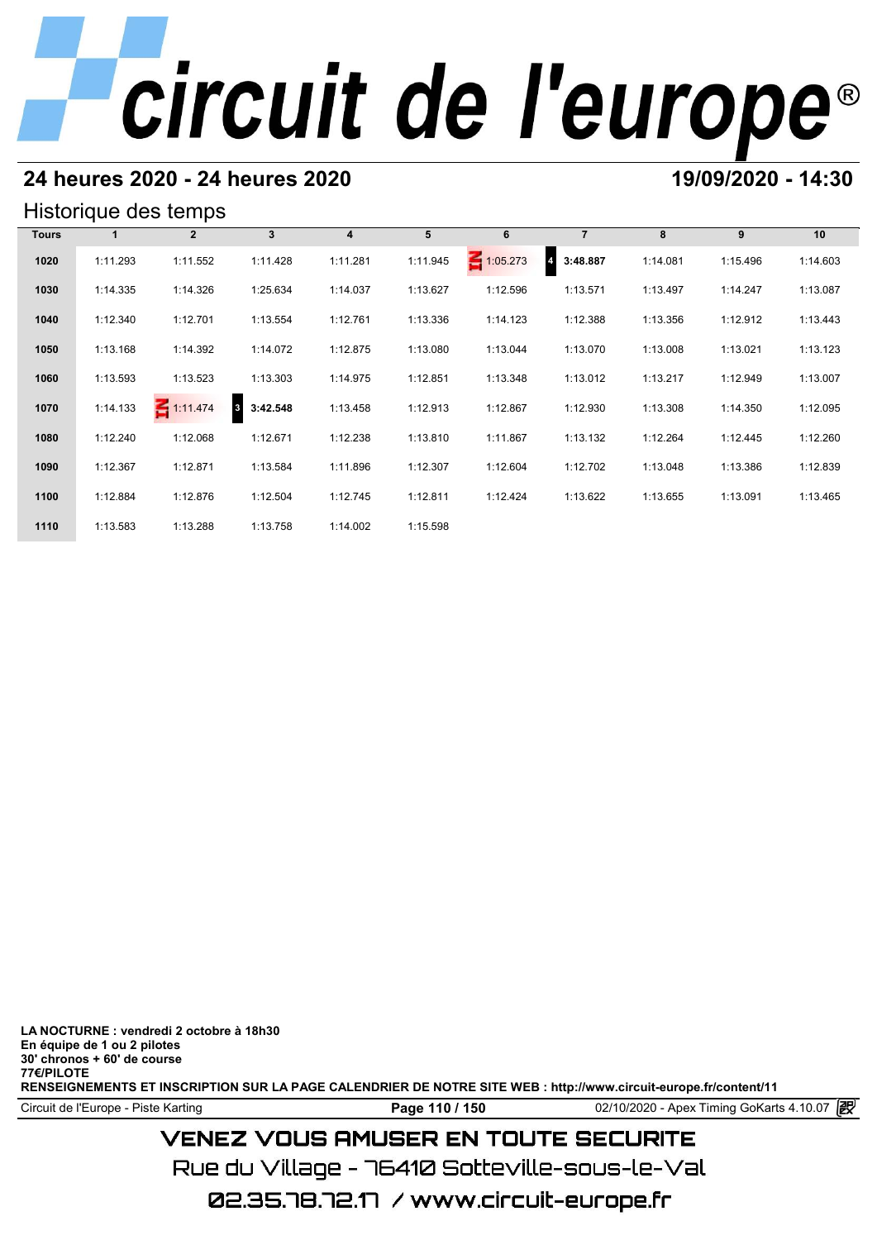# **24 heures 2020 - 24 heures 2020 19/09/2020 - 14:30**

## Historique des temps

|              |          | Historique des temps |               |                |          |                 |                            |          |          |          |
|--------------|----------|----------------------|---------------|----------------|----------|-----------------|----------------------------|----------|----------|----------|
| <b>Tours</b> |          | $\mathbf{2}$         | $\mathbf{3}$  | $\overline{4}$ | 5        | 6               | $\overline{7}$             | 8        | 9        | 10       |
| 1020         | 1:11.293 | 1:11.552             | 1:11.428      | 1:11.281       | 1:11.945 | $\leq 1:05.273$ | 3:48.887<br>$\overline{4}$ | 1:14.081 | 1:15.496 | 1:14.603 |
| 1030         | 1:14.335 | 1:14.326             | 1:25.634      | 1:14.037       | 1:13.627 | 1:12.596        | 1:13.571                   | 1:13.497 | 1:14.247 | 1:13.087 |
| 1040         | 1:12.340 | 1:12.701             | 1:13.554      | 1:12.761       | 1:13.336 | 1:14.123        | 1:12.388                   | 1:13.356 | 1:12.912 | 1:13.443 |
| 1050         | 1:13.168 | 1:14.392             | 1:14.072      | 1:12.875       | 1:13.080 | 1:13.044        | 1:13.070                   | 1:13.008 | 1:13.021 | 1:13.123 |
| 1060         | 1:13.593 | 1:13.523             | 1:13.303      | 1:14.975       | 1:12.851 | 1:13.348        | 1:13.012                   | 1:13.217 | 1:12.949 | 1:13.007 |
| 1070         | 1:14.133 | $-1:11.474$          | 3<br>3:42.548 | 1:13.458       | 1:12.913 | 1:12.867        | 1:12.930                   | 1:13.308 | 1:14.350 | 1:12.095 |
| 1080         | 1:12.240 | 1:12.068             | 1:12.671      | 1:12.238       | 1:13.810 | 1:11.867        | 1:13.132                   | 1:12.264 | 1:12.445 | 1:12.260 |
| 1090         | 1:12.367 | 1:12.871             | 1:13.584      | 1:11.896       | 1:12.307 | 1:12.604        | 1:12.702                   | 1:13.048 | 1:13.386 | 1:12.839 |
| 1100         | 1:12.884 | 1:12.876             | 1:12.504      | 1:12.745       | 1:12.811 | 1:12.424        | 1:13.622                   | 1:13.655 | 1:13.091 | 1:13.465 |
| 1110         | 1:13.583 | 1:13.288             | 1:13.758      | 1:14.002       | 1:15.598 |                 |                            |          |          |          |

**LA NOCTURNE : vendredi 2 octobre à 18h30 En équipe de 1 ou 2 pilotes 30' chronos + 60' de course 77€/PILOTE RENSEIGNEMENTS ET INSCRIPTION SUR LA PAGE CALENDRIER DE NOTRE SITE WEB : http://www.circuit-europe.fr/content/11**

Circuit de l'Europe - Piste Karting **Page 110 / 150** 02/10/2020 - Apex Timing GoKarts 4.10.07

# **VENEZ VOUS AMUSER EN TOUTE SECURITE**

Rue du Village – 76410 Sotteville-sous-le-Val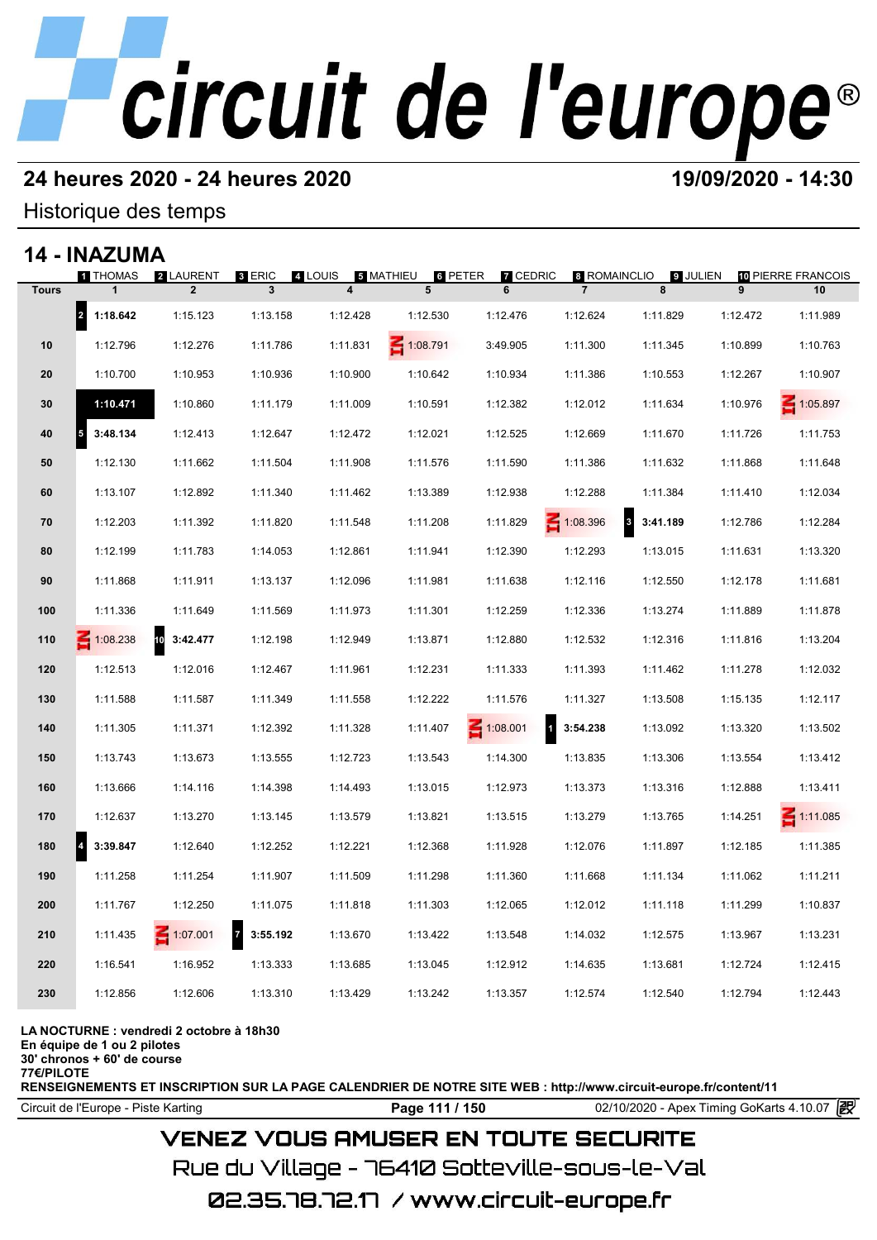# **24 heures 2020 - 24 heures 2020 19/09/2020 - 14:30**

## Historique des temps

## **14 - INAZUMA**

|              | 14 - INAZUMA          |                             |               |                                    |                |                                 |                                |                                     |          |                          |
|--------------|-----------------------|-----------------------------|---------------|------------------------------------|----------------|---------------------------------|--------------------------------|-------------------------------------|----------|--------------------------|
|              | <b>THOMAS</b>         | 2 LAURENT<br>$\overline{2}$ | 8 ERIC<br>3   | 4 LOUIS<br>$\overline{\mathbf{4}}$ | 5 MATHIEU<br>5 | 6 PETER<br><b>7</b> CEDRIC<br>6 | 8 ROMAINCLIO<br>$\overline{7}$ | 9 JULIEN<br>8                       | 9        | 10 PIERRE FRANCOIS<br>10 |
| <b>Tours</b> |                       |                             |               |                                    |                |                                 |                                |                                     |          |                          |
|              | $\vert$ 2<br>1:18.642 | 1:15.123                    | 1:13.158      | 1:12.428                           | 1:12.530       | 1:12.476                        | 1:12.624                       | 1:11.829                            | 1:12.472 | 1:11.989                 |
| 10           | 1:12.796              | 1:12.276                    | 1:11.786      | 1:11.831                           | 1:08.791       | 3:49.905                        | 1:11.300                       | 1:11.345                            | 1:10.899 | 1:10.763                 |
| 20           | 1:10.700              | 1:10.953                    | 1:10.936      | 1:10.900                           | 1:10.642       | 1:10.934                        | 1:11.386                       | 1:10.553                            | 1:12.267 | 1:10.907                 |
| 30           | 1:10.471              | 1:10.860                    | 1:11.179      | 1:11.009                           | 1:10.591       | 1:12.382                        | 1:12.012                       | 1:11.634                            | 1:10.976 | 1:05.897                 |
| 40           | 3:48.134<br>5         | 1:12.413                    | 1:12.647      | 1:12.472                           | 1:12.021       | 1:12.525                        | 1:12.669                       | 1:11.670                            | 1:11.726 | 1:11.753                 |
| 50           | 1:12.130              | 1:11.662                    | 1:11.504      | 1:11.908                           | 1:11.576       | 1:11.590                        | 1:11.386                       | 1:11.632                            | 1:11.868 | 1:11.648                 |
| 60           | 1:13.107              | 1:12.892                    | 1:11.340      | 1:11.462                           | 1:13.389       | 1:12.938                        | 1:12.288                       | 1:11.384                            | 1:11.410 | 1:12.034                 |
| 70           | 1:12.203              | 1:11.392                    | 1:11.820      | 1:11.548                           | 1:11.208       | 1:11.829                        | 1:08.396                       | $\overline{\mathbf{3}}$<br>3:41.189 | 1:12.786 | 1:12.284                 |
| 80           | 1:12.199              | 1:11.783                    | 1:14.053      | 1:12.861                           | 1:11.941       | 1:12.390                        | 1:12.293                       | 1:13.015                            | 1:11.631 | 1:13.320                 |
| 90           | 1:11.868              | 1:11.911                    | 1:13.137      | 1:12.096                           | 1:11.981       | 1:11.638                        | 1:12.116                       | 1:12.550                            | 1:12.178 | 1:11.681                 |
| 100          | 1:11.336              | 1:11.649                    | 1:11.569      | 1:11.973                           | 1:11.301       | 1:12.259                        | 1:12.336                       | 1:13.274                            | 1:11.889 | 1:11.878                 |
| 110          | $-1:08.238$           | 10<br>3:42.477              | 1:12.198      | 1:12.949                           | 1:13.871       | 1:12.880                        | 1:12.532                       | 1:12.316                            | 1:11.816 | 1:13.204                 |
| 120          | 1:12.513              | 1:12.016                    | 1:12.467      | 1:11.961                           | 1:12.231       | 1:11.333                        | 1:11.393                       | 1:11.462                            | 1:11.278 | 1:12.032                 |
| 130          | 1:11.588              | 1:11.587                    | 1:11.349      | 1:11.558                           | 1:12.222       | 1:11.576                        | 1:11.327                       | 1:13.508                            | 1:15.135 | 1:12.117                 |
| 140          | 1:11.305              | 1:11.371                    | 1:12.392      | 1:11.328                           | 1:11.407       | $\leq 1:08.001$                 | И<br>3:54.238                  | 1:13.092                            | 1:13.320 | 1:13.502                 |
| 150          | 1:13.743              | 1:13.673                    | 1:13.555      | 1:12.723                           | 1:13.543       | 1:14.300                        | 1:13.835                       | 1:13.306                            | 1:13.554 | 1:13.412                 |
| 160          | 1:13.666              | 1:14.116                    | 1:14.398      | 1:14.493                           | 1:13.015       | 1:12.973                        | 1:13.373                       | 1:13.316                            | 1:12.888 | 1:13.411                 |
| 170          | 1:12.637              | 1:13.270                    | 1:13.145      | 1:13.579                           | 1:13.821       | 1:13.515                        | 1:13.279                       | 1:13.765                            | 1:14.251 | $\leq 1:11.085$          |
| 180          | 3:39.847              | 1:12.640                    | 1:12.252      | 1:12.221                           | 1:12.368       | 1:11.928                        | 1:12.076                       | 1:11.897                            | 1:12.185 | 1:11.385                 |
| 190          | 1:11.258              | 1:11.254                    | 1:11.907      | 1:11.509                           | 1:11.298       | 1:11.360                        | 1:11.668                       | 1:11.134                            | 1:11.062 | 1:11.211                 |
| 200          | 1:11.767              | 1:12.250                    | 1:11.075      | 1:11.818                           | 1:11.303       | 1:12.065                        | 1:12.012                       | 1:11.118                            | 1:11.299 | 1:10.837                 |
| 210          | 1:11.435              | $\leq 1:07.001$             | 7<br>3:55.192 | 1:13.670                           | 1:13.422       | 1:13.548                        | 1:14.032                       | 1:12.575                            | 1:13.967 | 1:13.231                 |
| 220          | 1:16.541              | 1:16.952                    | 1:13.333      | 1:13.685                           | 1:13.045       | 1:12.912                        | 1:14.635                       | 1:13.681                            | 1:12.724 | 1:12.415                 |
| 230          | 1:12.856              | 1:12.606                    | 1:13.310      | 1:13.429                           | 1:13.242       | 1:13.357                        | 1:12.574                       | 1:12.540                            | 1:12.794 | 1:12.443                 |
|              |                       |                             |               |                                    |                |                                 |                                |                                     |          |                          |

### **LA NOCTURNE : vendredi 2 octobre à 18h30**

**En équipe de 1 ou 2 pilotes**

**30' chronos + 60' de course**

**77€/PILOTE**

**RENSEIGNEMENTS ET INSCRIPTION SUR LA PAGE CALENDRIER DE NOTRE SITE WEB : http://www.circuit-europe.fr/content/11**

Circuit de l'Europe - Piste Karting **Page 111 / 150** 02/10/2020 - Apex Timing GoKarts 4.10.07

# **VENEZ VOUS AMUSER EN TOUTE SECURITE**

Rue du Village – 76410 Sotteville-sous-le-Val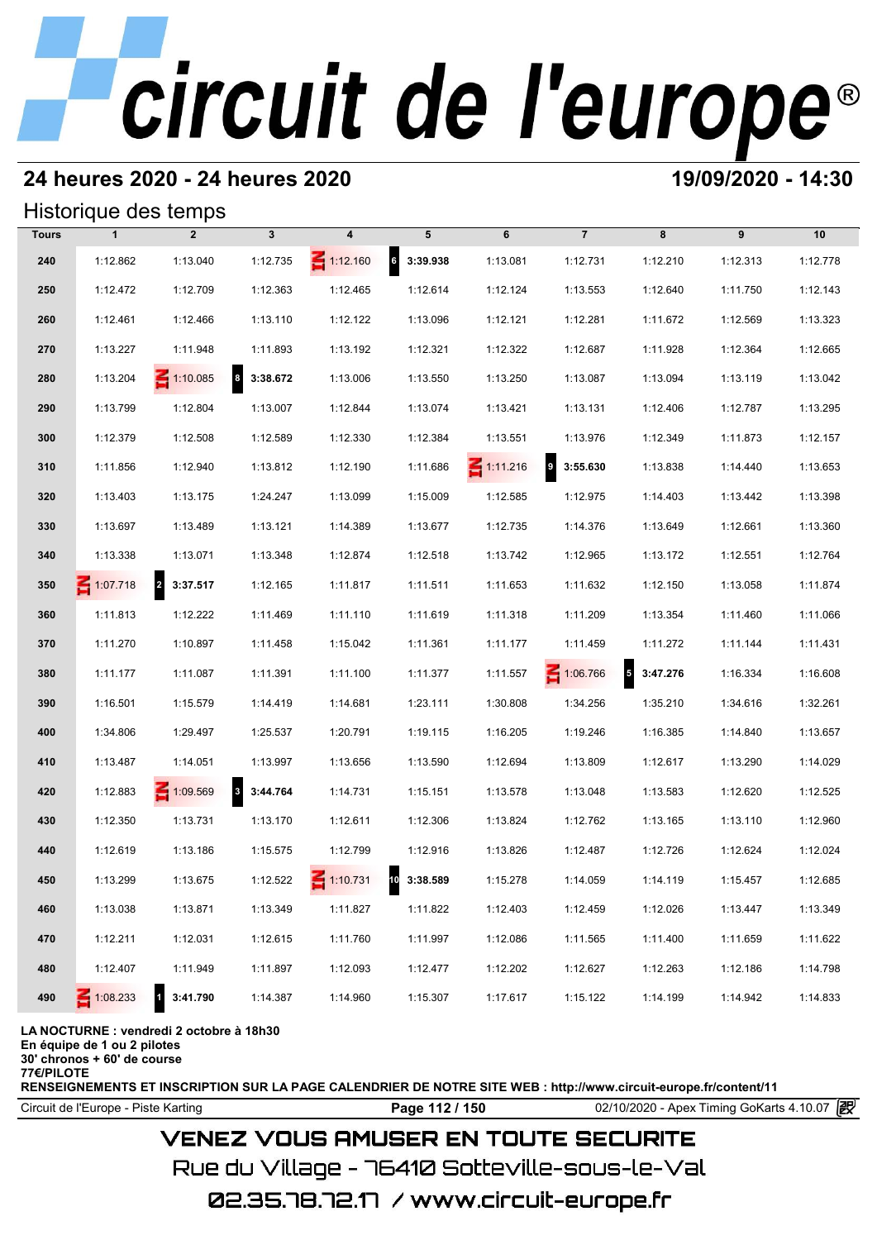# **24 heures 2020 - 24 heures 2020 19/09/2020 - 14:30**

## Historique des temps

|              | Historique des temps |                                     |                       |                 |                   |                 |                       |                                      |          |          |
|--------------|----------------------|-------------------------------------|-----------------------|-----------------|-------------------|-----------------|-----------------------|--------------------------------------|----------|----------|
| <b>Tours</b> | $\mathbf{1}$         | $\overline{2}$                      | $\mathbf{3}$          | 4               | 5                 | 6               | $\overline{7}$        | 8                                    | 9        | 10       |
| 240          | 1:12.862             | 1:13.040                            | 1:12.735              | $\leq 1:12.160$ | $6\quad 3:39.938$ | 1:13.081        | 1:12.731              | 1:12.210                             | 1:12.313 | 1:12.778 |
| 250          | 1:12.472             | 1:12.709                            | 1:12.363              | 1:12.465        | 1:12.614          | 1:12.124        | 1:13.553              | 1:12.640                             | 1:11.750 | 1:12.143 |
| 260          | 1:12.461             | 1:12.466                            | 1:13.110              | 1:12.122        | 1:13.096          | 1:12.121        | 1:12.281              | 1:11.672                             | 1:12.569 | 1:13.323 |
| 270          | 1:13.227             | 1:11.948                            | 1:11.893              | 1:13.192        | 1:12.321          | 1:12.322        | 1:12.687              | 1:11.928                             | 1:12.364 | 1:12.665 |
| 280          | 1:13.204             | $\leq 1:10.085$                     | $\vert$ 8<br>3:38.672 | 1:13.006        | 1:13.550          | 1:13.250        | 1:13.087              | 1:13.094                             | 1:13.119 | 1:13.042 |
| 290          | 1:13.799             | 1:12.804                            | 1:13.007              | 1:12.844        | 1:13.074          | 1:13.421        | 1:13.131              | 1:12.406                             | 1:12.787 | 1:13.295 |
| 300          | 1:12.379             | 1:12.508                            | 1:12.589              | 1:12.330        | 1:12.384          | 1:13.551        | 1:13.976              | 1:12.349                             | 1:11.873 | 1:12.157 |
| 310          | 1:11.856             | 1:12.940                            | 1:13.812              | 1:12.190        | 1:11.686          | $\leq 1:11.216$ | $\bullet$<br>3:55.630 | 1:13.838                             | 1:14.440 | 1:13.653 |
| 320          | 1:13.403             | 1:13.175                            | 1:24.247              | 1:13.099        | 1:15.009          | 1:12.585        | 1:12.975              | 1:14.403                             | 1:13.442 | 1:13.398 |
| 330          | 1:13.697             | 1:13.489                            | 1:13.121              | 1:14.389        | 1:13.677          | 1:12.735        | 1:14.376              | 1:13.649                             | 1:12.661 | 1:13.360 |
| 340          | 1:13.338             | 1:13.071                            | 1:13.348              | 1:12.874        | 1:12.518          | 1:13.742        | 1:12.965              | 1:13.172                             | 1:12.551 | 1:12.764 |
| 350          | $\leq 1:07.718$      | $\overline{\mathbf{r}}$<br>3:37.517 | 1:12.165              | 1:11.817        | 1:11.511          | 1:11.653        | 1:11.632              | 1:12.150                             | 1:13.058 | 1:11.874 |
| 360          | 1:11.813             | 1:12.222                            | 1:11.469              | 1:11.110        | 1:11.619          | 1:11.318        | 1:11.209              | 1:13.354                             | 1:11.460 | 1:11.066 |
| 370          | 1:11.270             | 1:10.897                            | 1:11.458              | 1:15.042        | 1:11.361          | 1:11.177        | 1:11.459              | 1:11.272                             | 1:11.144 | 1:11.431 |
| 380          | 1:11.177             | 1:11.087                            | 1:11.391              | 1:11.100        | 1:11.377          | 1:11.557        | 1:06.766              | $\overline{\phantom{a}}$<br>3:47.276 | 1:16.334 | 1:16.608 |
| 390          | 1:16.501             | 1:15.579                            | 1:14.419              | 1:14.681        | 1:23.111          | 1:30.808        | 1:34.256              | 1:35.210                             | 1:34.616 | 1:32.261 |
| 400          | 1:34.806             | 1:29.497                            | 1:25.537              | 1:20.791        | 1:19.115          | 1:16.205        | 1:19.246              | 1:16.385                             | 1:14.840 | 1:13.657 |
| 410          | 1:13.487             | 1:14.051                            | 1:13.997              | 1:13.656        | 1:13.590          | 1:12.694        | 1:13.809              | 1:12.617                             | 1:13.290 | 1:14.029 |
| 420          | 1:12.883             | 1:09.569                            | 3 3:44.764            | 1:14.731        | 1:15.151          | 1:13.578        | 1:13.048              | 1:13.583                             | 1:12.620 | 1:12.525 |
| 430          | 1:12.350             | 1:13.731                            | 1:13.170              | 1:12.611        | 1:12.306          | 1:13.824        | 1:12.762              | 1:13.165                             | 1:13.110 | 1:12.960 |
| 440          | 1:12.619             | 1:13.186                            | 1:15.575              | 1:12.799        | 1:12.916          | 1:13.826        | 1:12.487              | 1:12.726                             | 1:12.624 | 1:12.024 |
| 450          | 1:13.299             | 1:13.675                            | 1:12.522              | $\leq 1:10.731$ | 10 3:38.589       | 1:15.278        | 1:14.059              | 1:14.119                             | 1:15.457 | 1:12.685 |
| 460          | 1:13.038             | 1:13.871                            | 1:13.349              | 1:11.827        | 1:11.822          | 1:12.403        | 1:12.459              | 1:12.026                             | 1:13.447 | 1:13.349 |
| 470          | 1:12.211             | 1:12.031                            | 1:12.615              | 1:11.760        | 1:11.997          | 1:12.086        | 1:11.565              | 1:11.400                             | 1:11.659 | 1:11.622 |
| 480          | 1:12.407             | 1:11.949                            | 1:11.897              | 1:12.093        | 1:12.477          | 1:12.202        | 1:12.627              | 1:12.263                             | 1:12.186 | 1:14.798 |
| 490          | $\leq 1:08.233$      | 3:41.790                            | 1:14.387              | 1:14.960        | 1:15.307          | 1:17.617        | 1:15.122              | 1:14.199                             | 1:14.942 | 1:14.833 |

### **LA NOCTURNE : vendredi 2 octobre à 18h30**

**En équipe de 1 ou 2 pilotes**

**30' chronos + 60' de course 77€/PILOTE**

**RENSEIGNEMENTS ET INSCRIPTION SUR LA PAGE CALENDRIER DE NOTRE SITE WEB : http://www.circuit-europe.fr/content/11**

Circuit de l'Europe - Piste Karting **Page 112 / 150** 02/10/2020 - Apex Timing GoKarts 4.10.07

# **VENEZ VOUS AMUSER EN TOUTE SECURITE**

Rue du Village – 76410 Sotteville-sous-le-Val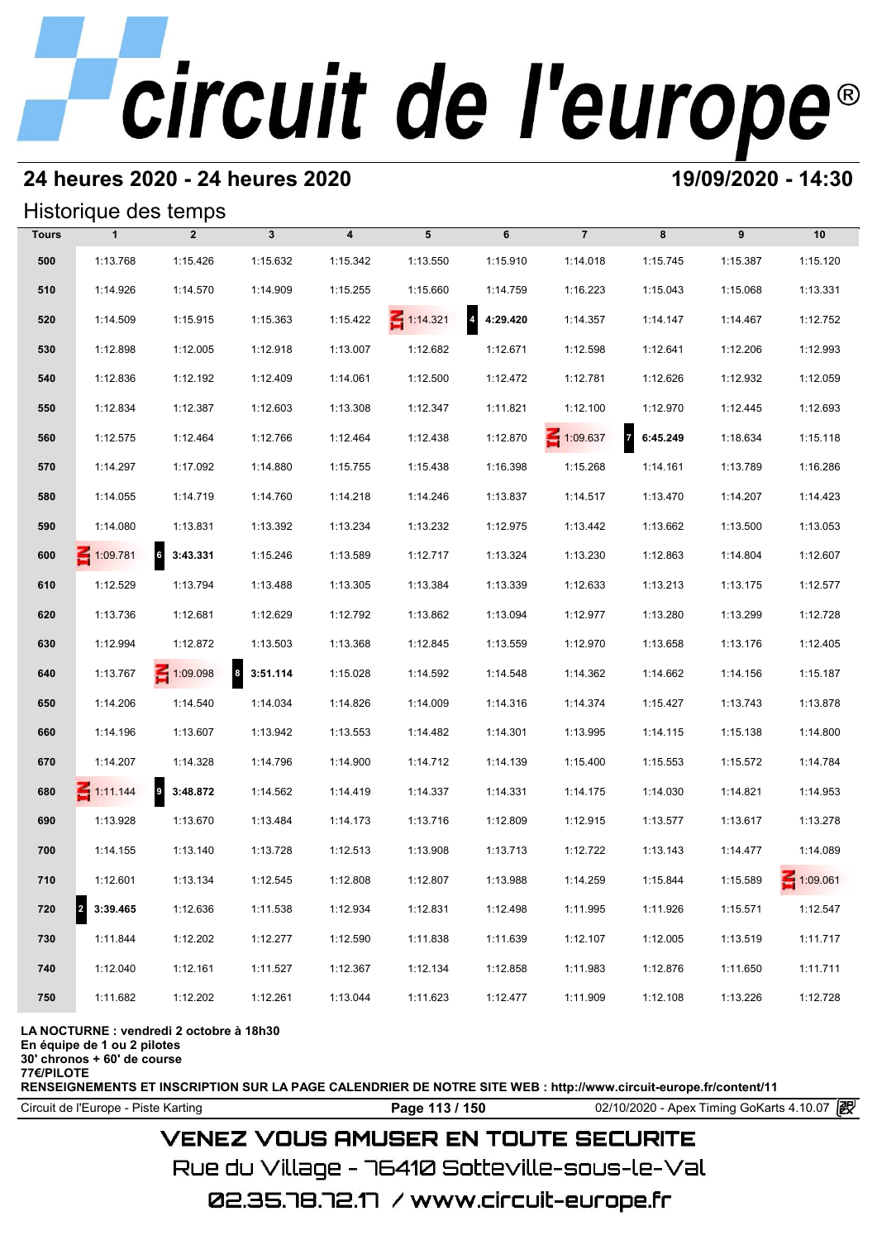# **24 heures 2020 - 24 heures 2020 19/09/2020 - 14:30**

## Historique des temps

|              | Historique des temps             |                 |              |                  |                 |                            |                 |            |          |                 |
|--------------|----------------------------------|-----------------|--------------|------------------|-----------------|----------------------------|-----------------|------------|----------|-----------------|
| <b>Tours</b> | $\mathbf{1}$                     | $\overline{2}$  | $\mathbf{3}$ | $\boldsymbol{4}$ | 5               | 6                          | $\overline{7}$  | 8          | 9        | 10              |
| 500          | 1:13.768                         | 1:15.426        | 1:15.632     | 1:15.342         | 1:13.550        | 1:15.910                   | 1:14.018        | 1:15.745   | 1:15.387 | 1:15.120        |
| 510          | 1:14.926                         | 1:14.570        | 1:14.909     | 1:15.255         | 1:15.660        | 1:14.759                   | 1:16.223        | 1:15.043   | 1:15.068 | 1:13.331        |
| 520          | 1:14.509                         | 1:15.915        | 1:15.363     | 1:15.422         | $\leq 1:14.321$ | $\overline{4}$<br>4:29.420 | 1:14.357        | 1:14.147   | 1:14.467 | 1:12.752        |
| 530          | 1:12.898                         | 1:12.005        | 1:12.918     | 1:13.007         | 1:12.682        | 1:12.671                   | 1:12.598        | 1:12.641   | 1:12.206 | 1:12.993        |
| 540          | 1:12.836                         | 1:12.192        | 1:12.409     | 1:14.061         | 1:12.500        | 1:12.472                   | 1:12.781        | 1:12.626   | 1:12.932 | 1:12.059        |
| 550          | 1:12.834                         | 1:12.387        | 1:12.603     | 1:13.308         | 1:12.347        | 1:11.821                   | 1:12.100        | 1:12.970   | 1:12.445 | 1:12.693        |
| 560          | 1:12.575                         | 1:12.464        | 1:12.766     | 1:12.464         | 1:12.438        | 1:12.870                   | $\leq 1:09.637$ | 7 6:45.249 | 1:18.634 | 1:15.118        |
| 570          | 1:14.297                         | 1:17.092        | 1:14.880     | 1:15.755         | 1:15.438        | 1:16.398                   | 1:15.268        | 1:14.161   | 1:13.789 | 1:16.286        |
| 580          | 1:14.055                         | 1:14.719        | 1:14.760     | 1:14.218         | 1:14.246        | 1:13.837                   | 1:14.517        | 1:13.470   | 1:14.207 | 1:14.423        |
| 590          | 1:14.080                         | 1:13.831        | 1:13.392     | 1:13.234         | 1:13.232        | 1:12.975                   | 1:13.442        | 1:13.662   | 1:13.500 | 1:13.053        |
| 600          | 1:09.781                         | 6<br>3:43.331   | 1:15.246     | 1:13.589         | 1:12.717        | 1:13.324                   | 1:13.230        | 1:12.863   | 1:14.804 | 1:12.607        |
| 610          | 1:12.529                         | 1:13.794        | 1:13.488     | 1:13.305         | 1:13.384        | 1:13.339                   | 1:12.633        | 1:13.213   | 1:13.175 | 1:12.577        |
| 620          | 1:13.736                         | 1:12.681        | 1:12.629     | 1:12.792         | 1:13.862        | 1:13.094                   | 1:12.977        | 1:13.280   | 1:13.299 | 1:12.728        |
| 630          | 1:12.994                         | 1:12.872        | 1:13.503     | 1:13.368         | 1:12.845        | 1:13.559                   | 1:12.970        | 1:13.658   | 1:13.176 | 1:12.405        |
| 640          | 1:13.767                         | $\leq 1:09.098$ | 8 3:51.114   | 1:15.028         | 1:14.592        | 1:14.548                   | 1:14.362        | 1:14.662   | 1:14.156 | 1:15.187        |
| 650          | 1:14.206                         | 1:14.540        | 1:14.034     | 1:14.826         | 1:14.009        | 1:14.316                   | 1:14.374        | 1:15.427   | 1:13.743 | 1:13.878        |
| 660          | 1:14.196                         | 1:13.607        | 1:13.942     | 1:13.553         | 1:14.482        | 1:14.301                   | 1:13.995        | 1:14.115   | 1:15.138 | 1:14.800        |
| 670          | 1:14.207                         | 1:14.328        | 1:14.796     | 1:14.900         | 1:14.712        | 1:14.139                   | 1:15.400        | 1:15.553   | 1:15.572 | 1:14.784        |
| 680          | $\leq 1:11.144$                  | $9$ 3:48.872    | 1:14.562     | 1:14.419         | 1:14.337        | 1:14.331                   | 1:14.175        | 1:14.030   | 1:14.821 | 1:14.953        |
| 690          | 1:13.928                         | 1:13.670        | 1:13.484     | 1:14.173         | 1:13.716        | 1:12.809                   | 1:12.915        | 1:13.577   | 1:13.617 | 1:13.278        |
| 700          | 1:14.155                         | 1:13.140        | 1:13.728     | 1:12.513         | 1:13.908        | 1:13.713                   | 1:12.722        | 1:13.143   | 1:14.477 | 1:14.089        |
| 710          | 1:12.601                         | 1:13.134        | 1:12.545     | 1:12.808         | 1:12.807        | 1:13.988                   | 1:14.259        | 1:15.844   | 1:15.589 | $\leq 1:09.061$ |
| 720          | $\vert$ <sub>2</sub><br>3:39.465 | 1:12.636        | 1:11.538     | 1:12.934         | 1:12.831        | 1:12.498                   | 1:11.995        | 1:11.926   | 1:15.571 | 1:12.547        |
| 730          | 1:11.844                         | 1:12.202        | 1:12.277     | 1:12.590         | 1:11.838        | 1:11.639                   | 1:12.107        | 1:12.005   | 1:13.519 | 1:11.717        |
| 740          | 1:12.040                         | 1:12.161        | 1:11.527     | 1:12.367         | 1:12.134        | 1:12.858                   | 1:11.983        | 1:12.876   | 1:11.650 | 1:11.711        |
| 750          | 1:11.682                         | 1:12.202        | 1:12.261     | 1:13.044         | 1:11.623        | 1:12.477                   | 1:11.909        | 1:12.108   | 1:13.226 | 1:12.728        |

### **LA NOCTURNE : vendredi 2 octobre à 18h30**

**En équipe de 1 ou 2 pilotes**

**30' chronos + 60' de course**

**77€/PILOTE**

**RENSEIGNEMENTS ET INSCRIPTION SUR LA PAGE CALENDRIER DE NOTRE SITE WEB : http://www.circuit-europe.fr/content/11**

Circuit de l'Europe - Piste Karting **Page 113 / 150** 02/10/2020 - Apex Timing GoKarts 4.10.07

# **VENEZ VOUS AMUSER EN TOUTE SECURITE**

Rue du Village – 76410 Sotteville-sous-le-Val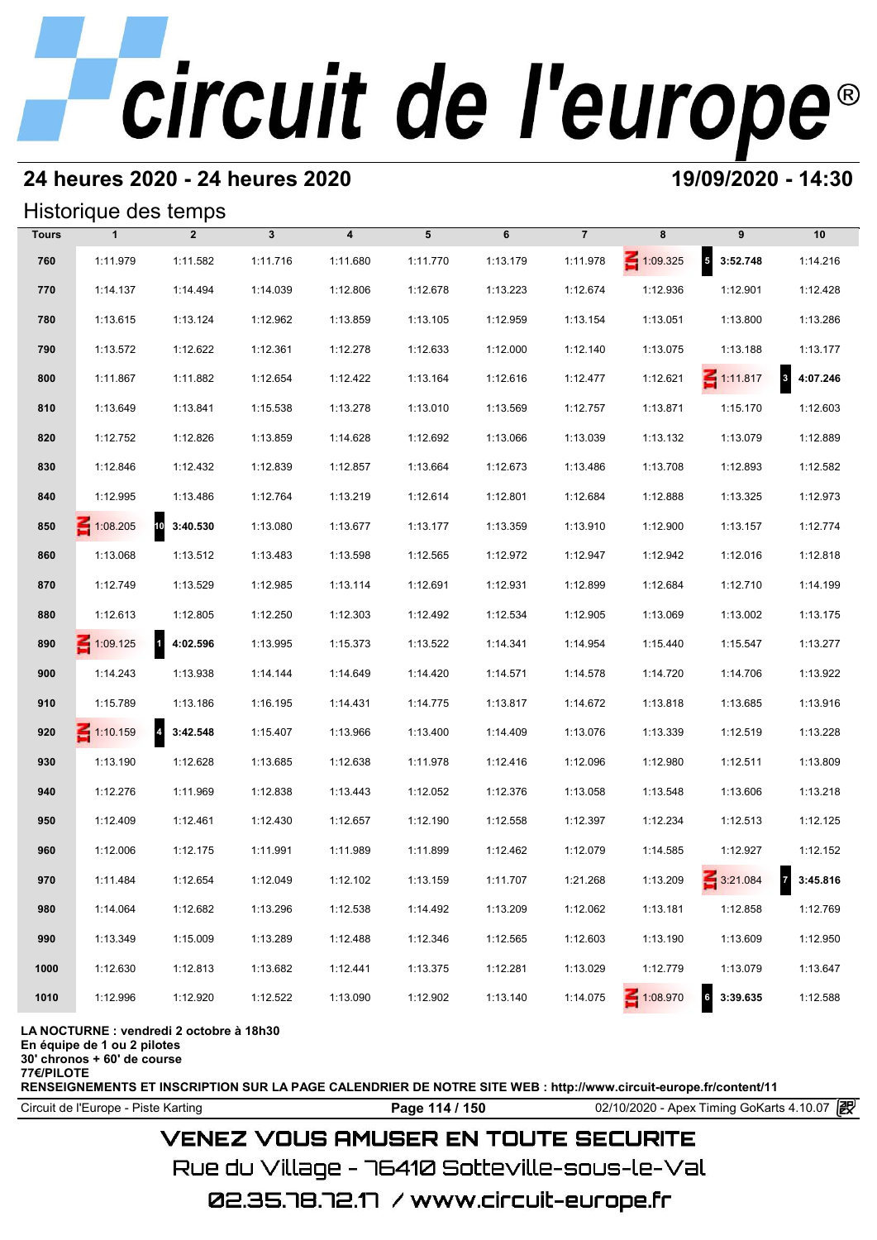## **24 heures 2020 - 24 heures 2020 19/09/2020 - 14:30**

## Historique des temps

|              | Historique des temps |                            |              |                         |          |          |                |                 |                             |                                     |
|--------------|----------------------|----------------------------|--------------|-------------------------|----------|----------|----------------|-----------------|-----------------------------|-------------------------------------|
| <b>Tours</b> | $\mathbf{1}$         | $\overline{2}$             | $\mathbf{3}$ | $\overline{\mathbf{4}}$ | 5        | 6        | $\overline{7}$ | 8               | 9                           | 10                                  |
| 760          | 1:11.979             | 1:11.582                   | 1:11.716     | 1:11.680                | 1:11.770 | 1:13.179 | 1:11.978       | $\leq 1:09.325$ | $5\quad 3:52.748$           | 1:14.216                            |
| 770          | 1:14.137             | 1:14.494                   | 1:14.039     | 1:12.806                | 1:12.678 | 1:13.223 | 1:12.674       | 1:12.936        | 1:12.901                    | 1:12.428                            |
| 780          | 1:13.615             | 1:13.124                   | 1:12.962     | 1:13.859                | 1:13.105 | 1:12.959 | 1:13.154       | 1:13.051        | 1:13.800                    | 1:13.286                            |
| 790          | 1:13.572             | 1:12.622                   | 1:12.361     | 1:12.278                | 1:12.633 | 1:12.000 | 1:12.140       | 1:13.075        | 1:13.188                    | 1:13.177                            |
| 800          | 1:11.867             | 1:11.882                   | 1:12.654     | 1:12.422                | 1:13.164 | 1:12.616 | 1:12.477       | 1:12.621        | $\leq 1:11.817$             | $\overline{\mathbf{3}}$<br>4:07.246 |
| 810          | 1:13.649             | 1:13.841                   | 1:15.538     | 1:13.278                | 1:13.010 | 1:13.569 | 1:12.757       | 1:13.871        | 1:15.170                    | 1:12.603                            |
| 820          | 1:12.752             | 1:12.826                   | 1:13.859     | 1:14.628                | 1:12.692 | 1:13.066 | 1:13.039       | 1:13.132        | 1:13.079                    | 1:12.889                            |
| 830          | 1:12.846             | 1:12.432                   | 1:12.839     | 1:12.857                | 1:13.664 | 1:12.673 | 1:13.486       | 1:13.708        | 1:12.893                    | 1:12.582                            |
| 840          | 1:12.995             | 1:13.486                   | 1:12.764     | 1:13.219                | 1:12.614 | 1:12.801 | 1:12.684       | 1:12.888        | 1:13.325                    | 1:12.973                            |
| 850          | $\leq 1:08.205$      | 10 3:40.530                | 1:13.080     | 1:13.677                | 1:13.177 | 1:13.359 | 1:13.910       | 1:12.900        | 1:13.157                    | 1:12.774                            |
| 860          | 1:13.068             | 1:13.512                   | 1:13.483     | 1:13.598                | 1:12.565 | 1:12.972 | 1:12.947       | 1:12.942        | 1:12.016                    | 1:12.818                            |
| 870          | 1:12.749             | 1:13.529                   | 1:12.985     | 1:13.114                | 1:12.691 | 1:12.931 | 1:12.899       | 1:12.684        | 1:12.710                    | 1:14.199                            |
| 880          | 1:12.613             | 1:12.805                   | 1:12.250     | 1:12.303                | 1:12.492 | 1:12.534 | 1:12.905       | 1:13.069        | 1:13.002                    | 1:13.175                            |
| 890          | 1:09.125             | $\mathbf{1}$<br>4:02.596   | 1:13.995     | 1:15.373                | 1:13.522 | 1:14.341 | 1:14.954       | 1:15.440        | 1:15.547                    | 1:13.277                            |
| 900          | 1:14.243             | 1:13.938                   | 1:14.144     | 1:14.649                | 1:14.420 | 1:14.571 | 1:14.578       | 1:14.720        | 1:14.706                    | 1:13.922                            |
| 910          | 1:15.789             | 1:13.186                   | 1:16.195     | 1:14.431                | 1:14.775 | 1:13.817 | 1:14.672       | 1:13.818        | 1:13.685                    | 1:13.916                            |
| 920          | $\leq 1:10.159$      | $\overline{4}$<br>3:42.548 | 1:15.407     | 1:13.966                | 1:13.400 | 1:14.409 | 1:13.076       | 1:13.339        | 1:12.519                    | 1:13.228                            |
| 930          | 1:13.190             | 1:12.628                   | 1:13.685     | 1:12.638                | 1:11.978 | 1:12.416 | 1:12.096       | 1:12.980        | 1:12.511                    | 1:13.809                            |
| 940          | 1:12.276             | 1:11.969                   | 1:12.838     | 1:13.443                | 1:12.052 | 1:12.376 | 1:13.058       | 1:13.548        | 1:13.606                    | 1:13.218                            |
| 950          | 1:12.409             | 1:12.461                   | 1:12.430     | 1:12.657                | 1:12.190 | 1:12.558 | 1:12.397       | 1:12.234        | 1:12.513                    | 1:12.125                            |
| 960          | 1:12.006             | 1:12.175                   | 1:11.991     | 1:11.989                | 1:11.899 | 1:12.462 | 1:12.079       | 1:14.585        | 1:12.927                    | 1:12.152                            |
| 970          | 1:11.484             | 1:12.654                   | 1:12.049     | 1:12.102                | 1:13.159 | 1:11.707 | 1:21.268       | 1:13.209        | 3:21.084                    | 3:45.816                            |
| 980          | 1:14.064             | 1:12.682                   | 1:13.296     | 1:12.538                | 1:14.492 | 1:13.209 | 1:12.062       | 1:13.181        | 1:12.858                    | 1:12.769                            |
| 990          | 1:13.349             | 1:15.009                   | 1:13.289     | 1:12.488                | 1:12.346 | 1:12.565 | 1:12.603       | 1:13.190        | 1:13.609                    | 1:12.950                            |
| 1000         | 1:12.630             | 1:12.813                   | 1:13.682     | 1:12.441                | 1:13.375 | 1:12.281 | 1:13.029       | 1:12.779        | 1:13.079                    | 1:13.647                            |
| 1010         | 1:12.996             | 1:12.920                   | 1:12.522     | 1:13.090                | 1:12.902 | 1:13.140 | 1:14.075       | 1:08.970        | $6\overline{6}$<br>3:39.635 | 1:12.588                            |

### **LA NOCTURNE : vendredi 2 octobre à 18h30**

**En équipe de 1 ou 2 pilotes**

**30' chronos + 60' de course**

**77€/PILOTE**

**RENSEIGNEMENTS ET INSCRIPTION SUR LA PAGE CALENDRIER DE NOTRE SITE WEB : http://www.circuit-europe.fr/content/11**

Circuit de l'Europe - Piste Karting **Page 114 / 150** 02/10/2020 - Apex Timing GoKarts 4.10.07

# **VENEZ VOUS AMUSER EN TOUTE SECURITE**

Rue du Village – 76410 Sotteville-sous-le-Val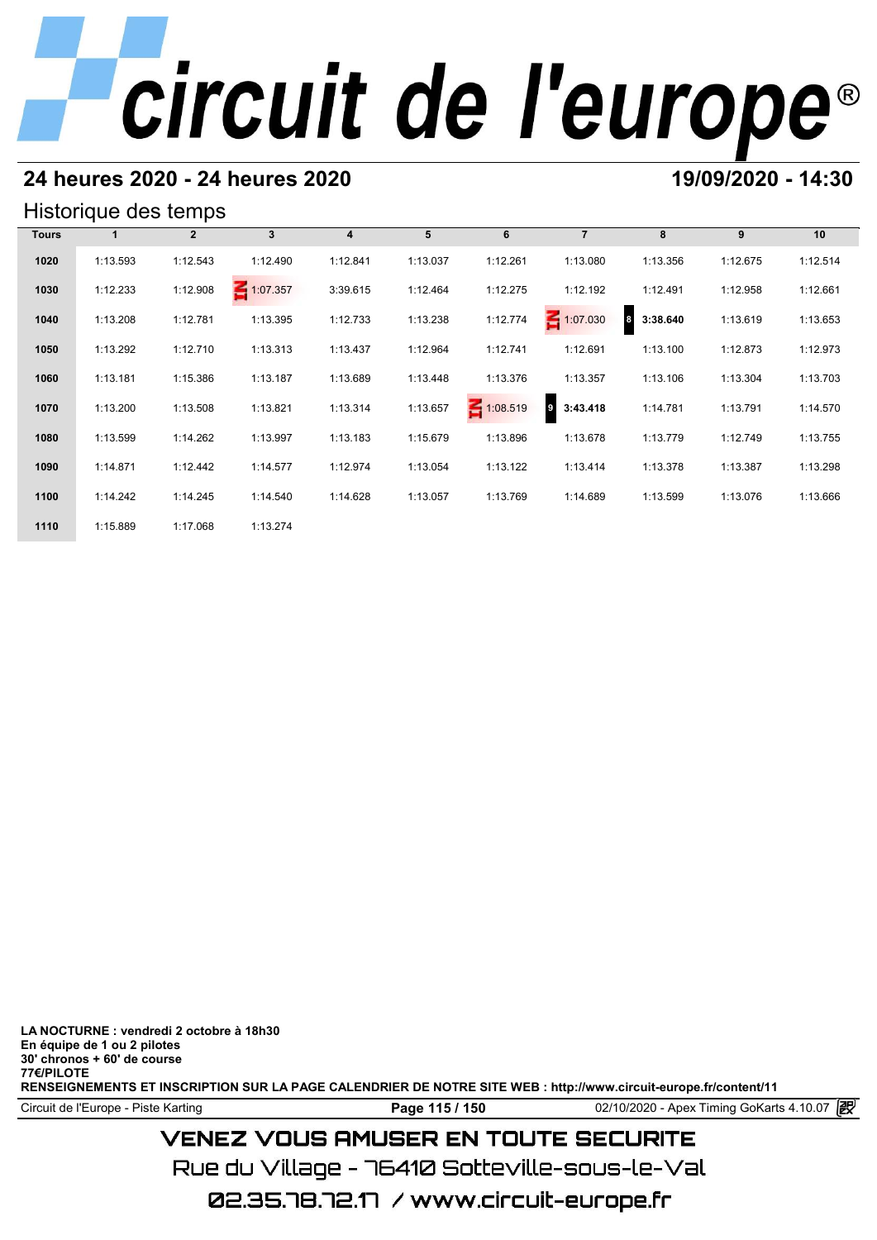# **24 heures 2020 - 24 heures 2020 19/09/2020 - 14:30**

## Historique des temps

|              | Historique des temps |              |              |          |          |                 |                              |                              |          |          |
|--------------|----------------------|--------------|--------------|----------|----------|-----------------|------------------------------|------------------------------|----------|----------|
| <b>Tours</b> |                      | $\mathbf{2}$ | $\mathbf{3}$ | 4        | 5        | 6               | $\overline{7}$               | 8                            | 9        | 10       |
| 1020         | 1:13.593             | 1:12.543     | 1:12.490     | 1:12.841 | 1:13.037 | 1:12.261        | 1:13.080                     | 1:13.356                     | 1:12.675 | 1:12.514 |
| 1030         | 1:12.233             | 1:12.908     | 1:07.357     | 3:39.615 | 1:12.464 | 1:12.275        | 1:12.192                     | 1:12.491                     | 1:12.958 | 1:12.661 |
| 1040         | 1:13.208             | 1:12.781     | 1:13.395     | 1:12.733 | 1:13.238 | 1:12.774        | 1:07.030                     | $\boldsymbol{8}$<br>3:38.640 | 1:13.619 | 1:13.653 |
| 1050         | 1:13.292             | 1:12.710     | 1:13.313     | 1:13.437 | 1:12.964 | 1:12.741        | 1:12.691                     | 1:13.100                     | 1:12.873 | 1:12.973 |
| 1060         | 1:13.181             | 1:15.386     | 1:13.187     | 1:13.689 | 1:13.448 | 1:13.376        | 1:13.357                     | 1:13.106                     | 1:13.304 | 1:13.703 |
| 1070         | 1:13.200             | 1:13.508     | 1:13.821     | 1:13.314 | 1:13.657 | $\leq 1:08.519$ | $\boldsymbol{9}$<br>3:43.418 | 1:14.781                     | 1:13.791 | 1:14.570 |
| 1080         | 1:13.599             | 1:14.262     | 1:13.997     | 1:13.183 | 1:15.679 | 1:13.896        | 1:13.678                     | 1:13.779                     | 1:12.749 | 1:13.755 |
| 1090         | 1:14.871             | 1:12.442     | 1:14.577     | 1:12.974 | 1:13.054 | 1:13.122        | 1:13.414                     | 1:13.378                     | 1:13.387 | 1:13.298 |
| 1100         | 1:14.242             | 1:14.245     | 1:14.540     | 1:14.628 | 1:13.057 | 1:13.769        | 1:14.689                     | 1:13.599                     | 1:13.076 | 1:13.666 |
| 1110         | 1:15.889             | 1:17.068     | 1:13.274     |          |          |                 |                              |                              |          |          |

**LA NOCTURNE : vendredi 2 octobre à 18h30 En équipe de 1 ou 2 pilotes 30' chronos + 60' de course 77€/PILOTE**

**RENSEIGNEMENTS ET INSCRIPTION SUR LA PAGE CALENDRIER DE NOTRE SITE WEB : http://www.circuit-europe.fr/content/11**

Circuit de l'Europe - Piste Karting **Page 115 / 150 Page 115 / 150** 02/10/2020 - Apex Timing GoKarts 4.10.07

# **VENEZ VOUS AMUSER EN TOUTE SECURITE**

Rue du Village – 76410 Sotteville-sous-le-Val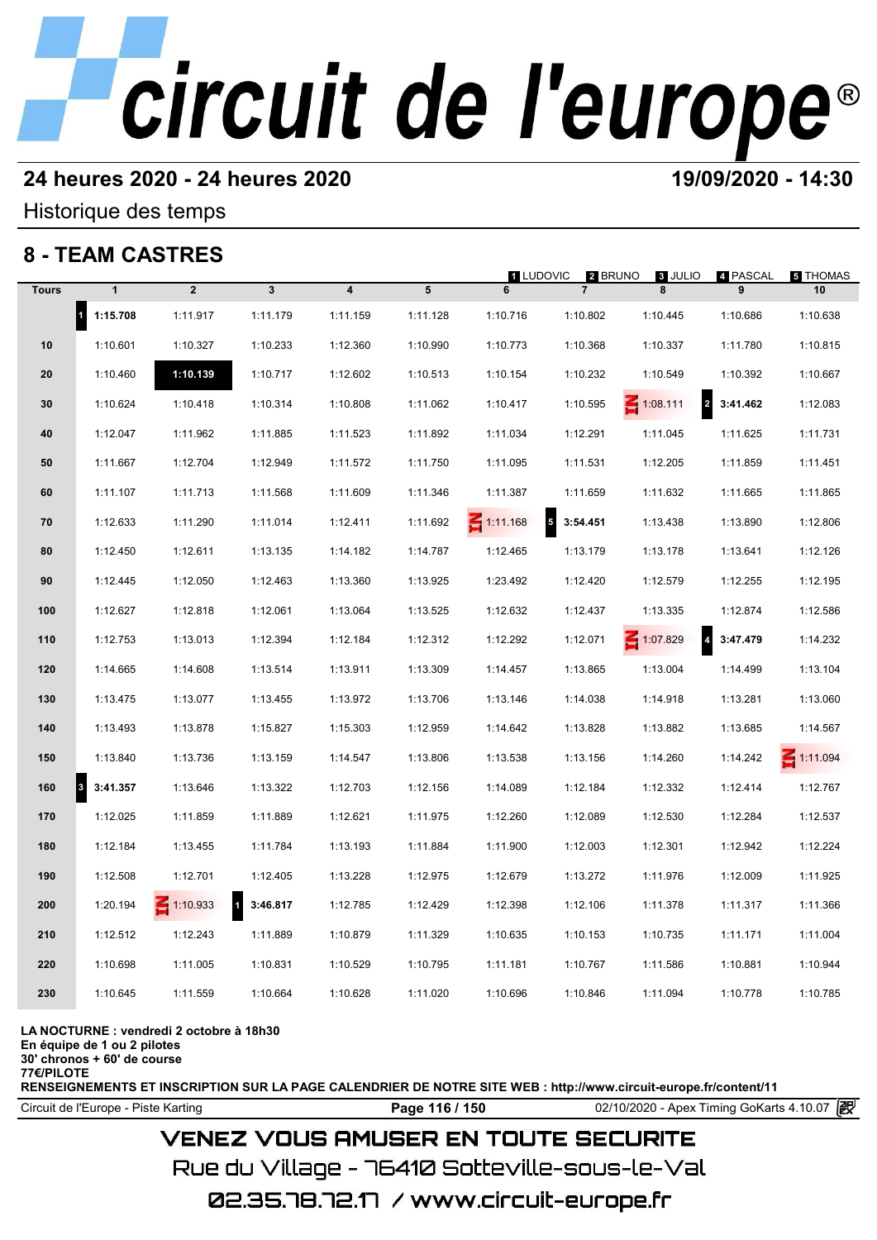# **24 heures 2020 - 24 heures 2020 19/09/2020 - 14:30**

Historique des temps

# **8 - TEAM CASTRES**

|              | 8 - IEAM CASIRES                 |                 |                         |                         |          | <b>1 LUDOVIC</b> | 2 BRUNO                              | 3 JULIO                                    | 4 PASCAL | 5 THOMAS        |
|--------------|----------------------------------|-----------------|-------------------------|-------------------------|----------|------------------|--------------------------------------|--------------------------------------------|----------|-----------------|
| <b>Tours</b> | $\mathbf{1}$                     | $\overline{2}$  | $\mathbf{3}$            | $\overline{\mathbf{4}}$ | 5        | 6                | $\overline{7}$                       | 8                                          | 9        | 10              |
|              | $\blacksquare$<br>1:15.708       | 1:11.917        | 1:11.179                | 1:11.159                | 1:11.128 | 1:10.716         | 1:10.802                             | 1:10.445                                   | 1:10.686 | 1:10.638        |
| 10           | 1:10.601                         | 1:10.327        | 1:10.233                | 1:12.360                | 1:10.990 | 1:10.773         | 1:10.368                             | 1:10.337                                   | 1:11.780 | 1:10.815        |
| 20           | 1:10.460                         | 1:10.139        | 1:10.717                | 1:12.602                | 1:10.513 | 1:10.154         | 1:10.232                             | 1:10.549                                   | 1:10.392 | 1:10.667        |
| 30           | 1:10.624                         | 1:10.418        | 1:10.314                | 1:10.808                | 1:11.062 | 1:10.417         | 1:10.595                             | $\overline{\mathbf{r}}$<br>$\leq 1:08.111$ | 3:41.462 | 1:12.083        |
| 40           | 1:12.047                         | 1:11.962        | 1:11.885                | 1:11.523                | 1:11.892 | 1:11.034         | 1:12.291                             | 1:11.045                                   | 1:11.625 | 1:11.731        |
| 50           | 1:11.667                         | 1:12.704        | 1:12.949                | 1:11.572                | 1:11.750 | 1:11.095         | 1:11.531                             | 1:12.205                                   | 1:11.859 | 1:11.451        |
| 60           | 1:11.107                         | 1:11.713        | 1:11.568                | 1:11.609                | 1:11.346 | 1:11.387         | 1:11.659                             | 1:11.632                                   | 1:11.665 | 1:11.865        |
| 70           | 1:12.633                         | 1:11.290        | 1:11.014                | 1:12.411                | 1:11.692 | $\leq 1:11.168$  | $\overline{\phantom{a}}$<br>3:54.451 | 1:13.438                                   | 1:13.890 | 1:12.806        |
| 80           | 1:12.450                         | 1:12.611        | 1:13.135                | 1:14.182                | 1:14.787 | 1:12.465         | 1:13.179                             | 1:13.178                                   | 1:13.641 | 1:12.126        |
| 90           | 1:12.445                         | 1:12.050        | 1:12.463                | 1:13.360                | 1:13.925 | 1:23.492         | 1:12.420                             | 1:12.579                                   | 1:12.255 | 1:12.195        |
| 100          | 1:12.627                         | 1:12.818        | 1:12.061                | 1:13.064                | 1:13.525 | 1:12.632         | 1:12.437                             | 1:13.335                                   | 1:12.874 | 1:12.586        |
| 110          | 1:12.753                         | 1:13.013        | 1:12.394                | 1:12.184                | 1:12.312 | 1:12.292         | 1:12.071                             | $\overline{\mathbf{4}}$<br>$-1:07.829$     | 3:47.479 | 1:14.232        |
| 120          | 1:14.665                         | 1:14.608        | 1:13.514                | 1:13.911                | 1:13.309 | 1:14.457         | 1:13.865                             | 1:13.004                                   | 1:14.499 | 1:13.104        |
| 130          | 1:13.475                         | 1:13.077        | 1:13.455                | 1:13.972                | 1:13.706 | 1:13.146         | 1:14.038                             | 1:14.918                                   | 1:13.281 | 1:13.060        |
| 140          | 1:13.493                         | 1:13.878        | 1:15.827                | 1:15.303                | 1:12.959 | 1:14.642         | 1:13.828                             | 1:13.882                                   | 1:13.685 | 1:14.567        |
| 150          | 1:13.840                         | 1:13.736        | 1:13.159                | 1:14.547                | 1:13.806 | 1:13.538         | 1:13.156                             | 1:14.260                                   | 1:14.242 | $\leq 1:11.094$ |
| 160          | $\vert$ <sub>3</sub><br>3:41.357 | 1:13.646        | 1:13.322                | 1:12.703                | 1:12.156 | 1:14.089         | 1:12.184                             | 1:12.332                                   | 1:12.414 | 1:12.767        |
| 170          | 1:12.025                         | 1:11.859        | 1:11.889                | 1:12.621                | 1:11.975 | 1:12.260         | 1:12.089                             | 1:12.530                                   | 1:12.284 | 1:12.537        |
| 180          | 1:12.184                         | 1:13.455        | 1:11.784                | 1:13.193                | 1:11.884 | 1:11.900         | 1:12.003                             | 1:12.301                                   | 1:12.942 | 1:12.224        |
| 190          | 1:12.508                         | 1:12.701        | 1:12.405                | 1:13.228                | 1:12.975 | 1:12.679         | 1:13.272                             | 1:11.976                                   | 1:12.009 | 1:11.925        |
| 200          | 1:20.194                         | $\leq 1:10.933$ | $\mathbf 1$<br>3:46.817 | 1:12.785                | 1:12.429 | 1:12.398         | 1:12.106                             | 1:11.378                                   | 1:11.317 | 1:11.366        |
| 210          | 1:12.512                         | 1:12.243        | 1:11.889                | 1:10.879                | 1:11.329 | 1:10.635         | 1:10.153                             | 1:10.735                                   | 1:11.171 | 1:11.004        |
| 220          | 1:10.698                         | 1:11.005        | 1:10.831                | 1:10.529                | 1:10.795 | 1:11.181         | 1:10.767                             | 1:11.586                                   | 1:10.881 | 1:10.944        |
| 230          | 1:10.645                         | 1:11.559        | 1:10.664                | 1:10.628                | 1:11.020 | 1:10.696         | 1:10.846                             | 1:11.094                                   | 1:10.778 | 1:10.785        |
|              |                                  |                 |                         |                         |          |                  |                                      |                                            |          |                 |

### **LA NOCTURNE : vendredi 2 octobre à 18h30**

**En équipe de 1 ou 2 pilotes**

**30' chronos + 60' de course 77€/PILOTE**

**RENSEIGNEMENTS ET INSCRIPTION SUR LA PAGE CALENDRIER DE NOTRE SITE WEB : http://www.circuit-europe.fr/content/11**

Circuit de l'Europe - Piste Karting **Page 116 / 150** 02/10/2020 - Apex Timing GoKarts 4.10.07

# **VENEZ VOUS AMUSER EN TOUTE SECURITE**

Rue du Village – 76410 Sotteville-sous-le-Val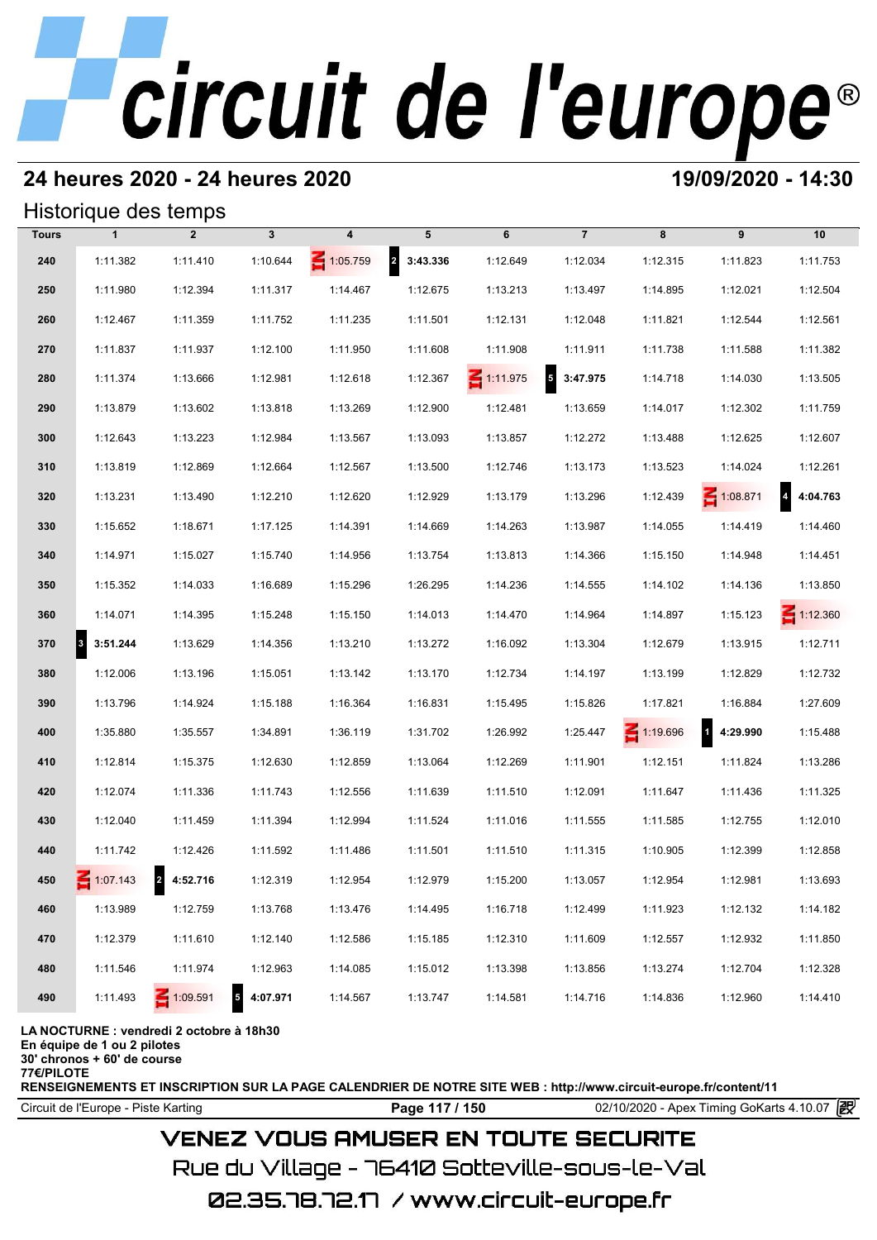# **24 heures 2020 - 24 heures 2020 19/09/2020 - 14:30**

## Historique des temps

|              | Historique des temps             |                                          |                            |          |            |                 |                                      |                 |                          |                 |
|--------------|----------------------------------|------------------------------------------|----------------------------|----------|------------|-----------------|--------------------------------------|-----------------|--------------------------|-----------------|
| <b>Tours</b> | $\mathbf{1}$                     | $\overline{2}$                           | $\mathbf{3}$               | 4        | 5          | 6               | $\overline{7}$                       | 8               | 9                        | 10              |
| 240          | 1:11.382                         | 1:11.410                                 | 1:10.644                   | 1:05.759 | 2 3:43.336 | 1:12.649        | 1:12.034                             | 1:12.315        | 1:11.823                 | 1:11.753        |
| 250          | 1:11.980                         | 1:12.394                                 | 1:11.317                   | 1:14.467 | 1:12.675   | 1:13.213        | 1:13.497                             | 1:14.895        | 1:12.021                 | 1:12.504        |
| 260          | 1:12.467                         | 1:11.359                                 | 1:11.752                   | 1:11.235 | 1:11.501   | 1:12.131        | 1:12.048                             | 1:11.821        | 1:12.544                 | 1:12.561        |
| 270          | 1:11.837                         | 1:11.937                                 | 1:12.100                   | 1:11.950 | 1:11.608   | 1:11.908        | 1:11.911                             | 1:11.738        | 1:11.588                 | 1:11.382        |
| 280          | 1:11.374                         | 1:13.666                                 | 1:12.981                   | 1:12.618 | 1:12.367   | $\leq 1:11.975$ | $\overline{\phantom{a}}$<br>3:47.975 | 1:14.718        | 1:14.030                 | 1:13.505        |
| 290          | 1:13.879                         | 1:13.602                                 | 1:13.818                   | 1:13.269 | 1:12.900   | 1:12.481        | 1:13.659                             | 1:14.017        | 1:12.302                 | 1:11.759        |
| 300          | 1:12.643                         | 1:13.223                                 | 1:12.984                   | 1:13.567 | 1:13.093   | 1:13.857        | 1:12.272                             | 1:13.488        | 1:12.625                 | 1:12.607        |
| 310          | 1:13.819                         | 1:12.869                                 | 1:12.664                   | 1:12.567 | 1:13.500   | 1:12.746        | 1:13.173                             | 1:13.523        | 1:14.024                 | 1:12.261        |
| 320          | 1:13.231                         | 1:13.490                                 | 1:12.210                   | 1:12.620 | 1:12.929   | 1:13.179        | 1:13.296                             | 1:12.439        | $\leq 1:08.871$          | 4:04.763        |
| 330          | 1:15.652                         | 1:18.671                                 | 1:17.125                   | 1:14.391 | 1:14.669   | 1:14.263        | 1:13.987                             | 1:14.055        | 1:14.419                 | 1:14.460        |
| 340          | 1:14.971                         | 1:15.027                                 | 1:15.740                   | 1:14.956 | 1:13.754   | 1:13.813        | 1:14.366                             | 1:15.150        | 1:14.948                 | 1:14.451        |
| 350          | 1:15.352                         | 1:14.033                                 | 1:16.689                   | 1:15.296 | 1:26.295   | 1:14.236        | 1:14.555                             | 1:14.102        | 1:14.136                 | 1:13.850        |
| 360          | 1:14.071                         | 1:14.395                                 | 1:15.248                   | 1:15.150 | 1:14.013   | 1:14.470        | 1:14.964                             | 1:14.897        | 1:15.123                 | $\leq 1:12.360$ |
| 370          | $\vert$ <sub>3</sub><br>3:51.244 | 1:13.629                                 | 1:14.356                   | 1:13.210 | 1:13.272   | 1:16.092        | 1:13.304                             | 1:12.679        | 1:13.915                 | 1:12.711        |
| 380          | 1:12.006                         | 1:13.196                                 | 1:15.051                   | 1:13.142 | 1:13.170   | 1:12.734        | 1:14.197                             | 1:13.199        | 1:12.829                 | 1:12.732        |
| 390          | 1:13.796                         | 1:14.924                                 | 1:15.188                   | 1:16.364 | 1:16.831   | 1:15.495        | 1:15.826                             | 1:17.821        | 1:16.884                 | 1:27.609        |
| 400          | 1:35.880                         | 1:35.557                                 | 1:34.891                   | 1:36.119 | 1:31.702   | 1:26.992        | 1:25.447                             | $\leq 1:19.696$ | $\mathbf{1}$<br>4:29.990 | 1:15.488        |
| 410          | 1:12.814                         | 1:15.375                                 | 1:12.630                   | 1:12.859 | 1:13.064   | 1:12.269        | 1:11.901                             | 1:12.151        | 1:11.824                 | 1:13.286        |
| 420          | 1:12.074                         | 1:11.336                                 | 1:11.743                   | 1:12.556 | 1:11.639   | 1:11.510        | 1:12.091                             | 1:11.647        | 1:11.436                 | 1:11.325        |
| 430          | 1:12.040                         | 1:11.459                                 | 1:11.394                   | 1:12.994 | 1:11.524   | 1:11.016        | 1:11.555                             | 1:11.585        | 1:12.755                 | 1:12.010        |
| 440          | 1:11.742                         | 1:12.426                                 | 1:11.592                   | 1:11.486 | 1:11.501   | 1:11.510        | 1:11.315                             | 1:10.905        | 1:12.399                 | 1:12.858        |
| 450          | $-1:07.143$                      | 2 4:52.716                               | 1:12.319                   | 1:12.954 | 1:12.979   | 1:15.200        | 1:13.057                             | 1:12.954        | 1:12.981                 | 1:13.693        |
| 460          | 1:13.989                         | 1:12.759                                 | 1:13.768                   | 1:13.476 | 1:14.495   | 1:16.718        | 1:12.499                             | 1:11.923        | 1:12.132                 | 1:14.182        |
| 470          | 1:12.379                         | 1:11.610                                 | 1:12.140                   | 1:12.586 | 1:15.185   | 1:12.310        | 1:11.609                             | 1:12.557        | 1:12.932                 | 1:11.850        |
| 480          | 1:11.546                         | 1:11.974                                 | 1:12.963                   | 1:14.085 | 1:15.012   | 1:13.398        | 1:13.856                             | 1:13.274        | 1:12.704                 | 1:12.328        |
| 490          | 1:11.493                         | $\leq 1:09.591$                          | $\overline{5}$<br>4:07.971 | 1:14.567 | 1:13.747   | 1:14.581        | 1:14.716                             | 1:14.836        | 1:12.960                 | 1:14.410        |
|              |                                  | LA NOCTURNE : vendredi 2 octobre à 18h30 |                            |          |            |                 |                                      |                 |                          |                 |

**En équipe de 1 ou 2 pilotes**

**30' chronos + 60' de course**

**77€/PILOTE**

**RENSEIGNEMENTS ET INSCRIPTION SUR LA PAGE CALENDRIER DE NOTRE SITE WEB : http://www.circuit-europe.fr/content/11**

Circuit de l'Europe - Piste Karting **Page 117 / 150** 02/10/2020 - Apex Timing GoKarts 4.10.07

# **VENEZ VOUS AMUSER EN TOUTE SECURITE**

Rue du Village – 76410 Sotteville-sous-le-Val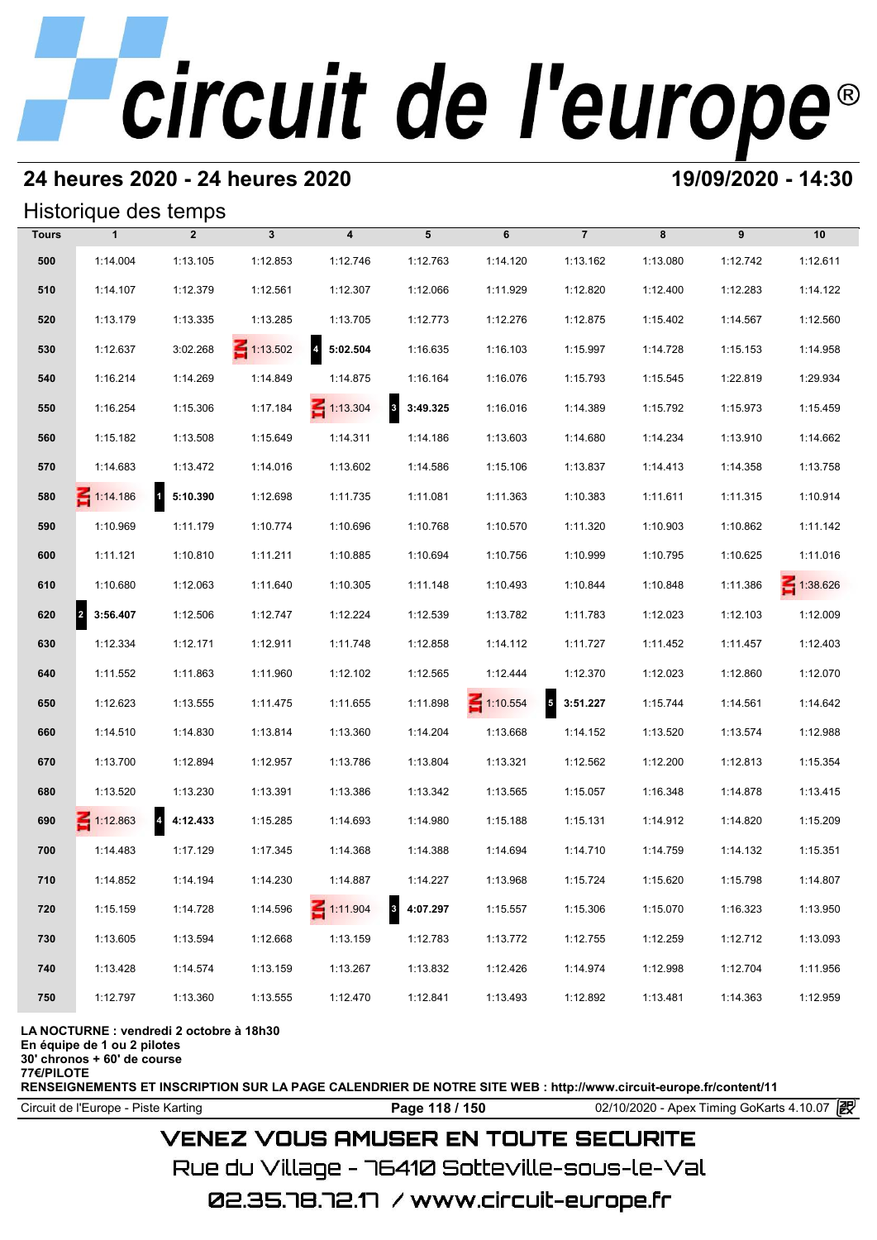# **24 heures 2020 - 24 heures 2020 19/09/2020 - 14:30**

## Historique des temps

|              | Historique des temps             |                          |                 |                                     |                                     |                 |                |          |          |                 |
|--------------|----------------------------------|--------------------------|-----------------|-------------------------------------|-------------------------------------|-----------------|----------------|----------|----------|-----------------|
| <b>Tours</b> | $\mathbf{1}$                     | $\overline{2}$           | $\mathbf{3}$    | 4                                   | 5                                   | 6               | $\overline{7}$ | 8        | 9        | 10              |
| 500          | 1:14.004                         | 1:13.105                 | 1:12.853        | 1:12.746                            | 1:12.763                            | 1:14.120        | 1:13.162       | 1:13.080 | 1:12.742 | 1:12.611        |
| 510          | 1:14.107                         | 1:12.379                 | 1:12.561        | 1:12.307                            | 1:12.066                            | 1:11.929        | 1:12.820       | 1:12.400 | 1:12.283 | 1:14.122        |
| 520          | 1:13.179                         | 1:13.335                 | 1:13.285        | 1:13.705                            | 1:12.773                            | 1:12.276        | 1:12.875       | 1:15.402 | 1:14.567 | 1:12.560        |
| 530          | 1:12.637                         | 3:02.268                 | $\leq 1:13.502$ | $\overline{\mathbf{4}}$<br>5:02.504 | 1:16.635                            | 1:16.103        | 1:15.997       | 1:14.728 | 1:15.153 | 1:14.958        |
| 540          | 1:16.214                         | 1:14.269                 | 1:14.849        | 1:14.875                            | 1:16.164                            | 1:16.076        | 1:15.793       | 1:15.545 | 1:22.819 | 1:29.934        |
| 550          | 1:16.254                         | 1:15.306                 | 1:17.184        | $\leq 1:13.304$                     | $\overline{\mathbf{3}}$<br>3:49.325 | 1:16.016        | 1:14.389       | 1:15.792 | 1:15.973 | 1:15.459        |
| 560          | 1:15.182                         | 1:13.508                 | 1:15.649        | 1:14.311                            | 1:14.186                            | 1:13.603        | 1:14.680       | 1:14.234 | 1:13.910 | 1:14.662        |
| 570          | 1:14.683                         | 1:13.472                 | 1:14.016        | 1:13.602                            | 1:14.586                            | 1:15.106        | 1:13.837       | 1:14.413 | 1:14.358 | 1:13.758        |
| 580          | $\leq 1:14.186$                  | $\mathbf{1}$<br>5:10.390 | 1:12.698        | 1:11.735                            | 1:11.081                            | 1:11.363        | 1:10.383       | 1:11.611 | 1:11.315 | 1:10.914        |
| 590          | 1:10.969                         | 1:11.179                 | 1:10.774        | 1:10.696                            | 1:10.768                            | 1:10.570        | 1:11.320       | 1:10.903 | 1:10.862 | 1:11.142        |
| 600          | 1:11.121                         | 1:10.810                 | 1:11.211        | 1:10.885                            | 1:10.694                            | 1:10.756        | 1:10.999       | 1:10.795 | 1:10.625 | 1:11.016        |
| 610          | 1:10.680                         | 1:12.063                 | 1:11.640        | 1:10.305                            | 1:11.148                            | 1:10.493        | 1:10.844       | 1:10.848 | 1:11.386 | $\leq 1:38.626$ |
| 620          | $\vert$ <sup>2</sup><br>3:56.407 | 1:12.506                 | 1:12.747        | 1:12.224                            | 1:12.539                            | 1:13.782        | 1:11.783       | 1:12.023 | 1:12.103 | 1:12.009        |
| 630          | 1:12.334                         | 1:12.171                 | 1:12.911        | 1:11.748                            | 1:12.858                            | 1:14.112        | 1:11.727       | 1:11.452 | 1:11.457 | 1:12.403        |
| 640          | 1:11.552                         | 1:11.863                 | 1:11.960        | 1:12.102                            | 1:12.565                            | 1:12.444        | 1:12.370       | 1:12.023 | 1:12.860 | 1:12.070        |
| 650          | 1:12.623                         | 1:13.555                 | 1:11.475        | 1:11.655                            | 1:11.898                            | $\leq 1:10.554$ | $5$ 3:51.227   | 1:15.744 | 1:14.561 | 1:14.642        |
| 660          | 1:14.510                         | 1:14.830                 | 1:13.814        | 1:13.360                            | 1:14.204                            | 1:13.668        | 1:14.152       | 1:13.520 | 1:13.574 | 1:12.988        |
| 670          | 1:13.700                         | 1:12.894                 | 1:12.957        | 1:13.786                            | 1:13.804                            | 1:13.321        | 1:12.562       | 1:12.200 | 1:12.813 | 1:15.354        |
| 680          | 1:13.520                         | 1:13.230                 | 1:13.391        | 1:13.386                            | 1:13.342                            | 1:13.565        | 1:15.057       | 1:16.348 | 1:14.878 | 1:13.415        |
| 690          | $\leq 1:12.863$                  | 4:12.433                 | 1:15.285        | 1:14.693                            | 1:14.980                            | 1:15.188        | 1:15.131       | 1:14.912 | 1:14.820 | 1:15.209        |
| 700          | 1:14.483                         | 1:17.129                 | 1:17.345        | 1:14.368                            | 1:14.388                            | 1:14.694        | 1:14.710       | 1:14.759 | 1:14.132 | 1:15.351        |
| 710          | 1:14.852                         | 1:14.194                 | 1:14.230        | 1:14.887                            | 1:14.227                            | 1:13.968        | 1:15.724       | 1:15.620 | 1:15.798 | 1:14.807        |
| 720          | 1:15.159                         | 1:14.728                 | 1:14.596        | $\leq 1:11.904$                     | $\overline{\mathbf{3}}$<br>4:07.297 | 1:15.557        | 1:15.306       | 1:15.070 | 1:16.323 | 1:13.950        |
| 730          | 1:13.605                         | 1:13.594                 | 1:12.668        | 1:13.159                            | 1:12.783                            | 1:13.772        | 1:12.755       | 1:12.259 | 1:12.712 | 1:13.093        |
| 740          | 1:13.428                         | 1:14.574                 | 1:13.159        | 1:13.267                            | 1:13.832                            | 1:12.426        | 1:14.974       | 1:12.998 | 1:12.704 | 1:11.956        |
| 750          | 1:12.797                         | 1:13.360                 | 1:13.555        | 1:12.470                            | 1:12.841                            | 1:13.493        | 1:12.892       | 1:13.481 | 1:14.363 | 1:12.959        |

### **LA NOCTURNE : vendredi 2 octobre à 18h30**

**En équipe de 1 ou 2 pilotes**

**30' chronos + 60' de course**

**77€/PILOTE**

**RENSEIGNEMENTS ET INSCRIPTION SUR LA PAGE CALENDRIER DE NOTRE SITE WEB : http://www.circuit-europe.fr/content/11**

Circuit de l'Europe - Piste Karting **Page 118 / 150** 02/10/2020 - Apex Timing GoKarts 4.10.07

## **VENEZ VOUS AMUSER EN TOUTE SECURITE**

Rue du Village – 76410 Sotteville-sous-le-Val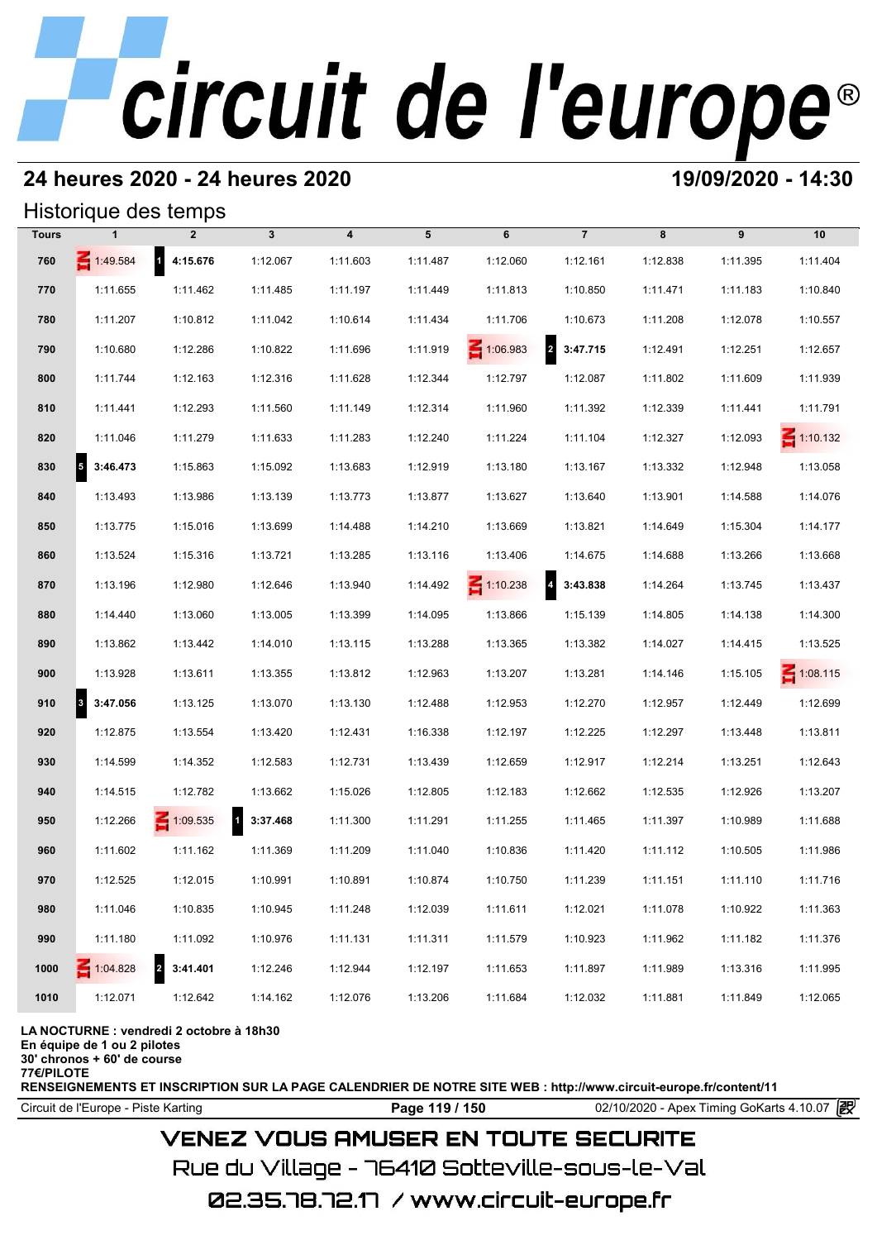# **24 heures 2020 - 24 heures 2020 19/09/2020 - 14:30**

## Historique des temps

|              | Historique des temps                 |                            |                          |                         |          |                 |                            |          |          |                 |
|--------------|--------------------------------------|----------------------------|--------------------------|-------------------------|----------|-----------------|----------------------------|----------|----------|-----------------|
| <b>Tours</b> |                                      | $\overline{2}$             | $\mathbf{3}$             | $\overline{\mathbf{4}}$ | 5        | 6               | $\overline{7}$             | 8        | 9        | 10              |
| 760          | 1:49.584                             | $\mathbf{1}$<br>4:15.676   | 1:12.067                 | 1:11.603                | 1:11.487 | 1:12.060        | 1:12.161                   | 1:12.838 | 1:11.395 | 1:11.404        |
| 770          | 1:11.655                             | 1:11.462                   | 1:11.485                 | 1:11.197                | 1:11.449 | 1:11.813        | 1:10.850                   | 1:11.471 | 1:11.183 | 1:10.840        |
| 780          | 1:11.207                             | 1:10.812                   | 1:11.042                 | 1:10.614                | 1:11.434 | 1:11.706        | 1:10.673                   | 1:11.208 | 1:12.078 | 1:10.557        |
| 790          | 1:10.680                             | 1:12.286                   | 1:10.822                 | 1:11.696                | 1:11.919 | $\leq 1:06.983$ | 2 3:47.715                 | 1:12.491 | 1:12.251 | 1:12.657        |
| 800          | 1:11.744                             | 1:12.163                   | 1:12.316                 | 1:11.628                | 1:12.344 | 1:12.797        | 1:12.087                   | 1:11.802 | 1:11.609 | 1:11.939        |
| 810          | 1:11.441                             | 1:12.293                   | 1:11.560                 | 1:11.149                | 1:12.314 | 1:11.960        | 1:11.392                   | 1:12.339 | 1:11.441 | 1:11.791        |
| 820          | 1:11.046                             | 1:11.279                   | 1:11.633                 | 1:11.283                | 1:12.240 | 1:11.224        | 1:11.104                   | 1:12.327 | 1:12.093 | $\leq 1:10.132$ |
| 830          | $\overline{\phantom{a}}$<br>3:46.473 | 1:15.863                   | 1:15.092                 | 1:13.683                | 1:12.919 | 1:13.180        | 1:13.167                   | 1:13.332 | 1:12.948 | 1:13.058        |
| 840          | 1:13.493                             | 1:13.986                   | 1:13.139                 | 1:13.773                | 1:13.877 | 1:13.627        | 1:13.640                   | 1:13.901 | 1:14.588 | 1:14.076        |
| 850          | 1:13.775                             | 1:15.016                   | 1:13.699                 | 1:14.488                | 1:14.210 | 1:13.669        | 1:13.821                   | 1:14.649 | 1:15.304 | 1:14.177        |
| 860          | 1:13.524                             | 1:15.316                   | 1:13.721                 | 1:13.285                | 1:13.116 | 1:13.406        | 1:14.675                   | 1:14.688 | 1:13.266 | 1:13.668        |
| 870          | 1:13.196                             | 1:12.980                   | 1:12.646                 | 1:13.940                | 1:14.492 | $\leq 1:10.238$ | $\overline{4}$<br>3:43.838 | 1:14.264 | 1:13.745 | 1:13.437        |
| 880          | 1:14.440                             | 1:13.060                   | 1:13.005                 | 1:13.399                | 1:14.095 | 1:13.866        | 1:15.139                   | 1:14.805 | 1:14.138 | 1:14.300        |
| 890          | 1:13.862                             | 1:13.442                   | 1:14.010                 | 1:13.115                | 1:13.288 | 1:13.365        | 1:13.382                   | 1:14.027 | 1:14.415 | 1:13.525        |
| 900          | 1:13.928                             | 1:13.611                   | 1:13.355                 | 1:13.812                | 1:12.963 | 1:13.207        | 1:13.281                   | 1:14.146 | 1:15.105 | $\leq 1:08.115$ |
| 910          | $\vert$ <sup>3</sup><br>3:47.056     | 1:13.125                   | 1:13.070                 | 1:13.130                | 1:12.488 | 1:12.953        | 1:12.270                   | 1:12.957 | 1:12.449 | 1:12.699        |
| 920          | 1:12.875                             | 1:13.554                   | 1:13.420                 | 1:12.431                | 1:16.338 | 1:12.197        | 1:12.225                   | 1:12.297 | 1:13.448 | 1:13.811        |
| 930          | 1:14.599                             | 1:14.352                   | 1:12.583                 | 1:12.731                | 1:13.439 | 1:12.659        | 1:12.917                   | 1:12.214 | 1:13.251 | 1:12.643        |
| 940          | 1:14.515                             | 1:12.782                   | 1:13.662                 | 1:15.026                | 1:12.805 | 1:12.183        | 1:12.662                   | 1:12.535 | 1:12.926 | 1:13.207        |
| 950          | 1:12.266                             | $\leq 1:09.535$            | $\mathbf{1}$<br>3:37.468 | 1:11.300                | 1:11.291 | 1:11.255        | 1:11.465                   | 1:11.397 | 1:10.989 | 1:11.688        |
| 960          | 1:11.602                             | 1:11.162                   | 1:11.369                 | 1:11.209                | 1:11.040 | 1:10.836        | 1:11.420                   | 1:11.112 | 1:10.505 | 1:11.986        |
| 970          | 1:12.525                             | 1:12.015                   | 1:10.991                 | 1:10.891                | 1:10.874 | 1:10.750        | 1:11.239                   | 1:11.151 | 1:11.110 | 1:11.716        |
| 980          | 1:11.046                             | 1:10.835                   | 1:10.945                 | 1:11.248                | 1:12.039 | 1:11.611        | 1:12.021                   | 1:11.078 | 1:10.922 | 1:11.363        |
| 990          | 1:11.180                             | 1:11.092                   | 1:10.976                 | 1:11.131                | 1:11.311 | 1:11.579        | 1:10.923                   | 1:11.962 | 1:11.182 | 1:11.376        |
| 1000         | $\leq 1:04.828$                      | $\overline{2}$<br>3:41.401 | 1:12.246                 | 1:12.944                | 1:12.197 | 1:11.653        | 1:11.897                   | 1:11.989 | 1:13.316 | 1:11.995        |
| 1010         | 1:12.071                             | 1:12.642                   | 1:14.162                 | 1:12.076                | 1:13.206 | 1:11.684        | 1:12.032                   | 1:11.881 | 1:11.849 | 1:12.065        |

### **LA NOCTURNE : vendredi 2 octobre à 18h30**

**En équipe de 1 ou 2 pilotes**

**30' chronos + 60' de course**

**77€/PILOTE**

**RENSEIGNEMENTS ET INSCRIPTION SUR LA PAGE CALENDRIER DE NOTRE SITE WEB : http://www.circuit-europe.fr/content/11**

Circuit de l'Europe - Piste Karting **Page 119 / 150** 02/10/2020 - Apex Timing GoKarts 4.10.07

# **VENEZ VOUS AMUSER EN TOUTE SECURITE**

Rue du Village – 76410 Sotteville-sous-le-Val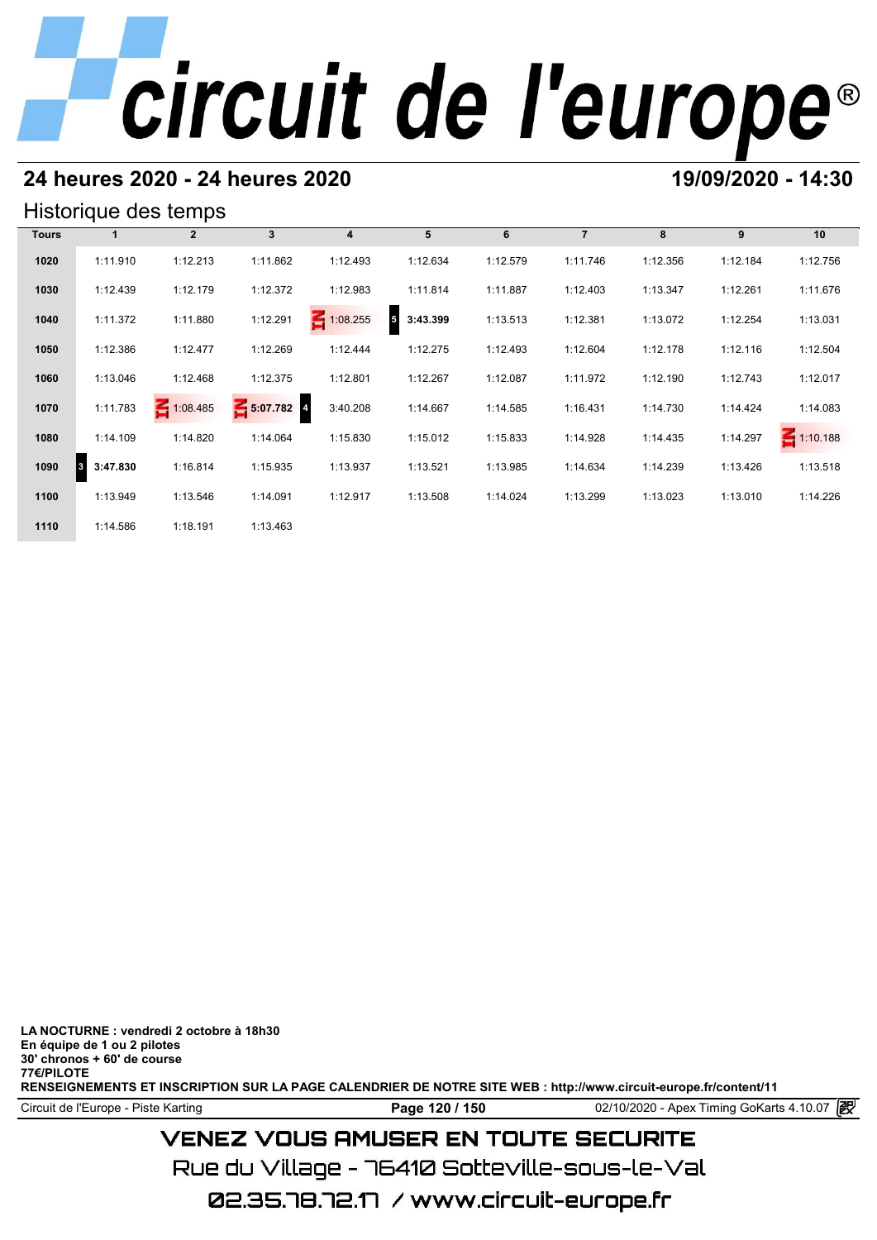# **24 heures 2020 - 24 heures 2020 19/09/2020 - 14:30**

## Historique des temps

|              |                      | Historique des temps |            |                 |               |          |                |          |          |                 |
|--------------|----------------------|----------------------|------------|-----------------|---------------|----------|----------------|----------|----------|-----------------|
| <b>Tours</b> |                      | $\mathbf{2}$         | 3          | 4               | 5             | 6        | $\overline{7}$ | 8        | 9        | 10              |
| 1020         | 1:11.910             | 1:12.213             | 1:11.862   | 1:12.493        | 1:12.634      | 1:12.579 | 1:11.746       | 1:12.356 | 1:12.184 | 1:12.756        |
| 1030         | 1:12.439             | 1:12.179             | 1:12.372   | 1:12.983        | 1:11.814      | 1:11.887 | 1:12.403       | 1:13.347 | 1:12.261 | 1:11.676        |
| 1040         | 1:11.372             | 1:11.880             | 1:12.291   | $\leq 1:08.255$ | 5<br>3:43.399 | 1:13.513 | 1:12.381       | 1:13.072 | 1:12.254 | 1:13.031        |
| 1050         | 1:12.386             | 1:12.477             | 1:12.269   | 1:12.444        | 1:12.275      | 1:12.493 | 1:12.604       | 1:12.178 | 1:12.116 | 1:12.504        |
| 1060         | 1:13.046             | 1:12.468             | 1:12.375   | 1:12.801        | 1:12.267      | 1:12.087 | 1:11.972       | 1:12.190 | 1:12.743 | 1:12.017        |
| 1070         | 1:11.783             | 1:08.485             | 5:07.782 4 | 3:40.208        | 1:14.667      | 1:14.585 | 1:16.431       | 1:14.730 | 1:14.424 | 1:14.083        |
| 1080         | 1:14.109             | 1:14.820             | 1:14.064   | 1:15.830        | 1:15.012      | 1:15.833 | 1:14.928       | 1:14.435 | 1:14.297 | $\leq 1:10.188$ |
| 1090         | 3:47.830<br><b>3</b> | 1:16.814             | 1:15.935   | 1:13.937        | 1:13.521      | 1:13.985 | 1:14.634       | 1:14.239 | 1:13.426 | 1:13.518        |
| 1100         | 1:13.949             | 1:13.546             | 1:14.091   | 1:12.917        | 1:13.508      | 1:14.024 | 1:13.299       | 1:13.023 | 1:13.010 | 1:14.226        |
| 1110         | 1:14.586             | 1:18.191             | 1:13.463   |                 |               |          |                |          |          |                 |

**LA NOCTURNE : vendredi 2 octobre à 18h30 En équipe de 1 ou 2 pilotes 30' chronos + 60' de course 77€/PILOTE RENSEIGNEMENTS ET INSCRIPTION SUR LA PAGE CALENDRIER DE NOTRE SITE WEB : http://www.circuit-europe.fr/content/11**

Circuit de l'Europe - Piste Karting **Page 120 / 150** 02/10/2020 - Apex Timing GoKarts 4.10.07

# **VENEZ VOUS AMUSER EN TOUTE SECURITE**

Rue du Village – 76410 Sotteville-sous-le-Val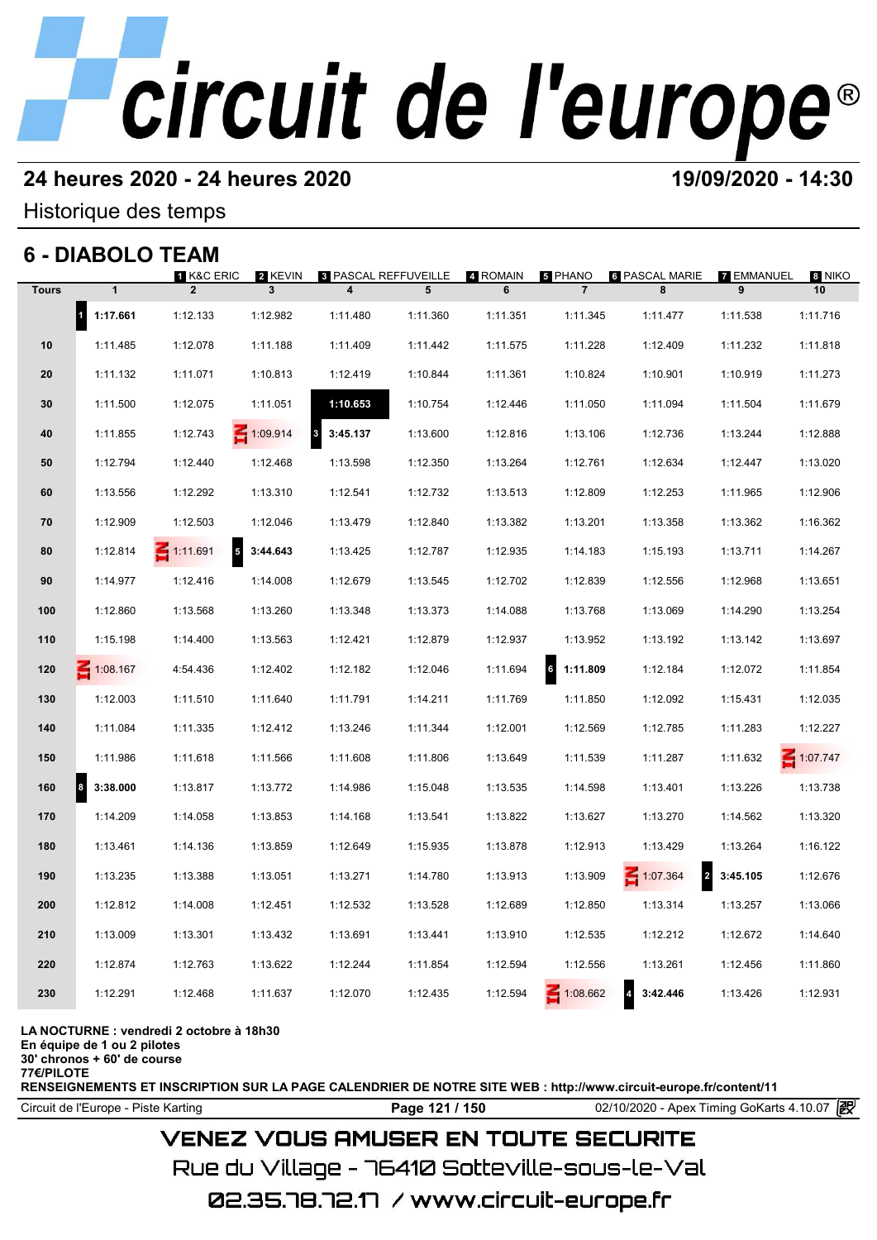# **24 heures 2020 - 24 heures 2020 19/09/2020 - 14:30**

Historique des temps

# **6 - DIABOLO TEAM**

|              | 6 - DIABOLO TEAM      |                              |                                    |                                  |          |               |                           |                                   |                 |              |
|--------------|-----------------------|------------------------------|------------------------------------|----------------------------------|----------|---------------|---------------------------|-----------------------------------|-----------------|--------------|
| <b>Tours</b> | $\mathbf{1}$          | 1 K&C ERIC<br>$\overline{2}$ | 2 KEVIN<br>$\overline{\mathbf{3}}$ | <b>8 PASCAL REFFUVEILLE</b><br>4 | 5        | 4 ROMAIN<br>6 | 5 PHANO<br>$\overline{7}$ | <b>6 PASCAL MARIE</b><br>8        | 7 EMMANUEL<br>9 | 8 NIKO<br>10 |
|              | $\vert$ 1<br>1:17.661 | 1:12.133                     | 1:12.982                           | 1:11.480                         | 1:11.360 | 1:11.351      | 1:11.345                  | 1:11.477                          | 1:11.538        | 1:11.716     |
| 10           | 1:11.485              | 1:12.078                     | 1:11.188                           | 1:11.409                         | 1:11.442 | 1:11.575      | 1:11.228                  | 1:12.409                          | 1:11.232        | 1:11.818     |
| 20           | 1:11.132              | 1:11.071                     | 1:10.813                           | 1:12.419                         | 1:10.844 | 1:11.361      | 1:10.824                  | 1:10.901                          | 1:10.919        | 1:11.273     |
| 30           | 1:11.500              | 1:12.075                     | 1:11.051                           | 1:10.653                         | 1:10.754 | 1:12.446      | 1:11.050                  | 1:11.094                          | 1:11.504        | 1:11.679     |
| 40           | 1:11.855              | 1:12.743                     | 1:09.914                           | 3:45.137<br>$\mathbf{3}$         | 1:13.600 | 1:12.816      | 1:13.106                  | 1:12.736                          | 1:13.244        | 1:12.888     |
| 50           | 1:12.794              | 1:12.440                     | 1:12.468                           | 1:13.598                         | 1:12.350 | 1:13.264      | 1:12.761                  | 1:12.634                          | 1:12.447        | 1:13.020     |
| 60           | 1:13.556              | 1:12.292                     | 1:13.310                           | 1:12.541                         | 1:12.732 | 1:13.513      | 1:12.809                  | 1:12.253                          | 1:11.965        | 1:12.906     |
| 70           | 1:12.909              | 1:12.503                     | 1:12.046                           | 1:13.479                         | 1:12.840 | 1:13.382      | 1:13.201                  | 1:13.358                          | 1:13.362        | 1:16.362     |
| 80           | 1:12.814              | $\leq 1:11.691$<br>${\bf 5}$ | 3:44.643                           | 1:13.425                         | 1:12.787 | 1:12.935      | 1:14.183                  | 1:15.193                          | 1:13.711        | 1:14.267     |
| 90           | 1:14.977              | 1:12.416                     | 1:14.008                           | 1:12.679                         | 1:13.545 | 1:12.702      | 1:12.839                  | 1:12.556                          | 1:12.968        | 1:13.651     |
| 100          | 1:12.860              | 1:13.568                     | 1:13.260                           | 1:13.348                         | 1:13.373 | 1:14.088      | 1:13.768                  | 1:13.069                          | 1:14.290        | 1:13.254     |
| 110          | 1:15.198              | 1:14.400                     | 1:13.563                           | 1:12.421                         | 1:12.879 | 1:12.937      | 1:13.952                  | 1:13.192                          | 1:13.142        | 1:13.697     |
| 120          | 1:08.167              | 4:54.436                     | 1:12.402                           | 1:12.182                         | 1:12.046 | 1:11.694      | 6<br>1:11.809             | 1:12.184                          | 1:12.072        | 1:11.854     |
| 130          | 1:12.003              | 1:11.510                     | 1:11.640                           | 1:11.791                         | 1:14.211 | 1:11.769      | 1:11.850                  | 1:12.092                          | 1:15.431        | 1:12.035     |
| 140          | 1:11.084              | 1:11.335                     | 1:12.412                           | 1:13.246                         | 1:11.344 | 1:12.001      | 1:12.569                  | 1:12.785                          | 1:11.283        | 1:12.227     |
| 150          | 1:11.986              | 1:11.618                     | 1:11.566                           | 1:11.608                         | 1:11.806 | 1:13.649      | 1:11.539                  | 1:11.287                          | 1:11.632        | $-1:07.747$  |
| 160          | 8<br>3:38.000         | 1:13.817                     | 1:13.772                           | 1:14.986                         | 1:15.048 | 1:13.535      | 1:14.598                  | 1:13.401                          | 1:13.226        | 1:13.738     |
| 170          | 1:14.209              | 1:14.058                     | 1:13.853                           | 1:14.168                         | 1:13.541 | 1:13.822      | 1:13.627                  | 1:13.270                          | 1:14.562        | 1:13.320     |
| 180          | 1:13.461              | 1:14.136                     | 1:13.859                           | 1:12.649                         | 1:15.935 | 1:13.878      | 1:12.913                  | 1:13.429                          | 1:13.264        | 1:16.122     |
| 190          | 1:13.235              | 1:13.388                     | 1:13.051                           | 1:13.271                         | 1:14.780 | 1:13.913      | 1:13.909                  | $\overline{a}$<br>$\leq 1:07.364$ | 3:45.105        | 1:12.676     |
| 200          | 1:12.812              | 1:14.008                     | 1:12.451                           | 1:12.532                         | 1:13.528 | 1:12.689      | 1:12.850                  | 1:13.314                          | 1:13.257        | 1:13.066     |
| 210          | 1:13.009              | 1:13.301                     | 1:13.432                           | 1:13.691                         | 1:13.441 | 1:13.910      | 1:12.535                  | 1:12.212                          | 1:12.672        | 1:14.640     |
| 220          | 1:12.874              | 1:12.763                     | 1:13.622                           | 1:12.244                         | 1:11.854 | 1:12.594      | 1:12.556                  | 1:13.261                          | 1:12.456        | 1:11.860     |
| 230          | 1:12.291              | 1:12.468                     | 1:11.637                           | 1:12.070                         | 1:12.435 | 1:12.594      | 1:08.662                  | 3:42.446                          | 1:13.426        | 1:12.931     |
|              |                       |                              |                                    |                                  |          |               |                           |                                   |                 |              |

**LA NOCTURNE : vendredi 2 octobre à 18h30**

**En équipe de 1 ou 2 pilotes**

**30' chronos + 60' de course 77€/PILOTE**

**RENSEIGNEMENTS ET INSCRIPTION SUR LA PAGE CALENDRIER DE NOTRE SITE WEB : http://www.circuit-europe.fr/content/11**

Circuit de l'Europe - Piste Karting **Page 121 / 150** 02/10/2020 - Apex Timing GoKarts 4.10.07

# **VENEZ VOUS AMUSER EN TOUTE SECURITE**

Rue du Village – 76410 Sotteville-sous-le-Val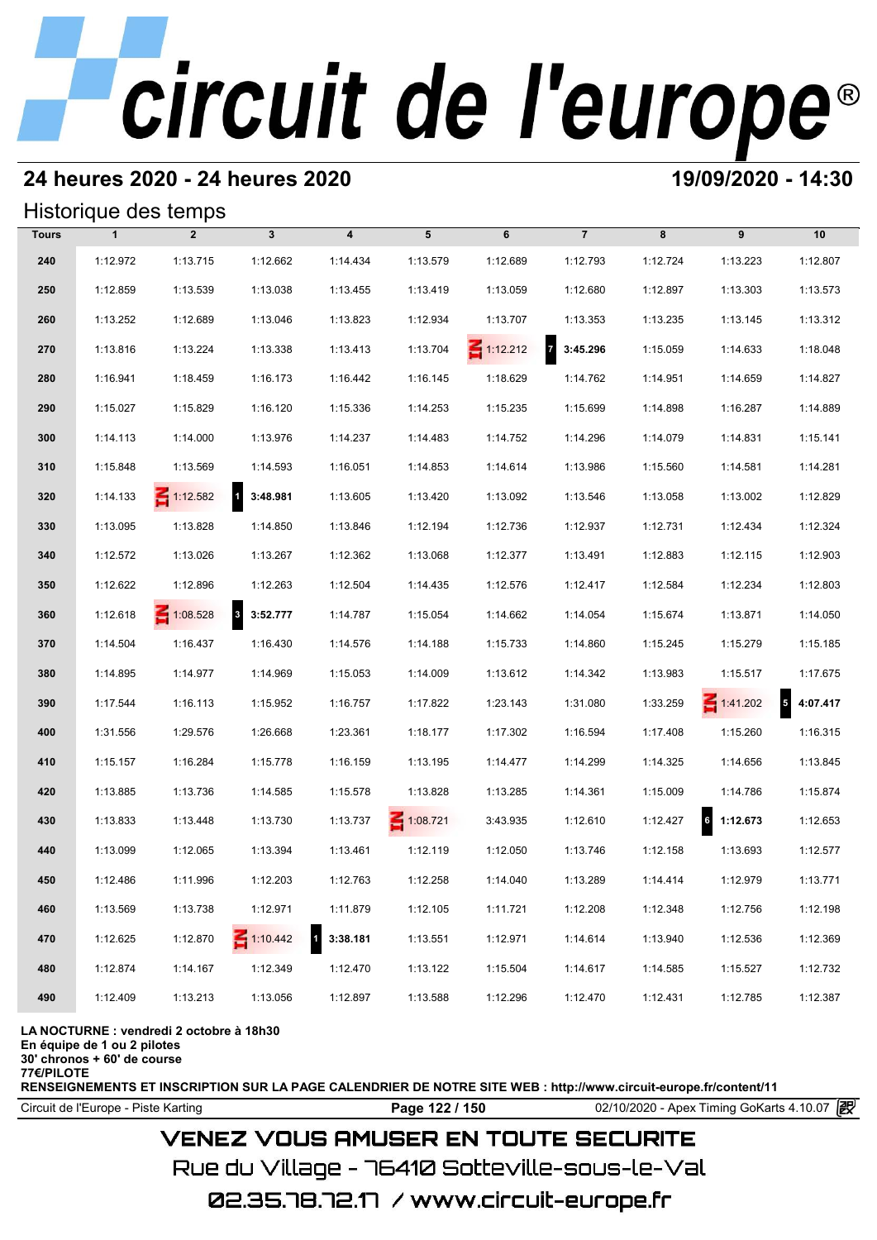# **24 heures 2020 - 24 heures 2020 19/09/2020 - 14:30**

## Historique des temps

|              |              | Historique des temps |                 |                         |                 |                 |                   |          |                             |           |
|--------------|--------------|----------------------|-----------------|-------------------------|-----------------|-----------------|-------------------|----------|-----------------------------|-----------|
| <b>Tours</b> | $\mathbf{1}$ | $\overline{2}$       | $\mathbf{3}$    | $\overline{\mathbf{4}}$ | 5               | 6               | $\overline{7}$    | 8        | 9                           | 10        |
| 240          | 1:12.972     | 1:13.715             | 1:12.662        | 1:14.434                | 1:13.579        | 1:12.689        | 1:12.793          | 1:12.724 | 1:13.223                    | 1:12.807  |
| 250          | 1:12.859     | 1:13.539             | 1:13.038        | 1:13.455                | 1:13.419        | 1:13.059        | 1:12.680          | 1:12.897 | 1:13.303                    | 1:13.573  |
| 260          | 1:13.252     | 1:12.689             | 1:13.046        | 1:13.823                | 1:12.934        | 1:13.707        | 1:13.353          | 1:13.235 | 1:13.145                    | 1:13.312  |
| 270          | 1:13.816     | 1:13.224             | 1:13.338        | 1:13.413                | 1:13.704        | $\leq 1:12.212$ | $7\quad 3:45.296$ | 1:15.059 | 1:14.633                    | 1:18.048  |
| 280          | 1:16.941     | 1:18.459             | 1:16.173        | 1:16.442                | 1:16.145        | 1:18.629        | 1:14.762          | 1:14.951 | 1:14.659                    | 1:14.827  |
| 290          | 1:15.027     | 1:15.829             | 1:16.120        | 1:15.336                | 1:14.253        | 1:15.235        | 1:15.699          | 1:14.898 | 1:16.287                    | 1:14.889  |
| 300          | 1:14.113     | 1:14.000             | 1:13.976        | 1:14.237                | 1:14.483        | 1:14.752        | 1:14.296          | 1:14.079 | 1:14.831                    | 1:15.141  |
| 310          | 1:15.848     | 1:13.569             | 1:14.593        | 1:16.051                | 1:14.853        | 1:14.614        | 1:13.986          | 1:15.560 | 1:14.581                    | 1:14.281  |
| 320          | 1:14.133     | $\leq 1:12.582$      | 1 3:48.981      | 1:13.605                | 1:13.420        | 1:13.092        | 1:13.546          | 1:13.058 | 1:13.002                    | 1:12.829  |
| 330          | 1:13.095     | 1:13.828             | 1:14.850        | 1:13.846                | 1:12.194        | 1:12.736        | 1:12.937          | 1:12.731 | 1:12.434                    | 1:12.324  |
| 340          | 1:12.572     | 1:13.026             | 1:13.267        | 1:12.362                | 1:13.068        | 1:12.377        | 1:13.491          | 1:12.883 | 1:12.115                    | 1:12.903  |
| 350          | 1:12.622     | 1:12.896             | 1:12.263        | 1:12.504                | 1:14.435        | 1:12.576        | 1:12.417          | 1:12.584 | 1:12.234                    | 1:12.803  |
| 360          | 1:12.618     | $\leq 1:08.528$      | $8$ 3:52.777    | 1:14.787                | 1:15.054        | 1:14.662        | 1:14.054          | 1:15.674 | 1:13.871                    | 1:14.050  |
| 370          | 1:14.504     | 1:16.437             | 1:16.430        | 1:14.576                | 1:14.188        | 1:15.733        | 1:14.860          | 1:15.245 | 1:15.279                    | 1:15.185  |
| 380          | 1:14.895     | 1:14.977             | 1:14.969        | 1:15.053                | 1:14.009        | 1:13.612        | 1:14.342          | 1:13.983 | 1:15.517                    | 1:17.675  |
| 390          | 1:17.544     | 1:16.113             | 1:15.952        | 1:16.757                | 1:17.822        | 1:23.143        | 1:31.080          | 1:33.259 | $\leq 1:41.202$             | 54:07.417 |
| 400          | 1:31.556     | 1:29.576             | 1:26.668        | 1:23.361                | 1:18.177        | 1:17.302        | 1:16.594          | 1:17.408 | 1:15.260                    | 1:16.315  |
| 410          | 1:15.157     | 1:16.284             | 1:15.778        | 1:16.159                | 1:13.195        | 1:14.477        | 1:14.299          | 1:14.325 | 1:14.656                    | 1:13.845  |
| 420          | 1:13.885     | 1:13.736             | 1:14.585        | 1:15.578                | 1:13.828        | 1:13.285        | 1:14.361          | 1:15.009 | 1:14.786                    | 1:15.874  |
| 430          | 1:13.833     | 1:13.448             | 1:13.730        | 1:13.737                | $\leq 1:08.721$ | 3:43.935        | 1:12.610          | 1:12.427 | $6\overline{6}$<br>1:12.673 | 1:12.653  |
| 440          | 1:13.099     | 1:12.065             | 1:13.394        | 1:13.461                | 1:12.119        | 1:12.050        | 1:13.746          | 1:12.158 | 1:13.693                    | 1:12.577  |
| 450          | 1:12.486     | 1:11.996             | 1:12.203        | 1:12.763                | 1:12.258        | 1:14.040        | 1:13.289          | 1:14.414 | 1:12.979                    | 1:13.771  |
| 460          | 1:13.569     | 1:13.738             | 1:12.971        | 1:11.879                | 1:12.105        | 1:11.721        | 1:12.208          | 1:12.348 | 1:12.756                    | 1:12.198  |
| 470          | 1:12.625     | 1:12.870             | $\leq 1:10.442$ | 3:38.181                | 1:13.551        | 1:12.971        | 1:14.614          | 1:13.940 | 1:12.536                    | 1:12.369  |
| 480          | 1:12.874     | 1:14.167             | 1:12.349        | 1:12.470                | 1:13.122        | 1:15.504        | 1:14.617          | 1:14.585 | 1:15.527                    | 1:12.732  |
| 490          | 1:12.409     | 1:13.213             | 1:13.056        | 1:12.897                | 1:13.588        | 1:12.296        | 1:12.470          | 1:12.431 | 1:12.785                    | 1:12.387  |

### **LA NOCTURNE : vendredi 2 octobre à 18h30**

**En équipe de 1 ou 2 pilotes**

**30' chronos + 60' de course**

**77€/PILOTE**

**RENSEIGNEMENTS ET INSCRIPTION SUR LA PAGE CALENDRIER DE NOTRE SITE WEB : http://www.circuit-europe.fr/content/11**

Circuit de l'Europe - Piste Karting **Page 122 / 150** 02/10/2020 - Apex Timing GoKarts 4.10.07

# **VENEZ VOUS AMUSER EN TOUTE SECURITE**

Rue du Village – 76410 Sotteville-sous-le-Val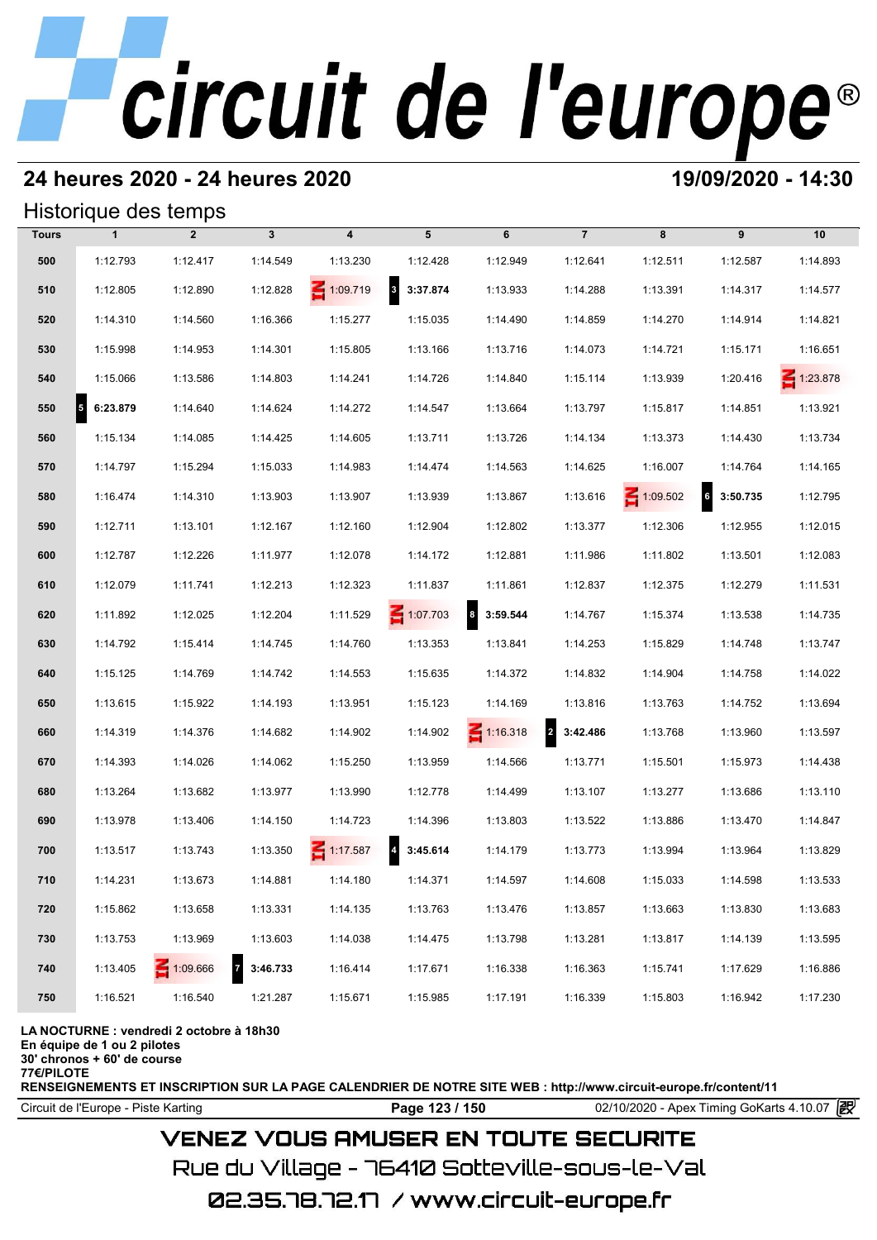# **24 heures 2020 - 24 heures 2020 19/09/2020 - 14:30**

## Historique des temps

|              |               | Historique des temps |              |                         |                                     |                              |                            |                 |                                      |                 |
|--------------|---------------|----------------------|--------------|-------------------------|-------------------------------------|------------------------------|----------------------------|-----------------|--------------------------------------|-----------------|
| <b>Tours</b> | $\mathbf{1}$  | $\overline{2}$       | $\mathbf{3}$ | $\overline{\mathbf{4}}$ | 5                                   | 6                            | $\overline{7}$             | 8               | 9                                    | 10              |
| 500          | 1:12.793      | 1:12.417             | 1:14.549     | 1:13.230                | 1:12.428                            | 1:12.949                     | 1:12.641                   | 1:12.511        | 1:12.587                             | 1:14.893        |
| 510          | 1:12.805      | 1:12.890             | 1:12.828     | $\leq 1:09.719$         | $\overline{\mathbf{3}}$<br>3:37.874 | 1:13.933                     | 1:14.288                   | 1:13.391        | 1:14.317                             | 1:14.577        |
| 520          | 1:14.310      | 1:14.560             | 1:16.366     | 1:15.277                | 1:15.035                            | 1:14.490                     | 1:14.859                   | 1:14.270        | 1:14.914                             | 1:14.821        |
| 530          | 1:15.998      | 1:14.953             | 1:14.301     | 1:15.805                | 1:13.166                            | 1:13.716                     | 1:14.073                   | 1:14.721        | 1:15.171                             | 1:16.651        |
| 540          | 1:15.066      | 1:13.586             | 1:14.803     | 1:14.241                | 1:14.726                            | 1:14.840                     | 1:15.114                   | 1:13.939        | 1:20.416                             | $\leq 1:23.878$ |
| 550          | 6:23.879<br>5 | 1:14.640             | 1:14.624     | 1:14.272                | 1:14.547                            | 1:13.664                     | 1:13.797                   | 1:15.817        | 1:14.851                             | 1:13.921        |
| 560          | 1:15.134      | 1:14.085             | 1:14.425     | 1:14.605                | 1:13.711                            | 1:13.726                     | 1:14.134                   | 1:13.373        | 1:14.430                             | 1:13.734        |
| 570          | 1:14.797      | 1:15.294             | 1:15.033     | 1:14.983                | 1:14.474                            | 1:14.563                     | 1:14.625                   | 1:16.007        | 1:14.764                             | 1:14.165        |
| 580          | 1:16.474      | 1:14.310             | 1:13.903     | 1:13.907                | 1:13.939                            | 1:13.867                     | 1:13.616                   | $\leq 1:09.502$ | $\overline{\phantom{a}}$<br>3:50.735 | 1:12.795        |
| 590          | 1:12.711      | 1:13.101             | 1:12.167     | 1:12.160                | 1:12.904                            | 1:12.802                     | 1:13.377                   | 1:12.306        | 1:12.955                             | 1:12.015        |
| 600          | 1:12.787      | 1:12.226             | 1:11.977     | 1:12.078                | 1:14.172                            | 1:12.881                     | 1:11.986                   | 1:11.802        | 1:13.501                             | 1:12.083        |
| 610          | 1:12.079      | 1:11.741             | 1:12.213     | 1:12.323                | 1:11.837                            | 1:11.861                     | 1:12.837                   | 1:12.375        | 1:12.279                             | 1:11.531        |
| 620          | 1:11.892      | 1:12.025             | 1:12.204     | 1:11.529                | $\leq 1:07.703$                     | $\boldsymbol{8}$<br>3:59.544 | 1:14.767                   | 1:15.374        | 1:13.538                             | 1:14.735        |
| 630          | 1:14.792      | 1:15.414             | 1:14.745     | 1:14.760                | 1:13.353                            | 1:13.841                     | 1:14.253                   | 1:15.829        | 1:14.748                             | 1:13.747        |
| 640          | 1:15.125      | 1:14.769             | 1:14.742     | 1:14.553                | 1:15.635                            | 1:14.372                     | 1:14.832                   | 1:14.904        | 1:14.758                             | 1:14.022        |
| 650          | 1:13.615      | 1:15.922             | 1:14.193     | 1:13.951                | 1:15.123                            | 1:14.169                     | 1:13.816                   | 1:13.763        | 1:14.752                             | 1:13.694        |
| 660          | 1:14.319      | 1:14.376             | 1:14.682     | 1:14.902                | 1:14.902                            | $\leq 1:16.318$              | $\overline{2}$<br>3:42.486 | 1:13.768        | 1:13.960                             | 1:13.597        |
| 670          | 1:14.393      | 1:14.026             | 1:14.062     | 1:15.250                | 1:13.959                            | 1:14.566                     | 1:13.771                   | 1:15.501        | 1:15.973                             | 1:14.438        |
| 680          | 1:13.264      | 1:13.682             | 1:13.977     | 1:13.990                | 1:12.778                            | 1:14.499                     | 1:13.107                   | 1:13.277        | 1:13.686                             | 1:13.110        |
| 690          | 1:13.978      | 1:13.406             | 1:14.150     | 1:14.723                | 1:14.396                            | 1:13.803                     | 1:13.522                   | 1:13.886        | 1:13.470                             | 1:14.847        |
| 700          | 1:13.517      | 1:13.743             | 1:13.350     | $\leq 1:17.587$         | 3:45.614                            | 1:14.179                     | 1:13.773                   | 1:13.994        | 1:13.964                             | 1:13.829        |
| 710          | 1:14.231      | 1:13.673             | 1:14.881     | 1:14.180                | 1:14.371                            | 1:14.597                     | 1:14.608                   | 1:15.033        | 1:14.598                             | 1:13.533        |
| 720          | 1:15.862      | 1:13.658             | 1:13.331     | 1:14.135                | 1:13.763                            | 1:13.476                     | 1:13.857                   | 1:13.663        | 1:13.830                             | 1:13.683        |
| 730          | 1:13.753      | 1:13.969             | 1:13.603     | 1:14.038                | 1:14.475                            | 1:13.798                     | 1:13.281                   | 1:13.817        | 1:14.139                             | 1:13.595        |
| 740          | 1:13.405      | 1:09.666             | 7 3:46.733   | 1:16.414                | 1:17.671                            | 1:16.338                     | 1:16.363                   | 1:15.741        | 1:17.629                             | 1:16.886        |
| 750          | 1:16.521      | 1:16.540             | 1:21.287     | 1:15.671                | 1:15.985                            | 1:17.191                     | 1:16.339                   | 1:15.803        | 1:16.942                             | 1:17.230        |

### **LA NOCTURNE : vendredi 2 octobre à 18h30**

**En équipe de 1 ou 2 pilotes**

**30' chronos + 60' de course 77€/PILOTE**

**RENSEIGNEMENTS ET INSCRIPTION SUR LA PAGE CALENDRIER DE NOTRE SITE WEB : http://www.circuit-europe.fr/content/11**

Circuit de l'Europe - Piste Karting **Page 123 / 150** 02/10/2020 - Apex Timing GoKarts 4.10.07

# **VENEZ VOUS AMUSER EN TOUTE SECURITE**

Rue du Village – 76410 Sotteville-sous-le-Val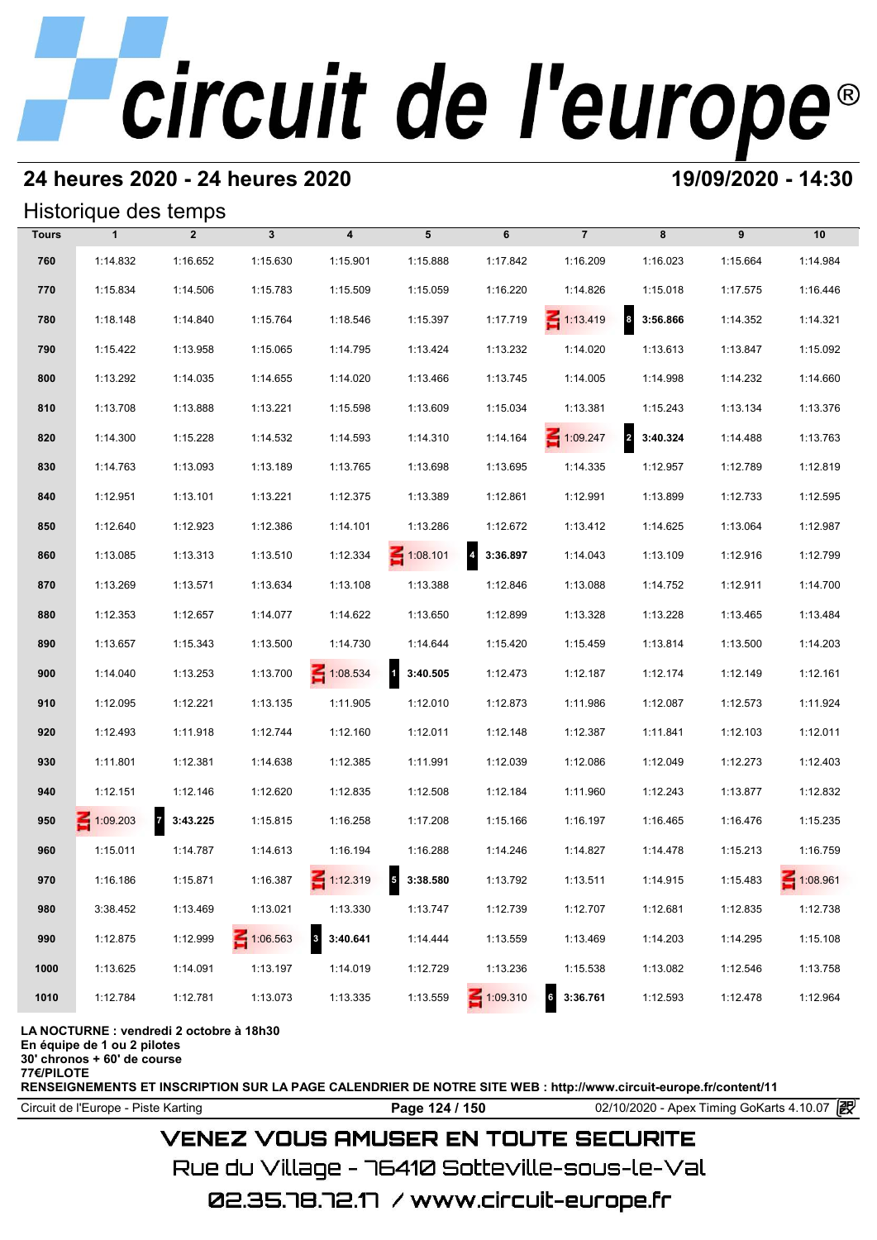# **24 heures 2020 - 24 heures 2020 19/09/2020 - 14:30**

## Historique des temps

|              | Historique des temps                        |                            |              |                                     |                          |                                     |                     |                              |          |                 |
|--------------|---------------------------------------------|----------------------------|--------------|-------------------------------------|--------------------------|-------------------------------------|---------------------|------------------------------|----------|-----------------|
| <b>Tours</b> | $\mathbf{1}$                                | $\overline{2}$             | $\mathbf{3}$ | $\boldsymbol{4}$                    | 5                        | 6                                   | $\overline{7}$      | 8                            | 9        | 10              |
| 760          | 1:14.832                                    | 1:16.652                   | 1:15.630     | 1:15.901                            | 1:15.888                 | 1:17.842                            | 1:16.209            | 1:16.023                     | 1:15.664 | 1:14.984        |
| 770          | 1:15.834                                    | 1:14.506                   | 1:15.783     | 1:15.509                            | 1:15.059                 | 1:16.220                            | 1:14.826            | 1:15.018                     | 1:17.575 | 1:16.446        |
| 780          | 1:18.148                                    | 1:14.840                   | 1:15.764     | 1:18.546                            | 1:15.397                 | 1:17.719                            | $\leq 1:13.419$     | $\boldsymbol{8}$<br>3:56.866 | 1:14.352 | 1:14.321        |
| 790          | 1:15.422                                    | 1:13.958                   | 1:15.065     | 1:14.795                            | 1:13.424                 | 1:13.232                            | 1:14.020            | 1:13.613                     | 1:13.847 | 1:15.092        |
| 800          | 1:13.292                                    | 1:14.035                   | 1:14.655     | 1:14.020                            | 1:13.466                 | 1:13.745                            | 1:14.005            | 1:14.998                     | 1:14.232 | 1:14.660        |
| 810          | 1:13.708                                    | 1:13.888                   | 1:13.221     | 1:15.598                            | 1:13.609                 | 1:15.034                            | 1:13.381            | 1:15.243                     | 1:13.134 | 1:13.376        |
| 820          | 1:14.300                                    | 1:15.228                   | 1:14.532     | 1:14.593                            | 1:14.310                 | 1:14.164                            | $\leq 1:09.247$     | 2 3:40.324                   | 1:14.488 | 1:13.763        |
| 830          | 1:14.763                                    | 1:13.093                   | 1:13.189     | 1:13.765                            | 1:13.698                 | 1:13.695                            | 1:14.335            | 1:12.957                     | 1:12.789 | 1:12.819        |
| 840          | 1:12.951                                    | 1:13.101                   | 1:13.221     | 1:12.375                            | 1:13.389                 | 1:12.861                            | 1:12.991            | 1:13.899                     | 1:12.733 | 1:12.595        |
| 850          | 1:12.640                                    | 1:12.923                   | 1:12.386     | 1:14.101                            | 1:13.286                 | 1:12.672                            | 1:13.412            | 1:14.625                     | 1:13.064 | 1:12.987        |
| 860          | 1:13.085                                    | 1:13.313                   | 1:13.510     | 1:12.334                            | $\leq 1:08.101$          | $\overline{\mathbf{4}}$<br>3:36.897 | 1:14.043            | 1:13.109                     | 1:12.916 | 1:12.799        |
| 870          | 1:13.269                                    | 1:13.571                   | 1:13.634     | 1:13.108                            | 1:13.388                 | 1:12.846                            | 1:13.088            | 1:14.752                     | 1:12.911 | 1:14.700        |
| 880          | 1:12.353                                    | 1:12.657                   | 1:14.077     | 1:14.622                            | 1:13.650                 | 1:12.899                            | 1:13.328            | 1:13.228                     | 1:13.465 | 1:13.484        |
| 890          | 1:13.657                                    | 1:15.343                   | 1:13.500     | 1:14.730                            | 1:14.644                 | 1:15.420                            | 1:15.459            | 1:13.814                     | 1:13.500 | 1:14.203        |
| 900          | 1:14.040                                    | 1:13.253                   | 1:13.700     | $\leq 1:08.534$                     | $\mathbf{1}$<br>3:40.505 | 1:12.473                            | 1:12.187            | 1:12.174                     | 1:12.149 | 1:12.161        |
| 910          | 1:12.095                                    | 1:12.221                   | 1:13.135     | 1:11.905                            | 1:12.010                 | 1:12.873                            | 1:11.986            | 1:12.087                     | 1:12.573 | 1:11.924        |
| 920          | 1:12.493                                    | 1:11.918                   | 1:12.744     | 1:12.160                            | 1:12.011                 | 1:12.148                            | 1:12.387            | 1:11.841                     | 1:12.103 | 1:12.011        |
| 930          | 1:11.801                                    | 1:12.381                   | 1:14.638     | 1:12.385                            | 1:11.991                 | 1:12.039                            | 1:12.086            | 1:12.049                     | 1:12.273 | 1:12.403        |
| 940          | 1:12.151                                    | 1:12.146                   | 1:12.620     | 1:12.835                            | 1:12.508                 | 1:12.184                            | 1:11.960            | 1:12.243                     | 1:13.877 | 1:12.832        |
| 950          | $\leq 1:09.203$                             | $\overline{7}$<br>3:43.225 | 1:15.815     | 1:16.258                            | 1:17.208                 | 1:15.166                            | 1:16.197            | 1:16.465                     | 1:16.476 | 1:15.235        |
| 960          | 1:15.011                                    | 1:14.787                   | 1:14.613     | 1:16.194                            | 1:16.288                 | 1:14.246                            | 1:14.827            | 1:14.478                     | 1:15.213 | 1:16.759        |
| 970          | 1:16.186                                    | 1:15.871                   | 1:16.387     | $\leq 1:12.319$                     | 3:38.580<br>5            | 1:13.792                            | 1:13.511            | 1:14.915                     | 1:15.483 | $\leq 1:08.961$ |
| 980          | 3:38.452                                    | 1:13.469                   | 1:13.021     | 1:13.330                            | 1:13.747                 | 1:12.739                            | 1:12.707            | 1:12.681                     | 1:12.835 | 1:12.738        |
| 990          | 1:12.875                                    | 1:12.999                   | 1:06.563     | $\overline{\mathbf{3}}$<br>3:40.641 | 1:14.444                 | 1:13.559                            | 1:13.469            | 1:14.203                     | 1:14.295 | 1:15.108        |
| 1000         | 1:13.625                                    | 1:14.091                   | 1:13.197     | 1:14.019                            | 1:12.729                 | 1:13.236                            | 1:15.538            | 1:13.082                     | 1:12.546 | 1:13.758        |
| 1010         | 1:12.784                                    | 1:12.781                   | 1:13.073     | 1:13.335                            | 1:13.559                 | $\leq 1:09.310$                     | 3:36.761<br>$\bf 6$ | 1:12.593                     | 1:12.478 | 1:12.964        |
|              | I A NOCTURNE : vendredi 2 octobre à 18b30 . |                            |              |                                     |                          |                                     |                     |                              |          |                 |

**L**ore a 18h30

**En équipe de 1 ou 2 pilotes**

**30' chronos + 60' de course 77€/PILOTE**

**RENSEIGNEMENTS ET INSCRIPTION SUR LA PAGE CALENDRIER DE NOTRE SITE WEB : http://www.circuit-europe.fr/content/11**

Circuit de l'Europe - Piste Karting **Page 124 / 150** 02/10/2020 - Apex Timing GoKarts 4.10.07 **段** 

# **VENEZ VOUS AMUSER EN TOUTE SECURITE**

Rue du Village – 76410 Sotteville-sous-le-Val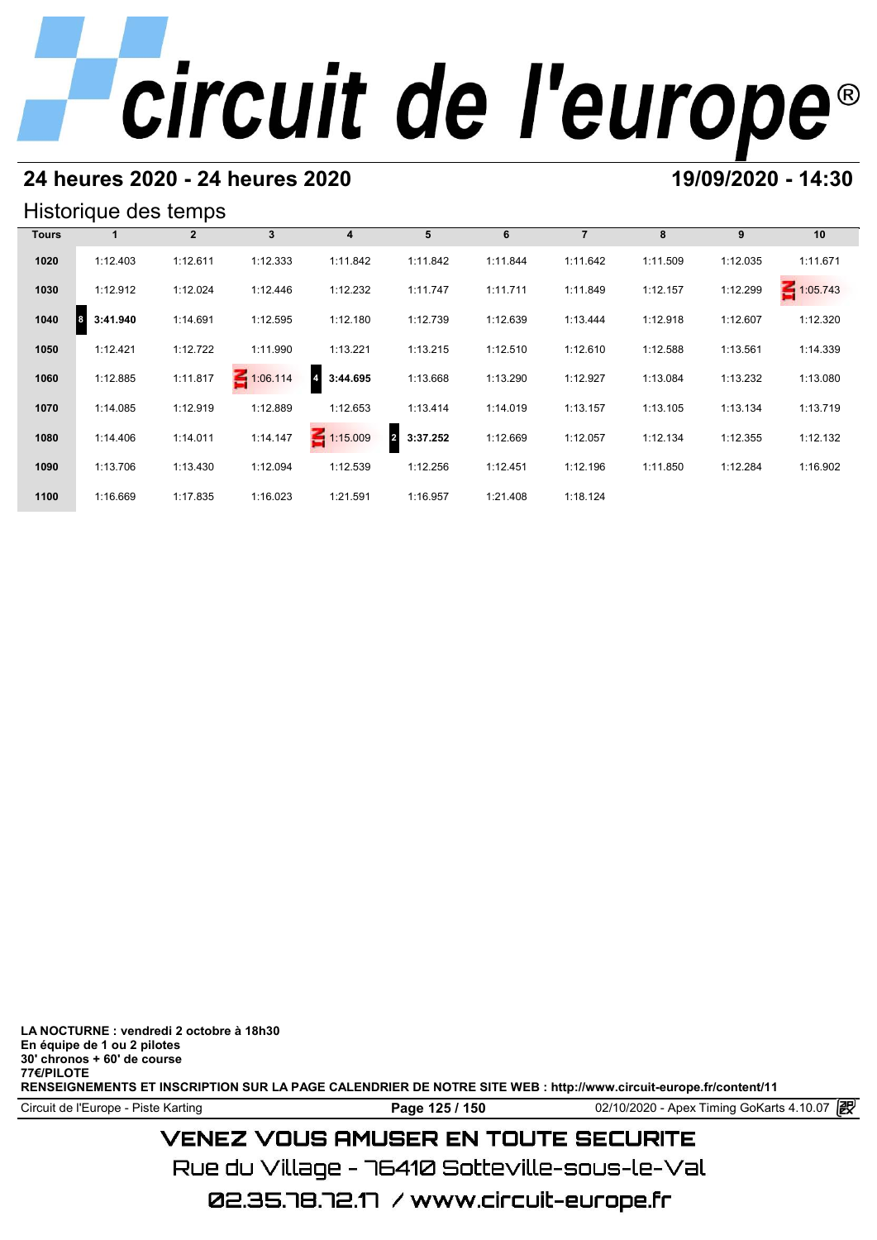# **24 heures 2020 - 24 heures 2020 19/09/2020 - 14:30**

## Historique des temps

|              | Historique des temps |                |                 |                 |                            |          |                |          |          |          |  |  |  |  |
|--------------|----------------------|----------------|-----------------|-----------------|----------------------------|----------|----------------|----------|----------|----------|--|--|--|--|
| <b>Tours</b> |                      | $\overline{2}$ | 3               | 4               | 5                          | 6        | $\overline{7}$ | 8        | 9        | 10       |  |  |  |  |
| 1020         | 1:12.403             | 1:12.611       | 1:12.333        | 1:11.842        | 1:11.842                   | 1:11.844 | 1:11.642       | 1:11.509 | 1:12.035 | 1:11.671 |  |  |  |  |
| 1030         | 1:12.912             | 1:12.024       | 1:12.446        | 1:12.232        | 1:11.747                   | 1:11.711 | 1:11.849       | 1:12.157 | 1:12.299 | 1:05.743 |  |  |  |  |
| 1040         | 3:41.940<br>8        | 1:14.691       | 1:12.595        | 1:12.180        | 1:12.739                   | 1:12.639 | 1:13.444       | 1:12.918 | 1:12.607 | 1:12.320 |  |  |  |  |
| 1050         | 1:12.421             | 1:12.722       | 1:11.990        | 1:13.221        | 1:13.215                   | 1:12.510 | 1:12.610       | 1:12.588 | 1:13.561 | 1:14.339 |  |  |  |  |
| 1060         | 1:12.885             | 1:11.817       | $\leq 1:06.114$ | 3:44.695        | 1:13.668                   | 1:13.290 | 1:12.927       | 1:13.084 | 1:13.232 | 1:13.080 |  |  |  |  |
| 1070         | 1:14.085             | 1:12.919       | 1:12.889        | 1:12.653        | 1:13.414                   | 1:14.019 | 1:13.157       | 1:13.105 | 1:13.134 | 1:13.719 |  |  |  |  |
| 1080         | 1:14.406             | 1:14.011       | 1:14.147        | $\leq 1:15.009$ | $\overline{2}$<br>3:37.252 | 1:12.669 | 1:12.057       | 1:12.134 | 1:12.355 | 1:12.132 |  |  |  |  |
| 1090         | 1:13.706             | 1:13.430       | 1:12.094        | 1:12.539        | 1:12.256                   | 1:12.451 | 1:12.196       | 1:11.850 | 1:12.284 | 1:16.902 |  |  |  |  |
| 1100         | 1:16.669             | 1:17.835       | 1:16.023        | 1:21.591        | 1:16.957                   | 1:21.408 | 1:18.124       |          |          |          |  |  |  |  |

**LA NOCTURNE : vendredi 2 octobre à 18h30 En équipe de 1 ou 2 pilotes 30' chronos + 60' de course 77€/PILOTE RENSEIGNEMENTS ET INSCRIPTION SUR LA PAGE CALENDRIER DE NOTRE SITE WEB : http://www.circuit-europe.fr/content/11**

Circuit de l'Europe - Piste Karting **Page 125 / 150 Page 125 / 150** 02/10/2020 - Apex Timing GoKarts 4.10.07

# **VENEZ VOUS AMUSER EN TOUTE SECURITE**

Rue du Village – 76410 Sotteville-sous-le-Val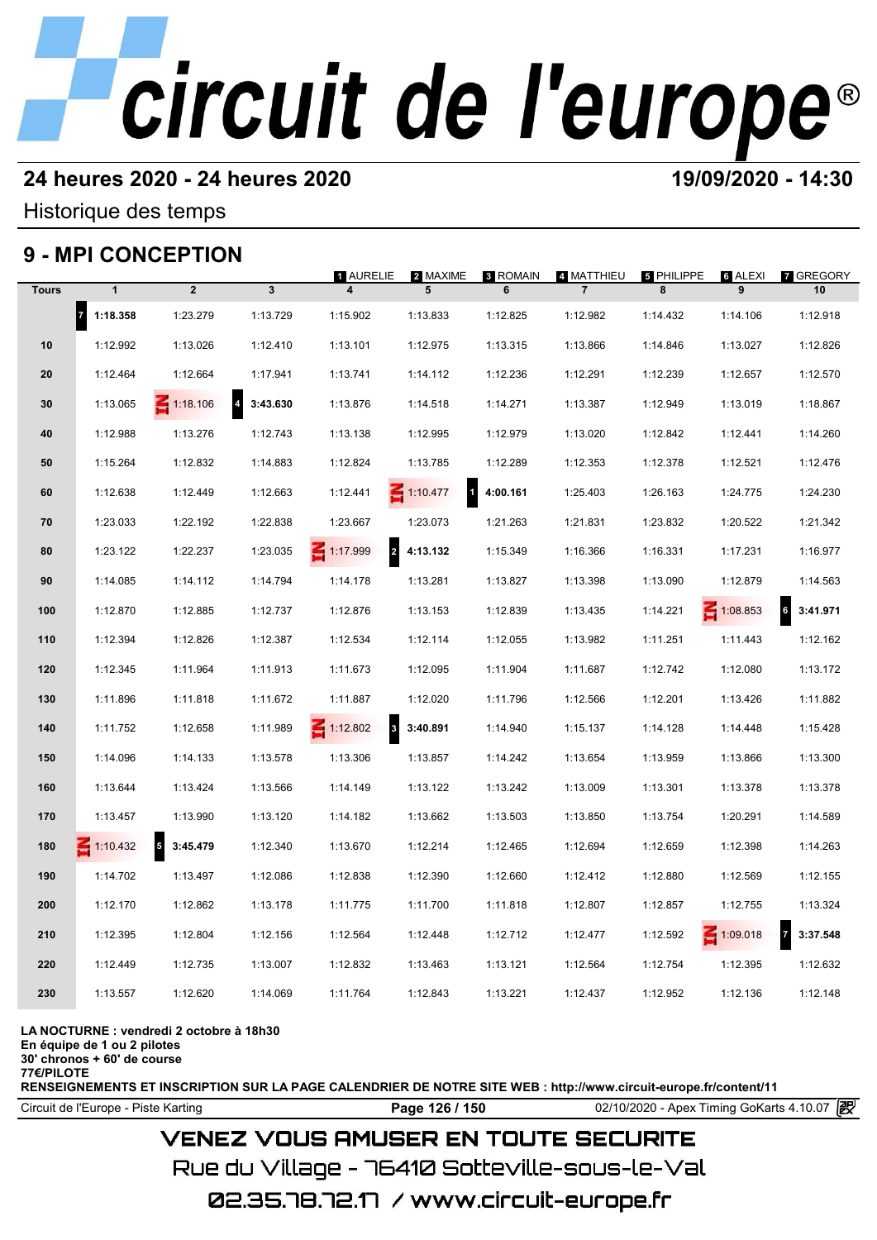# **24 heures 2020 - 24 heures 2020 19/09/2020 - 14:30**

Historique des temps

# **9 - MPI CONCEPTION**

|              |                       | 9 - MPI CONCEPTION                  |                            |                                        |                          |                      |                              |                        |                 |                            |
|--------------|-----------------------|-------------------------------------|----------------------------|----------------------------------------|--------------------------|----------------------|------------------------------|------------------------|-----------------|----------------------------|
| <b>Tours</b> | $\mathbf{1}$          | $\overline{2}$                      | $\overline{\mathbf{3}}$    | 1 AURELIE                              | 2 MAXIME<br>5            | <b>8 ROMAIN</b><br>6 | 4 MATTHIEU<br>$\overline{7}$ | <b>5 PHILIPPE</b><br>8 | ទ ALEXI<br>9    | <b>7 GREGORY</b><br>10     |
|              | $\vert$ 7<br>1:18.358 | 1:23.279                            | 1:13.729                   | 1:15.902                               | 1:13.833                 | 1:12.825             | 1:12.982                     | 1:14.432               | 1:14.106        | 1:12.918                   |
| 10           | 1:12.992              | 1:13.026                            | 1:12.410                   | 1:13.101                               | 1:12.975                 | 1:13.315             | 1:13.866                     | 1:14.846               | 1:13.027        | 1:12.826                   |
| 20           | 1:12.464              | 1:12.664                            | 1:17.941                   | 1:13.741                               | 1:14.112                 | 1:12.236             | 1:12.291                     | 1:12.239               | 1:12.657        | 1:12.570                   |
| 30           | 1:13.065              | $\leq 1:18.106$                     | 3:43.630<br>$\overline{4}$ | 1:13.876                               | 1:14.518                 | 1:14.271             | 1:13.387                     | 1:12.949               | 1:13.019        | 1:18.867                   |
| 40           | 1:12.988              | 1:13.276                            | 1:12.743                   | 1:13.138                               | 1:12.995                 | 1:12.979             | 1:13.020                     | 1:12.842               | 1:12.441        | 1:14.260                   |
| 50           | 1:15.264              | 1:12.832                            | 1:14.883                   | 1:12.824                               | 1:13.785                 | 1:12.289             | 1:12.353                     | 1:12.378               | 1:12.521        | 1:12.476                   |
| 60           | 1:12.638              | 1:12.449                            | 1:12.663                   | 1:12.441                               | 1:10.477<br>$\mathbf{1}$ | 4:00.161             | 1:25.403                     | 1:26.163               | 1:24.775        | 1:24.230                   |
| 70           | 1:23.033              | 1:22.192                            | 1:22.838                   | 1:23.667                               | 1:23.073                 | 1:21.263             | 1:21.831                     | 1:23.832               | 1:20.522        | 1:21.342                   |
| 80           | 1:23.122              | 1:22.237                            | 1:23.035                   | $\overline{\mathbf{c}}$<br>1:17.999    | 4:13.132                 | 1:15.349             | 1:16.366                     | 1:16.331               | 1:17.231        | 1:16.977                   |
| 90           | 1:14.085              | 1:14.112                            | 1:14.794                   | 1:14.178                               | 1:13.281                 | 1:13.827             | 1:13.398                     | 1:13.090               | 1:12.879        | 1:14.563                   |
| 100          | 1:12.870              | 1:12.885                            | 1:12.737                   | 1:12.876                               | 1:13.153                 | 1:12.839             | 1:13.435                     | 1:14.221               | $\leq 1:08.853$ | $6\phantom{a}$<br>3:41.971 |
| 110          | 1:12.394              | 1:12.826                            | 1:12.387                   | 1:12.534                               | 1:12.114                 | 1:12.055             | 1:13.982                     | 1:11.251               | 1:11.443        | 1:12.162                   |
| 120          | 1:12.345              | 1:11.964                            | 1:11.913                   | 1:11.673                               | 1:12.095                 | 1:11.904             | 1:11.687                     | 1:12.742               | 1:12.080        | 1:13.172                   |
| 130          | 1:11.896              | 1:11.818                            | 1:11.672                   | 1:11.887                               | 1:12.020                 | 1:11.796             | 1:12.566                     | 1:12.201               | 1:13.426        | 1:11.882                   |
| 140          | 1:11.752              | 1:12.658                            | 1:11.989                   | $\ddot{\mathbf{3}}$<br>$\leq 1:12.802$ | 3:40.891                 | 1:14.940             | 1:15.137                     | 1:14.128               | 1:14.448        | 1:15.428                   |
| 150          | 1:14.096              | 1:14.133                            | 1:13.578                   | 1:13.306                               | 1:13.857                 | 1:14.242             | 1:13.654                     | 1:13.959               | 1:13.866        | 1:13.300                   |
| 160          | 1:13.644              | 1:13.424                            | 1:13.566                   | 1:14.149                               | 1:13.122                 | 1:13.242             | 1:13.009                     | 1:13.301               | 1:13.378        | 1:13.378                   |
| 170          | 1:13.457              | 1:13.990                            | 1:13.120                   | 1:14.182                               | 1:13.662                 | 1:13.503             | 1:13.850                     | 1:13.754               | 1:20.291        | 1:14.589                   |
| 180          | $\leq 1:10.432$       | $\overline{\mathbf{5}}$<br>3:45.479 | 1:12.340                   | 1:13.670                               | 1:12.214                 | 1:12.465             | 1:12.694                     | 1:12.659               | 1:12.398        | 1:14.263                   |
| 190          | 1:14.702              | 1:13.497                            | 1:12.086                   | 1:12.838                               | 1:12.390                 | 1:12.660             | 1:12.412                     | 1:12.880               | 1:12.569        | 1:12.155                   |
| 200          | 1:12.170              | 1:12.862                            | 1:13.178                   | 1:11.775                               | 1:11.700                 | 1:11.818             | 1:12.807                     | 1:12.857               | 1:12.755        | 1:13.324                   |
| 210          | 1:12.395              | 1:12.804                            | 1:12.156                   | 1:12.564                               | 1:12.448                 | 1:12.712             | 1:12.477                     | 1:12.592               | $\leq 1:09.018$ | $\overline{7}$<br>3:37.548 |
| 220          | 1:12.449              | 1:12.735                            | 1:13.007                   | 1:12.832                               | 1:13.463                 | 1:13.121             | 1:12.564                     | 1:12.754               | 1:12.395        | 1:12.632                   |
| 230          | 1:13.557              | 1:12.620                            | 1:14.069                   | 1:11.764                               | 1:12.843                 | 1:13.221             | 1:12.437                     | 1:12.952               | 1:12.136        | 1:12.148                   |
|              |                       |                                     |                            |                                        |                          |                      |                              |                        |                 |                            |

**LA NOCTURNE : vendredi 2 octobre à 18h30**

**En équipe de 1 ou 2 pilotes**

**30' chronos + 60' de course 77€/PILOTE**

**RENSEIGNEMENTS ET INSCRIPTION SUR LA PAGE CALENDRIER DE NOTRE SITE WEB : http://www.circuit-europe.fr/content/11**

**Page 126 / 150** 02/10/2020 - Apex Timing GoKarts 4.10.07 **P** 

# **VENEZ VOUS AMUSER EN TOUTE SECURITE**

Rue du Village – 76410 Sotteville-sous-le-Val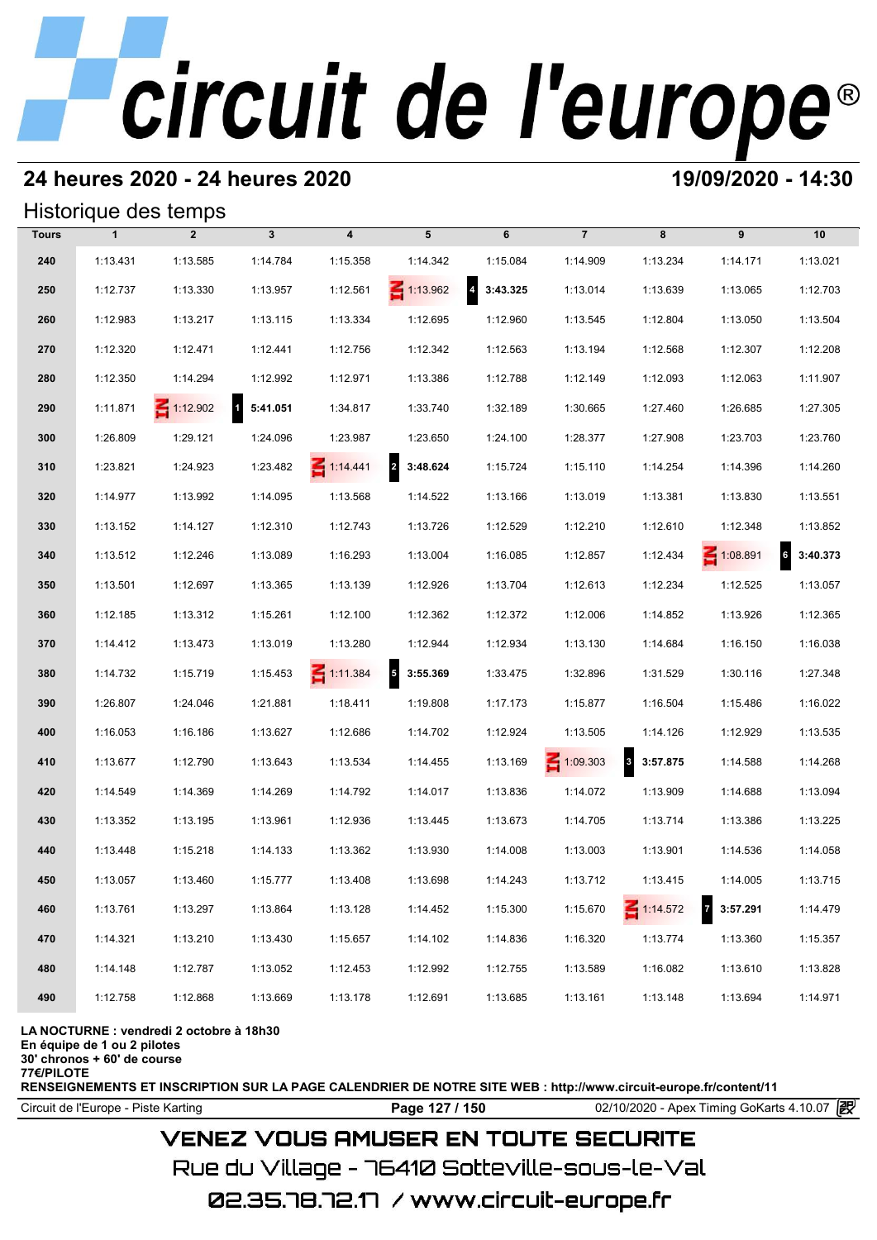# **24 heures 2020 - 24 heures 2020 19/09/2020 - 14:30**

## Historique des temps

|              |              | Historique des temps |                          |                         |                                      |                                     |                 |                          |                            |                             |
|--------------|--------------|----------------------|--------------------------|-------------------------|--------------------------------------|-------------------------------------|-----------------|--------------------------|----------------------------|-----------------------------|
| <b>Tours</b> | $\mathbf{1}$ | $\overline{2}$       | $\mathbf{3}$             | $\overline{\mathbf{4}}$ | 5                                    | 6                                   | $\overline{7}$  | 8                        | 9                          | 10                          |
| 240          | 1:13.431     | 1:13.585             | 1:14.784                 | 1:15.358                | 1:14.342                             | 1:15.084                            | 1:14.909        | 1:13.234                 | 1:14.171                   | 1:13.021                    |
| 250          | 1:12.737     | 1:13.330             | 1:13.957                 | 1:12.561                | $\leq 1:13.962$                      | $\overline{\mathbf{4}}$<br>3:43.325 | 1:13.014        | 1:13.639                 | 1:13.065                   | 1:12.703                    |
| 260          | 1:12.983     | 1:13.217             | 1:13.115                 | 1:13.334                | 1:12.695                             | 1:12.960                            | 1:13.545        | 1:12.804                 | 1:13.050                   | 1:13.504                    |
| 270          | 1:12.320     | 1:12.471             | 1:12.441                 | 1:12.756                | 1:12.342                             | 1:12.563                            | 1:13.194        | 1:12.568                 | 1:12.307                   | 1:12.208                    |
| 280          | 1:12.350     | 1:14.294             | 1:12.992                 | 1:12.971                | 1:13.386                             | 1:12.788                            | 1:12.149        | 1:12.093                 | 1:12.063                   | 1:11.907                    |
| 290          | 1:11.871     | $\leq 1:12.902$      | $\mathbf{1}$<br>5:41.051 | 1:34.817                | 1:33.740                             | 1:32.189                            | 1:30.665        | 1:27.460                 | 1:26.685                   | 1:27.305                    |
| 300          | 1:26.809     | 1:29.121             | 1:24.096                 | 1:23.987                | 1:23.650                             | 1:24.100                            | 1:28.377        | 1:27.908                 | 1:23.703                   | 1:23.760                    |
| 310          | 1:23.821     | 1:24.923             | 1:23.482                 | $\leq 1:14.441$         | $\overline{2}$<br>3:48.624           | 1:15.724                            | 1:15.110        | 1:14.254                 | 1:14.396                   | 1:14.260                    |
| 320          | 1:14.977     | 1:13.992             | 1:14.095                 | 1:13.568                | 1:14.522                             | 1:13.166                            | 1:13.019        | 1:13.381                 | 1:13.830                   | 1:13.551                    |
| 330          | 1:13.152     | 1:14.127             | 1:12.310                 | 1:12.743                | 1:13.726                             | 1:12.529                            | 1:12.210        | 1:12.610                 | 1:12.348                   | 1:13.852                    |
| 340          | 1:13.512     | 1:12.246             | 1:13.089                 | 1:16.293                | 1:13.004                             | 1:16.085                            | 1:12.857        | 1:12.434                 | $\leq 1:08.891$            | $6\overline{6}$<br>3:40.373 |
| 350          | 1:13.501     | 1:12.697             | 1:13.365                 | 1:13.139                | 1:12.926                             | 1:13.704                            | 1:12.613        | 1:12.234                 | 1:12.525                   | 1:13.057                    |
| 360          | 1:12.185     | 1:13.312             | 1:15.261                 | 1:12.100                | 1:12.362                             | 1:12.372                            | 1:12.006        | 1:14.852                 | 1:13.926                   | 1:12.365                    |
| 370          | 1:14.412     | 1:13.473             | 1:13.019                 | 1:13.280                | 1:12.944                             | 1:12.934                            | 1:13.130        | 1:14.684                 | 1:16.150                   | 1:16.038                    |
| 380          | 1:14.732     | 1:15.719             | 1:15.453                 | $\leq 1:11.384$         | $\overline{\phantom{a}}$<br>3:55.369 | 1:33.475                            | 1:32.896        | 1:31.529                 | 1:30.116                   | 1:27.348                    |
| 390          | 1:26.807     | 1:24.046             | 1:21.881                 | 1:18.411                | 1:19.808                             | 1:17.173                            | 1:15.877        | 1:16.504                 | 1:15.486                   | 1:16.022                    |
| 400          | 1:16.053     | 1:16.186             | 1:13.627                 | 1:12.686                | 1:14.702                             | 1:12.924                            | 1:13.505        | 1:14.126                 | 1:12.929                   | 1:13.535                    |
| 410          | 1:13.677     | 1:12.790             | 1:13.643                 | 1:13.534                | 1:14.455                             | 1:13.169                            | $\leq 1:09.303$ | $\mathbf{3}$<br>3:57.875 | 1:14.588                   | 1:14.268                    |
| 420          | 1:14.549     | 1:14.369             | 1:14.269                 | 1:14.792                | 1:14.017                             | 1:13.836                            | 1:14.072        | 1:13.909                 | 1:14.688                   | 1:13.094                    |
| 430          | 1:13.352     | 1:13.195             | 1:13.961                 | 1:12.936                | 1:13.445                             | 1:13.673                            | 1:14.705        | 1:13.714                 | 1:13.386                   | 1:13.225                    |
| 440          | 1:13.448     | 1:15.218             | 1:14.133                 | 1:13.362                | 1:13.930                             | 1:14.008                            | 1:13.003        | 1:13.901                 | 1:14.536                   | 1:14.058                    |
| 450          | 1:13.057     | 1:13.460             | 1:15.777                 | 1:13.408                | 1:13.698                             | 1:14.243                            | 1:13.712        | 1:13.415                 | 1:14.005                   | 1:13.715                    |
| 460          | 1:13.761     | 1:13.297             | 1:13.864                 | 1:13.128                | 1:14.452                             | 1:15.300                            | 1:15.670        | $\leq 1:14.572$          | $\overline{7}$<br>3:57.291 | 1:14.479                    |
| 470          | 1:14.321     | 1:13.210             | 1:13.430                 | 1:15.657                | 1:14.102                             | 1:14.836                            | 1:16.320        | 1:13.774                 | 1:13.360                   | 1:15.357                    |
| 480          | 1:14.148     | 1:12.787             | 1:13.052                 | 1:12.453                | 1:12.992                             | 1:12.755                            | 1:13.589        | 1:16.082                 | 1:13.610                   | 1:13.828                    |
| 490          | 1:12.758     | 1:12.868             | 1:13.669                 | 1:13.178                | 1:12.691                             | 1:13.685                            | 1:13.161        | 1:13.148                 | 1:13.694                   | 1:14.971                    |

### **LA NOCTURNE : vendredi 2 octobre à 18h30**

**En équipe de 1 ou 2 pilotes**

**30' chronos + 60' de course 77€/PILOTE**

**RENSEIGNEMENTS ET INSCRIPTION SUR LA PAGE CALENDRIER DE NOTRE SITE WEB : http://www.circuit-europe.fr/content/11**

Circuit de l'Europe - Piste Karting **Page 127 / 150** 02/10/2020 - Apex Timing GoKarts 4.10.07

# **VENEZ VOUS AMUSER EN TOUTE SECURITE**

Rue du Village – 76410 Sotteville-sous-le-Val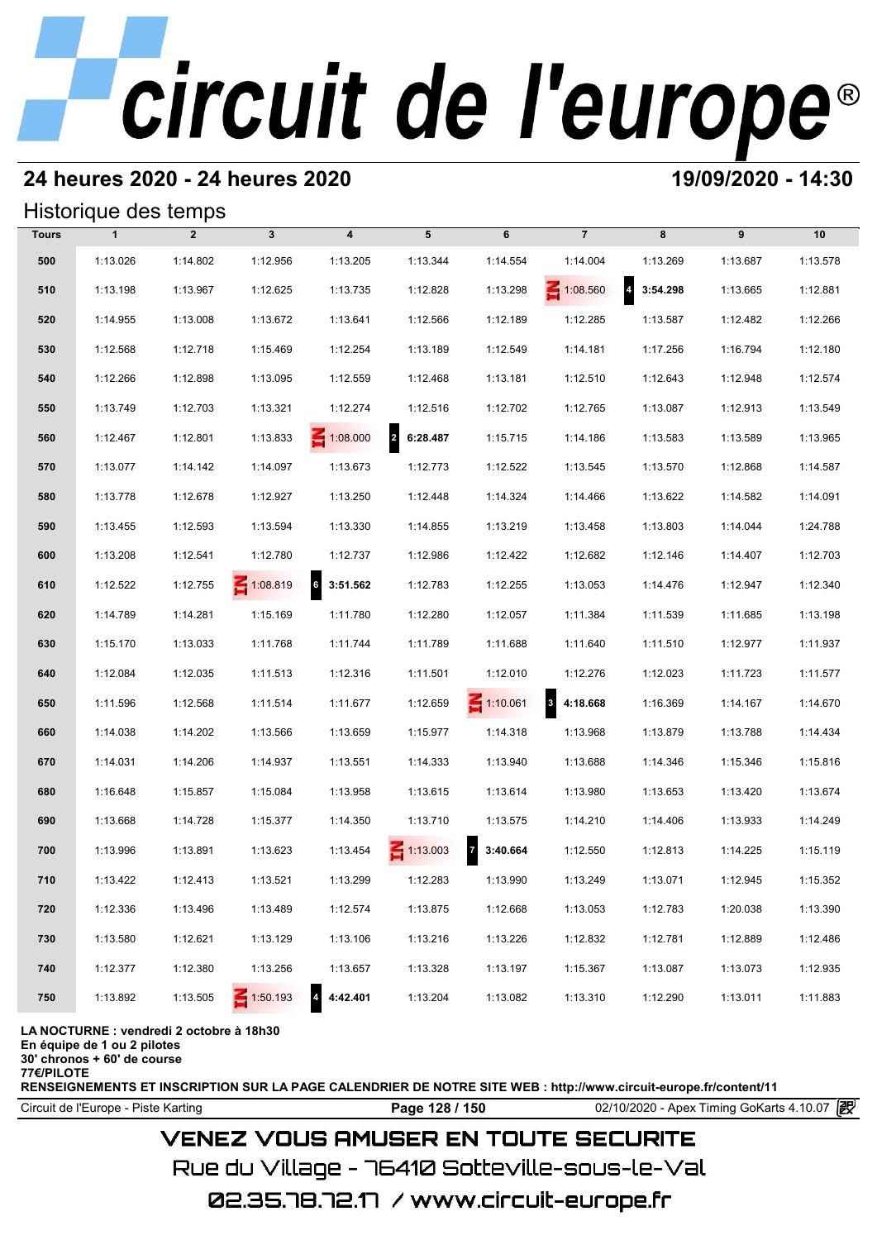# **24 heures 2020 - 24 heures 2020 19/09/2020 - 14:30**

## Historique des temps

|              | Historique des temps                     |                |                 |                            |                 |                          |                 |                            |          |          |  |  |  |  |
|--------------|------------------------------------------|----------------|-----------------|----------------------------|-----------------|--------------------------|-----------------|----------------------------|----------|----------|--|--|--|--|
| <b>Tours</b> | $\mathbf{1}$                             | $\overline{2}$ | $\mathbf{3}$    | $\overline{\mathbf{4}}$    | 5               | 6                        | $\overline{7}$  | 8                          | 9        | 10       |  |  |  |  |
| 500          | 1:13.026                                 | 1:14.802       | 1:12.956        | 1:13.205                   | 1:13.344        | 1:14.554                 | 1:14.004        | 1:13.269                   | 1:13.687 | 1:13.578 |  |  |  |  |
| 510          | 1:13.198                                 | 1:13.967       | 1:12.625        | 1:13.735                   | 1:12.828        | 1:13.298                 | $\leq 1:08.560$ | $\overline{4}$<br>3:54.298 | 1:13.665 | 1:12.881 |  |  |  |  |
| 520          | 1:14.955                                 | 1:13.008       | 1:13.672        | 1:13.641                   | 1:12.566        | 1:12.189                 | 1:12.285        | 1:13.587                   | 1:12.482 | 1:12.266 |  |  |  |  |
| 530          | 1:12.568                                 | 1:12.718       | 1:15.469        | 1:12.254                   | 1:13.189        | 1:12.549                 | 1:14.181        | 1:17.256                   | 1:16.794 | 1:12.180 |  |  |  |  |
| 540          | 1:12.266                                 | 1:12.898       | 1:13.095        | 1:12.559                   | 1:12.468        | 1:13.181                 | 1:12.510        | 1:12.643                   | 1:12.948 | 1:12.574 |  |  |  |  |
| 550          | 1:13.749                                 | 1:12.703       | 1:13.321        | 1:12.274                   | 1:12.516        | 1:12.702                 | 1:12.765        | 1:13.087                   | 1:12.913 | 1:13.549 |  |  |  |  |
| 560          | 1:12.467                                 | 1:12.801       | 1:13.833        | $\leq 1:08.000$            | 2 6:28.487      | 1:15.715                 | 1:14.186        | 1:13.583                   | 1:13.589 | 1:13.965 |  |  |  |  |
| 570          | 1:13.077                                 | 1:14.142       | 1:14.097        | 1:13.673                   | 1:12.773        | 1:12.522                 | 1:13.545        | 1:13.570                   | 1:12.868 | 1:14.587 |  |  |  |  |
| 580          | 1:13.778                                 | 1:12.678       | 1:12.927        | 1:13.250                   | 1:12.448        | 1:14.324                 | 1:14.466        | 1:13.622                   | 1:14.582 | 1:14.091 |  |  |  |  |
| 590          | 1:13.455                                 | 1:12.593       | 1:13.594        | 1:13.330                   | 1:14.855        | 1:13.219                 | 1:13.458        | 1:13.803                   | 1:14.044 | 1:24.788 |  |  |  |  |
| 600          | 1:13.208                                 | 1:12.541       | 1:12.780        | 1:12.737                   | 1:12.986        | 1:12.422                 | 1:12.682        | 1:12.146                   | 1:14.407 | 1:12.703 |  |  |  |  |
| 610          | 1:12.522                                 | 1:12.755       | $\leq 1:08.819$ | $6\phantom{a}$<br>3:51.562 | 1:12.783        | 1:12.255                 | 1:13.053        | 1:14.476                   | 1:12.947 | 1:12.340 |  |  |  |  |
| 620          | 1:14.789                                 | 1:14.281       | 1:15.169        | 1:11.780                   | 1:12.280        | 1:12.057                 | 1:11.384        | 1:11.539                   | 1:11.685 | 1:13.198 |  |  |  |  |
| 630          | 1:15.170                                 | 1:13.033       | 1:11.768        | 1:11.744                   | 1:11.789        | 1:11.688                 | 1:11.640        | 1:11.510                   | 1:12.977 | 1:11.937 |  |  |  |  |
| 640          | 1:12.084                                 | 1:12.035       | 1:11.513        | 1:12.316                   | 1:11.501        | 1:12.010                 | 1:12.276        | 1:12.023                   | 1:11.723 | 1:11.577 |  |  |  |  |
| 650          | 1:11.596                                 | 1:12.568       | 1:11.514        | 1:11.677                   | 1:12.659        | $\leq 1:10.061$          | 8 4:18.668      | 1:16.369                   | 1:14.167 | 1:14.670 |  |  |  |  |
| 660          | 1:14.038                                 | 1:14.202       | 1:13.566        | 1:13.659                   | 1:15.977        | 1:14.318                 | 1:13.968        | 1:13.879                   | 1:13.788 | 1:14.434 |  |  |  |  |
| 670          | 1:14.031                                 | 1:14.206       | 1:14.937        | 1:13.551                   | 1:14.333        | 1:13.940                 | 1:13.688        | 1:14.346                   | 1:15.346 | 1:15.816 |  |  |  |  |
| 680          | 1:16.648                                 | 1:15.857       | 1:15.084        | 1:13.958                   | 1:13.615        | 1:13.614                 | 1:13.980        | 1:13.653                   | 1:13.420 | 1:13.674 |  |  |  |  |
| 690          | 1:13.668                                 | 1:14.728       | 1:15.377        | 1:14.350                   | 1:13.710        | 1:13.575                 | 1:14.210        | 1:14.406                   | 1:13.933 | 1:14.249 |  |  |  |  |
| 700          | 1:13.996                                 | 1:13.891       | 1:13.623        | 1:13.454                   | $\leq 1:13.003$ | $\mathbf{z}$<br>3:40.664 | 1:12.550        | 1:12.813                   | 1:14.225 | 1:15.119 |  |  |  |  |
| 710          | 1:13.422                                 | 1:12.413       | 1:13.521        | 1:13.299                   | 1:12.283        | 1:13.990                 | 1:13.249        | 1:13.071                   | 1:12.945 | 1:15.352 |  |  |  |  |
| 720          | 1:12.336                                 | 1:13.496       | 1:13.489        | 1:12.574                   | 1:13.875        | 1:12.668                 | 1:13.053        | 1:12.783                   | 1:20.038 | 1:13.390 |  |  |  |  |
| 730          | 1:13.580                                 | 1:12.621       | 1:13.129        | 1:13.106                   | 1:13.216        | 1:13.226                 | 1:12.832        | 1:12.781                   | 1:12.889 | 1:12.486 |  |  |  |  |
| 740          | 1:12.377                                 | 1:12.380       | 1:13.256        | 1:13.657                   | 1:13.328        | 1:13.197                 | 1:15.367        | 1:13.087                   | 1:13.073 | 1:12.935 |  |  |  |  |
| 750          | 1:13.892                                 | 1:13.505       | $\leq 1:50.193$ | $\overline{4}$<br>4:42.401 | 1:13.204        | 1:13.082                 | 1:13.310        | 1:12.290                   | 1:13.011 | 1:11.883 |  |  |  |  |
|              | LA NOCTURNE : vendredi 2 octobre à 18h30 |                |                 |                            |                 |                          |                 |                            |          |          |  |  |  |  |

**En équipe de 1 ou 2 pilotes 30' chronos + 60' de course**

**77€/PILOTE**

**RENSEIGNEMENTS ET INSCRIPTION SUR LA PAGE CALENDRIER DE NOTRE SITE WEB : http://www.circuit-europe.fr/content/11**

Circuit de l'Europe - Piste Karting **Page 128 / 150** 02/10/2020 - Apex Timing GoKarts 4.10.07

# **VENEZ VOUS AMUSER EN TOUTE SECURITE**

Rue du Village – 76410 Sotteville-sous-le-Val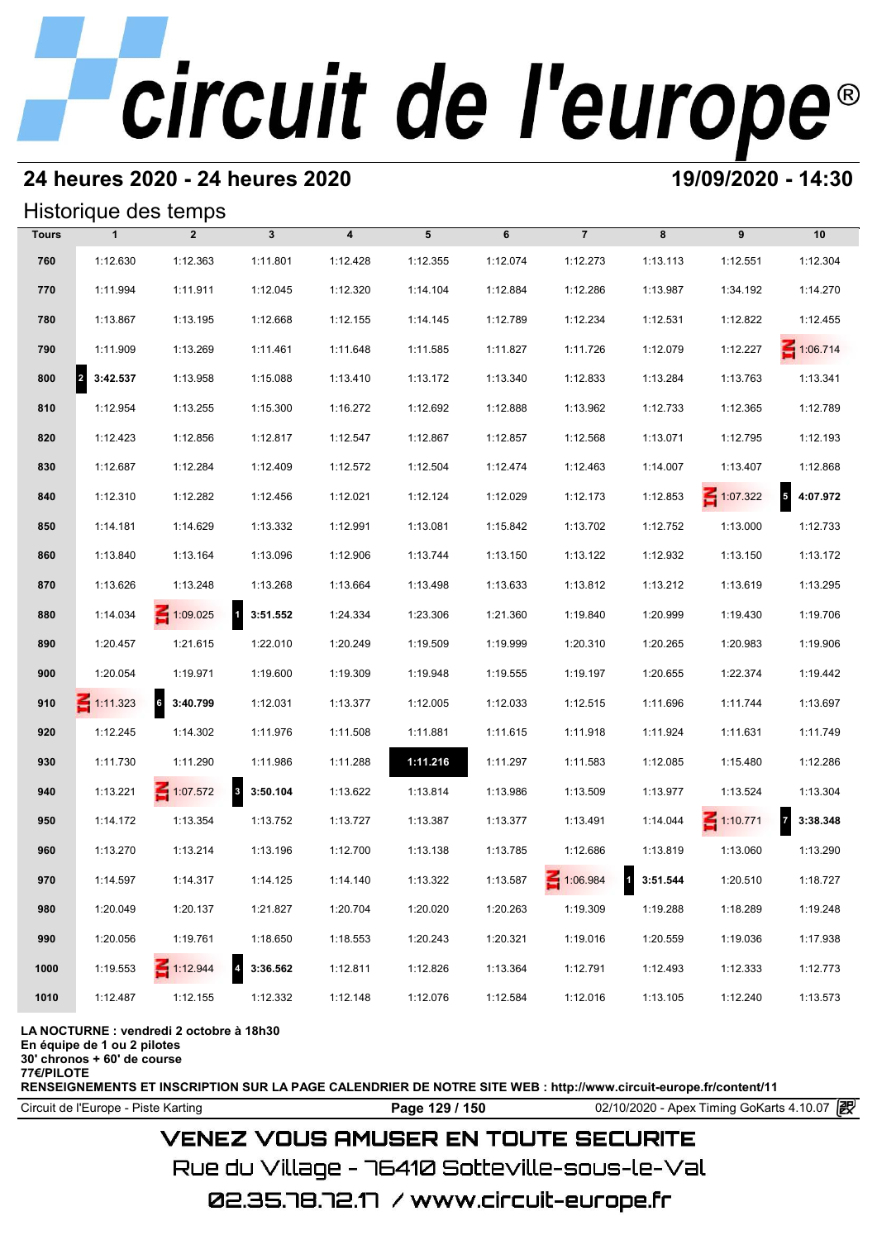# **24 heures 2020 - 24 heures 2020 19/09/2020 - 14:30**

## Historique des temps

|              | Historique des temps     |                 |                    |                         |          |          |                |            |                 |                            |
|--------------|--------------------------|-----------------|--------------------|-------------------------|----------|----------|----------------|------------|-----------------|----------------------------|
| <b>Tours</b> | $\mathbf{1}$             | $\overline{2}$  | $\mathbf{3}$       | $\overline{\mathbf{4}}$ | 5        | 6        | $\overline{7}$ | 8          | 9               | 10                         |
| 760          | 1:12.630                 | 1:12.363        | 1:11.801           | 1:12.428                | 1:12.355 | 1:12.074 | 1:12.273       | 1:13.113   | 1:12.551        | 1:12.304                   |
| 770          | 1:11.994                 | 1:11.911        | 1:12.045           | 1:12.320                | 1:14.104 | 1:12.884 | 1:12.286       | 1:13.987   | 1:34.192        | 1:14.270                   |
| 780          | 1:13.867                 | 1:13.195        | 1:12.668           | 1:12.155                | 1:14.145 | 1:12.789 | 1:12.234       | 1:12.531   | 1:12.822        | 1:12.455                   |
| 790          | 1:11.909                 | 1:13.269        | 1:11.461           | 1:11.648                | 1:11.585 | 1:11.827 | 1:11.726       | 1:12.079   | 1:12.227        | $\leq 1:06.714$            |
| 800          | $\mathbf{z}$<br>3:42.537 | 1:13.958        | 1:15.088           | 1:13.410                | 1:13.172 | 1:13.340 | 1:12.833       | 1:13.284   | 1:13.763        | 1:13.341                   |
| 810          | 1:12.954                 | 1:13.255        | 1:15.300           | 1:16.272                | 1:12.692 | 1:12.888 | 1:13.962       | 1:12.733   | 1:12.365        | 1:12.789                   |
| 820          | 1:12.423                 | 1:12.856        | 1:12.817           | 1:12.547                | 1:12.867 | 1:12.857 | 1:12.568       | 1:13.071   | 1:12.795        | 1:12.193                   |
| 830          | 1:12.687                 | 1:12.284        | 1:12.409           | 1:12.572                | 1:12.504 | 1:12.474 | 1:12.463       | 1:14.007   | 1:13.407        | 1:12.868                   |
| 840          | 1:12.310                 | 1:12.282        | 1:12.456           | 1:12.021                | 1:12.124 | 1:12.029 | 1:12.173       | 1:12.853   | $\leq 1:07.322$ | $\overline{5}$<br>4:07.972 |
| 850          | 1:14.181                 | 1:14.629        | 1:13.332           | 1:12.991                | 1:13.081 | 1:15.842 | 1:13.702       | 1:12.752   | 1:13.000        | 1:12.733                   |
| 860          | 1:13.840                 | 1:13.164        | 1:13.096           | 1:12.906                | 1:13.744 | 1:13.150 | 1:13.122       | 1:12.932   | 1:13.150        | 1:13.172                   |
| 870          | 1:13.626                 | 1:13.248        | 1:13.268           | 1:13.664                | 1:13.498 | 1:13.633 | 1:13.812       | 1:13.212   | 1:13.619        | 1:13.295                   |
| 880          | 1:14.034                 | $\leq 1:09.025$ | $1 \quad 3:51.552$ | 1:24.334                | 1:23.306 | 1:21.360 | 1:19.840       | 1:20.999   | 1:19.430        | 1:19.706                   |
| 890          | 1:20.457                 | 1:21.615        | 1:22.010           | 1:20.249                | 1:19.509 | 1:19.999 | 1:20.310       | 1:20.265   | 1:20.983        | 1:19.906                   |
| 900          | 1:20.054                 | 1:19.971        | 1:19.600           | 1:19.309                | 1:19.948 | 1:19.555 | 1:19.197       | 1:20.655   | 1:22.374        | 1:19.442                   |
| 910          | $\leq$ 1:11.323          | 6 3:40.799      | 1:12.031           | 1:13.377                | 1:12.005 | 1:12.033 | 1:12.515       | 1:11.696   | 1:11.744        | 1:13.697                   |
| 920          | 1:12.245                 | 1:14.302        | 1:11.976           | 1:11.508                | 1:11.881 | 1:11.615 | 1:11.918       | 1:11.924   | 1:11.631        | 1:11.749                   |
| 930          | 1:11.730                 | 1:11.290        | 1:11.986           | 1:11.288                | 1:11.216 | 1:11.297 | 1:11.583       | 1:12.085   | 1:15.480        | 1:12.286                   |
| 940          | 1:13.221                 | $\leq 1:07.572$ | $8\quad 3:50.104$  | 1:13.622                | 1:13.814 | 1:13.986 | 1:13.509       | 1:13.977   | 1:13.524        | 1:13.304                   |
| 950          | 1:14.172                 | 1:13.354        | 1:13.752           | 1:13.727                | 1:13.387 | 1:13.377 | 1:13.491       | 1:14.044   | $\leq 1:10.771$ | 3:38.348                   |
| 960          | 1:13.270                 | 1:13.214        | 1:13.196           | 1:12.700                | 1:13.138 | 1:13.785 | 1:12.686       | 1:13.819   | 1:13.060        | 1:13.290                   |
| 970          | 1:14.597                 | 1:14.317        | 1:14.125           | 1:14.140                | 1:13.322 | 1:13.587 | 1:06.984       | 1 3:51.544 | 1:20.510        | 1:18.727                   |
| 980          | 1:20.049                 | 1:20.137        | 1:21.827           | 1:20.704                | 1:20.020 | 1:20.263 | 1:19.309       | 1:19.288   | 1:18.289        | 1:19.248                   |
| 990          | 1:20.056                 | 1:19.761        | 1:18.650           | 1:18.553                | 1:20.243 | 1:20.321 | 1:19.016       | 1:20.559   | 1:19.036        | 1:17.938                   |
| 1000         | 1:19.553                 | $\leq 1:12.944$ | 4 3:36.562         | 1:12.811                | 1:12.826 | 1:13.364 | 1:12.791       | 1:12.493   | 1:12.333        | 1:12.773                   |
| 1010         | 1:12.487                 | 1:12.155        | 1:12.332           | 1:12.148                | 1:12.076 | 1:12.584 | 1:12.016       | 1:13.105   | 1:12.240        | 1:13.573                   |

### **LA NOCTURNE : vendredi 2 octobre à 18h30**

**En équipe de 1 ou 2 pilotes**

**30' chronos + 60' de course 77€/PILOTE**

**RENSEIGNEMENTS ET INSCRIPTION SUR LA PAGE CALENDRIER DE NOTRE SITE WEB : http://www.circuit-europe.fr/content/11**

Circuit de l'Europe - Piste Karting **Page 129 / 150** 02/10/2020 - Apex Timing GoKarts 4.10.07

# **VENEZ VOUS AMUSER EN TOUTE SECURITE**

Rue du Village – 76410 Sotteville-sous-le-Val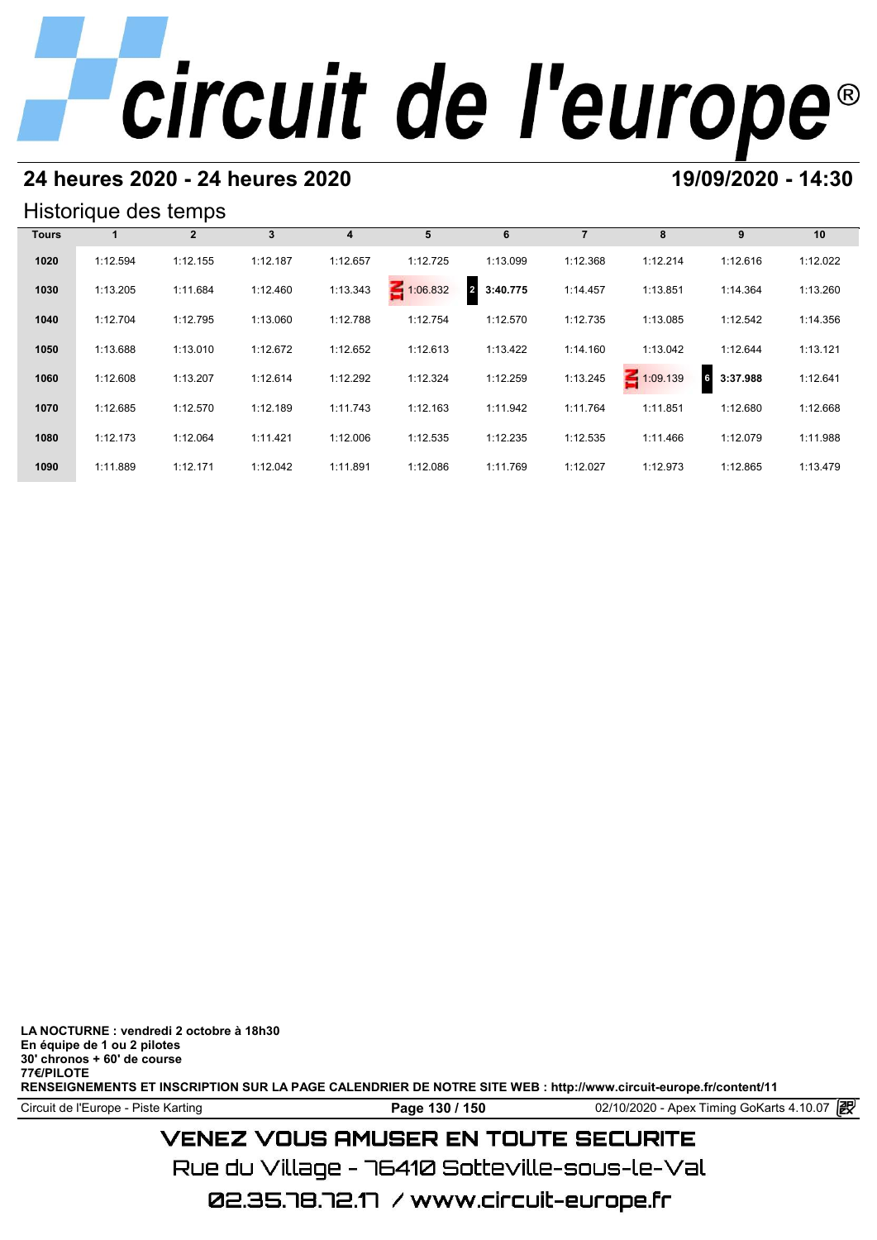# **24 heures 2020 - 24 heures 2020 19/09/2020 - 14:30**

## Historique des temps

|              | Historique des temps |              |          |          |                 |                            |          |                 |               |          |  |  |  |
|--------------|----------------------|--------------|----------|----------|-----------------|----------------------------|----------|-----------------|---------------|----------|--|--|--|
| <b>Tours</b> |                      | $\mathbf{2}$ | 3        | 4        | 5               | 6                          |          | 8               | 9             | 10       |  |  |  |
| 1020         | 1:12.594             | 1:12.155     | 1:12.187 | 1:12.657 | 1:12.725        | 1:13.099                   | 1:12.368 | 1:12.214        | 1:12.616      | 1:12.022 |  |  |  |
| 1030         | 1:13.205             | 1:11.684     | 1:12.460 | 1:13.343 | $\leq 1:06.832$ | $\overline{2}$<br>3:40.775 | 1:14.457 | 1:13.851        | 1:14.364      | 1:13.260 |  |  |  |
| 1040         | 1:12.704             | 1:12.795     | 1:13.060 | 1:12.788 | 1:12.754        | 1:12.570                   | 1:12.735 | 1:13.085        | 1:12.542      | 1:14.356 |  |  |  |
| 1050         | 1:13.688             | 1:13.010     | 1:12.672 | 1:12.652 | 1:12.613        | 1:13.422                   | 1:14.160 | 1:13.042        | 1:12.644      | 1:13.121 |  |  |  |
| 1060         | 1:12.608             | 1:13.207     | 1:12.614 | 1:12.292 | 1:12.324        | 1:12.259                   | 1:13.245 | $\leq 1:09.139$ | 6<br>3:37.988 | 1:12.641 |  |  |  |
| 1070         | 1:12.685             | 1:12.570     | 1:12.189 | 1:11.743 | 1:12.163        | 1:11.942                   | 1:11.764 | 1:11.851        | 1:12.680      | 1:12.668 |  |  |  |
| 1080         | 1:12.173             | 1:12.064     | 1:11.421 | 1:12.006 | 1:12.535        | 1:12.235                   | 1:12.535 | 1:11.466        | 1:12.079      | 1:11.988 |  |  |  |
| 1090         | 1:11.889             | 1:12.171     | 1:12.042 | 1:11.891 | 1:12.086        | 1:11.769                   | 1:12.027 | 1:12.973        | 1:12.865      | 1:13.479 |  |  |  |

**LA NOCTURNE : vendredi 2 octobre à 18h30 En équipe de 1 ou 2 pilotes 30' chronos + 60' de course 77€/PILOTE RENSEIGNEMENTS ET INSCRIPTION SUR LA PAGE CALENDRIER DE NOTRE SITE WEB : http://www.circuit-europe.fr/content/11**

Circuit de l'Europe - Piste Karting **Page 130 / 150** 02/10/2020 - Apex Timing GoKarts 4.10.07

# **VENEZ VOUS AMUSER EN TOUTE SECURITE**

Rue du Village – 76410 Sotteville-sous-le-Val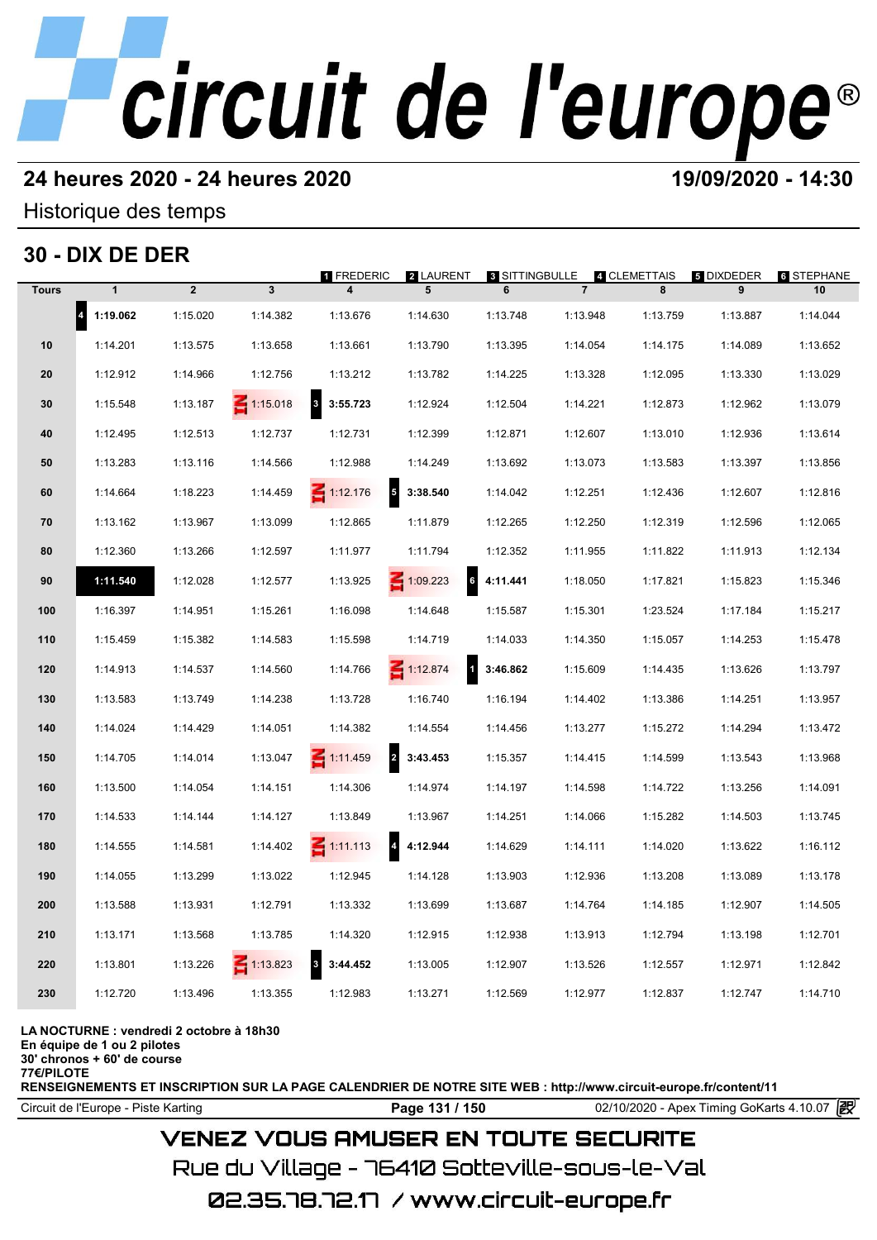# **24 heures 2020 - 24 heures 2020 19/09/2020 - 14:30**

Historique des temps

# **30 - DIX DE DER**

|              | 30 - DIX DE DER       |                |                 |                                             |                 |                            |                |                   |                        |                         |
|--------------|-----------------------|----------------|-----------------|---------------------------------------------|-----------------|----------------------------|----------------|-------------------|------------------------|-------------------------|
| <b>Tours</b> | $\mathbf{1}$          | $\overline{2}$ | $\mathbf{3}$    | 1 FREDERIC                                  | 2 LAURENT<br>5  | <b>8 SITTINGBULLE</b><br>6 | $\overline{7}$ | 4 CLEMETTAIS<br>8 | <b>5 DIXDEDER</b><br>9 | <b>6 STEPHANE</b><br>10 |
|              | $\vert$ 4<br>1:19.062 | 1:15.020       | 1:14.382        | 1:13.676                                    | 1:14.630        | 1:13.748                   | 1:13.948       | 1:13.759          | 1:13.887               | 1:14.044                |
| 10           | 1:14.201              | 1:13.575       | 1:13.658        | 1:13.661                                    | 1:13.790        | 1:13.395                   | 1:14.054       | 1:14.175          | 1:14.089               | 1:13.652                |
| 20           | 1:12.912              | 1:14.966       | 1:12.756        | 1:13.212                                    | 1:13.782        | 1:14.225                   | 1:13.328       | 1:12.095          | 1:13.330               | 1:13.029                |
| 30           | 1:15.548              | 1:13.187       | $\leq 1:15.018$ | $\mathbf{3}$<br>3:55.723                    | 1:12.924        | 1:12.504                   | 1:14.221       | 1:12.873          | 1:12.962               | 1:13.079                |
| 40           | 1:12.495              | 1:12.513       | 1:12.737        | 1:12.731                                    | 1:12.399        | 1:12.871                   | 1:12.607       | 1:13.010          | 1:12.936               | 1:13.614                |
| 50           | 1:13.283              | 1:13.116       | 1:14.566        | 1:12.988                                    | 1:14.249        | 1:13.692                   | 1:13.073       | 1:13.583          | 1:13.397               | 1:13.856                |
| 60           | 1:14.664              | 1:18.223       | 1:14.459        | $\overline{\phantom{a}}$<br>$\leq 1:12.176$ | 3:38.540        | 1:14.042                   | 1:12.251       | 1:12.436          | 1:12.607               | 1:12.816                |
| 70           | 1:13.162              | 1:13.967       | 1:13.099        | 1:12.865                                    | 1:11.879        | 1:12.265                   | 1:12.250       | 1:12.319          | 1:12.596               | 1:12.065                |
| 80           | 1:12.360              | 1:13.266       | 1:12.597        | 1:11.977                                    | 1:11.794        | 1:12.352                   | 1:11.955       | 1:11.822          | 1:11.913               | 1:12.134                |
| 90           | 1:11.540              | 1:12.028       | 1:12.577        | 1:13.925                                    | $\leq 1:09.223$ | 4:11.441                   | 1:18.050       | 1:17.821          | 1:15.823               | 1:15.346                |
| 100          | 1:16.397              | 1:14.951       | 1:15.261        | 1:16.098                                    | 1:14.648        | 1:15.587                   | 1:15.301       | 1:23.524          | 1:17.184               | 1:15.217                |
| 110          | 1:15.459              | 1:15.382       | 1:14.583        | 1:15.598                                    | 1:14.719        | 1:14.033                   | 1:14.350       | 1:15.057          | 1:14.253               | 1:15.478                |
| 120          | 1:14.913              | 1:14.537       | 1:14.560        | 1:14.766                                    | $-1:12.874$     | 3:46.862                   | 1:15.609       | 1:14.435          | 1:13.626               | 1:13.797                |
| 130          | 1:13.583              | 1:13.749       | 1:14.238        | 1:13.728                                    | 1:16.740        | 1:16.194                   | 1:14.402       | 1:13.386          | 1:14.251               | 1:13.957                |
| 140          | 1:14.024              | 1:14.429       | 1:14.051        | 1:14.382                                    | 1:14.554        | 1:14.456                   | 1:13.277       | 1:15.272          | 1:14.294               | 1:13.472                |
| 150          | 1:14.705              | 1:14.014       | 1:13.047        | $\overline{\mathbf{2}}$<br>$-1:11.459$      | 3:43.453        | 1:15.357                   | 1:14.415       | 1:14.599          | 1:13.543               | 1:13.968                |
| 160          | 1:13.500              | 1:14.054       | 1:14.151        | 1:14.306                                    | 1:14.974        | 1:14.197                   | 1:14.598       | 1:14.722          | 1:13.256               | 1:14.091                |
| 170          | 1:14.533              | 1:14.144       | 1:14.127        | 1:13.849                                    | 1:13.967        | 1:14.251                   | 1:14.066       | 1:15.282          | 1:14.503               | 1:13.745                |
| 180          | 1:14.555              | 1:14.581       | 1:14.402        | $\overline{\mathbf{4}}$<br>$\leq$ 1:11.113  | 4:12.944        | 1:14.629                   | 1:14.111       | 1:14.020          | 1:13.622               | 1:16.112                |
| 190          | 1:14.055              | 1:13.299       | 1:13.022        | 1:12.945                                    | 1:14.128        | 1:13.903                   | 1:12.936       | 1:13.208          | 1:13.089               | 1:13.178                |
| 200          | 1:13.588              | 1:13.931       | 1:12.791        | 1:13.332                                    | 1:13.699        | 1:13.687                   | 1:14.764       | 1:14.185          | 1:12.907               | 1:14.505                |
| 210          | 1:13.171              | 1:13.568       | 1:13.785        | 1:14.320                                    | 1:12.915        | 1:12.938                   | 1:13.913       | 1:12.794          | 1:13.198               | 1:12.701                |
| 220          | 1:13.801              | 1:13.226       | $\leq 1:13.823$ | $\overline{\mathbf{3}}$<br>3:44.452         | 1:13.005        | 1:12.907                   | 1:13.526       | 1:12.557          | 1:12.971               | 1:12.842                |
| 230          | 1:12.720              | 1:13.496       | 1:13.355        | 1:12.983                                    | 1:13.271        | 1:12.569                   | 1:12.977       | 1:12.837          | 1:12.747               | 1:14.710                |
|              |                       |                |                 |                                             |                 |                            |                |                   |                        |                         |

**LA NOCTURNE : vendredi 2 octobre à 18h30**

**En équipe de 1 ou 2 pilotes**

**30' chronos + 60' de course 77€/PILOTE**

**RENSEIGNEMENTS ET INSCRIPTION SUR LA PAGE CALENDRIER DE NOTRE SITE WEB : http://www.circuit-europe.fr/content/11**

Circuit de l'Europe - Piste Karting **Page 131 / 150** 02/10/2020 - Apex Timing GoKarts 4.10.07

# **VENEZ VOUS AMUSER EN TOUTE SECURITE**

Rue du Village – 76410 Sotteville-sous-le-Val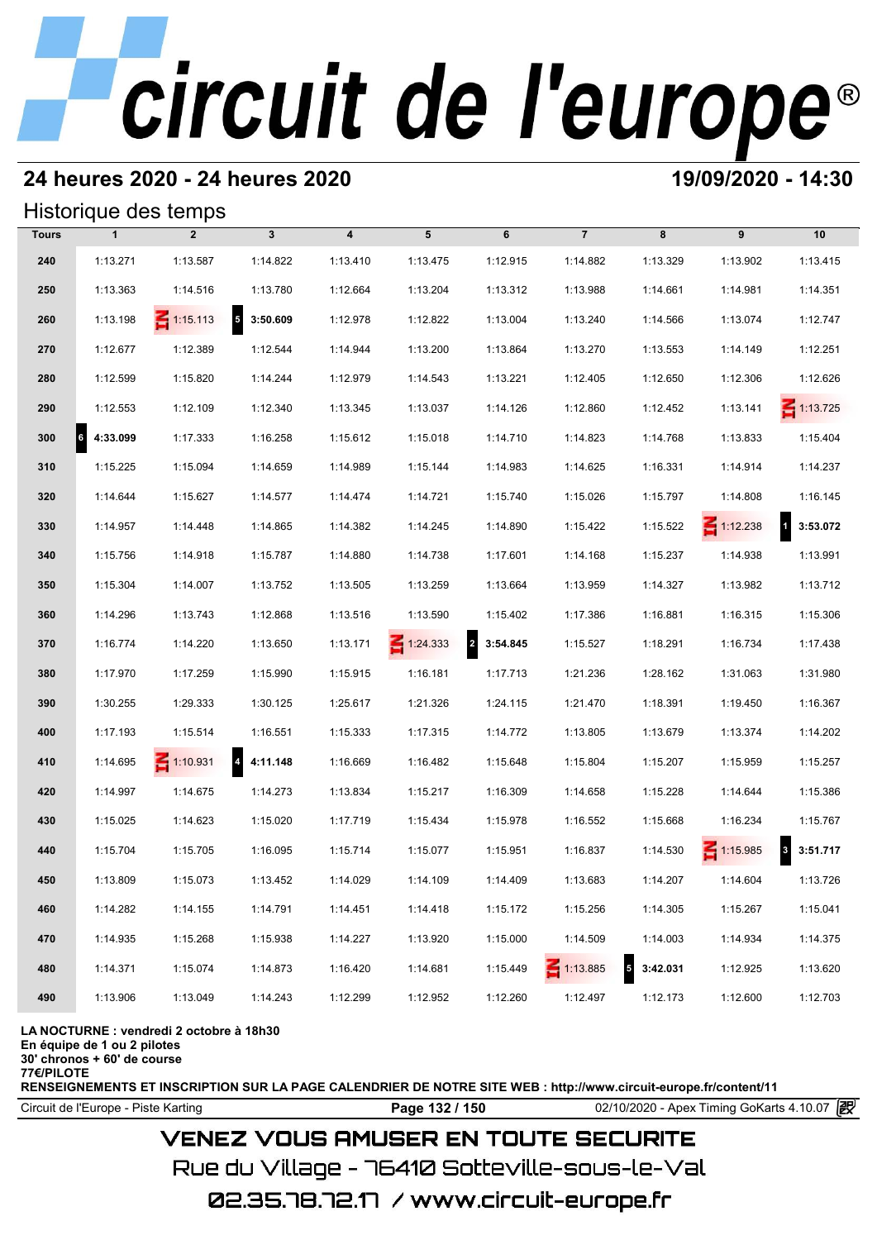## **24 heures 2020 - 24 heures 2020 19/09/2020 - 14:30**

## Historique des temps

|              |                       | Historique des temps |                            |          |                 |                            |                 |                                      |                 |                    |
|--------------|-----------------------|----------------------|----------------------------|----------|-----------------|----------------------------|-----------------|--------------------------------------|-----------------|--------------------|
| <b>Tours</b> | $\mathbf{1}$          | $\overline{2}$       | $\mathbf{3}$               | 4        | 5               | 6                          | $\overline{7}$  | 8                                    | 9               | 10                 |
| 240          | 1:13.271              | 1:13.587             | 1:14.822                   | 1:13.410 | 1:13.475        | 1:12.915                   | 1:14.882        | 1:13.329                             | 1:13.902        | 1:13.415           |
| 250          | 1:13.363              | 1:14.516             | 1:13.780                   | 1:12.664 | 1:13.204        | 1:13.312                   | 1:13.988        | 1:14.661                             | 1:14.981        | 1:14.351           |
| 260          | 1:13.198              | $\leq 1:15.113$      | $\overline{5}$<br>3:50.609 | 1:12.978 | 1:12.822        | 1:13.004                   | 1:13.240        | 1:14.566                             | 1:13.074        | 1:12.747           |
| 270          | 1:12.677              | 1:12.389             | 1:12.544                   | 1:14.944 | 1:13.200        | 1:13.864                   | 1:13.270        | 1:13.553                             | 1:14.149        | 1:12.251           |
| 280          | 1:12.599              | 1:15.820             | 1:14.244                   | 1:12.979 | 1:14.543        | 1:13.221                   | 1:12.405        | 1:12.650                             | 1:12.306        | 1:12.626           |
| 290          | 1:12.553              | 1:12.109             | 1:12.340                   | 1:13.345 | 1:13.037        | 1:14.126                   | 1:12.860        | 1:12.452                             | 1:13.141        | $\leq 1:13.725$    |
| 300          | $\vert$ 6<br>4:33.099 | 1:17.333             | 1:16.258                   | 1:15.612 | 1:15.018        | 1:14.710                   | 1:14.823        | 1:14.768                             | 1:13.833        | 1:15.404           |
| 310          | 1:15.225              | 1:15.094             | 1:14.659                   | 1:14.989 | 1:15.144        | 1:14.983                   | 1:14.625        | 1:16.331                             | 1:14.914        | 1:14.237           |
| 320          | 1:14.644              | 1:15.627             | 1:14.577                   | 1:14.474 | 1:14.721        | 1:15.740                   | 1:15.026        | 1:15.797                             | 1:14.808        | 1:16.145           |
| 330          | 1:14.957              | 1:14.448             | 1:14.865                   | 1:14.382 | 1:14.245        | 1:14.890                   | 1:15.422        | 1:15.522                             | $\leq 1:12.238$ | $1 \quad 3:53.072$ |
| 340          | 1:15.756              | 1:14.918             | 1:15.787                   | 1:14.880 | 1:14.738        | 1:17.601                   | 1:14.168        | 1:15.237                             | 1:14.938        | 1:13.991           |
| 350          | 1:15.304              | 1:14.007             | 1:13.752                   | 1:13.505 | 1:13.259        | 1:13.664                   | 1:13.959        | 1:14.327                             | 1:13.982        | 1:13.712           |
| 360          | 1:14.296              | 1:13.743             | 1:12.868                   | 1:13.516 | 1:13.590        | 1:15.402                   | 1:17.386        | 1:16.881                             | 1:16.315        | 1:15.306           |
| 370          | 1:16.774              | 1:14.220             | 1:13.650                   | 1:13.171 | $\leq 1:24.333$ | $\overline{a}$<br>3:54.845 | 1:15.527        | 1:18.291                             | 1:16.734        | 1:17.438           |
| 380          | 1:17.970              | 1:17.259             | 1:15.990                   | 1:15.915 | 1:16.181        | 1:17.713                   | 1:21.236        | 1:28.162                             | 1:31.063        | 1:31.980           |
| 390          | 1:30.255              | 1:29.333             | 1:30.125                   | 1:25.617 | 1:21.326        | 1:24.115                   | 1:21.470        | 1:18.391                             | 1:19.450        | 1:16.367           |
| 400          | 1:17.193              | 1:15.514             | 1:16.551                   | 1:15.333 | 1:17.315        | 1:14.772                   | 1:13.805        | 1:13.679                             | 1:13.374        | 1:14.202           |
| 410          | 1:14.695              | $\leq 1:10.931$      | $\overline{4}$<br>4:11.148 | 1:16.669 | 1:16.482        | 1:15.648                   | 1:15.804        | 1:15.207                             | 1:15.959        | 1:15.257           |
| 420          | 1:14.997              | 1:14.675             | 1:14.273                   | 1:13.834 | 1:15.217        | 1:16.309                   | 1:14.658        | 1:15.228                             | 1:14.644        | 1:15.386           |
| 430          | 1:15.025              | 1:14.623             | 1:15.020                   | 1:17.719 | 1:15.434        | 1:15.978                   | 1:16.552        | 1:15.668                             | 1:16.234        | 1:15.767           |
| 440          | 1:15.704              | 1:15.705             | 1:16.095                   | 1:15.714 | 1:15.077        | 1:15.951                   | 1:16.837        | 1:14.530                             | $\leq 1:15.985$ | 3:51.717           |
| 450          | 1:13.809              | 1:15.073             | 1:13.452                   | 1:14.029 | 1:14.109        | 1:14.409                   | 1:13.683        | 1:14.207                             | 1:14.604        | 1:13.726           |
| 460          | 1:14.282              | 1:14.155             | 1:14.791                   | 1:14.451 | 1:14.418        | 1:15.172                   | 1:15.256        | 1:14.305                             | 1:15.267        | 1:15.041           |
| 470          | 1:14.935              | 1:15.268             | 1:15.938                   | 1:14.227 | 1:13.920        | 1:15.000                   | 1:14.509        | 1:14.003                             | 1:14.934        | 1:14.375           |
| 480          | 1:14.371              | 1:15.074             | 1:14.873                   | 1:16.420 | 1:14.681        | 1:15.449                   | $\leq 1:13.885$ | $\overline{\phantom{a}}$<br>3:42.031 | 1:12.925        | 1:13.620           |
| 490          | 1:13.906              | 1:13.049             | 1:14.243                   | 1:12.299 | 1:12.952        | 1:12.260                   | 1:12.497        | 1:12.173                             | 1:12.600        | 1:12.703           |

### **LA NOCTURNE : vendredi 2 octobre à 18h30**

**En équipe de 1 ou 2 pilotes**

**30' chronos + 60' de course**

**77€/PILOTE**

**RENSEIGNEMENTS ET INSCRIPTION SUR LA PAGE CALENDRIER DE NOTRE SITE WEB : http://www.circuit-europe.fr/content/11**

Circuit de l'Europe - Piste Karting **Page 132 / 150** 02/10/2020 - Apex Timing GoKarts 4.10.07

# **VENEZ VOUS AMUSER EN TOUTE SECURITE**

Rue du Village – 76410 Sotteville-sous-le-Val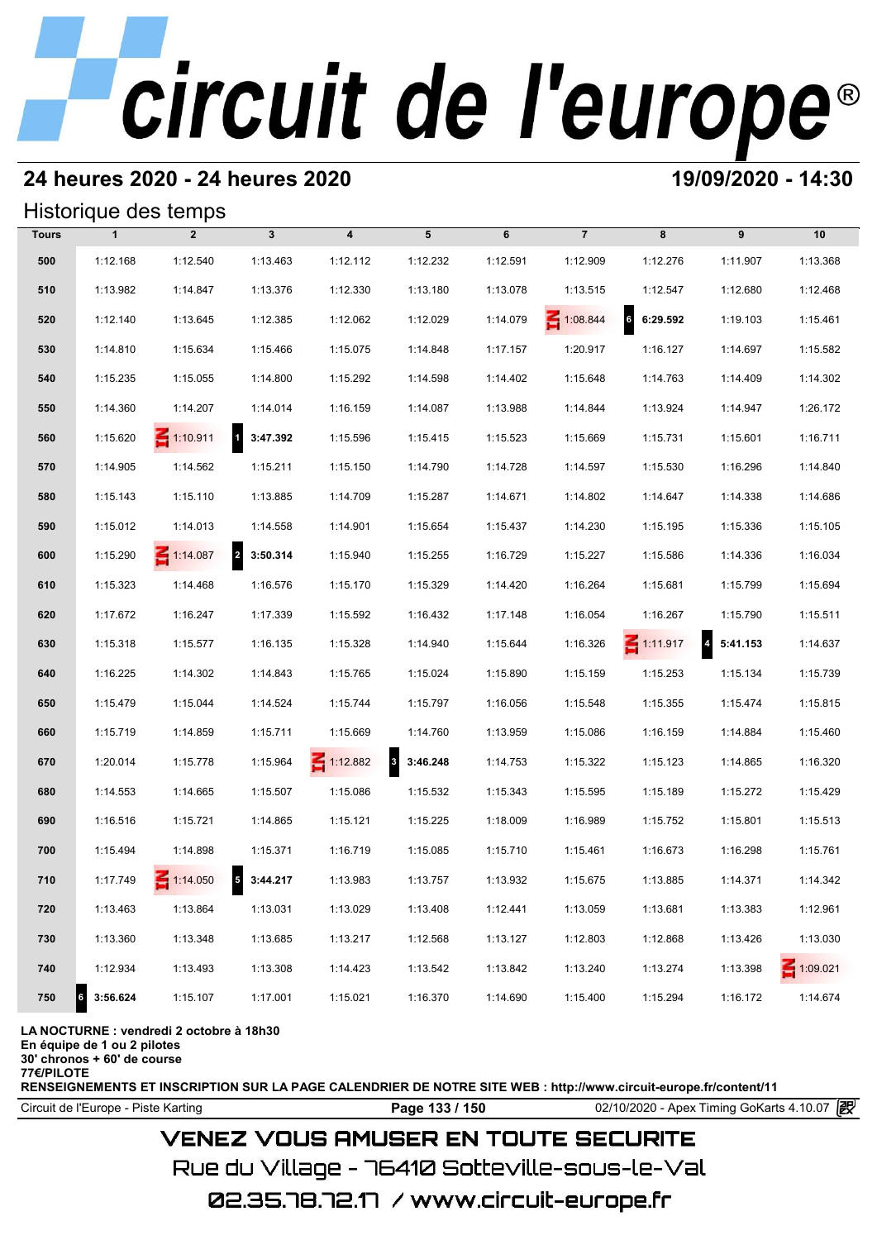# **24 heures 2020 - 24 heures 2020 19/09/2020 - 14:30**

## Historique des temps

|              |               | Historique des temps |                   |                  |               |          |                 |                             |                                     |                 |
|--------------|---------------|----------------------|-------------------|------------------|---------------|----------|-----------------|-----------------------------|-------------------------------------|-----------------|
| <b>Tours</b> | $\mathbf{1}$  | $\overline{2}$       | $\mathbf{3}$      | $\boldsymbol{4}$ | 5             | 6        | $\overline{7}$  | 8                           | 9                                   | 10              |
| 500          | 1:12.168      | 1:12.540             | 1:13.463          | 1:12.112         | 1:12.232      | 1:12.591 | 1:12.909        | 1:12.276                    | 1:11.907                            | 1:13.368        |
| 510          | 1:13.982      | 1:14.847             | 1:13.376          | 1:12.330         | 1:13.180      | 1:13.078 | 1:13.515        | 1:12.547                    | 1:12.680                            | 1:12.468        |
| 520          | 1:12.140      | 1:13.645             | 1:12.385          | 1:12.062         | 1:12.029      | 1:14.079 | $\leq 1:08.844$ | $6\overline{6}$<br>6:29.592 | 1:19.103                            | 1:15.461        |
| 530          | 1:14.810      | 1:15.634             | 1:15.466          | 1:15.075         | 1:14.848      | 1:17.157 | 1:20.917        | 1:16.127                    | 1:14.697                            | 1:15.582        |
| 540          | 1:15.235      | 1:15.055             | 1:14.800          | 1:15.292         | 1:14.598      | 1:14.402 | 1:15.648        | 1:14.763                    | 1:14.409                            | 1:14.302        |
| 550          | 1:14.360      | 1:14.207             | 1:14.014          | 1:16.159         | 1:14.087      | 1:13.988 | 1:14.844        | 1:13.924                    | 1:14.947                            | 1:26.172        |
| 560          | 1:15.620      | $\leq 1:10.911$      | 1 3:47.392        | 1:15.596         | 1:15.415      | 1:15.523 | 1:15.669        | 1:15.731                    | 1:15.601                            | 1:16.711        |
| 570          | 1:14.905      | 1:14.562             | 1:15.211          | 1:15.150         | 1:14.790      | 1:14.728 | 1:14.597        | 1:15.530                    | 1:16.296                            | 1:14.840        |
| 580          | 1:15.143      | 1:15.110             | 1:13.885          | 1:14.709         | 1:15.287      | 1:14.671 | 1:14.802        | 1:14.647                    | 1:14.338                            | 1:14.686        |
| 590          | 1:15.012      | 1:14.013             | 1:14.558          | 1:14.901         | 1:15.654      | 1:15.437 | 1:14.230        | 1:15.195                    | 1:15.336                            | 1:15.105        |
| 600          | 1:15.290      | $\leq 1:14.087$      | 2 3:50.314        | 1:15.940         | 1:15.255      | 1:16.729 | 1:15.227        | 1:15.586                    | 1:14.336                            | 1:16.034        |
| 610          | 1:15.323      | 1:14.468             | 1:16.576          | 1:15.170         | 1:15.329      | 1:14.420 | 1:16.264        | 1:15.681                    | 1:15.799                            | 1:15.694        |
| 620          | 1:17.672      | 1:16.247             | 1:17.339          | 1:15.592         | 1:16.432      | 1:17.148 | 1:16.054        | 1:16.267                    | 1:15.790                            | 1:15.511        |
| 630          | 1:15.318      | 1:15.577             | 1:16.135          | 1:15.328         | 1:14.940      | 1:15.644 | 1:16.326        | $\leq 1:11.917$             | $\overline{\mathbf{4}}$<br>5:41.153 | 1:14.637        |
| 640          | 1:16.225      | 1:14.302             | 1:14.843          | 1:15.765         | 1:15.024      | 1:15.890 | 1:15.159        | 1:15.253                    | 1:15.134                            | 1:15.739        |
| 650          | 1:15.479      | 1:15.044             | 1:14.524          | 1:15.744         | 1:15.797      | 1:16.056 | 1:15.548        | 1:15.355                    | 1:15.474                            | 1:15.815        |
| 660          | 1:15.719      | 1:14.859             | 1:15.711          | 1:15.669         | 1:14.760      | 1:13.959 | 1:15.086        | 1:16.159                    | 1:14.884                            | 1:15.460        |
| 670          | 1:20.014      | 1:15.778             | 1:15.964          | $\leq 1:12.882$  | 3<br>3:46.248 | 1:14.753 | 1:15.322        | 1:15.123                    | 1:14.865                            | 1:16.320        |
| 680          | 1:14.553      | 1:14.665             | 1:15.507          | 1:15.086         | 1:15.532      | 1:15.343 | 1:15.595        | 1:15.189                    | 1:15.272                            | 1:15.429        |
| 690          | 1:16.516      | 1:15.721             | 1:14.865          | 1:15.121         | 1:15.225      | 1:18.009 | 1:16.989        | 1:15.752                    | 1:15.801                            | 1:15.513        |
| 700          | 1:15.494      | 1:14.898             | 1:15.371          | 1:16.719         | 1:15.085      | 1:15.710 | 1:15.461        | 1:16.673                    | 1:16.298                            | 1:15.761        |
| 710          | 1:17.749      | $\leq 1:14.050$      | $5\quad 3:44.217$ | 1:13.983         | 1:13.757      | 1:13.932 | 1:15.675        | 1:13.885                    | 1:14.371                            | 1:14.342        |
| 720          | 1:13.463      | 1:13.864             | 1:13.031          | 1:13.029         | 1:13.408      | 1:12.441 | 1:13.059        | 1:13.681                    | 1:13.383                            | 1:12.961        |
| 730          | 1:13.360      | 1:13.348             | 1:13.685          | 1:13.217         | 1:12.568      | 1:13.127 | 1:12.803        | 1:12.868                    | 1:13.426                            | 1:13.030        |
| 740          | 1:12.934      | 1:13.493             | 1:13.308          | 1:14.423         | 1:13.542      | 1:13.842 | 1:13.240        | 1:13.274                    | 1:13.398                            | $\leq 1:09.021$ |
| 750          | 3:56.624<br>6 | 1:15.107             | 1:17.001          | 1:15.021         | 1:16.370      | 1:14.690 | 1:15.400        | 1:15.294                    | 1:16.172                            | 1:14.674        |

### **LA NOCTURNE : vendredi 2 octobre à 18h30**

**En équipe de 1 ou 2 pilotes**

**30' chronos + 60' de course**

**77€/PILOTE**

**RENSEIGNEMENTS ET INSCRIPTION SUR LA PAGE CALENDRIER DE NOTRE SITE WEB : http://www.circuit-europe.fr/content/11**

Circuit de l'Europe - Piste Karting **Page 133 / 150** 02/10/2020 - Apex Timing GoKarts 4.10.07

# **VENEZ VOUS AMUSER EN TOUTE SECURITE**

Rue du Village – 76410 Sotteville-sous-le-Val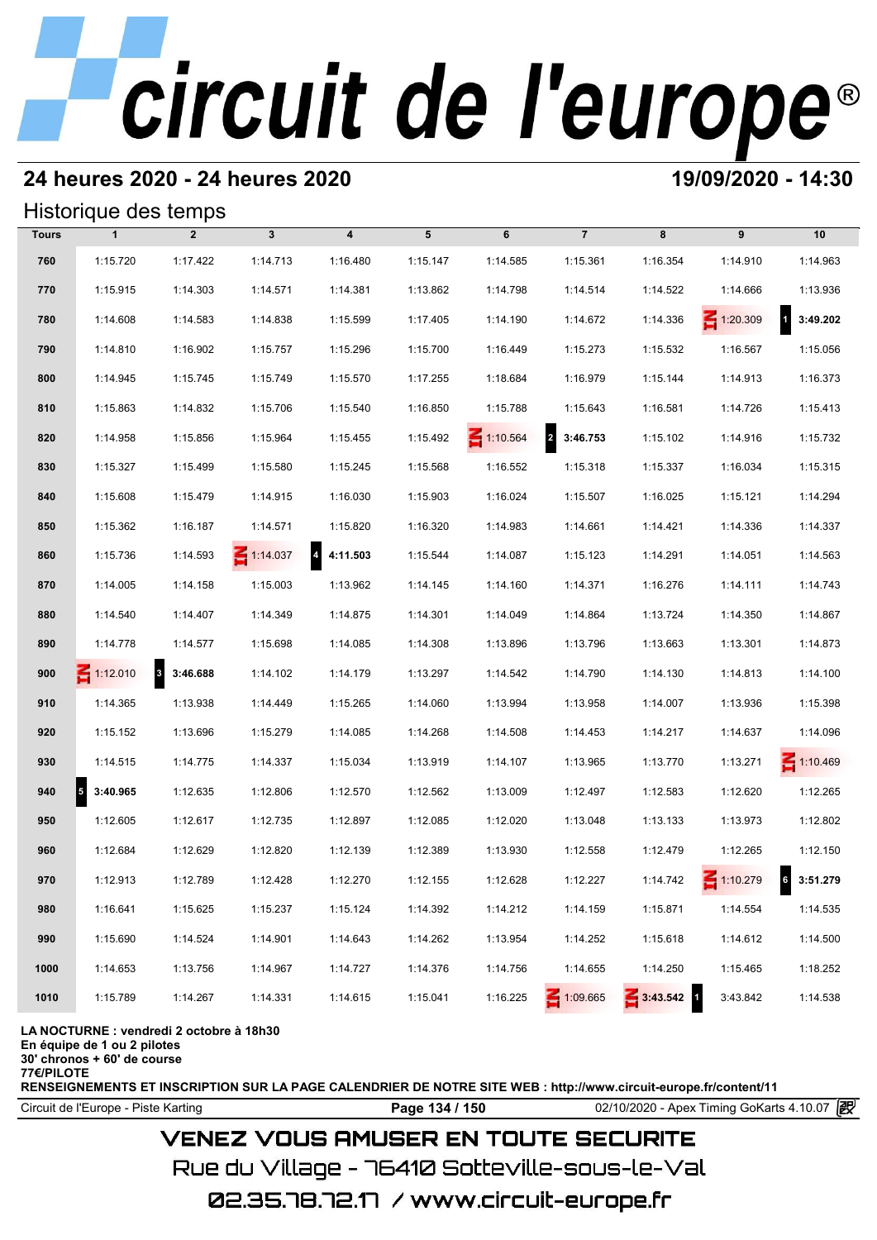# **24 heures 2020 - 24 heures 2020 19/09/2020 - 14:30**

## Historique des temps

|              | Historique des temps                 |                                     |                 |                                     |          |                 |                 |          |                 |                          |
|--------------|--------------------------------------|-------------------------------------|-----------------|-------------------------------------|----------|-----------------|-----------------|----------|-----------------|--------------------------|
| <b>Tours</b> | $\mathbf{1}$                         | $\overline{2}$                      | $\mathbf{3}$    | $\boldsymbol{4}$                    | 5        | 6               | $\overline{7}$  | 8        | 9               | 10                       |
| 760          | 1:15.720                             | 1:17.422                            | 1:14.713        | 1:16.480                            | 1:15.147 | 1:14.585        | 1:15.361        | 1:16.354 | 1:14.910        | 1:14.963                 |
| 770          | 1:15.915                             | 1:14.303                            | 1:14.571        | 1:14.381                            | 1:13.862 | 1:14.798        | 1:14.514        | 1:14.522 | 1:14.666        | 1:13.936                 |
| 780          | 1:14.608                             | 1:14.583                            | 1:14.838        | 1:15.599                            | 1:17.405 | 1:14.190        | 1:14.672        | 1:14.336 | $\leq 1:20.309$ | $\mathbf{1}$<br>3:49.202 |
| 790          | 1:14.810                             | 1:16.902                            | 1:15.757        | 1:15.296                            | 1:15.700 | 1:16.449        | 1:15.273        | 1:15.532 | 1:16.567        | 1:15.056                 |
| 800          | 1:14.945                             | 1:15.745                            | 1:15.749        | 1:15.570                            | 1:17.255 | 1:18.684        | 1:16.979        | 1:15.144 | 1:14.913        | 1:16.373                 |
| 810          | 1:15.863                             | 1:14.832                            | 1:15.706        | 1:15.540                            | 1:16.850 | 1:15.788        | 1:15.643        | 1:16.581 | 1:14.726        | 1:15.413                 |
| 820          | 1:14.958                             | 1:15.856                            | 1:15.964        | 1:15.455                            | 1:15.492 | $\leq 1:10.564$ | 2 3:46.753      | 1:15.102 | 1:14.916        | 1:15.732                 |
| 830          | 1:15.327                             | 1:15.499                            | 1:15.580        | 1:15.245                            | 1:15.568 | 1:16.552        | 1:15.318        | 1:15.337 | 1:16.034        | 1:15.315                 |
| 840          | 1:15.608                             | 1:15.479                            | 1:14.915        | 1:16.030                            | 1:15.903 | 1:16.024        | 1:15.507        | 1:16.025 | 1:15.121        | 1:14.294                 |
| 850          | 1:15.362                             | 1:16.187                            | 1:14.571        | 1:15.820                            | 1:16.320 | 1:14.983        | 1:14.661        | 1:14.421 | 1:14.336        | 1:14.337                 |
| 860          | 1:15.736                             | 1:14.593                            | $\leq 1:14.037$ | $\overline{\mathbf{4}}$<br>4:11.503 | 1:15.544 | 1:14.087        | 1:15.123        | 1:14.291 | 1:14.051        | 1:14.563                 |
| 870          | 1:14.005                             | 1:14.158                            | 1:15.003        | 1:13.962                            | 1:14.145 | 1:14.160        | 1:14.371        | 1:16.276 | 1:14.111        | 1:14.743                 |
| 880          | 1:14.540                             | 1:14.407                            | 1:14.349        | 1:14.875                            | 1:14.301 | 1:14.049        | 1:14.864        | 1:13.724 | 1:14.350        | 1:14.867                 |
| 890          | 1:14.778                             | 1:14.577                            | 1:15.698        | 1:14.085                            | 1:14.308 | 1:13.896        | 1:13.796        | 1:13.663 | 1:13.301        | 1:14.873                 |
| 900          | $\leq 1:12.010$                      | $\overline{\mathbf{3}}$<br>3:46.688 | 1:14.102        | 1:14.179                            | 1:13.297 | 1:14.542        | 1:14.790        | 1:14.130 | 1:14.813        | 1:14.100                 |
| 910          | 1:14.365                             | 1:13.938                            | 1:14.449        | 1:15.265                            | 1:14.060 | 1:13.994        | 1:13.958        | 1:14.007 | 1:13.936        | 1:15.398                 |
| 920          | 1:15.152                             | 1:13.696                            | 1:15.279        | 1:14.085                            | 1:14.268 | 1:14.508        | 1:14.453        | 1:14.217 | 1:14.637        | 1:14.096                 |
| 930          | 1:14.515                             | 1:14.775                            | 1:14.337        | 1:15.034                            | 1:13.919 | 1:14.107        | 1:13.965        | 1:13.770 | 1:13.271        | $\leq 1:10.469$          |
| 940          | $\overline{\phantom{a}}$<br>3:40.965 | 1:12.635                            | 1:12.806        | 1:12.570                            | 1:12.562 | 1:13.009        | 1:12.497        | 1:12.583 | 1:12.620        | 1:12.265                 |
| 950          | 1:12.605                             | 1:12.617                            | 1:12.735        | 1:12.897                            | 1:12.085 | 1:12.020        | 1:13.048        | 1:13.133 | 1:13.973        | 1:12.802                 |
| 960          | 1:12.684                             | 1:12.629                            | 1:12.820        | 1:12.139                            | 1:12.389 | 1:13.930        | 1:12.558        | 1:12.479 | 1:12.265        | 1:12.150                 |
| 970          | 1:12.913                             | 1:12.789                            | 1:12.428        | 1:12.270                            | 1:12.155 | 1:12.628        | 1:12.227        | 1:14.742 | 1:10.279        | 3:51.279                 |
| 980          | 1:16.641                             | 1:15.625                            | 1:15.237        | 1:15.124                            | 1:14.392 | 1:14.212        | 1:14.159        | 1:15.871 | 1:14.554        | 1:14.535                 |
| 990          | 1:15.690                             | 1:14.524                            | 1:14.901        | 1:14.643                            | 1:14.262 | 1:13.954        | 1:14.252        | 1:15.618 | 1:14.612        | 1:14.500                 |
| 1000         | 1:14.653                             | 1:13.756                            | 1:14.967        | 1:14.727                            | 1:14.376 | 1:14.756        | 1:14.655        | 1:14.250 | 1:15.465        | 1:18.252                 |
| 1010         | 1:15.789                             | 1:14.267                            | 1:14.331        | 1:14.615                            | 1:15.041 | 1:16.225        | $\leq 1:09.665$ | 3:43.542 | 3:43.842        | 1:14.538                 |

**LA NOCTURNE : vendredi 2 octobre à 18h30**

**En équipe de 1 ou 2 pilotes**

**30' chronos + 60' de course**

**77€/PILOTE**

**RENSEIGNEMENTS ET INSCRIPTION SUR LA PAGE CALENDRIER DE NOTRE SITE WEB : http://www.circuit-europe.fr/content/11**

Circuit de l'Europe - Piste Karting **Page 134 / 150** 02/10/2020 - Apex Timing GoKarts 4.10.07

# **VENEZ VOUS AMUSER EN TOUTE SECURITE**

Rue du Village – 76410 Sotteville-sous-le-Val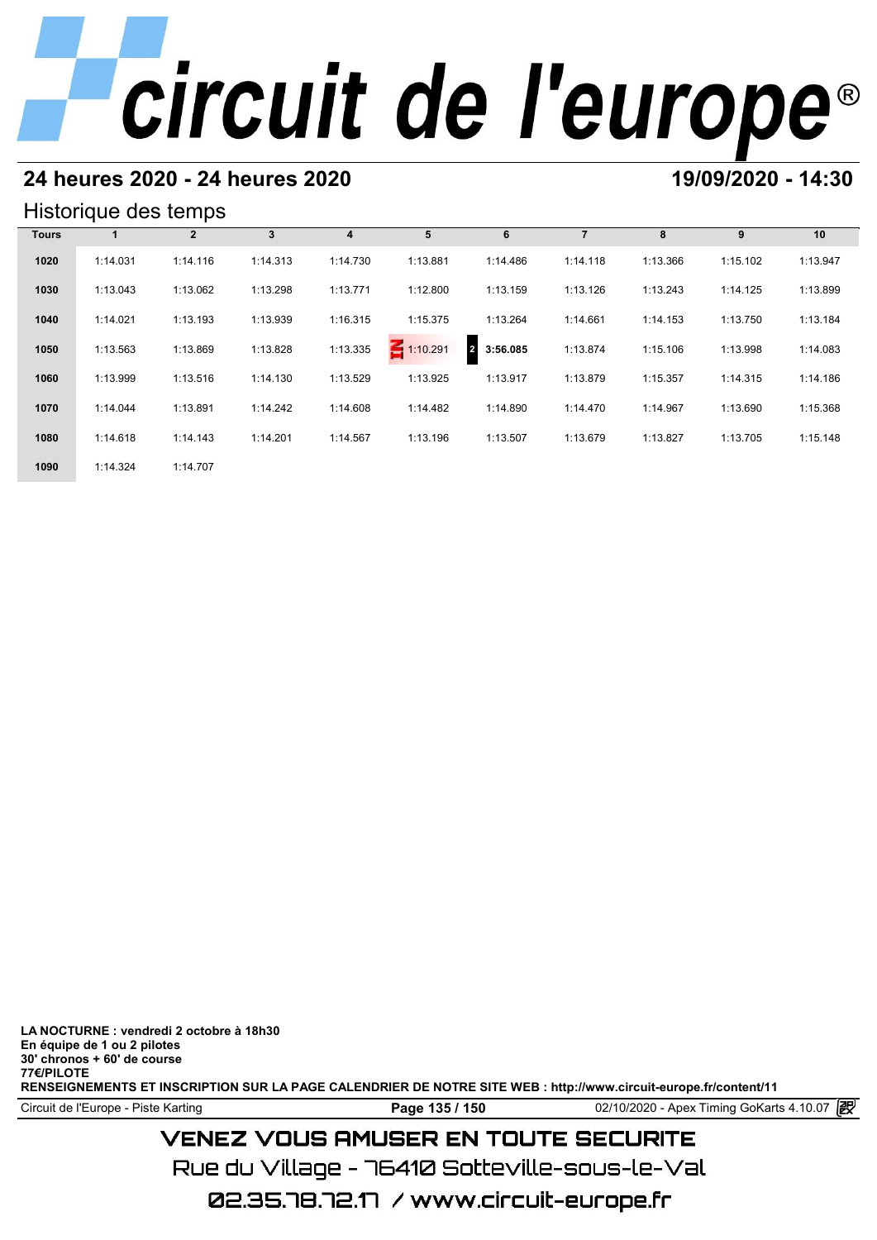# **24 heures 2020 - 24 heures 2020 19/09/2020 - 14:30**

## Historique des temps

|              | Historique des temps |              |              |          |                 |                            |                |          |          |          |  |  |  |
|--------------|----------------------|--------------|--------------|----------|-----------------|----------------------------|----------------|----------|----------|----------|--|--|--|
| <b>Tours</b> |                      | $\mathbf{2}$ | $\mathbf{3}$ | 4        | 5               | 6                          | $\overline{7}$ | 8        | 9        | 10       |  |  |  |
| 1020         | 1:14.031             | 1:14.116     | 1:14.313     | 1:14.730 | 1:13.881        | 1:14.486                   | 1:14.118       | 1:13.366 | 1:15.102 | 1:13.947 |  |  |  |
| 1030         | 1:13.043             | 1:13.062     | 1:13.298     | 1:13.771 | 1:12.800        | 1:13.159                   | 1:13.126       | 1:13.243 | 1:14.125 | 1:13.899 |  |  |  |
| 1040         | 1:14.021             | 1:13.193     | 1:13.939     | 1:16.315 | 1:15.375        | 1:13.264                   | 1:14.661       | 1:14.153 | 1:13.750 | 1:13.184 |  |  |  |
| 1050         | 1:13.563             | 1:13.869     | 1:13.828     | 1:13.335 | $\leq 1:10.291$ | 3:56.085<br>$\overline{2}$ | 1:13.874       | 1:15.106 | 1:13.998 | 1:14.083 |  |  |  |
| 1060         | 1:13.999             | 1:13.516     | 1:14.130     | 1:13.529 | 1:13.925        | 1:13.917                   | 1:13.879       | 1:15.357 | 1:14.315 | 1:14.186 |  |  |  |
| 1070         | 1:14.044             | 1:13.891     | 1:14.242     | 1:14.608 | 1:14.482        | 1:14.890                   | 1:14.470       | 1:14.967 | 1:13.690 | 1:15.368 |  |  |  |
| 1080         | 1:14.618             | 1:14.143     | 1:14.201     | 1:14.567 | 1:13.196        | 1:13.507                   | 1:13.679       | 1:13.827 | 1:13.705 | 1:15.148 |  |  |  |
| 1090         | 1:14.324             | 1:14.707     |              |          |                 |                            |                |          |          |          |  |  |  |

**LA NOCTURNE : vendredi 2 octobre à 18h30 En équipe de 1 ou 2 pilotes 30' chronos + 60' de course 77€/PILOTE RENSEIGNEMENTS ET INSCRIPTION SUR LA PAGE CALENDRIER DE NOTRE SITE WEB : http://www.circuit-europe.fr/content/11**

02.35.78.72.17 / www.circuit-europe.fr

Circuit de l'Europe - Piste Karting **Page 135 / 150 Page 135 / 150** 02/10/2020 - Apex Timing GoKarts 4.10.07

# **VENEZ VOUS AMUSER EN TOUTE SECURITE** Rue du Village – 76410 Sotteville-sous-le-Val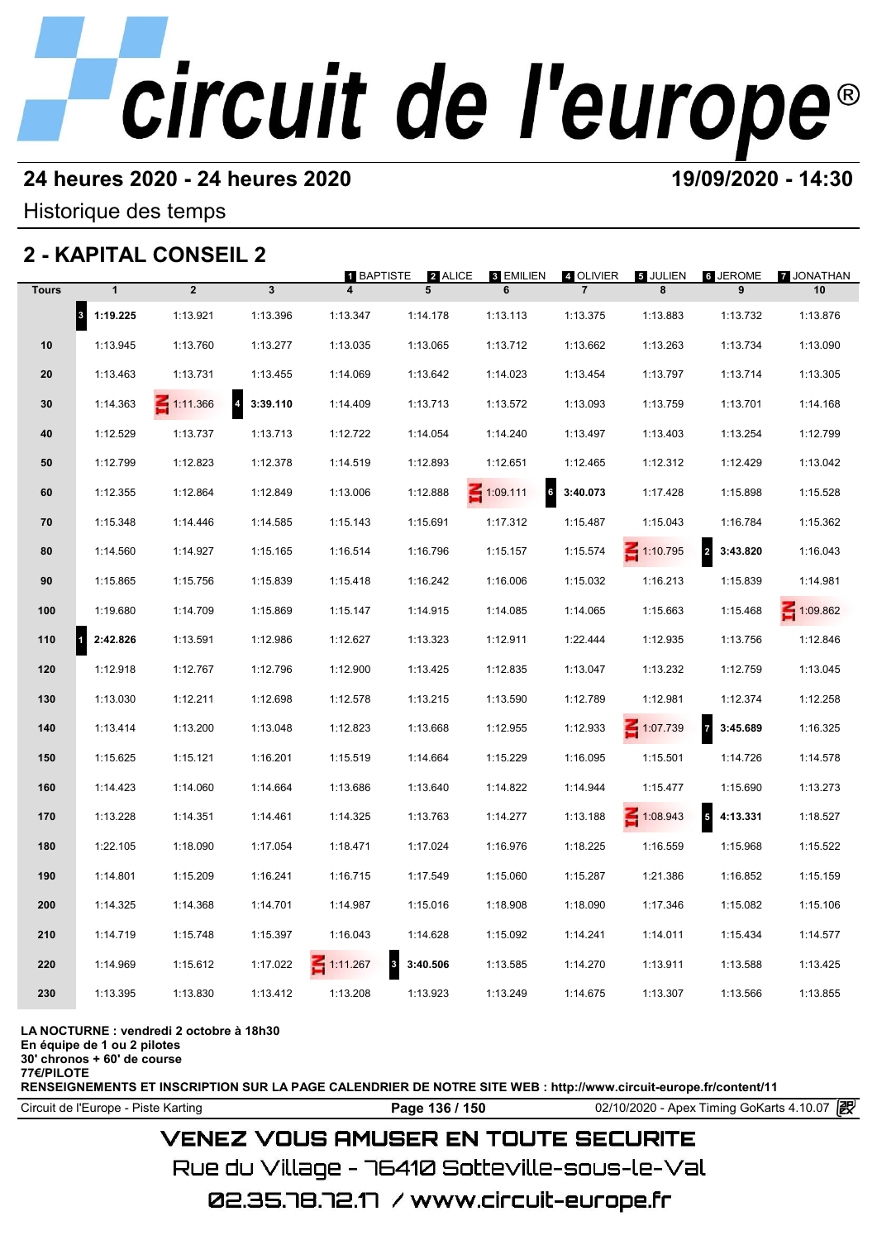## **24 heures 2020 - 24 heures 2020 19/09/2020 - 14:30**

Historique des temps

# **2 - KAPITAL CONSEIL 2**

|              |                                  | 2 - KAPITAL CONSEIL 2 |                                     |                        |              |                      |                             |                 |                                      |                  |
|--------------|----------------------------------|-----------------------|-------------------------------------|------------------------|--------------|----------------------|-----------------------------|-----------------|--------------------------------------|------------------|
| <b>Tours</b> | $\mathbf{1}$                     | $\overline{2}$        | $\mathbf{3}$                        | <b>1 BAPTISTE</b><br>4 | 2 ALICE<br>5 | 3 EMILIEN<br>6       | 4 OLIVIER<br>$\overline{7}$ | 5 JULIEN<br>8   | <b>6 JEROME</b><br>9                 | 7 JONATHAN<br>10 |
|              | $\vert$ <sub>3</sub><br>1:19.225 | 1:13.921              | 1:13.396                            | 1:13.347               | 1:14.178     | 1:13.113             | 1:13.375                    | 1:13.883        | 1:13.732                             | 1:13.876         |
| 10           | 1:13.945                         | 1:13.760              | 1:13.277                            | 1:13.035               | 1:13.065     | 1:13.712             | 1:13.662                    | 1:13.263        | 1:13.734                             | 1:13.090         |
| 20           | 1:13.463                         | 1:13.731              | 1:13.455                            | 1:14.069               | 1:13.642     | 1:14.023             | 1:13.454                    | 1:13.797        | 1:13.714                             | 1:13.305         |
| 30           | 1:14.363                         | $\leq 1:11.366$       | $\overline{\mathbf{4}}$<br>3:39.110 | 1:14.409               | 1:13.713     | 1:13.572             | 1:13.093                    | 1:13.759        | 1:13.701                             | 1:14.168         |
| 40           | 1:12.529                         | 1:13.737              | 1:13.713                            | 1:12.722               | 1:14.054     | 1:14.240             | 1:13.497                    | 1:13.403        | 1:13.254                             | 1:12.799         |
| 50           | 1:12.799                         | 1:12.823              | 1:12.378                            | 1:14.519               | 1:12.893     | 1:12.651             | 1:12.465                    | 1:12.312        | 1:12.429                             | 1:13.042         |
| 60           | 1:12.355                         | 1:12.864              | 1:12.849                            | 1:13.006               | 1:12.888     | 6<br>$\leq 1:09.111$ | 3:40.073                    | 1:17.428        | 1:15.898                             | 1:15.528         |
| 70           | 1:15.348                         | 1:14.446              | 1:14.585                            | 1:15.143               | 1:15.691     | 1:17.312             | 1:15.487                    | 1:15.043        | 1:16.784                             | 1:15.362         |
| 80           | 1:14.560                         | 1:14.927              | 1:15.165                            | 1:16.514               | 1:16.796     | 1:15.157             | 1:15.574                    | $\leq 1:10.795$ | $\overline{\mathbf{r}}$<br>3:43.820  | 1:16.043         |
| 90           | 1:15.865                         | 1:15.756              | 1:15.839                            | 1:15.418               | 1:16.242     | 1:16.006             | 1:15.032                    | 1:16.213        | 1:15.839                             | 1:14.981         |
| 100          | 1:19.680                         | 1:14.709              | 1:15.869                            | 1:15.147               | 1:14.915     | 1:14.085             | 1:14.065                    | 1:15.663        | 1:15.468                             | 1:09.862         |
| 110          | и<br>2:42.826                    | 1:13.591              | 1:12.986                            | 1:12.627               | 1:13.323     | 1:12.911             | 1:22.444                    | 1:12.935        | 1:13.756                             | 1:12.846         |
| 120          | 1:12.918                         | 1:12.767              | 1:12.796                            | 1:12.900               | 1:13.425     | 1:12.835             | 1:13.047                    | 1:13.232        | 1:12.759                             | 1:13.045         |
| 130          | 1:13.030                         | 1:12.211              | 1:12.698                            | 1:12.578               | 1:13.215     | 1:13.590             | 1:12.789                    | 1:12.981        | 1:12.374                             | 1:12.258         |
| 140          | 1:13.414                         | 1:13.200              | 1:13.048                            | 1:12.823               | 1:13.668     | 1:12.955             | 1:12.933                    | 1:07.739        | $\overline{7}$<br>3:45.689           | 1:16.325         |
| 150          | 1:15.625                         | 1:15.121              | 1:16.201                            | 1:15.519               | 1:14.664     | 1:15.229             | 1:16.095                    | 1:15.501        | 1:14.726                             | 1:14.578         |
| 160          | 1:14.423                         | 1:14.060              | 1:14.664                            | 1:13.686               | 1:13.640     | 1:14.822             | 1:14.944                    | 1:15.477        | 1:15.690                             | 1:13.273         |
| 170          | 1:13.228                         | 1:14.351              | 1:14.461                            | 1:14.325               | 1:13.763     | 1:14.277             | 1:13.188                    | $\leq 1:08.943$ | $\overline{\phantom{a}}$<br>4:13.331 | 1:18.527         |
| 180          | 1:22.105                         | 1:18.090              | 1:17.054                            | 1:18.471               | 1:17.024     | 1:16.976             | 1:18.225                    | 1:16.559        | 1:15.968                             | 1:15.522         |
| 190          | 1:14.801                         | 1:15.209              | 1:16.241                            | 1:16.715               | 1:17.549     | 1:15.060             | 1:15.287                    | 1:21.386        | 1:16.852                             | 1:15.159         |
| 200          | 1:14.325                         | 1:14.368              | 1:14.701                            | 1:14.987               | 1:15.016     | 1:18.908             | 1:18.090                    | 1:17.346        | 1:15.082                             | 1:15.106         |
| 210          | 1:14.719                         | 1:15.748              | 1:15.397                            | 1:16.043               | 1:14.628     | 1:15.092             | 1:14.241                    | 1:14.011        | 1:15.434                             | 1:14.577         |
| 220          | 1:14.969                         | 1:15.612              | 1:17.022                            | 3<br>$\leq 1:11.267$   | 3:40.506     | 1:13.585             | 1:14.270                    | 1:13.911        | 1:13.588                             | 1:13.425         |
| 230          | 1:13.395                         | 1:13.830              | 1:13.412                            | 1:13.208               | 1:13.923     | 1:13.249             | 1:14.675                    | 1:13.307        | 1:13.566                             | 1:13.855         |
|              |                                  |                       |                                     |                        |              |                      |                             |                 |                                      |                  |

### **LA NOCTURNE : vendredi 2 octobre à 18h30**

**En équipe de 1 ou 2 pilotes**

**30' chronos + 60' de course**

**77€/PILOTE**

**RENSEIGNEMENTS ET INSCRIPTION SUR LA PAGE CALENDRIER DE NOTRE SITE WEB : http://www.circuit-europe.fr/content/11**

Circuit de l'Europe - Piste Karting **Page 136 / 150** 02/10/2020 - Apex Timing GoKarts 4.10.07

# **VENEZ VOUS AMUSER EN TOUTE SECURITE**

Rue du Village – 76410 Sotteville-sous-le-Val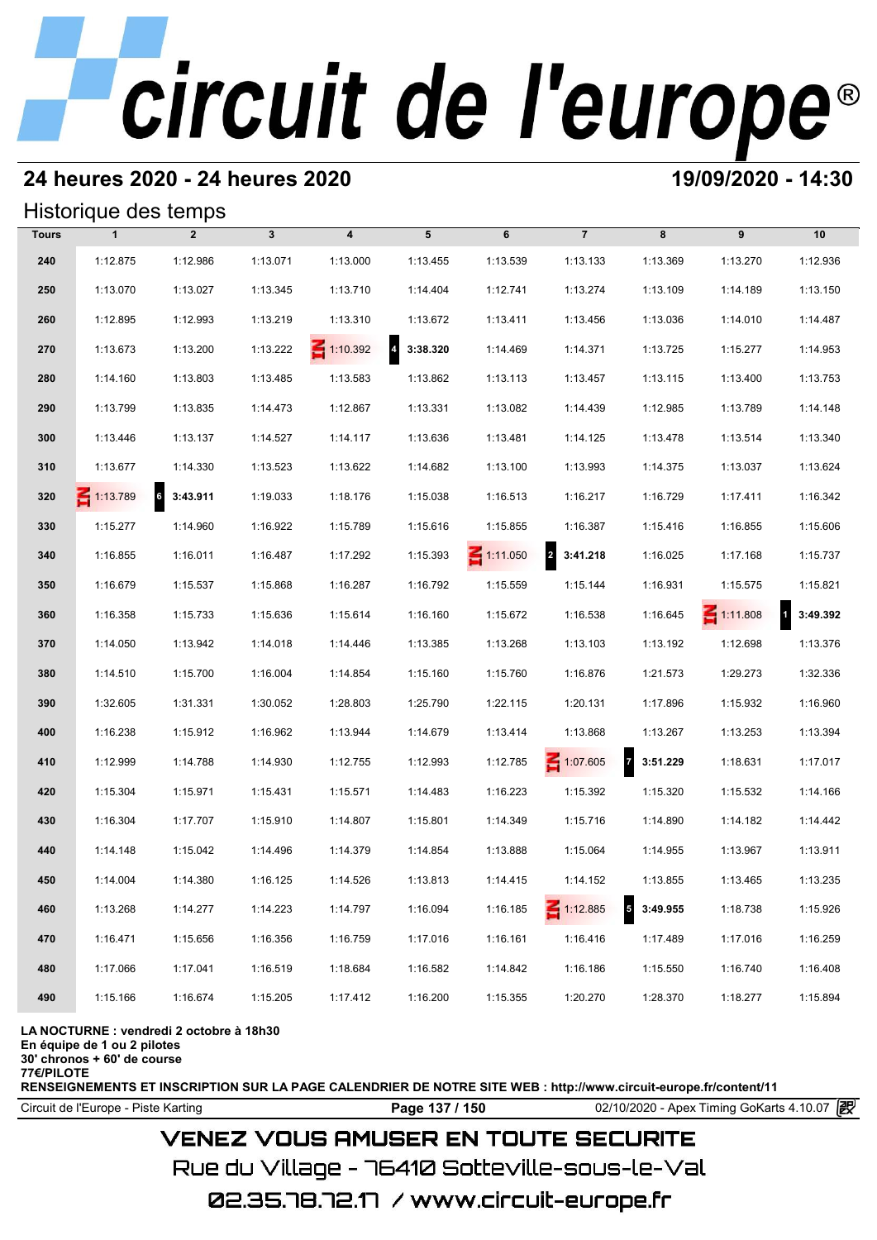# **24 heures 2020 - 24 heures 2020 19/09/2020 - 14:30**

## Historique des temps

|              | Historique des temps |                             |              |                         |            |                 |                            |                                      |                 |                          |
|--------------|----------------------|-----------------------------|--------------|-------------------------|------------|-----------------|----------------------------|--------------------------------------|-----------------|--------------------------|
| <b>Tours</b> | $\mathbf{1}$         | $\overline{2}$              | $\mathbf{3}$ | $\overline{\mathbf{4}}$ | 5          | 6               | $\overline{7}$             | 8                                    | 9               | 10                       |
| 240          | 1:12.875             | 1:12.986                    | 1:13.071     | 1:13.000                | 1:13.455   | 1:13.539        | 1:13.133                   | 1:13.369                             | 1:13.270        | 1:12.936                 |
| 250          | 1:13.070             | 1:13.027                    | 1:13.345     | 1:13.710                | 1:14.404   | 1:12.741        | 1:13.274                   | 1:13.109                             | 1:14.189        | 1:13.150                 |
| 260          | 1:12.895             | 1:12.993                    | 1:13.219     | 1:13.310                | 1:13.672   | 1:13.411        | 1:13.456                   | 1:13.036                             | 1:14.010        | 1:14.487                 |
| 270          | 1:13.673             | 1:13.200                    | 1:13.222     | $\leq 1:10.392$         | 4 3:38.320 | 1:14.469        | 1:14.371                   | 1:13.725                             | 1:15.277        | 1:14.953                 |
| 280          | 1:14.160             | 1:13.803                    | 1:13.485     | 1:13.583                | 1:13.862   | 1:13.113        | 1:13.457                   | 1:13.115                             | 1:13.400        | 1:13.753                 |
| 290          | 1:13.799             | 1:13.835                    | 1:14.473     | 1:12.867                | 1:13.331   | 1:13.082        | 1:14.439                   | 1:12.985                             | 1:13.789        | 1:14.148                 |
| 300          | 1:13.446             | 1:13.137                    | 1:14.527     | 1:14.117                | 1:13.636   | 1:13.481        | 1:14.125                   | 1:13.478                             | 1:13.514        | 1:13.340                 |
| 310          | 1:13.677             | 1:14.330                    | 1:13.523     | 1:13.622                | 1:14.682   | 1:13.100        | 1:13.993                   | 1:14.375                             | 1:13.037        | 1:13.624                 |
| 320          | $\leq 1:13.789$      | $6\overline{6}$<br>3:43.911 | 1:19.033     | 1:18.176                | 1:15.038   | 1:16.513        | 1:16.217                   | 1:16.729                             | 1:17.411        | 1:16.342                 |
| 330          | 1:15.277             | 1:14.960                    | 1:16.922     | 1:15.789                | 1:15.616   | 1:15.855        | 1:16.387                   | 1:15.416                             | 1:16.855        | 1:15.606                 |
| 340          | 1:16.855             | 1:16.011                    | 1:16.487     | 1:17.292                | 1:15.393   | $\leq 1:11.050$ | $\overline{a}$<br>3:41.218 | 1:16.025                             | 1:17.168        | 1:15.737                 |
| 350          | 1:16.679             | 1:15.537                    | 1:15.868     | 1:16.287                | 1:16.792   | 1:15.559        | 1:15.144                   | 1:16.931                             | 1:15.575        | 1:15.821                 |
| 360          | 1:16.358             | 1:15.733                    | 1:15.636     | 1:15.614                | 1:16.160   | 1:15.672        | 1:16.538                   | 1:16.645                             | $\leq 1:11.808$ | $\mathbf{1}$<br>3:49.392 |
| 370          | 1:14.050             | 1:13.942                    | 1:14.018     | 1:14.446                | 1:13.385   | 1:13.268        | 1:13.103                   | 1:13.192                             | 1:12.698        | 1:13.376                 |
| 380          | 1:14.510             | 1:15.700                    | 1:16.004     | 1:14.854                | 1:15.160   | 1:15.760        | 1:16.876                   | 1:21.573                             | 1:29.273        | 1:32.336                 |
| 390          | 1:32.605             | 1:31.331                    | 1:30.052     | 1:28.803                | 1:25.790   | 1:22.115        | 1:20.131                   | 1:17.896                             | 1:15.932        | 1:16.960                 |
| 400          | 1:16.238             | 1:15.912                    | 1:16.962     | 1:13.944                | 1:14.679   | 1:13.414        | 1:13.868                   | 1:13.267                             | 1:13.253        | 1:13.394                 |
| 410          | 1:12.999             | 1:14.788                    | 1:14.930     | 1:12.755                | 1:12.993   | 1:12.785        | $\leq 1:07.605$            | $\overline{z}$<br>3:51.229           | 1:18.631        | 1:17.017                 |
| 420          | 1:15.304             | 1:15.971                    | 1:15.431     | 1:15.571                | 1:14.483   | 1:16.223        | 1:15.392                   | 1:15.320                             | 1:15.532        | 1:14.166                 |
| 430          | 1:16.304             | 1:17.707                    | 1:15.910     | 1:14.807                | 1:15.801   | 1:14.349        | 1:15.716                   | 1:14.890                             | 1:14.182        | 1:14.442                 |
| 440          | 1:14.148             | 1:15.042                    | 1:14.496     | 1:14.379                | 1:14.854   | 1:13.888        | 1:15.064                   | 1:14.955                             | 1:13.967        | 1:13.911                 |
| 450          | 1:14.004             | 1:14.380                    | 1:16.125     | 1:14.526                | 1:13.813   | 1:14.415        | 1:14.152                   | 1:13.855                             | 1:13.465        | 1:13.235                 |
| 460          | 1:13.268             | 1:14.277                    | 1:14.223     | 1:14.797                | 1:16.094   | 1:16.185        | $\leq 1:12.885$            | $\overline{\phantom{a}}$<br>3:49.955 | 1:18.738        | 1:15.926                 |
| 470          | 1:16.471             | 1:15.656                    | 1:16.356     | 1:16.759                | 1:17.016   | 1:16.161        | 1:16.416                   | 1:17.489                             | 1:17.016        | 1:16.259                 |
| 480          | 1:17.066             | 1:17.041                    | 1:16.519     | 1:18.684                | 1:16.582   | 1:14.842        | 1:16.186                   | 1:15.550                             | 1:16.740        | 1:16.408                 |
| 490          | 1:15.166             | 1:16.674                    | 1:15.205     | 1:17.412                | 1:16.200   | 1:15.355        | 1:20.270                   | 1:28.370                             | 1:18.277        | 1:15.894                 |

### **LA NOCTURNE : vendredi 2 octobre à 18h30**

**En équipe de 1 ou 2 pilotes**

**30' chronos + 60' de course**

**77€/PILOTE**

**RENSEIGNEMENTS ET INSCRIPTION SUR LA PAGE CALENDRIER DE NOTRE SITE WEB : http://www.circuit-europe.fr/content/11**

Circuit de l'Europe - Piste Karting **Page 137 / 150** 02/10/2020 - Apex Timing GoKarts 4.10.07

# **VENEZ VOUS AMUSER EN TOUTE SECURITE**

Rue du Village – 76410 Sotteville-sous-le-Val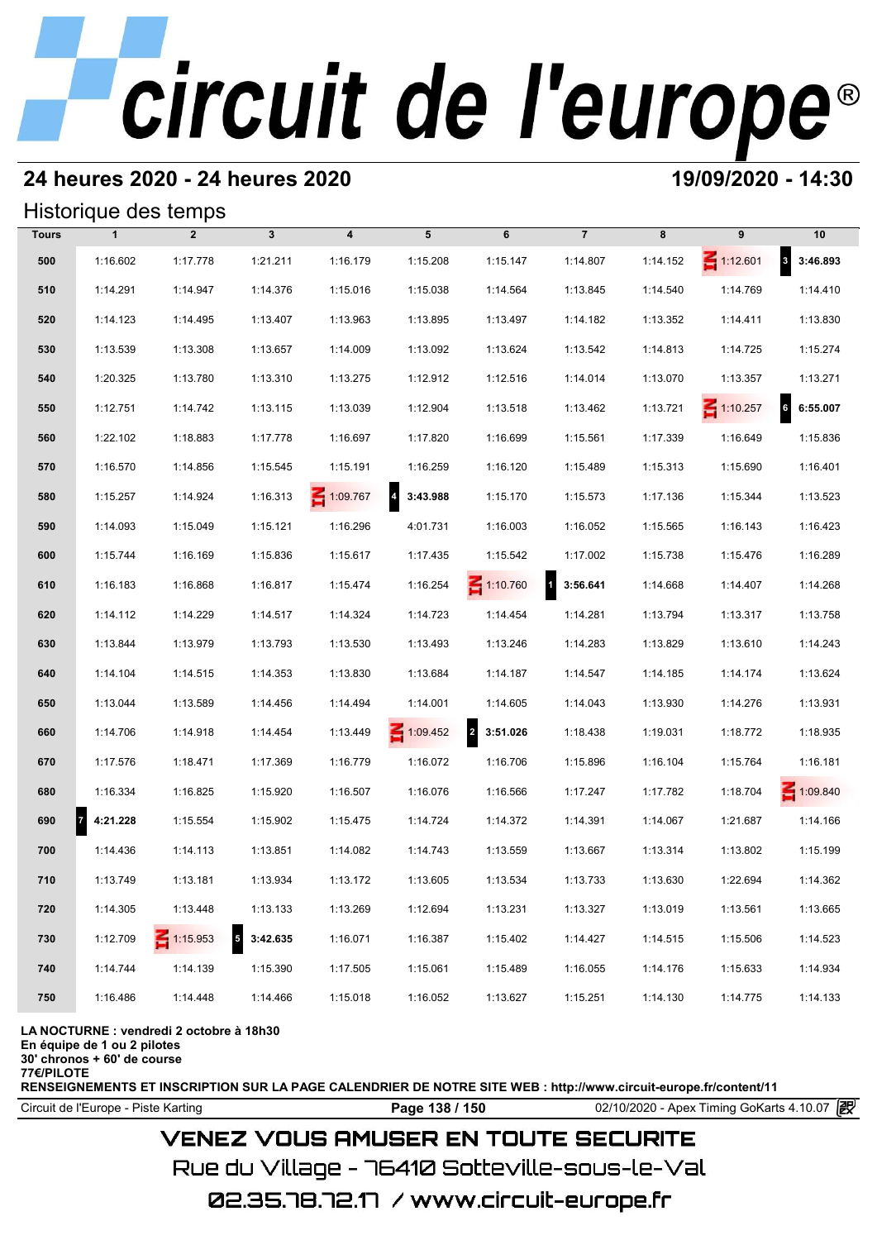# **24 heures 2020 - 24 heures 2020 19/09/2020 - 14:30**

## Historique des temps

|              |                | Historique des temps              |              |                         |                            |                                     |                          |          |                 |                 |
|--------------|----------------|-----------------------------------|--------------|-------------------------|----------------------------|-------------------------------------|--------------------------|----------|-----------------|-----------------|
| <b>Tours</b> | $\mathbf{1}$   | $\overline{2}$                    | $\mathbf{3}$ | $\overline{\mathbf{4}}$ | 5                          | 6                                   | $\overline{7}$           | 8        | 9               | 10              |
| 500          | 1:16.602       | 1:17.778                          | 1:21.211     | 1:16.179                | 1:15.208                   | 1:15.147                            | 1:14.807                 | 1:14.152 | $\leq 1:12.601$ | 8 3:46.893      |
| 510          | 1:14.291       | 1:14.947                          | 1:14.376     | 1:15.016                | 1:15.038                   | 1:14.564                            | 1:13.845                 | 1:14.540 | 1:14.769        | 1:14.410        |
| 520          | 1:14.123       | 1:14.495                          | 1:13.407     | 1:13.963                | 1:13.895                   | 1:13.497                            | 1:14.182                 | 1:13.352 | 1:14.411        | 1:13.830        |
| 530          | 1:13.539       | 1:13.308                          | 1:13.657     | 1:14.009                | 1:13.092                   | 1:13.624                            | 1:13.542                 | 1:14.813 | 1:14.725        | 1:15.274        |
| 540          | 1:20.325       | 1:13.780                          | 1:13.310     | 1:13.275                | 1:12.912                   | 1:12.516                            | 1:14.014                 | 1:13.070 | 1:13.357        | 1:13.271        |
| 550          | 1:12.751       | 1:14.742                          | 1:13.115     | 1:13.039                | 1:12.904                   | 1:13.518                            | 1:13.462                 | 1:13.721 | $\leq 1:10.257$ | 6<br>6:55.007   |
| 560          | 1:22.102       | 1:18.883                          | 1:17.778     | 1:16.697                | 1:17.820                   | 1:16.699                            | 1:15.561                 | 1:17.339 | 1:16.649        | 1:15.836        |
| 570          | 1:16.570       | 1:14.856                          | 1:15.545     | 1:15.191                | 1:16.259                   | 1:16.120                            | 1:15.489                 | 1:15.313 | 1:15.690        | 1:16.401        |
| 580          | 1:15.257       | 1:14.924                          | 1:16.313     | $-1:09.767$             | $\overline{4}$<br>3:43.988 | 1:15.170                            | 1:15.573                 | 1:17.136 | 1:15.344        | 1:13.523        |
| 590          | 1:14.093       | 1:15.049                          | 1:15.121     | 1:16.296                | 4:01.731                   | 1:16.003                            | 1:16.052                 | 1:15.565 | 1:16.143        | 1:16.423        |
| 600          | 1:15.744       | 1:16.169                          | 1:15.836     | 1:15.617                | 1:17.435                   | 1:15.542                            | 1:17.002                 | 1:15.738 | 1:15.476        | 1:16.289        |
| 610          | 1:16.183       | 1:16.868                          | 1:16.817     | 1:15.474                | 1:16.254                   | $\leq 1:10.760$                     | $\mathbf{1}$<br>3:56.641 | 1:14.668 | 1:14.407        | 1:14.268        |
| 620          | 1:14.112       | 1:14.229                          | 1:14.517     | 1:14.324                | 1:14.723                   | 1:14.454                            | 1:14.281                 | 1:13.794 | 1:13.317        | 1:13.758        |
| 630          | 1:13.844       | 1:13.979                          | 1:13.793     | 1:13.530                | 1:13.493                   | 1:13.246                            | 1:14.283                 | 1:13.829 | 1:13.610        | 1:14.243        |
| 640          | 1:14.104       | 1:14.515                          | 1:14.353     | 1:13.830                | 1:13.684                   | 1:14.187                            | 1:14.547                 | 1:14.185 | 1:14.174        | 1:13.624        |
| 650          | 1:13.044       | 1:13.589                          | 1:14.456     | 1:14.494                | 1:14.001                   | 1:14.605                            | 1:14.043                 | 1:13.930 | 1:14.276        | 1:13.931        |
| 660          | 1:14.706       | 1:14.918                          | 1:14.454     | 1:13.449                | $\leq 1:09.452$            | $\overline{\mathbf{2}}$<br>3:51.026 | 1:18.438                 | 1:19.031 | 1:18.772        | 1:18.935        |
| 670          | 1:17.576       | 1:18.471                          | 1:17.369     | 1:16.779                | 1:16.072                   | 1:16.706                            | 1:15.896                 | 1:16.104 | 1:15.764        | 1:16.181        |
| 680          | 1:16.334       | 1:16.825                          | 1:15.920     | 1:16.507                | 1:16.076                   | 1:16.566                            | 1:17.247                 | 1:17.782 | 1:18.704        | $\leq 1:09.840$ |
| 690          | 4:21.228<br>17 | 1:15.554                          | 1:15.902     | 1:15.475                | 1:14.724                   | 1:14.372                            | 1:14.391                 | 1:14.067 | 1:21.687        | 1:14.166        |
| 700          | 1:14.436       | 1:14.113                          | 1:13.851     | 1:14.082                | 1:14.743                   | 1:13.559                            | 1:13.667                 | 1:13.314 | 1:13.802        | 1:15.199        |
| 710          | 1:13.749       | 1:13.181                          | 1:13.934     | 1:13.172                | 1:13.605                   | 1:13.534                            | 1:13.733                 | 1:13.630 | 1:22.694        | 1:14.362        |
| 720          | 1:14.305       | 1:13.448                          | 1:13.133     | 1:13.269                | 1:12.694                   | 1:13.231                            | 1:13.327                 | 1:13.019 | 1:13.561        | 1:13.665        |
| 730          | 1:12.709       | $\overline{5}$<br>$\leq 1:15.953$ | 3:42.635     | 1:16.071                | 1:16.387                   | 1:15.402                            | 1:14.427                 | 1:14.515 | 1:15.506        | 1:14.523        |
| 740          | 1:14.744       | 1:14.139                          | 1:15.390     | 1:17.505                | 1:15.061                   | 1:15.489                            | 1:16.055                 | 1:14.176 | 1:15.633        | 1:14.934        |
| 750          | 1:16.486       | 1:14.448                          | 1:14.466     | 1:15.018                | 1:16.052                   | 1:13.627                            | 1:15.251                 | 1:14.130 | 1:14.775        | 1:14.133        |
|              |                |                                   |              |                         |                            |                                     |                          |          |                 |                 |

**LA NOCTURNE : vendredi 2 octobre à 18h30**

**En équipe de 1 ou 2 pilotes 30' chronos + 60' de course**

**77€/PILOTE**

**RENSEIGNEMENTS ET INSCRIPTION SUR LA PAGE CALENDRIER DE NOTRE SITE WEB : http://www.circuit-europe.fr/content/11**

Circuit de l'Europe - Piste Karting **Page 138 / 150** 02/10/2020 - Apex Timing GoKarts 4.10.07

# **VENEZ VOUS AMUSER EN TOUTE SECURITE**

Rue du Village – 76410 Sotteville-sous-le-Val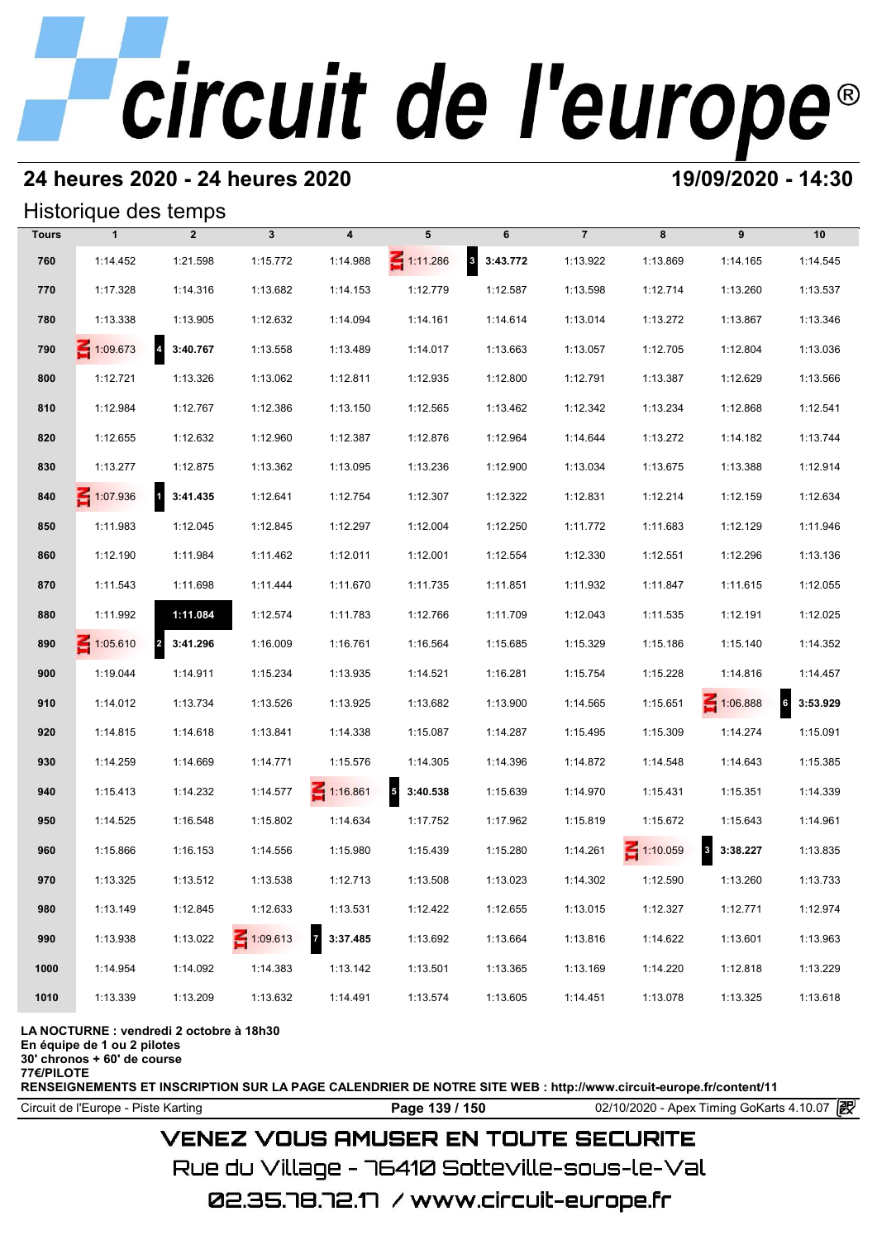# **24 heures 2020 - 24 heures 2020 19/09/2020 - 14:30**

## Historique des temps

|              | Historique des temps |                                     |              |                            |                                     |                                     |                |                 |                                     |           |
|--------------|----------------------|-------------------------------------|--------------|----------------------------|-------------------------------------|-------------------------------------|----------------|-----------------|-------------------------------------|-----------|
| <b>Tours</b> | $\mathbf{1}$         | $\overline{2}$                      | $\mathbf{3}$ | 4                          | 5                                   | 6                                   | $\overline{7}$ | 8               | 9                                   | 10        |
| 760          | 1:14.452             | 1:21.598                            | 1:15.772     | 1:14.988                   | $\leq 1:11.286$                     | $\overline{\mathbf{3}}$<br>3:43.772 | 1:13.922       | 1:13.869        | 1:14.165                            | 1:14.545  |
| 770          | 1:17.328             | 1:14.316                            | 1:13.682     | 1:14.153                   | 1:12.779                            | 1:12.587                            | 1:13.598       | 1:12.714        | 1:13.260                            | 1:13.537  |
| 780          | 1:13.338             | 1:13.905                            | 1:12.632     | 1:14.094                   | 1:14.161                            | 1:14.614                            | 1:13.014       | 1:13.272        | 1:13.867                            | 1:13.346  |
| 790          | $\leq 1:09.673$      | 4 3:40.767                          | 1:13.558     | 1:13.489                   | 1:14.017                            | 1:13.663                            | 1:13.057       | 1:12.705        | 1:12.804                            | 1:13.036  |
| 800          | 1:12.721             | 1:13.326                            | 1:13.062     | 1:12.811                   | 1:12.935                            | 1:12.800                            | 1:12.791       | 1:13.387        | 1:12.629                            | 1:13.566  |
| 810          | 1:12.984             | 1:12.767                            | 1:12.386     | 1:13.150                   | 1:12.565                            | 1:13.462                            | 1:12.342       | 1:13.234        | 1:12.868                            | 1:12.541  |
| 820          | 1:12.655             | 1:12.632                            | 1:12.960     | 1:12.387                   | 1:12.876                            | 1:12.964                            | 1:14.644       | 1:13.272        | 1:14.182                            | 1:13.744  |
| 830          | 1:13.277             | 1:12.875                            | 1:13.362     | 1:13.095                   | 1:13.236                            | 1:12.900                            | 1:13.034       | 1:13.675        | 1:13.388                            | 1:12.914  |
| 840          | 1:07.936             | $\overline{\mathbf{1}}$<br>3:41.435 | 1:12.641     | 1:12.754                   | 1:12.307                            | 1:12.322                            | 1:12.831       | 1:12.214        | 1:12.159                            | 1:12.634  |
| 850          | 1:11.983             | 1:12.045                            | 1:12.845     | 1:12.297                   | 1:12.004                            | 1:12.250                            | 1:11.772       | 1:11.683        | 1:12.129                            | 1:11.946  |
| 860          | 1:12.190             | 1:11.984                            | 1:11.462     | 1:12.011                   | 1:12.001                            | 1:12.554                            | 1:12.330       | 1:12.551        | 1:12.296                            | 1:13.136  |
| 870          | 1:11.543             | 1:11.698                            | 1:11.444     | 1:11.670                   | 1:11.735                            | 1:11.851                            | 1:11.932       | 1:11.847        | 1:11.615                            | 1:12.055  |
| 880          | 1:11.992             | 1:11.084                            | 1:12.574     | 1:11.783                   | 1:12.766                            | 1:11.709                            | 1:12.043       | 1:11.535        | 1:12.191                            | 1:12.025  |
| 890          | $\leq 1:05.610$      | 3:41.296<br>$\overline{\mathbf{z}}$ | 1:16.009     | 1:16.761                   | 1:16.564                            | 1:15.685                            | 1:15.329       | 1:15.186        | 1:15.140                            | 1:14.352  |
| 900          | 1:19.044             | 1:14.911                            | 1:15.234     | 1:13.935                   | 1:14.521                            | 1:16.281                            | 1:15.754       | 1:15.228        | 1:14.816                            | 1:14.457  |
| 910          | 1:14.012             | 1:13.734                            | 1:13.526     | 1:13.925                   | 1:13.682                            | 1:13.900                            | 1:14.565       | 1:15.651        | 1:06.888                            | 63:53.929 |
| 920          | 1:14.815             | 1:14.618                            | 1:13.841     | 1:14.338                   | 1:15.087                            | 1:14.287                            | 1:15.495       | 1:15.309        | 1:14.274                            | 1:15.091  |
| 930          | 1:14.259             | 1:14.669                            | 1:14.771     | 1:15.576                   | 1:14.305                            | 1:14.396                            | 1:14.872       | 1:14.548        | 1:14.643                            | 1:15.385  |
| 940          | 1:15.413             | 1:14.232                            | 1:14.577     | $\leq 1:16.861$            | 3:40.538<br>$\overline{\mathbf{5}}$ | 1:15.639                            | 1:14.970       | 1:15.431        | 1:15.351                            | 1:14.339  |
| 950          | 1:14.525             | 1:16.548                            | 1:15.802     | 1:14.634                   | 1:17.752                            | 1:17.962                            | 1:15.819       | 1:15.672        | 1:15.643                            | 1:14.961  |
| 960          | 1:15.866             | 1:16.153                            | 1:14.556     | 1:15.980                   | 1:15.439                            | 1:15.280                            | 1:14.261       | $\leq 1:10.059$ | $\overline{\mathbf{3}}$<br>3:38.227 | 1:13.835  |
| 970          | 1:13.325             | 1:13.512                            | 1:13.538     | 1:12.713                   | 1:13.508                            | 1:13.023                            | 1:14.302       | 1:12.590        | 1:13.260                            | 1:13.733  |
| 980          | 1:13.149             | 1:12.845                            | 1:12.633     | 1:13.531                   | 1:12.422                            | 1:12.655                            | 1:13.015       | 1:12.327        | 1:12.771                            | 1:12.974  |
| 990          | 1:13.938             | 1:13.022                            | $-1:09.613$  | $\overline{7}$<br>3:37.485 | 1:13.692                            | 1:13.664                            | 1:13.816       | 1:14.622        | 1:13.601                            | 1:13.963  |
| 1000         | 1:14.954             | 1:14.092                            | 1:14.383     | 1:13.142                   | 1:13.501                            | 1:13.365                            | 1:13.169       | 1:14.220        | 1:12.818                            | 1:13.229  |
| 1010         | 1:13.339             | 1:13.209                            | 1:13.632     | 1:14.491                   | 1:13.574                            | 1:13.605                            | 1:14.451       | 1:13.078        | 1:13.325                            | 1:13.618  |

### **LA NOCTURNE : vendredi 2 octobre à 18h30**

**En équipe de 1 ou 2 pilotes**

**30' chronos + 60' de course**

**77€/PILOTE**

**RENSEIGNEMENTS ET INSCRIPTION SUR LA PAGE CALENDRIER DE NOTRE SITE WEB : http://www.circuit-europe.fr/content/11**

Circuit de l'Europe - Piste Karting **Page 139 / 150** 02/10/2020 - Apex Timing GoKarts 4.10.07

# **VENEZ VOUS AMUSER EN TOUTE SECURITE**

Rue du Village – 76410 Sotteville-sous-le-Val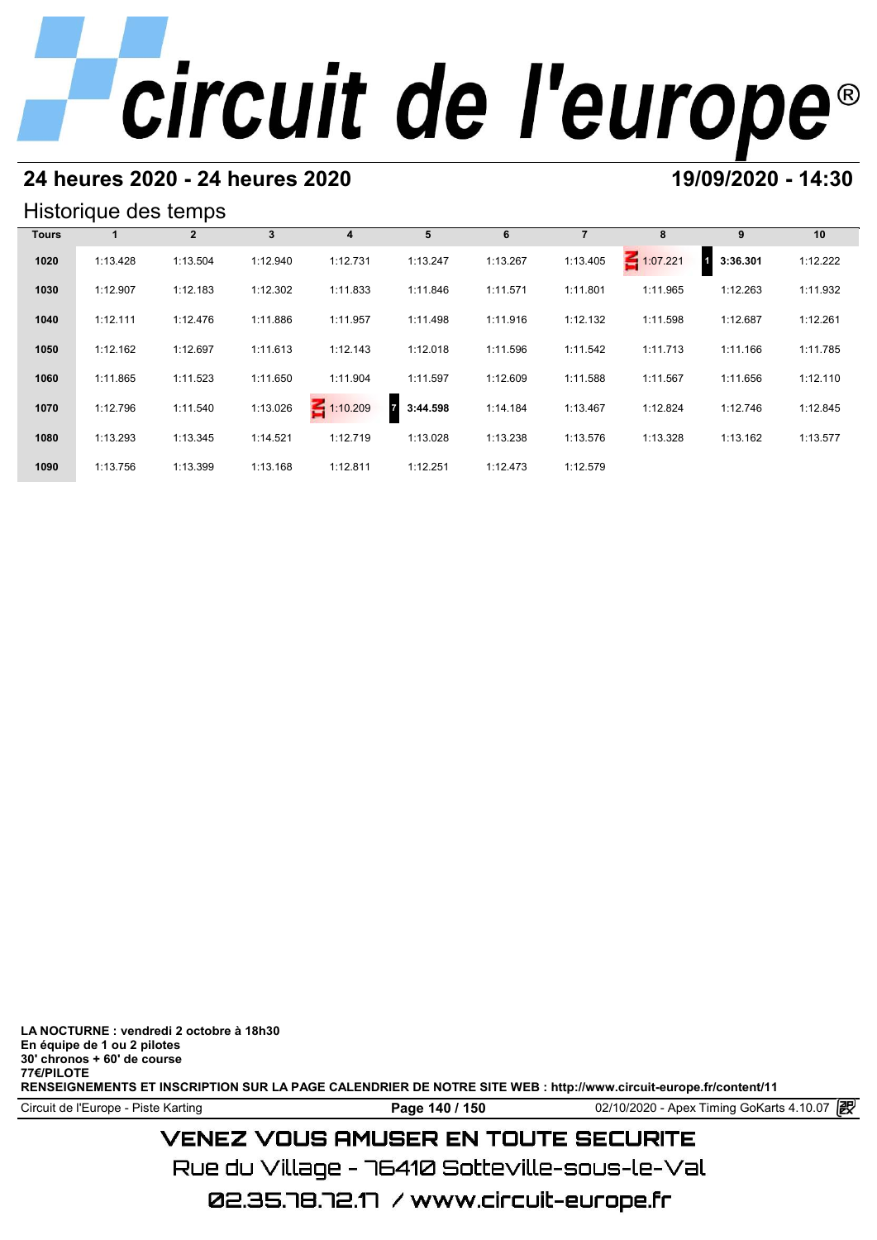# **24 heures 2020 - 24 heures 2020 19/09/2020 - 14:30**

## Historique des temps

| Historique des temps |          |              |          |                 |                            |          |          |             |                            |          |  |  |
|----------------------|----------|--------------|----------|-----------------|----------------------------|----------|----------|-------------|----------------------------|----------|--|--|
| <b>Tours</b>         |          | $\mathbf{2}$ | 3        | 4               | 5                          | 6        |          | 8           | 9                          | 10       |  |  |
| 1020                 | 1:13.428 | 1:13.504     | 1:12.940 | 1:12.731        | 1:13.247                   | 1:13.267 | 1:13.405 | $-1:07.221$ | 3:36.301<br>$\overline{1}$ | 1:12.222 |  |  |
| 1030                 | 1:12.907 | 1:12.183     | 1:12.302 | 1:11.833        | 1:11.846                   | 1:11.571 | 1:11.801 | 1:11.965    | 1:12.263                   | 1:11.932 |  |  |
| 1040                 | 1:12.111 | 1:12.476     | 1:11.886 | 1:11.957        | 1:11.498                   | 1:11.916 | 1:12.132 | 1:11.598    | 1:12.687                   | 1:12.261 |  |  |
| 1050                 | 1:12.162 | 1:12.697     | 1:11.613 | 1:12.143        | 1:12.018                   | 1:11.596 | 1:11.542 | 1:11.713    | 1:11.166                   | 1:11.785 |  |  |
| 1060                 | 1:11.865 | 1:11.523     | 1:11.650 | 1:11.904        | 1:11.597                   | 1:12.609 | 1:11.588 | 1:11.567    | 1:11.656                   | 1:12.110 |  |  |
| 1070                 | 1:12.796 | 1:11.540     | 1:13.026 | $\leq 1:10.209$ | $\overline{7}$<br>3:44.598 | 1:14.184 | 1:13.467 | 1:12.824    | 1:12.746                   | 1:12.845 |  |  |
| 1080                 | 1:13.293 | 1:13.345     | 1:14.521 | 1:12.719        | 1:13.028                   | 1:13.238 | 1:13.576 | 1:13.328    | 1:13.162                   | 1:13.577 |  |  |
| 1090                 | 1:13.756 | 1:13.399     | 1:13.168 | 1:12.811        | 1:12.251                   | 1:12.473 | 1:12.579 |             |                            |          |  |  |

**LA NOCTURNE : vendredi 2 octobre à 18h30 En équipe de 1 ou 2 pilotes 30' chronos + 60' de course 77€/PILOTE RENSEIGNEMENTS ET INSCRIPTION SUR LA PAGE CALENDRIER DE NOTRE SITE WEB : http://www.circuit-europe.fr/content/11**

Circuit de l'Europe - Piste Karting **Page 140 / 150** 02/10/2020 - Apex Timing GoKarts 4.10.07

# **VENEZ VOUS AMUSER EN TOUTE SECURITE**

Rue du Village – 76410 Sotteville-sous-le-Val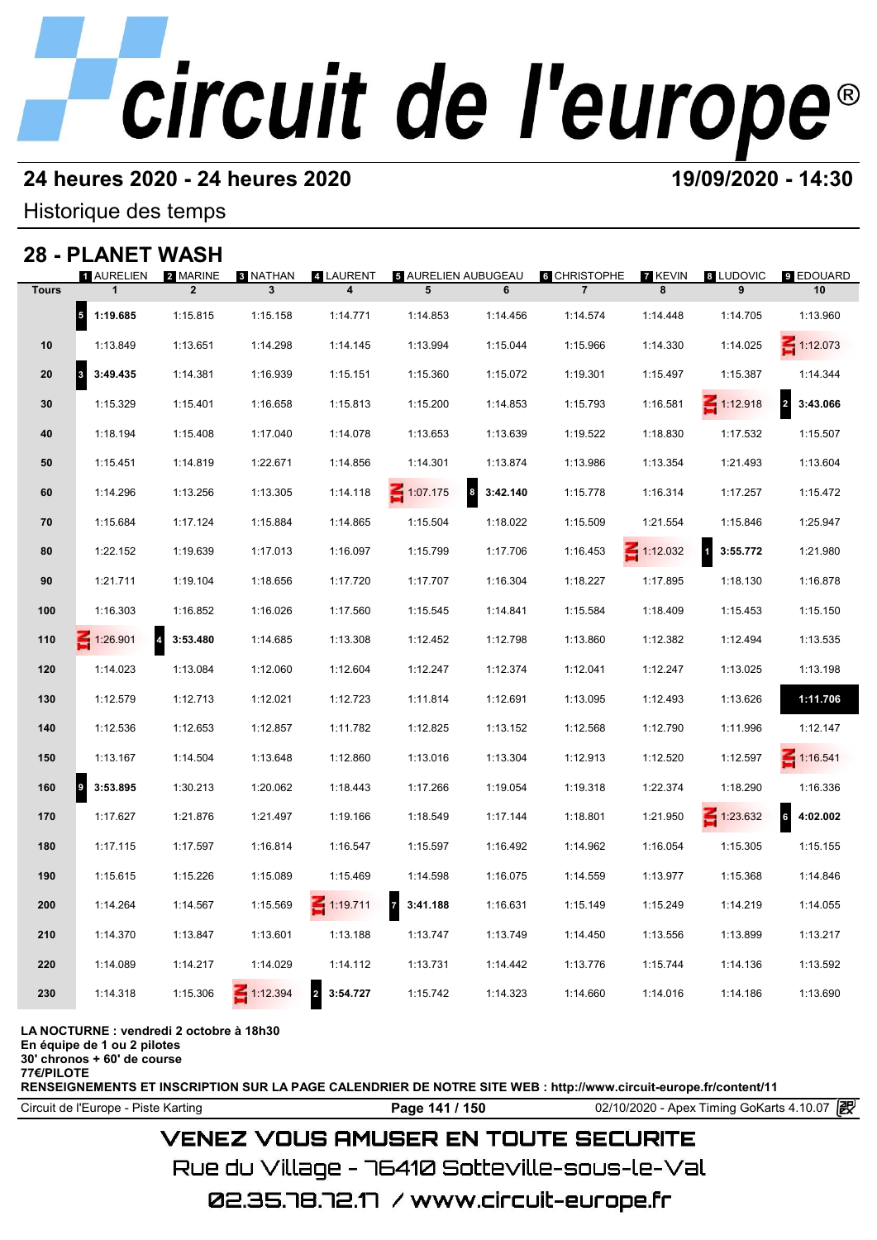# **24 heures 2020 - 24 heures 2020 19/09/2020 - 14:30**

Historique des temps

## **28 - PLANET WASH**

|              | 28 - PLANET     | WASH                       |                 |                            |                            |                              |                     |                 |                          |                            |
|--------------|-----------------|----------------------------|-----------------|----------------------------|----------------------------|------------------------------|---------------------|-----------------|--------------------------|----------------------------|
|              | 1 AURELIEN      | 2 MARINE                   | <b>8 NATHAN</b> | 4 LAURENT                  | <b>3 AURELIEN AUBUGEAU</b> |                              | <b>6 CHRISTOPHE</b> | 7 KEVIN         | 8 LUDOVIC                | <b>9 EDOUARD</b>           |
| <b>Tours</b> | $\mathbf{1}$    | $\overline{2}$             | 3               | 4                          | 5                          | 6                            | $\overline{7}$      | 8               | 9                        | 10                         |
|              | 5<br>1:19.685   | 1:15.815                   | 1:15.158        | 1:14.771                   | 1:14.853                   | 1:14.456                     | 1:14.574            | 1:14.448        | 1:14.705                 | 1:13.960                   |
| 10           | 1:13.849        | 1:13.651                   | 1:14.298        | 1:14.145                   | 1:13.994                   | 1:15.044                     | 1:15.966            | 1:14.330        | 1:14.025                 | $\leq 1:12.073$            |
| 20           | 3<br>3:49.435   | 1:14.381                   | 1:16.939        | 1:15.151                   | 1:15.360                   | 1:15.072                     | 1:19.301            | 1:15.497        | 1:15.387                 | 1:14.344                   |
| 30           | 1:15.329        | 1:15.401                   | 1:16.658        | 1:15.813                   | 1:15.200                   | 1:14.853                     | 1:15.793            | 1:16.581        | $\leq 1:12.918$          | $\overline{2}$<br>3:43.066 |
| 40           | 1:18.194        | 1:15.408                   | 1:17.040        | 1:14.078                   | 1:13.653                   | 1:13.639                     | 1:19.522            | 1:18.830        | 1:17.532                 | 1:15.507                   |
| 50           | 1:15.451        | 1:14.819                   | 1:22.671        | 1:14.856                   | 1:14.301                   | 1:13.874                     | 1:13.986            | 1:13.354        | 1:21.493                 | 1:13.604                   |
| 60           | 1:14.296        | 1:13.256                   | 1:13.305        | 1:14.118                   | $\leq 1:07.175$            | $\boldsymbol{3}$<br>3:42.140 | 1:15.778            | 1:16.314        | 1:17.257                 | 1:15.472                   |
| 70           | 1:15.684        | 1:17.124                   | 1:15.884        | 1:14.865                   | 1:15.504                   | 1:18.022                     | 1:15.509            | 1:21.554        | 1:15.846                 | 1:25.947                   |
| 80           | 1:22.152        | 1:19.639                   | 1:17.013        | 1:16.097                   | 1:15.799                   | 1:17.706                     | 1:16.453            | $\leq 1:12.032$ | $\mathbf{1}$<br>3:55.772 | 1:21.980                   |
| 90           | 1:21.711        | 1:19.104                   | 1:18.656        | 1:17.720                   | 1:17.707                   | 1:16.304                     | 1:18.227            | 1:17.895        | 1:18.130                 | 1:16.878                   |
| 100          | 1:16.303        | 1:16.852                   | 1:16.026        | 1:17.560                   | 1:15.545                   | 1:14.841                     | 1:15.584            | 1:18.409        | 1:15.453                 | 1:15.150                   |
| 110          | $\leq 1:26.901$ | $\overline{a}$<br>3:53.480 | 1:14.685        | 1:13.308                   | 1:12.452                   | 1:12.798                     | 1:13.860            | 1:12.382        | 1:12.494                 | 1:13.535                   |
| 120          | 1:14.023        | 1:13.084                   | 1:12.060        | 1:12.604                   | 1:12.247                   | 1:12.374                     | 1:12.041            | 1:12.247        | 1:13.025                 | 1:13.198                   |
| 130          | 1:12.579        | 1:12.713                   | 1:12.021        | 1:12.723                   | 1:11.814                   | 1:12.691                     | 1:13.095            | 1:12.493        | 1:13.626                 | 1:11.706                   |
| 140          | 1:12.536        | 1:12.653                   | 1:12.857        | 1:11.782                   | 1:12.825                   | 1:13.152                     | 1:12.568            | 1:12.790        | 1:11.996                 | 1:12.147                   |
| 150          | 1:13.167        | 1:14.504                   | 1:13.648        | 1:12.860                   | 1:13.016                   | 1:13.304                     | 1:12.913            | 1:12.520        | 1:12.597                 | $\leq 1:16.541$            |
| 160          | 9<br>3:53.895   | 1:30.213                   | 1:20.062        | 1:18.443                   | 1:17.266                   | 1:19.054                     | 1:19.318            | 1:22.374        | 1:18.290                 | 1:16.336                   |
| 170          | 1:17.627        | 1:21.876                   | 1:21.497        | 1:19.166                   | 1:18.549                   | 1:17.144                     | 1:18.801            | 1:21.950        | $\leq 1:23.632$          | $6\phantom{a}$<br>4:02.002 |
| 180          | 1:17.115        | 1:17.597                   | 1:16.814        | 1:16.547                   | 1:15.597                   | 1:16.492                     | 1:14.962            | 1:16.054        | 1:15.305                 | 1:15.155                   |
| 190          | 1:15.615        | 1:15.226                   | 1:15.089        | 1:15.469                   | 1:14.598                   | 1:16.075                     | 1:14.559            | 1:13.977        | 1:15.368                 | 1:14.846                   |
| 200          | 1:14.264        | 1:14.567                   | 1:15.569        | $\leq 1:19.711$            | $\overline{7}$<br>3:41.188 | 1:16.631                     | 1:15.149            | 1:15.249        | 1:14.219                 | 1:14.055                   |
| 210          | 1:14.370        | 1:13.847                   | 1:13.601        | 1:13.188                   | 1:13.747                   | 1:13.749                     | 1:14.450            | 1:13.556        | 1:13.899                 | 1:13.217                   |
| 220          | 1:14.089        | 1:14.217                   | 1:14.029        | 1:14.112                   | 1:13.731                   | 1:14.442                     | 1:13.776            | 1:15.744        | 1:14.136                 | 1:13.592                   |
| 230          | 1:14.318        | 1:15.306                   | $\leq 1:12.394$ | $\overline{2}$<br>3:54.727 | 1:15.742                   | 1:14.323                     | 1:14.660            | 1:14.016        | 1:14.186                 | 1:13.690                   |
|              |                 |                            |                 |                            |                            |                              |                     |                 |                          |                            |

**LA NOCTURNE : vendredi 2 octobre à 18h30**

**En équipe de 1 ou 2 pilotes**

**30' chronos + 60' de course 77€/PILOTE**

**RENSEIGNEMENTS ET INSCRIPTION SUR LA PAGE CALENDRIER DE NOTRE SITE WEB : http://www.circuit-europe.fr/content/11**

Circuit de l'Europe - Piste Karting **Page 141 / 150** 02/10/2020 - Apex Timing GoKarts 4.10.07

# **VENEZ VOUS AMUSER EN TOUTE SECURITE**

Rue du Village – 76410 Sotteville-sous-le-Val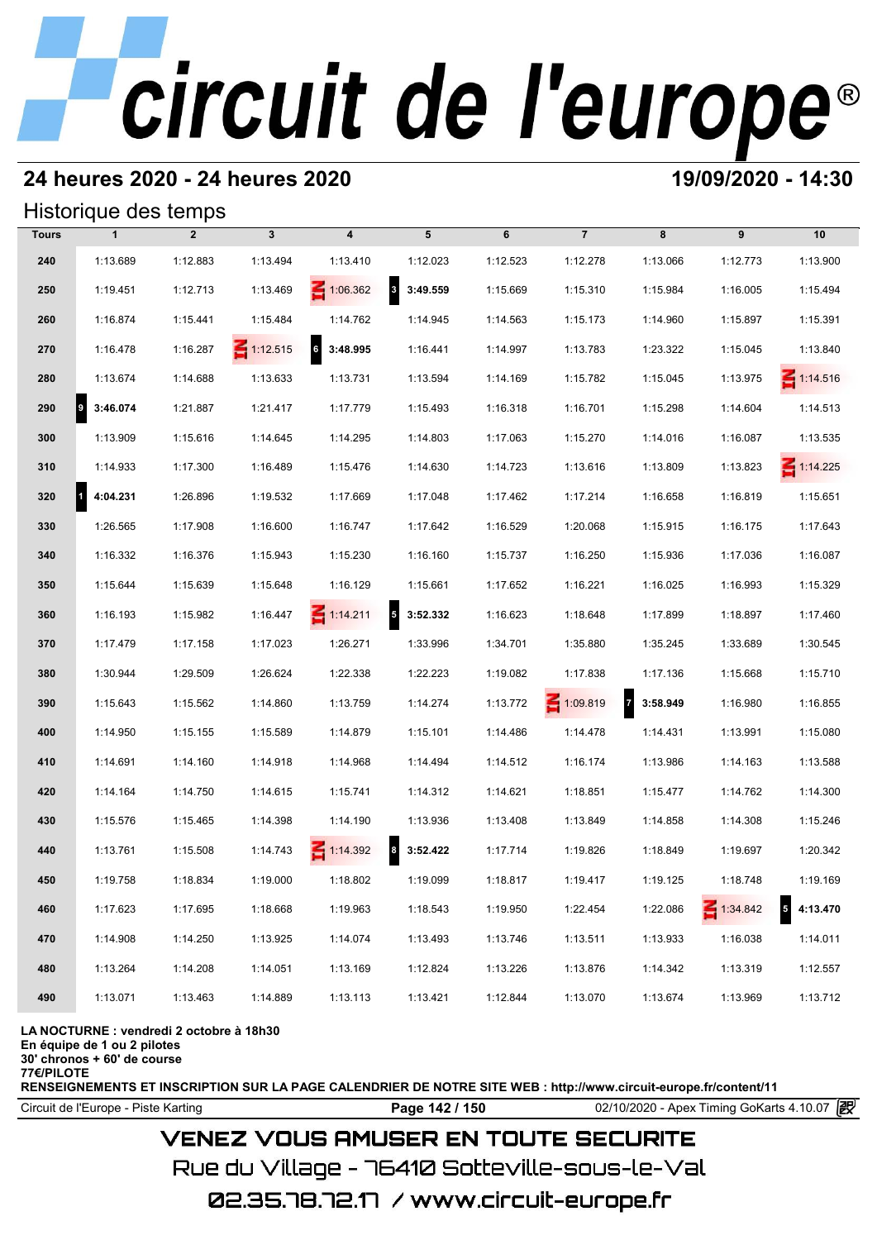# **24 heures 2020 - 24 heures 2020 19/09/2020 - 14:30**

## Historique des temps

|              | Historique des temps     |                |                 |                   |                                     |          |                 |            |                 |                            |
|--------------|--------------------------|----------------|-----------------|-------------------|-------------------------------------|----------|-----------------|------------|-----------------|----------------------------|
| <b>Tours</b> | $\mathbf{1}$             | $\overline{2}$ | $\mathbf{3}$    | 4                 | 5                                   | 6        | $\overline{7}$  | 8          | 9               | 10                         |
| 240          | 1:13.689                 | 1:12.883       | 1:13.494        | 1:13.410          | 1:12.023                            | 1:12.523 | 1:12.278        | 1:13.066   | 1:12.773        | 1:13.900                   |
| 250          | 1:19.451                 | 1:12.713       | 1:13.469        | $\leq 1:06.362$   | $\overline{\mathbf{3}}$<br>3:49.559 | 1:15.669 | 1:15.310        | 1:15.984   | 1:16.005        | 1:15.494                   |
| 260          | 1:16.874                 | 1:15.441       | 1:15.484        | 1:14.762          | 1:14.945                            | 1:14.563 | 1:15.173        | 1:14.960   | 1:15.897        | 1:15.391                   |
| 270          | 1:16.478                 | 1:16.287       | $\leq 1:12.515$ | $6\quad 3:48.995$ | 1:16.441                            | 1:14.997 | 1:13.783        | 1:23.322   | 1:15.045        | 1:13.840                   |
| 280          | 1:13.674                 | 1:14.688       | 1:13.633        | 1:13.731          | 1:13.594                            | 1:14.169 | 1:15.782        | 1:15.045   | 1:13.975        | $\leq 1:14.516$            |
| 290          | 9<br>3:46.074            | 1:21.887       | 1:21.417        | 1:17.779          | 1:15.493                            | 1:16.318 | 1:16.701        | 1:15.298   | 1:14.604        | 1:14.513                   |
| 300          | 1:13.909                 | 1:15.616       | 1:14.645        | 1:14.295          | 1:14.803                            | 1:17.063 | 1:15.270        | 1:14.016   | 1:16.087        | 1:13.535                   |
| 310          | 1:14.933                 | 1:17.300       | 1:16.489        | 1:15.476          | 1:14.630                            | 1:14.723 | 1:13.616        | 1:13.809   | 1:13.823        | $\leq 1:14.225$            |
| 320          | 4:04.231<br>$\mathbf{1}$ | 1:26.896       | 1:19.532        | 1:17.669          | 1:17.048                            | 1:17.462 | 1:17.214        | 1:16.658   | 1:16.819        | 1:15.651                   |
| 330          | 1:26.565                 | 1:17.908       | 1:16.600        | 1:16.747          | 1:17.642                            | 1:16.529 | 1:20.068        | 1:15.915   | 1:16.175        | 1:17.643                   |
| 340          | 1:16.332                 | 1:16.376       | 1:15.943        | 1:15.230          | 1:16.160                            | 1:15.737 | 1:16.250        | 1:15.936   | 1:17.036        | 1:16.087                   |
| 350          | 1:15.644                 | 1:15.639       | 1:15.648        | 1:16.129          | 1:15.661                            | 1:17.652 | 1:16.221        | 1:16.025   | 1:16.993        | 1:15.329                   |
| 360          | 1:16.193                 | 1:15.982       | 1:16.447        | $\leq 1:14.211$   | $5$ 3:52.332                        | 1:16.623 | 1:18.648        | 1:17.899   | 1:18.897        | 1:17.460                   |
| 370          | 1:17.479                 | 1:17.158       | 1:17.023        | 1:26.271          | 1:33.996                            | 1:34.701 | 1:35.880        | 1:35.245   | 1:33.689        | 1:30.545                   |
| 380          | 1:30.944                 | 1:29.509       | 1:26.624        | 1:22.338          | 1:22.223                            | 1:19.082 | 1:17.838        | 1:17.136   | 1:15.668        | 1:15.710                   |
| 390          | 1:15.643                 | 1:15.562       | 1:14.860        | 1:13.759          | 1:14.274                            | 1:13.772 | $\leq 1:09.819$ | 7 3:58.949 | 1:16.980        | 1:16.855                   |
| 400          | 1:14.950                 | 1:15.155       | 1:15.589        | 1:14.879          | 1:15.101                            | 1:14.486 | 1:14.478        | 1:14.431   | 1:13.991        | 1:15.080                   |
| 410          | 1:14.691                 | 1:14.160       | 1:14.918        | 1:14.968          | 1:14.494                            | 1:14.512 | 1:16.174        | 1:13.986   | 1:14.163        | 1:13.588                   |
| 420          | 1:14.164                 | 1:14.750       | 1:14.615        | 1:15.741          | 1:14.312                            | 1:14.621 | 1:18.851        | 1:15.477   | 1:14.762        | 1:14.300                   |
| 430          | 1:15.576                 | 1:15.465       | 1:14.398        | 1:14.190          | 1:13.936                            | 1:13.408 | 1:13.849        | 1:14.858   | 1:14.308        | 1:15.246                   |
| 440          | 1:13.761                 | 1:15.508       | 1:14.743        | $\leq 1:14.392$   | $\boldsymbol{8}$<br>3:52.422        | 1:17.714 | 1:19.826        | 1:18.849   | 1:19.697        | 1:20.342                   |
| 450          | 1:19.758                 | 1:18.834       | 1:19.000        | 1:18.802          | 1:19.099                            | 1:18.817 | 1:19.417        | 1:19.125   | 1:18.748        | 1:19.169                   |
| 460          | 1:17.623                 | 1:17.695       | 1:18.668        | 1:19.963          | 1:18.543                            | 1:19.950 | 1:22.454        | 1:22.086   | $\leq 1:34.842$ | $\overline{5}$<br>4:13.470 |
| 470          | 1:14.908                 | 1:14.250       | 1:13.925        | 1:14.074          | 1:13.493                            | 1:13.746 | 1:13.511        | 1:13.933   | 1:16.038        | 1:14.011                   |
| 480          | 1:13.264                 | 1:14.208       | 1:14.051        | 1:13.169          | 1:12.824                            | 1:13.226 | 1:13.876        | 1:14.342   | 1:13.319        | 1:12.557                   |
| 490          | 1:13.071                 | 1:13.463       | 1:14.889        | 1:13.113          | 1:13.421                            | 1:12.844 | 1:13.070        | 1:13.674   | 1:13.969        | 1:13.712                   |

### **LA NOCTURNE : vendredi 2 octobre à 18h30**

**En équipe de 1 ou 2 pilotes**

**30' chronos + 60' de course**

**77€/PILOTE**

**RENSEIGNEMENTS ET INSCRIPTION SUR LA PAGE CALENDRIER DE NOTRE SITE WEB : http://www.circuit-europe.fr/content/11**

Circuit de l'Europe - Piste Karting **Page 142 / 150** 02/10/2020 - Apex Timing GoKarts 4.10.07

# **VENEZ VOUS AMUSER EN TOUTE SECURITE**

Rue du Village – 76410 Sotteville-sous-le-Val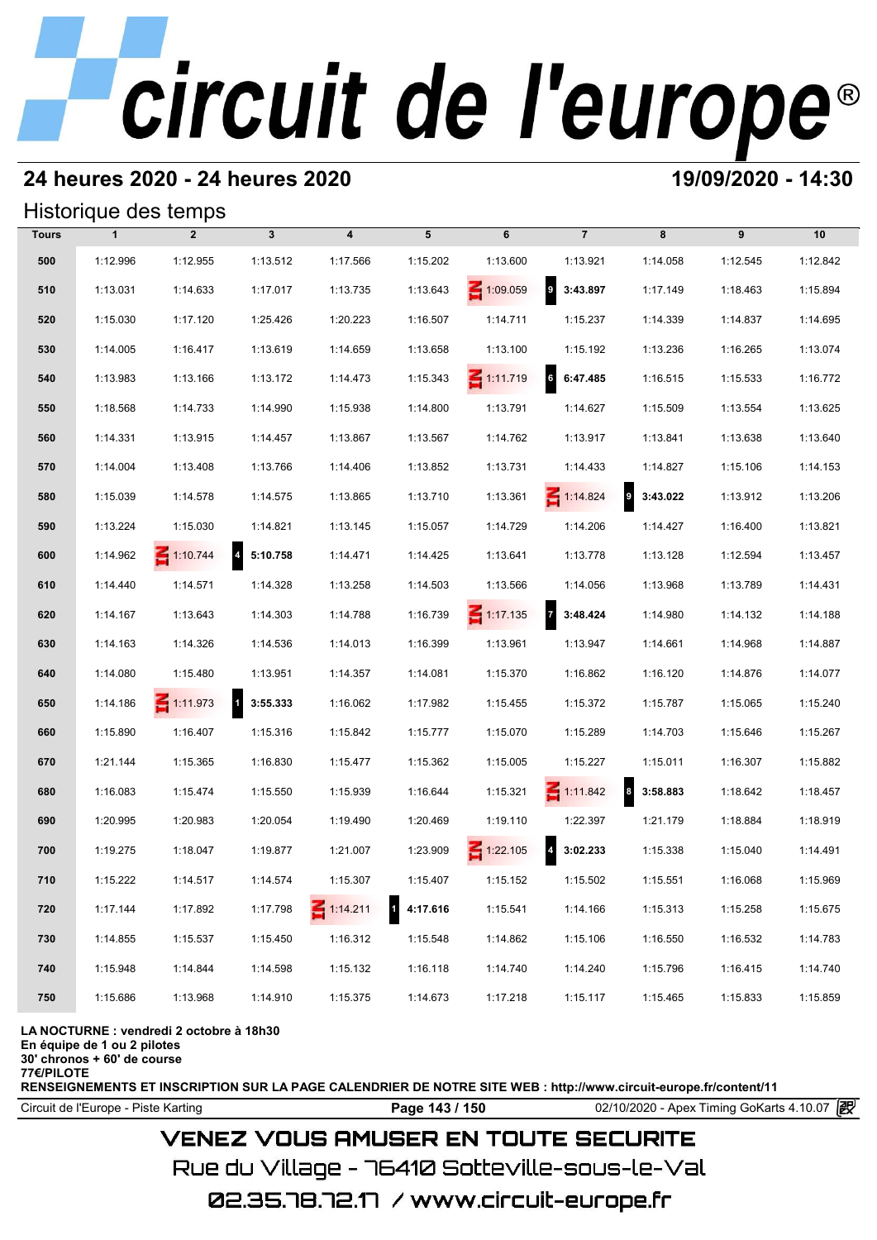# **24 heures 2020 - 24 heures 2020 19/09/2020 - 14:30**

## Historique des temps

|              |              | Historique des temps |                            |                         |                          |                 |                            |                          |          |          |
|--------------|--------------|----------------------|----------------------------|-------------------------|--------------------------|-----------------|----------------------------|--------------------------|----------|----------|
| <b>Tours</b> | $\mathbf{1}$ | $\overline{2}$       | $\mathbf{3}$               | $\overline{\mathbf{4}}$ | 5                        | 6               | $\overline{7}$             | 8                        | 9        | 10       |
| 500          | 1:12.996     | 1:12.955             | 1:13.512                   | 1:17.566                | 1:15.202                 | 1:13.600        | 1:13.921                   | 1:14.058                 | 1:12.545 | 1:12.842 |
| 510          | 1:13.031     | 1:14.633             | 1:17.017                   | 1:13.735                | 1:13.643                 | 1:09.059        | $\mathbf{9}$<br>3:43.897   | 1:17.149                 | 1:18.463 | 1:15.894 |
| 520          | 1:15.030     | 1:17.120             | 1:25.426                   | 1:20.223                | 1:16.507                 | 1:14.711        | 1:15.237                   | 1:14.339                 | 1:14.837 | 1:14.695 |
| 530          | 1:14.005     | 1:16.417             | 1:13.619                   | 1:14.659                | 1:13.658                 | 1:13.100        | 1:15.192                   | 1:13.236                 | 1:16.265 | 1:13.074 |
| 540          | 1:13.983     | 1:13.166             | 1:13.172                   | 1:14.473                | 1:15.343                 | $\leq 1:11.719$ | $6\phantom{a}$<br>6:47.485 | 1:16.515                 | 1:15.533 | 1:16.772 |
| 550          | 1:18.568     | 1:14.733             | 1:14.990                   | 1:15.938                | 1:14.800                 | 1:13.791        | 1:14.627                   | 1:15.509                 | 1:13.554 | 1:13.625 |
| 560          | 1:14.331     | 1:13.915             | 1:14.457                   | 1:13.867                | 1:13.567                 | 1:14.762        | 1:13.917                   | 1:13.841                 | 1:13.638 | 1:13.640 |
| 570          | 1:14.004     | 1:13.408             | 1:13.766                   | 1:14.406                | 1:13.852                 | 1:13.731        | 1:14.433                   | 1:14.827                 | 1:15.106 | 1:14.153 |
| 580          | 1:15.039     | 1:14.578             | 1:14.575                   | 1:13.865                | 1:13.710                 | 1:13.361        | $\leq 1:14.824$            | $\mathbf{9}$<br>3:43.022 | 1:13.912 | 1:13.206 |
| 590          | 1:13.224     | 1:15.030             | 1:14.821                   | 1:13.145                | 1:15.057                 | 1:14.729        | 1:14.206                   | 1:14.427                 | 1:16.400 | 1:13.821 |
| 600          | 1:14.962     | $\leq 1:10.744$      | $\overline{4}$<br>5:10.758 | 1:14.471                | 1:14.425                 | 1:13.641        | 1:13.778                   | 1:13.128                 | 1:12.594 | 1:13.457 |
| 610          | 1:14.440     | 1:14.571             | 1:14.328                   | 1:13.258                | 1:14.503                 | 1:13.566        | 1:14.056                   | 1:13.968                 | 1:13.789 | 1:14.431 |
| 620          | 1:14.167     | 1:13.643             | 1:14.303                   | 1:14.788                | 1:16.739                 | $\leq 1:17.135$ | 73:48.424                  | 1:14.980                 | 1:14.132 | 1:14.188 |
| 630          | 1:14.163     | 1:14.326             | 1:14.536                   | 1:14.013                | 1:16.399                 | 1:13.961        | 1:13.947                   | 1:14.661                 | 1:14.968 | 1:14.887 |
| 640          | 1:14.080     | 1:15.480             | 1:13.951                   | 1:14.357                | 1:14.081                 | 1:15.370        | 1:16.862                   | 1:16.120                 | 1:14.876 | 1:14.077 |
| 650          | 1:14.186     | 1:11.973             | 1 3:55.333                 | 1:16.062                | 1:17.982                 | 1:15.455        | 1:15.372                   | 1:15.787                 | 1:15.065 | 1:15.240 |
| 660          | 1:15.890     | 1:16.407             | 1:15.316                   | 1:15.842                | 1:15.777                 | 1:15.070        | 1:15.289                   | 1:14.703                 | 1:15.646 | 1:15.267 |
| 670          | 1:21.144     | 1:15.365             | 1:16.830                   | 1:15.477                | 1:15.362                 | 1:15.005        | 1:15.227                   | 1:15.011                 | 1:16.307 | 1:15.882 |
| 680          | 1:16.083     | 1:15.474             | 1:15.550                   | 1:15.939                | 1:16.644                 | 1:15.321        | $\leq 1:11.842$            | 8 3:58.883               | 1:18.642 | 1:18.457 |
| 690          | 1:20.995     | 1:20.983             | 1:20.054                   | 1:19.490                | 1:20.469                 | 1:19.110        | 1:22.397                   | 1:21.179                 | 1:18.884 | 1:18.919 |
| 700          | 1:19.275     | 1:18.047             | 1:19.877                   | 1:21.007                | 1:23.909                 | $\leq 1:22.105$ | $\overline{a}$<br>3:02.233 | 1:15.338                 | 1:15.040 | 1:14.491 |
| 710          | 1:15.222     | 1:14.517             | 1:14.574                   | 1:15.307                | 1:15.407                 | 1:15.152        | 1:15.502                   | 1:15.551                 | 1:16.068 | 1:15.969 |
| 720          | 1:17.144     | 1:17.892             | 1:17.798                   | $\leq 1:14.211$         | 4:17.616<br>$\mathbf{1}$ | 1:15.541        | 1:14.166                   | 1:15.313                 | 1:15.258 | 1:15.675 |
| 730          | 1:14.855     | 1:15.537             | 1:15.450                   | 1:16.312                | 1:15.548                 | 1:14.862        | 1:15.106                   | 1:16.550                 | 1:16.532 | 1:14.783 |
| 740          | 1:15.948     | 1:14.844             | 1:14.598                   | 1:15.132                | 1:16.118                 | 1:14.740        | 1:14.240                   | 1:15.796                 | 1:16.415 | 1:14.740 |
| 750          | 1:15.686     | 1:13.968             | 1:14.910                   | 1:15.375                | 1:14.673                 | 1:17.218        | 1:15.117                   | 1:15.465                 | 1:15.833 | 1:15.859 |

### **LA NOCTURNE : vendredi 2 octobre à 18h30**

**En équipe de 1 ou 2 pilotes**

**30' chronos + 60' de course 77€/PILOTE**

**RENSEIGNEMENTS ET INSCRIPTION SUR LA PAGE CALENDRIER DE NOTRE SITE WEB : http://www.circuit-europe.fr/content/11**

Circuit de l'Europe - Piste Karting **Page 143 / 150** 02/10/2020 - Apex Timing GoKarts 4.10.07

# **VENEZ VOUS AMUSER EN TOUTE SECURITE**

Rue du Village – 76410 Sotteville-sous-le-Val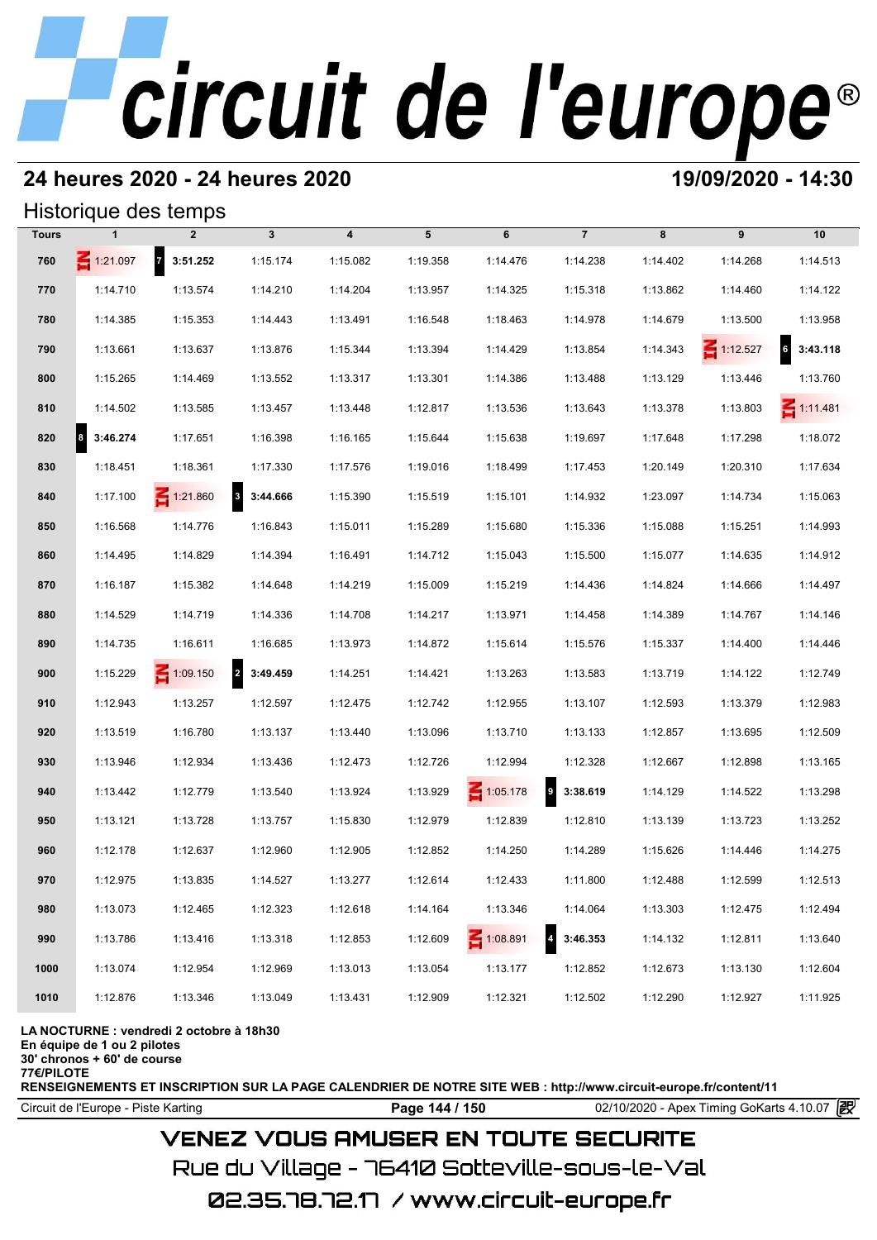# **24 heures 2020 - 24 heures 2020 19/09/2020 - 14:30**

## Historique des temps

|              |                                  | Historique des temps |                                     |                         |          |                 |                                     |          |                 |                 |
|--------------|----------------------------------|----------------------|-------------------------------------|-------------------------|----------|-----------------|-------------------------------------|----------|-----------------|-----------------|
| <b>Tours</b> |                                  | $\overline{2}$       | $\mathbf{3}$                        | $\overline{\mathbf{4}}$ | 5        | 6               | $\overline{7}$                      | 8        | 9               | 10              |
| 760          | $\leq 1:21.097$                  | 7 3:51.252           | 1:15.174                            | 1:15.082                | 1:19.358 | 1:14.476        | 1:14.238                            | 1:14.402 | 1:14.268        | 1:14.513        |
| 770          | 1:14.710                         | 1:13.574             | 1:14.210                            | 1:14.204                | 1:13.957 | 1:14.325        | 1:15.318                            | 1:13.862 | 1:14.460        | 1:14.122        |
| 780          | 1:14.385                         | 1:15.353             | 1:14.443                            | 1:13.491                | 1:16.548 | 1:18.463        | 1:14.978                            | 1:14.679 | 1:13.500        | 1:13.958        |
| 790          | 1:13.661                         | 1:13.637             | 1:13.876                            | 1:15.344                | 1:13.394 | 1:14.429        | 1:13.854                            | 1:14.343 | $\leq 1:12.527$ | 63:43.118       |
| 800          | 1:15.265                         | 1:14.469             | 1:13.552                            | 1:13.317                | 1:13.301 | 1:14.386        | 1:13.488                            | 1:13.129 | 1:13.446        | 1:13.760        |
| 810          | 1:14.502                         | 1:13.585             | 1:13.457                            | 1:13.448                | 1:12.817 | 1:13.536        | 1:13.643                            | 1:13.378 | 1:13.803        | $\leq 1:11.481$ |
| 820          | $\vert$ <sup>8</sup><br>3:46.274 | 1:17.651             | 1:16.398                            | 1:16.165                | 1:15.644 | 1:15.638        | 1:19.697                            | 1:17.648 | 1:17.298        | 1:18.072        |
| 830          | 1:18.451                         | 1:18.361             | 1:17.330                            | 1:17.576                | 1:19.016 | 1:18.499        | 1:17.453                            | 1:20.149 | 1:20.310        | 1:17.634        |
| 840          | 1:17.100                         | $\leq 1:21.860$      | $\overline{\mathbf{3}}$<br>3:44.666 | 1:15.390                | 1:15.519 | 1:15.101        | 1:14.932                            | 1:23.097 | 1:14.734        | 1:15.063        |
| 850          | 1:16.568                         | 1:14.776             | 1:16.843                            | 1:15.011                | 1:15.289 | 1:15.680        | 1:15.336                            | 1:15.088 | 1:15.251        | 1:14.993        |
| 860          | 1:14.495                         | 1:14.829             | 1:14.394                            | 1:16.491                | 1:14.712 | 1:15.043        | 1:15.500                            | 1:15.077 | 1:14.635        | 1:14.912        |
| 870          | 1:16.187                         | 1:15.382             | 1:14.648                            | 1:14.219                | 1:15.009 | 1:15.219        | 1:14.436                            | 1:14.824 | 1:14.666        | 1:14.497        |
| 880          | 1:14.529                         | 1:14.719             | 1:14.336                            | 1:14.708                | 1:14.217 | 1:13.971        | 1:14.458                            | 1:14.389 | 1:14.767        | 1:14.146        |
| 890          | 1:14.735                         | 1:16.611             | 1:16.685                            | 1:13.973                | 1:14.872 | 1:15.614        | 1:15.576                            | 1:15.337 | 1:14.400        | 1:14.446        |
| 900          | 1:15.229                         | $\leq 1:09.150$      | 2 3:49.459                          | 1:14.251                | 1:14.421 | 1:13.263        | 1:13.583                            | 1:13.719 | 1:14.122        | 1:12.749        |
| 910          | 1:12.943                         | 1:13.257             | 1:12.597                            | 1:12.475                | 1:12.742 | 1:12.955        | 1:13.107                            | 1:12.593 | 1:13.379        | 1:12.983        |
| 920          | 1:13.519                         | 1:16.780             | 1:13.137                            | 1:13.440                | 1:13.096 | 1:13.710        | 1:13.133                            | 1:12.857 | 1:13.695        | 1:12.509        |
| 930          | 1:13.946                         | 1:12.934             | 1:13.436                            | 1:12.473                | 1:12.726 | 1:12.994        | 1:12.328                            | 1:12.667 | 1:12.898        | 1:13.165        |
| 940          | 1:13.442                         | 1:12.779             | 1:13.540                            | 1:13.924                | 1:13.929 | $\leq 1:05.178$ | $\overline{\mathbf{9}}$<br>3:38.619 | 1:14.129 | 1:14.522        | 1:13.298        |
| 950          | 1:13.121                         | 1:13.728             | 1:13.757                            | 1:15.830                | 1:12.979 | 1:12.839        | 1:12.810                            | 1:13.139 | 1:13.723        | 1:13.252        |
| 960          | 1:12.178                         | 1:12.637             | 1:12.960                            | 1:12.905                | 1:12.852 | 1:14.250        | 1:14.289                            | 1:15.626 | 1:14.446        | 1:14.275        |
| 970          | 1:12.975                         | 1:13.835             | 1:14.527                            | 1:13.277                | 1:12.614 | 1:12.433        | 1:11.800                            | 1:12.488 | 1:12.599        | 1:12.513        |
| 980          | 1:13.073                         | 1:12.465             | 1:12.323                            | 1:12.618                | 1:14.164 | 1:13.346        | 1:14.064                            | 1:13.303 | 1:12.475        | 1:12.494        |
| 990          | 1:13.786                         | 1:13.416             | 1:13.318                            | 1:12.853                | 1:12.609 | $-1:08.891$     | 3:46.353                            | 1:14.132 | 1:12.811        | 1:13.640        |
| 1000         | 1:13.074                         | 1:12.954             | 1:12.969                            | 1:13.013                | 1:13.054 | 1:13.177        | 1:12.852                            | 1:12.673 | 1:13.130        | 1:12.604        |
| 1010         | 1:12.876                         | 1:13.346             | 1:13.049                            | 1:13.431                | 1:12.909 | 1:12.321        | 1:12.502                            | 1:12.290 | 1:12.927        | 1:11.925        |

### **LA NOCTURNE : vendredi 2 octobre à 18h30**

**En équipe de 1 ou 2 pilotes**

**30' chronos + 60' de course 77€/PILOTE**

**RENSEIGNEMENTS ET INSCRIPTION SUR LA PAGE CALENDRIER DE NOTRE SITE WEB : http://www.circuit-europe.fr/content/11**

Circuit de l'Europe - Piste Karting **Page 144 / 150** 02/10/2020 - Apex Timing GoKarts 4.10.07

# **VENEZ VOUS AMUSER EN TOUTE SECURITE**

Rue du Village – 76410 Sotteville-sous-le-Val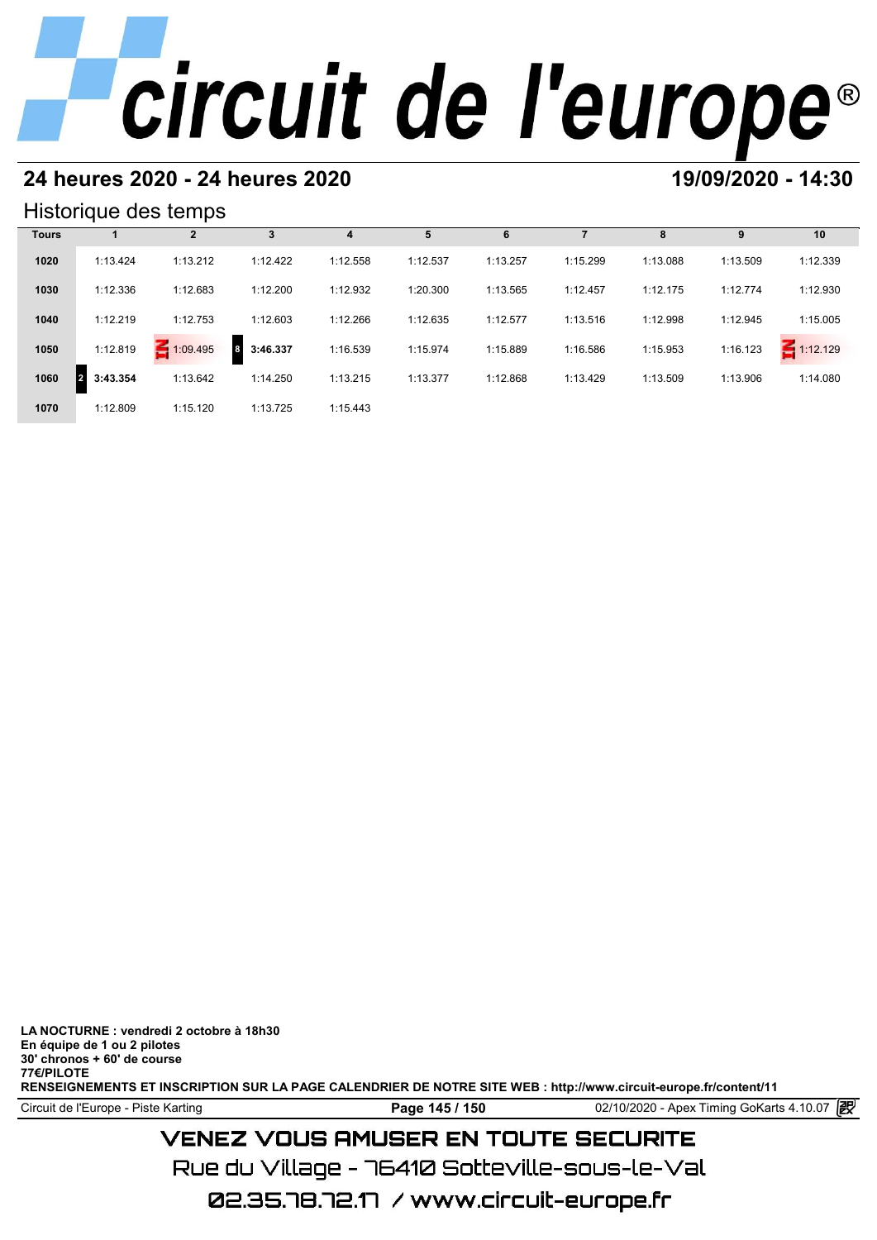### **24 heures 2020 - 24 heures 2020 19/09/2020 - 14:30**

#### Historique des temps

| Historique des temps |                            |              |               |          |          |          |          |          |          |               |  |
|----------------------|----------------------------|--------------|---------------|----------|----------|----------|----------|----------|----------|---------------|--|
| <b>Tours</b>         |                            | $\mathbf{2}$ | 3             | 4        | 5        | 6        |          | 8        | 9        | 10            |  |
| 1020                 | 1:13.424                   | 1:13.212     | 1:12.422      | 1:12.558 | 1:12.537 | 1:13.257 | 1:15.299 | 1:13.088 | 1:13.509 | 1:12.339      |  |
| 1030                 | 1:12.336                   | 1:12.683     | 1:12.200      | 1:12.932 | 1:20.300 | 1:13.565 | 1:12.457 | 1:12.175 | 1:12.774 | 1:12.930      |  |
| 1040                 | 1:12.219                   | 1:12.753     | 1:12.603      | 1:12.266 | 1:12.635 | 1:12.577 | 1:13.516 | 1:12.998 | 1:12.945 | 1:15.005      |  |
| 1050                 | 1:12.819                   | $-1:09.495$  | 3:46.337<br>8 | 1:16.539 | 1:15.974 | 1:15.889 | 1:16.586 | 1:15.953 | 1:16.123 | 1:12.129<br>5 |  |
| 1060                 | 3:43.354<br>$\overline{2}$ | 1:13.642     | 1:14.250      | 1:13.215 | 1:13.377 | 1:12.868 | 1:13.429 | 1:13.509 | 1:13.906 | 1:14.080      |  |
| 1070                 | 1:12.809                   | 1:15.120     | 1:13.725      | 1:15.443 |          |          |          |          |          |               |  |

**LA NOCTURNE : vendredi 2 octobre à 18h30 En équipe de 1 ou 2 pilotes 30' chronos + 60' de course 77€/PILOTE**

**VENEZ VOUS AMUSER EN TOUTE SECURITE** 

02.35.78.72.17 / www.circuit-europe.fr

Rue du Village – 76410 Sotteville-sous-le-Val

Circuit de l'Europe - Piste Karting **Page 145 / 150 Page 145 / 150** 02/10/2020 - Apex Timing GoKarts 4.10.07

**RENSEIGNEMENTS ET INSCRIPTION SUR LA PAGE CALENDRIER DE NOTRE SITE WEB : http://www.circuit-europe.fr/content/11**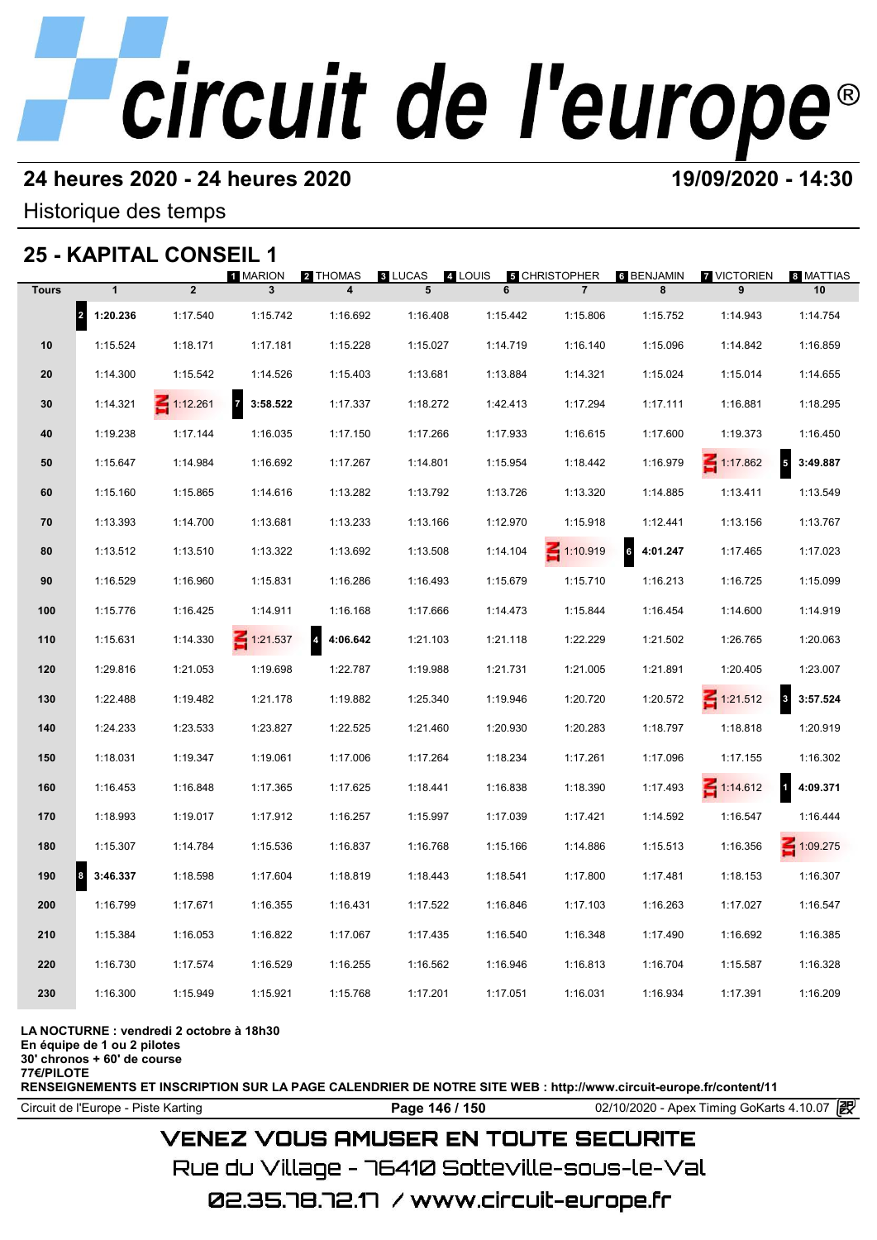#### **24 heures 2020 - 24 heures 2020 19/09/2020 - 14:30**

Historique des temps

## **25 - KAPITAL CONSEIL 1**

|              | 25 - KAPITAL CONSEIL 1           |                |                                     |                                     |                     |              |                                        |                                  |                         |                            |
|--------------|----------------------------------|----------------|-------------------------------------|-------------------------------------|---------------------|--------------|----------------------------------------|----------------------------------|-------------------------|----------------------------|
| <b>Tours</b> | $\mathbf{1}$                     | $\overline{2}$ | 1 MARION<br>$\overline{\mathbf{3}}$ | 2 THOMAS<br>$\overline{\mathbf{4}}$ | <b>8 LUCAS</b><br>5 | 4 LOUIS<br>6 | <b>5 CHRISTOPHER</b><br>$\overline{7}$ | 6 BENJAMIN<br>8                  | <b>7 VICTORIEN</b><br>9 | 8 MATTIAS<br>10            |
|              | $\vert$ <sub>2</sub><br>1:20.236 | 1:17.540       | 1:15.742                            | 1:16.692                            | 1:16.408            | 1:15.442     | 1:15.806                               | 1:15.752                         | 1:14.943                | 1:14.754                   |
| 10           | 1:15.524                         | 1:18.171       | 1:17.181                            | 1:15.228                            | 1:15.027            | 1:14.719     | 1:16.140                               | 1:15.096                         | 1:14.842                | 1:16.859                   |
| 20           | 1:14.300                         | 1:15.542       | 1:14.526                            | 1:15.403                            | 1:13.681            | 1:13.884     | 1:14.321                               | 1:15.024                         | 1:15.014                | 1:14.655                   |
| 30           | 1:14.321                         | Ξ<br>1:12.261  | $\overline{7}$<br>3:58.522          | 1:17.337                            | 1:18.272            | 1:42.413     | 1:17.294                               | 1:17.111                         | 1:16.881                | 1:18.295                   |
| 40           | 1:19.238                         | 1:17.144       | 1:16.035                            | 1:17.150                            | 1:17.266            | 1:17.933     | 1:16.615                               | 1:17.600                         | 1:19.373                | 1:16.450                   |
| 50           | 1:15.647                         | 1:14.984       | 1:16.692                            | 1:17.267                            | 1:14.801            | 1:15.954     | 1:18.442                               | 1:16.979                         | $\leq 1:17.862$         | $\overline{5}$<br>3:49.887 |
| 60           | 1:15.160                         | 1:15.865       | 1:14.616                            | 1:13.282                            | 1:13.792            | 1:13.726     | 1:13.320                               | 1:14.885                         | 1:13.411                | 1:13.549                   |
| 70           | 1:13.393                         | 1:14.700       | 1:13.681                            | 1:13.233                            | 1:13.166            | 1:12.970     | 1:15.918                               | 1:12.441                         | 1:13.156                | 1:13.767                   |
| 80           | 1:13.512                         | 1:13.510       | 1:13.322                            | 1:13.692                            | 1:13.508            | 1:14.104     | $\leq 1:10.919$                        | $\ddot{\phantom{a}}$<br>4:01.247 | 1:17.465                | 1:17.023                   |
| 90           | 1:16.529                         | 1:16.960       | 1:15.831                            | 1:16.286                            | 1:16.493            | 1:15.679     | 1:15.710                               | 1:16.213                         | 1:16.725                | 1:15.099                   |
| 100          | 1:15.776                         | 1:16.425       | 1:14.911                            | 1:16.168                            | 1:17.666            | 1:14.473     | 1:15.844                               | 1:16.454                         | 1:14.600                | 1:14.919                   |
| 110          | 1:15.631                         | 1:14.330       | $\leq 1:21.537$                     | $\overline{a}$<br>4:06.642          | 1:21.103            | 1:21.118     | 1:22.229                               | 1:21.502                         | 1:26.765                | 1:20.063                   |
| 120          | 1:29.816                         | 1:21.053       | 1:19.698                            | 1:22.787                            | 1:19.988            | 1:21.731     | 1:21.005                               | 1:21.891                         | 1:20.405                | 1:23.007                   |
| 130          | 1:22.488                         | 1:19.482       | 1:21.178                            | 1:19.882                            | 1:25.340            | 1:19.946     | 1:20.720                               | 1:20.572                         | $\leq 1:21.512$         | 3<br>3:57.524              |
| 140          | 1:24.233                         | 1:23.533       | 1:23.827                            | 1:22.525                            | 1:21.460            | 1:20.930     | 1:20.283                               | 1:18.797                         | 1:18.818                | 1:20.919                   |
| 150          | 1:18.031                         | 1:19.347       | 1:19.061                            | 1:17.006                            | 1:17.264            | 1:18.234     | 1:17.261                               | 1:17.096                         | 1:17.155                | 1:16.302                   |
| 160          | 1:16.453                         | 1:16.848       | 1:17.365                            | 1:17.625                            | 1:18.441            | 1:16.838     | 1:18.390                               | 1:17.493                         | $\leq 1:14.612$         | $\mathbf{1}$<br>4:09.371   |
| 170          | 1:18.993                         | 1:19.017       | 1:17.912                            | 1:16.257                            | 1:15.997            | 1:17.039     | 1:17.421                               | 1:14.592                         | 1:16.547                | 1:16.444                   |
| 180          | 1:15.307                         | 1:14.784       | 1:15.536                            | 1:16.837                            | 1:16.768            | 1:15.166     | 1:14.886                               | 1:15.513                         | 1:16.356                | $\leq 1:09.275$            |
| 190          | 8<br>3:46.337                    | 1:18.598       | 1:17.604                            | 1:18.819                            | 1:18.443            | 1:18.541     | 1:17.800                               | 1:17.481                         | 1:18.153                | 1:16.307                   |
| 200          | 1:16.799                         | 1:17.671       | 1:16.355                            | 1:16.431                            | 1:17.522            | 1:16.846     | 1:17.103                               | 1:16.263                         | 1:17.027                | 1:16.547                   |
| 210          | 1:15.384                         | 1:16.053       | 1:16.822                            | 1:17.067                            | 1:17.435            | 1:16.540     | 1:16.348                               | 1:17.490                         | 1:16.692                | 1:16.385                   |
| 220          | 1:16.730                         | 1:17.574       | 1:16.529                            | 1:16.255                            | 1:16.562            | 1:16.946     | 1:16.813                               | 1:16.704                         | 1:15.587                | 1:16.328                   |
| 230          | 1:16.300                         | 1:15.949       | 1:15.921                            | 1:15.768                            | 1:17.201            | 1:17.051     | 1:16.031                               | 1:16.934                         | 1:17.391                | 1:16.209                   |
|              |                                  |                |                                     |                                     |                     |              |                                        |                                  |                         |                            |

#### **LA NOCTURNE : vendredi 2 octobre à 18h30**

**En équipe de 1 ou 2 pilotes**

**30' chronos + 60' de course**

**77€/PILOTE**

**RENSEIGNEMENTS ET INSCRIPTION SUR LA PAGE CALENDRIER DE NOTRE SITE WEB : http://www.circuit-europe.fr/content/11**

Circuit de l'Europe - Piste Karting **Page 146 / 150** 02/10/2020 - Apex Timing GoKarts 4.10.07

## **VENEZ VOUS AMUSER EN TOUTE SECURITE**

Rue du Village – 76410 Sotteville-sous-le-Val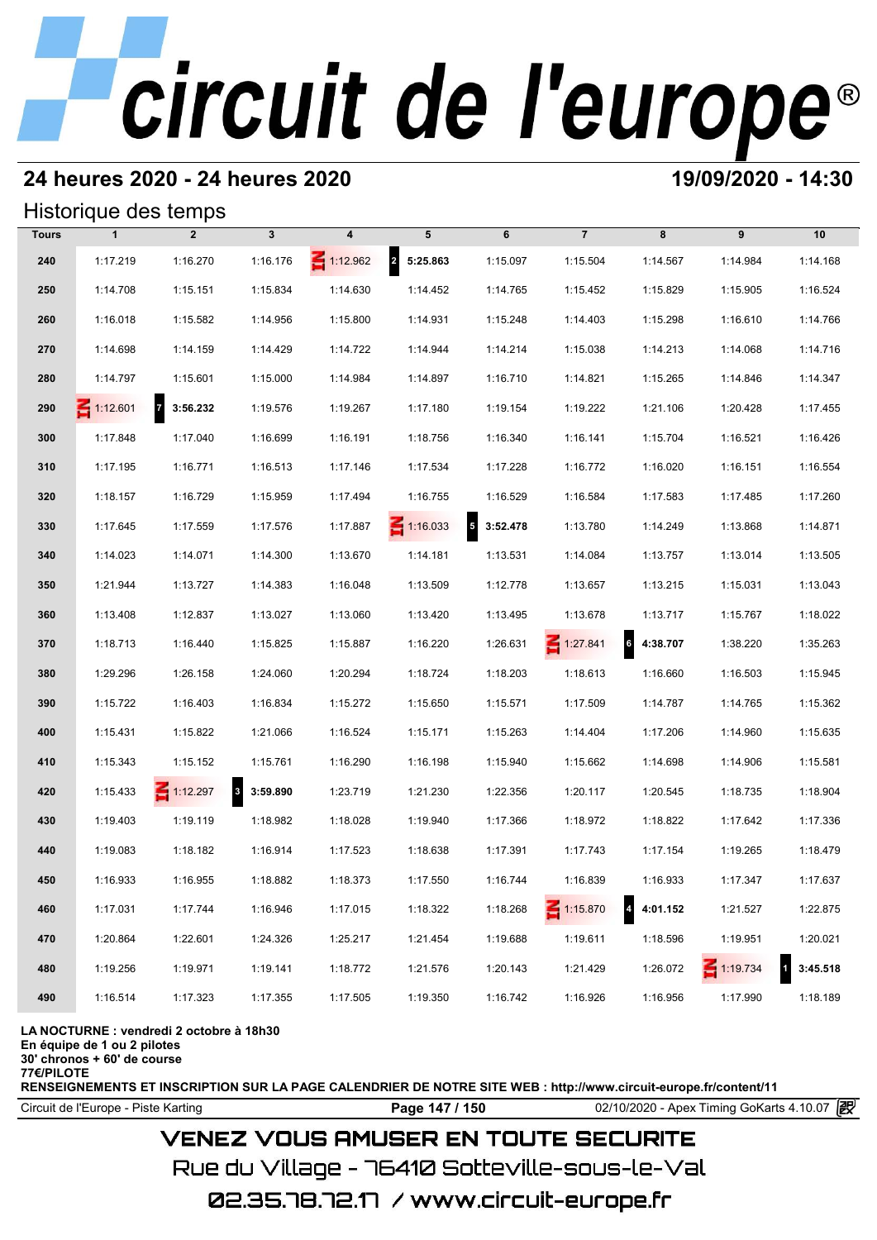### **24 heures 2020 - 24 heures 2020 19/09/2020 - 14:30**

#### Historique des temps

|              | Historique des temps |                            |              |                 |                 |                   |                 |                                 |                 |          |  |  |
|--------------|----------------------|----------------------------|--------------|-----------------|-----------------|-------------------|-----------------|---------------------------------|-----------------|----------|--|--|
| <b>Tours</b> | $\mathbf{1}$         | $\overline{2}$             | $\mathbf{3}$ | 4               | 5               | 6                 | $\overline{7}$  | 8                               | 9               | 10       |  |  |
| 240          | 1:17.219             | 1:16.270                   | 1:16.176     | $\leq 1:12.962$ | 2 5:25.863      | 1:15.097          | 1:15.504        | 1:14.567                        | 1:14.984        | 1:14.168 |  |  |
| 250          | 1:14.708             | 1:15.151                   | 1:15.834     | 1:14.630        | 1:14.452        | 1:14.765          | 1:15.452        | 1:15.829                        | 1:15.905        | 1:16.524 |  |  |
| 260          | 1:16.018             | 1:15.582                   | 1:14.956     | 1:15.800        | 1:14.931        | 1:15.248          | 1:14.403        | 1:15.298                        | 1:16.610        | 1:14.766 |  |  |
| 270          | 1:14.698             | 1:14.159                   | 1:14.429     | 1:14.722        | 1:14.944        | 1:14.214          | 1:15.038        | 1:14.213                        | 1:14.068        | 1:14.716 |  |  |
| 280          | 1:14.797             | 1:15.601                   | 1:15.000     | 1:14.984        | 1:14.897        | 1:16.710          | 1:14.821        | 1:15.265                        | 1:14.846        | 1:14.347 |  |  |
| 290          | $\leq 1:12.601$      | $\overline{7}$<br>3:56.232 | 1:19.576     | 1:19.267        | 1:17.180        | 1:19.154          | 1:19.222        | 1:21.106                        | 1:20.428        | 1:17.455 |  |  |
| 300          | 1:17.848             | 1:17.040                   | 1:16.699     | 1:16.191        | 1:18.756        | 1:16.340          | 1:16.141        | 1:15.704                        | 1:16.521        | 1:16.426 |  |  |
| 310          | 1:17.195             | 1:16.771                   | 1:16.513     | 1:17.146        | 1:17.534        | 1:17.228          | 1:16.772        | 1:16.020                        | 1:16.151        | 1:16.554 |  |  |
| 320          | 1:18.157             | 1:16.729                   | 1:15.959     | 1:17.494        | 1:16.755        | 1:16.529          | 1:16.584        | 1:17.583                        | 1:17.485        | 1:17.260 |  |  |
| 330          | 1:17.645             | 1:17.559                   | 1:17.576     | 1:17.887        | $\leq 1:16.033$ | $5\quad 3:52.478$ | 1:13.780        | 1:14.249                        | 1:13.868        | 1:14.871 |  |  |
| 340          | 1:14.023             | 1:14.071                   | 1:14.300     | 1:13.670        | 1:14.181        | 1:13.531          | 1:14.084        | 1:13.757                        | 1:13.014        | 1:13.505 |  |  |
| 350          | 1:21.944             | 1:13.727                   | 1:14.383     | 1:16.048        | 1:13.509        | 1:12.778          | 1:13.657        | 1:13.215                        | 1:15.031        | 1:13.043 |  |  |
| 360          | 1:13.408             | 1:12.837                   | 1:13.027     | 1:13.060        | 1:13.420        | 1:13.495          | 1:13.678        | 1:13.717                        | 1:15.767        | 1:18.022 |  |  |
| 370          | 1:18.713             | 1:16.440                   | 1:15.825     | 1:15.887        | 1:16.220        | 1:26.631          | $\leq 1:27.841$ | $\ddot{\mathbf{6}}$<br>4:38.707 | 1:38.220        | 1:35.263 |  |  |
| 380          | 1:29.296             | 1:26.158                   | 1:24.060     | 1:20.294        | 1:18.724        | 1:18.203          | 1:18.613        | 1:16.660                        | 1:16.503        | 1:15.945 |  |  |
| 390          | 1:15.722             | 1:16.403                   | 1:16.834     | 1:15.272        | 1:15.650        | 1:15.571          | 1:17.509        | 1:14.787                        | 1:14.765        | 1:15.362 |  |  |
| 400          | 1:15.431             | 1:15.822                   | 1:21.066     | 1:16.524        | 1:15.171        | 1:15.263          | 1:14.404        | 1:17.206                        | 1:14.960        | 1:15.635 |  |  |
| 410          | 1:15.343             | 1:15.152                   | 1:15.761     | 1:16.290        | 1:16.198        | 1:15.940          | 1:15.662        | 1:14.698                        | 1:14.906        | 1:15.581 |  |  |
| 420          | 1:15.433             | $\leq 1:12.297$            | 8 3:59.890   | 1:23.719        | 1:21.230        | 1:22.356          | 1:20.117        | 1:20.545                        | 1:18.735        | 1:18.904 |  |  |
| 430          | 1:19.403             | 1:19.119                   | 1:18.982     | 1:18.028        | 1:19.940        | 1:17.366          | 1:18.972        | 1:18.822                        | 1:17.642        | 1:17.336 |  |  |
| 440          | 1:19.083             | 1:18.182                   | 1:16.914     | 1:17.523        | 1:18.638        | 1:17.391          | 1:17.743        | 1:17.154                        | 1:19.265        | 1:18.479 |  |  |
| 450          | 1:16.933             | 1:16.955                   | 1:18.882     | 1:18.373        | 1:17.550        | 1:16.744          | 1:16.839        | 1:16.933                        | 1:17.347        | 1:17.637 |  |  |
| 460          | 1:17.031             | 1:17.744                   | 1:16.946     | 1:17.015        | 1:18.322        | 1:18.268          | $\leq 1:15.870$ | $\overline{4}$<br>4:01.152      | 1:21.527        | 1:22.875 |  |  |
| 470          | 1:20.864             | 1:22.601                   | 1:24.326     | 1:25.217        | 1:21.454        | 1:19.688          | 1:19.611        | 1:18.596                        | 1:19.951        | 1:20.021 |  |  |
| 480          | 1:19.256             | 1:19.971                   | 1:19.141     | 1:18.772        | 1:21.576        | 1:20.143          | 1:21.429        | 1:26.072                        | $\leq 1:19.734$ | 3:45.518 |  |  |
| 490          | 1:16.514             | 1:17.323                   | 1:17.355     | 1:17.505        | 1:19.350        | 1:16.742          | 1:16.926        | 1:16.956                        | 1:17.990        | 1:18.189 |  |  |

#### **LA NOCTURNE : vendredi 2 octobre à 18h30**

**En équipe de 1 ou 2 pilotes**

**30' chronos + 60' de course**

**77€/PILOTE**

**RENSEIGNEMENTS ET INSCRIPTION SUR LA PAGE CALENDRIER DE NOTRE SITE WEB : http://www.circuit-europe.fr/content/11**

Circuit de l'Europe - Piste Karting **Page 147 / 150** 02/10/2020 - Apex Timing GoKarts 4.10.07

### **VENEZ VOUS AMUSER EN TOUTE SECURITE**

Rue du Village – 76410 Sotteville-sous-le-Val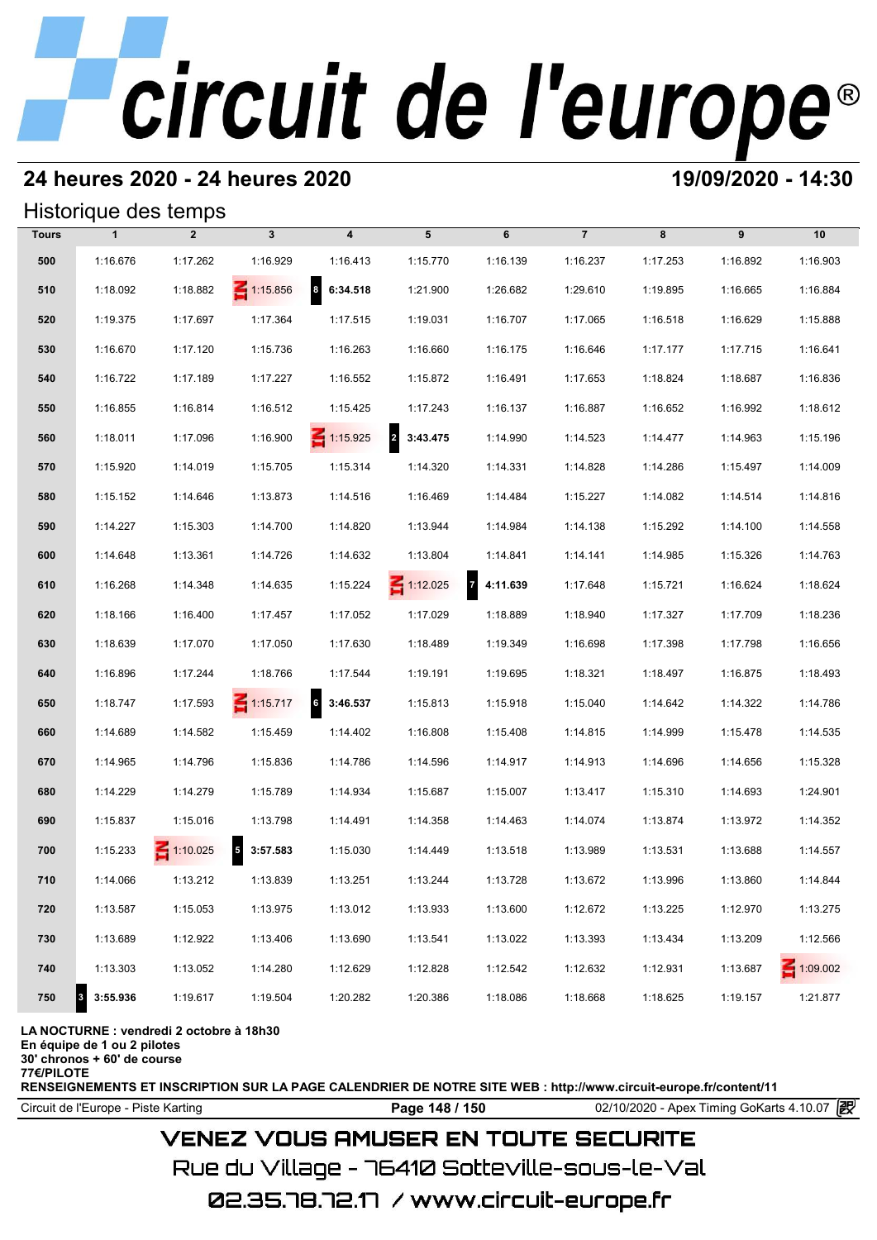### **24 heures 2020 - 24 heures 2020 19/09/2020 - 14:30**

#### Historique des temps

| Historique des temps |              |                 |                            |                                     |                 |                            |                |          |          |                 |  |
|----------------------|--------------|-----------------|----------------------------|-------------------------------------|-----------------|----------------------------|----------------|----------|----------|-----------------|--|
| <b>Tours</b>         | $\mathbf{1}$ | $\overline{2}$  | $\mathbf{3}$               | $\boldsymbol{4}$                    | 5               | 6                          | $\overline{7}$ | 8        | 9        | 10              |  |
| 500                  | 1:16.676     | 1:17.262        | 1:16.929                   | 1:16.413                            | 1:15.770        | 1:16.139                   | 1:16.237       | 1:17.253 | 1:16.892 | 1:16.903        |  |
| 510                  | 1:18.092     | 1:18.882        | 1:15.856                   | $\overline{\mathbf{a}}$<br>6:34.518 | 1:21.900        | 1:26.682                   | 1:29.610       | 1:19.895 | 1:16.665 | 1:16.884        |  |
| 520                  | 1:19.375     | 1:17.697        | 1:17.364                   | 1:17.515                            | 1:19.031        | 1:16.707                   | 1:17.065       | 1:16.518 | 1:16.629 | 1:15.888        |  |
| 530                  | 1:16.670     | 1:17.120        | 1:15.736                   | 1:16.263                            | 1:16.660        | 1:16.175                   | 1:16.646       | 1:17.177 | 1:17.715 | 1:16.641        |  |
| 540                  | 1:16.722     | 1:17.189        | 1:17.227                   | 1:16.552                            | 1:15.872        | 1:16.491                   | 1:17.653       | 1:18.824 | 1:18.687 | 1:16.836        |  |
| 550                  | 1:16.855     | 1:16.814        | 1:16.512                   | 1:15.425                            | 1:17.243        | 1:16.137                   | 1:16.887       | 1:16.652 | 1:16.992 | 1:18.612        |  |
| 560                  | 1:18.011     | 1:17.096        | 1:16.900                   | $\leq 1:15.925$                     | 2 3:43.475      | 1:14.990                   | 1:14.523       | 1:14.477 | 1:14.963 | 1:15.196        |  |
| 570                  | 1:15.920     | 1:14.019        | 1:15.705                   | 1:15.314                            | 1:14.320        | 1:14.331                   | 1:14.828       | 1:14.286 | 1:15.497 | 1:14.009        |  |
| 580                  | 1:15.152     | 1:14.646        | 1:13.873                   | 1:14.516                            | 1:16.469        | 1:14.484                   | 1:15.227       | 1:14.082 | 1:14.514 | 1:14.816        |  |
| 590                  | 1:14.227     | 1:15.303        | 1:14.700                   | 1:14.820                            | 1:13.944        | 1:14.984                   | 1:14.138       | 1:15.292 | 1:14.100 | 1:14.558        |  |
| 600                  | 1:14.648     | 1:13.361        | 1:14.726                   | 1:14.632                            | 1:13.804        | 1:14.841                   | 1:14.141       | 1:14.985 | 1:15.326 | 1:14.763        |  |
| 610                  | 1:16.268     | 1:14.348        | 1:14.635                   | 1:15.224                            | $\leq 1:12.025$ | $\overline{7}$<br>4:11.639 | 1:17.648       | 1:15.721 | 1:16.624 | 1:18.624        |  |
| 620                  | 1:18.166     | 1:16.400        | 1:17.457                   | 1:17.052                            | 1:17.029        | 1:18.889                   | 1:18.940       | 1:17.327 | 1:17.709 | 1:18.236        |  |
| 630                  | 1:18.639     | 1:17.070        | 1:17.050                   | 1:17.630                            | 1:18.489        | 1:19.349                   | 1:16.698       | 1:17.398 | 1:17.798 | 1:16.656        |  |
| 640                  | 1:16.896     | 1:17.244        | 1:18.766                   | 1:17.544                            | 1:19.191        | 1:19.695                   | 1:18.321       | 1:18.497 | 1:16.875 | 1:18.493        |  |
| 650                  | 1:18.747     | 1:17.593        | $\leq 1:15.717$            | $6\quad 3:46.537$                   | 1:15.813        | 1:15.918                   | 1:15.040       | 1:14.642 | 1:14.322 | 1:14.786        |  |
| 660                  | 1:14.689     | 1:14.582        | 1:15.459                   | 1:14.402                            | 1:16.808        | 1:15.408                   | 1:14.815       | 1:14.999 | 1:15.478 | 1:14.535        |  |
| 670                  | 1:14.965     | 1:14.796        | 1:15.836                   | 1:14.786                            | 1:14.596        | 1:14.917                   | 1:14.913       | 1:14.696 | 1:14.656 | 1:15.328        |  |
| 680                  | 1:14.229     | 1:14.279        | 1:15.789                   | 1:14.934                            | 1:15.687        | 1:15.007                   | 1:13.417       | 1:15.310 | 1:14.693 | 1:24.901        |  |
| 690                  | 1:15.837     | 1:15.016        | 1:13.798                   | 1:14.491                            | 1:14.358        | 1:14.463                   | 1:14.074       | 1:13.874 | 1:13.972 | 1:14.352        |  |
| 700                  | 1:15.233     | $\leq 1:10.025$ | $\overline{5}$<br>3:57.583 | 1:15.030                            | 1:14.449        | 1:13.518                   | 1:13.989       | 1:13.531 | 1:13.688 | 1:14.557        |  |
| 710                  | 1:14.066     | 1:13.212        | 1:13.839                   | 1:13.251                            | 1:13.244        | 1:13.728                   | 1:13.672       | 1:13.996 | 1:13.860 | 1:14.844        |  |
| 720                  | 1:13.587     | 1:15.053        | 1:13.975                   | 1:13.012                            | 1:13.933        | 1:13.600                   | 1:12.672       | 1:13.225 | 1:12.970 | 1:13.275        |  |
| 730                  | 1:13.689     | 1:12.922        | 1:13.406                   | 1:13.690                            | 1:13.541        | 1:13.022                   | 1:13.393       | 1:13.434 | 1:13.209 | 1:12.566        |  |
| 740                  | 1:13.303     | 1:13.052        | 1:14.280                   | 1:12.629                            | 1:12.828        | 1:12.542                   | 1:12.632       | 1:12.931 | 1:13.687 | $\leq 1:09.002$ |  |
| 750<br>3             | 3:55.936     | 1:19.617        | 1:19.504                   | 1:20.282                            | 1:20.386        | 1:18.086                   | 1:18.668       | 1:18.625 | 1:19.157 | 1:21.877        |  |

#### **LA NOCTURNE : vendredi 2 octobre à 18h30**

**En équipe de 1 ou 2 pilotes**

**30' chronos + 60' de course**

**77€/PILOTE**

**RENSEIGNEMENTS ET INSCRIPTION SUR LA PAGE CALENDRIER DE NOTRE SITE WEB : http://www.circuit-europe.fr/content/11**

Circuit de l'Europe - Piste Karting **Page 148 / 150** 02/10/2020 - Apex Timing GoKarts 4.10.07

## **VENEZ VOUS AMUSER EN TOUTE SECURITE**

Rue du Village – 76410 Sotteville-sous-le-Val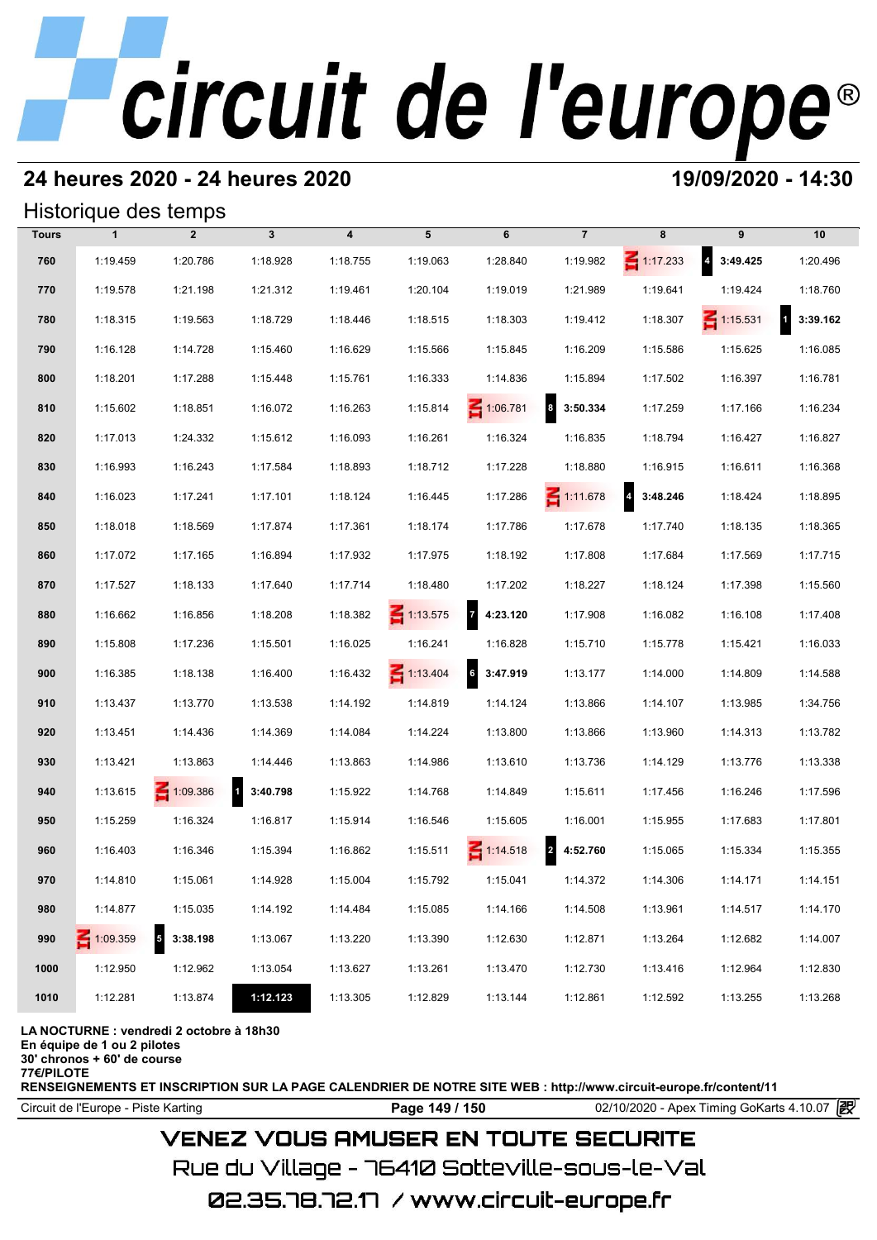### **24 heures 2020 - 24 heures 2020 19/09/2020 - 14:30**

#### Historique des temps

| Historique des temps |              |                             |            |          |                 |                            |                              |                                     |                                     |                          |  |
|----------------------|--------------|-----------------------------|------------|----------|-----------------|----------------------------|------------------------------|-------------------------------------|-------------------------------------|--------------------------|--|
| <b>Tours</b>         | $\mathbf{1}$ | $\overline{2}$              | 3          | 4        | 5               | 6                          | $\overline{7}$               | 8                                   | 9                                   | 10                       |  |
| 760                  | 1:19.459     | 1:20.786                    | 1:18.928   | 1:18.755 | 1:19.063        | 1:28.840                   | 1:19.982                     | $\leq 1:17.233$                     | $\overline{\mathbf{4}}$<br>3:49.425 | 1:20.496                 |  |
| 770                  | 1:19.578     | 1:21.198                    | 1:21.312   | 1:19.461 | 1:20.104        | 1:19.019                   | 1:21.989                     | 1:19.641                            | 1:19.424                            | 1:18.760                 |  |
| 780                  | 1:18.315     | 1:19.563                    | 1:18.729   | 1:18.446 | 1:18.515        | 1:18.303                   | 1:19.412                     | 1:18.307                            | $\leq 1:15.531$                     | $\mathbf{1}$<br>3:39.162 |  |
| 790                  | 1:16.128     | 1:14.728                    | 1:15.460   | 1:16.629 | 1:15.566        | 1:15.845                   | 1:16.209                     | 1:15.586                            | 1:15.625                            | 1:16.085                 |  |
| 800                  | 1:18.201     | 1:17.288                    | 1:15.448   | 1:15.761 | 1:16.333        | 1:14.836                   | 1:15.894                     | 1:17.502                            | 1:16.397                            | 1:16.781                 |  |
| 810                  | 1:15.602     | 1:18.851                    | 1:16.072   | 1:16.263 | 1:15.814        | $\leq 1:06.781$            | $\boldsymbol{8}$<br>3:50.334 | 1:17.259                            | 1:17.166                            | 1:16.234                 |  |
| 820                  | 1:17.013     | 1:24.332                    | 1:15.612   | 1:16.093 | 1:16.261        | 1:16.324                   | 1:16.835                     | 1:18.794                            | 1:16.427                            | 1:16.827                 |  |
| 830                  | 1:16.993     | 1:16.243                    | 1:17.584   | 1:18.893 | 1:18.712        | 1:17.228                   | 1:18.880                     | 1:16.915                            | 1:16.611                            | 1:16.368                 |  |
| 840                  | 1:16.023     | 1:17.241                    | 1:17.101   | 1:18.124 | 1:16.445        | 1:17.286                   | $\leq 1:11.678$              | $\overline{\mathbf{4}}$<br>3:48.246 | 1:18.424                            | 1:18.895                 |  |
| 850                  | 1:18.018     | 1:18.569                    | 1:17.874   | 1:17.361 | 1:18.174        | 1:17.786                   | 1:17.678                     | 1:17.740                            | 1:18.135                            | 1:18.365                 |  |
| 860                  | 1:17.072     | 1:17.165                    | 1:16.894   | 1:17.932 | 1:17.975        | 1:18.192                   | 1:17.808                     | 1:17.684                            | 1:17.569                            | 1:17.715                 |  |
| 870                  | 1:17.527     | 1:18.133                    | 1:17.640   | 1:17.714 | 1:18.480        | 1:17.202                   | 1:18.227                     | 1:18.124                            | 1:17.398                            | 1:15.560                 |  |
| 880                  | 1:16.662     | 1:16.856                    | 1:18.208   | 1:18.382 | $\leq 1:13.575$ | $\overline{7}$<br>4:23.120 | 1:17.908                     | 1:16.082                            | 1:16.108                            | 1:17.408                 |  |
| 890                  | 1:15.808     | 1:17.236                    | 1:15.501   | 1:16.025 | 1:16.241        | 1:16.828                   | 1:15.710                     | 1:15.778                            | 1:15.421                            | 1:16.033                 |  |
| 900                  | 1:16.385     | 1:18.138                    | 1:16.400   | 1:16.432 | $\leq 1:13.404$ | $6\phantom{a}$<br>3:47.919 | 1:13.177                     | 1:14.000                            | 1:14.809                            | 1:14.588                 |  |
| 910                  | 1:13.437     | 1:13.770                    | 1:13.538   | 1:14.192 | 1:14.819        | 1:14.124                   | 1:13.866                     | 1:14.107                            | 1:13.985                            | 1:34.756                 |  |
| 920                  | 1:13.451     | 1:14.436                    | 1:14.369   | 1:14.084 | 1:14.224        | 1:13.800                   | 1:13.866                     | 1:13.960                            | 1:14.313                            | 1:13.782                 |  |
| 930                  | 1:13.421     | 1:13.863                    | 1:14.446   | 1:13.863 | 1:14.986        | 1:13.610                   | 1:13.736                     | 1:14.129                            | 1:13.776                            | 1:13.338                 |  |
| 940                  | 1:13.615     | $\leq 1:09.386$             | 1 3:40.798 | 1:15.922 | 1:14.768        | 1:14.849                   | 1:15.611                     | 1:17.456                            | 1:16.246                            | 1:17.596                 |  |
| 950                  | 1:15.259     | 1:16.324                    | 1:16.817   | 1:15.914 | 1:16.546        | 1:15.605                   | 1:16.001                     | 1:15.955                            | 1:17.683                            | 1:17.801                 |  |
| 960                  | 1:16.403     | 1:16.346                    | 1:15.394   | 1:16.862 | 1:15.511        | $\leq 1:14.518$            | $\overline{2}$<br>4:52.760   | 1:15.065                            | 1:15.334                            | 1:15.355                 |  |
| 970                  | 1:14.810     | 1:15.061                    | 1:14.928   | 1:15.004 | 1:15.792        | 1:15.041                   | 1:14.372                     | 1:14.306                            | 1:14.171                            | 1:14.151                 |  |
| 980                  | 1:14.877     | 1:15.035                    | 1:14.192   | 1:14.484 | 1:15.085        | 1:14.166                   | 1:14.508                     | 1:13.961                            | 1:14.517                            | 1:14.170                 |  |
| 990                  | 1:09.359     | $5\overline{5}$<br>3:38.198 | 1:13.067   | 1:13.220 | 1:13.390        | 1:12.630                   | 1:12.871                     | 1:13.264                            | 1:12.682                            | 1:14.007                 |  |
| 1000                 | 1:12.950     | 1:12.962                    | 1:13.054   | 1:13.627 | 1:13.261        | 1:13.470                   | 1:12.730                     | 1:13.416                            | 1:12.964                            | 1:12.830                 |  |
| 1010                 | 1:12.281     | 1:13.874                    | 1:12.123   | 1:13.305 | 1:12.829        | 1:13.144                   | 1:12.861                     | 1:12.592                            | 1:13.255                            | 1:13.268                 |  |

**LA NOCTURNE : vendredi 2 octobre à 18h30**

**En équipe de 1 ou 2 pilotes**

**30' chronos + 60' de course 77€/PILOTE**

**RENSEIGNEMENTS ET INSCRIPTION SUR LA PAGE CALENDRIER DE NOTRE SITE WEB : http://www.circuit-europe.fr/content/11**

Circuit de l'Europe - Piste Karting **Page 149 / 150** 02/10/2020 - Apex Timing GoKarts 4.10.07

## **VENEZ VOUS AMUSER EN TOUTE SECURITE**

Rue du Village – 76410 Sotteville-sous-le-Val